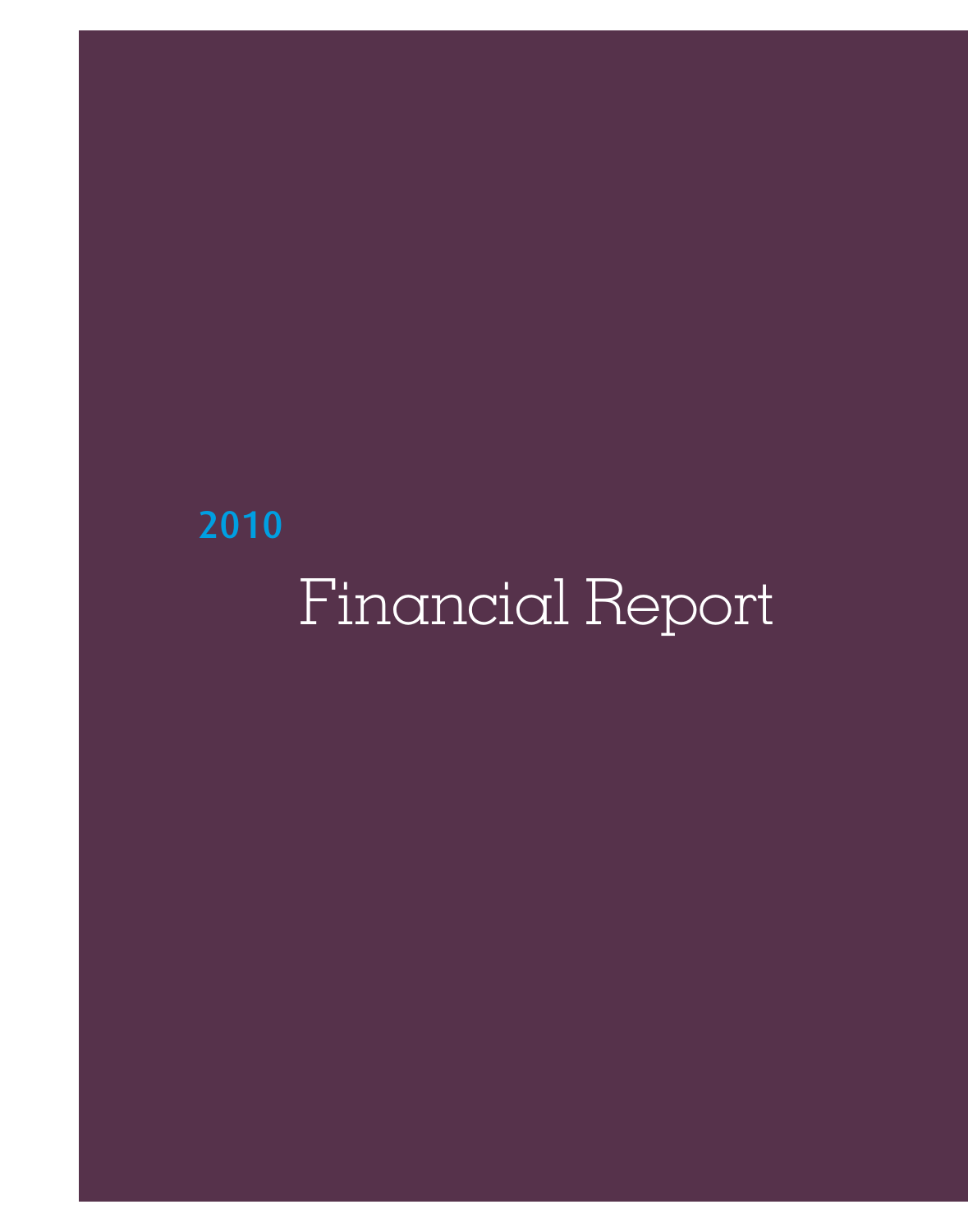# Financial Report 2010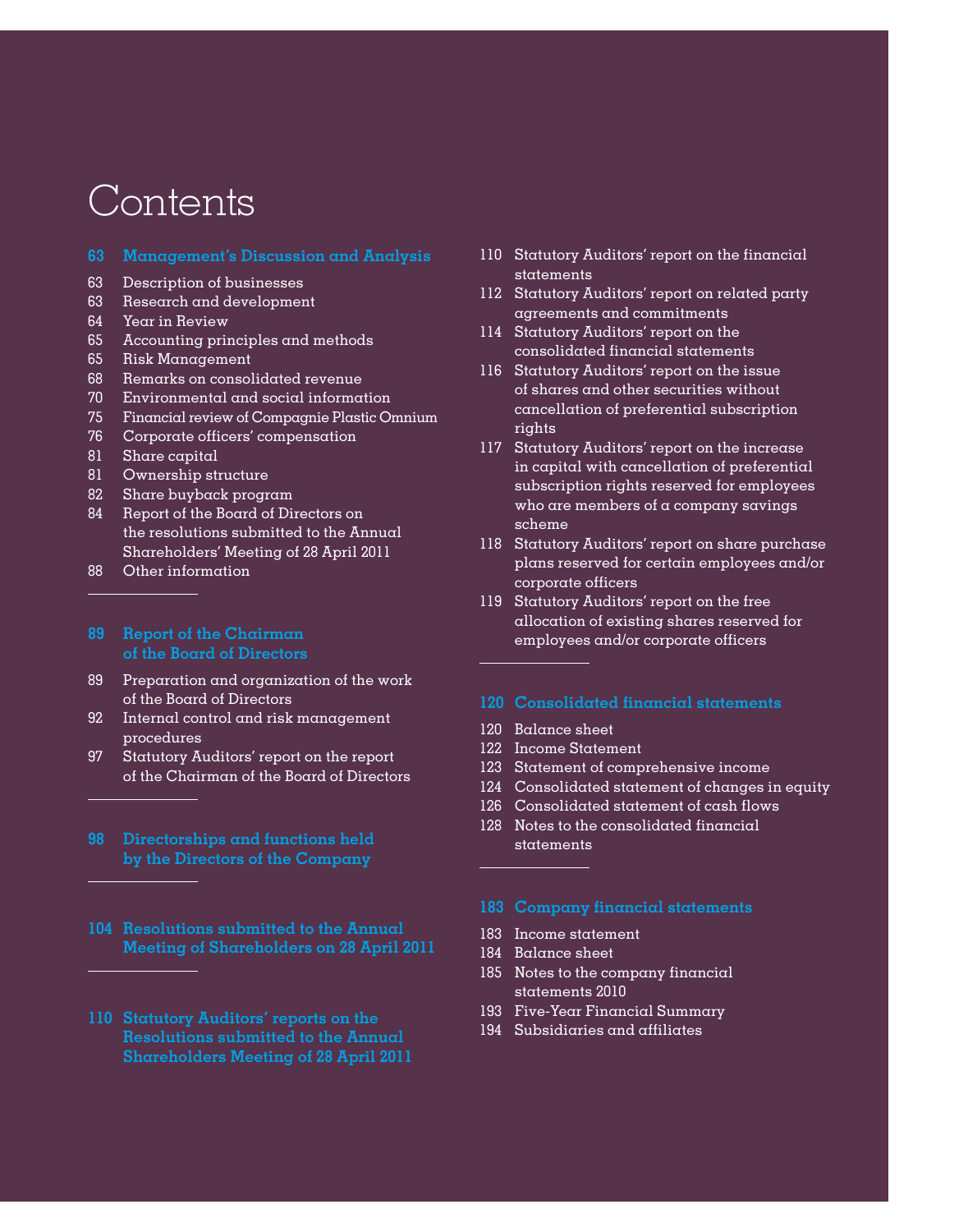## Contents

- **63 Management's Discussion and Analysis**
- 63 Description of businesses
- 63 Research and development
- 64 Year in Review
- 65 Accounting principles and methods
- 65 Risk Management
- 68 Remarks on consolidated revenue
- 70 Environmental and social information
- 75 Financial review of Compagnie Plastic Omnium
- 76 Corporate officers' compensation
- 81 Share capital
- 81 Ownership structure
- 82 Share buyback program
- 84 Report of the Board of Directors on the resolutions submitted to the Annual Shareholders' Meeting of 28 April 2011
- 88 Other information

## **89 Report of the Chairman of the Board of Directors**

- 89 Preparation and organization of the work of the Board of Directors
- 92 Internal control and risk management procedures
- 97 Statutory Auditors' report on the report of the Chairman of the Board of Directors
- **by the Directors of the Company**
- **104 Resolutions submitted to the Annual Meeting of Shareholders on 28 April 2011**
- **Shareholders Meeting of 28 April 2011**
- 110 Statutory Auditors' report on the financial statements
- 112 Statutory Auditors' report on related party agreements and commitments
- 114 Statutory Auditors' report on the consolidated financial statements
- 116 Statutory Auditors' report on the issue of shares and other securities without cancellation of preferential subscription rights
- 117 Statutory Auditors' report on the increase in capital with cancellation of preferential subscription rights reserved for employees who are members of a company savings scheme
- 118 Statutory Auditors' report on share purchase plans reserved for certain employees and/or corporate officers
- 119 Statutory Auditors' report on the free allocation of existing shares reserved for employees and/or corporate officers

#### **120 Consolidated financial statements**

- 120 Balance sheet
- 122 Income Statement
- 123 Statement of comprehensive income
- 124 Consolidated statement of changes in equity
- 126 Consolidated statement of cash flows
- 128 Notes to the consolidated financial statements

## **183 Company financial statements**

- 183 Income statement
- 184 Balance sheet
- 185 Notes to the company financial statements 2010
- 193 Five-Year Financial Summary
- 194 Subsidiaries and affiliates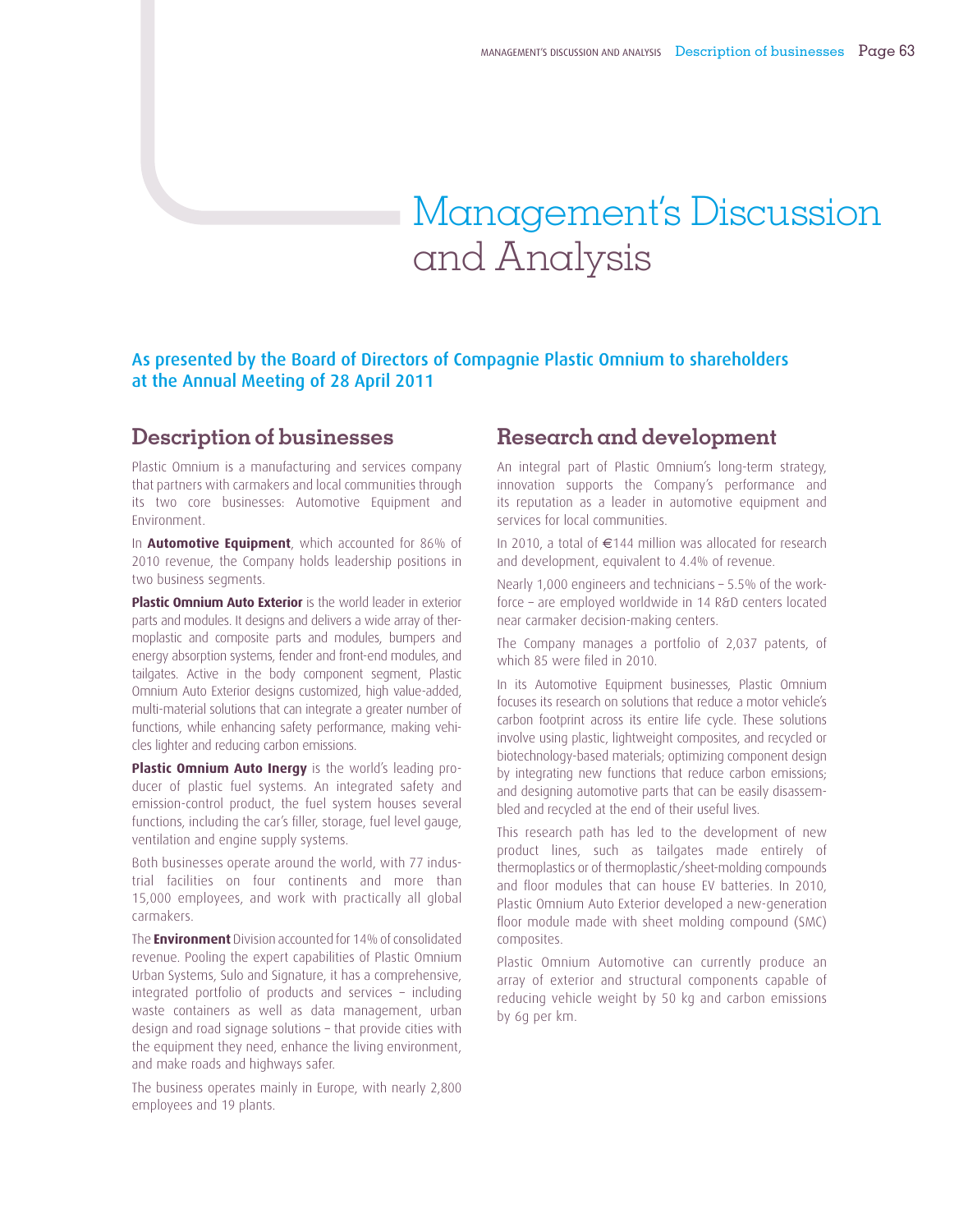## Management's Discussion and Analysis

## As presented by the Board of Directors of Compagnie Plastic Omnium to shareholders at the Annual Meeting of 28 April 2011

## **Description of businesses**

Plastic Omnium is a manufacturing and services company that partners with carmakers and local communities through its two core businesses: Automotive Equipment and Environment.

In **Automotive Equipment**, which accounted for 86% of 2010 revenue, the Company holds leadership positions in two business segments.

**Plastic Omnium Auto Exterior** is the world leader in exterior parts and modules. It designs and delivers a wide array of thermoplastic and composite parts and modules, bumpers and energy absorption systems, fender and front-end modules, and tailgates. Active in the body component segment, Plastic Omnium Auto Exterior designs customized, high value-added, multi-material solutions that can integrate a greater number of functions, while enhancing safety performance, making vehicles lighter and reducing carbon emissions.

**Plastic Omnium Auto Inergy** is the world's leading producer of plastic fuel systems. An integrated safety and emission-control product, the fuel system houses several functions, including the car's filler, storage, fuel level gauge, ventilation and engine supply systems.

Both businesses operate around the world, with 77 industrial facilities on four continents and more than 15,000 employees, and work with practically all global carmakers.

The **Environment** Division accounted for 14% of consolidated revenue. Pooling the expert capabilities of Plastic Omnium Urban Systems, Sulo and Signature, it has a comprehensive, integrated portfolio of products and services – including waste containers as well as data management, urban design and road signage solutions – that provide cities with the equipment they need, enhance the living environment, and make roads and highways safer.

The business operates mainly in Europe, with nearly 2,800 employees and 19 plants.

## **Research and development**

An integral part of Plastic Omnium's long-term strategy, innovation supports the Company's performance and its reputation as a leader in automotive equipment and services for local communities.

In 2010, a total of €144 million was allocated for research and development, equivalent to 4.4% of revenue.

Nearly 1,000 engineers and technicians – 5.5% of the workforce – are employed worldwide in 14 R&D centers located near carmaker decision-making centers.

The Company manages a portfolio of 2,037 patents, of which 85 were filed in 2010.

In its Automotive Equipment businesses, Plastic Omnium focuses its research on solutions that reduce a motor vehicle's carbon footprint across its entire life cycle. These solutions involve using plastic, lightweight composites, and recycled or biotechnology-based materials; optimizing component design by integrating new functions that reduce carbon emissions; and designing automotive parts that can be easily disassembled and recycled at the end of their useful lives.

This research path has led to the development of new product lines, such as tailgates made entirely of thermoplastics or of thermoplastic/sheet-molding compounds and floor modules that can house EV batteries. In 2010, Plastic Omnium Auto Exterior developed a new-generation floor module made with sheet molding compound (SMC) composites.

Plastic Omnium Automotive can currently produce an array of exterior and structural components capable of reducing vehicle weight by 50 kg and carbon emissions by 6g per km.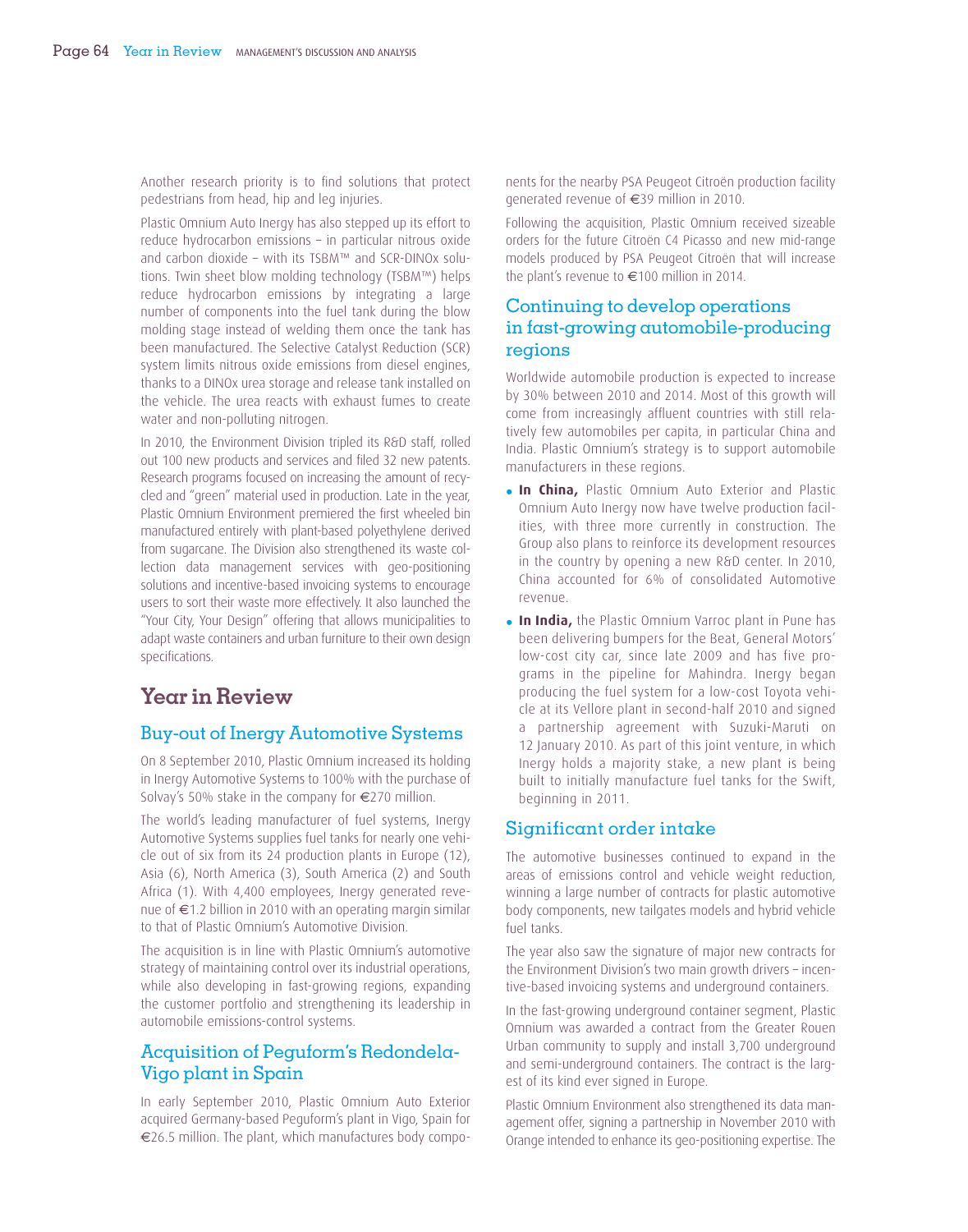Another research priority is to find solutions that protect pedestrians from head, hip and leg injuries.

Plastic Omnium Auto Inergy has also stepped up its effort to reduce hydrocarbon emissions – in particular nitrous oxide and carbon dioxide – with its TSBM™ and SCR-DINOx solutions. Twin sheet blow molding technology (TSBM™) helps reduce hydrocarbon emissions by integrating a large number of components into the fuel tank during the blow molding stage instead of welding them once the tank has been manufactured. The Selective Catalyst Reduction (SCR) system limits nitrous oxide emissions from diesel engines, thanks to a DINOx urea storage and release tank installed on the vehicle. The urea reacts with exhaust fumes to create water and non-polluting nitrogen.

In 2010, the Environment Division tripled its R&D staff, rolled out 100 new products and services and filed 32 new patents. Research programs focused on increasing the amount of recycled and "green" material used in production. Late in the year, Plastic Omnium Environment premiered the first wheeled bin manufactured entirely with plant-based polyethylene derived from sugarcane. The Division also strengthened its waste collection data management services with geo-positioning solutions and incentive-based invoicing systems to encourage users to sort their waste more effectively. It also launched the "Your City, Your Design" offering that allows municipalities to adapt waste containers and urban furniture to their own design specifications.

## **Year in Review**

## Buy-out of Inergy Automotive Systems

On 8 September 2010, Plastic Omnium increased its holding in Inergy Automotive Systems to 100% with the purchase of Solvay's 50% stake in the company for €270 million.

The world's leading manufacturer of fuel systems, Inergy Automotive Systems supplies fuel tanks for nearly one vehicle out of six from its 24 production plants in Europe (12), Asia (6), North America (3), South America (2) and South Africa (1). With 4,400 employees, Inergy generated revenue of €1.2 billion in 2010 with an operating margin similar to that of Plastic Omnium's Automotive Division.

The acquisition is in line with Plastic Omnium's automotive strategy of maintaining control over its industrial operations, while also developing in fast-growing regions, expanding the customer portfolio and strengthening its leadership in automobile emissions-control systems.

## Acquisition of Peguform's Redondela-Vigo plant in Spain

In early September 2010, Plastic Omnium Auto Exterior acquired Germany-based Peguform's plant in Vigo, Spain for €26.5 million. The plant, which manufactures body components for the nearby PSA Peugeot Citroën production facility generated revenue of €39 million in 2010.

Following the acquisition, Plastic Omnium received sizeable orders for the future Citroën C4 Picasso and new mid-range models produced by PSA Peugeot Citroën that will increase the plant's revenue to €100 million in 2014.

## Continuing to develop operations in fast-growing automobile-producing regions

Worldwide automobile production is expected to increase by 30% between 2010 and 2014. Most of this growth will come from increasingly affluent countries with still relatively few automobiles per capita, in particular China and India. Plastic Omnium's strategy is to support automobile manufacturers in these regions.

- **In China,** Plastic Omnium Auto Exterior and Plastic Omnium Auto Inergy now have twelve production facilities, with three more currently in construction. The Group also plans to reinforce its development resources in the country by opening a new R&D center. In 2010, China accounted for 6% of consolidated Automotive revenue.
- **In India,** the Plastic Omnium Varroc plant in Pune has been delivering bumpers for the Beat, General Motors' low-cost city car, since late 2009 and has five programs in the pipeline for Mahindra. Inergy began producing the fuel system for a low-cost Toyota vehicle at its Vellore plant in second-half 2010 and signed a partnership agreement with Suzuki-Maruti on 12 January 2010. As part of this joint venture, in which Inergy holds a majority stake, a new plant is being built to initially manufacture fuel tanks for the Swift, beginning in 2011.

## Significant order intake

The automotive businesses continued to expand in the areas of emissions control and vehicle weight reduction, winning a large number of contracts for plastic automotive body components, new tailgates models and hybrid vehicle fuel tanks.

The year also saw the signature of major new contracts for the Environment Division's two main growth drivers – incentive-based invoicing systems and underground containers.

In the fast-growing underground container segment, Plastic Omnium was awarded a contract from the Greater Rouen Urban community to supply and install 3,700 underground and semi-underground containers. The contract is the largest of its kind ever signed in Europe.

Plastic Omnium Environment also strengthened its data management offer, signing a partnership in November 2010 with Orange intended to enhance its geo-positioning expertise. The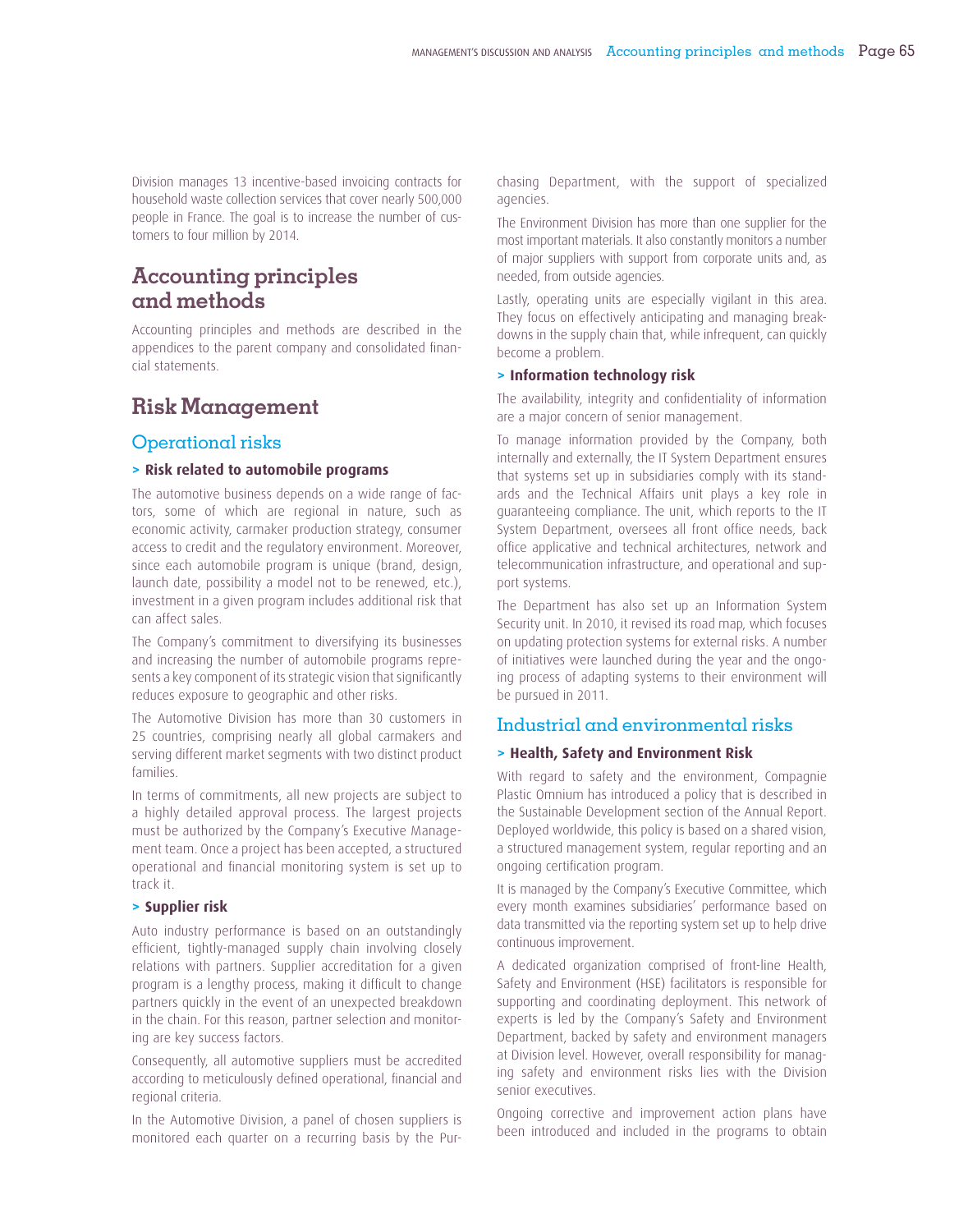Division manages 13 incentive-based invoicing contracts for household waste collection services that cover nearly 500,000 people in France. The goal is to increase the number of customers to four million by 2014.

## **Accounting principles and methods**

Accounting principles and methods are described in the appendices to the parent company and consolidated financial statements.

## **Risk Management**

## Operational risks

### **> Risk related to automobile programs**

The automotive business depends on a wide range of factors, some of which are regional in nature, such as economic activity, carmaker production strategy, consumer access to credit and the regulatory environment. Moreover, since each automobile program is unique (brand, design, launch date, possibility a model not to be renewed, etc.), investment in a given program includes additional risk that can affect sales.

The Company's commitment to diversifying its businesses and increasing the number of automobile programs represents a key component of its strategic vision that significantly reduces exposure to geographic and other risks.

The Automotive Division has more than 30 customers in 25 countries, comprising nearly all global carmakers and serving different market segments with two distinct product families.

In terms of commitments, all new projects are subject to a highly detailed approval process. The largest projects must be authorized by the Company's Executive Management team. Once a project has been accepted, a structured operational and financial monitoring system is set up to track it.

## **> Supplier risk**

Auto industry performance is based on an outstandingly efficient, tightly-managed supply chain involving closely relations with partners. Supplier accreditation for a given program is a lengthy process, making it difficult to change partners quickly in the event of an unexpected breakdown in the chain. For this reason, partner selection and monitoring are key success factors.

Consequently, all automotive suppliers must be accredited according to meticulously defined operational, financial and regional criteria.

In the Automotive Division, a panel of chosen suppliers is monitored each quarter on a recurring basis by the Purchasing Department, with the support of specialized agencies.

The Environment Division has more than one supplier for the most important materials. It also constantly monitors a number of major suppliers with support from corporate units and, as needed, from outside agencies.

Lastly, operating units are especially vigilant in this area. They focus on effectively anticipating and managing breakdowns in the supply chain that, while infrequent, can quickly become a problem.

#### **> Information technology risk**

The availability, integrity and confidentiality of information are a major concern of senior management.

To manage information provided by the Company, both internally and externally, the IT System Department ensures that systems set up in subsidiaries comply with its standards and the Technical Affairs unit plays a key role in guaranteeing compliance. The unit, which reports to the IT System Department, oversees all front office needs, back office applicative and technical architectures, network and telecommunication infrastructure, and operational and support systems.

The Department has also set up an Information System Security unit. In 2010, it revised its road map, which focuses on updating protection systems for external risks. A number of initiatives were launched during the year and the ongoing process of adapting systems to their environment will be pursued in 2011.

## Industrial and environmental risks

#### **> Health, Safety and Environment Risk**

With regard to safety and the environment, Compagnie Plastic Omnium has introduced a policy that is described in the Sustainable Development section of the Annual Report. Deployed worldwide, this policy is based on a shared vision, a structured management system, regular reporting and an ongoing certification program.

It is managed by the Company's Executive Committee, which every month examines subsidiaries' performance based on data transmitted via the reporting system set up to help drive continuous improvement.

A dedicated organization comprised of front-line Health, Safety and Environment (HSE) facilitators is responsible for supporting and coordinating deployment. This network of experts is led by the Company's Safety and Environment Department, backed by safety and environment managers at Division level. However, overall responsibility for managing safety and environment risks lies with the Division senior executives.

Ongoing corrective and improvement action plans have been introduced and included in the programs to obtain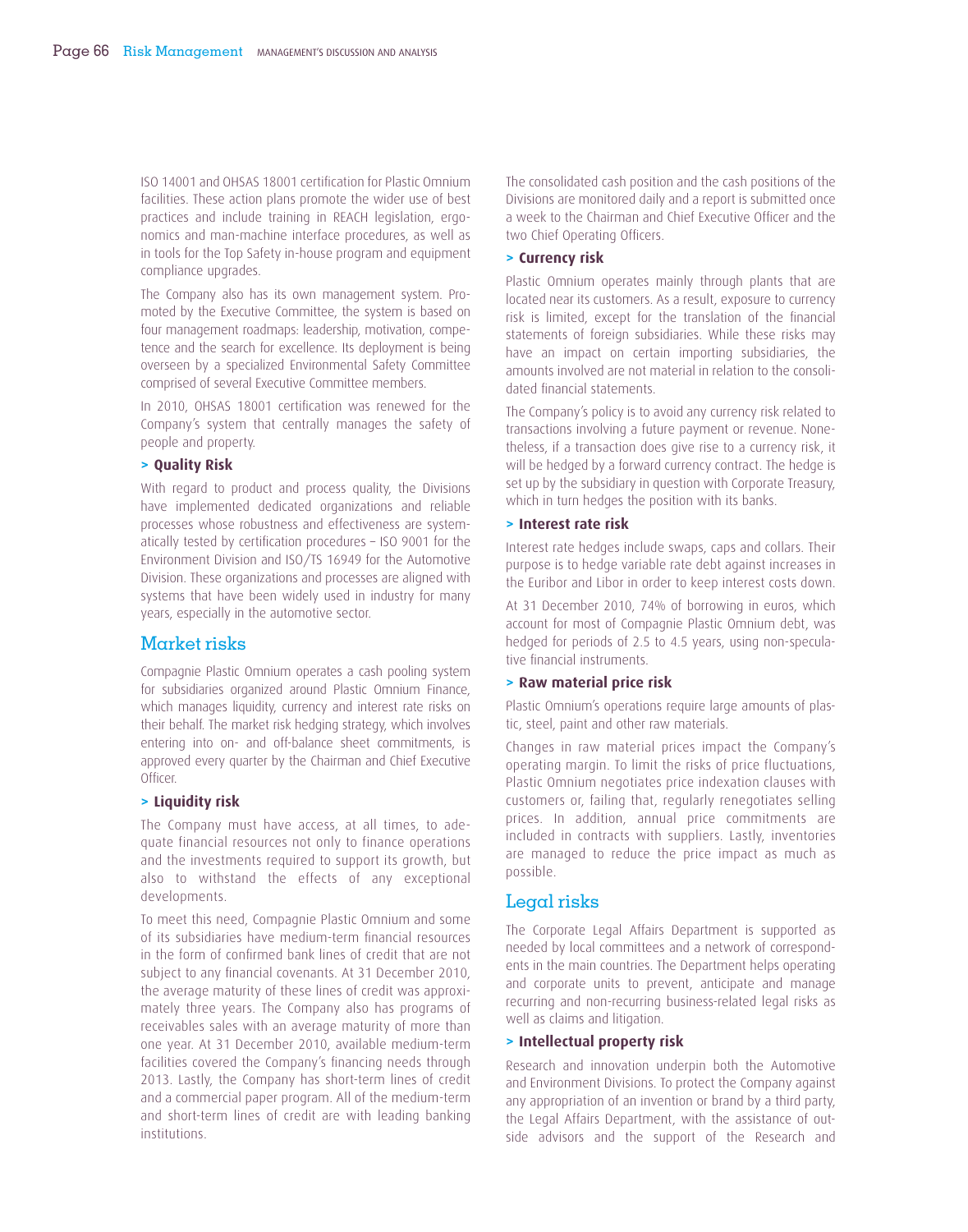ISO 14001 and OHSAS 18001 certifi cation for Plastic Omnium facilities. These action plans promote the wider use of best practices and include training in REACH legislation, ergonomics and man-machine interface procedures, as well as in tools for the Top Safety in-house program and equipment compliance upgrades.

The Company also has its own management system. Promoted by the Executive Committee, the system is based on four management roadmaps: leadership, motivation, competence and the search for excellence. Its deployment is being overseen by a specialized Environmental Safety Committee comprised of several Executive Committee members.

In 2010, OHSAS 18001 certification was renewed for the Company's system that centrally manages the safety of people and property.

#### **> Quality Risk**

With regard to product and process quality, the Divisions have implemented dedicated organizations and reliable processes whose robustness and effectiveness are systematically tested by certification procedures - ISO 9001 for the Environment Division and ISO/TS 16949 for the Automotive Division. These organizations and processes are aligned with systems that have been widely used in industry for many years, especially in the automotive sector.

## Market risks

Compagnie Plastic Omnium operates a cash pooling system for subsidiaries organized around Plastic Omnium Finance, which manages liquidity, currency and interest rate risks on their behalf. The market risk hedging strategy, which involves entering into on- and off-balance sheet commitments, is approved every quarter by the Chairman and Chief Executive Officer.

#### **> Liquidity risk**

The Company must have access, at all times, to adequate financial resources not only to finance operations and the investments required to support its growth, but also to withstand the effects of any exceptional developments.

To meet this need, Compagnie Plastic Omnium and some of its subsidiaries have medium-term financial resources in the form of confirmed bank lines of credit that are not subject to any financial covenants. At 31 December 2010, the average maturity of these lines of credit was approximately three years. The Company also has programs of receivables sales with an average maturity of more than one year. At 31 December 2010, available medium-term facilities covered the Company's financing needs through 2013. Lastly, the Company has short-term lines of credit and a commercial paper program. All of the medium-term and short-term lines of credit are with leading banking institutions.

The consolidated cash position and the cash positions of the Divisions are monitored daily and a report is submitted once a week to the Chairman and Chief Executive Officer and the two Chief Operating Officers.

#### **> Currency risk**

Plastic Omnium operates mainly through plants that are located near its customers. As a result, exposure to currency risk is limited, except for the translation of the financial statements of foreign subsidiaries. While these risks may have an impact on certain importing subsidiaries, the amounts involved are not material in relation to the consolidated financial statements.

The Company's policy is to avoid any currency risk related to transactions involving a future payment or revenue. Nonetheless, if a transaction does give rise to a currency risk, it will be hedged by a forward currency contract. The hedge is set up by the subsidiary in question with Corporate Treasury, which in turn hedges the position with its banks.

## **> Interest rate risk**

Interest rate hedges include swaps, caps and collars. Their purpose is to hedge variable rate debt against increases in the Euribor and Libor in order to keep interest costs down.

At 31 December 2010, 74% of borrowing in euros, which account for most of Compagnie Plastic Omnium debt, was hedged for periods of 2.5 to 4.5 years, using non-speculative financial instruments.

#### **> Raw material price risk**

Plastic Omnium's operations require large amounts of plastic, steel, paint and other raw materials.

Changes in raw material prices impact the Company's operating margin. To limit the risks of price fluctuations, Plastic Omnium negotiates price indexation clauses with customers or, failing that, regularly renegotiates selling prices. In addition, annual price commitments are included in contracts with suppliers. Lastly, inventories are managed to reduce the price impact as much as possible.

## Legal risks

The Corporate Legal Affairs Department is supported as needed by local committees and a network of correspondents in the main countries. The Department helps operating and corporate units to prevent, anticipate and manage recurring and non-recurring business-related legal risks as well as claims and litigation.

#### **> Intellectual property risk**

Research and innovation underpin both the Automotive and Environment Divisions. To protect the Company against any appropriation of an invention or brand by a third party, the Legal Affairs Department, with the assistance of outside advisors and the support of the Research and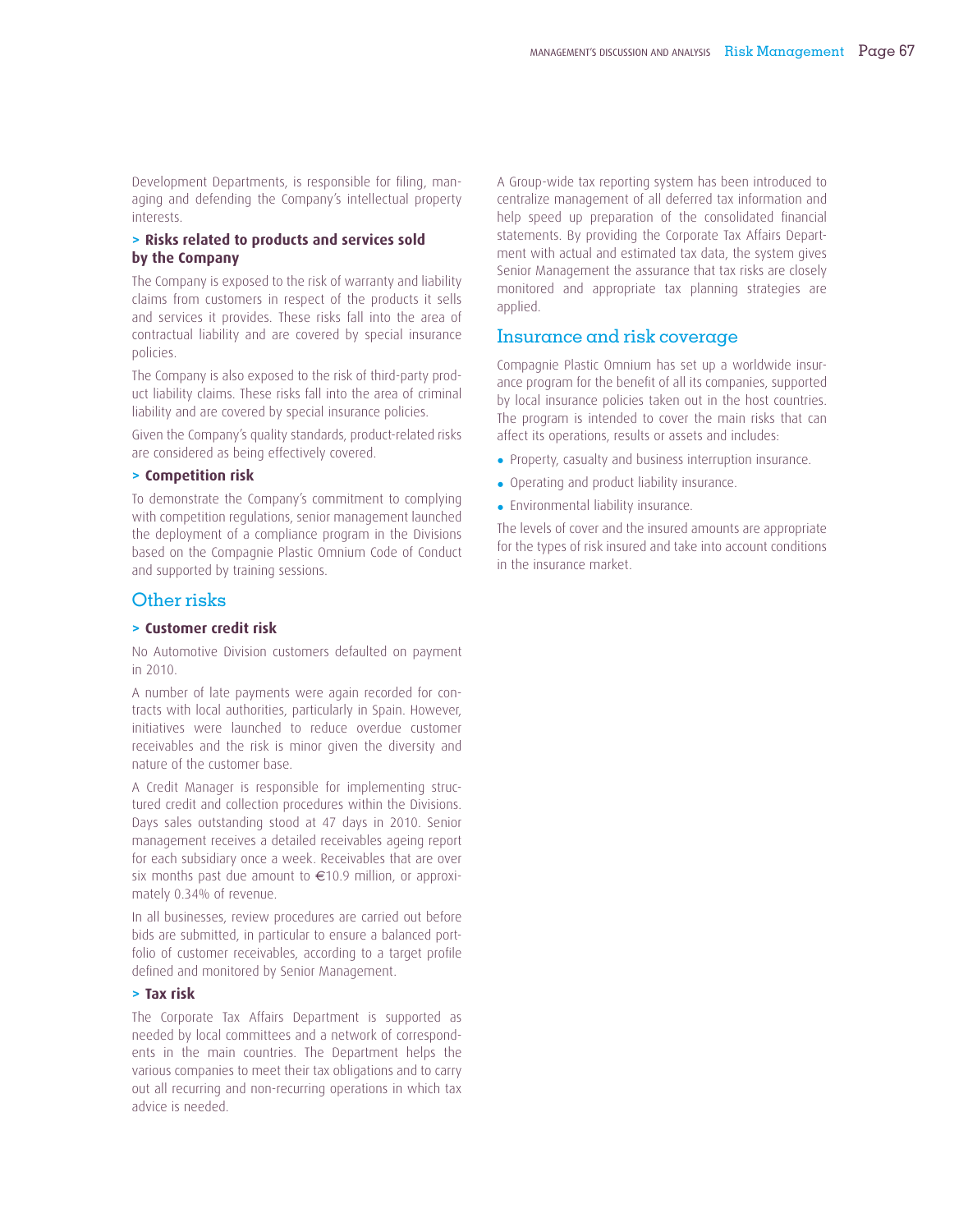Development Departments, is responsible for filing, managing and defending the Company's intellectual property interests.

## **> Risks related to products and services sold by the Company**

The Company is exposed to the risk of warranty and liability claims from customers in respect of the products it sells and services it provides. These risks fall into the area of contractual liability and are covered by special insurance policies.

The Company is also exposed to the risk of third-party product liability claims. These risks fall into the area of criminal liability and are covered by special insurance policies.

Given the Company's quality standards, product-related risks are considered as being effectively covered.

## **> Competition risk**

To demonstrate the Company's commitment to complying with competition regulations, senior management launched the deployment of a compliance program in the Divisions based on the Compagnie Plastic Omnium Code of Conduct and supported by training sessions.

## Other risks

#### **> Customer credit risk**

No Automotive Division customers defaulted on payment in 2010.

A number of late payments were again recorded for contracts with local authorities, particularly in Spain. However, initiatives were launched to reduce overdue customer receivables and the risk is minor given the diversity and nature of the customer base.

A Credit Manager is responsible for implementing structured credit and collection procedures within the Divisions. Days sales outstanding stood at 47 days in 2010. Senior management receives a detailed receivables ageing report for each subsidiary once a week. Receivables that are over six months past due amount to €10.9 million, or approximately 0.34% of revenue.

In all businesses, review procedures are carried out before bids are submitted, in particular to ensure a balanced portfolio of customer receivables, according to a target profile defined and monitored by Senior Management.

## **> Tax risk**

The Corporate Tax Affairs Department is supported as needed by local committees and a network of correspondents in the main countries. The Department helps the various companies to meet their tax obligations and to carry out all recurring and non-recurring operations in which tax advice is needed.

A Group-wide tax reporting system has been introduced to centralize management of all deferred tax information and help speed up preparation of the consolidated financial statements. By providing the Corporate Tax Affairs Department with actual and estimated tax data, the system gives Senior Management the assurance that tax risks are closely monitored and appropriate tax planning strategies are applied.

## Insurance and risk coverage

Compagnie Plastic Omnium has set up a worldwide insurance program for the benefit of all its companies, supported by local insurance policies taken out in the host countries. The program is intended to cover the main risks that can affect its operations, results or assets and includes:

- Property, casualty and business interruption insurance.
- Operating and product liability insurance.
- Environmental liability insurance.

The levels of cover and the insured amounts are appropriate for the types of risk insured and take into account conditions in the insurance market.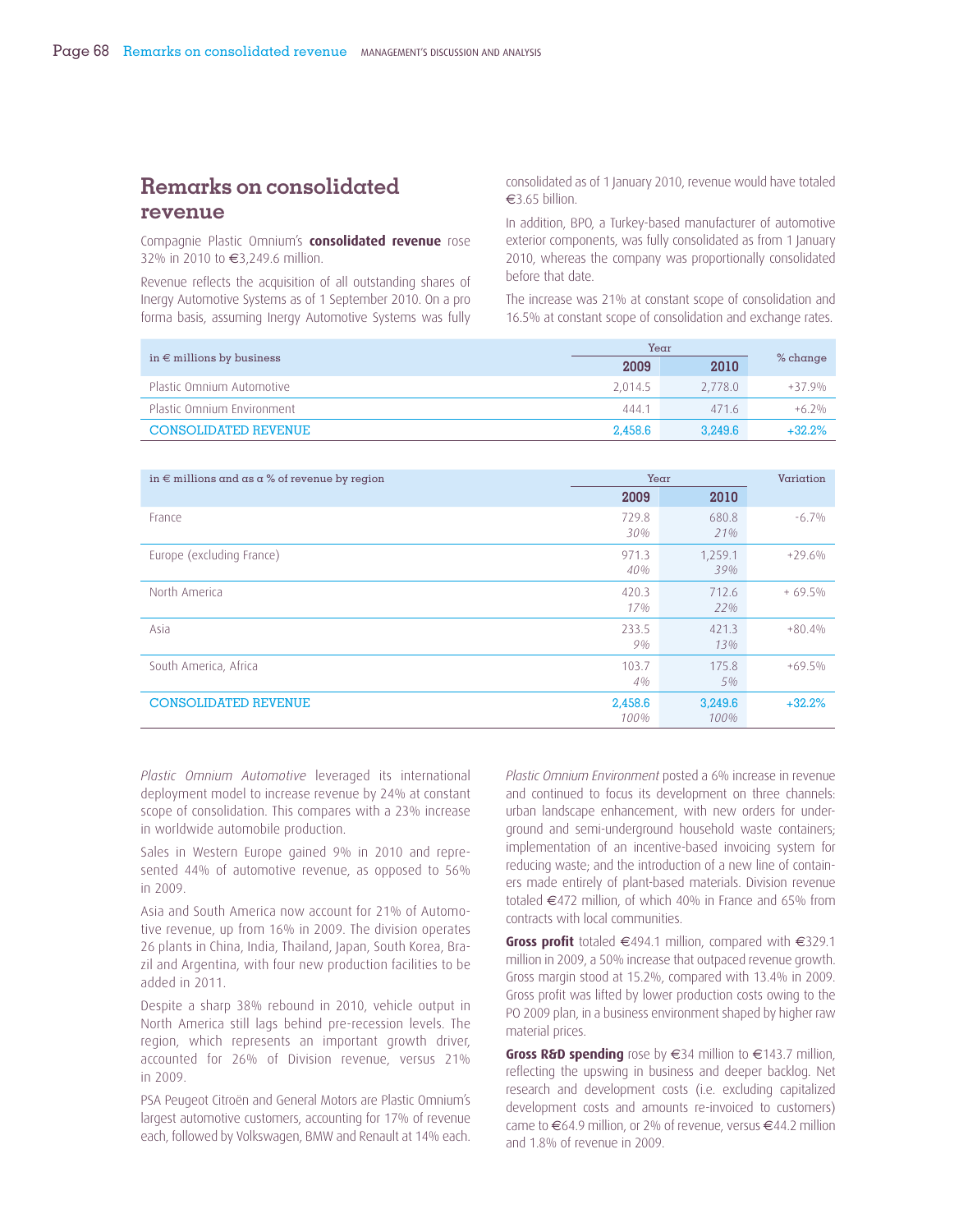## **Remarks on consolidated revenue**

Compagnie Plastic Omnium's **consolidated revenue** rose 32% in 2010 to €3,249.6 million.

Revenue reflects the acquisition of all outstanding shares of Inergy Automotive Systems as of 1 September 2010. On a pro forma basis, assuming Inergy Automotive Systems was fully consolidated as of 1 January 2010, revenue would have totaled €3.65 billion.

In addition, BPO, a Turkey-based manufacturer of automotive exterior components, was fully consolidated as from 1 January 2010, whereas the company was proportionally consolidated before that date.

The increase was 21% at constant scope of consolidation and 16.5% at constant scope of consolidation and exchange rates.

|                                    | Year    |         |            |
|------------------------------------|---------|---------|------------|
| in $\epsilon$ millions by business | 2009    | 2010    | $%$ change |
| Plastic Omnium Automotive          | 2.014.5 | 2.778.0 | $+37.9%$   |
| Plastic Omnium Environment         | 444.1   | 4716    | $+6.2\%$   |
| <b>CONSOLIDATED REVENUE</b>        | 2.458.6 | 3.249.6 | $+32.2%$   |

| in $\epsilon$ millions and as a % of revenue by region | Year            |                 | Variation |
|--------------------------------------------------------|-----------------|-----------------|-----------|
|                                                        | 2009            | 2010            |           |
| France                                                 | 729.8<br>30%    | 680.8<br>21%    | $-6.7\%$  |
| Europe (excluding France)                              | 971.3<br>40%    | 1,259.1<br>39%  | $+29.6%$  |
| North America                                          | 420.3<br>17%    | 712.6<br>22%    | $+69.5%$  |
| Asia                                                   | 233.5<br>9%     | 421.3<br>13%    | $+80.4%$  |
| South America, Africa                                  | 103.7<br>4%     | 175.8<br>5%     | $+69.5%$  |
| <b>CONSOLIDATED REVENUE</b>                            | 2,458.6<br>100% | 3,249.6<br>100% | $+32.2%$  |

*Plastic Omnium Automotive* leveraged its international deployment model to increase revenue by 24% at constant scope of consolidation. This compares with a 23% increase in worldwide automobile production.

Sales in Western Europe gained 9% in 2010 and represented 44% of automotive revenue, as opposed to 56% in 2009.

Asia and South America now account for 21% of Automotive revenue, up from 16% in 2009. The division operates 26 plants in China, India, Thailand, Japan, South Korea, Brazil and Argentina, with four new production facilities to be added in 2011.

Despite a sharp 38% rebound in 2010, vehicle output in North America still lags behind pre-recession levels. The region, which represents an important growth driver, accounted for 26% of Division revenue, versus 21% in 2009.

PSA Peugeot Citroën and General Motors are Plastic Omnium's largest automotive customers, accounting for 17% of revenue each, followed by Volkswagen, BMW and Renault at 14% each.

*Plastic Omnium Environment* posted a 6% increase in revenue and continued to focus its development on three channels: urban landscape enhancement, with new orders for underground and semi-underground household waste containers; implementation of an incentive-based invoicing system for reducing waste; and the introduction of a new line of containers made entirely of plant-based materials. Division revenue totaled €472 million, of which 40% in France and 65% from contracts with local communities.

Gross profit totaled €494.1 million, compared with €329.1 million in 2009, a 50% increase that outpaced revenue growth. Gross margin stood at 15.2%, compared with 13.4% in 2009. Gross profit was lifted by lower production costs owing to the PO 2009 plan, in a business environment shaped by higher raw material prices.

**Gross R&D spending** rose by €34 million to €143.7 million, reflecting the upswing in business and deeper backlog. Net research and development costs (i.e. excluding capitalized development costs and amounts re-invoiced to customers) came to €64.9 million, or 2% of revenue, versus €44.2 million and 1.8% of revenue in 2009.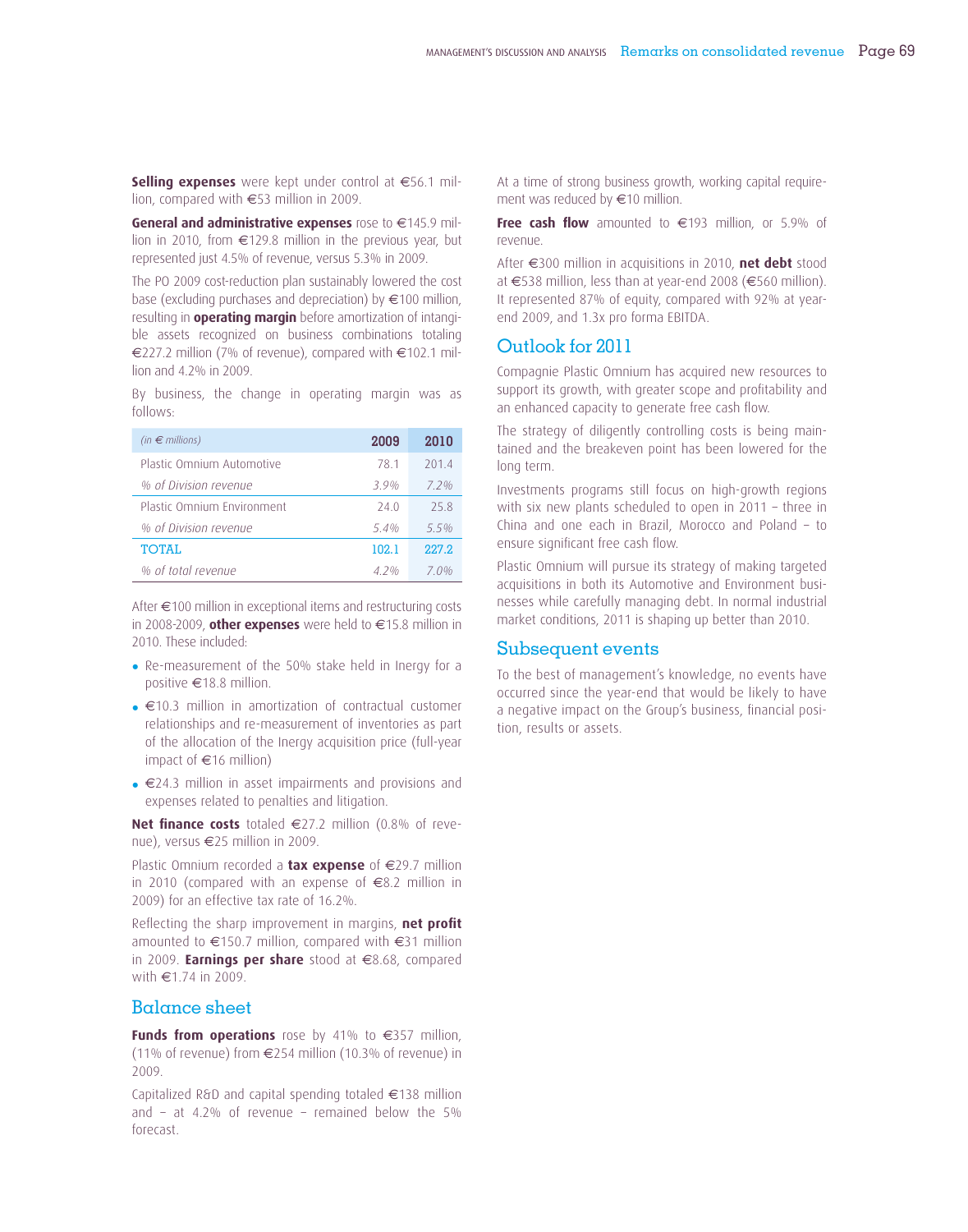**Selling expenses** were kept under control at €56.1 million, compared with €53 million in 2009.

**General and administrative expenses** rose to €145.9 million in 2010, from €129.8 million in the previous year, but represented just 4.5% of revenue, versus 5.3% in 2009.

The PO 2009 cost-reduction plan sustainably lowered the cost base (excluding purchases and depreciation) by €100 million, resulting in **operating margin** before amortization of intangible assets recognized on business combinations totaling €227.2 million (7% of revenue), compared with €102.1 million and 4.2% in 2009.

By business, the change in operating margin was as follows:

| (in $\epsilon$ millions)   | 2009            | 2010  |
|----------------------------|-----------------|-------|
| Plastic Omnium Automotive  | 781             | 201.4 |
| % of Division revenue      | 39%             | 72%   |
| Plastic Omnium Environment | 24 Q            | 258   |
| % of Division revenue      | 54 <sub>%</sub> | 55%   |
| <b>TOTAL</b>               | 102.1           | 227.2 |
| % of total revenue         | 4 2 %           | 7 O%  |

After €100 million in exceptional items and restructuring costs in 2008-2009, **other expenses** were held to €15.8 million in 2010. These included:

- Re-measurement of the 50% stake held in Inergy for a positive €18.8 million.
- €10.3 million in amortization of contractual customer relationships and re-measurement of inventories as part of the allocation of the Inergy acquisition price (full-year impact of €16 million)
- €24.3 million in asset impairments and provisions and expenses related to penalties and litigation.

**Net finance costs** totaled €27.2 million (0.8% of revenue), versus €25 million in 2009.

Plastic Omnium recorded a **tax expense** of €29.7 million in 2010 (compared with an expense of €8.2 million in 2009) for an effective tax rate of 16.2%.

Reflecting the sharp improvement in margins, **net profit** amounted to €150.7 million, compared with €31 million in 2009. **Earnings per share** stood at €8.68, compared with €1.74 in 2009.

## Balance sheet

**Funds from operations** rose by 41% to €357 million, (11% of revenue) from €254 million (10.3% of revenue) in 2009.

Capitalized R&D and capital spending totaled €138 million and – at 4.2% of revenue – remained below the 5% forecast.

At a time of strong business growth, working capital requirement was reduced by €10 million.

**Free cash flow** amounted to €193 million, or 5.9% of revenue.

After €300 million in acquisitions in 2010, **net debt** stood at €538 million, less than at year-end 2008 (€560 million). It represented 87% of equity, compared with 92% at yearend 2009, and 1.3x pro forma EBITDA.

## Outlook for 2011

Compagnie Plastic Omnium has acquired new resources to support its growth, with greater scope and profitability and an enhanced capacity to generate free cash flow.

The strategy of diligently controlling costs is being maintained and the breakeven point has been lowered for the long term.

Investments programs still focus on high-growth regions with six new plants scheduled to open in 2011 – three in China and one each in Brazil, Morocco and Poland – to ensure significant free cash flow.

Plastic Omnium will pursue its strategy of making targeted acquisitions in both its Automotive and Environment businesses while carefully managing debt. In normal industrial market conditions, 2011 is shaping up better than 2010.

## Subsequent events

To the best of management's knowledge, no events have occurred since the year-end that would be likely to have a negative impact on the Group's business, financial position, results or assets.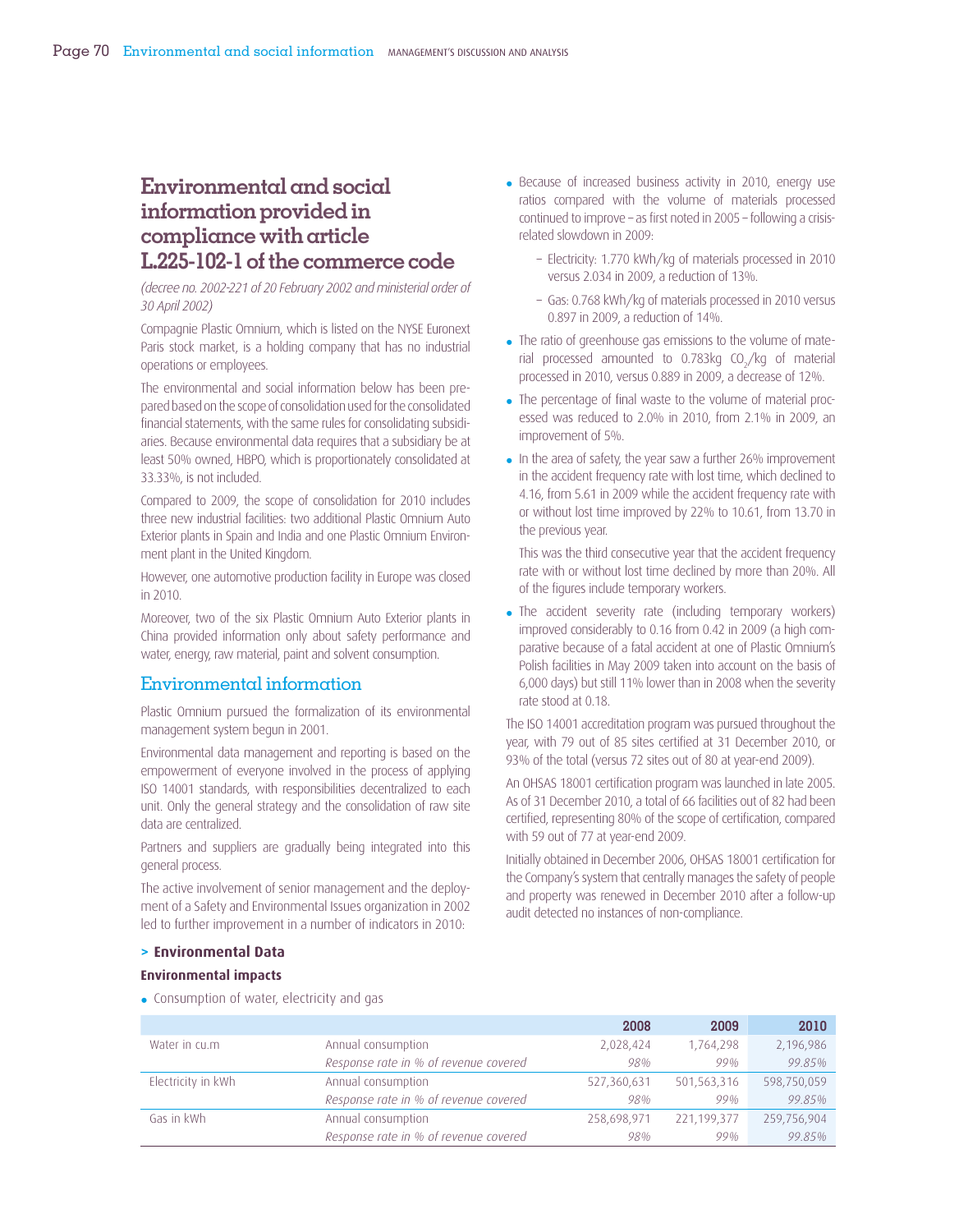## **Environmental and social information provided in compliance with article L.225-102-1 of the commerce code**

*(decree no. 2002-221 of 20 February 2002 and ministerial order of 30 April 2002)*

Compagnie Plastic Omnium, which is listed on the NYSE Euronext Paris stock market, is a holding company that has no industrial operations or employees.

The environmental and social information below has been prepared based on the scope of consolidation used for the consolidated financial statements, with the same rules for consolidating subsidiaries. Because environmental data requires that a subsidiary be at least 50% owned, HBPO, which is proportionately consolidated at 33.33%, is not included.

Compared to 2009, the scope of consolidation for 2010 includes three new industrial facilities: two additional Plastic Omnium Auto Exterior plants in Spain and India and one Plastic Omnium Environment plant in the United Kingdom.

However, one automotive production facility in Europe was closed in 2010.

Moreover, two of the six Plastic Omnium Auto Exterior plants in China provided information only about safety performance and water, energy, raw material, paint and solvent consumption.

## Environmental information

Plastic Omnium pursued the formalization of its environmental management system begun in 2001.

Environmental data management and reporting is based on the empowerment of everyone involved in the process of applying ISO 14001 standards, with responsibilities decentralized to each unit. Only the general strategy and the consolidation of raw site data are centralized.

Partners and suppliers are gradually being integrated into this general process.

The active involvement of senior management and the deployment of a Safety and Environmental Issues organization in 2002 led to further improvement in a number of indicators in 2010:

- Because of increased business activity in 2010, energy use ratios compared with the volume of materials processed continued to improve – as first noted in 2005 – following a crisisrelated slowdown in 2009:
	- Electricity: 1.770 kWh/kg of materials processed in 2010 versus 2.034 in 2009, a reduction of 13%.
	- Gas: 0.768 kWh/kg of materials processed in 2010 versus 0.897 in 2009, a reduction of 14%.
- The ratio of greenhouse gas emissions to the volume of material processed amounted to 0.783 $kg$  CO<sub>2</sub>/kg of material processed in 2010, versus 0.889 in 2009, a decrease of 12%.
- The percentage of final waste to the volume of material processed was reduced to 2.0% in 2010, from 2.1% in 2009, an improvement of 5%.
- In the area of safety, the year saw a further 26% improvement in the accident frequency rate with lost time, which declined to 4.16, from 5.61 in 2009 while the accident frequency rate with or without lost time improved by 22% to 10.61, from 13.70 in the previous year.

This was the third consecutive year that the accident frequency rate with or without lost time declined by more than 20%. All of the figures include temporary workers.

• The accident severity rate (including temporary workers) improved considerably to 0.16 from 0.42 in 2009 (a high comparative because of a fatal accident at one of Plastic Omnium's Polish facilities in May 2009 taken into account on the basis of 6,000 days) but still 11% lower than in 2008 when the severity rate stood at 0.18.

The ISO 14001 accreditation program was pursued throughout the year, with 79 out of 85 sites certified at 31 December 2010, or 93% of the total (versus 72 sites out of 80 at year-end 2009).

An OHSAS 18001 certification program was launched in late 2005. As of 31 December 2010, a total of 66 facilities out of 82 had been certified, representing 80% of the scope of certification, compared with 59 out of 77 at year-end 2009.

Initially obtained in December 2006, OHSAS 18001 certification for the Company's system that centrally manages the safety of people and property was renewed in December 2010 after a follow-up audit detected no instances of non-compliance.

#### **> Environmental Data**

#### **Environmental impacts**

• Consumption of water, electricity and gas

|                    |                                       | 2008        | 2009        | 2010        |
|--------------------|---------------------------------------|-------------|-------------|-------------|
| Water in cu.m      | Annual consumption                    | 2,028,424   | 1,764,298   | 2,196,986   |
|                    | Response rate in % of revenue covered | 98%         | 99%         | 99.85%      |
| Electricity in kWh | Annual consumption                    | 527,360,631 | 501,563,316 | 598,750,059 |
|                    | Response rate in % of revenue covered | 98%         | 99%         | 99.85%      |
| Gas in kWh         | Annual consumption                    | 258,698,971 | 221,199,377 | 259,756,904 |
|                    | Response rate in % of revenue covered | 98%         | 99%         | 99.85%      |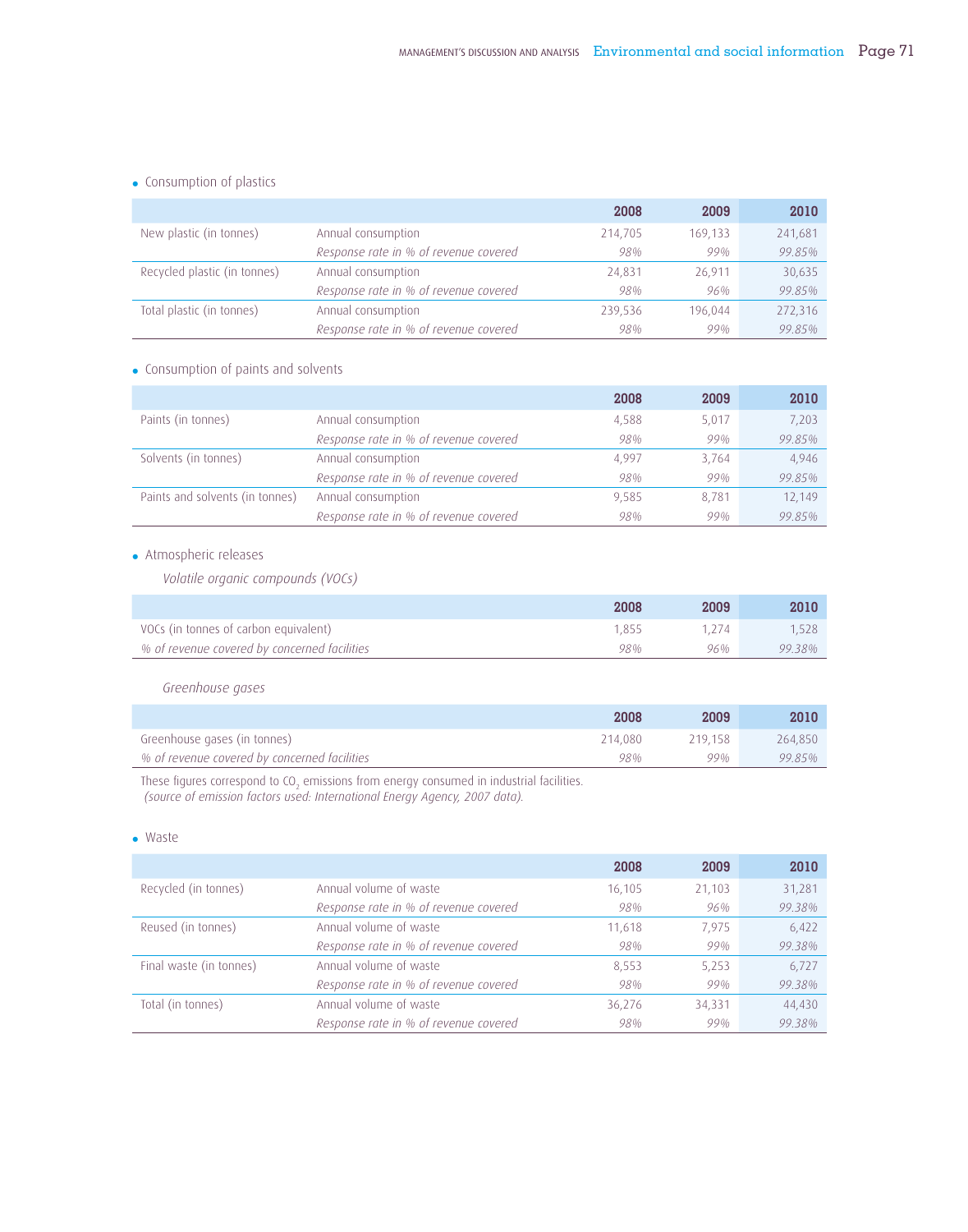## • Consumption of plastics

|                              |                                       | 2008    | 2009    | 2010    |
|------------------------------|---------------------------------------|---------|---------|---------|
| New plastic (in tonnes)      | Annual consumption                    | 214,705 | 169,133 | 241,681 |
|                              | Response rate in % of revenue covered | 98%     | 99%     | 99.85%  |
| Recycled plastic (in tonnes) | Annual consumption                    | 24.831  | 26.911  | 30,635  |
|                              | Response rate in % of revenue covered | 98%     | 96%     | 99.85%  |
| Total plastic (in tonnes)    | Annual consumption                    | 239,536 | 196.044 | 272,316 |
|                              | Response rate in % of revenue covered | 98%     | 99%     | 99.85%  |

## • Consumption of paints and solvents

|                                 |                                       | 2008       | 2009  | 2010   |
|---------------------------------|---------------------------------------|------------|-------|--------|
| Paints (in tonnes)              | Annual consumption                    | 4,588      | 5,017 | 7,203  |
|                                 | Response rate in % of revenue covered | 98%        | 99%   | 99.85% |
| Solvents (in tonnes)            | Annual consumption                    | 4.997      | 3,764 | 4,946  |
|                                 | Response rate in % of revenue covered | 98%        | 99%   | 99.85% |
| Paints and solvents (in tonnes) | Annual consumption                    | 9.585      | 8.781 | 12,149 |
|                                 | Response rate in % of revenue covered | <b>98%</b> | 99%   | 99.85% |

## • Atmospheric releases

*Volatile organic compounds (VOCs)* 

|                                              | 2008  | 2009  | 2010   |
|----------------------------------------------|-------|-------|--------|
| VOCs (in tonnes of carbon equivalent)        | 1.855 | 1.274 | 1.528  |
| % of revenue covered by concerned facilities | 98%   | 96%   | 99.38% |

## *Greenhouse gases*

|                                              | 2008    | 2009    | 2010    |
|----------------------------------------------|---------|---------|---------|
| Greenhouse gases (in tonnes)                 | 214.080 | 219.158 | 264.850 |
| % of revenue covered by concerned facilities | 98%     | 99%     | 9985%   |

These figures correspond to CO<sub>2</sub> emissions from energy consumed in industrial facilities.  *(source of emission factors used: International Energy Agency, 2007 data).*

#### • Waste

|                         |                                       | 2008   | 2009   | 2010   |
|-------------------------|---------------------------------------|--------|--------|--------|
| Recycled (in tonnes)    | Annual volume of waste                | 16,105 | 21,103 | 31,281 |
|                         | Response rate in % of revenue covered | 98%    | 96%    | 99.38% |
| Reused (in tonnes)      | Annual volume of waste                | 11,618 | 7.975  | 6,422  |
|                         | Response rate in % of revenue covered | 98%    | 99%    | 99.38% |
| Final waste (in tonnes) | Annual volume of waste                | 8,553  | 5,253  | 6,727  |
|                         | Response rate in % of revenue covered | 98%    | 99%    | 99.38% |
| Total (in tonnes)       | Annual volume of waste                | 36,276 | 34,331 | 44,430 |
|                         | Response rate in % of revenue covered | 98%    | 99%    | 99.38% |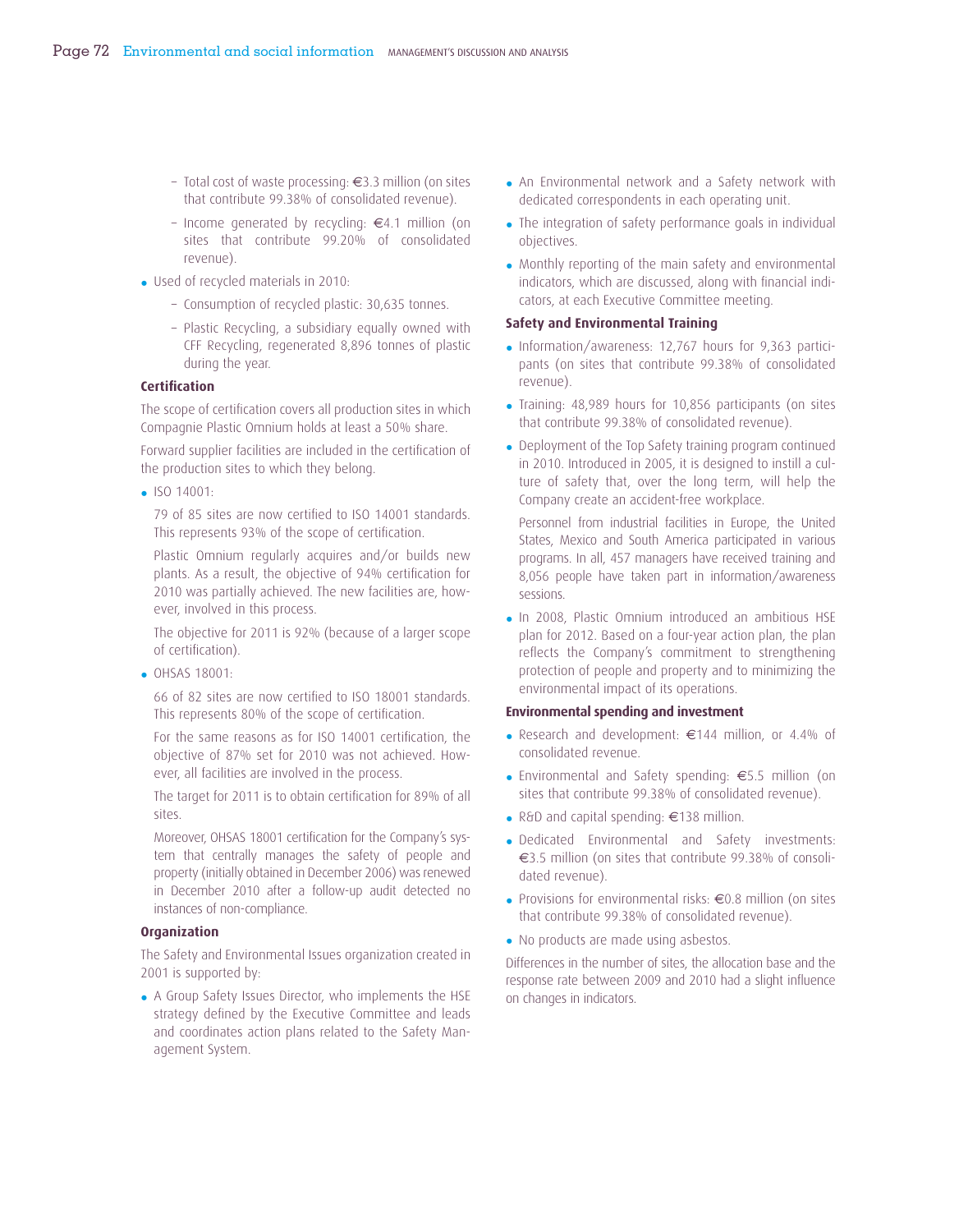- Total cost of waste processing: €3.3 million (on sites that contribute 99.38% of consolidated revenue).
- Income generated by recycling: €4.1 million (on sites that contribute 99.20% of consolidated revenue).
- Used of recycled materials in 2010:
	- Consumption of recycled plastic: 30,635 tonnes.
	- Plastic Recycling, a subsidiary equally owned with CFF Recycling, regenerated 8,896 tonnes of plastic during the year.

#### **Certification**

The scope of certification covers all production sites in which Compagnie Plastic Omnium holds at least a 50% share.

Forward supplier facilities are included in the certification of the production sites to which they belong.

• ISO 14001:

79 of 85 sites are now certified to ISO 14001 standards. This represents 93% of the scope of certification.

Plastic Omnium regularly acquires and/or builds new plants. As a result, the objective of 94% certification for 2010 was partially achieved. The new facilities are, however, involved in this process.

The objective for 2011 is 92% (because of a larger scope of certification).

• OHSAS 18001:

66 of 82 sites are now certified to ISO 18001 standards. This represents 80% of the scope of certification.

For the same reasons as for ISO 14001 certification, the objective of 87% set for 2010 was not achieved. However, all facilities are involved in the process.

The target for 2011 is to obtain certification for 89% of all sites.

Moreover, OHSAS 18001 certification for the Company's system that centrally manages the safety of people and property (initially obtained in December 2006) was renewed in December 2010 after a follow-up audit detected no instances of non-compliance.

#### **Organization**

The Safety and Environmental Issues organization created in 2001 is supported by:

• A Group Safety Issues Director, who implements the HSE strategy defined by the Executive Committee and leads and coordinates action plans related to the Safety Management System.

- An Environmental network and a Safety network with dedicated correspondents in each operating unit.
- The integration of safety performance goals in individual objectives.
- Monthly reporting of the main safety and environmental indicators, which are discussed, along with financial indicators, at each Executive Committee meeting.

#### **Safety and Environmental Training**

- Information/awareness: 12,767 hours for 9,363 participants (on sites that contribute 99.38% of consolidated revenue).
- Training: 48,989 hours for 10,856 participants (on sites that contribute 99.38% of consolidated revenue).
- Deployment of the Top Safety training program continued in 2010. Introduced in 2005, it is designed to instill a culture of safety that, over the long term, will help the Company create an accident-free workplace.

Personnel from industrial facilities in Europe, the United States, Mexico and South America participated in various programs. In all, 457 managers have received training and 8,056 people have taken part in information/awareness sessions.

• In 2008, Plastic Omnium introduced an ambitious HSE plan for 2012. Based on a four-year action plan, the plan reflects the Company's commitment to strengthening protection of people and property and to minimizing the environmental impact of its operations.

#### **Environmental spending and investment**

- Research and development: €144 million, or 4.4% of consolidated revenue.
- Environmental and Safety spending: €5.5 million (on sites that contribute 99.38% of consolidated revenue).
- R&D and capital spending: €138 million.
- Dedicated Environmental and Safety investments: €3.5 million (on sites that contribute 99.38% of consolidated revenue).
- Provisions for environmental risks: €0.8 million (on sites that contribute 99.38% of consolidated revenue).
- No products are made using asbestos.

Differences in the number of sites, the allocation base and the response rate between 2009 and 2010 had a slight influence on changes in indicators.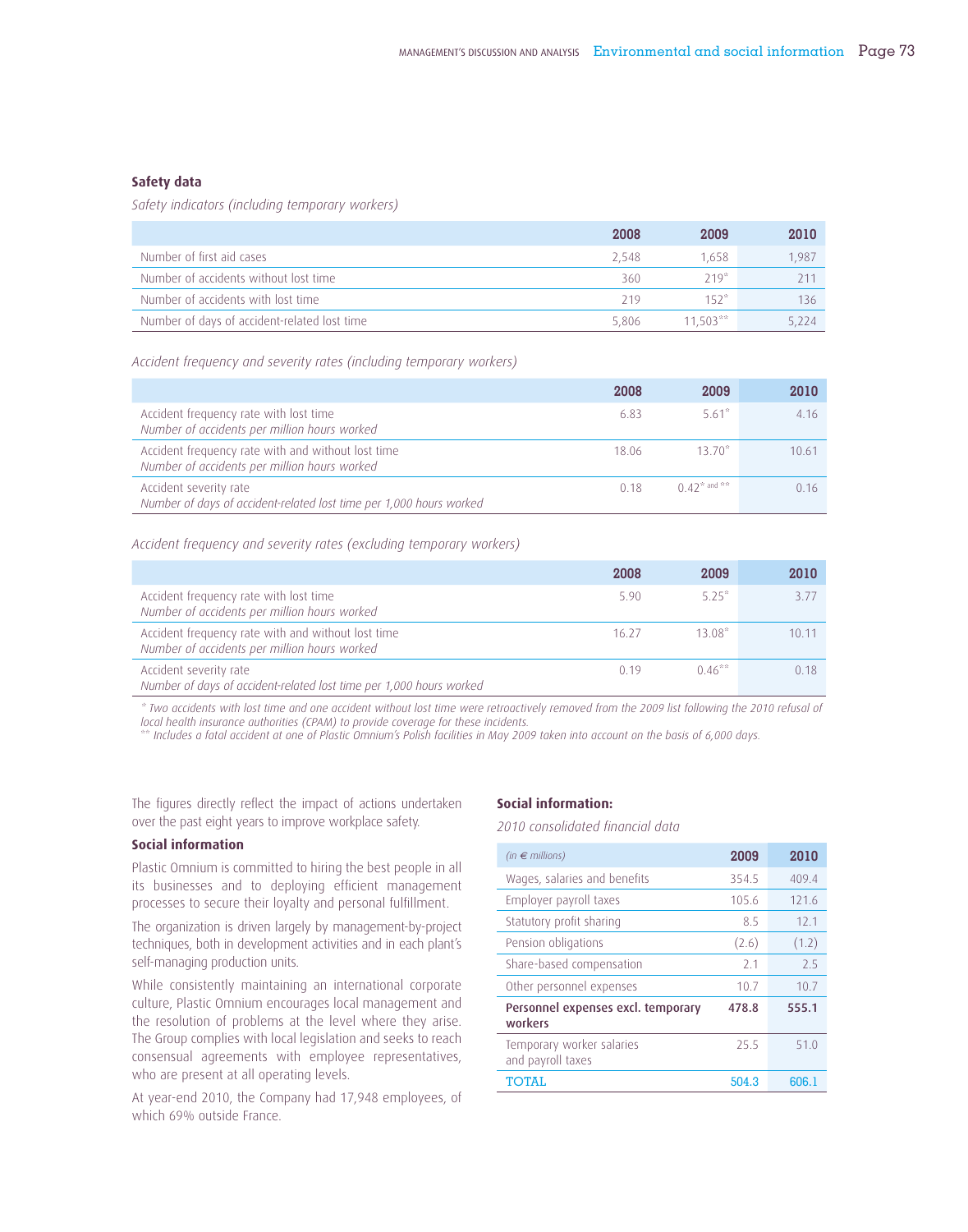#### **Safety data**

*Safety indicators (including temporary workers)*

|                                              | 2008  | 2009       | 2010  |
|----------------------------------------------|-------|------------|-------|
| Number of first aid cases                    | 2.548 | 1.658      | 1.987 |
| Number of accidents without lost time        | 360   | $719*$     |       |
| Number of accidents with lost time           | 219   | $152*$     | 136.  |
| Number of days of accident-related lost time | 5.806 | $11.503**$ | 5.224 |

*Accident frequency and severity rates (including temporary workers)*

|                                                                                                    | 2008  | 2009              | 2010  |
|----------------------------------------------------------------------------------------------------|-------|-------------------|-------|
| Accident frequency rate with lost time<br>Number of accidents per million hours worked             | 6.83  | 5.61*             | 4 1 6 |
| Accident frequency rate with and without lost time<br>Number of accidents per million hours worked | 18.06 | $13.70*$          | 10.61 |
| Accident severity rate<br>Number of days of accident-related lost time per 1,000 hours worked      | 0.18  | $0.42^*$ and $**$ | 0.16  |

*Accident frequency and severity rates (excluding temporary workers)*

|                                                                                                    | 2008  | 2009      | 2010 |
|----------------------------------------------------------------------------------------------------|-------|-----------|------|
| Accident frequency rate with lost time<br>Number of accidents per million hours worked             | 5.90  | $5.25*$   | 3.77 |
| Accident frequency rate with and without lost time<br>Number of accidents per million hours worked | 16.27 | $13.08*$  | 1011 |
| Accident severity rate<br>Number of days of accident-related lost time per 1,000 hours worked      | 0.19  | $0.46***$ | 0.18 |

*\* Two accidents with lost time and one accident without lost time were retroactively removed from the 2009 list following the 2010 refusal of local health insurance authorities (CPAM) to provide coverage for these incidents.*

\*\* *Includes a fatal accident at one of Plastic Omnium's Polish facilities in May 2009 taken into account on the basis of 6,000 days.*

The figures directly reflect the impact of actions undertaken over the past eight years to improve workplace safety.

#### **Social information**

Plastic Omnium is committed to hiring the best people in all its businesses and to deploying efficient management processes to secure their loyalty and personal fulfillment.

The organization is driven largely by management-by-project techniques, both in development activities and in each plant's self-managing production units.

While consistently maintaining an international corporate culture, Plastic Omnium encourages local management and the resolution of problems at the level where they arise. The Group complies with local legislation and seeks to reach consensual agreements with employee representatives, who are present at all operating levels.

At year-end 2010, the Company had 17,948 employees, of which 69% outside France.

## **Social information:**

*2010 consolidated financial data*

| (in $\epsilon$ millions)                       | 2009  | 2010  |
|------------------------------------------------|-------|-------|
| Wages, salaries and benefits                   | 354.5 | 409.4 |
| Employer payroll taxes                         | 105.6 | 121.6 |
| Statutory profit sharing                       | 8.5   | 12.1  |
| Pension obligations                            | (2.6) | (1.2) |
| Share-based compensation                       | 21    | 25    |
| Other personnel expenses                       | 107   | 10.7  |
| Personnel expenses excl. temporary<br>workers  | 478.8 | 555.1 |
| Temporary worker salaries<br>and payroll taxes | 25.5  | 510   |
| TOTAI.                                         | 504.3 | 606.1 |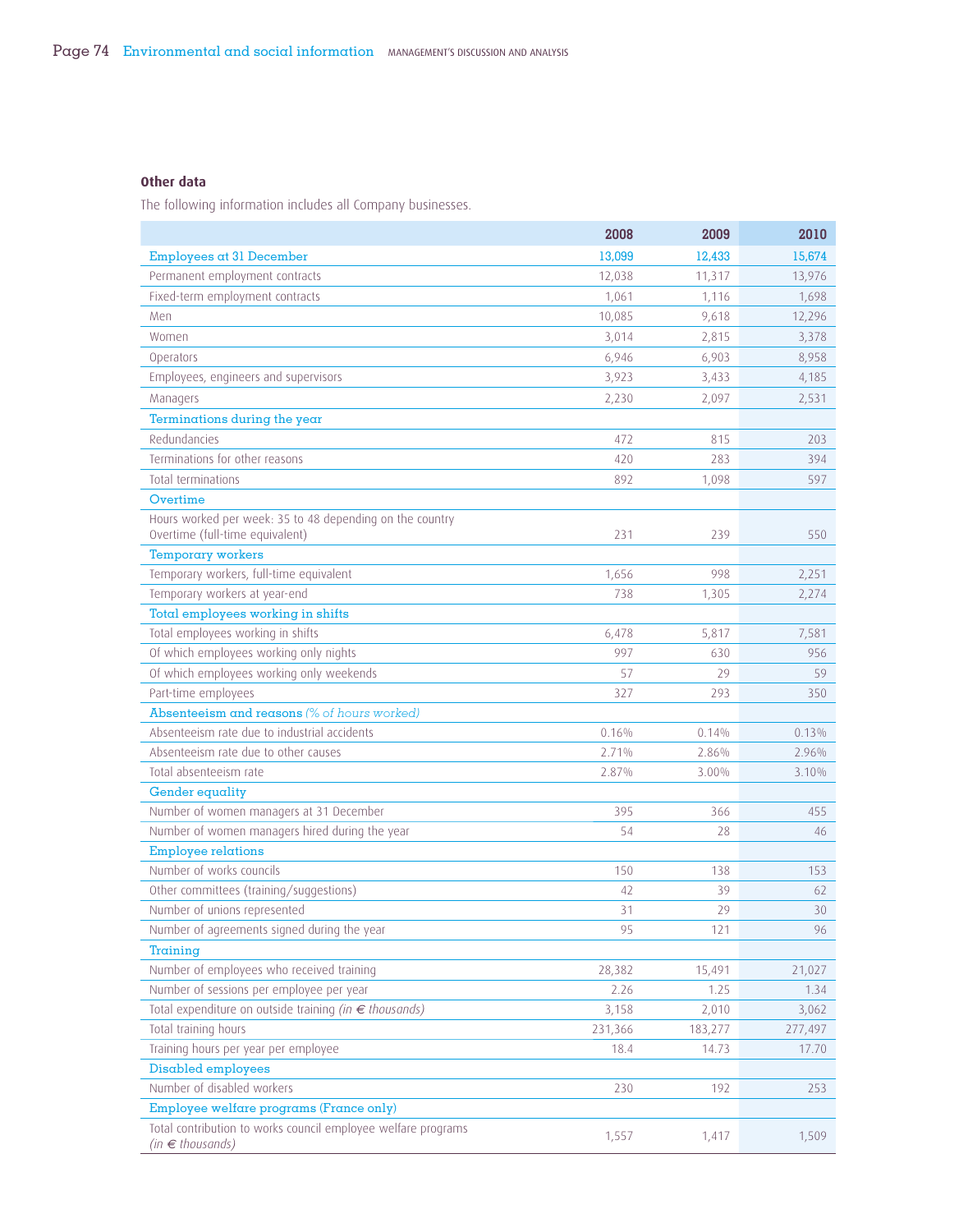## **Other data**

The following information includes all Company businesses.

|                                                                                                             | 2008    | 2009    | 2010    |
|-------------------------------------------------------------------------------------------------------------|---------|---------|---------|
| Employees at 31 December                                                                                    | 13,099  | 12,433  | 15,674  |
| Permanent employment contracts                                                                              | 12,038  | 11,317  | 13,976  |
| Fixed-term employment contracts                                                                             | 1,061   | 1,116   | 1,698   |
| Men                                                                                                         | 10,085  | 9,618   | 12,296  |
| Women                                                                                                       | 3,014   | 2,815   | 3,378   |
| Operators                                                                                                   | 6,946   | 6,903   | 8,958   |
| Employees, engineers and supervisors                                                                        | 3,923   | 3,433   | 4,185   |
| Managers                                                                                                    | 2,230   | 2,097   | 2,531   |
| Terminations during the year                                                                                |         |         |         |
| Redundancies                                                                                                | 472     | 815     | 203     |
| Terminations for other reasons                                                                              | 420     | 283     | 394     |
| Total terminations                                                                                          | 892     | 1,098   | 597     |
| Overtime                                                                                                    |         |         |         |
| Hours worked per week: 35 to 48 depending on the country<br>Overtime (full-time equivalent)                 | 231     | 239     | 550     |
| <b>Temporary workers</b>                                                                                    |         |         |         |
| Temporary workers, full-time equivalent                                                                     | 1,656   | 998     | 2,251   |
| Temporary workers at year-end                                                                               | 738     | 1,305   | 2,274   |
| Total employees working in shifts                                                                           |         |         |         |
| Total employees working in shifts                                                                           | 6,478   | 5,817   | 7,581   |
| Of which employees working only nights                                                                      | 997     | 630     | 956     |
| Of which employees working only weekends                                                                    | 57      | 29      | 59      |
| Part-time employees                                                                                         | 327     | 293     | 350     |
| Absenteeism and reasons (% of hours worked)                                                                 |         |         |         |
| Absenteeism rate due to industrial accidents                                                                | 0.16%   | 0.14%   | 0.13%   |
| Absenteeism rate due to other causes                                                                        | 2.71%   | 2.86%   | 2.96%   |
| Total absenteeism rate                                                                                      | 2.87%   | 3.00%   | 3.10%   |
| <b>Gender equality</b>                                                                                      |         |         |         |
| Number of women managers at 31 December                                                                     | 395     | 366     | 455     |
| Number of women managers hired during the year                                                              | 54      | 28      | 46      |
| <b>Employee relations</b>                                                                                   |         |         |         |
| Number of works councils                                                                                    | 150     | 138     | 153     |
| Other committees (training/suggestions)                                                                     | 42      | 39      | 62      |
| Number of unions represented                                                                                | 31      | 29      | 30      |
| Number of agreements signed during the year                                                                 | 95      | 121     | 96      |
| Training                                                                                                    |         |         |         |
| Number of employees who received training                                                                   | 28,382  | 15,491  | 21,027  |
| Number of sessions per employee per year<br>Total expenditure on outside training (in $\epsilon$ thousands) | 2.26    | 1.25    | 1.34    |
| Total training hours                                                                                        | 3,158   | 2,010   | 3,062   |
|                                                                                                             | 231,366 | 183,277 | 277,497 |
| Training hours per year per employee<br>Disabled employees                                                  | 18.4    | 14.73   | 17.70   |
| Number of disabled workers                                                                                  | 230     | 192     | 253     |
| Employee welfare programs (France only)                                                                     |         |         |         |
| Total contribution to works council employee welfare programs                                               |         |         |         |
| $(in \in thousands)$                                                                                        | 1,557   | 1,417   | 1,509   |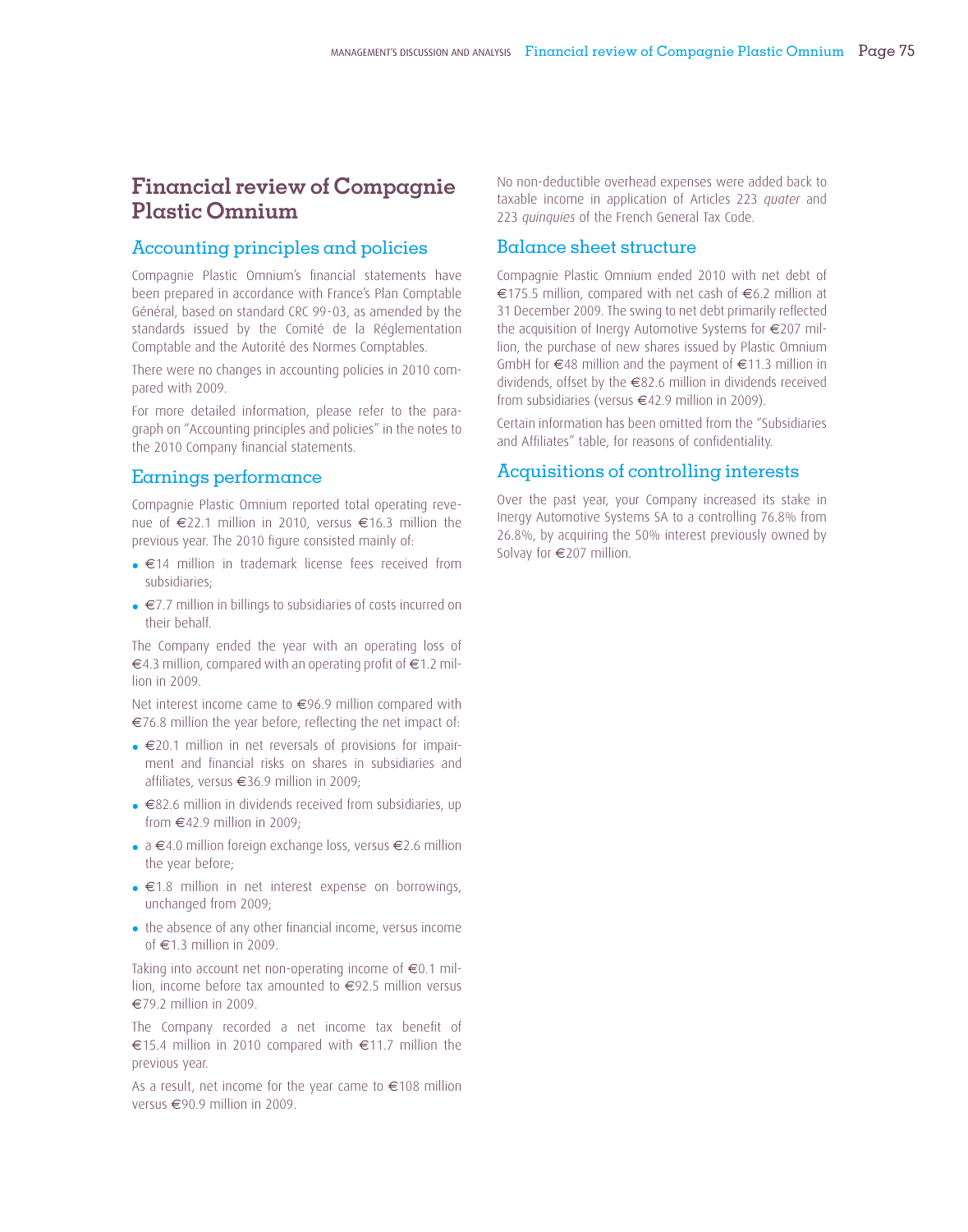## **Financial review of Compagnie Plastic Omnium**

## Accounting principles and policies

Compagnie Plastic Omnium's financial statements have been prepared in accordance with France's Plan Comptable Général, based on standard CRC 99-03, as amended by the standards issued by the Comité de la Réglementation Comptable and the Autorité des Normes Comptables.

There were no changes in accounting policies in 2010 compared with 2009.

For more detailed information, please refer to the paragraph on "Accounting principles and policies" in the notes to the 2010 Company financial statements.

## Earnings performance

Compagnie Plastic Omnium reported total operating revenue of €22.1 million in 2010, versus €16.3 million the previous year. The 2010 figure consisted mainly of:

- €14 million in trademark license fees received from subsidiaries;
- €7.7 million in billings to subsidiaries of costs incurred on their behalf.

The Company ended the year with an operating loss of €4.3 million, compared with an operating profit of €1.2 million in 2009.

Net interest income came to €96.9 million compared with  $\epsilon$ 76.8 million the year before, reflecting the net impact of:

- €20.1 million in net reversals of provisions for impairment and financial risks on shares in subsidiaries and affiliates, versus €36.9 million in 2009;
- €82.6 million in dividends received from subsidiaries, up from  $\in$ 42.9 million in 2009;
- a €4.0 million foreign exchange loss, versus €2.6 million the year before;
- €1.8 million in net interest expense on borrowings, unchanged from 2009;
- the absence of any other financial income, versus income of €1.3 million in 2009.

Taking into account net non-operating income of  $\epsilon$ 0.1 million, income before tax amounted to €92.5 million versus €79.2 million in 2009.

The Company recorded a net income tax benefit of €15.4 million in 2010 compared with €11.7 million the previous year.

As a result, net income for the year came to €108 million versus €90.9 million in 2009.

No non-deductible overhead expenses were added back to taxable income in application of Articles 223 *quater* and 223 *quinquies* of the French General Tax Code.

## Balance sheet structure

Compagnie Plastic Omnium ended 2010 with net debt of €175.5 million, compared with net cash of €6.2 million at 31 December 2009. The swing to net debt primarily reflected the acquisition of Inergy Automotive Systems for €207 million, the purchase of new shares issued by Plastic Omnium GmbH for €48 million and the payment of €11.3 million in dividends, offset by the €82.6 million in dividends received from subsidiaries (versus €42.9 million in 2009).

Certain information has been omitted from the "Subsidiaries and Affiliates" table, for reasons of confidentiality.

## Acquisitions of controlling interests

Over the past year, your Company increased its stake in Inergy Automotive Systems SA to a controlling 76.8% from 26.8%, by acquiring the 50% interest previously owned by Solvay for €207 million.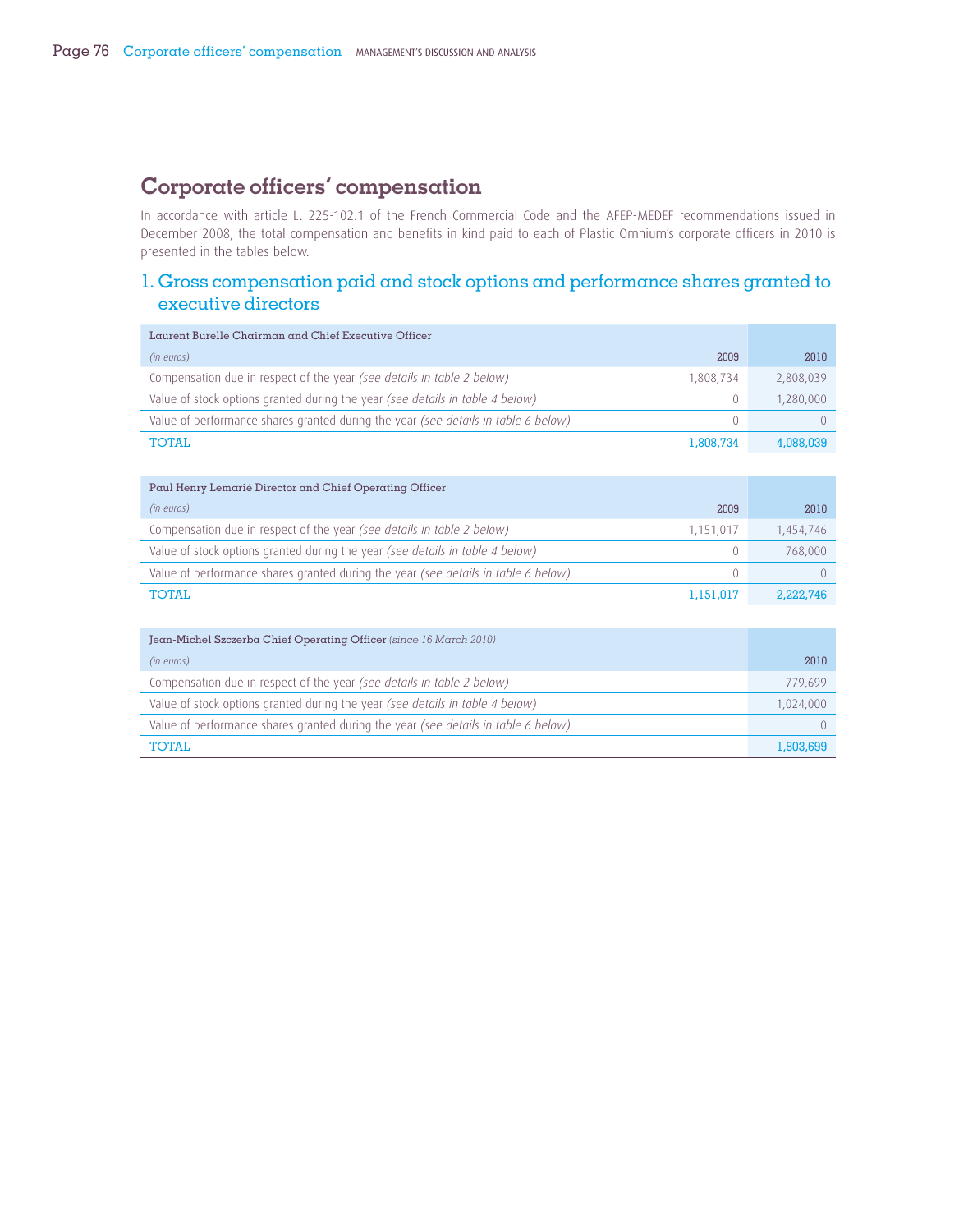## **Corporate officers' compensation**

In accordance with article L. 225-102.1 of the French Commercial Code and the AFEP-MEDEF recommendations issued in December 2008, the total compensation and benefits in kind paid to each of Plastic Omnium's corporate officers in 2010 is presented in the tables below.

## 1. Gross compensation paid and stock options and performance shares granted to executive directors

| Laurent Burelle Chairman and Chief Executive Officer                                     |           |
|------------------------------------------------------------------------------------------|-----------|
| 2009<br>(in euros)                                                                       | 2010      |
| Compensation due in respect of the year (see details in table 2 below)<br>1,808,734      | 2,808,039 |
| Value of stock options granted during the year (see details in table 4 below)<br>$^{()}$ | 1,280,000 |
| Value of performance shares granted during the year (see details in table 6 below)<br>0. |           |
| TOTAI.<br>1.808.734                                                                      | 4.088.039 |

| Paul Henry Lemarié Director and Chief Operating Officer                             |      |           |
|-------------------------------------------------------------------------------------|------|-----------|
| (in euros)                                                                          | 2009 | 2010      |
| Compensation due in respect of the year (see details in table 2 below)<br>1,151,017 |      | 1,454,746 |
| Value of stock options granted during the year (see details in table 4 below)       | 0    | 768,000   |
| Value of performance shares granted during the year (see details in table 6 below)  | 0    |           |
| <b>TOTAL</b><br>1.151.017                                                           |      | 2.222.746 |

| Jean-Michel Szczerba Chief Operating Officer (since 16 March 2010)                 |           |
|------------------------------------------------------------------------------------|-----------|
| (in euros)                                                                         | 2010      |
| Compensation due in respect of the year (see details in table 2 below)             | 779,699   |
| Value of stock options granted during the year (see details in table 4 below)      | 1,024,000 |
| Value of performance shares granted during the year (see details in table 6 below) |           |
| TOTAI.                                                                             | 1.803.699 |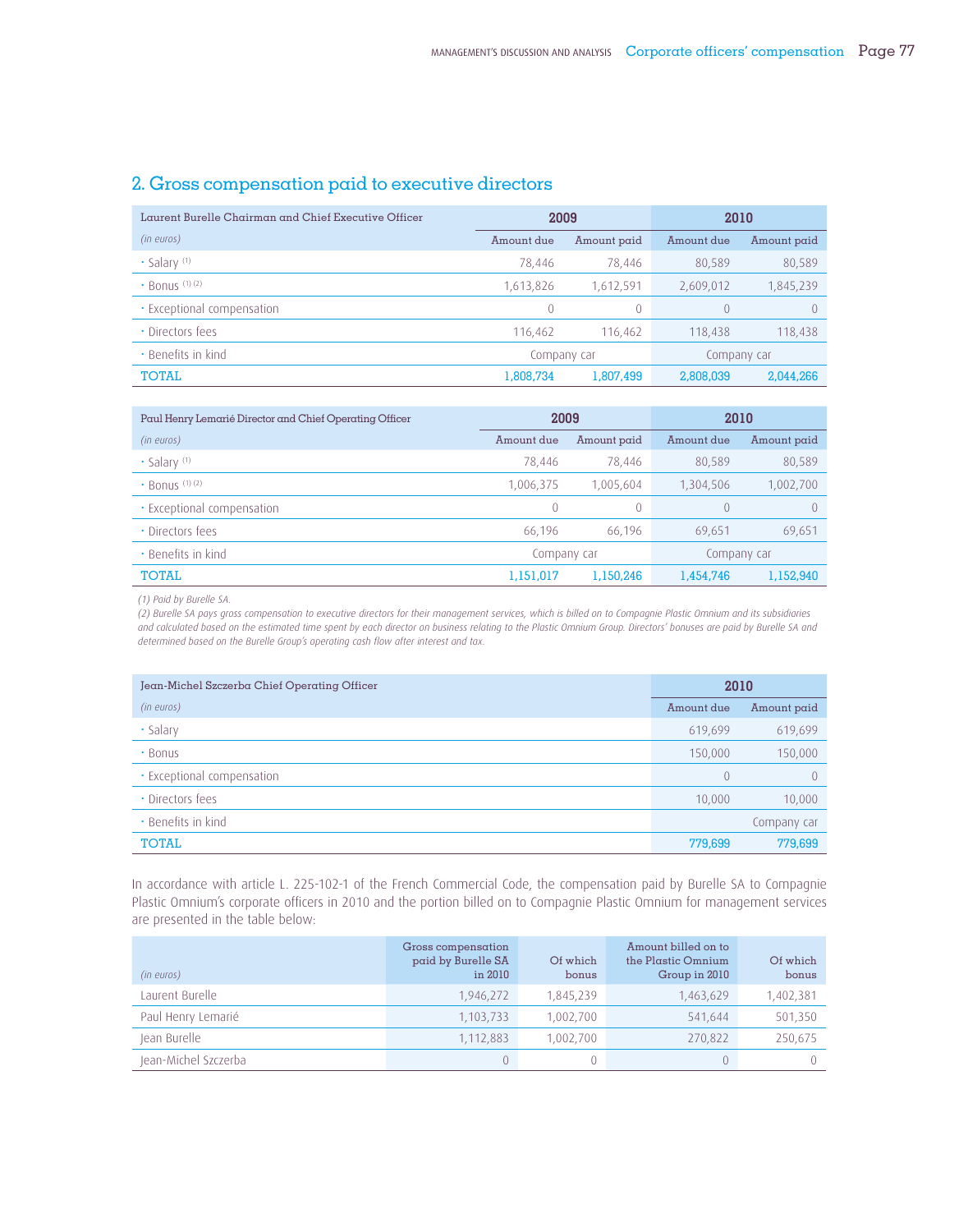## 2. Gross compensation paid to executive directors

| Laurent Burelle Chairman and Chief Executive Officer | 2009        |             | 2010        |             |
|------------------------------------------------------|-------------|-------------|-------------|-------------|
| (in euros)                                           | Amount due  | Amount paid | Amount due  | Amount paid |
| $\cdot$ Salary $(1)$                                 | 78,446      | 78,446      | 80,589      | 80,589      |
| $\cdot$ Bonus (1)(2)                                 | 1,613,826   | 1,612,591   | 2,609,012   | 1,845,239   |
| • Exceptional compensation                           | 0           | $\mathbf 0$ | 0           | $\Omega$    |
| · Directors fees                                     | 116,462     | 116.462     | 118,438     | 118,438     |
| · Benefits in kind                                   | Company car |             | Company car |             |
| <b>TOTAL</b>                                         | 1,808,734   | 1,807,499   | 2,808,039   | 2.044.266   |

| Paul Henry Lemarié Director and Chief Operating Officer | 2009        |             | 2010        |             |
|---------------------------------------------------------|-------------|-------------|-------------|-------------|
| (in euros)                                              | Amount due  | Amount paid | Amount due  | Amount paid |
| $\cdot$ Salary $(1)$                                    | 78,446      | 78.446      | 80.589      | 80,589      |
| $\cdot$ Bonus (1)(2)                                    | 1,006,375   | 1,005,604   | 1,304,506   | 1,002,700   |
| • Exceptional compensation                              | $\theta$    | $\mathbf 0$ | 0           | 0           |
| • Directors fees                                        | 66,196      | 66,196      | 69,651      | 69,651      |
| • Benefits in kind                                      | Company car |             | Company car |             |
| <b>TOTAL</b>                                            | 1,151,017   | 1.150.246   | 1,454,746   | 1,152,940   |

*(1) Paid by Burelle SA.*

*(2) Burelle SA pays gross compensation to executive directors for their management services, which is billed on to Compagnie Plastic Omnium and its subsidiaries and calculated based on the estimated time spent by each director on business relating to the Plastic Omnium Group. Directors' bonuses are paid by Burelle SA and determined based on the Burelle Group's operating cash flow after interest and tax.*

| Jean-Michel Szczerba Chief Operating Officer | 2010           |             |
|----------------------------------------------|----------------|-------------|
| (in euros)                                   | Amount due     | Amount paid |
| • Salary                                     | 619,699        | 619,699     |
| $\cdot$ Bonus                                | 150,000        | 150,000     |
| • Exceptional compensation                   | $\overline{0}$ | $\Omega$    |
| · Directors fees                             | 10,000         | 10,000      |
| • Benefits in kind                           |                | Company car |
| <b>TOTAL</b>                                 | 779,699        | 779,699     |

In accordance with article L. 225-102-1 of the French Commercial Code, the compensation paid by Burelle SA to Compagnie Plastic Omnium's corporate officers in 2010 and the portion billed on to Compagnie Plastic Omnium for management services are presented in the table below:

| (in euros)           | Gross compensation<br>paid by Burelle SA<br>in 2010 | Of which<br>bonus | Amount billed on to<br>the Plastic Omnium<br>Group in 2010 | Of which<br>bonus |
|----------------------|-----------------------------------------------------|-------------------|------------------------------------------------------------|-------------------|
| Laurent Burelle      | 1,946,272                                           | 1.845.239         | 1,463,629                                                  | 1,402,381         |
| Paul Henry Lemarié   | 1,103,733                                           | 1,002,700         | 541.644                                                    | 501,350           |
| Jean Burelle         | 1,112,883                                           | 1,002,700         | 270.822                                                    | 250.675           |
| Jean-Michel Szczerba |                                                     |                   | ()                                                         |                   |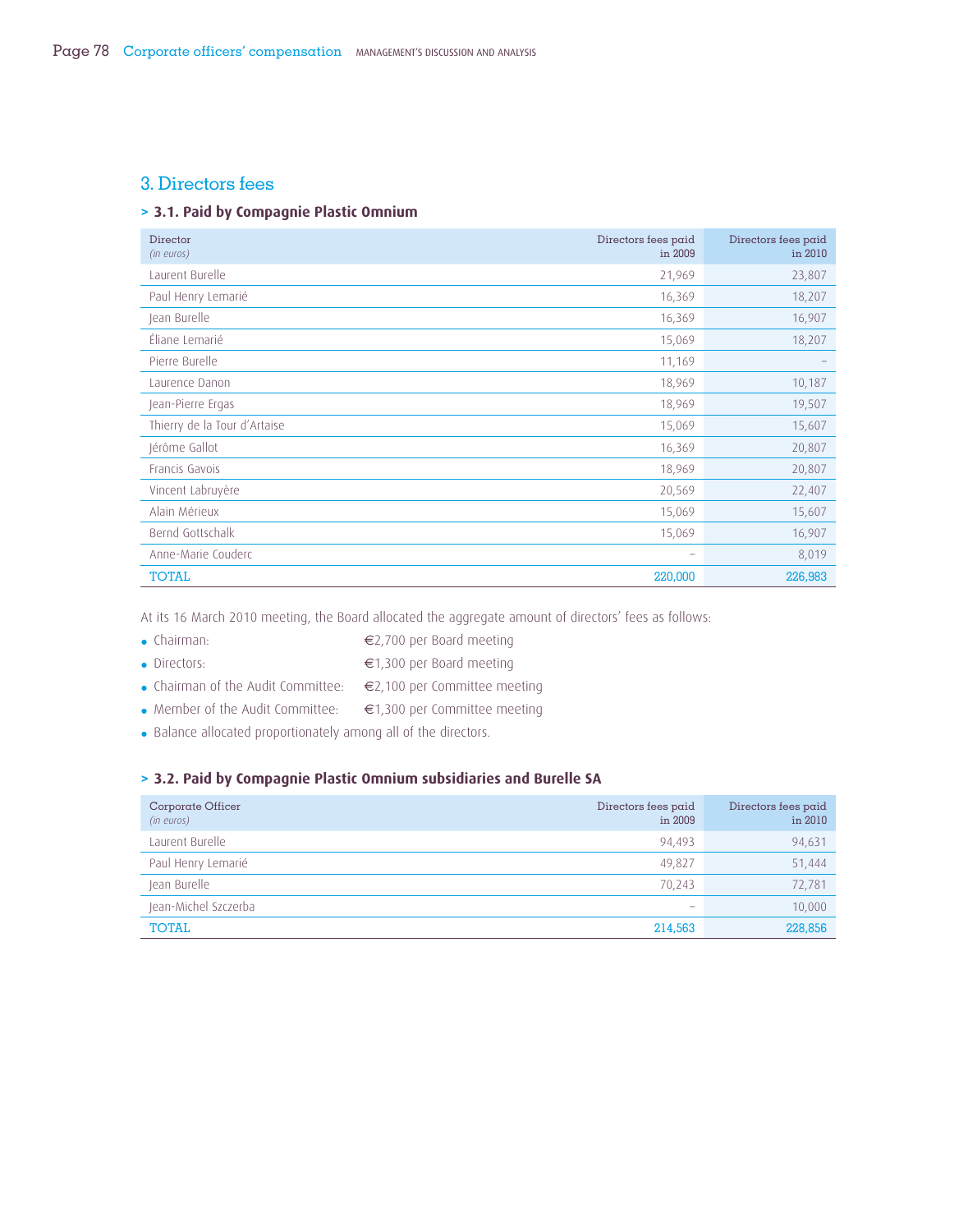## 3. Directors fees

## **> 3.1. Paid by Compagnie Plastic Omnium**

| Director<br>(in euros)       | Directors fees paid<br>in 2009 | Directors fees paid<br>in 2010 |
|------------------------------|--------------------------------|--------------------------------|
| Laurent Burelle              | 21,969                         | 23,807                         |
| Paul Henry Lemarié           | 16,369                         | 18,207                         |
| Jean Burelle                 | 16,369                         | 16,907                         |
| Éliane Lemarié               | 15,069                         | 18,207                         |
| Pierre Burelle               | 11,169                         |                                |
| Laurence Danon               | 18,969                         | 10,187                         |
| Jean-Pierre Ergas            | 18,969                         | 19,507                         |
| Thierry de la Tour d'Artaise | 15,069                         | 15,607                         |
| Jérôme Gallot                | 16,369                         | 20,807                         |
| Francis Gavois               | 18,969                         | 20,807                         |
| Vincent Labruyère            | 20,569                         | 22,407                         |
| Alain Mérieux                | 15,069                         | 15,607                         |
| Bernd Gottschalk             | 15,069                         | 16,907                         |
| Anne-Marie Couderc           | $\overline{\phantom{0}}$       | 8,019                          |
| <b>TOTAL</b>                 | 220,000                        | 226,983                        |

At its 16 March 2010 meeting, the Board allocated the aggregate amount of directors' fees as follows:

- Chairman: €2,700 per Board meeting
- Directors: €1,300 per Board meeting
- Chairman of the Audit Committee: €2,100 per Committee meeting
- Member of the Audit Committee: €1,300 per Committee meeting
- Balance allocated proportionately among all of the directors.

## **> 3.2. Paid by Compagnie Plastic Omnium subsidiaries and Burelle SA**

| Corporate Officer<br>(in euros) | Directors fees paid<br>in 2009 | Directors fees paid<br>in 2010 |
|---------------------------------|--------------------------------|--------------------------------|
| Laurent Burelle                 | 94,493                         | 94,631                         |
| Paul Henry Lemarié              | 49,827                         | 51,444                         |
| Jean Burelle                    | 70,243                         | 72,781                         |
| Jean-Michel Szczerba            | $\overline{\phantom{a}}$       | 10,000                         |
| <b>TOTAL</b>                    | 214,563                        | 228,856                        |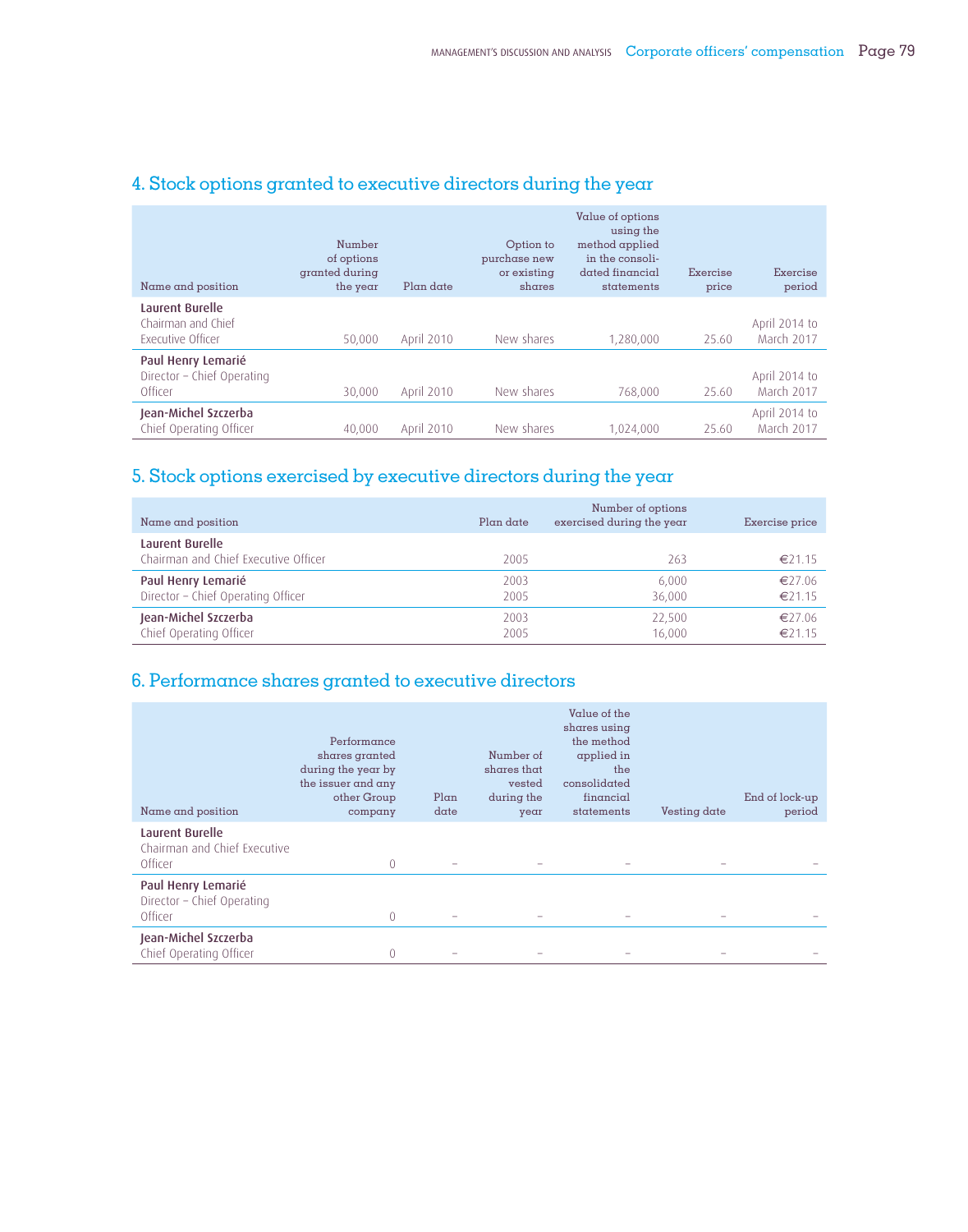| Name and position                                                 | Number<br>of options<br>granted during<br>the year | Plan date         | Option to<br>purchase new<br>or existing<br>shares | Value of options<br>using the<br>method applied<br>in the consoli-<br>dated financial<br>statements | Exercise<br>price | Exercise<br>period          |
|-------------------------------------------------------------------|----------------------------------------------------|-------------------|----------------------------------------------------|-----------------------------------------------------------------------------------------------------|-------------------|-----------------------------|
| Laurent Burelle<br>Chairman and Chief<br><b>Executive Officer</b> | 50.000                                             | April 2010        | New shares                                         | 1,280,000                                                                                           | 25.60             | April 2014 to<br>March 2017 |
| Paul Henry Lemarié<br>Director - Chief Operating<br>Officer       | 30.000                                             | <b>April 2010</b> | New shares                                         | 768,000                                                                                             | 25.60             | April 2014 to<br>March 2017 |
| Jean-Michel Szczerba<br>Chief Operating Officer                   | 40.000                                             | April 2010        | New shares                                         | 1,024,000                                                                                           | 25.60             | April 2014 to<br>March 2017 |

## 4. Stock options granted to executive directors during the year

## 5. Stock options exercised by executive directors during the year

| Name and position                                       | Plan date | Number of options<br>exercised during the year | Exercise price |
|---------------------------------------------------------|-----------|------------------------------------------------|----------------|
| Laurent Burelle<br>Chairman and Chief Executive Officer | 2005      | 263                                            | €21.15         |
| Paul Henry Lemarié                                      | 2003      | 6.000                                          | €27.06         |
| Director - Chief Operating Officer                      | 2005      | 36.000                                         | €21.15         |
| Jean-Michel Szczerba                                    | 2003      | 22,500                                         | €27.06         |
| Chief Operating Officer                                 | 2005      | 16.000                                         | €21.15         |

## 6. Performance shares granted to executive directors

| Name and position                                           | Performance<br>shares granted<br>during the year by<br>the issuer and any<br>other Group<br>company | Plan<br>date | Number of<br>shares that<br>vested<br>during the<br>year | Value of the<br>shares using<br>the method<br>applied in<br>the<br>consolidated<br>financial<br>statements | Vesting date | End of lock-up<br>period |
|-------------------------------------------------------------|-----------------------------------------------------------------------------------------------------|--------------|----------------------------------------------------------|------------------------------------------------------------------------------------------------------------|--------------|--------------------------|
| Laurent Burelle<br>Chairman and Chief Executive<br>Officer  | 0                                                                                                   |              |                                                          |                                                                                                            |              |                          |
| Paul Henry Lemarié<br>Director - Chief Operating<br>Officer | 0                                                                                                   |              |                                                          | -                                                                                                          |              |                          |
| Jean-Michel Szczerba<br>Chief Operating Officer             | 0                                                                                                   |              |                                                          |                                                                                                            |              |                          |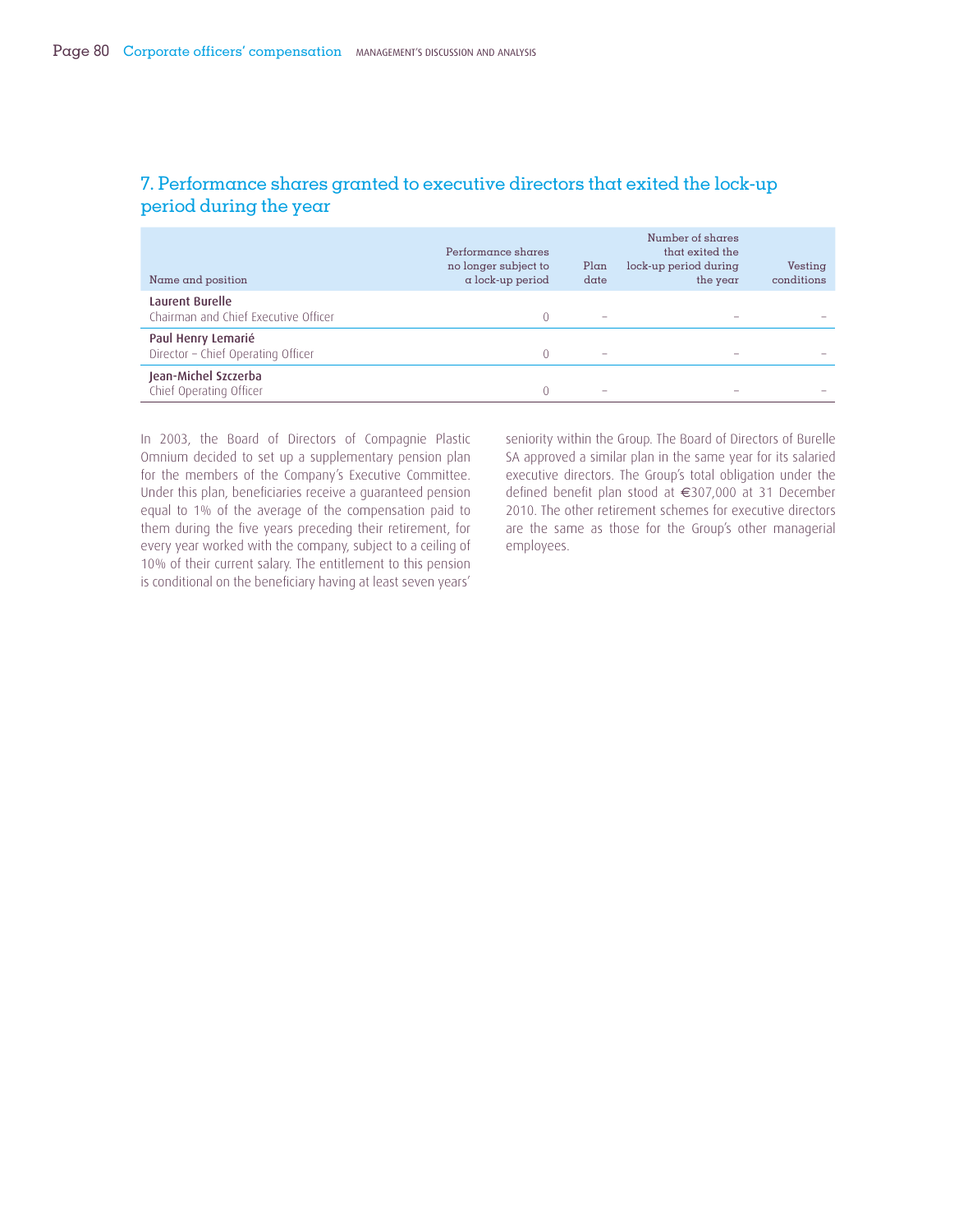| Name and position                                        | Performance shares<br>no longer subject to<br>$\alpha$ lock-up period | Plan<br>date             | Number of shares<br>that exited the<br>lock-up period during<br>the year | Vesting<br>conditions |
|----------------------------------------------------------|-----------------------------------------------------------------------|--------------------------|--------------------------------------------------------------------------|-----------------------|
| Laurent Burelle<br>Chairman and Chief Executive Officer  | $\Omega$                                                              |                          |                                                                          |                       |
| Paul Henry Lemarié<br>Director - Chief Operating Officer |                                                                       | $\overline{\phantom{a}}$ |                                                                          |                       |
| Jean-Michel Szczerba<br>Chief Operating Officer          |                                                                       |                          |                                                                          |                       |

## 7. Performance shares granted to executive directors that exited the lock-up period during the year

In 2003, the Board of Directors of Compagnie Plastic Omnium decided to set up a supplementary pension plan for the members of the Company's Executive Committee. Under this plan, beneficiaries receive a quaranteed pension equal to 1% of the average of the compensation paid to them during the five years preceding their retirement, for every year worked with the company, subject to a ceiling of 10% of their current salary. The entitlement to this pension is conditional on the beneficiary having at least seven years'

seniority within the Group. The Board of Directors of Burelle SA approved a similar plan in the same year for its salaried executive directors. The Group's total obligation under the defined benefit plan stood at €307,000 at 31 December 2010. The other retirement schemes for executive directors are the same as those for the Group's other managerial employees.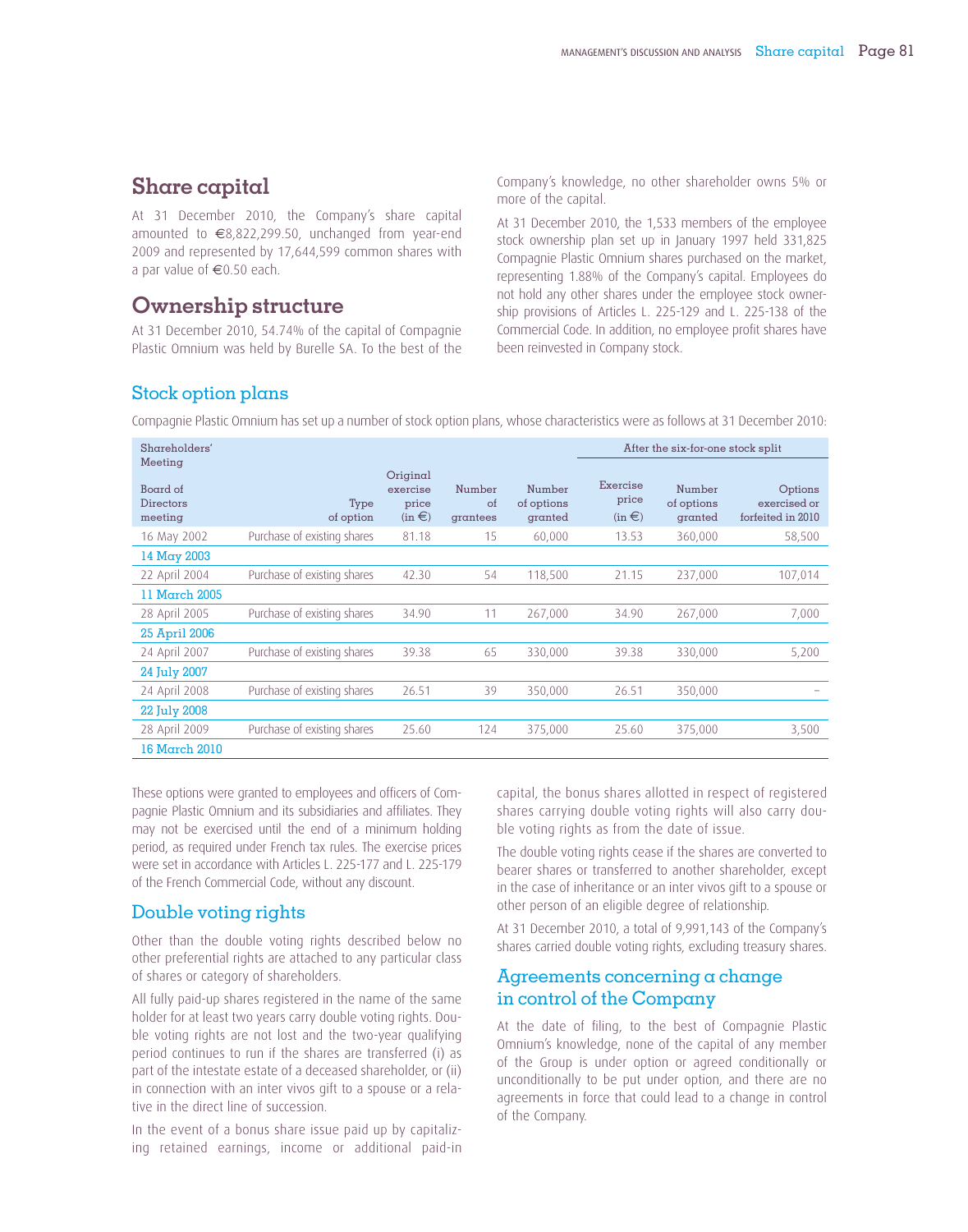## **Share capital**

At 31 December 2010, the Company's share capital amounted to €8,822,299.50, unchanged from year-end 2009 and represented by 17,644,599 common shares with a par value of €0.50 each.

## **Ownership structure**

At 31 December 2010, 54.74% of the capital of Compagnie Plastic Omnium was held by Burelle SA. To the best of the Company's knowledge, no other shareholder owns 5% or more of the capital.

At 31 December 2010, the 1,533 members of the employee stock ownership plan set up in January 1997 held 331,825 Compagnie Plastic Omnium shares purchased on the market, representing 1.88% of the Company's capital. Employees do not hold any other shares under the employee stock ownership provisions of Articles L. 225-129 and L. 225-138 of the Commercial Code. In addition, no employee profit shares have been reinvested in Company stock.

## Stock option plans

Compagnie Plastic Omnium has set up a number of stock option plans, whose characteristics were as follows at 31 December 2010:

| Shareholders'                               |                             |                                             |                          |                                 |                                 | After the six-for-one stock split |                                              |
|---------------------------------------------|-----------------------------|---------------------------------------------|--------------------------|---------------------------------|---------------------------------|-----------------------------------|----------------------------------------------|
| Meeting<br>Board of<br>Directors<br>meeting | Type<br>of option           | Original<br>exercise<br>price<br>$(in \in)$ | Number<br>of<br>grantees | Number<br>of options<br>granted | Exercise<br>price<br>$(in \in)$ | Number<br>of options<br>granted   | Options<br>exercised or<br>forfeited in 2010 |
| 16 May 2002                                 | Purchase of existing shares | 81.18                                       | 15                       | 60,000                          | 13.53                           | 360,000                           | 58,500                                       |
| $14$ May 2003                               |                             |                                             |                          |                                 |                                 |                                   |                                              |
| 22 April 2004                               | Purchase of existing shares | 42.30                                       | 54                       | 118,500                         | 21.15                           | 237,000                           | 107,014                                      |
| 11 March 2005                               |                             |                                             |                          |                                 |                                 |                                   |                                              |
| 28 April 2005                               | Purchase of existing shares | 34.90                                       | 11                       | 267,000                         | 34.90                           | 267,000                           | 7,000                                        |
| 25 April 2006                               |                             |                                             |                          |                                 |                                 |                                   |                                              |
| 24 April 2007                               | Purchase of existing shares | 39.38                                       | 65                       | 330,000                         | 39.38                           | 330,000                           | 5,200                                        |
| 24 July 2007                                |                             |                                             |                          |                                 |                                 |                                   |                                              |
| 24 April 2008                               | Purchase of existing shares | 26.51                                       | 39                       | 350,000                         | 26.51                           | 350,000                           |                                              |
| 22 July 2008                                |                             |                                             |                          |                                 |                                 |                                   |                                              |
| 28 April 2009                               | Purchase of existing shares | 25.60                                       | 124                      | 375,000                         | 25.60                           | 375,000                           | 3,500                                        |
| 16 March 2010                               |                             |                                             |                          |                                 |                                 |                                   |                                              |

These options were granted to employees and officers of Compagnie Plastic Omnium and its subsidiaries and affiliates. They may not be exercised until the end of a minimum holding period, as required under French tax rules. The exercise prices were set in accordance with Articles L. 225-177 and L. 225-179 of the French Commercial Code, without any discount.

## Double voting rights

Other than the double voting rights described below no other preferential rights are attached to any particular class of shares or category of shareholders.

All fully paid-up shares registered in the name of the same holder for at least two years carry double voting rights. Double voting rights are not lost and the two-year qualifying period continues to run if the shares are transferred (i) as part of the intestate estate of a deceased shareholder, or (ii) in connection with an inter vivos gift to a spouse or a relative in the direct line of succession.

In the event of a bonus share issue paid up by capitalizing retained earnings, income or additional paid-in capital, the bonus shares allotted in respect of registered shares carrying double voting rights will also carry double voting rights as from the date of issue.

The double voting rights cease if the shares are converted to bearer shares or transferred to another shareholder, except in the case of inheritance or an inter vivos gift to a spouse or other person of an eligible degree of relationship.

At 31 December 2010, a total of 9,991,143 of the Company's shares carried double voting rights, excluding treasury shares.

## Agreements concerning a change in control of the Company

At the date of filing, to the best of Compagnie Plastic Omnium's knowledge, none of the capital of any member of the Group is under option or agreed conditionally or unconditionally to be put under option, and there are no agreements in force that could lead to a change in control of the Company.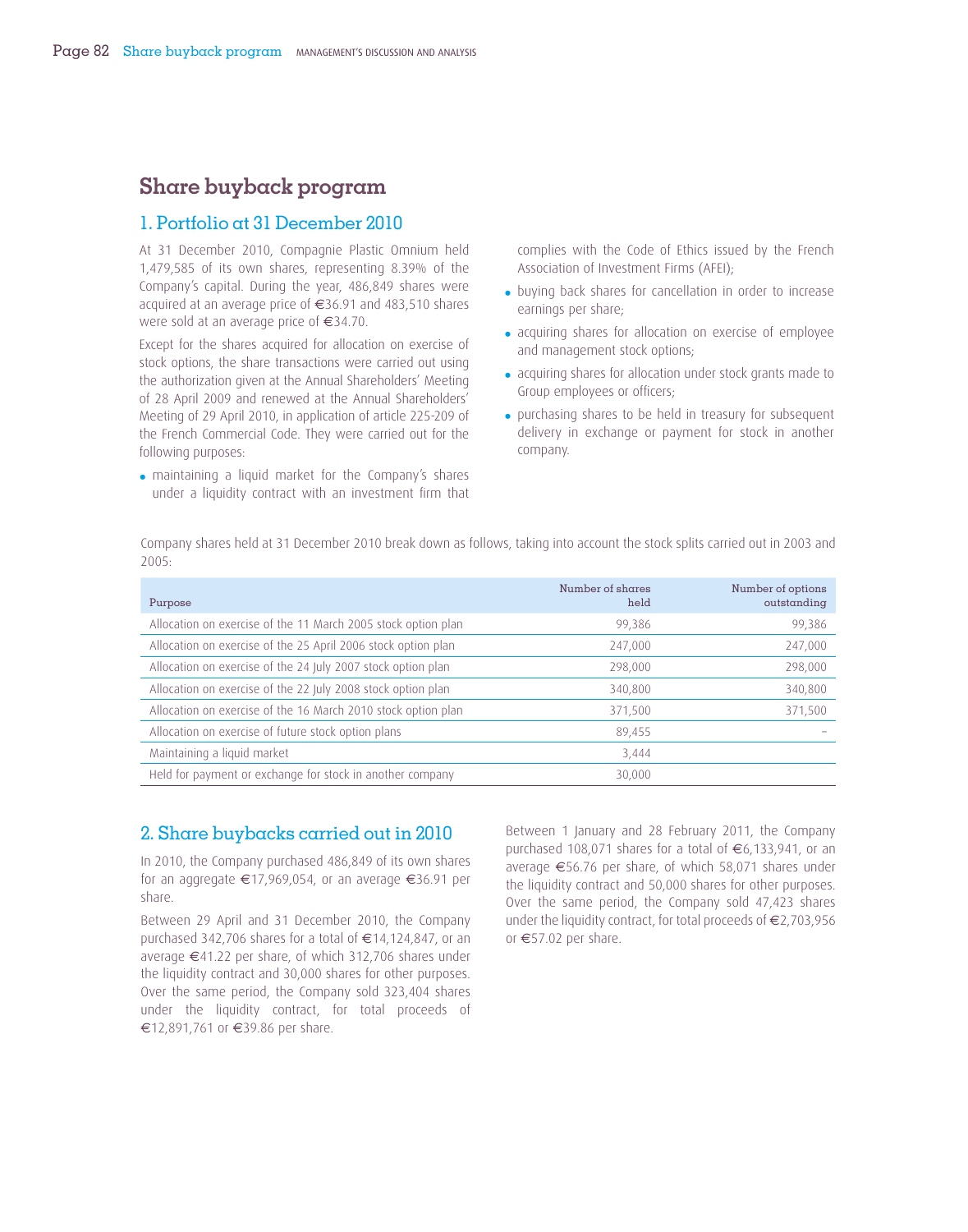## **Share buyback program**

## 1. Portfolio at 31 December 2010

At 31 December 2010, Compagnie Plastic Omnium held 1,479,585 of its own shares, representing 8.39% of the Company's capital. During the year, 486,849 shares were acquired at an average price of €36.91 and 483,510 shares were sold at an average price of €34.70.

Except for the shares acquired for allocation on exercise of stock options, the share transactions were carried out using the authorization given at the Annual Shareholders' Meeting of 28 April 2009 and renewed at the Annual Shareholders' Meeting of 29 April 2010, in application of article 225-209 of the French Commercial Code. They were carried out for the following purposes:

• maintaining a liquid market for the Company's shares under a liquidity contract with an investment firm that

complies with the Code of Ethics issued by the French Association of Investment Firms (AFEI);

- buying back shares for cancellation in order to increase earnings per share;
- acquiring shares for allocation on exercise of employee and management stock options;
- acquiring shares for allocation under stock grants made to Group employees or officers:
- purchasing shares to be held in treasury for subsequent delivery in exchange or payment for stock in another company.

Company shares held at 31 December 2010 break down as follows, taking into account the stock splits carried out in 2003 and 2005:

| Purpose                                                       | Number of shares<br>held | Number of options<br>outstanding |
|---------------------------------------------------------------|--------------------------|----------------------------------|
| Allocation on exercise of the 11 March 2005 stock option plan | 99,386                   | 99,386                           |
| Allocation on exercise of the 25 April 2006 stock option plan | 247,000                  | 247,000                          |
| Allocation on exercise of the 24 July 2007 stock option plan  | 298,000                  | 298,000                          |
| Allocation on exercise of the 22 July 2008 stock option plan  | 340,800                  | 340,800                          |
| Allocation on exercise of the 16 March 2010 stock option plan | 371,500                  | 371,500                          |
| Allocation on exercise of future stock option plans           | 89,455                   |                                  |
| Maintaining a liquid market                                   | 3,444                    |                                  |
| Held for payment or exchange for stock in another company     | 30,000                   |                                  |

## 2. Share buybacks carried out in 2010

In 2010, the Company purchased 486,849 of its own shares for an aggregate €17,969,054, or an average €36.91 per share.

Between 29 April and 31 December 2010, the Company purchased 342,706 shares for a total of €14,124,847, or an average €41.22 per share, of which 312,706 shares under the liquidity contract and 30,000 shares for other purposes. Over the same period, the Company sold 323,404 shares under the liquidity contract, for total proceeds of €12,891,761 or €39.86 per share.

Between 1 January and 28 February 2011, the Company purchased 108,071 shares for a total of €6,133,941, or an average €56.76 per share, of which 58,071 shares under the liquidity contract and 50,000 shares for other purposes. Over the same period, the Company sold 47,423 shares under the liquidity contract, for total proceeds of €2,703,956 or €57.02 per share.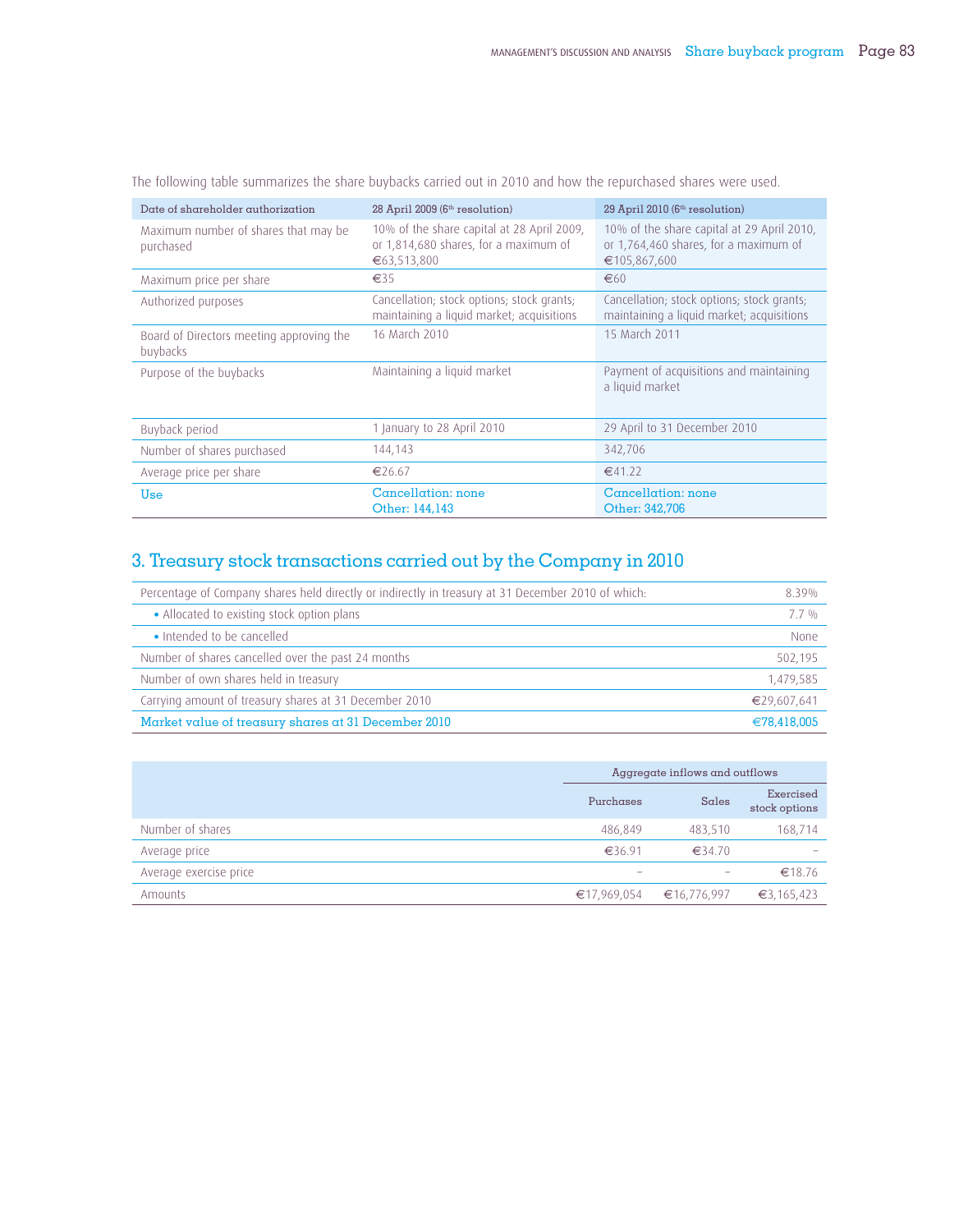| Date of shareholder authorization                    | 28 April 2009 (6 <sup>th</sup> resolution)                                                         | 29 April 2010 (6 <sup>th</sup> resolution)                                                          |
|------------------------------------------------------|----------------------------------------------------------------------------------------------------|-----------------------------------------------------------------------------------------------------|
| Maximum number of shares that may be<br>purchased    | 10% of the share capital at 28 April 2009,<br>or 1,814,680 shares, for a maximum of<br>€63,513,800 | 10% of the share capital at 29 April 2010,<br>or 1,764,460 shares, for a maximum of<br>€105,867,600 |
| Maximum price per share                              | $\epsilon$ 35                                                                                      | €60                                                                                                 |
| Authorized purposes                                  | Cancellation; stock options; stock grants;<br>maintaining a liquid market; acquisitions            | Cancellation; stock options; stock grants;<br>maintaining a liquid market; acquisitions             |
| Board of Directors meeting approving the<br>buybacks | 16 March 2010                                                                                      | 15 March 2011                                                                                       |
| Purpose of the buybacks                              | Maintaining a liquid market                                                                        | Payment of acquisitions and maintaining<br>a liquid market                                          |
| Buyback period                                       | 1 January to 28 April 2010                                                                         | 29 April to 31 December 2010                                                                        |
| Number of shares purchased                           | 144,143                                                                                            | 342,706                                                                                             |
| Average price per share                              | €26.67                                                                                             | $\epsilon$ 41.22                                                                                    |
| Use                                                  | Cancellation: none<br>Other: 144,143                                                               | Cancellation: none<br>Other: 342,706                                                                |

The following table summarizes the share buybacks carried out in 2010 and how the repurchased shares were used.

## 3. Treasury stock transactions carried out by the Company in 2010

| Percentage of Company shares held directly or indirectly in treasury at 31 December 2010 of which: | 8.39%       |
|----------------------------------------------------------------------------------------------------|-------------|
| • Allocated to existing stock option plans                                                         | $7.7\%$     |
| • Intended to be cancelled                                                                         | None        |
| Number of shares cancelled over the past 24 months                                                 | 502,195     |
| Number of own shares held in treasury                                                              | 1,479,585   |
| Carrying amount of treasury shares at 31 December 2010                                             | €29,607,641 |
| Market value of treasury shares at 31 December 2010                                                | €78,418,005 |
|                                                                                                    |             |

|                        | Aggregate inflows and outflows |             |                            |
|------------------------|--------------------------------|-------------|----------------------------|
|                        | Purchases                      | Sales       | Exercised<br>stock options |
| Number of shares       | 486,849                        | 483,510     | 168,714                    |
| Average price          | €36.91                         | €34.70      | $\overline{\phantom{a}}$   |
| Average exercise price | -                              | -           | €18.76                     |
| Amounts                | €17,969,054                    | €16,776,997 | €3,165,423                 |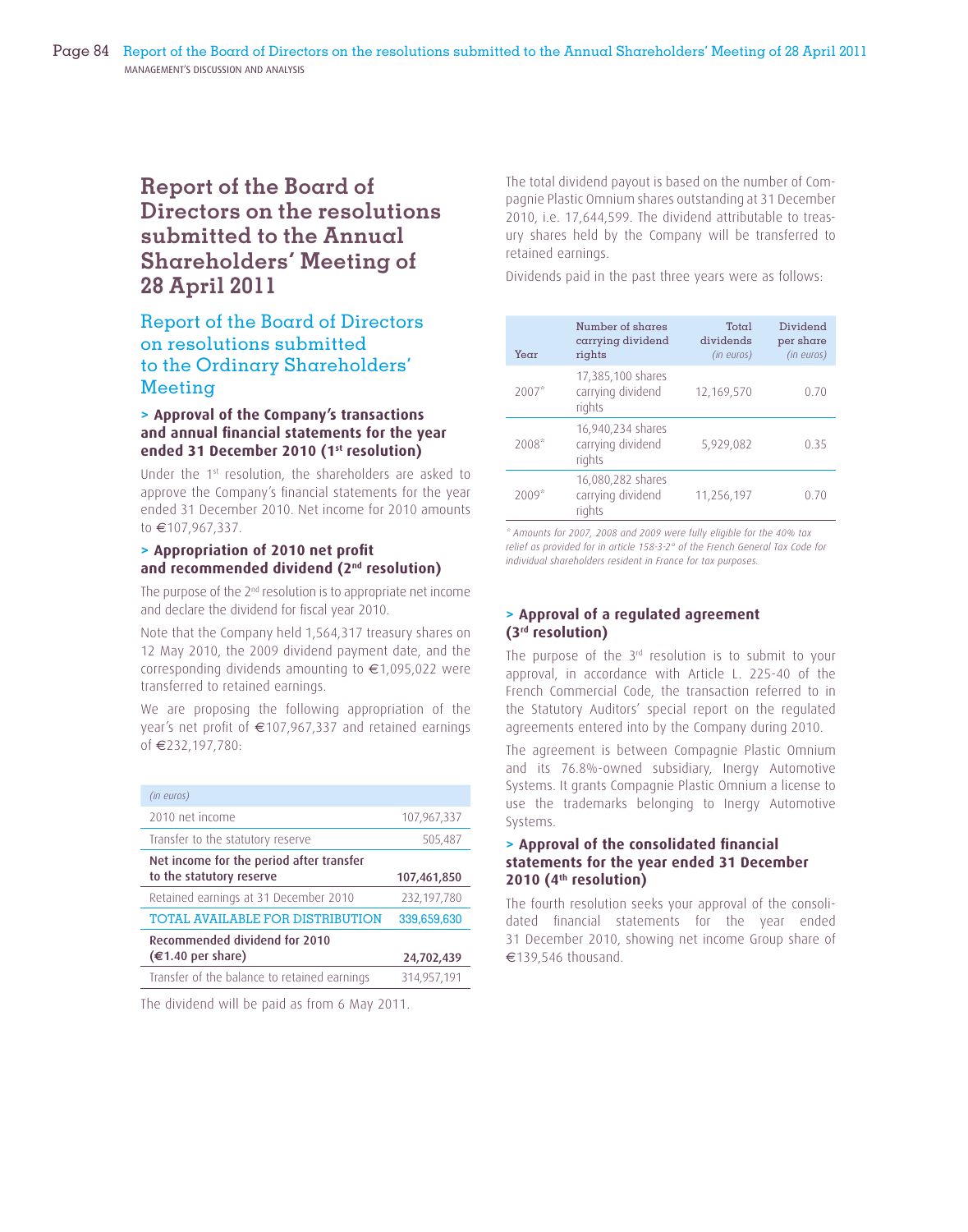## **Report of the Board of Directors on the resolutions submitted to the Annual Shareholders' Meeting of 28 April 2011**

## Report of the Board of Directors on resolutions submitted to the Ordinary Shareholders' Meeting

#### **> Approval of the Company's transactions**  and annual financial statements for the year **ended 31 December 2010 (1st resolution)**

Under the 1st resolution, the shareholders are asked to approve the Company's financial statements for the year ended 31 December 2010. Net income for 2010 amounts to €107,967,337.

## **> Appropriation of 2010 net profi t and recommended dividend (2nd resolution)**

The purpose of the 2<sup>nd</sup> resolution is to appropriate net income and declare the dividend for fiscal year 2010.

Note that the Company held 1,564,317 treasury shares on 12 May 2010, the 2009 dividend payment date, and the corresponding dividends amounting to €1,095,022 were transferred to retained earnings.

We are proposing the following appropriation of the year's net profit of  $\in$ 107,967,337 and retained earnings of €232,197,780:

| (in euros)                                                           |             |
|----------------------------------------------------------------------|-------------|
| 2010 net income                                                      | 107,967,337 |
| Transfer to the statutory reserve                                    | 505,487     |
| Net income for the period after transfer<br>to the statutory reserve | 107,461,850 |
| Retained earnings at 31 December 2010                                | 232,197,780 |
| <b>TOTAL AVAILABLE FOR DISTRIBUTION</b>                              | 339,659,630 |
| Recommended dividend for 2010<br>$(€1.40$ per share)                 | 24,702,439  |
| Transfer of the balance to retained earnings                         | 314,957,191 |

The dividend will be paid as from 6 May 2011.

The total dividend payout is based on the number of Compagnie Plastic Omnium shares outstanding at 31 December 2010, i.e. 17,644,599. The dividend attributable to treasury shares held by the Company will be transferred to retained earnings.

Dividends paid in the past three years were as follows:

| Year    | Number of shares<br>carrying dividend<br>rights  | Total<br>dividends<br>(in euros) | Dividend<br>per share<br>(in euros) |
|---------|--------------------------------------------------|----------------------------------|-------------------------------------|
| $2007*$ | 17,385,100 shares<br>carrying dividend<br>rights | 12,169,570                       | 0.70                                |
| 2008*   | 16,940,234 shares<br>carrying dividend<br>rights | 5,929,082                        | 0.35                                |
| $2009*$ | 16,080,282 shares<br>carrying dividend<br>rights | 11,256,197                       | 0.70                                |

*\* Amounts for 2007, 2008 and 2009 were fully eligible for the 40% tax relief as provided for in article 158-3-2° of the French General Tax Code for individual shareholders resident in France for tax purposes.*

## **> Approval of a regulated agreement (3rd resolution)**

The purpose of the 3<sup>rd</sup> resolution is to submit to your approval, in accordance with Article L. 225-40 of the French Commercial Code, the transaction referred to in the Statutory Auditors' special report on the regulated agreements entered into by the Company during 2010.

The agreement is between Compagnie Plastic Omnium and its 76.8%-owned subsidiary, Inergy Automotive Systems. It grants Compagnie Plastic Omnium a license to use the trademarks belonging to Inergy Automotive Systems.

#### **> Approval of the consolidated fi nancial statements for the year ended 31 December 2010 (4th resolution)**

The fourth resolution seeks your approval of the consolidated financial statements for the year ended 31 December 2010, showing net income Group share of €139,546 thousand.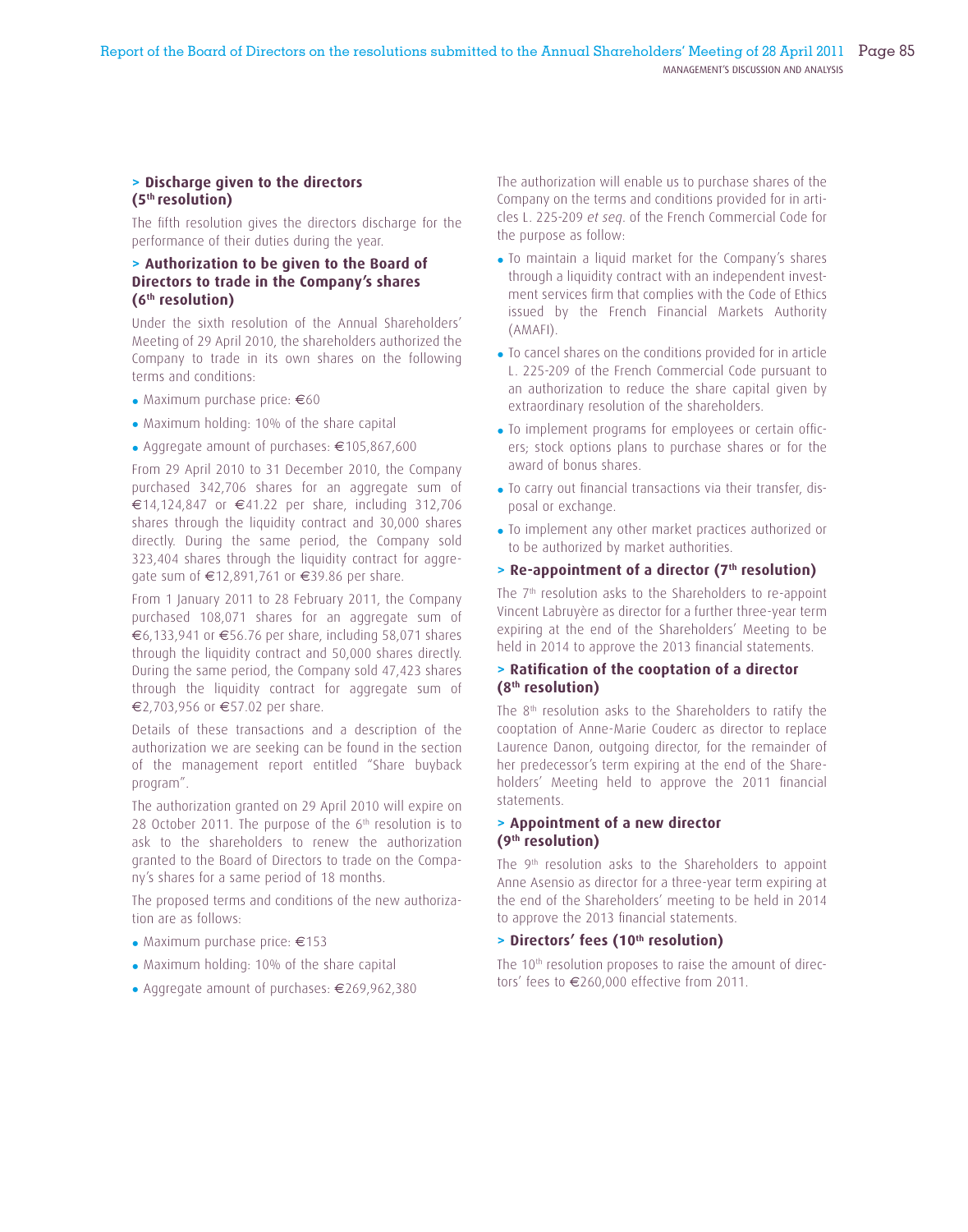#### **> Discharge given to the directors (5th resolution)**

The fifth resolution gives the directors discharge for the performance of their duties during the year.

## **> Authorization to be given to the Board of Directors to trade in the Company's shares (6th resolution)**

Under the sixth resolution of the Annual Shareholders' Meeting of 29 April 2010, the shareholders authorized the Company to trade in its own shares on the following terms and conditions:

- Maximum purchase price: €60
- Maximum holding: 10% of the share capital
- Aggregate amount of purchases: €105,867,600

From 29 April 2010 to 31 December 2010, the Company purchased 342,706 shares for an aggregate sum of €14,124,847 or €41.22 per share, including 312,706 shares through the liquidity contract and 30,000 shares directly. During the same period, the Company sold 323,404 shares through the liquidity contract for aggregate sum of €12,891,761 or €39.86 per share.

From 1 January 2011 to 28 February 2011, the Company purchased 108,071 shares for an aggregate sum of €6,133,941 or €56.76 per share, including 58,071 shares through the liquidity contract and 50,000 shares directly. During the same period, the Company sold 47,423 shares through the liquidity contract for aggregate sum of €2,703,956 or €57.02 per share.

Details of these transactions and a description of the authorization we are seeking can be found in the section of the management report entitled "Share buyback program".

The authorization granted on 29 April 2010 will expire on 28 October 2011. The purpose of the  $6<sup>th</sup>$  resolution is to ask to the shareholders to renew the authorization granted to the Board of Directors to trade on the Company's shares for a same period of 18 months.

The proposed terms and conditions of the new authorization are as follows:

- Maximum purchase price: €153
- Maximum holding: 10% of the share capital
- Aggregate amount of purchases: €269,962,380

The authorization will enable us to purchase shares of the Company on the terms and conditions provided for in articles L. 225-209 *et seq*. of the French Commercial Code for the purpose as follow:

- To maintain a liquid market for the Company's shares through a liquidity contract with an independent investment services firm that complies with the Code of Ethics issued by the French Financial Markets Authority (AMAFI).
- To cancel shares on the conditions provided for in article L. 225-209 of the French Commercial Code pursuant to an authorization to reduce the share capital given by extraordinary resolution of the shareholders.
- To implement programs for employees or certain officers; stock options plans to purchase shares or for the award of bonus shares.
- To carry out financial transactions via their transfer, disposal or exchange.
- To implement any other market practices authorized or to be authorized by market authorities.
- **> Re-appointment of a director (7th resolution)**

The 7<sup>th</sup> resolution asks to the Shareholders to re-appoint Vincent Labruyère as director for a further three-year term expiring at the end of the Shareholders' Meeting to be held in 2014 to approve the 2013 financial statements.

## **> Ratifi cation of the cooptation of a director (8th resolution)**

The 8th resolution asks to the Shareholders to ratify the cooptation of Anne-Marie Couderc as director to replace Laurence Danon, outgoing director, for the remainder of her predecessor's term expiring at the end of the Shareholders' Meeting held to approve the 2011 financial statements.

## **> Appointment of a new director (9th resolution)**

The 9<sup>th</sup> resolution asks to the Shareholders to appoint Anne Asensio as director for a three-year term expiring at the end of the Shareholders' meeting to be held in 2014 to approve the 2013 financial statements.

#### **> Directors' fees (10th resolution)**

The 10<sup>th</sup> resolution proposes to raise the amount of directors' fees to €260,000 effective from 2011.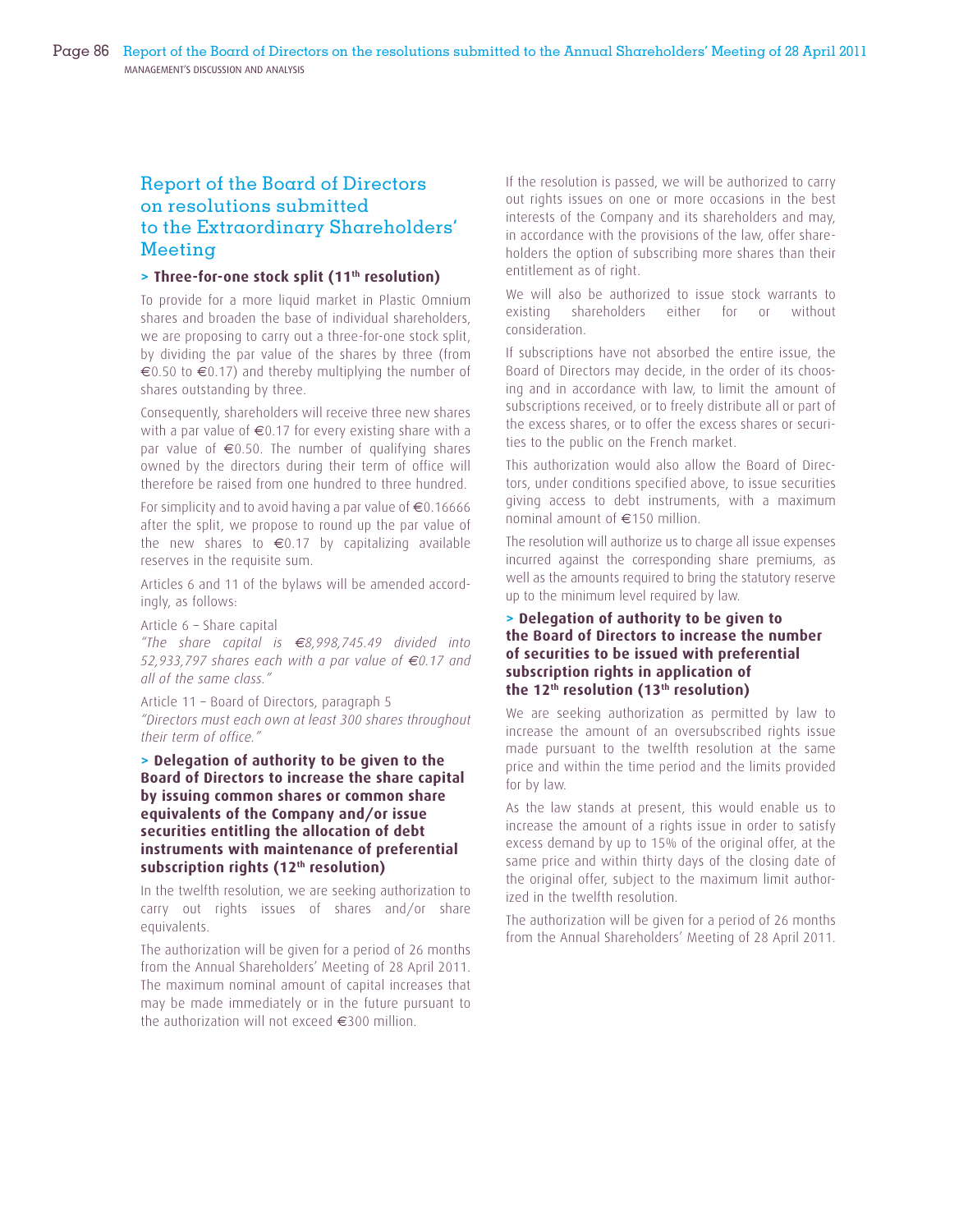## Report of the Board of Directors on resolutions submitted to the Extraordinary Shareholders' Meeting

## **> Three-for-one stock split (11th resolution)**

To provide for a more liquid market in Plastic Omnium shares and broaden the base of individual shareholders, we are proposing to carry out a three-for-one stock split, by dividing the par value of the shares by three (from €0.50 to €0.17) and thereby multiplying the number of shares outstanding by three.

Consequently, shareholders will receive three new shares with a par value of €0.17 for every existing share with a par value of  $\epsilon$ 0.50. The number of qualifying shares owned by the directors during their term of office will therefore be raised from one hundred to three hundred.

For simplicity and to avoid having a par value of  $\epsilon$ 0.16666 after the split, we propose to round up the par value of the new shares to  $\epsilon$ 0.17 by capitalizing available reserves in the requisite sum.

Articles 6 and 11 of the bylaws will be amended accordingly, as follows:

Article 6 – Share capital

*"The share capital is €8,998,745.49 divided into 52,933,797 shares each with a par value of €0.17 and all of the same class."*

Article 11 – Board of Directors, paragraph 5 *"Directors must each own at least 300 shares throughout their term of office."*

## **> Delegation of authority to be given to the Board of Directors to increase the share capital by issuing common shares or common share equivalents of the Company and/or issue securities entitling the allocation of debt instruments with maintenance of preferential subscription rights (12th resolution)**

In the twelfth resolution, we are seeking authorization to carry out rights issues of shares and/or share equivalents.

The authorization will be given for a period of 26 months from the Annual Shareholders' Meeting of 28 April 2011. The maximum nominal amount of capital increases that may be made immediately or in the future pursuant to the authorization will not exceed €300 million.

If the resolution is passed, we will be authorized to carry out rights issues on one or more occasions in the best interests of the Company and its shareholders and may, in accordance with the provisions of the law, offer shareholders the option of subscribing more shares than their entitlement as of right.

We will also be authorized to issue stock warrants to existing shareholders either for or without consideration.

If subscriptions have not absorbed the entire issue, the Board of Directors may decide, in the order of its choosing and in accordance with law, to limit the amount of subscriptions received, or to freely distribute all or part of the excess shares, or to offer the excess shares or securities to the public on the French market.

This authorization would also allow the Board of Directors, under conditions specified above, to issue securities giving access to debt instruments, with a maximum nominal amount of €150 million.

The resolution will authorize us to charge all issue expenses incurred against the corresponding share premiums, as well as the amounts required to bring the statutory reserve up to the minimum level required by law.

## **> Delegation of authority to be given to the Board of Directors to increase the number of securities to be issued with preferential subscription rights in application of the 12th resolution (13th resolution)**

We are seeking authorization as permitted by law to increase the amount of an oversubscribed rights issue made pursuant to the twelfth resolution at the same price and within the time period and the limits provided for by law.

As the law stands at present, this would enable us to increase the amount of a rights issue in order to satisfy excess demand by up to 15% of the original offer, at the same price and within thirty days of the closing date of the original offer, subject to the maximum limit authorized in the twelfth resolution.

The authorization will be given for a period of 26 months from the Annual Shareholders' Meeting of 28 April 2011.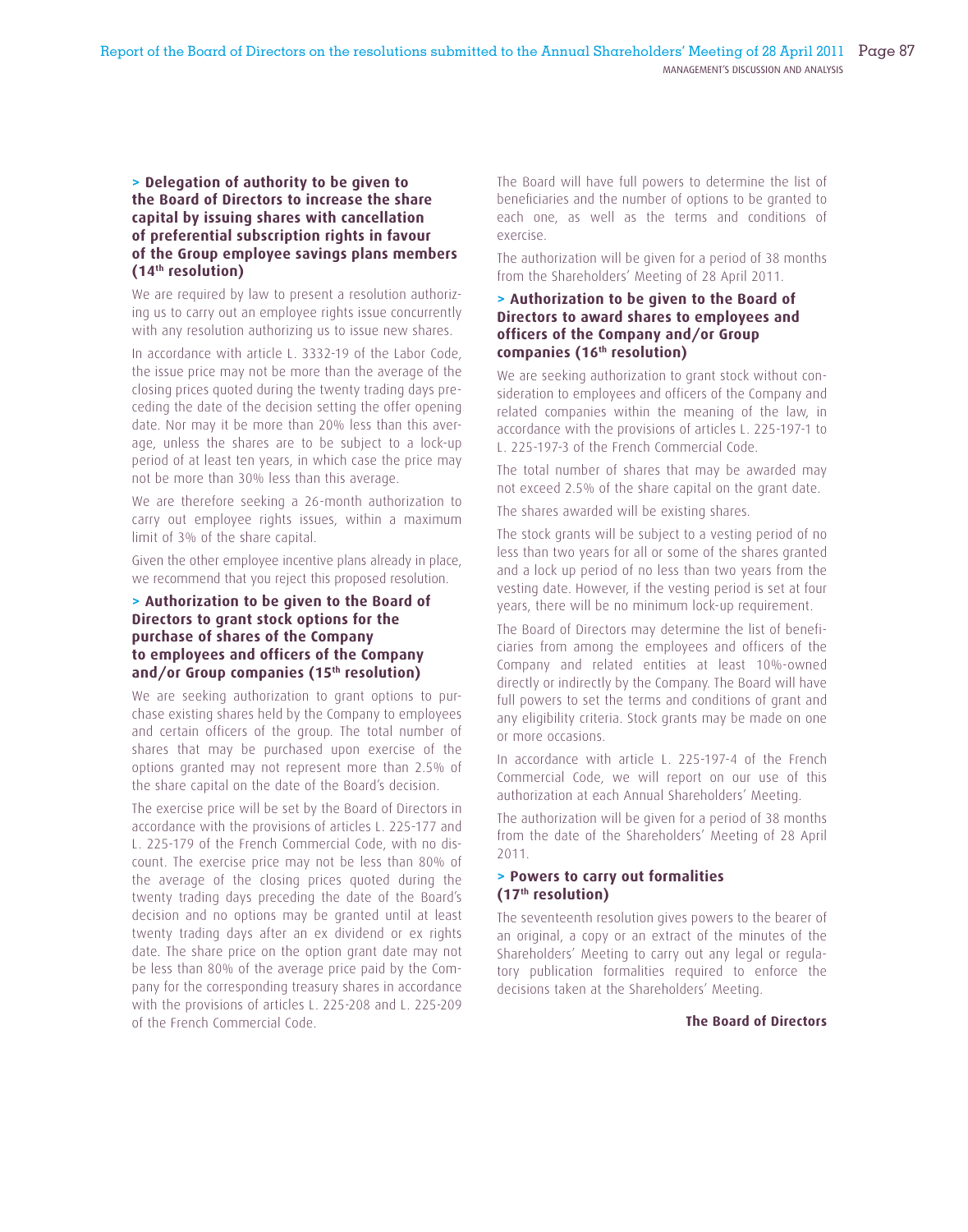## **> Delegation of authority to be given to the Board of Directors to increase the share capital by issuing shares with cancellation of preferential subscription rights in favour of the Group employee savings plans members (14th resolution)**

We are required by law to present a resolution authorizing us to carry out an employee rights issue concurrently with any resolution authorizing us to issue new shares.

In accordance with article L. 3332-19 of the Labor Code, the issue price may not be more than the average of the closing prices quoted during the twenty trading days preceding the date of the decision setting the offer opening date. Nor may it be more than 20% less than this average, unless the shares are to be subject to a lock-up period of at least ten years, in which case the price may not be more than 30% less than this average.

We are therefore seeking a 26-month authorization to carry out employee rights issues, within a maximum limit of 3% of the share capital.

Given the other employee incentive plans already in place, we recommend that you reject this proposed resolution.

## **> Authorization to be given to the Board of Directors to grant stock options for the purchase of shares of the Company to employees and officers of the Company and/or Group companies (15th resolution)**

We are seeking authorization to grant options to purchase existing shares held by the Company to employees and certain officers of the group. The total number of shares that may be purchased upon exercise of the options granted may not represent more than 2.5% of the share capital on the date of the Board's decision.

The exercise price will be set by the Board of Directors in accordance with the provisions of articles L. 225-177 and L. 225-179 of the French Commercial Code, with no discount. The exercise price may not be less than 80% of the average of the closing prices quoted during the twenty trading days preceding the date of the Board's decision and no options may be granted until at least twenty trading days after an ex dividend or ex rights date. The share price on the option grant date may not be less than 80% of the average price paid by the Company for the corresponding treasury shares in accordance with the provisions of articles L. 225-208 and L. 225-209 of the French Commercial Code.

The Board will have full powers to determine the list of beneficiaries and the number of options to be granted to each one, as well as the terms and conditions of exercise.

The authorization will be given for a period of 38 months from the Shareholders' Meeting of 28 April 2011.

#### **> Authorization to be given to the Board of Directors to award shares to employees and officers of the Company and/or Group companies (16th resolution)**

We are seeking authorization to grant stock without consideration to employees and officers of the Company and related companies within the meaning of the law, in accordance with the provisions of articles L. 225-197-1 to L. 225-197-3 of the French Commercial Code.

The total number of shares that may be awarded may not exceed 2.5% of the share capital on the grant date.

The shares awarded will be existing shares.

The stock grants will be subject to a vesting period of no less than two years for all or some of the shares granted and a lock up period of no less than two years from the vesting date. However, if the vesting period is set at four years, there will be no minimum lock-up requirement.

The Board of Directors may determine the list of beneficiaries from among the employees and officers of the Company and related entities at least 10%-owned directly or indirectly by the Company. The Board will have full powers to set the terms and conditions of grant and any eligibility criteria. Stock grants may be made on one or more occasions.

In accordance with article L. 225-197-4 of the French Commercial Code, we will report on our use of this authorization at each Annual Shareholders' Meeting.

The authorization will be given for a period of 38 months from the date of the Shareholders' Meeting of 28 April 2011.

## **> Powers to carry out formalities (17th resolution)**

The seventeenth resolution gives powers to the bearer of an original, a copy or an extract of the minutes of the Shareholders' Meeting to carry out any legal or regulatory publication formalities required to enforce the decisions taken at the Shareholders' Meeting.

#### **The Board of Directors**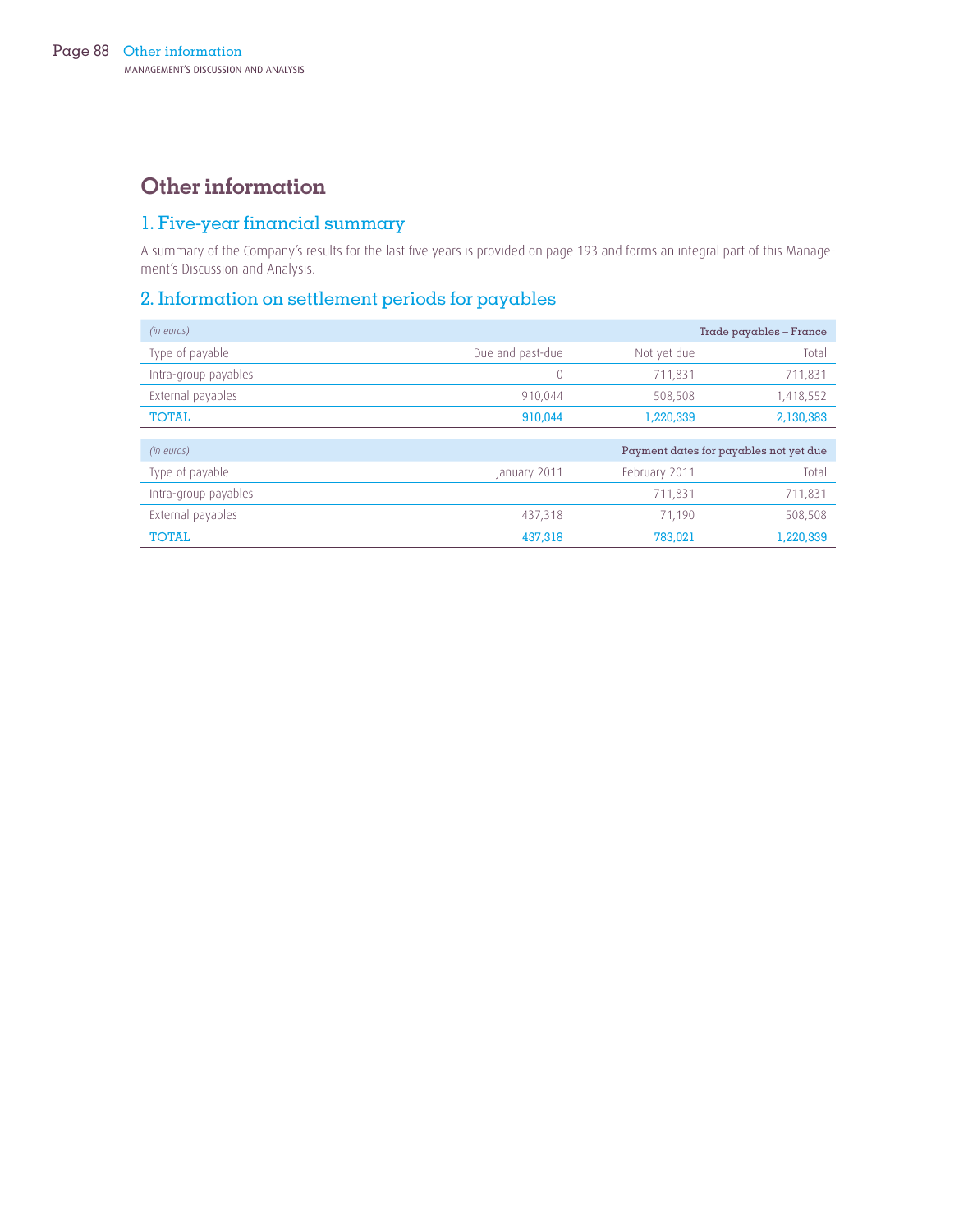## **Other information**

## 1. Five-year financial summary

A summary of the Company's results for the last five years is provided on page 193 and forms an integral part of this Management's Discussion and Analysis.

## 2. Information on settlement periods for payables

| (in euros)           |                  |               | $Trace$ payables – $France$            |
|----------------------|------------------|---------------|----------------------------------------|
| Type of payable      | Due and past-due | Not yet due   | Total                                  |
| Intra-group payables | 0                | 711,831       | 711,831                                |
| External payables    | 910,044          | 508,508       | 1,418,552                              |
| <b>TOTAL</b>         | 910.044          | 1,220,339     | 2,130,383                              |
|                      |                  |               |                                        |
| (in euros)           |                  |               | Payment dates for payables not yet due |
| Type of payable      | January 2011     | February 2011 | Total                                  |
| Intra-group payables |                  | 711,831       | 711,831                                |
| External payables    | 437,318          | 71.190        | 508,508                                |
| <b>TOTAL</b>         | 437.318          | 783,021       | 1,220,339                              |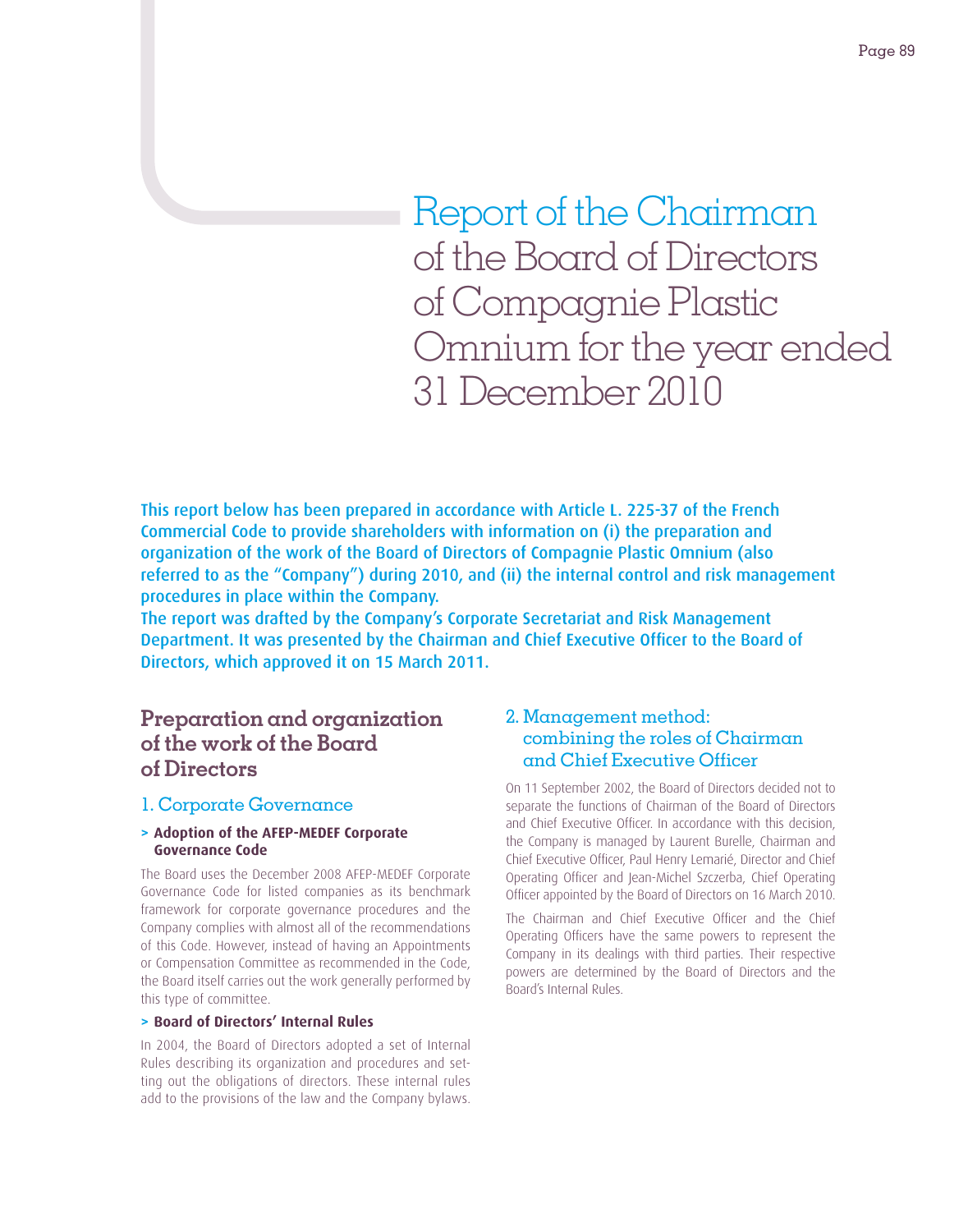Report of the Chairman of the Board of Directors of Compagnie Plastic Omnium for the year ended 31 December 2010

This report below has been prepared in accordance with Article L. 225-37 of the French Commercial Code to provide shareholders with information on (i) the preparation and organization of the work of the Board of Directors of Compagnie Plastic Omnium (also referred to as the "Company") during 2010, and (ii) the internal control and risk management procedures in place within the Company.

The report was drafted by the Company's Corporate Secretariat and Risk Management Department. It was presented by the Chairman and Chief Executive Officer to the Board of Directors, which approved it on 15 March 2011.

## **Preparation and organization of the work of the Board of Directors**

## 1. Corporate Governance

## **> Adoption of the AFEP-MEDEF Corporate Governance Code**

The Board uses the December 2008 AFEP-MEDEF Corporate Governance Code for listed companies as its benchmark framework for corporate governance procedures and the Company complies with almost all of the recommendations of this Code. However, instead of having an Appointments or Compensation Committee as recommended in the Code, the Board itself carries out the work generally performed by this type of committee.

#### **> Board of Directors' Internal Rules**

In 2004, the Board of Directors adopted a set of Internal Rules describing its organization and procedures and setting out the obligations of directors. These internal rules add to the provisions of the law and the Company bylaws.

## 2. Management method: combining the roles of Chairman and Chief Executive Officer

On 11 September 2002, the Board of Directors decided not to separate the functions of Chairman of the Board of Directors and Chief Executive Officer. In accordance with this decision, the Company is managed by Laurent Burelle, Chairman and Chief Executive Officer, Paul Henry Lemarié, Director and Chief Operating Officer and Jean-Michel Szczerba, Chief Operating Officer appointed by the Board of Directors on 16 March 2010.

The Chairman and Chief Executive Officer and the Chief Operating Officers have the same powers to represent the Company in its dealings with third parties. Their respective powers are determined by the Board of Directors and the Board's Internal Rules.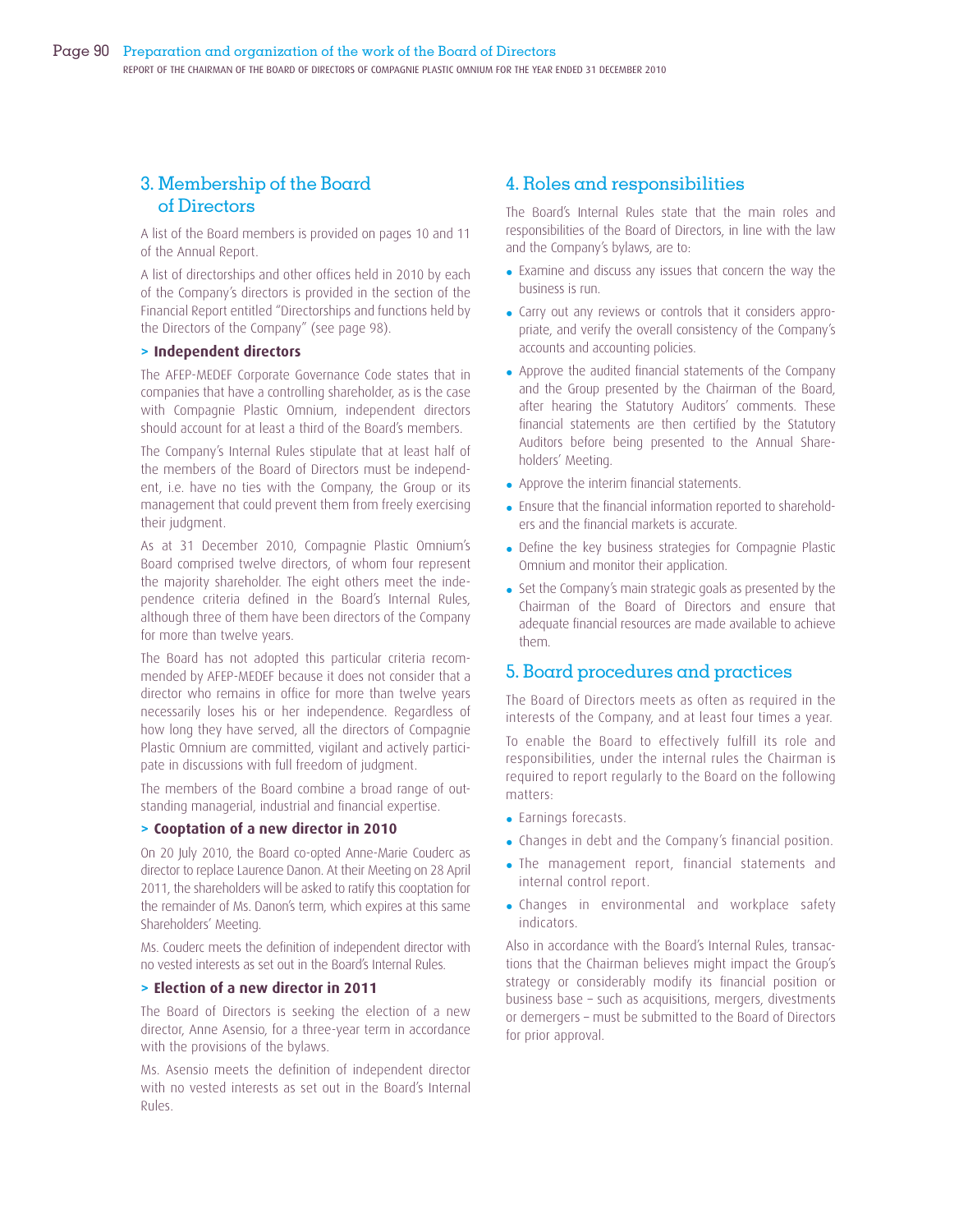## 3. Membership of the Board of Directors

A list of the Board members is provided on pages 10 and 11 of the Annual Report.

A list of directorships and other offices held in 2010 by each of the Company's directors is provided in the section of the Financial Report entitled "Directorships and functions held by the Directors of the Company" (see page 98).

#### **> Independent directors**

The AFEP-MEDEF Corporate Governance Code states that in companies that have a controlling shareholder, as is the case with Compagnie Plastic Omnium, independent directors should account for at least a third of the Board's members.

The Company's Internal Rules stipulate that at least half of the members of the Board of Directors must be independent, i.e. have no ties with the Company, the Group or its management that could prevent them from freely exercising their judgment.

As at 31 December 2010, Compagnie Plastic Omnium's Board comprised twelve directors, of whom four represent the majority shareholder. The eight others meet the independence criteria defined in the Board's Internal Rules, although three of them have been directors of the Company for more than twelve years.

The Board has not adopted this particular criteria recommended by AFEP-MEDEF because it does not consider that a director who remains in office for more than twelve years necessarily loses his or her independence. Regardless of how long they have served, all the directors of Compagnie Plastic Omnium are committed, vigilant and actively participate in discussions with full freedom of judgment.

The members of the Board combine a broad range of outstanding managerial, industrial and financial expertise.

#### **> Cooptation of a new director in 2010**

On 20 July 2010, the Board co-opted Anne-Marie Couderc as director to replace Laurence Danon. At their Meeting on 28 April 2011, the shareholders will be asked to ratify this cooptation for the remainder of Ms. Danon's term, which expires at this same Shareholders' Meeting.

Ms. Couderc meets the definition of independent director with no vested interests as set out in the Board's Internal Rules.

#### **> Election of a new director in 2011**

The Board of Directors is seeking the election of a new director, Anne Asensio, for a three-year term in accordance with the provisions of the bylaws.

Ms. Asensio meets the definition of independent director with no vested interests as set out in the Board's Internal Rules.

## 4. Roles and responsibilities

The Board's Internal Rules state that the main roles and responsibilities of the Board of Directors, in line with the law and the Company's bylaws, are to:

- Examine and discuss any issues that concern the way the business is run.
- Carry out any reviews or controls that it considers appropriate, and verify the overall consistency of the Company's accounts and accounting policies.
- Approve the audited financial statements of the Company and the Group presented by the Chairman of the Board, after hearing the Statutory Auditors' comments. These financial statements are then certified by the Statutory Auditors before being presented to the Annual Shareholders' Meeting.
- Approve the interim financial statements.
- Ensure that the financial information reported to shareholders and the financial markets is accurate.
- Define the key business strategies for Compagnie Plastic Omnium and monitor their application.
- Set the Company's main strategic goals as presented by the Chairman of the Board of Directors and ensure that adequate financial resources are made available to achieve them.

## 5. Board procedures and practices

The Board of Directors meets as often as required in the interests of the Company, and at least four times a year.

To enable the Board to effectively fulfill its role and responsibilities, under the internal rules the Chairman is required to report regularly to the Board on the following matters:

- Earnings forecasts.
- Changes in debt and the Company's financial position.
- The management report, financial statements and internal control report.
- Changes in environmental and workplace safety indicators.

Also in accordance with the Board's Internal Rules, transactions that the Chairman believes might impact the Group's strategy or considerably modify its financial position or business base – such as acquisitions, mergers, divestments or demergers – must be submitted to the Board of Directors for prior approval.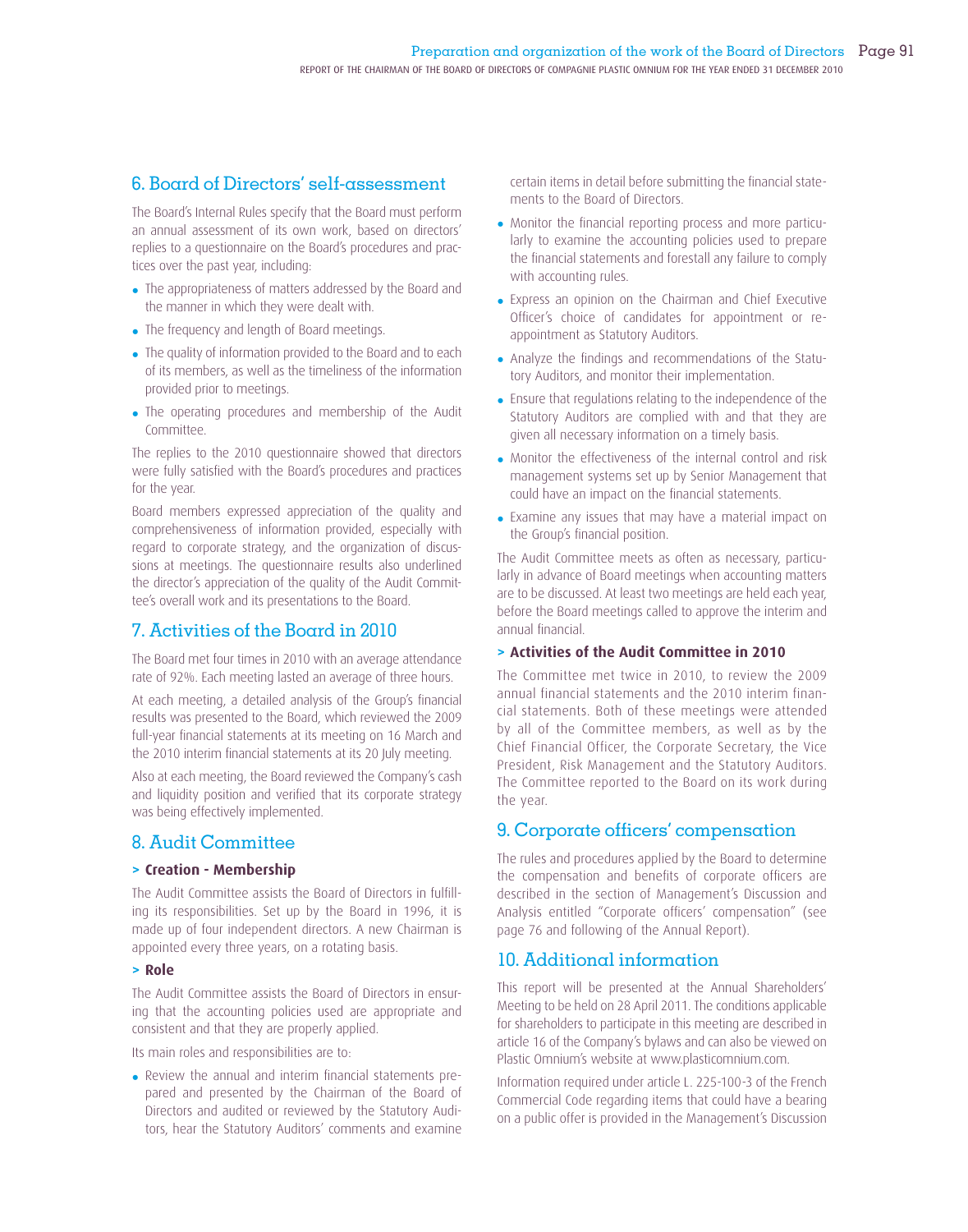## 6. Board of Directors' self-assessment

The Board's Internal Rules specify that the Board must perform an annual assessment of its own work, based on directors' replies to a questionnaire on the Board's procedures and practices over the past year, including:

- The appropriateness of matters addressed by the Board and the manner in which they were dealt with.
- The frequency and length of Board meetings.
- The quality of information provided to the Board and to each of its members, as well as the timeliness of the information provided prior to meetings.
- The operating procedures and membership of the Audit Committee.

The replies to the 2010 questionnaire showed that directors were fully satisfied with the Board's procedures and practices for the year.

Board members expressed appreciation of the quality and comprehensiveness of information provided, especially with regard to corporate strategy, and the organization of discussions at meetings. The questionnaire results also underlined the director's appreciation of the quality of the Audit Committee's overall work and its presentations to the Board.

## 7. Activities of the Board in 2010

The Board met four times in 2010 with an average attendance rate of 92%. Each meeting lasted an average of three hours.

At each meeting, a detailed analysis of the Group's financial results was presented to the Board, which reviewed the 2009 full-year financial statements at its meeting on 16 March and the 2010 interim financial statements at its 20 July meeting.

Also at each meeting, the Board reviewed the Company's cash and liquidity position and verified that its corporate strategy was being effectively implemented.

## 8. Audit Committee

#### **> Creation - Membership**

The Audit Committee assists the Board of Directors in fulfilling its responsibilities. Set up by the Board in 1996, it is made up of four independent directors. A new Chairman is appointed every three years, on a rotating basis.

#### **> Role**

The Audit Committee assists the Board of Directors in ensuring that the accounting policies used are appropriate and consistent and that they are properly applied.

Its main roles and responsibilities are to:

• Review the annual and interim financial statements prepared and presented by the Chairman of the Board of Directors and audited or reviewed by the Statutory Auditors, hear the Statutory Auditors' comments and examine

certain items in detail before submitting the financial statements to the Board of Directors.

- Monitor the financial reporting process and more particularly to examine the accounting policies used to prepare the financial statements and forestall any failure to comply with accounting rules.
- Express an opinion on the Chairman and Chief Executive Officer's choice of candidates for appointment or reappointment as Statutory Auditors.
- Analyze the findings and recommendations of the Statutory Auditors, and monitor their implementation.
- Ensure that regulations relating to the independence of the Statutory Auditors are complied with and that they are given all necessary information on a timely basis.
- Monitor the effectiveness of the internal control and risk management systems set up by Senior Management that could have an impact on the financial statements.
- Examine any issues that may have a material impact on the Group's financial position.

The Audit Committee meets as often as necessary, particularly in advance of Board meetings when accounting matters are to be discussed. At least two meetings are held each year, before the Board meetings called to approve the interim and annual financial.

## **> Activities of the Audit Committee in 2010**

The Committee met twice in 2010, to review the 2009 annual financial statements and the 2010 interim financial statements. Both of these meetings were attended by all of the Committee members, as well as by the Chief Financial Officer, the Corporate Secretary, the Vice President, Risk Management and the Statutory Auditors. The Committee reported to the Board on its work during the year.

## 9. Corporate officers' compensation

The rules and procedures applied by the Board to determine the compensation and benefits of corporate officers are described in the section of Management's Discussion and Analysis entitled "Corporate officers' compensation" (see page 76 and following of the Annual Report).

## 10. Additional information

This report will be presented at the Annual Shareholders' Meeting to be held on 28 April 2011. The conditions applicable for shareholders to participate in this meeting are described in article 16 of the Company's bylaws and can also be viewed on Plastic Omnium's website at www.plasticomnium.com.

Information required under article L. 225-100-3 of the French Commercial Code regarding items that could have a bearing on a public offer is provided in the Management's Discussion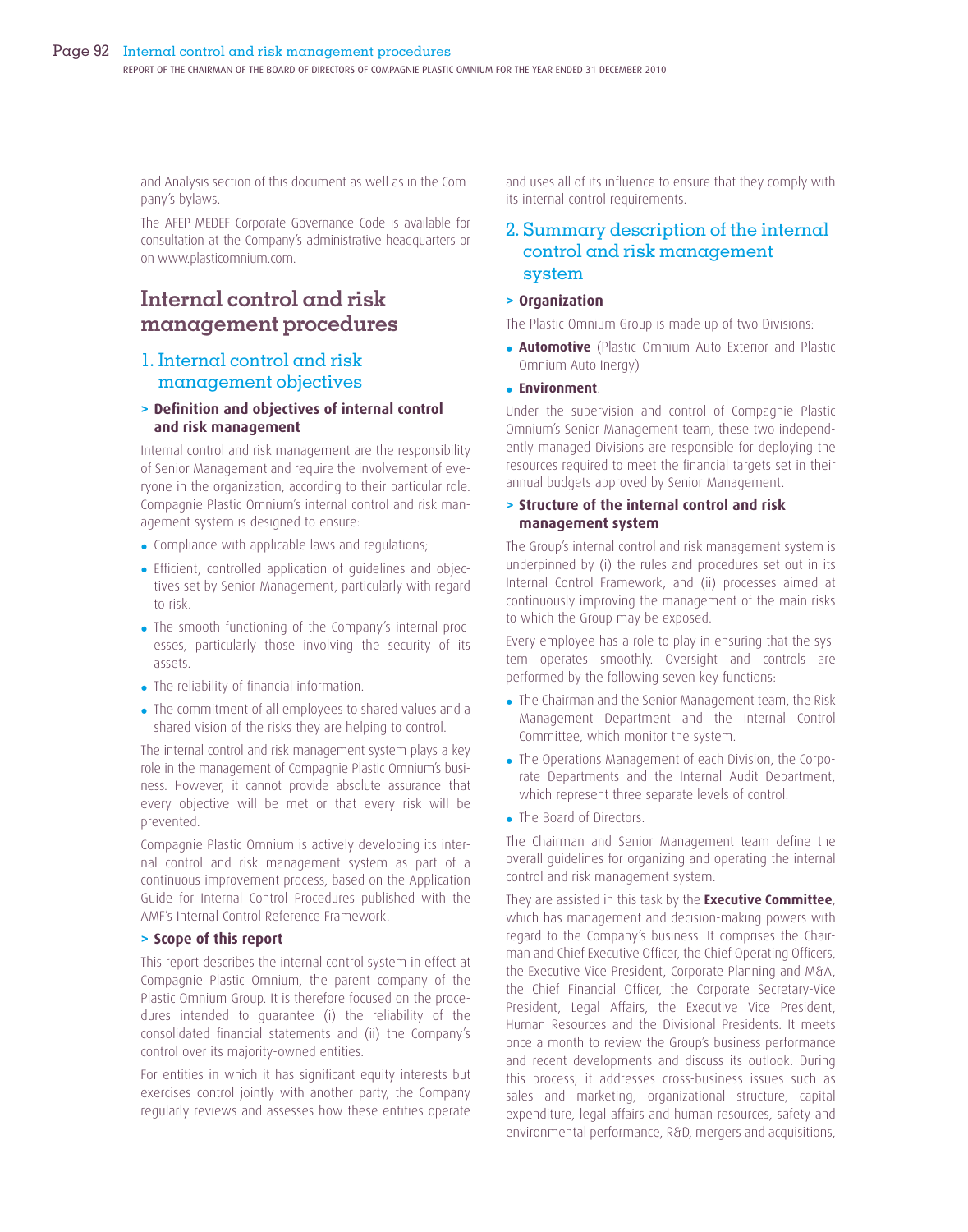and Analysis section of this document as well as in the Company's bylaws.

The AFEP-MEDEF Corporate Governance Code is available for consultation at the Company's administrative headquarters or on www.plasticomnium.com.

## **Internal control and risk management procedures**

## 1. Internal control and risk management objectives

## **> Defi nition and objectives of internal control and risk management**

Internal control and risk management are the responsibility of Senior Management and require the involvement of everyone in the organization, according to their particular role. Compagnie Plastic Omnium's internal control and risk management system is designed to ensure:

- Compliance with applicable laws and regulations;
- Efficient, controlled application of guidelines and objectives set by Senior Management, particularly with regard to risk.
- The smooth functioning of the Company's internal processes, particularly those involving the security of its assets.
- The reliability of financial information.
- The commitment of all employees to shared values and a shared vision of the risks they are helping to control.

The internal control and risk management system plays a key role in the management of Compagnie Plastic Omnium's business. However, it cannot provide absolute assurance that every objective will be met or that every risk will be prevented.

Compagnie Plastic Omnium is actively developing its internal control and risk management system as part of a continuous improvement process, based on the Application Guide for Internal Control Procedures published with the AMF's Internal Control Reference Framework.

#### **> Scope of this report**

This report describes the internal control system in effect at Compagnie Plastic Omnium, the parent company of the Plastic Omnium Group. It is therefore focused on the procedures intended to guarantee (i) the reliability of the consolidated financial statements and (ii) the Company's control over its majority-owned entities.

For entities in which it has significant equity interests but exercises control jointly with another party, the Company regularly reviews and assesses how these entities operate

and uses all of its influence to ensure that they comply with its internal control requirements.

## 2. Summary description of the internal control and risk management system

#### **> Organization**

The Plastic Omnium Group is made up of two Divisions:

• **Automotive** (Plastic Omnium Auto Exterior and Plastic Omnium Auto Inergy)

#### • **Environment**.

Under the supervision and control of Compagnie Plastic Omnium's Senior Management team, these two independently managed Divisions are responsible for deploying the resources required to meet the financial targets set in their annual budgets approved by Senior Management.

## **> Structure of the internal control and risk management system**

The Group's internal control and risk management system is underpinned by (i) the rules and procedures set out in its Internal Control Framework, and (ii) processes aimed at continuously improving the management of the main risks to which the Group may be exposed.

Every employee has a role to play in ensuring that the system operates smoothly. Oversight and controls are performed by the following seven key functions:

- The Chairman and the Senior Management team, the Risk Management Department and the Internal Control Committee, which monitor the system.
- The Operations Management of each Division, the Corporate Departments and the Internal Audit Department, which represent three separate levels of control.
- The Board of Directors.

The Chairman and Senior Management team define the overall guidelines for organizing and operating the internal control and risk management system.

They are assisted in this task by the **Executive Committee**, which has management and decision-making powers with regard to the Company's business. It comprises the Chairman and Chief Executive Officer, the Chief Operating Officers, the Executive Vice President, Corporate Planning and M&A, the Chief Financial Officer, the Corporate Secretary-Vice President, Legal Affairs, the Executive Vice President, Human Resources and the Divisional Presidents. It meets once a month to review the Group's business performance and recent developments and discuss its outlook. During this process, it addresses cross-business issues such as sales and marketing, organizational structure, capital expenditure, legal affairs and human resources, safety and environmental performance, R&D, mergers and acquisitions,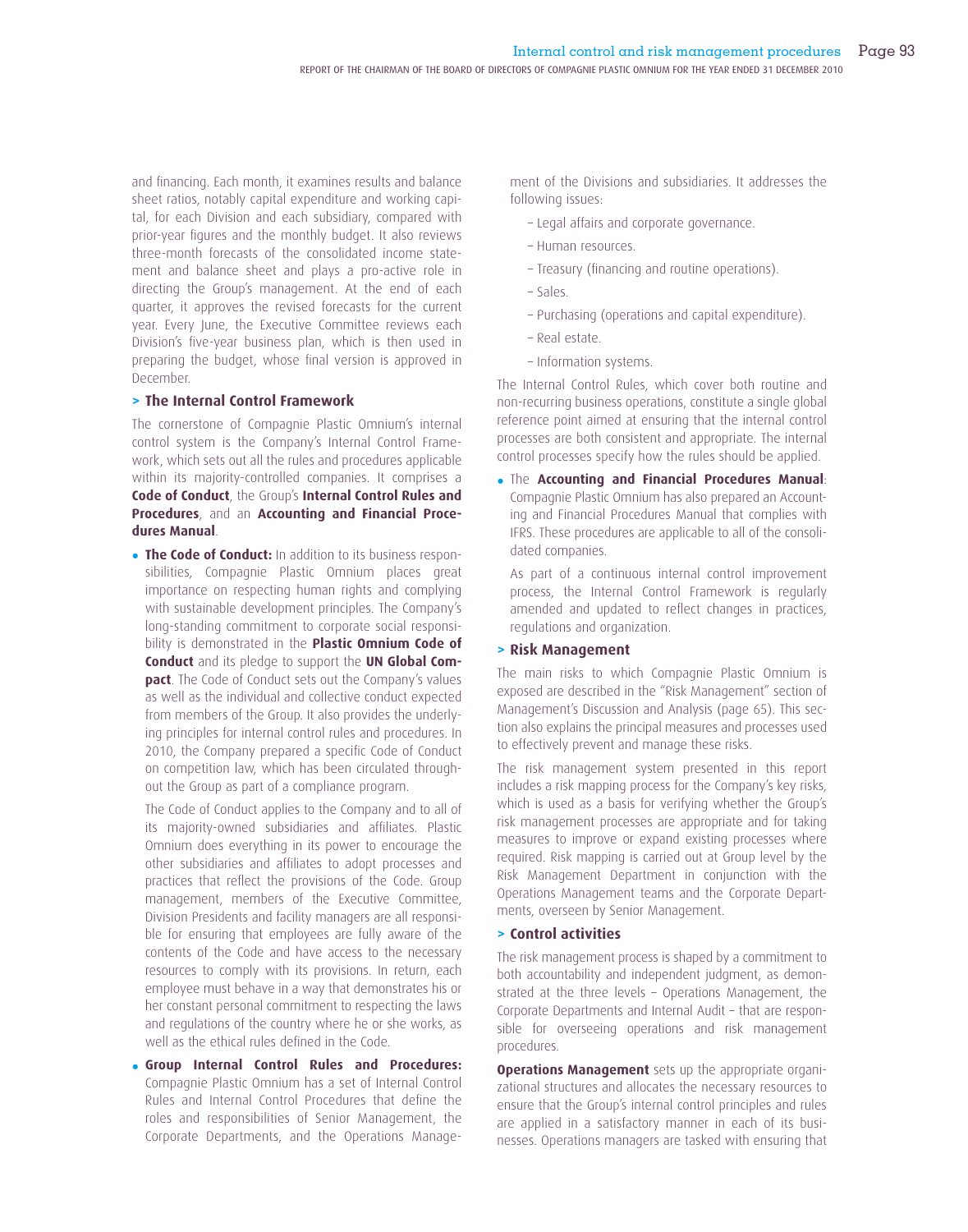and financing. Each month, it examines results and balance sheet ratios, notably capital expenditure and working capital, for each Division and each subsidiary, compared with prior-year figures and the monthly budget. It also reviews three-month forecasts of the consolidated income statement and balance sheet and plays a pro-active role in directing the Group's management. At the end of each quarter, it approves the revised forecasts for the current year. Every June, the Executive Committee reviews each Division's five-year business plan, which is then used in preparing the budget, whose final version is approved in December.

## **> The Internal Control Framework**

The cornerstone of Compagnie Plastic Omnium's internal control system is the Company's Internal Control Framework, which sets out all the rules and procedures applicable within its majority-controlled companies. It comprises a **Code of Conduct**, the Group's **Internal Control Rules and Procedures**, and an **Accounting and Financial Procedures Manual**.

• **The Code of Conduct:** In addition to its business responsibilities, Compagnie Plastic Omnium places great importance on respecting human rights and complying with sustainable development principles. The Company's long-standing commitment to corporate social responsibility is demonstrated in the **Plastic Omnium Code of Conduct** and its pledge to support the **UN Global Compact**. The Code of Conduct sets out the Company's values as well as the individual and collective conduct expected from members of the Group. It also provides the underlying principles for internal control rules and procedures. In 2010, the Company prepared a specific Code of Conduct on competition law, which has been circulated throughout the Group as part of a compliance program.

 The Code of Conduct applies to the Company and to all of its majority-owned subsidiaries and affiliates. Plastic Omnium does everything in its power to encourage the other subsidiaries and affiliates to adopt processes and practices that reflect the provisions of the Code. Group management, members of the Executive Committee, Division Presidents and facility managers are all responsible for ensuring that employees are fully aware of the contents of the Code and have access to the necessary resources to comply with its provisions. In return, each employee must behave in a way that demonstrates his or her constant personal commitment to respecting the laws and regulations of the country where he or she works, as well as the ethical rules defined in the Code.

• **Group Internal Control Rules and Procedures:**  Compagnie Plastic Omnium has a set of Internal Control Rules and Internal Control Procedures that define the roles and responsibilities of Senior Management, the Corporate Departments, and the Operations Management of the Divisions and subsidiaries. It addresses the following issues:

- Legal affairs and corporate governance.
- Human resources.
- Treasury (financing and routine operations).
- Sales.
- Purchasing (operations and capital expenditure).
- Real estate.
- Information systems.

The Internal Control Rules, which cover both routine and non-recurring business operations, constitute a single global reference point aimed at ensuring that the internal control processes are both consistent and appropriate. The internal control processes specify how the rules should be applied.

• The **Accounting and Financial Procedures Manual**: Compagnie Plastic Omnium has also prepared an Accounting and Financial Procedures Manual that complies with IFRS. These procedures are applicable to all of the consolidated companies.

 As part of a continuous internal control improvement process, the Internal Control Framework is regularly amended and updated to reflect changes in practices, regulations and organization.

#### **> Risk Management**

The main risks to which Compagnie Plastic Omnium is exposed are described in the "Risk Management" section of Management's Discussion and Analysis (page 65). This section also explains the principal measures and processes used to effectively prevent and manage these risks.

The risk management system presented in this report includes a risk mapping process for the Company's key risks, which is used as a basis for verifying whether the Group's risk management processes are appropriate and for taking measures to improve or expand existing processes where required. Risk mapping is carried out at Group level by the Risk Management Department in conjunction with the Operations Management teams and the Corporate Departments, overseen by Senior Management.

#### **> Control activities**

The risk management process is shaped by a commitment to both accountability and independent judgment, as demonstrated at the three levels – Operations Management, the Corporate Departments and Internal Audit – that are responsible for overseeing operations and risk management procedures.

**Operations Management** sets up the appropriate organizational structures and allocates the necessary resources to ensure that the Group's internal control principles and rules are applied in a satisfactory manner in each of its businesses. Operations managers are tasked with ensuring that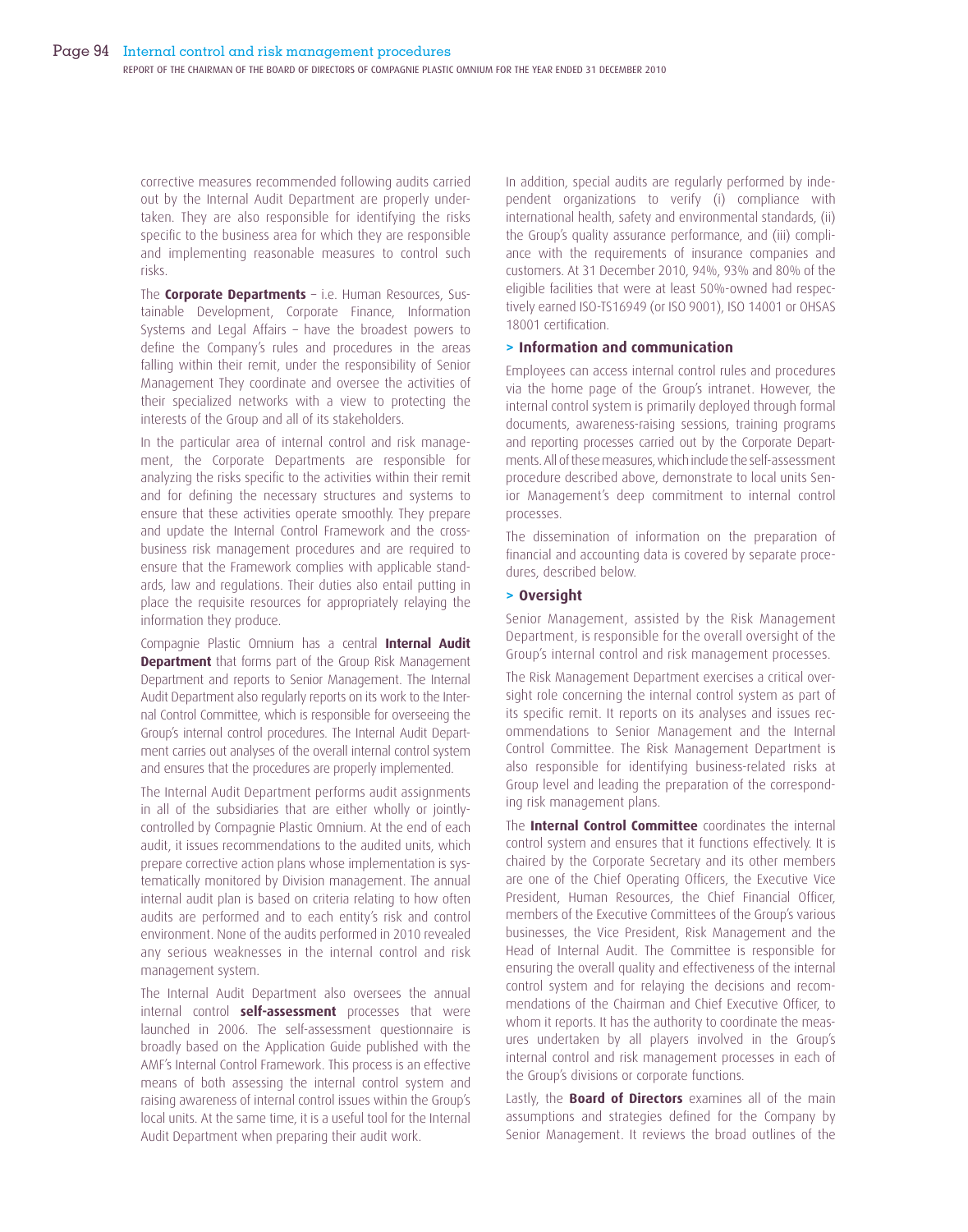corrective measures recommended following audits carried out by the Internal Audit Department are properly undertaken. They are also responsible for identifying the risks specific to the business area for which they are responsible and implementing reasonable measures to control such risks.

The **Corporate Departments** – i.e. Human Resources, Sustainable Development, Corporate Finance, Information Systems and Legal Affairs – have the broadest powers to define the Company's rules and procedures in the areas falling within their remit, under the responsibility of Senior Management They coordinate and oversee the activities of their specialized networks with a view to protecting the interests of the Group and all of its stakeholders.

In the particular area of internal control and risk management, the Corporate Departments are responsible for analyzing the risks specific to the activities within their remit and for defining the necessary structures and systems to ensure that these activities operate smoothly. They prepare and update the Internal Control Framework and the crossbusiness risk management procedures and are required to ensure that the Framework complies with applicable standards, law and regulations. Their duties also entail putting in place the requisite resources for appropriately relaying the information they produce.

Compagnie Plastic Omnium has a central **Internal Audit Department** that forms part of the Group Risk Management Department and reports to Senior Management. The Internal Audit Department also regularly reports on its work to the Internal Control Committee, which is responsible for overseeing the Group's internal control procedures. The Internal Audit Department carries out analyses of the overall internal control system and ensures that the procedures are properly implemented.

The Internal Audit Department performs audit assignments in all of the subsidiaries that are either wholly or jointlycontrolled by Compagnie Plastic Omnium. At the end of each audit, it issues recommendations to the audited units, which prepare corrective action plans whose implementation is systematically monitored by Division management. The annual internal audit plan is based on criteria relating to how often audits are performed and to each entity's risk and control environment. None of the audits performed in 2010 revealed any serious weaknesses in the internal control and risk management system.

The Internal Audit Department also oversees the annual internal control **self-assessment** processes that were launched in 2006. The self-assessment questionnaire is broadly based on the Application Guide published with the AMF's Internal Control Framework. This process is an effective means of both assessing the internal control system and raising awareness of internal control issues within the Group's local units. At the same time, it is a useful tool for the Internal Audit Department when preparing their audit work.

In addition, special audits are regularly performed by independent organizations to verify (i) compliance with international health, safety and environmental standards, (ii) the Group's quality assurance performance, and (iii) compliance with the requirements of insurance companies and customers. At 31 December 2010, 94%, 93% and 80% of the eligible facilities that were at least 50%-owned had respectively earned ISO-TS16949 (or ISO 9001), ISO 14001 or OHSAS 18001 certification.

#### **> Information and communication**

Employees can access internal control rules and procedures via the home page of the Group's intranet. However, the internal control system is primarily deployed through formal documents, awareness-raising sessions, training programs and reporting processes carried out by the Corporate Departments. All of these measures, which include the self-assessment procedure described above, demonstrate to local units Senior Management's deep commitment to internal control processes.

The dissemination of information on the preparation of financial and accounting data is covered by separate procedures, described below.

#### **> Oversight**

Senior Management, assisted by the Risk Management Department, is responsible for the overall oversight of the Group's internal control and risk management processes.

The Risk Management Department exercises a critical oversight role concerning the internal control system as part of its specific remit. It reports on its analyses and issues recommendations to Senior Management and the Internal Control Committee. The Risk Management Department is also responsible for identifying business-related risks at Group level and leading the preparation of the corresponding risk management plans.

The **Internal Control Committee** coordinates the internal control system and ensures that it functions effectively. It is chaired by the Corporate Secretary and its other members are one of the Chief Operating Officers, the Executive Vice President, Human Resources, the Chief Financial Officer, members of the Executive Committees of the Group's various businesses, the Vice President, Risk Management and the Head of Internal Audit. The Committee is responsible for ensuring the overall quality and effectiveness of the internal control system and for relaying the decisions and recommendations of the Chairman and Chief Executive Officer, to whom it reports. It has the authority to coordinate the measures undertaken by all players involved in the Group's internal control and risk management processes in each of the Group's divisions or corporate functions.

Lastly, the **Board of Directors** examines all of the main assumptions and strategies defined for the Company by Senior Management. It reviews the broad outlines of the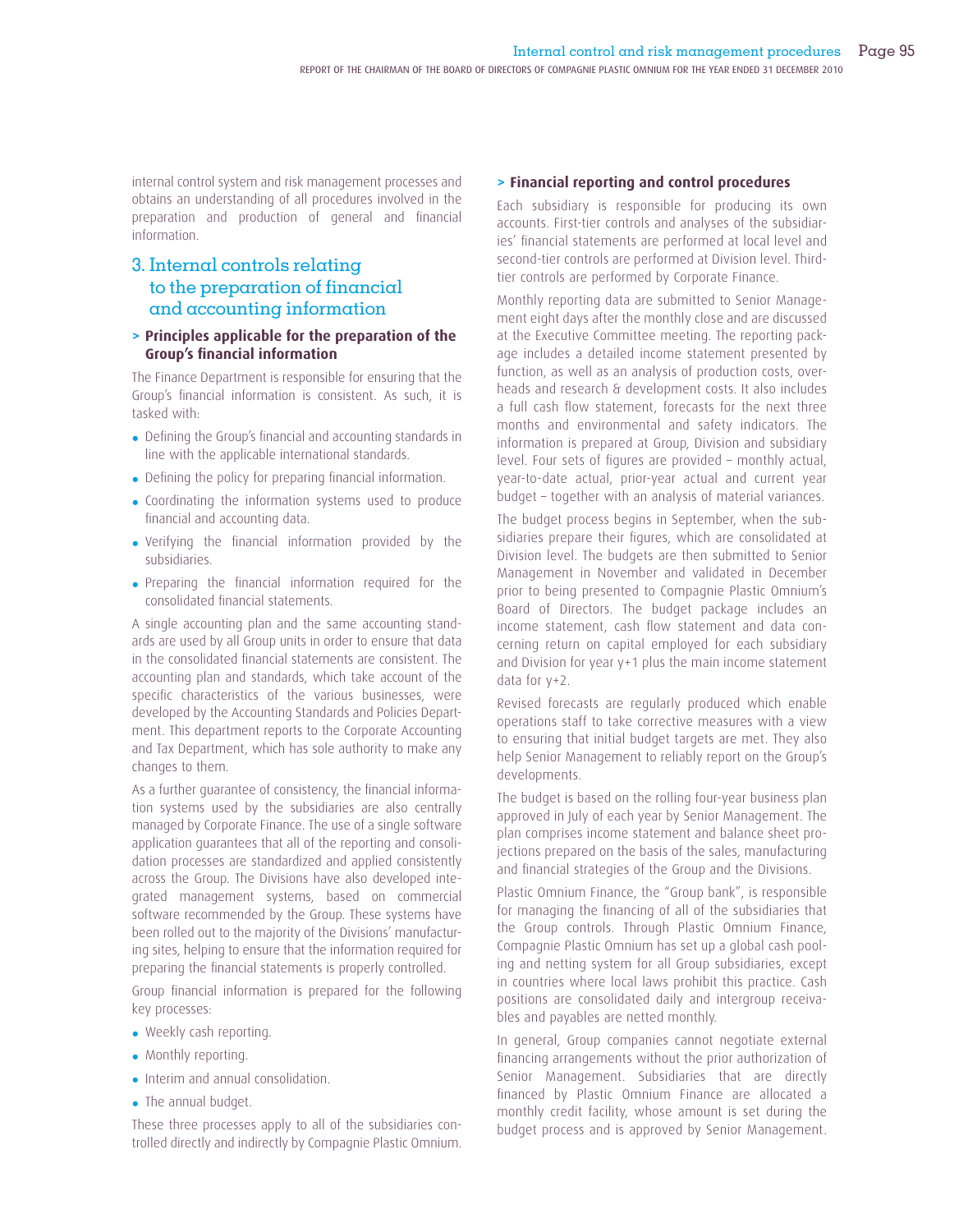internal control system and risk management processes and obtains an understanding of all procedures involved in the preparation and production of general and financial information.

## 3. Internal controls relating to the preparation of financial and accounting information

#### **> Principles applicable for the preparation of the Group's financial information**

The Finance Department is responsible for ensuring that the Group's financial information is consistent. As such, it is tasked with:

- Defining the Group's financial and accounting standards in line with the applicable international standards.
- Defining the policy for preparing financial information.
- Coordinating the information systems used to produce financial and accounting data.
- Verifying the financial information provided by the subsidiaries.
- Preparing the financial information required for the consolidated financial statements.

A single accounting plan and the same accounting standards are used by all Group units in order to ensure that data in the consolidated financial statements are consistent. The accounting plan and standards, which take account of the specific characteristics of the various businesses, were developed by the Accounting Standards and Policies Department. This department reports to the Corporate Accounting and Tax Department, which has sole authority to make any changes to them.

As a further quarantee of consistency, the financial information systems used by the subsidiaries are also centrally managed by Corporate Finance. The use of a single software application guarantees that all of the reporting and consolidation processes are standardized and applied consistently across the Group. The Divisions have also developed integrated management systems, based on commercial software recommended by the Group. These systems have been rolled out to the majority of the Divisions' manufacturing sites, helping to ensure that the information required for preparing the financial statements is properly controlled.

Group financial information is prepared for the following key processes:

- Weekly cash reporting.
- Monthly reporting.
- Interim and annual consolidation.
- The annual budget.

These three processes apply to all of the subsidiaries controlled directly and indirectly by Compagnie Plastic Omnium.

#### **> Financial reporting and control procedures**

Each subsidiary is responsible for producing its own accounts. First-tier controls and analyses of the subsidiaries' financial statements are performed at local level and second-tier controls are performed at Division level. Thirdtier controls are performed by Corporate Finance.

Monthly reporting data are submitted to Senior Management eight days after the monthly close and are discussed at the Executive Committee meeting. The reporting package includes a detailed income statement presented by function, as well as an analysis of production costs, overheads and research & development costs. It also includes a full cash flow statement, forecasts for the next three months and environmental and safety indicators. The information is prepared at Group, Division and subsidiary level. Four sets of figures are provided - monthly actual, year-to-date actual, prior-year actual and current year budget – together with an analysis of material variances.

The budget process begins in September, when the subsidiaries prepare their figures, which are consolidated at Division level. The budgets are then submitted to Senior Management in November and validated in December prior to being presented to Compagnie Plastic Omnium's Board of Directors. The budget package includes an income statement, cash flow statement and data concerning return on capital employed for each subsidiary and Division for year y+1 plus the main income statement data for y+2.

Revised forecasts are regularly produced which enable operations staff to take corrective measures with a view to ensuring that initial budget targets are met. They also help Senior Management to reliably report on the Group's developments.

The budget is based on the rolling four-year business plan approved in July of each year by Senior Management. The plan comprises income statement and balance sheet projections prepared on the basis of the sales, manufacturing and financial strategies of the Group and the Divisions.

Plastic Omnium Finance, the "Group bank", is responsible for managing the financing of all of the subsidiaries that the Group controls. Through Plastic Omnium Finance, Compagnie Plastic Omnium has set up a global cash pooling and netting system for all Group subsidiaries, except in countries where local laws prohibit this practice. Cash positions are consolidated daily and intergroup receivables and payables are netted monthly.

In general, Group companies cannot negotiate external financing arrangements without the prior authorization of Senior Management. Subsidiaries that are directly financed by Plastic Omnium Finance are allocated a monthly credit facility, whose amount is set during the budget process and is approved by Senior Management.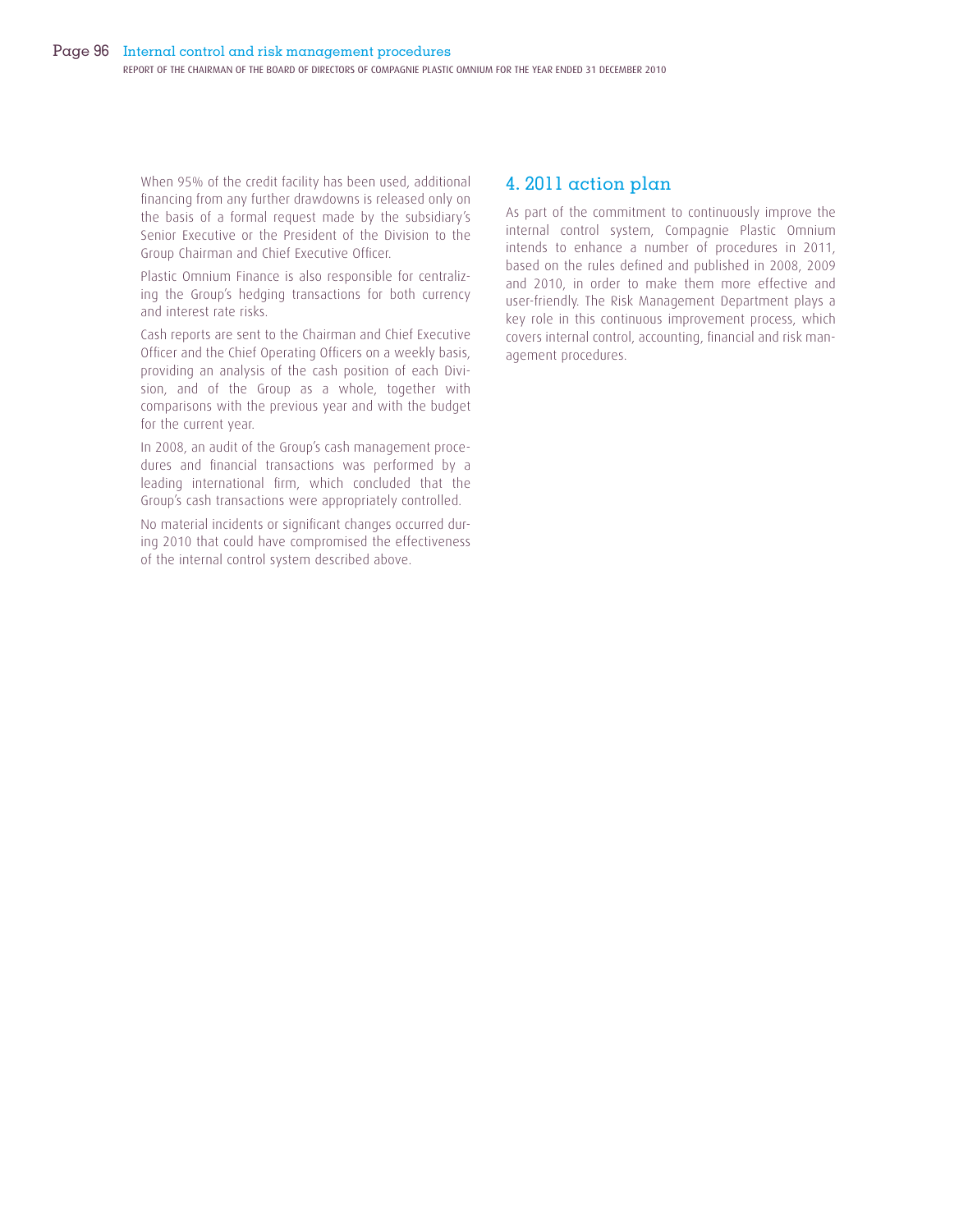When 95% of the credit facility has been used, additional financing from any further drawdowns is released only on the basis of a formal request made by the subsidiary's Senior Executive or the President of the Division to the Group Chairman and Chief Executive Officer.

Plastic Omnium Finance is also responsible for centralizing the Group's hedging transactions for both currency and interest rate risks.

Cash reports are sent to the Chairman and Chief Executive Officer and the Chief Operating Officers on a weekly basis, providing an analysis of the cash position of each Division, and of the Group as a whole, together with comparisons with the previous year and with the budget for the current year.

In 2008, an audit of the Group's cash management procedures and financial transactions was performed by a leading international firm, which concluded that the Group's cash transactions were appropriately controlled.

No material incidents or significant changes occurred during 2010 that could have compromised the effectiveness of the internal control system described above.

## 4. 2011 action plan

As part of the commitment to continuously improve the internal control system, Compagnie Plastic Omnium intends to enhance a number of procedures in 2011, based on the rules defined and published in 2008, 2009 and 2010, in order to make them more effective and user-friendly. The Risk Management Department plays a key role in this continuous improvement process, which covers internal control, accounting, financial and risk management procedures.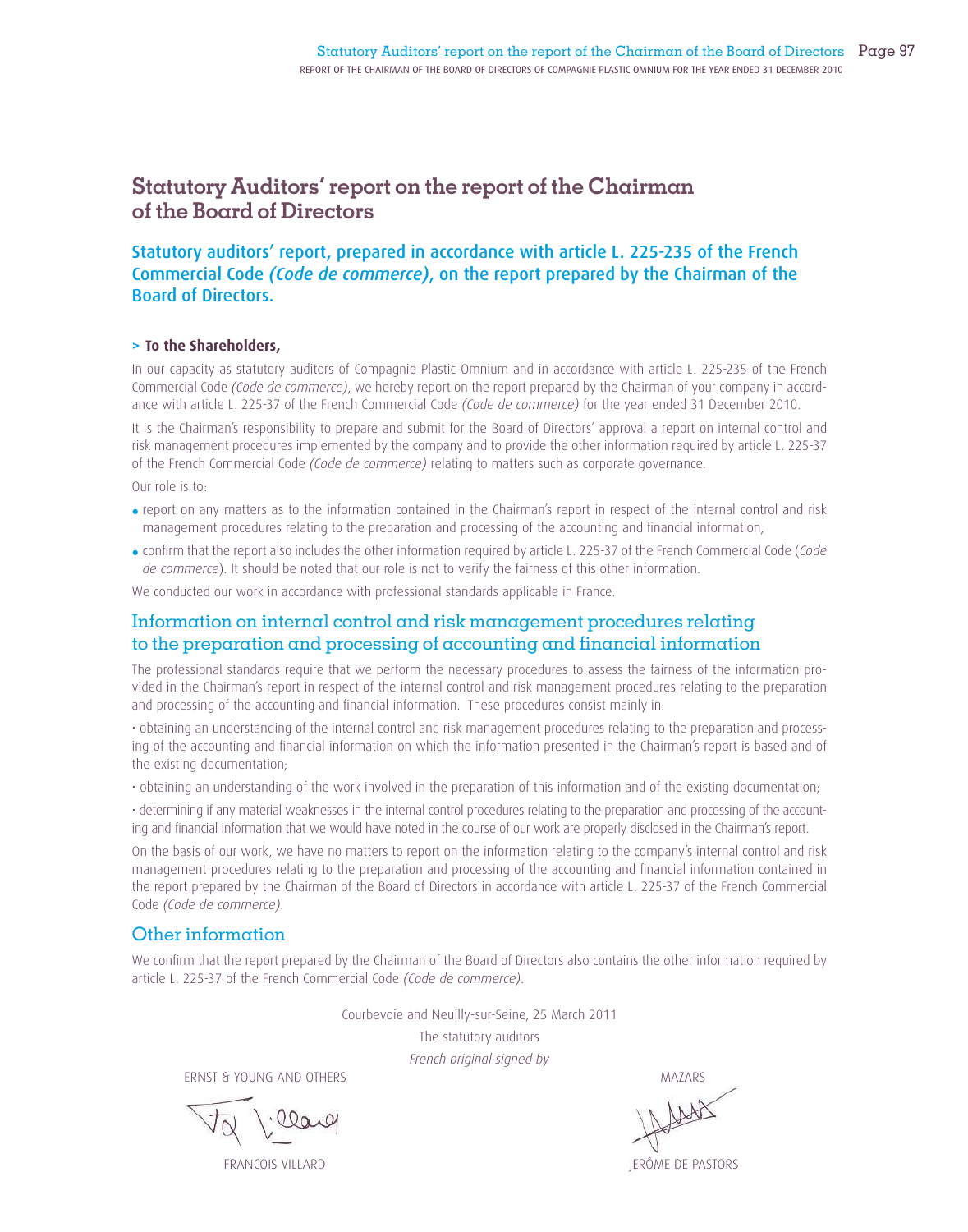# **Statutory Auditors' report on the report of the Chairman of the Board of Directors**

### Statutory auditors' report, prepared in accordance with article L. 225-235 of the French Commercial Code *(Code de commerce)*, on the report prepared by the Chairman of the Board of Directors.

#### **> To the Shareholders,**

In our capacity as statutory auditors of Compagnie Plastic Omnium and in accordance with article L. 225-235 of the French Commercial Code *(Code de commerce)*, we hereby report on the report prepared by the Chairman of your company in accordance with article L. 225-37 of the French Commercial Code *(Code de commerce)* for the year ended 31 December 2010.

It is the Chairman's responsibility to prepare and submit for the Board of Directors' approval a report on internal control and risk management procedures implemented by the company and to provide the other information required by article L. 225-37 of the French Commercial Code *(Code de commerce)* relating to matters such as corporate governance.

Our role is to:

- report on any matters as to the information contained in the Chairman's report in respect of the internal control and risk management procedures relating to the preparation and processing of the accounting and financial information,
- confirm that the report also includes the other information required by article L. 225-37 of the French Commercial Code (Code *de commerce*). It should be noted that our role is not to verify the fairness of this other information.

We conducted our work in accordance with professional standards applicable in France.

### Information on internal control and risk management procedures relating to the preparation and processing of accounting and financial information

The professional standards require that we perform the necessary procedures to assess the fairness of the information provided in the Chairman's report in respect of the internal control and risk management procedures relating to the preparation and processing of the accounting and financial information. These procedures consist mainly in:

• obtaining an understanding of the internal control and risk management procedures relating to the preparation and processing of the accounting and financial information on which the information presented in the Chairman's report is based and of the existing documentation;

• obtaining an understanding of the work involved in the preparation of this information and of the existing documentation;

• determining if any material weaknesses in the internal control procedures relating to the preparation and processing of the accounting and financial information that we would have noted in the course of our work are properly disclosed in the Chairman's report.

On the basis of our work, we have no matters to report on the information relating to the company's internal control and risk management procedures relating to the preparation and processing of the accounting and financial information contained in the report prepared by the Chairman of the Board of Directors in accordance with article L. 225-37 of the French Commercial Code *(Code de commerce)*.

### Other information

We confirm that the report prepared by the Chairman of the Board of Directors also contains the other information required by article L. 225-37 of the French Commercial Code *(Code de commerce)*.

Courbevoie and Neuilly-sur-Seine, 25 March 2011

The statutory auditors *French original signed by*

ERNST & YOUNG AND OTHERS MAZARS

FRANCOIS VILLARD JERÔME DE PASTORS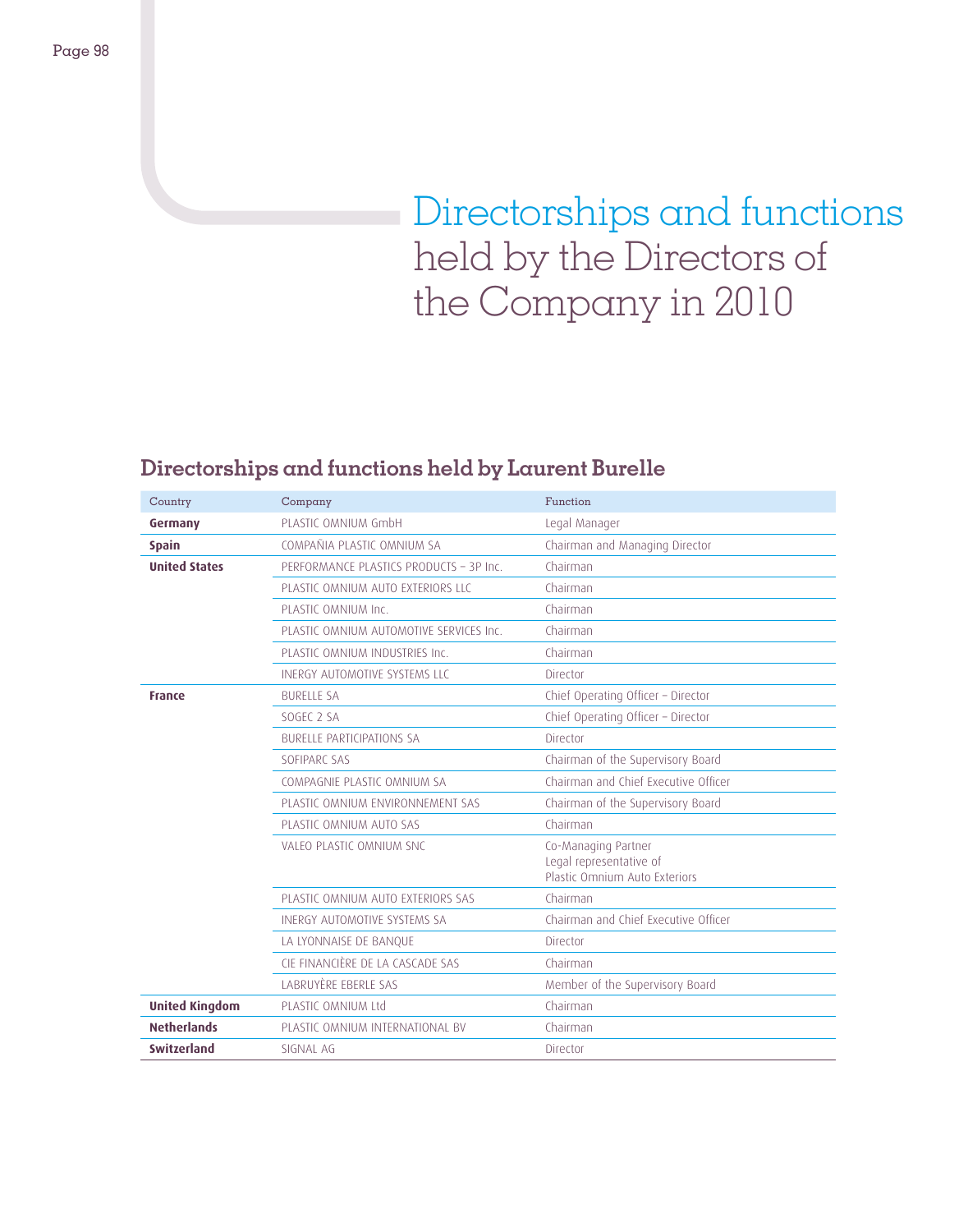# Directorships and functions held by the Directors of the Company in 2010

# **Directorships and functions held by Laurent Burelle**

| Country               | Company                                 | Function                                                 |
|-----------------------|-----------------------------------------|----------------------------------------------------------|
| Germany               | PLASTIC OMNIUM GmbH                     | Legal Manager                                            |
| <b>Spain</b>          | COMPAÑIA PLASTIC OMNIUM SA              | Chairman and Managing Director                           |
| <b>United States</b>  | PERFORMANCE PLASTICS PRODUCTS - 3P Inc. | Chairman                                                 |
|                       | PLASTIC OMNIUM AUTO EXTERIORS LLC       | Chairman                                                 |
|                       | PLASTIC OMNIUM Inc.                     | Chairman                                                 |
|                       | PLASTIC OMNIUM AUTOMOTIVE SERVICES Inc. | Chairman                                                 |
|                       | PLASTIC OMNIUM INDUSTRIES Inc.          | Chairman                                                 |
|                       | INERGY AUTOMOTIVE SYSTEMS LLC           | Director                                                 |
| <b>France</b>         | <b>BURFLIF SA</b>                       | Chief Operating Officer - Director                       |
|                       | SOGEC 2 SA                              | Chief Operating Officer - Director                       |
|                       | <b>BURFLLE PARTICIPATIONS SA</b>        | Director                                                 |
|                       | SOFIPARC SAS                            | Chairman of the Supervisory Board                        |
|                       | COMPAGNIE PLASTIC OMNIUM SA             | Chairman and Chief Executive Officer                     |
|                       | PLASTIC OMNIUM ENVIRONNEMENT SAS        | Chairman of the Supervisory Board                        |
|                       | PLASTIC OMNIUM AUTO SAS                 | Chairman                                                 |
|                       | VALEO PLASTIC OMNIUM SNC                | Co-Managing Partner                                      |
|                       |                                         | Legal representative of<br>Plastic Omnium Auto Exteriors |
|                       | PLASTIC OMNIUM AUTO EXTERIORS SAS       | Chairman                                                 |
|                       | INFRGY AUTOMOTIVE SYSTEMS SA            | Chairman and Chief Executive Officer                     |
|                       | LA LYONNAISE DE BANQUE                  | Director                                                 |
|                       | CIF FINANCIÈRE DE LA CASCADE SAS        | Chairman                                                 |
|                       | LABRUYÈRE EBERLE SAS                    | Member of the Supervisory Board                          |
| <b>United Kingdom</b> | PLASTIC OMNIUM Ltd                      | Chairman                                                 |
| <b>Netherlands</b>    | PLASTIC OMNIUM INTERNATIONAL BV         | Chairman                                                 |
| <b>Switzerland</b>    | SIGNAL AG                               | Director                                                 |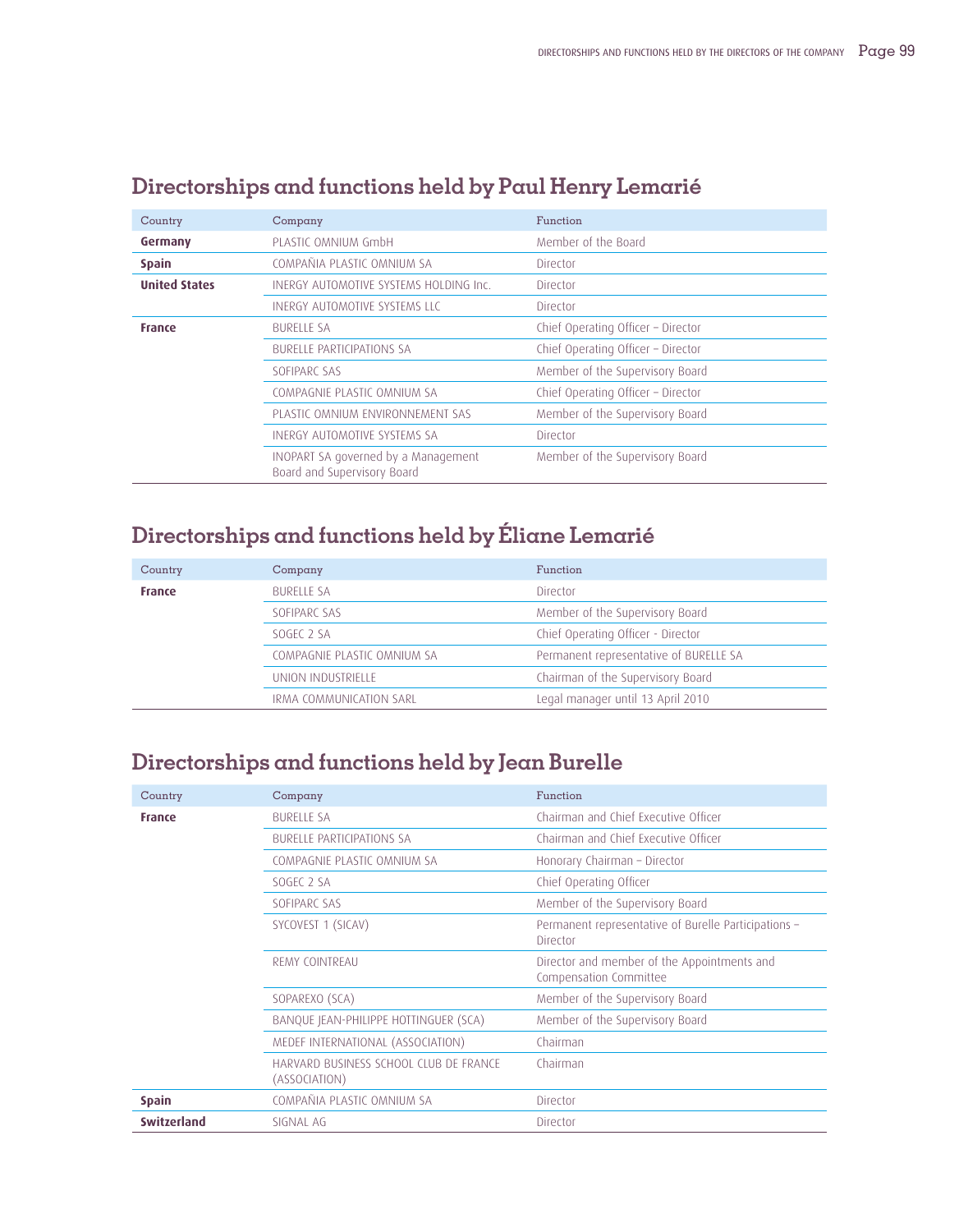| Country              | Company                                                            | Function                           |
|----------------------|--------------------------------------------------------------------|------------------------------------|
| Germany              | PLASTIC OMNIUM GmbH                                                | Member of the Board                |
| <b>Spain</b>         | COMPAÑIA PLASTIC OMNIUM SA                                         | Director                           |
| <b>United States</b> | INERGY AUTOMOTIVE SYSTEMS HOLDING Inc.                             | Director                           |
|                      | INERGY AUTOMOTIVE SYSTEMS LLC                                      | Director                           |
| <b>France</b>        | <b>BURELLE SA</b>                                                  | Chief Operating Officer - Director |
|                      | BURFLLE PARTICIPATIONS SA                                          | Chief Operating Officer - Director |
|                      | SOFIPARC SAS                                                       | Member of the Supervisory Board    |
|                      | COMPAGNIE PLASTIC OMNIUM SA                                        | Chief Operating Officer - Director |
|                      | PLASTIC OMNIUM ENVIRONNEMENT SAS                                   | Member of the Supervisory Board    |
|                      | INFRGY AUTOMOTIVE SYSTEMS SA                                       | Director                           |
|                      | INOPART SA governed by a Management<br>Board and Supervisory Board | Member of the Supervisory Board    |

# **Directorships and functions held by Paul Henry Lemarié**

# **Directorships and functions held by Éliane Lemarié**

| Country       | Company                     | Function                               |
|---------------|-----------------------------|----------------------------------------|
| <b>France</b> | <b>BURELLE SA</b>           | Director                               |
|               | SOFIPARC SAS                | Member of the Supervisory Board        |
|               | SOGEC <sub>2</sub> SA       | Chief Operating Officer - Director     |
|               | COMPAGNIE PLASTIC OMNIUM SA | Permanent representative of BURELLE SA |
|               | UNION INDUSTRIELLE          | Chairman of the Supervisory Board      |
|               | IRMA COMMUNICATION SARL     | Legal manager until 13 April 2010      |

# **Directorships and functions held by Jean Burelle**

| Country            | Company                                                 | Function                                                              |
|--------------------|---------------------------------------------------------|-----------------------------------------------------------------------|
| <b>France</b>      | <b>BURELLE SA</b>                                       | Chairman and Chief Executive Officer                                  |
|                    | <b>BURELLE PARTICIPATIONS SA</b>                        | Chairman and Chief Executive Officer                                  |
|                    | COMPAGNIE PLASTIC OMNIUM SA                             | Honorary Chairman - Director                                          |
|                    | SOGEC 2 SA                                              | Chief Operating Officer                                               |
|                    | SOFIPARC SAS                                            | Member of the Supervisory Board                                       |
|                    | SYCOVEST 1 (SICAV)                                      | Permanent representative of Burelle Participations -<br>Director      |
|                    | REMY COINTREAU                                          | Director and member of the Appointments and<br>Compensation Committee |
|                    | SOPAREXO (SCA)                                          | Member of the Supervisory Board                                       |
|                    | BANQUE JEAN-PHILIPPE HOTTINGUER (SCA)                   | Member of the Supervisory Board                                       |
|                    | MEDEF INTERNATIONAL (ASSOCIATION)                       | Chairman                                                              |
|                    | HARVARD BUSINESS SCHOOL CLUB DE FRANCE<br>(ASSOCIATION) | Chairman                                                              |
| <b>Spain</b>       | COMPAÑIA PLASTIC OMNIUM SA                              | Director                                                              |
| <b>Switzerland</b> | SIGNAL AG                                               | Director                                                              |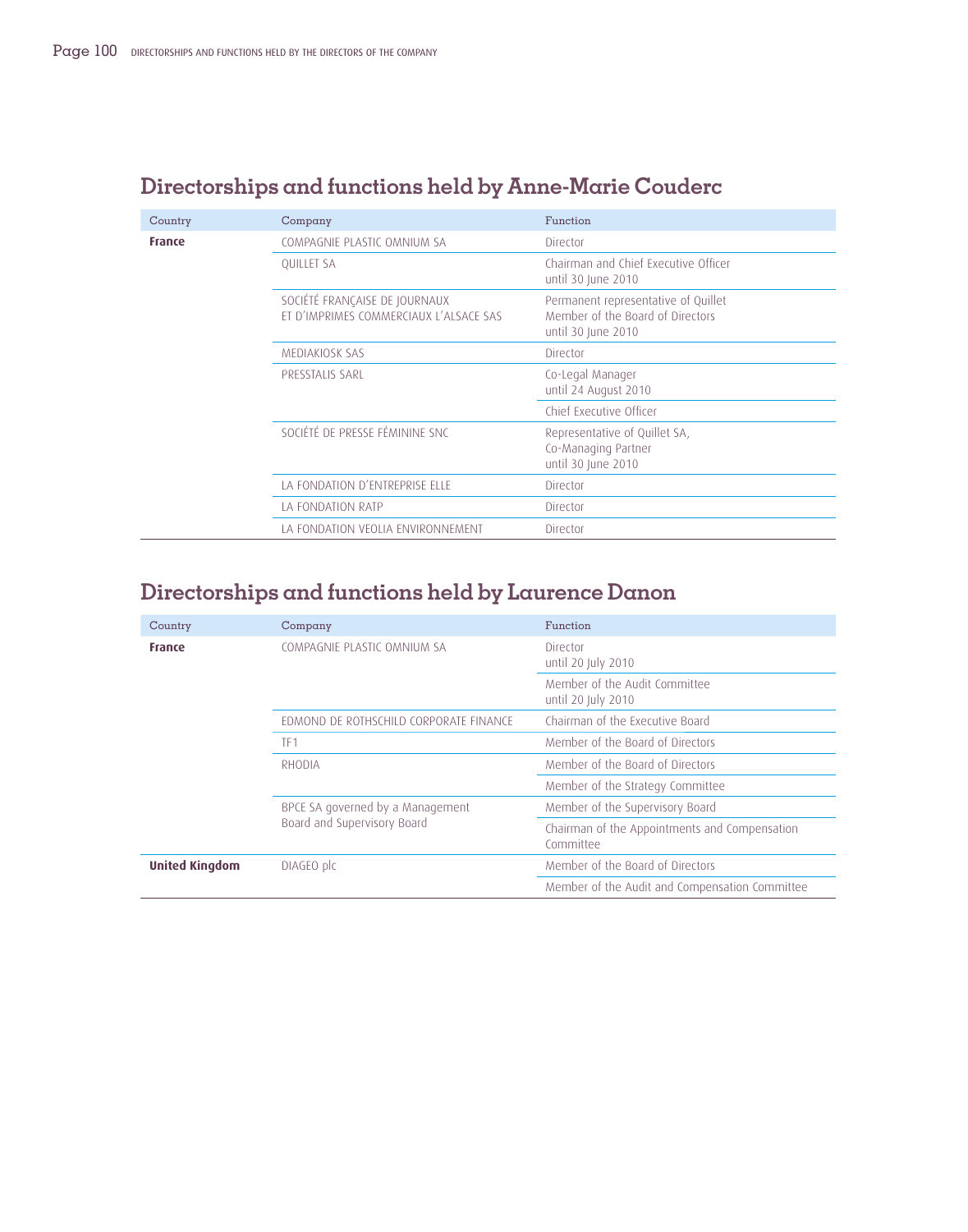| Country       | Company                                                                 | Function                                                                                      |
|---------------|-------------------------------------------------------------------------|-----------------------------------------------------------------------------------------------|
| <b>France</b> | COMPAGNIE PLASTIC OMNIUM SA                                             | Director                                                                                      |
|               | <b>QUILLET SA</b>                                                       | Chairman and Chief Executive Officer<br>until 30 June 2010                                    |
|               | SOCIÉTÉ FRANÇAISE DE JOURNAUX<br>ET D'IMPRIMES COMMERCIAUX L'ALSACE SAS | Permanent representative of Quillet<br>Member of the Board of Directors<br>until 30 June 2010 |
|               | MEDIAKIOSK SAS                                                          | Director                                                                                      |
|               | PRESSTALIS SARL                                                         | Co-Legal Manager<br>until 24 August 2010                                                      |
|               |                                                                         | Chief Executive Officer                                                                       |
|               | SOCIÉTÉ DE PRESSE FÉMININE SNC                                          | Representative of Quillet SA,<br>Co-Managing Partner<br>until 30 June 2010                    |
|               | LA FONDATION D'ENTREPRISE ELLE                                          | Director                                                                                      |
|               | LA FONDATION RATP                                                       | Director                                                                                      |
|               | LA FONDATION VEOLIA ENVIRONNEMENT                                       | Director                                                                                      |

# **Directorships and functions held by Anne-Marie Couderc**

# **Directorships and functions held by Laurence Danon**

| Country               | Company                                                         | Function                                                   |
|-----------------------|-----------------------------------------------------------------|------------------------------------------------------------|
| <b>France</b>         | COMPAGNIE PLASTIC OMNIUM SA                                     | Director<br>until 20 July 2010                             |
|                       |                                                                 | Member of the Audit Committee<br>until 20 July 2010        |
|                       | EDMOND DE ROTHSCHILD CORPORATE FINANCE                          | Chairman of the Executive Board                            |
|                       | TF <sub>1</sub>                                                 | Member of the Board of Directors                           |
|                       | RHODIA                                                          | Member of the Board of Directors                           |
|                       |                                                                 | Member of the Strategy Committee                           |
|                       | BPCE SA governed by a Management<br>Board and Supervisory Board | Member of the Supervisory Board                            |
|                       |                                                                 | Chairman of the Appointments and Compensation<br>Committee |
| <b>United Kingdom</b> | DIAGEO plc                                                      | Member of the Board of Directors                           |
|                       |                                                                 | Member of the Audit and Compensation Committee             |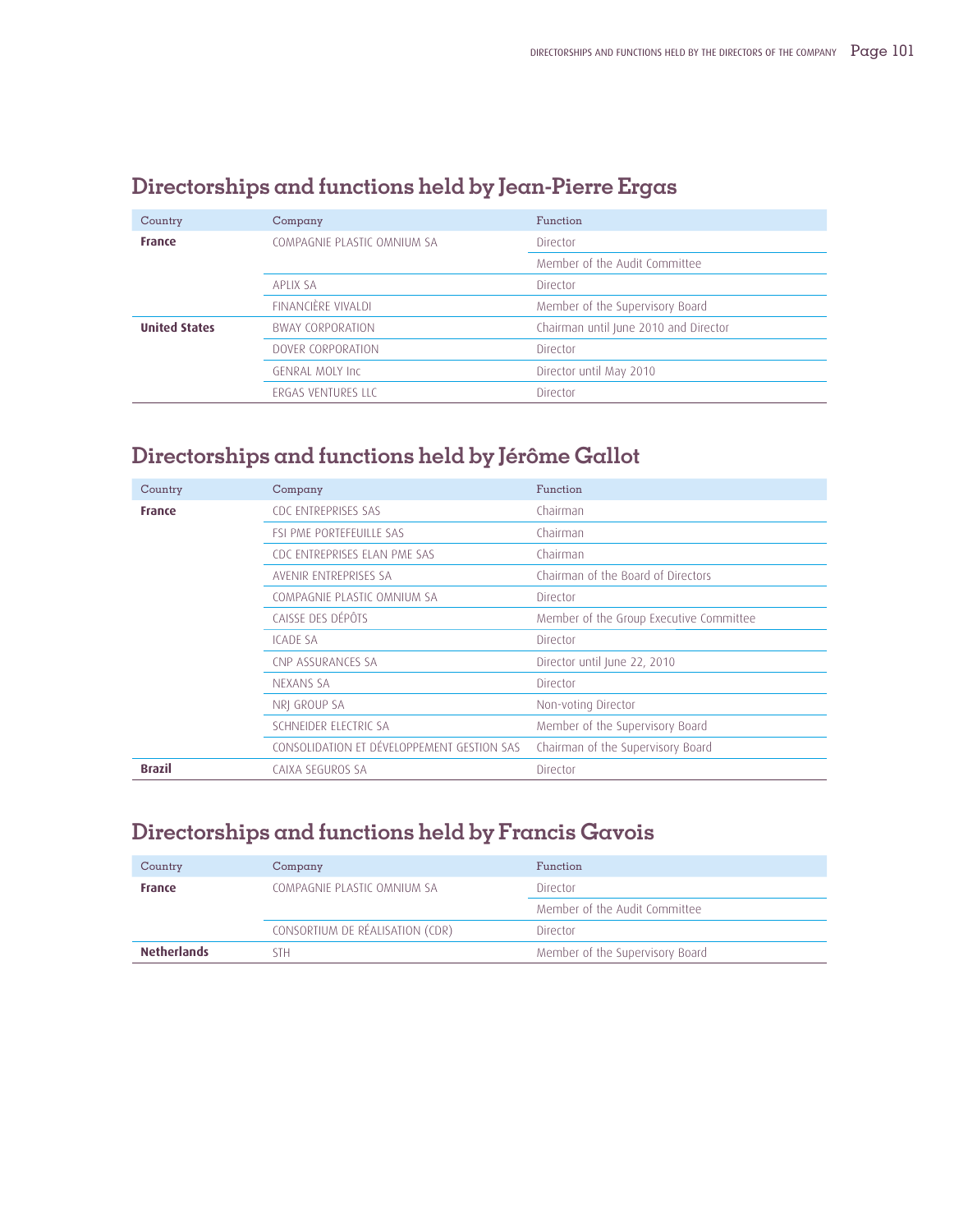| Country              | Company                     | Function                              |
|----------------------|-----------------------------|---------------------------------------|
| <b>France</b>        | COMPAGNIE PLASTIC OMNIUM SA | Director                              |
|                      |                             | Member of the Audit Committee         |
|                      | API IX SA                   | Director                              |
|                      | FINANCIÈRE VIVALDI          | Member of the Supervisory Board       |
| <b>United States</b> | <b>BWAY CORPORATION</b>     | Chairman until June 2010 and Director |
|                      | DOVER CORPORATION           | Director                              |
|                      | <b>GENRAL MOLY Inc.</b>     | Director until May 2010               |
|                      | <b>FRGAS VENTURES LLC</b>   | Director                              |

# **Directorships and functions held by Jean-Pierre Ergas**

# **Directorships and functions held by Jérôme Gallot**

| Country       | Company                                    | Function                                |
|---------------|--------------------------------------------|-----------------------------------------|
| <b>France</b> | CDC ENTREPRISES SAS                        | Chairman                                |
|               | <b>FSI PME PORTEFEUILLE SAS</b>            | Chairman                                |
|               | CDC ENTREPRISES ELAN PME SAS               | Chairman                                |
|               | AVENIR ENTREPRISES SA                      | Chairman of the Board of Directors      |
|               | COMPAGNIE PLASTIC OMNIUM SA                | Director                                |
|               | CAISSE DES DÉPÔTS                          | Member of the Group Executive Committee |
|               | <b>ICADE SA</b>                            | Director                                |
|               | CNP ASSURANCES SA                          | Director until June 22, 2010            |
|               | NEXANS SA                                  | Director                                |
|               | NRI GROUP SA                               | Non-voting Director                     |
|               | SCHNEIDER ELECTRIC SA                      | Member of the Supervisory Board         |
|               | CONSOLIDATION ET DÉVELOPPEMENT GESTION SAS | Chairman of the Supervisory Board       |
| <b>Brazil</b> | CAIXA SEGUROS SA                           | Director                                |

# **Directorships and functions held by Francis Gavois**

| Country            | Company                         | Function                        |
|--------------------|---------------------------------|---------------------------------|
| <b>France</b>      | COMPAGNIE PLASTIC OMNIUM SA     | Director                        |
|                    |                                 | Member of the Audit Committee   |
|                    | CONSORTIUM DE RÉALISATION (CDR) | Director                        |
| <b>Netherlands</b> | STH                             | Member of the Supervisory Board |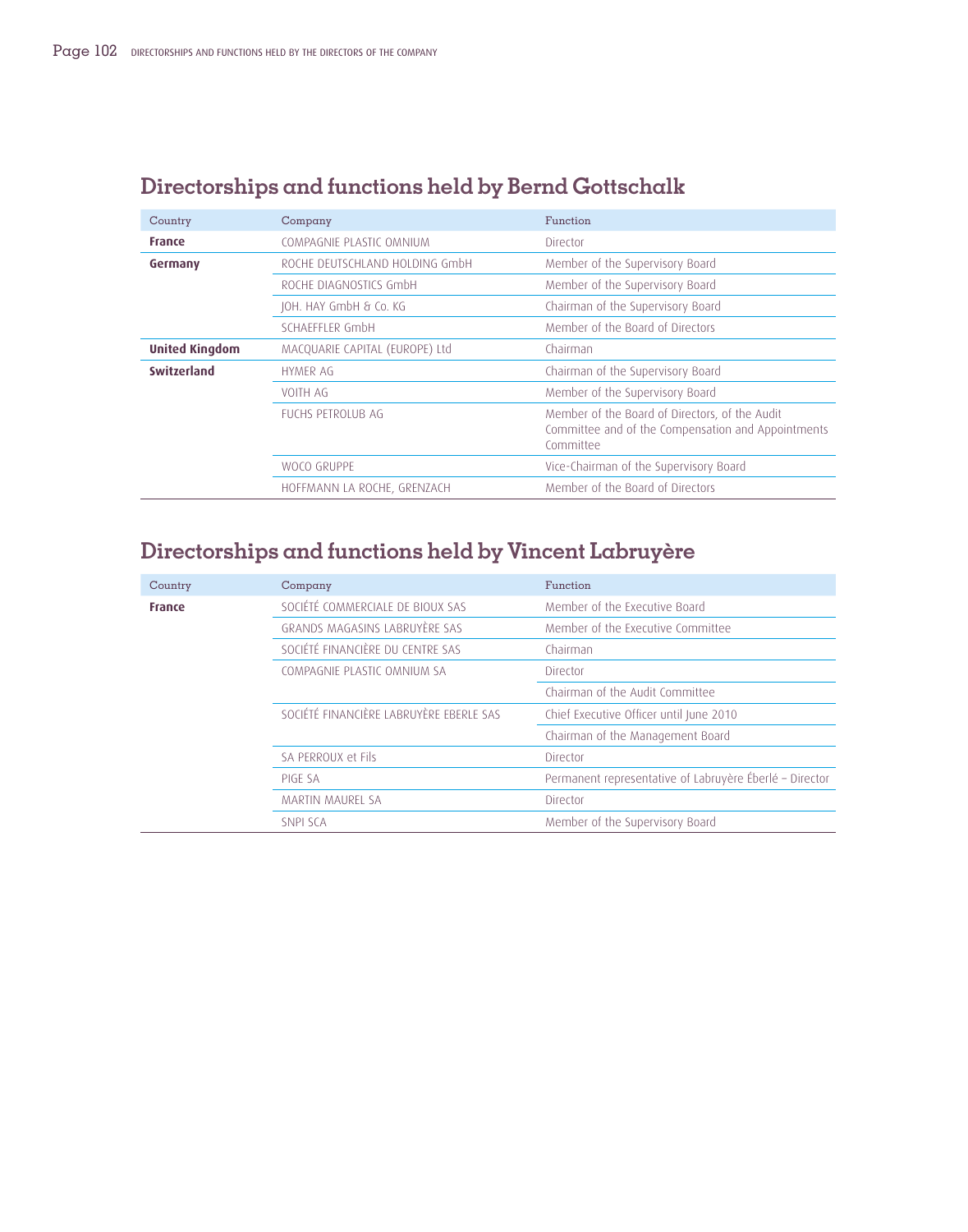| Country               | Company                        | Function                                                                                                          |
|-----------------------|--------------------------------|-------------------------------------------------------------------------------------------------------------------|
| <b>France</b>         | COMPAGNIE PLASTIC OMNIUM       | Director                                                                                                          |
| Germany               | ROCHE DEUTSCHLAND HOLDING GMDH | Member of the Supervisory Board                                                                                   |
|                       | ROCHE DIAGNOSTICS GmbH         | Member of the Supervisory Board                                                                                   |
|                       | JOH. HAY GmbH & Co. KG         | Chairman of the Supervisory Board                                                                                 |
|                       | SCHAFFFI FR GmbH               | Member of the Board of Directors                                                                                  |
| <b>United Kingdom</b> | MACQUARIE CAPITAL (EUROPE) Ltd | Chairman                                                                                                          |
| Switzerland           | <b>HYMER AG</b>                | Chairman of the Supervisory Board                                                                                 |
|                       | VOITH AG                       | Member of the Supervisory Board                                                                                   |
|                       | FUCHS PETROLUB AG              | Member of the Board of Directors, of the Audit<br>Committee and of the Compensation and Appointments<br>Committee |
|                       | WOCO GRUPPE                    | Vice-Chairman of the Supervisory Board                                                                            |
|                       | HOFFMANN LA ROCHE, GRENZACH    | Member of the Board of Directors                                                                                  |

# **Directorships and functions held by Bernd Gottschalk**

# **Directorships and functions held by Vincent Labruyère**

| Country       | Company                                 | Function                                                |
|---------------|-----------------------------------------|---------------------------------------------------------|
| <b>France</b> | SOCIÉTÉ COMMERCIALE DE BIOUX SAS        | Member of the Executive Board                           |
|               | GRANDS MAGASINS LABRUYÈRE SAS           | Member of the Executive Committee                       |
|               | SOCIÉTÉ FINANCIÈRE DU CENTRE SAS        | Chairman                                                |
|               | COMPAGNIE PLASTIC OMNIUM SA             | Director                                                |
|               |                                         | Chairman of the Audit Committee                         |
|               | SOCIÉTÉ FINANCIÈRE LABRUYÈRE EBERLE SAS | Chief Executive Officer until June 2010                 |
|               |                                         | Chairman of the Management Board                        |
|               | SA PERROUX et Fils                      | Director                                                |
|               | PIGE SA                                 | Permanent representative of Labruyère Éberlé - Director |
|               | MARTIN MAUREL SA                        | Director                                                |
|               | SNPI SCA                                | Member of the Supervisory Board                         |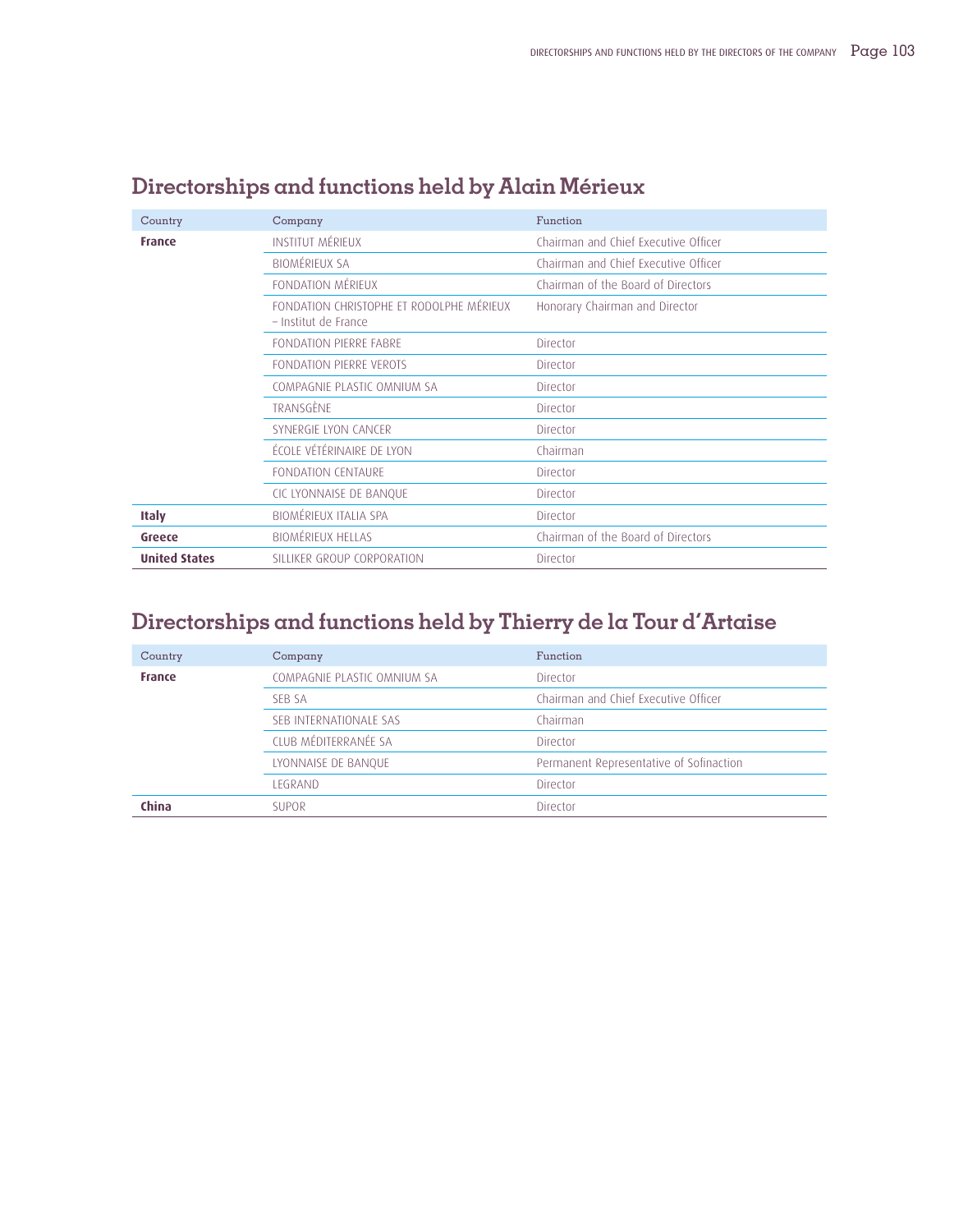| Country              | Company                                                          | Function                             |
|----------------------|------------------------------------------------------------------|--------------------------------------|
| <b>France</b>        | <b>INSTITUT MÉRIEUX</b>                                          | Chairman and Chief Executive Officer |
|                      | <b>BIOMÉRIEUX SA</b>                                             | Chairman and Chief Executive Officer |
|                      | FONDATION MÉRIFUX                                                | Chairman of the Board of Directors   |
|                      | FONDATION CHRISTOPHE ET RODOLPHE MÉRIEUX<br>- Institut de France | Honorary Chairman and Director       |
|                      | FONDATION PIERRE FABRE                                           | Director                             |
|                      | FONDATION PIERRE VEROTS                                          | Director                             |
|                      | COMPAGNIE PLASTIC OMNIUM SA                                      | Director                             |
|                      | TRANSGÈNE                                                        | Director                             |
|                      | SYNERGIE LYON CANCER                                             | Director                             |
|                      | ÉCOLE VÉTÉRINAIRE DE LYON                                        | Chairman                             |
|                      | <b>FONDATION CENTAURE</b>                                        | Director                             |
|                      | CIC LYONNAISE DE BANQUE                                          | Director                             |
| <b>Italy</b>         | BIOMÉRIEUX ITALIA SPA                                            | Director                             |
| Greece               | <b>BIOMÉRIEUX HELLAS</b>                                         | Chairman of the Board of Directors   |
| <b>United States</b> | SILLIKER GROUP CORPORATION                                       | Director                             |

# **Directorships and functions held by Alain Mérieux**

# **Directorships and functions held by Thierry de la Tour d'Artaise**

| Country       | Company                     | Function                                |
|---------------|-----------------------------|-----------------------------------------|
| <b>France</b> | COMPAGNIE PLASTIC OMNIUM SA | Director                                |
|               | SFB SA                      | Chairman and Chief Executive Officer    |
|               | SEB INTERNATIONALE SAS      | Chairman                                |
|               | CLUB MÉDITERRANÉE SA        | Director                                |
|               | LYONNAISE DE BANQUE         | Permanent Representative of Sofinaction |
|               | <b>I FGRAND</b>             | Director                                |
| China         | <b>SUPOR</b>                | Director                                |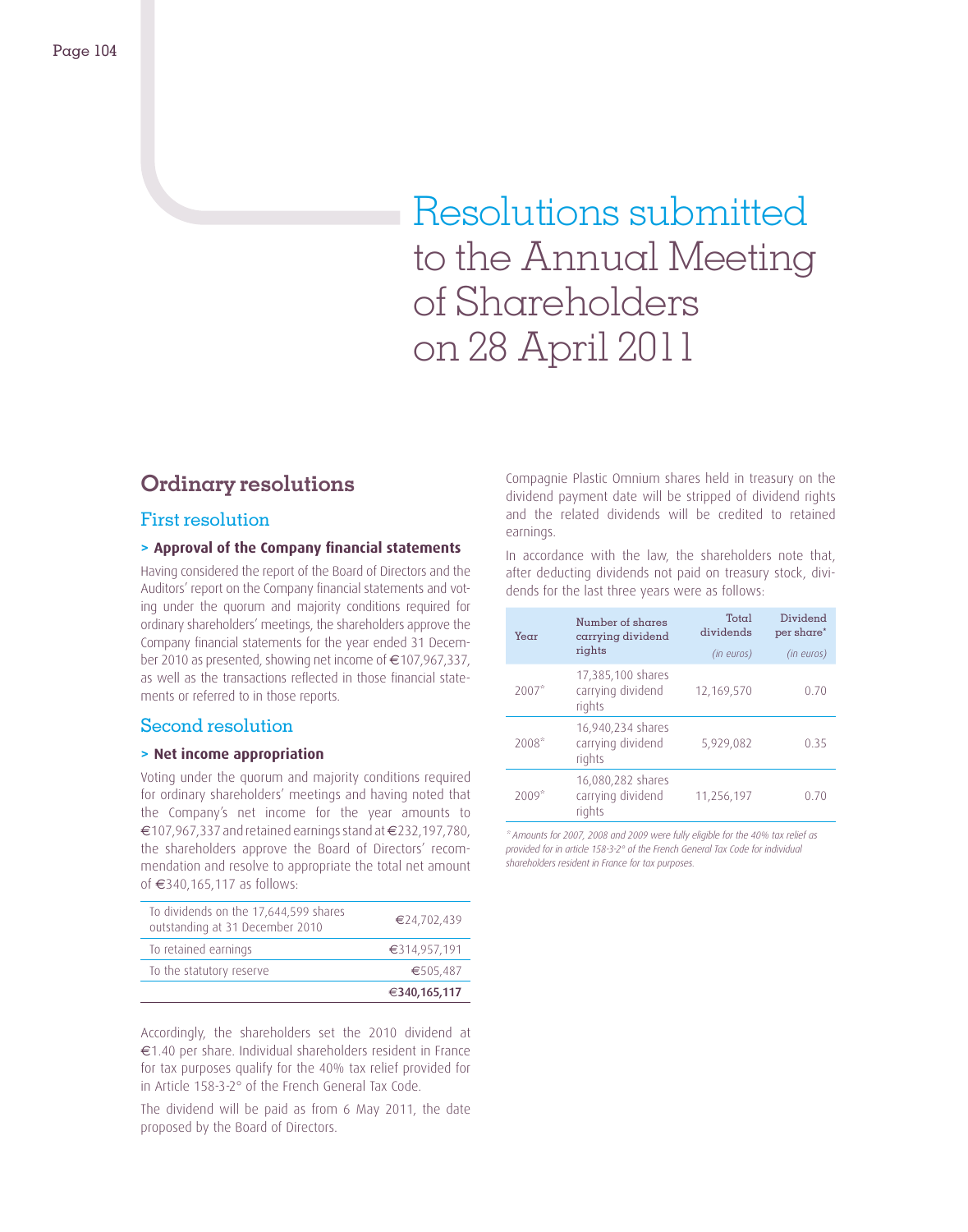# Resolutions submitted to the Annual Meeting of Shareholders on 28 April 2011

# **Ordinary resolutions**

### First resolution

#### **> Approval of the Company fi nancial statements**

Having considered the report of the Board of Directors and the Auditors' report on the Company financial statements and voting under the quorum and majority conditions required for ordinary shareholders' meetings, the shareholders approve the Company financial statements for the year ended 31 December 2010 as presented, showing net income of €107,967,337, as well as the transactions reflected in those financial statements or referred to in those reports.

### Second resolution

#### **> Net income appropriation**

Voting under the quorum and majority conditions required for ordinary shareholders' meetings and having noted that the Company's net income for the year amounts to €107,967,337 and retained earnings stand at €232,197,780, the shareholders approve the Board of Directors' recommendation and resolve to appropriate the total net amount of €340,165,117 as follows:

| To the statutory reserve                                                 | €505,487<br>€340,165,117 |
|--------------------------------------------------------------------------|--------------------------|
|                                                                          |                          |
| To retained earnings                                                     | €314,957,191             |
| To dividends on the 17,644,599 shares<br>outstanding at 31 December 2010 | €24,702,439              |

Accordingly, the shareholders set the 2010 dividend at €1.40 per share. Individual shareholders resident in France for tax purposes qualify for the 40% tax relief provided for in Article 158-3-2° of the French General Tax Code.

The dividend will be paid as from 6 May 2011, the date proposed by the Board of Directors.

Compagnie Plastic Omnium shares held in treasury on the dividend payment date will be stripped of dividend rights and the related dividends will be credited to retained earnings.

In accordance with the law, the shareholders note that, after deducting dividends not paid on treasury stock, dividends for the last three years were as follows:

| Number of shares<br>Year<br>carrying dividend |                                                  | Total<br>dividends | Dividend<br>per share* |
|-----------------------------------------------|--------------------------------------------------|--------------------|------------------------|
|                                               | rights                                           | (in euros)         | (in euros)             |
| $2007*$                                       | 17,385,100 shares<br>carrying dividend<br>rights | 12,169,570         | 0.70                   |
| $2008*$                                       | 16,940,234 shares<br>carrying dividend<br>rights | 5,929,082          | 0.35                   |
| $2009*$                                       | 16,080,282 shares<br>carrying dividend<br>rights | 11,256,197         | 0.70                   |

*\* Amounts for 2007, 2008 and 2009 were fully eligible for the 40% tax relief as provided for in article 158-3-2° of the French General Tax Code for individual shareholders resident in France for tax purposes.*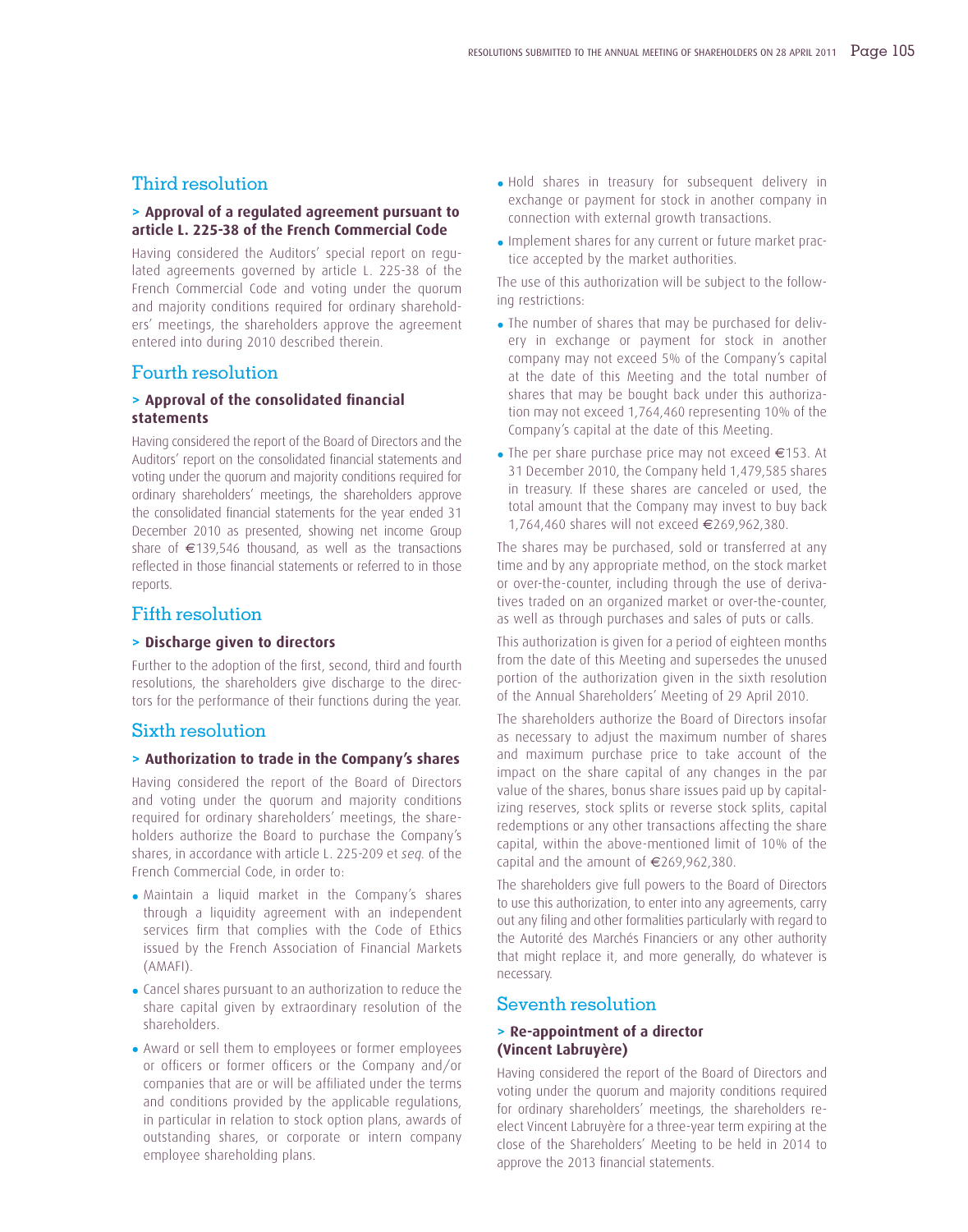### Third resolution

#### **> Approval of a regulated agreement pursuant to article L. 225-38 of the French Commercial Code**

Having considered the Auditors' special report on regulated agreements governed by article L. 225-38 of the French Commercial Code and voting under the quorum and majority conditions required for ordinary shareholders' meetings, the shareholders approve the agreement entered into during 2010 described therein.

#### Fourth resolution

#### **> Approval of the consolidated financial statements**

Having considered the report of the Board of Directors and the Auditors' report on the consolidated financial statements and voting under the quorum and majority conditions required for ordinary shareholders' meetings, the shareholders approve the consolidated financial statements for the year ended 31 December 2010 as presented, showing net income Group share of €139,546 thousand, as well as the transactions reflected in those financial statements or referred to in those reports.

### Fifth resolution

#### **> Discharge given to directors**

Further to the adoption of the first, second, third and fourth resolutions, the shareholders give discharge to the directors for the performance of their functions during the year.

#### Sixth resolution

#### **> Authorization to trade in the Company's shares**

Having considered the report of the Board of Directors and voting under the quorum and majority conditions required for ordinary shareholders' meetings, the shareholders authorize the Board to purchase the Company's shares, in accordance with article L. 225-209 et *seq.* of the French Commercial Code, in order to:

- Maintain a liquid market in the Company's shares through a liquidity agreement with an independent services firm that complies with the Code of Ethics issued by the French Association of Financial Markets (AMAFI).
- Cancel shares pursuant to an authorization to reduce the share capital given by extraordinary resolution of the shareholders.
- Award or sell them to employees or former employees or officers or former officers or the Company and/or companies that are or will be affiliated under the terms and conditions provided by the applicable regulations, in particular in relation to stock option plans, awards of outstanding shares, or corporate or intern company employee shareholding plans.
- Hold shares in treasury for subsequent delivery in exchange or payment for stock in another company in connection with external growth transactions.
- Implement shares for any current or future market practice accepted by the market authorities.

The use of this authorization will be subject to the following restrictions:

- The number of shares that may be purchased for delivery in exchange or payment for stock in another company may not exceed 5% of the Company's capital at the date of this Meeting and the total number of shares that may be bought back under this authorization may not exceed 1,764,460 representing 10% of the Company's capital at the date of this Meeting.
- The per share purchase price may not exceed €153. At 31 December 2010, the Company held 1,479,585 shares in treasury. If these shares are canceled or used, the total amount that the Company may invest to buy back 1,764,460 shares will not exceed €269,962,380.

The shares may be purchased, sold or transferred at any time and by any appropriate method, on the stock market or over-the-counter, including through the use of derivatives traded on an organized market or over-the-counter, as well as through purchases and sales of puts or calls.

This authorization is given for a period of eighteen months from the date of this Meeting and supersedes the unused portion of the authorization given in the sixth resolution of the Annual Shareholders' Meeting of 29 April 2010.

The shareholders authorize the Board of Directors insofar as necessary to adjust the maximum number of shares and maximum purchase price to take account of the impact on the share capital of any changes in the par value of the shares, bonus share issues paid up by capitalizing reserves, stock splits or reverse stock splits, capital redemptions or any other transactions affecting the share capital, within the above-mentioned limit of 10% of the capital and the amount of €269,962,380.

The shareholders give full powers to the Board of Directors to use this authorization, to enter into any agreements, carry out any filing and other formalities particularly with regard to the Autorité des Marchés Financiers or any other authority that might replace it, and more generally, do whatever is necessary.

### Seventh resolution

#### **> Re-appointment of a director (Vincent Labruyère)**

Having considered the report of the Board of Directors and voting under the quorum and majority conditions required for ordinary shareholders' meetings, the shareholders reelect Vincent Labruyère for a three-year term expiring at the close of the Shareholders' Meeting to be held in 2014 to approve the 2013 financial statements.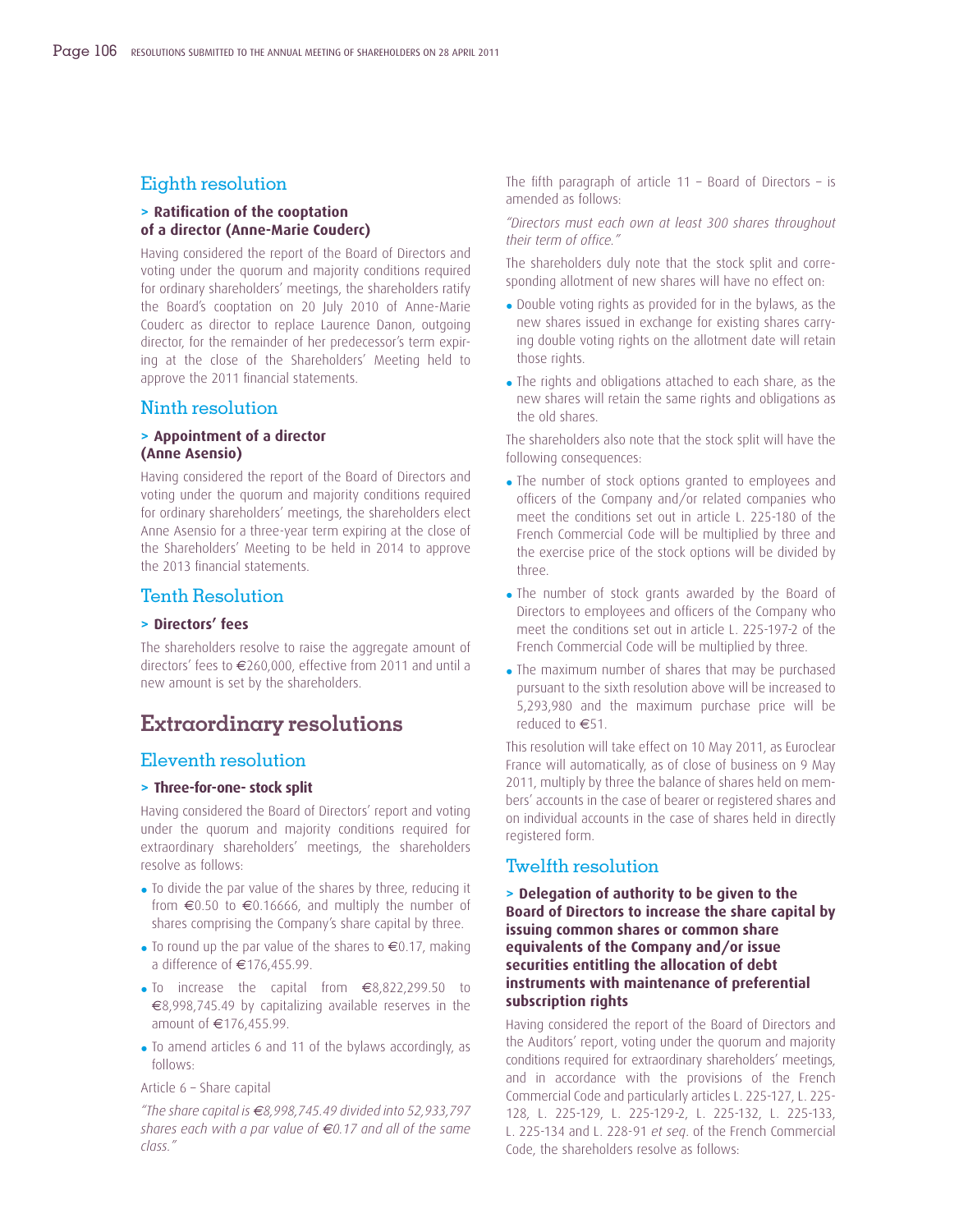### Eighth resolution

### **> Ratifi cation of the cooptation of a director (Anne-Marie Couderc)**

Having considered the report of the Board of Directors and voting under the quorum and majority conditions required for ordinary shareholders' meetings, the shareholders ratify the Board's cooptation on 20 July 2010 of Anne-Marie Couderc as director to replace Laurence Danon, outgoing director, for the remainder of her predecessor's term expiring at the close of the Shareholders' Meeting held to approve the 2011 financial statements.

#### Ninth resolution

#### **> Appointment of a director (Anne Asensio)**

Having considered the report of the Board of Directors and voting under the quorum and majority conditions required for ordinary shareholders' meetings, the shareholders elect Anne Asensio for a three-year term expiring at the close of the Shareholders' Meeting to be held in 2014 to approve the 2013 financial statements.

### Tenth Resolution

#### **> Directors' fees**

The shareholders resolve to raise the aggregate amount of directors' fees to €260,000, effective from 2011 and until a new amount is set by the shareholders.

### **Extraordinary resolutions**

### Eleventh resolution

#### **> Three-for-one- stock split**

Having considered the Board of Directors' report and voting under the quorum and majority conditions required for extraordinary shareholders' meetings, the shareholders resolve as follows:

- To divide the par value of the shares by three, reducing it from  $\epsilon$ 0.50 to  $\epsilon$ 0.16666, and multiply the number of shares comprising the Company's share capital by three.
- To round up the par value of the shares to  $\epsilon$ 0.17, making a difference of €176,455.99.
- To increase the capital from €8,822,299.50 to €8,998,745.49 by capitalizing available reserves in the amount of €176,455.99.
- To amend articles 6 and 11 of the bylaws accordingly, as follows:

#### Article 6 – Share capital

*"The share capital is €8,998,745.49 divided into 52,933,797 shares each with a par value of €0.17 and all of the same class."*

The fifth paragraph of article  $11 -$  Board of Directors – is amended as follows:

*"Directors must each own at least 300 shares throughout their term of office."*

The shareholders duly note that the stock split and corresponding allotment of new shares will have no effect on:

- Double voting rights as provided for in the bylaws, as the new shares issued in exchange for existing shares carrying double voting rights on the allotment date will retain those rights.
- The rights and obligations attached to each share, as the new shares will retain the same rights and obligations as the old shares.

The shareholders also note that the stock split will have the following consequences:

- The number of stock options granted to employees and officers of the Company and/or related companies who meet the conditions set out in article L. 225-180 of the French Commercial Code will be multiplied by three and the exercise price of the stock options will be divided by three.
- The number of stock grants awarded by the Board of Directors to employees and officers of the Company who meet the conditions set out in article L. 225-197-2 of the French Commercial Code will be multiplied by three.
- The maximum number of shares that may be purchased pursuant to the sixth resolution above will be increased to 5,293,980 and the maximum purchase price will be reduced to €51.

This resolution will take effect on 10 May 2011, as Euroclear France will automatically, as of close of business on 9 May 2011, multiply by three the balance of shares held on members' accounts in the case of bearer or registered shares and on individual accounts in the case of shares held in directly registered form.

### Twelfth resolution

#### **> Delegation of authority to be given to the Board of Directors to increase the share capital by issuing common shares or common share equivalents of the Company and/or issue securities entitling the allocation of debt instruments with maintenance of preferential subscription rights**

Having considered the report of the Board of Directors and the Auditors' report, voting under the quorum and majority conditions required for extraordinary shareholders' meetings, and in accordance with the provisions of the French Commercial Code and particularly articles L. 225-127, L. 225- 128, L. 225-129, L. 225-129-2, L. 225-132, L. 225-133, L. 225-134 and L. 228-91 *et seq*. of the French Commercial Code, the shareholders resolve as follows: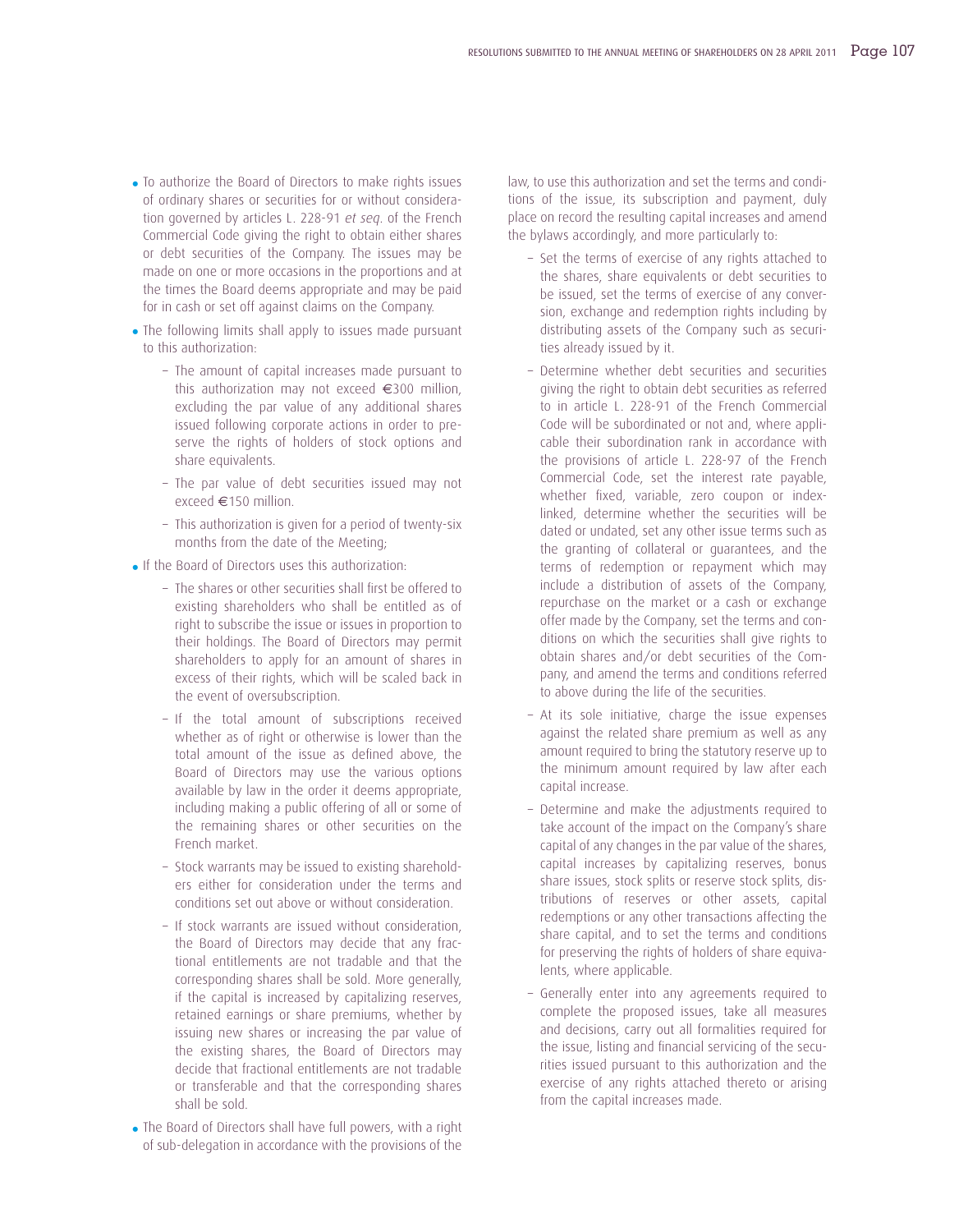- To authorize the Board of Directors to make rights issues of ordinary shares or securities for or without consideration governed by articles L. 228-91 *et seq*. of the French Commercial Code giving the right to obtain either shares or debt securities of the Company. The issues may be made on one or more occasions in the proportions and at the times the Board deems appropriate and may be paid for in cash or set off against claims on the Company.
- The following limits shall apply to issues made pursuant to this authorization:
	- The amount of capital increases made pursuant to this authorization may not exceed €300 million, excluding the par value of any additional shares issued following corporate actions in order to preserve the rights of holders of stock options and share equivalents.
	- The par value of debt securities issued may not exceed €150 million.
	- This authorization is given for a period of twenty-six months from the date of the Meeting;
- If the Board of Directors uses this authorization:
	- The shares or other securities shall first be offered to existing shareholders who shall be entitled as of right to subscribe the issue or issues in proportion to their holdings. The Board of Directors may permit shareholders to apply for an amount of shares in excess of their rights, which will be scaled back in the event of oversubscription.
	- If the total amount of subscriptions received whether as of right or otherwise is lower than the total amount of the issue as defined above, the Board of Directors may use the various options available by law in the order it deems appropriate, including making a public offering of all or some of the remaining shares or other securities on the French market.
	- Stock warrants may be issued to existing shareholders either for consideration under the terms and conditions set out above or without consideration.
	- If stock warrants are issued without consideration, the Board of Directors may decide that any fractional entitlements are not tradable and that the corresponding shares shall be sold. More generally, if the capital is increased by capitalizing reserves, retained earnings or share premiums, whether by issuing new shares or increasing the par value of the existing shares, the Board of Directors may decide that fractional entitlements are not tradable or transferable and that the corresponding shares shall be sold.
- The Board of Directors shall have full powers, with a right of sub-delegation in accordance with the provisions of the

law, to use this authorization and set the terms and conditions of the issue, its subscription and payment, duly place on record the resulting capital increases and amend the bylaws accordingly, and more particularly to:

- Set the terms of exercise of any rights attached to the shares, share equivalents or debt securities to be issued, set the terms of exercise of any conversion, exchange and redemption rights including by distributing assets of the Company such as securities already issued by it.
- Determine whether debt securities and securities giving the right to obtain debt securities as referred to in article L. 228-91 of the French Commercial Code will be subordinated or not and, where applicable their subordination rank in accordance with the provisions of article L. 228-97 of the French Commercial Code, set the interest rate payable, whether fixed, variable, zero coupon or indexlinked, determine whether the securities will be dated or undated, set any other issue terms such as the granting of collateral or guarantees, and the terms of redemption or repayment which may include a distribution of assets of the Company, repurchase on the market or a cash or exchange offer made by the Company, set the terms and conditions on which the securities shall give rights to obtain shares and/or debt securities of the Company, and amend the terms and conditions referred to above during the life of the securities.
- At its sole initiative, charge the issue expenses against the related share premium as well as any amount required to bring the statutory reserve up to the minimum amount required by law after each capital increase.
- Determine and make the adjustments required to take account of the impact on the Company's share capital of any changes in the par value of the shares, capital increases by capitalizing reserves, bonus share issues, stock splits or reserve stock splits, distributions of reserves or other assets, capital redemptions or any other transactions affecting the share capital, and to set the terms and conditions for preserving the rights of holders of share equivalents, where applicable.
- Generally enter into any agreements required to complete the proposed issues, take all measures and decisions, carry out all formalities required for the issue, listing and financial servicing of the securities issued pursuant to this authorization and the exercise of any rights attached thereto or arising from the capital increases made.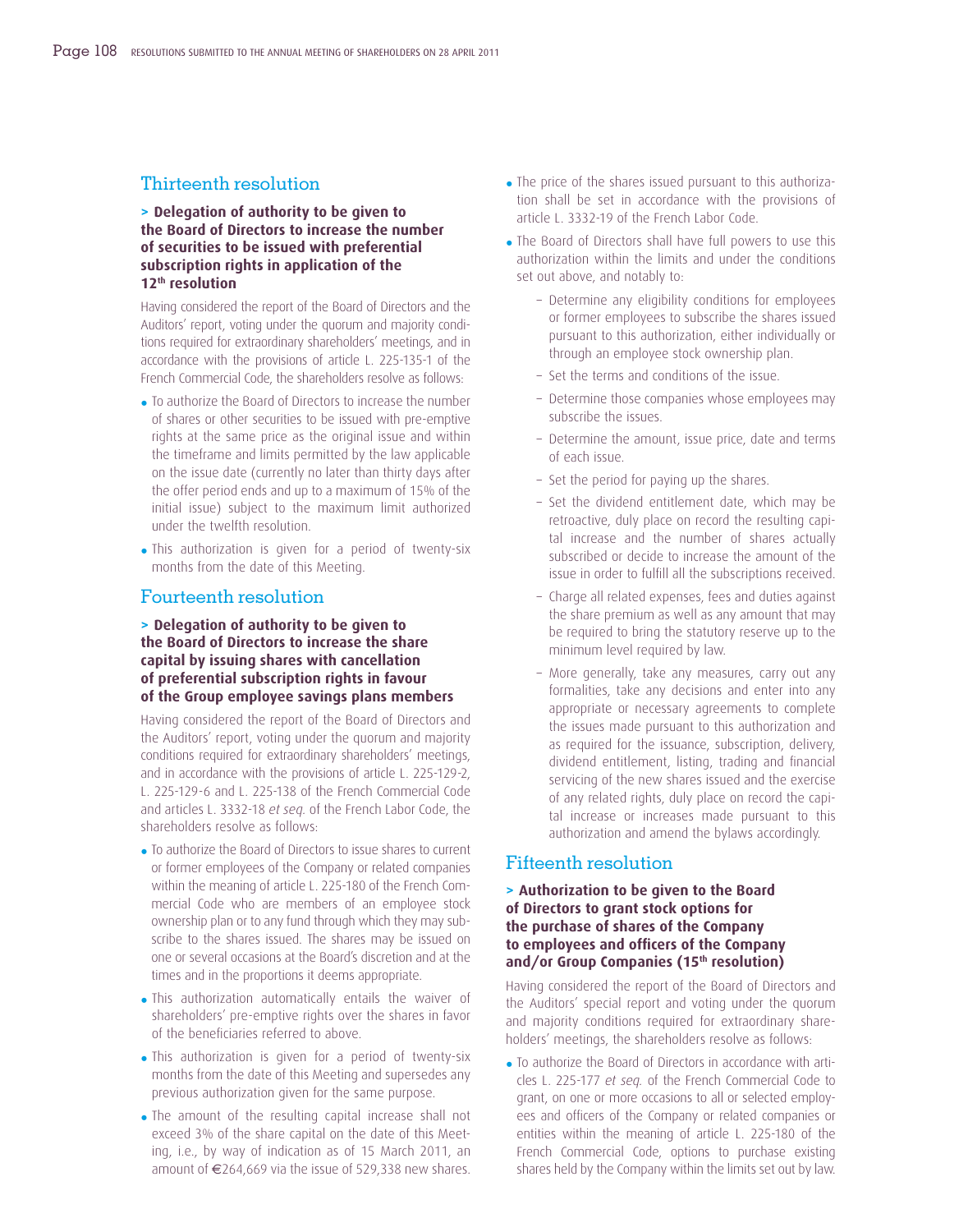### Thirteenth resolution

#### **> Delegation of authority to be given to the Board of Directors to increase the number of securities to be issued with preferential subscription rights in application of the 12th resolution**

Having considered the report of the Board of Directors and the Auditors' report, voting under the quorum and majority conditions required for extraordinary shareholders' meetings, and in accordance with the provisions of article L. 225-135-1 of the French Commercial Code, the shareholders resolve as follows:

- To authorize the Board of Directors to increase the number of shares or other securities to be issued with pre-emptive rights at the same price as the original issue and within the timeframe and limits permitted by the law applicable on the issue date (currently no later than thirty days after the offer period ends and up to a maximum of 15% of the initial issue) subject to the maximum limit authorized under the twelfth resolution.
- This authorization is given for a period of twenty-six months from the date of this Meeting.

### Fourteenth resolution

#### **> Delegation of authority to be given to the Board of Directors to increase the share capital by issuing shares with cancellation of preferential subscription rights in favour of the Group employee savings plans members**

Having considered the report of the Board of Directors and the Auditors' report, voting under the quorum and majority conditions required for extraordinary shareholders' meetings, and in accordance with the provisions of article L. 225-129-2, L. 225-129-6 and L. 225-138 of the French Commercial Code and articles L. 3332-18 *et seq.* of the French Labor Code, the shareholders resolve as follows:

- To authorize the Board of Directors to issue shares to current or former employees of the Company or related companies within the meaning of article L. 225-180 of the French Commercial Code who are members of an employee stock ownership plan or to any fund through which they may subscribe to the shares issued. The shares may be issued on one or several occasions at the Board's discretion and at the times and in the proportions it deems appropriate.
- This authorization automatically entails the waiver of shareholders' pre-emptive rights over the shares in favor of the beneficiaries referred to above.
- This authorization is given for a period of twenty-six months from the date of this Meeting and supersedes any previous authorization given for the same purpose.
- The amount of the resulting capital increase shall not exceed 3% of the share capital on the date of this Meeting, i.e., by way of indication as of 15 March 2011, an amount of €264,669 via the issue of 529,338 new shares.
- The price of the shares issued pursuant to this authorization shall be set in accordance with the provisions of article L. 3332-19 of the French Labor Code.
- The Board of Directors shall have full powers to use this authorization within the limits and under the conditions set out above, and notably to:
	- Determine any eligibility conditions for employees or former employees to subscribe the shares issued pursuant to this authorization, either individually or through an employee stock ownership plan.
	- Set the terms and conditions of the issue.
	- Determine those companies whose employees may subscribe the issues.
	- Determine the amount, issue price, date and terms of each issue.
	- Set the period for paying up the shares.
	- Set the dividend entitlement date, which may be retroactive, duly place on record the resulting capital increase and the number of shares actually subscribed or decide to increase the amount of the issue in order to fulfill all the subscriptions received.
	- Charge all related expenses, fees and duties against the share premium as well as any amount that may be required to bring the statutory reserve up to the minimum level required by law.
	- More generally, take any measures, carry out any formalities, take any decisions and enter into any appropriate or necessary agreements to complete the issues made pursuant to this authorization and as required for the issuance, subscription, delivery, dividend entitlement, listing, trading and financial servicing of the new shares issued and the exercise of any related rights, duly place on record the capital increase or increases made pursuant to this authorization and amend the bylaws accordingly.

### Fifteenth resolution

#### **> Authorization to be given to the Board of Directors to grant stock options for the purchase of shares of the Company** to employees and officers of the Company **and/or Group Companies (15th resolution)**

Having considered the report of the Board of Directors and the Auditors' special report and voting under the quorum and majority conditions required for extraordinary shareholders' meetings, the shareholders resolve as follows:

• To authorize the Board of Directors in accordance with articles L. 225-177 *et seq.* of the French Commercial Code to grant, on one or more occasions to all or selected employees and officers of the Company or related companies or entities within the meaning of article L. 225-180 of the French Commercial Code, options to purchase existing shares held by the Company within the limits set out by law.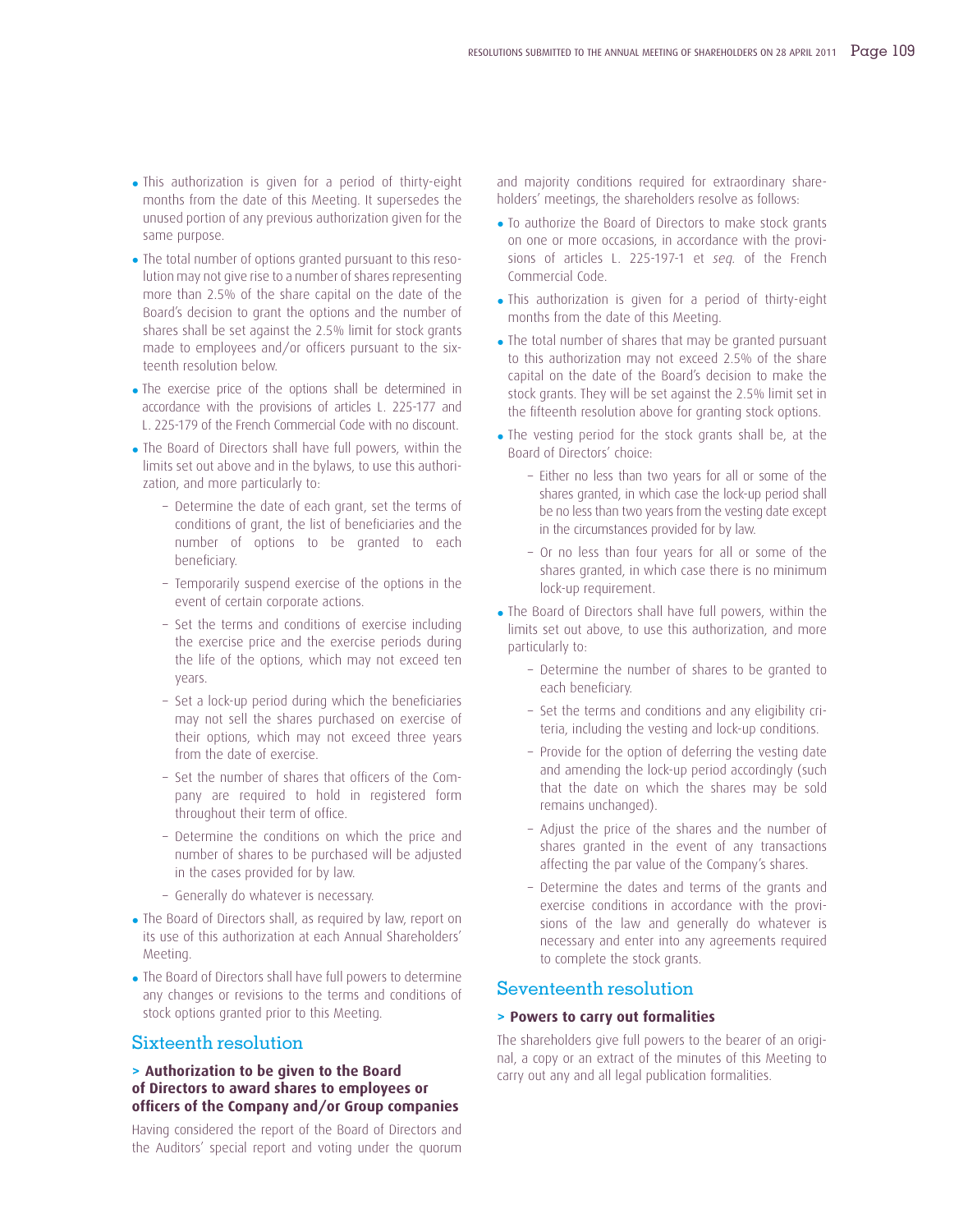- This authorization is given for a period of thirty-eight months from the date of this Meeting. It supersedes the unused portion of any previous authorization given for the same purpose.
- The total number of options granted pursuant to this resolution may not give rise to a number of shares representing more than 2.5% of the share capital on the date of the Board's decision to grant the options and the number of shares shall be set against the 2.5% limit for stock grants made to employees and/or officers pursuant to the sixteenth resolution below.
- The exercise price of the options shall be determined in accordance with the provisions of articles L. 225-177 and L. 225-179 of the French Commercial Code with no discount.
- The Board of Directors shall have full powers, within the limits set out above and in the bylaws, to use this authorization, and more particularly to:
	- Determine the date of each grant, set the terms of conditions of grant, the list of beneficiaries and the number of options to be granted to each beneficiary.
	- Temporarily suspend exercise of the options in the event of certain corporate actions.
	- Set the terms and conditions of exercise including the exercise price and the exercise periods during the life of the options, which may not exceed ten years.
	- Set a lock-up period during which the beneficiaries may not sell the shares purchased on exercise of their options, which may not exceed three years from the date of exercise.
	- Set the number of shares that officers of the Company are required to hold in registered form throughout their term of office.
	- Determine the conditions on which the price and number of shares to be purchased will be adjusted in the cases provided for by law.
	- Generally do whatever is necessary.
- The Board of Directors shall, as required by law, report on its use of this authorization at each Annual Shareholders' Meeting.
- The Board of Directors shall have full powers to determine any changes or revisions to the terms and conditions of stock options granted prior to this Meeting.

### Sixteenth resolution

#### **> Authorization to be given to the Board of Directors to award shares to employees or offi cers of the Company and/or Group companies**

Having considered the report of the Board of Directors and the Auditors' special report and voting under the quorum and majority conditions required for extraordinary shareholders' meetings, the shareholders resolve as follows:

- To authorize the Board of Directors to make stock grants on one or more occasions, in accordance with the provisions of articles L. 225-197-1 et *seq.* of the French Commercial Code.
- This authorization is given for a period of thirty-eight months from the date of this Meeting.
- The total number of shares that may be granted pursuant to this authorization may not exceed 2.5% of the share capital on the date of the Board's decision to make the stock grants. They will be set against the 2.5% limit set in the fifteenth resolution above for granting stock options.
- The vesting period for the stock grants shall be, at the Board of Directors' choice:
	- Either no less than two years for all or some of the shares granted, in which case the lock-up period shall be no less than two years from the vesting date except in the circumstances provided for by law.
	- Or no less than four years for all or some of the shares granted, in which case there is no minimum lock-up requirement.
- The Board of Directors shall have full powers, within the limits set out above, to use this authorization, and more particularly to:
	- Determine the number of shares to be granted to each beneficiary.
	- Set the terms and conditions and any eligibility criteria, including the vesting and lock-up conditions.
	- Provide for the option of deferring the vesting date and amending the lock-up period accordingly (such that the date on which the shares may be sold remains unchanged).
	- Adjust the price of the shares and the number of shares granted in the event of any transactions affecting the par value of the Company's shares.
	- Determine the dates and terms of the grants and exercise conditions in accordance with the provisions of the law and generally do whatever is necessary and enter into any agreements required to complete the stock grants.

### Seventeenth resolution

#### **> Powers to carry out formalities**

The shareholders give full powers to the bearer of an original, a copy or an extract of the minutes of this Meeting to carry out any and all legal publication formalities.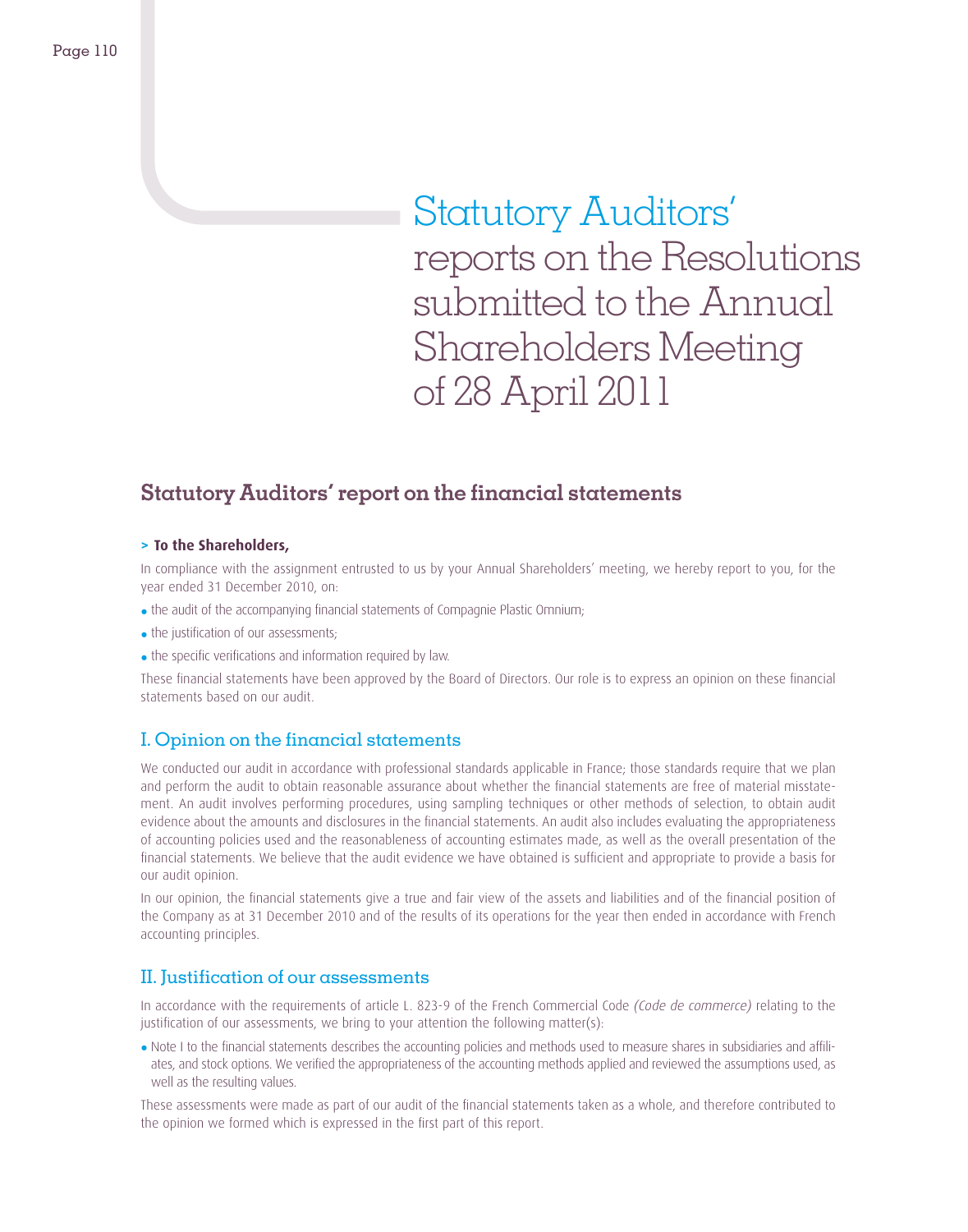Statutory Auditors' reports on the Resolutions submitted to the Annual Shareholders Meeting of 28 April 2011

# **Statutory Auditors' report on the financial statements**

#### **> To the Shareholders,**

In compliance with the assignment entrusted to us by your Annual Shareholders' meeting, we hereby report to you, for the year ended 31 December 2010, on:

- the audit of the accompanying financial statements of Compagnie Plastic Omnium;
- $\bullet$  the justification of our assessments:
- the specific verifications and information required by law.

These financial statements have been approved by the Board of Directors. Our role is to express an opinion on these financial statements based on our audit.

### I. Opinion on the financial statements

We conducted our audit in accordance with professional standards applicable in France; those standards require that we plan and perform the audit to obtain reasonable assurance about whether the financial statements are free of material misstatement. An audit involves performing procedures, using sampling techniques or other methods of selection, to obtain audit evidence about the amounts and disclosures in the financial statements. An audit also includes evaluating the appropriateness of accounting policies used and the reasonableness of accounting estimates made, as well as the overall presentation of the financial statements. We believe that the audit evidence we have obtained is sufficient and appropriate to provide a basis for our audit opinion.

In our opinion, the financial statements give a true and fair view of the assets and liabilities and of the financial position of the Company as at 31 December 2010 and of the results of its operations for the year then ended in accordance with French accounting principles.

### II. Justification of our assessments

In accordance with the requirements of article L. 823-9 of the French Commercial Code *(Code de commerce)* relating to the justification of our assessments, we bring to your attention the following matter(s):

• Note I to the financial statements describes the accounting policies and methods used to measure shares in subsidiaries and affiliates, and stock options. We verified the appropriateness of the accounting methods applied and reviewed the assumptions used, as well as the resulting values.

These assessments were made as part of our audit of the financial statements taken as a whole, and therefore contributed to the opinion we formed which is expressed in the first part of this report.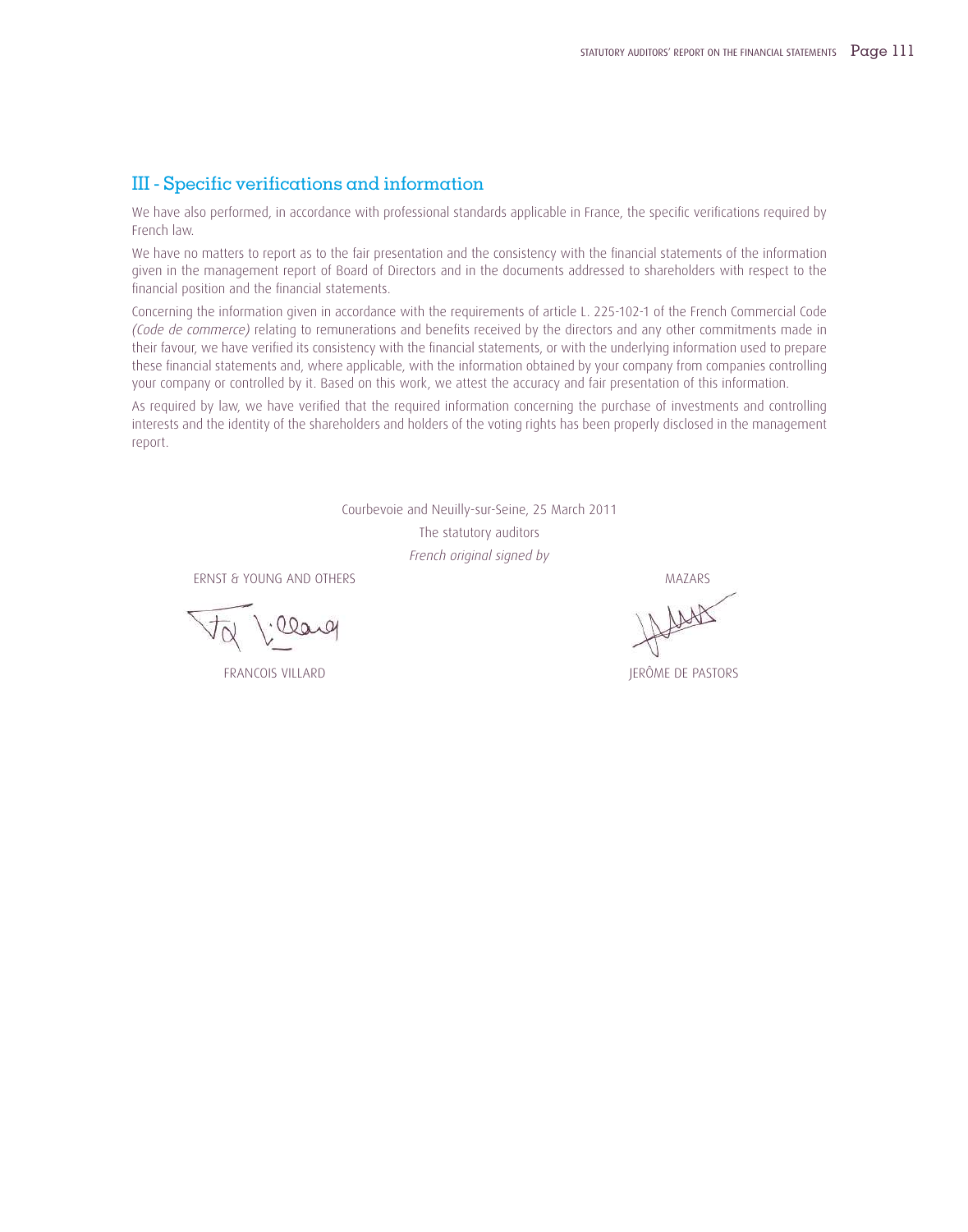### III - Specific verifications and information

We have also performed, in accordance with professional standards applicable in France, the specific verifications required by French law.

We have no matters to report as to the fair presentation and the consistency with the financial statements of the information given in the management report of Board of Directors and in the documents addressed to shareholders with respect to the financial position and the financial statements.

Concerning the information given in accordance with the requirements of article L. 225-102-1 of the French Commercial Code *(Code de commerce)* relating to remunerations and benefits received by the directors and any other commitments made in their favour, we have verified its consistency with the financial statements, or with the underlying information used to prepare these financial statements and, where applicable, with the information obtained by your company from companies controlling your company or controlled by it. Based on this work, we attest the accuracy and fair presentation of this information.

As required by law, we have verified that the required information concerning the purchase of investments and controlling interests and the identity of the shareholders and holders of the voting rights has been properly disclosed in the management report.

> Courbevoie and Neuilly-sur-Seine, 25 March 2011 The statutory auditors *French original signed by*

ERNST & YOUNG AND OTHERS THE SERIES OF THE SERIES AND STRUCK AND STRUCK AND STRUCK AND STRUCK AND STRUCK AND STRUCK AND STRUCK AND STRUCK AND STRUCK AND STRUCK AND STRUCK AND STRUCK AND STRUCK AND STRUCK AND STRUCK AND STR

FRANCOIS VILLARD JERÔME DE PASTORS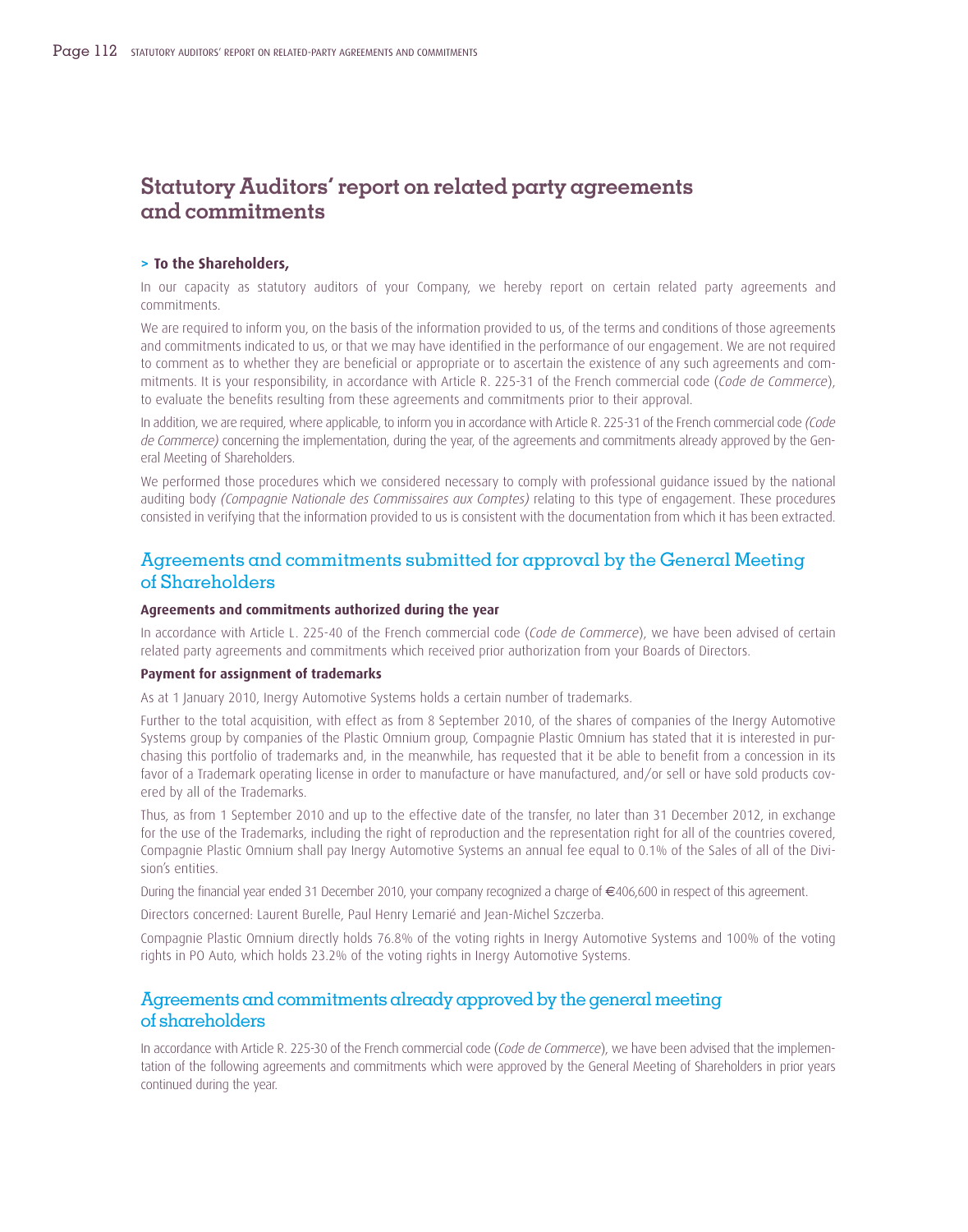# **Statutory Auditors' report on related party agreements and commitments**

#### **> To the Shareholders,**

In our capacity as statutory auditors of your Company, we hereby report on certain related party agreements and commitments.

We are required to inform you, on the basis of the information provided to us, of the terms and conditions of those agreements and commitments indicated to us, or that we may have identified in the performance of our engagement. We are not required to comment as to whether they are beneficial or appropriate or to ascertain the existence of any such agreements and commitments. It is your responsibility, in accordance with Article R. 225-31 of the French commercial code (*Code de Commerce*), to evaluate the benefits resulting from these agreements and commitments prior to their approval.

In addition, we are required, where applicable, to inform you in accordance with Article R. 225-31 of the French commercial code *(Code de Commerce)* concerning the implementation, during the year, of the agreements and commitments already approved by the General Meeting of Shareholders.

We performed those procedures which we considered necessary to comply with professional guidance issued by the national auditing body *(Compagnie Nationale des Commissaires aux Comptes)* relating to this type of engagement. These procedures consisted in verifying that the information provided to us is consistent with the documentation from which it has been extracted.

### Agreements and commitments submitted for approval by the General Meeting of Shareholders

#### **Agreements and commitments authorized during the year**

In accordance with Article L. 225-40 of the French commercial code (*Code de Commerce*), we have been advised of certain related party agreements and commitments which received prior authorization from your Boards of Directors.

#### **Payment for assignment of trademarks**

As at 1 January 2010, Inergy Automotive Systems holds a certain number of trademarks.

Further to the total acquisition, with effect as from 8 September 2010, of the shares of companies of the Inergy Automotive Systems group by companies of the Plastic Omnium group, Compagnie Plastic Omnium has stated that it is interested in purchasing this portfolio of trademarks and, in the meanwhile, has requested that it be able to benefit from a concession in its favor of a Trademark operating license in order to manufacture or have manufactured, and/or sell or have sold products covered by all of the Trademarks.

Thus, as from 1 September 2010 and up to the effective date of the transfer, no later than 31 December 2012, in exchange for the use of the Trademarks, including the right of reproduction and the representation right for all of the countries covered, Compagnie Plastic Omnium shall pay Inergy Automotive Systems an annual fee equal to 0.1% of the Sales of all of the Division's entities.

During the financial year ended 31 December 2010, your company recognized a charge of €406,600 in respect of this agreement.

Directors concerned: Laurent Burelle, Paul Henry Lemarié and Jean-Michel Szczerba.

Compagnie Plastic Omnium directly holds 76.8% of the voting rights in Inergy Automotive Systems and 100% of the voting rights in PO Auto, which holds 23.2% of the voting rights in Inergy Automotive Systems.

### Agreements and commitments already approved by the general meeting of shareholders

In accordance with Article R. 225-30 of the French commercial code (*Code de Commerce*), we have been advised that the implementation of the following agreements and commitments which were approved by the General Meeting of Shareholders in prior years continued during the year.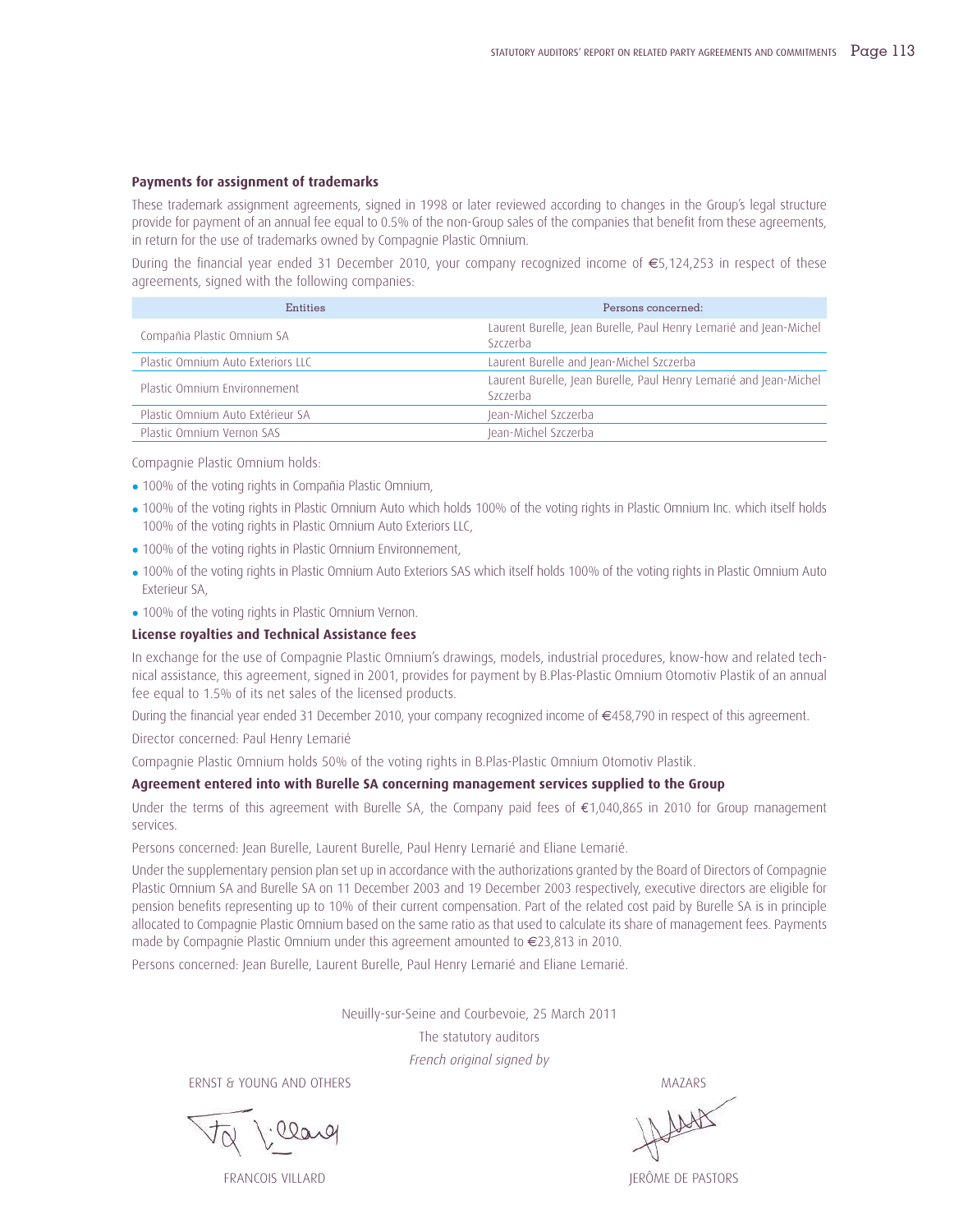#### **Payments for assignment of trademarks**

These trademark assignment agreements, signed in 1998 or later reviewed according to changes in the Group's legal structure provide for payment of an annual fee equal to 0.5% of the non-Group sales of the companies that benefit from these agreements, in return for the use of trademarks owned by Compagnie Plastic Omnium.

During the financial year ended 31 December 2010, your company recognized income of €5,124,253 in respect of these agreements, signed with the following companies:

| Entities                          | Persons concerned:                                                            |
|-----------------------------------|-------------------------------------------------------------------------------|
| Compañia Plastic Omnium SA        | Laurent Burelle, Jean Burelle, Paul Henry Lemarié and Jean-Michel<br>Szczerba |
| Plastic Omnium Auto Exteriors LLC | Laurent Burelle and Jean-Michel Szczerba                                      |
| Plastic Omnium Environnement      | Laurent Burelle, Jean Burelle, Paul Henry Lemarié and Jean-Michel<br>Szczerba |
| Plastic Omnium Auto Extérieur SA  | Jean-Michel Szczerba                                                          |
| Plastic Omnium Vernon SAS         | Jean-Michel Szczerba                                                          |

Compagnie Plastic Omnium holds:

- 100% of the voting rights in Compañia Plastic Omnium,
- 100% of the voting rights in Plastic Omnium Auto which holds 100% of the voting rights in Plastic Omnium Inc. which itself holds 100% of the voting rights in Plastic Omnium Auto Exteriors LLC,
- 100% of the voting rights in Plastic Omnium Environnement,
- 100% of the voting rights in Plastic Omnium Auto Exteriors SAS which itself holds 100% of the voting rights in Plastic Omnium Auto Exterieur SA,
- 100% of the voting rights in Plastic Omnium Vernon.

#### **License royalties and Technical Assistance fees**

In exchange for the use of Compagnie Plastic Omnium's drawings, models, industrial procedures, know-how and related technical assistance, this agreement, signed in 2001, provides for payment by B.Plas-Plastic Omnium Otomotiv Plastik of an annual fee equal to 1.5% of its net sales of the licensed products.

During the financial year ended 31 December 2010, your company recognized income of €458,790 in respect of this agreement.

Director concerned: Paul Henry Lemarié

Compagnie Plastic Omnium holds 50% of the voting rights in B.Plas-Plastic Omnium Otomotiv Plastik.

#### **Agreement entered into with Burelle SA concerning management services supplied to the Group**

Under the terms of this agreement with Burelle SA, the Company paid fees of €1,040,865 in 2010 for Group management services.

Persons concerned: Jean Burelle, Laurent Burelle, Paul Henry Lemarié and Eliane Lemarié.

Under the supplementary pension plan set up in accordance with the authorizations granted by the Board of Directors of Compagnie Plastic Omnium SA and Burelle SA on 11 December 2003 and 19 December 2003 respectively, executive directors are eligible for pension benefits representing up to 10% of their current compensation. Part of the related cost paid by Burelle SA is in principle allocated to Compagnie Plastic Omnium based on the same ratio as that used to calculate its share of management fees. Payments made by Compagnie Plastic Omnium under this agreement amounted to €23,813 in 2010.

Persons concerned: Jean Burelle, Laurent Burelle, Paul Henry Lemarié and Eliane Lemarié.

Neuilly-sur-Seine and Courbevoie, 25 March 2011

The statutory auditors *French original signed by*

ERNST & YOUNG AND OTHERS MAZARS

FRANCOIS VILLARD JERÔME DE PASTORS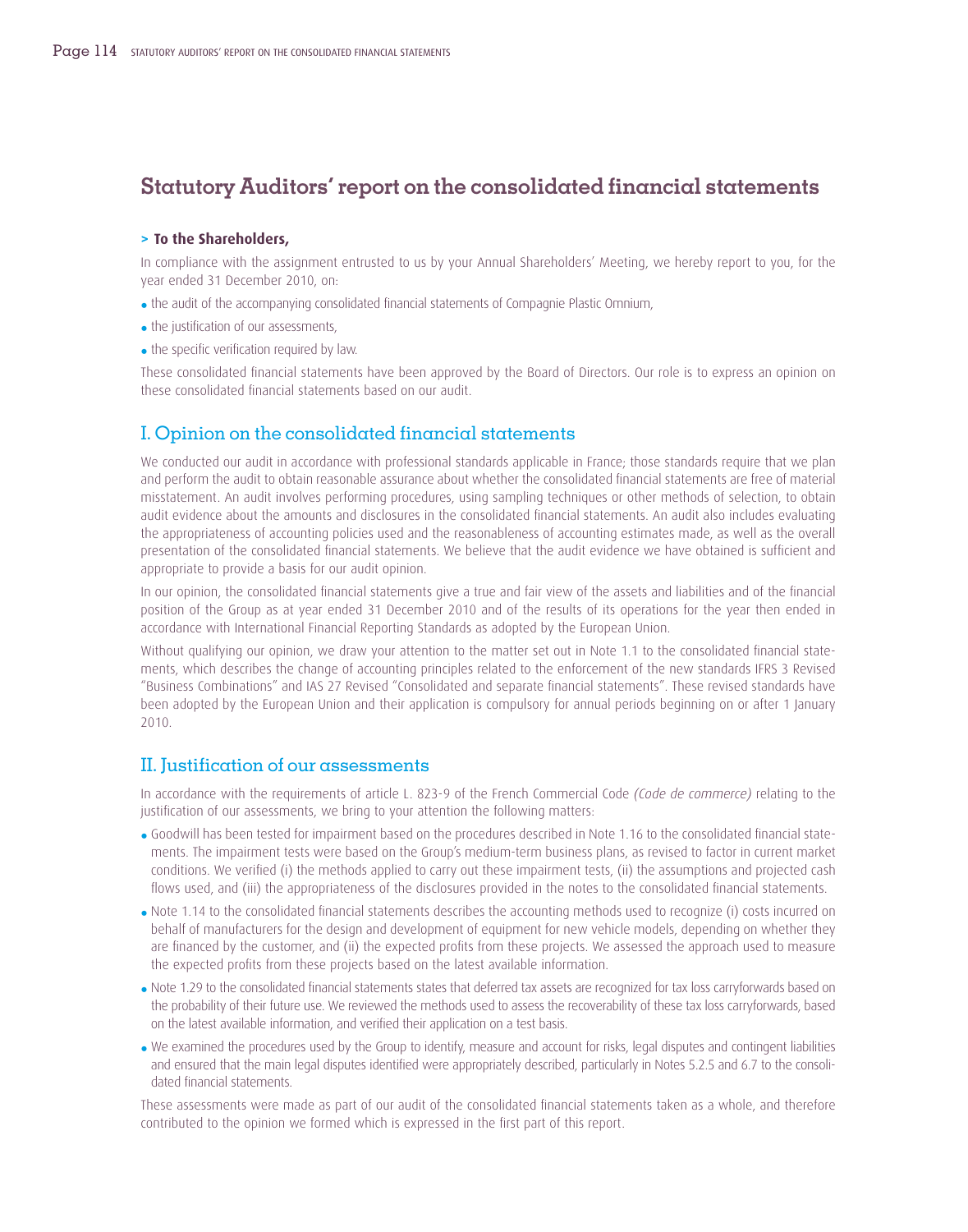# **Statutory Auditors' report on the consolidated financial statements**

#### **> To the Shareholders,**

In compliance with the assignment entrusted to us by your Annual Shareholders' Meeting, we hereby report to you, for the year ended 31 December 2010, on:

- the audit of the accompanying consolidated financial statements of Compagnie Plastic Omnium,
- the justification of our assessments,
- the specific verification required by law.

These consolidated financial statements have been approved by the Board of Directors. Our role is to express an opinion on these consolidated financial statements based on our audit.

### I. Opinion on the consolidated financial statements

We conducted our audit in accordance with professional standards applicable in France; those standards require that we plan and perform the audit to obtain reasonable assurance about whether the consolidated financial statements are free of material misstatement. An audit involves performing procedures, using sampling techniques or other methods of selection, to obtain audit evidence about the amounts and disclosures in the consolidated financial statements. An audit also includes evaluating the appropriateness of accounting policies used and the reasonableness of accounting estimates made, as well as the overall presentation of the consolidated financial statements. We believe that the audit evidence we have obtained is sufficient and appropriate to provide a basis for our audit opinion.

In our opinion, the consolidated financial statements give a true and fair view of the assets and liabilities and of the financial position of the Group as at year ended 31 December 2010 and of the results of its operations for the year then ended in accordance with International Financial Reporting Standards as adopted by the European Union.

Without qualifying our opinion, we draw your attention to the matter set out in Note 1.1 to the consolidated financial statements, which describes the change of accounting principles related to the enforcement of the new standards IFRS 3 Revised "Business Combinations" and IAS 27 Revised "Consolidated and separate financial statements". These revised standards have been adopted by the European Union and their application is compulsory for annual periods beginning on or after 1 January 2010.

### II. Justification of our assessments

In accordance with the requirements of article L. 823-9 of the French Commercial Code *(Code de commerce)* relating to the justification of our assessments, we bring to your attention the following matters:

- Goodwill has been tested for impairment based on the procedures described in Note 1.16 to the consolidated financial statements. The impairment tests were based on the Group's medium-term business plans, as revised to factor in current market conditions. We verified (i) the methods applied to carry out these impairment tests, (ii) the assumptions and projected cash flows used, and (iii) the appropriateness of the disclosures provided in the notes to the consolidated financial statements.
- Note 1.14 to the consolidated financial statements describes the accounting methods used to recognize (i) costs incurred on behalf of manufacturers for the design and development of equipment for new vehicle models, depending on whether they are financed by the customer, and (ii) the expected profits from these projects. We assessed the approach used to measure the expected profits from these projects based on the latest available information.
- Note 1.29 to the consolidated financial statements states that deferred tax assets are recognized for tax loss carryforwards based on the probability of their future use. We reviewed the methods used to assess the recoverability of these tax loss carryforwards, based on the latest available information, and verified their application on a test basis.
- We examined the procedures used by the Group to identify, measure and account for risks, legal disputes and contingent liabilities and ensured that the main legal disputes identified were appropriately described, particularly in Notes 5.2.5 and 6.7 to the consolidated financial statements.

These assessments were made as part of our audit of the consolidated financial statements taken as a whole, and therefore contributed to the opinion we formed which is expressed in the first part of this report.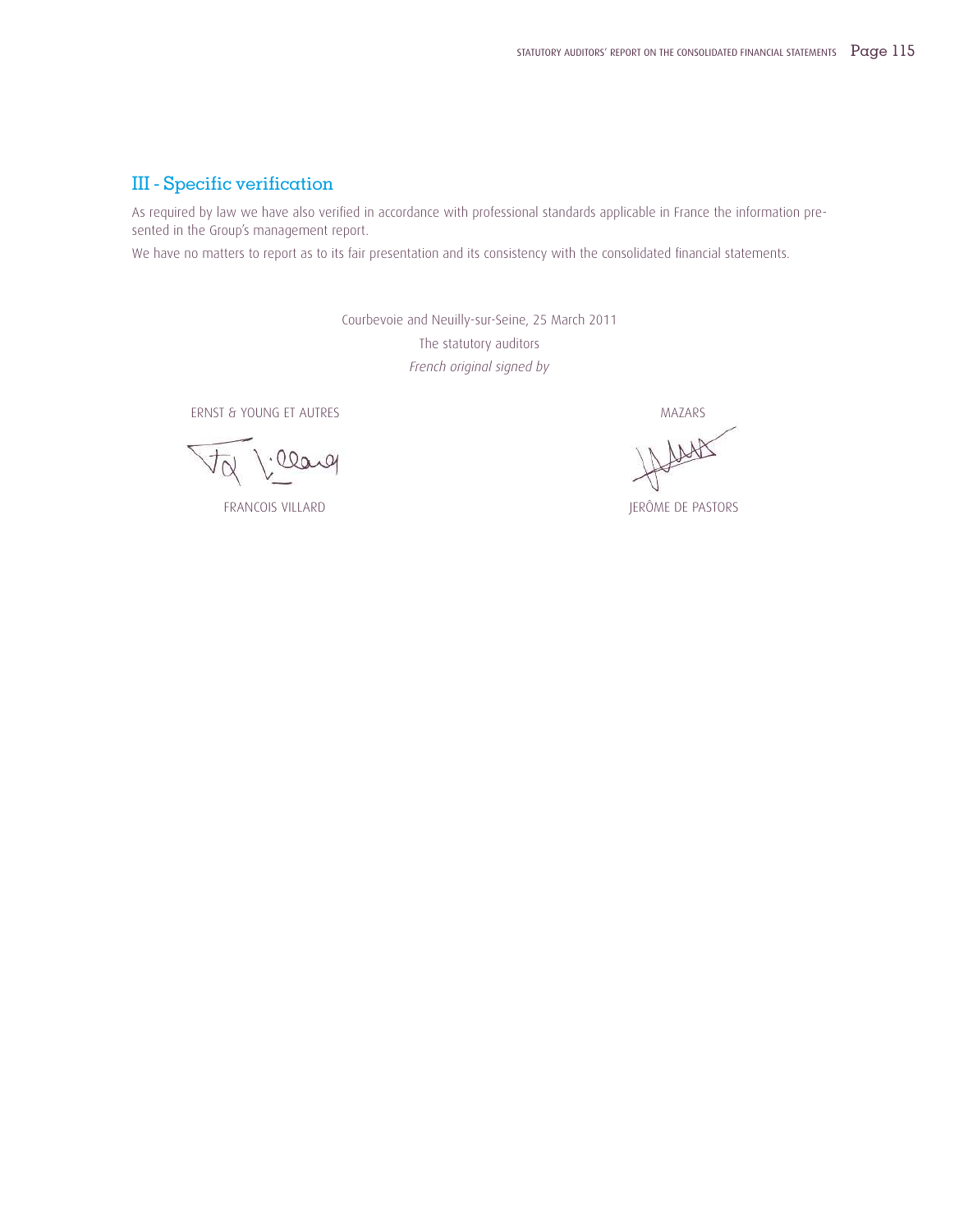### III - Specific verification

As required by law we have also verified in accordance with professional standards applicable in France the information presented in the Group's management report.

We have no matters to report as to its fair presentation and its consistency with the consolidated financial statements.

Courbevoie and Neuilly-sur-Seine, 25 March 2011 The statutory auditors *French original signed by*

ERNST & YOUNG ET AUTRES MAZARS

:leary

LASK

FRANCOIS VILLARD **JERÔME DE PASTORS**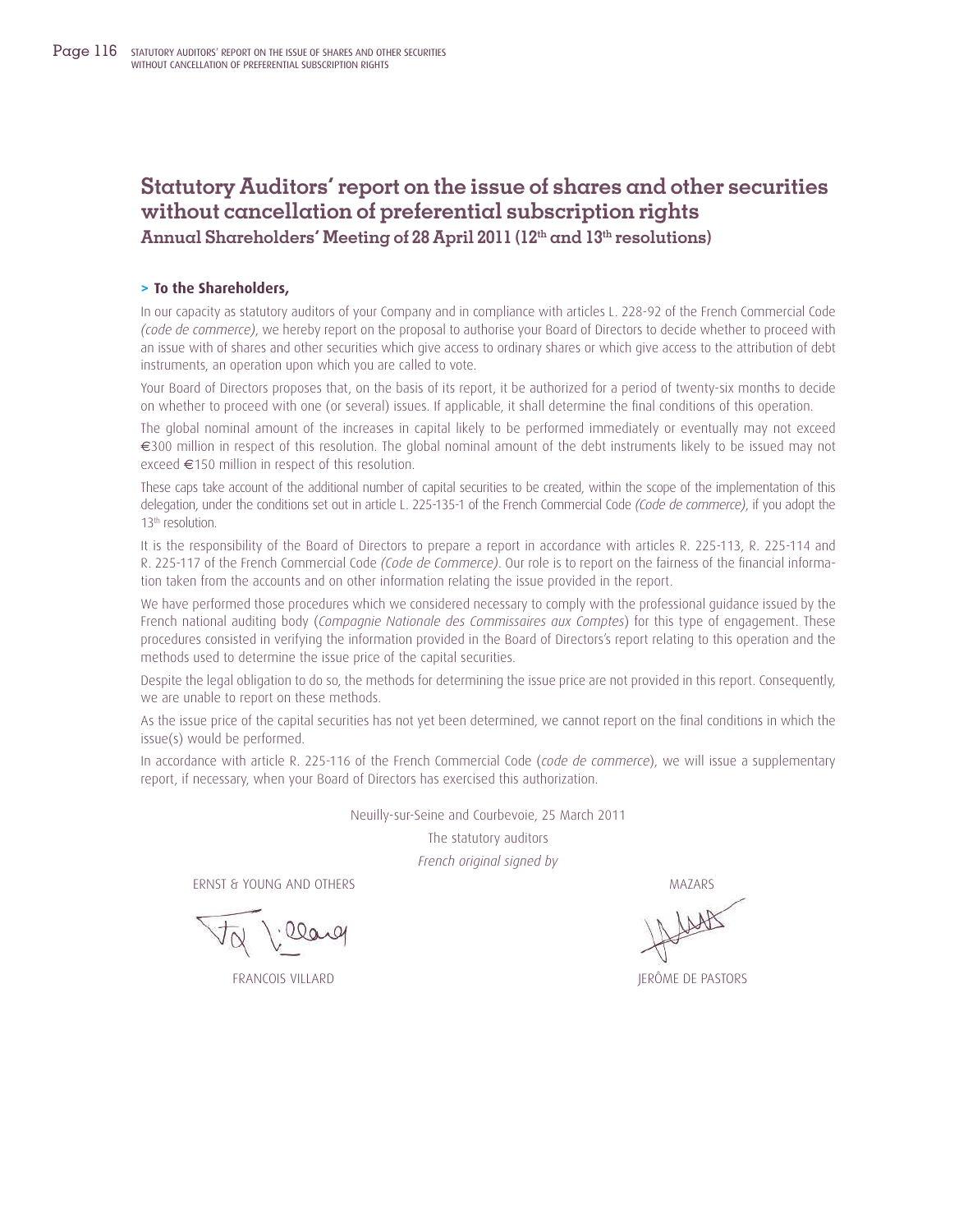# **Statutory Auditors' report on the issue of shares and other securities without cancellation of preferential subscription rights**

**Annual Shareholders' Meeting of 28 April 2011 (12th and 13th resolutions)**

#### **> To the Shareholders,**

In our capacity as statutory auditors of your Company and in compliance with articles L. 228-92 of the French Commercial Code *(code de commerce)*, we hereby report on the proposal to authorise your Board of Directors to decide whether to proceed with an issue with of shares and other securities which give access to ordinary shares or which give access to the attribution of debt instruments, an operation upon which you are called to vote.

Your Board of Directors proposes that, on the basis of its report, it be authorized for a period of twenty-six months to decide on whether to proceed with one (or several) issues. If applicable, it shall determine the final conditions of this operation.

The global nominal amount of the increases in capital likely to be performed immediately or eventually may not exceed €300 million in respect of this resolution. The global nominal amount of the debt instruments likely to be issued may not exceed €150 million in respect of this resolution.

These caps take account of the additional number of capital securities to be created, within the scope of the implementation of this delegation, under the conditions set out in article L. 225-135-1 of the French Commercial Code *(Code de commerce)*, if you adopt the 13<sup>th</sup> resolution.

It is the responsibility of the Board of Directors to prepare a report in accordance with articles R. 225-113, R. 225-114 and R. 225-117 of the French Commercial Code *(Code de Commerce)*. Our role is to report on the fairness of the financial information taken from the accounts and on other information relating the issue provided in the report.

We have performed those procedures which we considered necessary to comply with the professional guidance issued by the French national auditing body (*Compagnie Nationale des Commissaires aux Comptes*) for this type of engagement. These procedures consisted in verifying the information provided in the Board of Directors's report relating to this operation and the methods used to determine the issue price of the capital securities.

Despite the legal obligation to do so, the methods for determining the issue price are not provided in this report. Consequently, we are unable to report on these methods.

As the issue price of the capital securities has not yet been determined, we cannot report on the final conditions in which the issue(s) would be performed.

In accordance with article R. 225-116 of the French Commercial Code (*code de commerce*), we will issue a supplementary report, if necessary, when your Board of Directors has exercised this authorization.

Neuilly-sur-Seine and Courbevoie, 25 March 2011

The statutory auditors

*French original signed by*

ERNST & YOUNG AND OTHERS MAZARS

00a

FRANCOIS VILLARD **JERÔME DE PASTORS**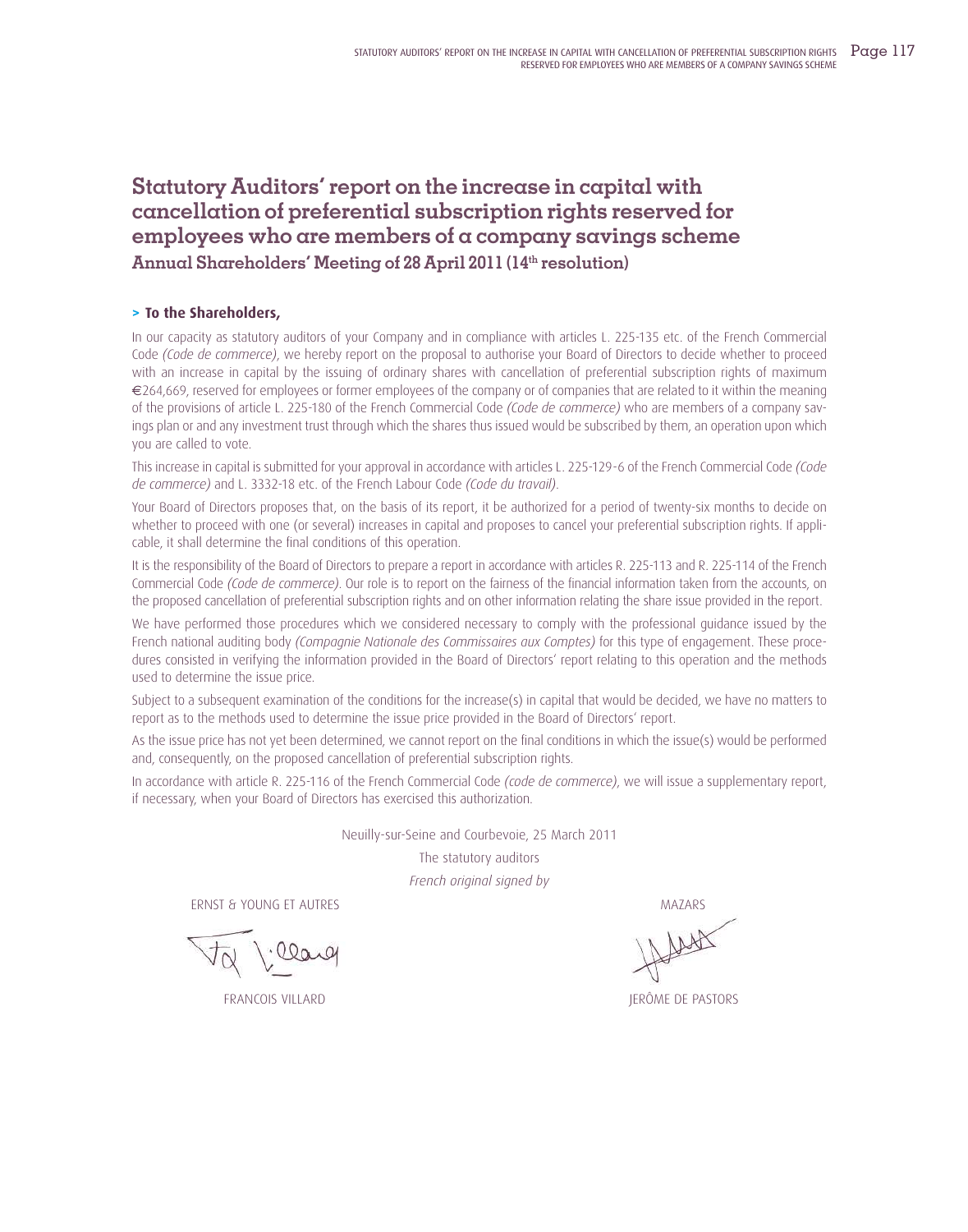# **Statutory Auditors' report on the increase in capital with cancellation of preferential subscription rights reserved for employees who are members of a company savings scheme Annual Shareholders' Meeting of 28 April 2011 (14th resolution)**

#### **> To the Shareholders,**

In our capacity as statutory auditors of your Company and in compliance with articles L. 225-135 etc. of the French Commercial Code *(Code de commerce)*, we hereby report on the proposal to authorise your Board of Directors to decide whether to proceed with an increase in capital by the issuing of ordinary shares with cancellation of preferential subscription rights of maximum €264,669, reserved for employees or former employees of the company or of companies that are related to it within the meaning of the provisions of article L. 225-180 of the French Commercial Code *(Code de commerce)* who are members of a company savings plan or and any investment trust through which the shares thus issued would be subscribed by them, an operation upon which you are called to vote.

This increase in capital is submitted for your approval in accordance with articles L. 225-129-6 of the French Commercial Code *(Code de commerce)* and L. 3332-18 etc. of the French Labour Code *(Code du travail)*.

Your Board of Directors proposes that, on the basis of its report, it be authorized for a period of twenty-six months to decide on whether to proceed with one (or several) increases in capital and proposes to cancel your preferential subscription rights. If applicable, it shall determine the final conditions of this operation.

It is the responsibility of the Board of Directors to prepare a report in accordance with articles R. 225-113 and R. 225-114 of the French Commercial Code *(Code de commerce)*. Our role is to report on the fairness of the financial information taken from the accounts, on the proposed cancellation of preferential subscription rights and on other information relating the share issue provided in the report.

We have performed those procedures which we considered necessary to comply with the professional guidance issued by the French national auditing body *(Compagnie Nationale des Commissaires aux Comptes)* for this type of engagement. These procedures consisted in verifying the information provided in the Board of Directors' report relating to this operation and the methods used to determine the issue price.

Subject to a subsequent examination of the conditions for the increase(s) in capital that would be decided, we have no matters to report as to the methods used to determine the issue price provided in the Board of Directors' report.

As the issue price has not yet been determined, we cannot report on the final conditions in which the issue(s) would be performed and, consequently, on the proposed cancellation of preferential subscription rights.

In accordance with article R. 225-116 of the French Commercial Code *(code de commerce)*, we will issue a supplementary report, if necessary, when your Board of Directors has exercised this authorization.

Neuilly-sur-Seine and Courbevoie, 25 March 2011

The statutory auditors

*French original signed by*

ERNST & YOUNG ET AUTRES AND THE SERIES AND THE SERIES AND THE MAZARS MAZARS

FRANCOIS VILLARD JERÔME DE PASTORS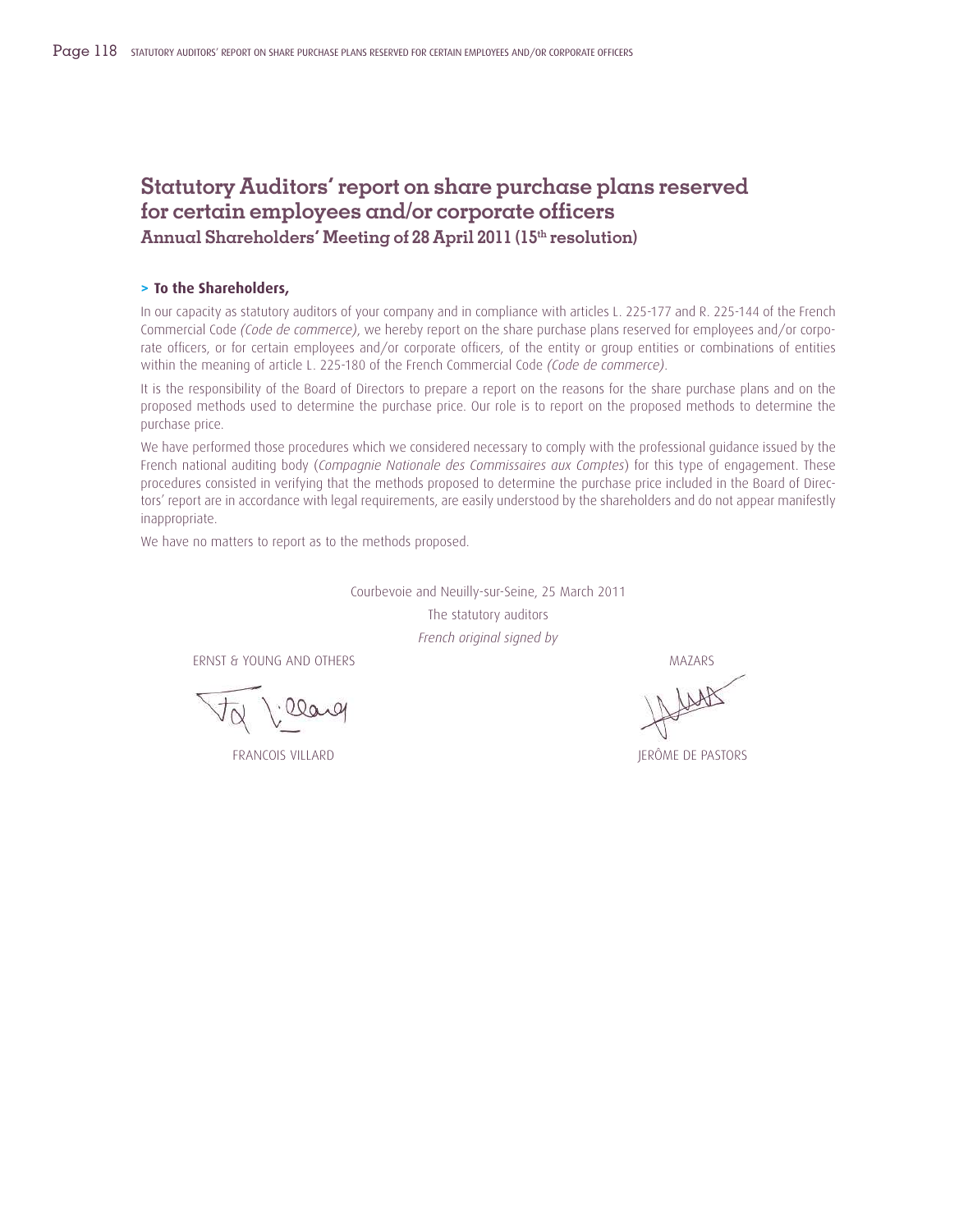# **Statutory Auditors' report on share purchase plans reserved for certain employees and/or corporate officers**

**Annual Shareholders' Meeting of 28 April 2011 (15th resolution)**

#### **> To the Shareholders,**

In our capacity as statutory auditors of your company and in compliance with articles L. 225-177 and R. 225-144 of the French Commercial Code *(Code de commerce)*, we hereby report on the share purchase plans reserved for employees and/or corporate officers, or for certain employees and/or corporate officers, of the entity or group entities or combinations of entities within the meaning of article L. 225-180 of the French Commercial Code *(Code de commerce)*.

It is the responsibility of the Board of Directors to prepare a report on the reasons for the share purchase plans and on the proposed methods used to determine the purchase price. Our role is to report on the proposed methods to determine the purchase price.

We have performed those procedures which we considered necessary to comply with the professional guidance issued by the French national auditing body (*Compagnie Nationale des Commissaires aux Comptes*) for this type of engagement. These procedures consisted in verifying that the methods proposed to determine the purchase price included in the Board of Directors' report are in accordance with legal requirements, are easily understood by the shareholders and do not appear manifestly inappropriate.

We have no matters to report as to the methods proposed.

Courbevoie and Neuilly-sur-Seine, 25 March 2011 The statutory auditors *French original signed by*

ERNST & YOUNG AND OTHERS MAZARS MASS ARE A SERIES ON A SERIES AND MAZARS

·llarg

FRANCOIS VILLARD JERÔME DE PASTORS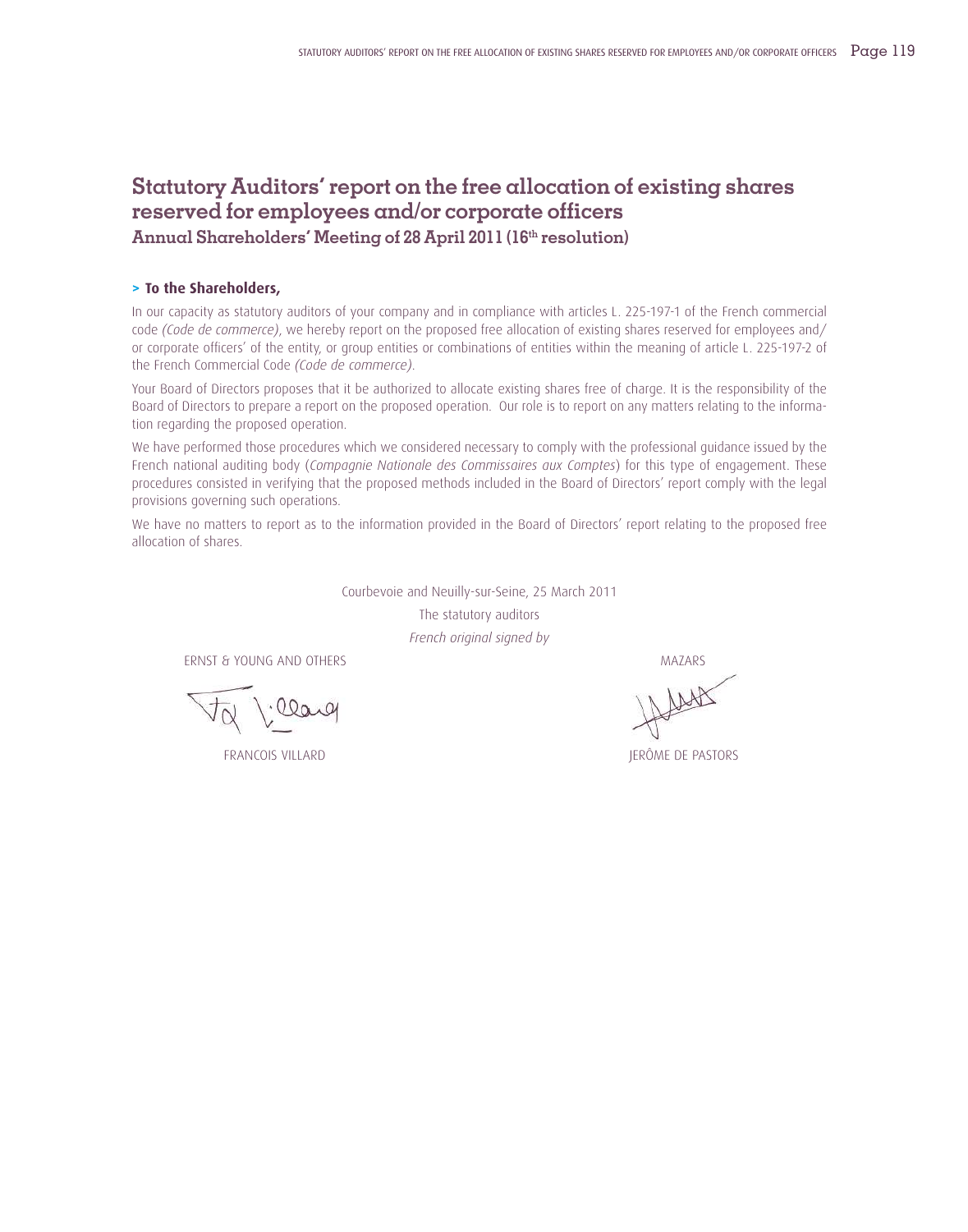# **Statutory Auditors' report on the free allocation of existing shares reserved for employees and/or corporate officers**

**Annual Shareholders' Meeting of 28 April 2011 (16th resolution)**

#### **> To the Shareholders,**

In our capacity as statutory auditors of your company and in compliance with articles L. 225-197-1 of the French commercial code *(Code de commerce)*, we hereby report on the proposed free allocation of existing shares reserved for employees and/ or corporate officers' of the entity, or group entities or combinations of entities within the meaning of article L. 225-197-2 of the French Commercial Code *(Code de commerce)*.

Your Board of Directors proposes that it be authorized to allocate existing shares free of charge. It is the responsibility of the Board of Directors to prepare a report on the proposed operation. Our role is to report on any matters relating to the information regarding the proposed operation.

We have performed those procedures which we considered necessary to comply with the professional guidance issued by the French national auditing body (*Compagnie Nationale des Commissaires aux Comptes*) for this type of engagement. These procedures consisted in verifying that the proposed methods included in the Board of Directors' report comply with the legal provisions governing such operations.

We have no matters to report as to the information provided in the Board of Directors' report relating to the proposed free allocation of shares.

> Courbevoie and Neuilly-sur-Seine, 25 March 2011 The statutory auditors *French original signed by*

ERNST & YOUNG AND OTHERS MAZARS MAGNETIC MATERIAL SERVICE SERVICE SERVICE SERVICE SERVICE SERVICE SERVICE SERVICE SERVICE SERVICE SERVICE SERVICE SERVICE SERVICE SERVICE SERVICE SERVICE SERVICE SERVICE SERVICE SERVICE SERV

·llarg

FRANCOIS VILLARD JERÔME DE PASTORS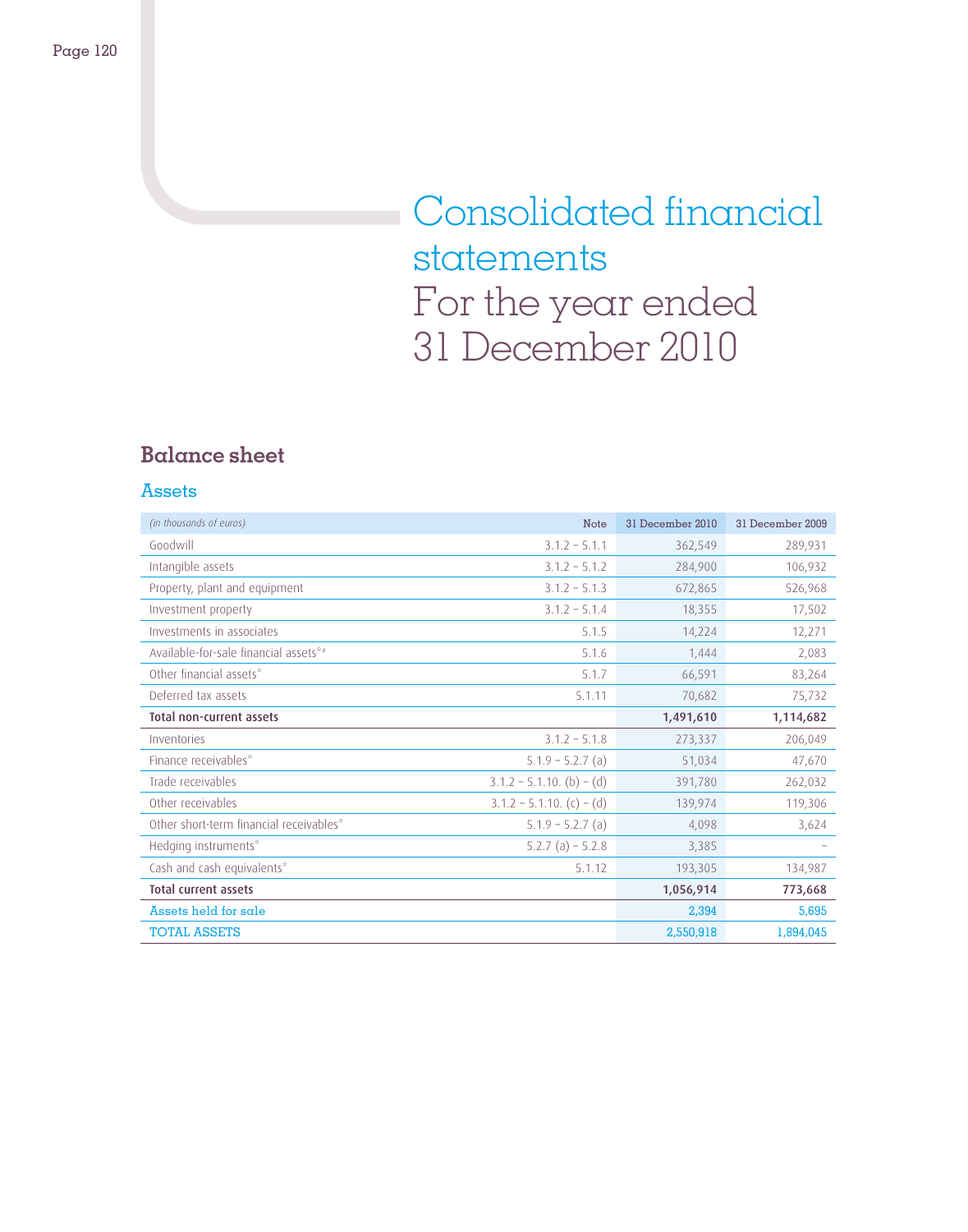# Consolidated financial statements For the year ended 31 December 2010

# **Balance sheet**

### Assets

| (in thousands of euros)                 | <b>Note</b>                   | 31 December 2010 | 31 December 2009 |
|-----------------------------------------|-------------------------------|------------------|------------------|
| Goodwill                                | $3.1.2 - 5.1.1$               | 362,549          | 289,931          |
| Intangible assets                       | $3.1.2 - 5.1.2$               | 284,900          | 106,932          |
| Property, plant and equipment           | $3.1.2 - 5.1.3$               | 672,865          | 526,968          |
| Investment property                     | $3.1.2 - 5.1.4$               | 18,355           | 17,502           |
| Investments in associates               | 5.1.5                         | 14,224           | 12,271           |
| Available-for-sale financial assets*#   | 5.1.6                         | 1,444            | 2,083            |
| Other financial assets*                 | 5.1.7                         | 66,591           | 83,264           |
| Deferred tax assets                     | 5.1.11                        | 70,682           | 75,732           |
| <b>Total non-current assets</b>         |                               | 1,491,610        | 1,114,682        |
| Inventories                             | $3.1.2 - 5.1.8$               | 273,337          | 206,049          |
| Finance receivables*                    | $5.1.9 - 5.2.7$ (a)           | 51,034           | 47,670           |
| Trade receivables                       | $3.1.2 - 5.1.10.$ (b) $-$ (d) | 391,780          | 262,032          |
| Other receivables                       | $3.1.2 - 5.1.10. (c) - (d)$   | 139,974          | 119,306          |
| Other short-term financial receivables* | $5.1.9 - 5.2.7$ (a)           | 4,098            | 3,624            |
| Hedging instruments*                    | $5.2.7$ (a) $-5.2.8$          | 3,385            |                  |
| Cash and cash equivalents*              | 5.1.12                        | 193,305          | 134,987          |
| <b>Total current assets</b>             |                               | 1,056,914        | 773,668          |
| Assets held for sale                    |                               | 2,394            | 5,695            |
| <b>TOTAL ASSETS</b>                     |                               | 2,550,918        | 1,894,045        |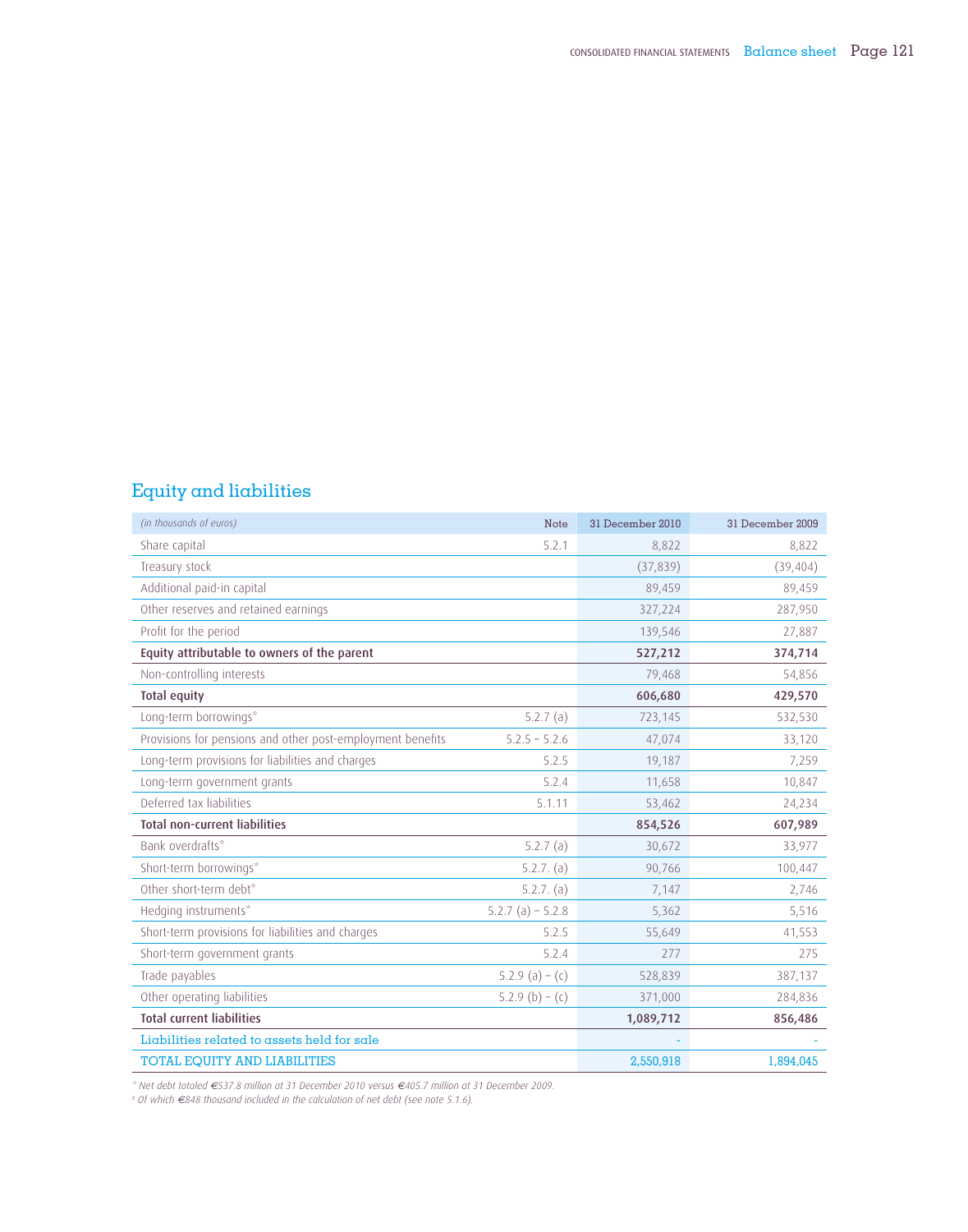# Equity and liabilities

| (in thousands of euros)                                    | Note               | 31 December 2010 | 31 December 2009 |
|------------------------------------------------------------|--------------------|------------------|------------------|
| Share capital                                              | 5.2.1              | 8,822            | 8,822            |
| Treasury stock                                             |                    | (37,839)         | (39, 404)        |
| Additional paid-in capital                                 |                    | 89,459           | 89,459           |
| Other reserves and retained earnings                       |                    | 327,224          | 287,950          |
| Profit for the period                                      |                    | 139,546          | 27,887           |
| Equity attributable to owners of the parent                |                    | 527,212          | 374,714          |
| Non-controlling interests                                  |                    | 79,468           | 54,856           |
| <b>Total equity</b>                                        |                    | 606,680          | 429,570          |
| Long-term borrowings*                                      | 5.2.7(a)           | 723,145          | 532,530          |
| Provisions for pensions and other post-employment benefits | $5.2.5 - 5.2.6$    | 47,074           | 33,120           |
| Long-term provisions for liabilities and charges           | 5.2.5              | 19,187           | 7,259            |
| Long-term government grants                                | 5.2.4              | 11,658           | 10,847           |
| Deferred tax liabilities                                   | 5.1.11             | 53,462           | 24,234           |
| <b>Total non-current liabilities</b>                       |                    | 854,526          | 607,989          |
| Bank overdrafts*                                           | 5.2.7 $(a)$        | 30,672           | 33,977           |
| Short-term borrowings*                                     | 5.2.7. (a)         | 90,766           | 100,447          |
| Other short-term debt*                                     | $5.2.7.$ (a)       | 7,147            | 2,746            |
| Hedging instruments*                                       | $5.2.7(a) - 5.2.8$ | 5,362            | 5,516            |
| Short-term provisions for liabilities and charges          | 5.2.5              | 55,649           | 41,553           |
| Short-term government grants                               | 5.2.4              | 277              | 275              |
| Trade payables                                             | 5.2.9 (a) – (c)    | 528,839          | 387,137          |
| Other operating liabilities                                | 5.2.9 (b) – (c)    | 371,000          | 284,836          |
| <b>Total current liabilities</b>                           |                    | 1,089,712        | 856,486          |
| Liabilities related to assets held for sale                |                    |                  |                  |
| TOTAL EQUITY AND LIABILITIES                               |                    | 2,550,918        | 1,894,045        |

\* Net debt totaled €537.8 million at 31 December 2010 versus €405.7 million at 31 December 2009.<br>\* Of which €848 thousand included in the calculation of net debt (see note 5.1.6).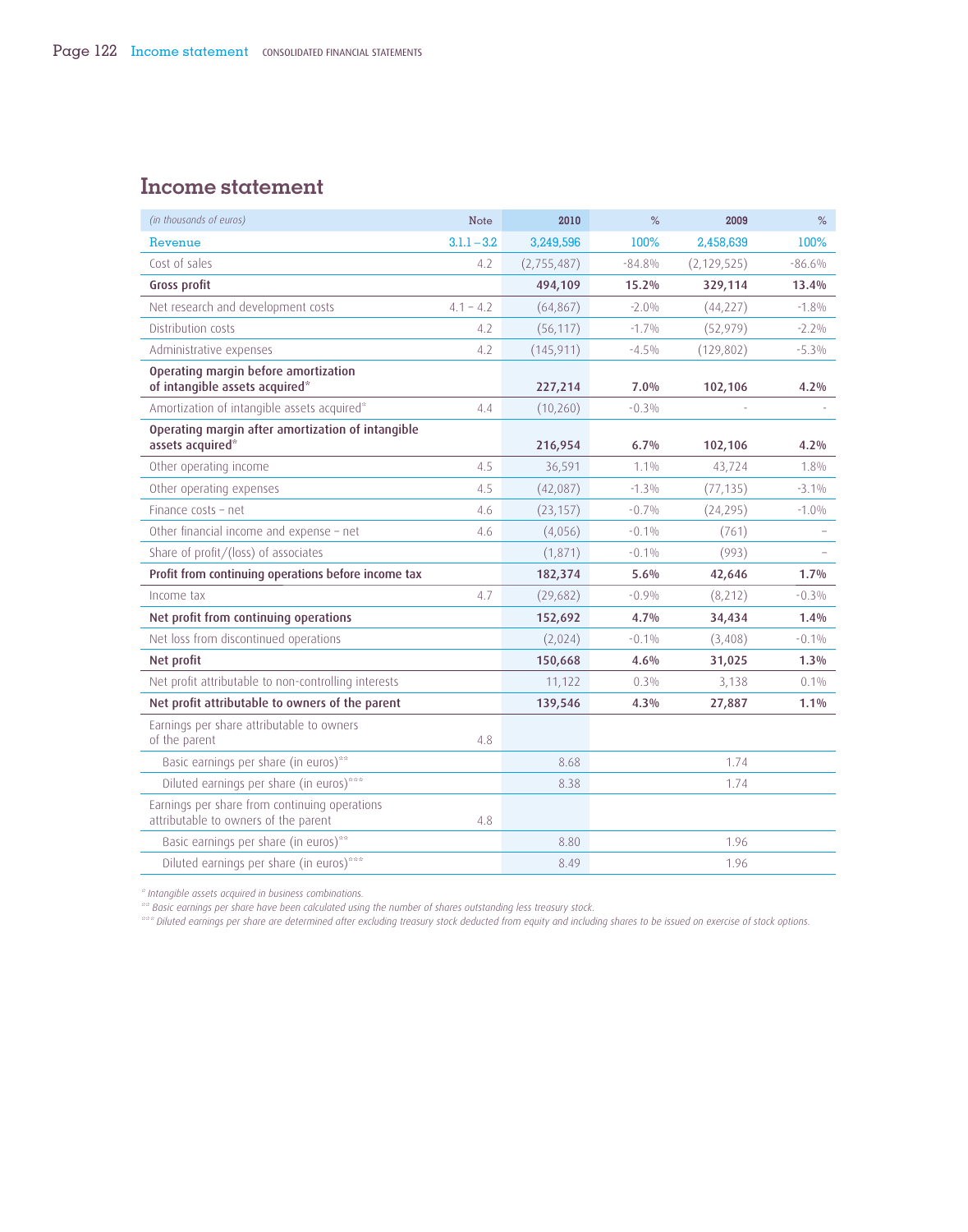# **Income statement**

| (in thousands of euros)                                                               | <b>Note</b>   | 2010        | %        | 2009          | $\%$     |
|---------------------------------------------------------------------------------------|---------------|-------------|----------|---------------|----------|
| Revenue                                                                               | $3.1.1 - 3.2$ | 3,249,596   | 100%     | 2,458,639     | 100%     |
| Cost of sales                                                                         | 4.2           | (2,755,487) | $-84.8%$ | (2, 129, 525) | $-86.6%$ |
| Gross profit                                                                          |               | 494,109     | 15.2%    | 329,114       | 13.4%    |
| Net research and development costs                                                    | $4.1 - 4.2$   | (64, 867)   | $-2.0\%$ | (44, 227)     | $-1.8\%$ |
| Distribution costs                                                                    | 4.2           | (56, 117)   | $-1.7%$  | (52, 979)     | $-2.2\%$ |
| Administrative expenses                                                               | 4.2           | (145, 911)  | $-4.5\%$ | (129, 802)    | $-5.3%$  |
| Operating margin before amortization<br>of intangible assets acquired*                |               | 227,214     | 7.0%     | 102,106       | 4.2%     |
| Amortization of intangible assets acquired*                                           | 4.4           | (10, 260)   | $-0.3\%$ |               |          |
| Operating margin after amortization of intangible<br>assets acquired*                 |               | 216,954     | 6.7%     | 102,106       | 4.2%     |
| Other operating income                                                                | 4.5           | 36,591      | $1.1\%$  | 43,724        | 1.8%     |
| Other operating expenses                                                              | 4.5           | (42,087)    | $-1.3\%$ | (77, 135)     | $-3.1\%$ |
| Finance costs - net                                                                   | 4.6           | (23, 157)   | $-0.7%$  | (24, 295)     | $-1.0\%$ |
| Other financial income and expense - net                                              | 4.6           | (4,056)     | $-0.1\%$ | (761)         |          |
| Share of profit/(loss) of associates                                                  |               | (1,871)     | $-0.1\%$ | (993)         |          |
| Profit from continuing operations before income tax                                   |               | 182,374     | 5.6%     | 42,646        | 1.7%     |
| Income tax                                                                            | 4.7           | (29,682)    | $-0.9%$  | (8,212)       | $-0.3\%$ |
| Net profit from continuing operations                                                 |               | 152,692     | 4.7%     | 34,434        | 1.4%     |
| Net loss from discontinued operations                                                 |               | (2,024)     | $-0.1\%$ | (3, 408)      | $-0.1%$  |
| Net profit                                                                            |               | 150,668     | 4.6%     | 31,025        | 1.3%     |
| Net profit attributable to non-controlling interests                                  |               | 11,122      | 0.3%     | 3,138         | 0.1%     |
| Net profit attributable to owners of the parent                                       |               | 139,546     | 4.3%     | 27,887        | 1.1%     |
| Earnings per share attributable to owners<br>of the parent                            | 4.8           |             |          |               |          |
| Basic earnings per share (in euros)**                                                 |               | 8.68        |          | 1.74          |          |
| Diluted earnings per share (in euros)***                                              |               | 8.38        |          | 1.74          |          |
| Earnings per share from continuing operations<br>attributable to owners of the parent | 4.8           |             |          |               |          |
| Basic earnings per share (in euros)**                                                 |               | 8.80        |          | 1.96          |          |
| Diluted earnings per share (in euros)***                                              |               | 8.49        |          | 1.96          |          |

*\* Intangible assets acquired in business combinations.*

*\*\* Basic earnings per share have been calculated using the number of shares outstanding less treasury stock.*

*\*\*\* Diluted earnings per share are determined after excluding treasury stock deducted from equity and including shares to be issued on exercise of stock options*.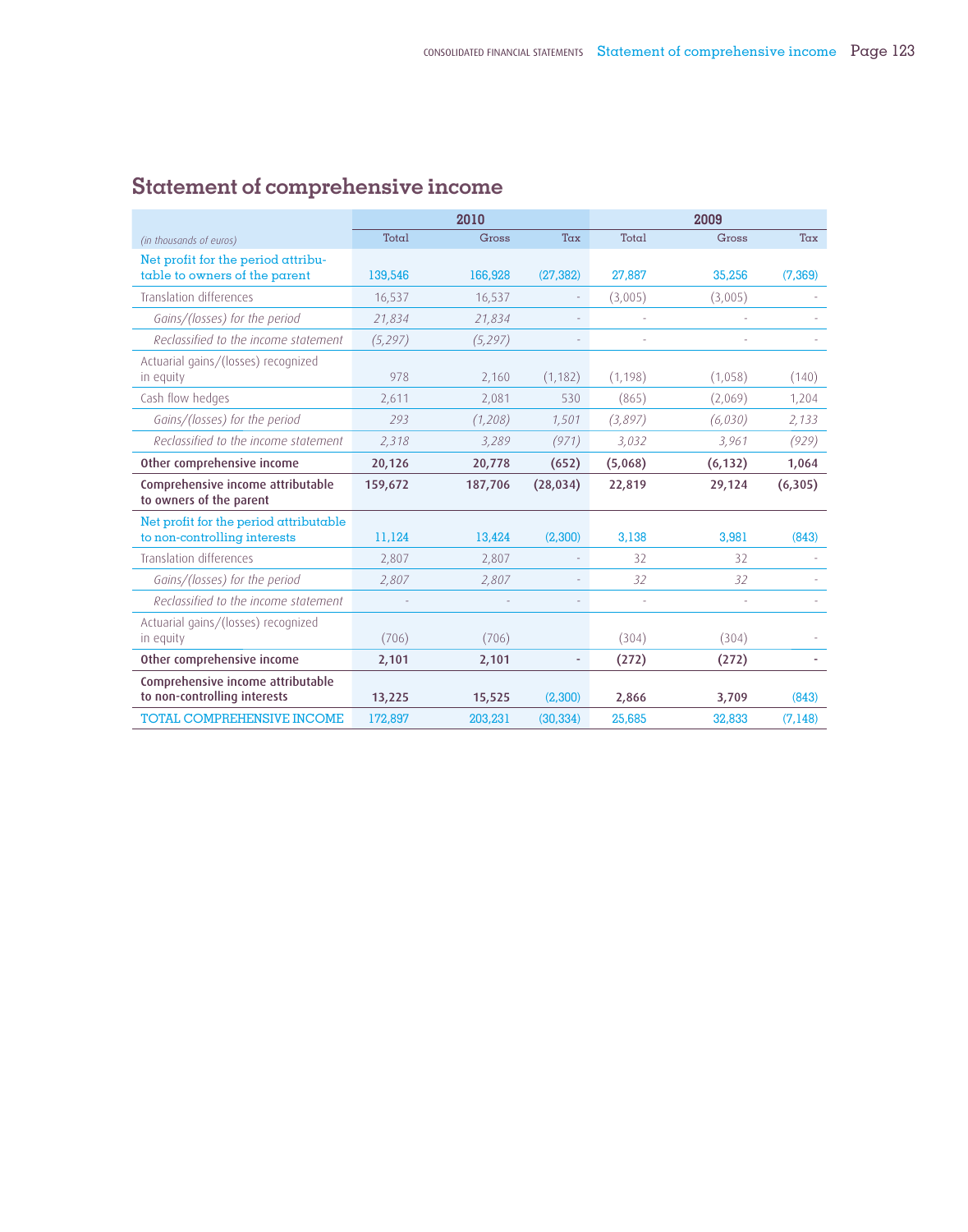|                                                                        |          | 2010    |           |          | 2009     |          |
|------------------------------------------------------------------------|----------|---------|-----------|----------|----------|----------|
| (in thousands of euros)                                                | Total    | Gross   | Tax       | Total    | Gross    | Tax      |
| Net profit for the period attribu-<br>table to owners of the parent    | 139,546  | 166,928 | (27, 382) | 27,887   | 35,256   | (7.369)  |
| <b>Translation differences</b>                                         | 16,537   | 16,537  |           | (3,005)  | (3,005)  |          |
| Gains/(losses) for the period                                          | 21,834   | 21,834  |           |          |          |          |
| Reclassified to the income statement                                   | (5, 297) | (5,297) |           | ÷,       |          |          |
| Actuarial gains/(losses) recognized<br>in equity                       | 978      | 2,160   | (1, 182)  | (1, 198) | (1,058)  | (140)    |
| Cash flow hedges                                                       | 2,611    | 2,081   | 530       | (865)    | (2,069)  | 1,204    |
| Gains/(losses) for the period                                          | 293      | (1,208) | 1,501     | (3,897)  | (6,030)  | 2,133    |
| Reclassified to the income statement                                   | 2.318    | 3,289   | (971)     | 3,032    | 3,961    | (929)    |
| Other comprehensive income                                             | 20,126   | 20,778  | (652)     | (5,068)  | (6, 132) | 1,064    |
| Comprehensive income attributable<br>to owners of the parent           | 159,672  | 187,706 | (28, 034) | 22,819   | 29,124   | (6,305)  |
| Net profit for the period attributable<br>to non-controlling interests | 11,124   | 13,424  | (2,300)   | 3,138    | 3,981    | (843)    |
| Translation differences                                                | 2.807    | 2,807   |           | 32       | 32       |          |
| Gains/(losses) for the period                                          | 2,807    | 2,807   |           | 32       | 32       |          |
| Reclassified to the income statement                                   |          |         |           | ÷,       |          |          |
| Actuarial gains/(losses) recognized<br>in equity                       | (706)    | (706)   |           | (304)    | (304)    |          |
| Other comprehensive income                                             | 2,101    | 2,101   | ۰         | (272)    | (272)    |          |
| Comprehensive income attributable<br>to non-controlling interests      | 13,225   | 15,525  | (2.300)   | 2,866    | 3,709    | (843)    |
| TOTAL COMPREHENSIVE INCOME                                             | 172,897  | 203,231 | (30, 334) | 25,685   | 32,833   | (7, 148) |

# **Statement of comprehensive income**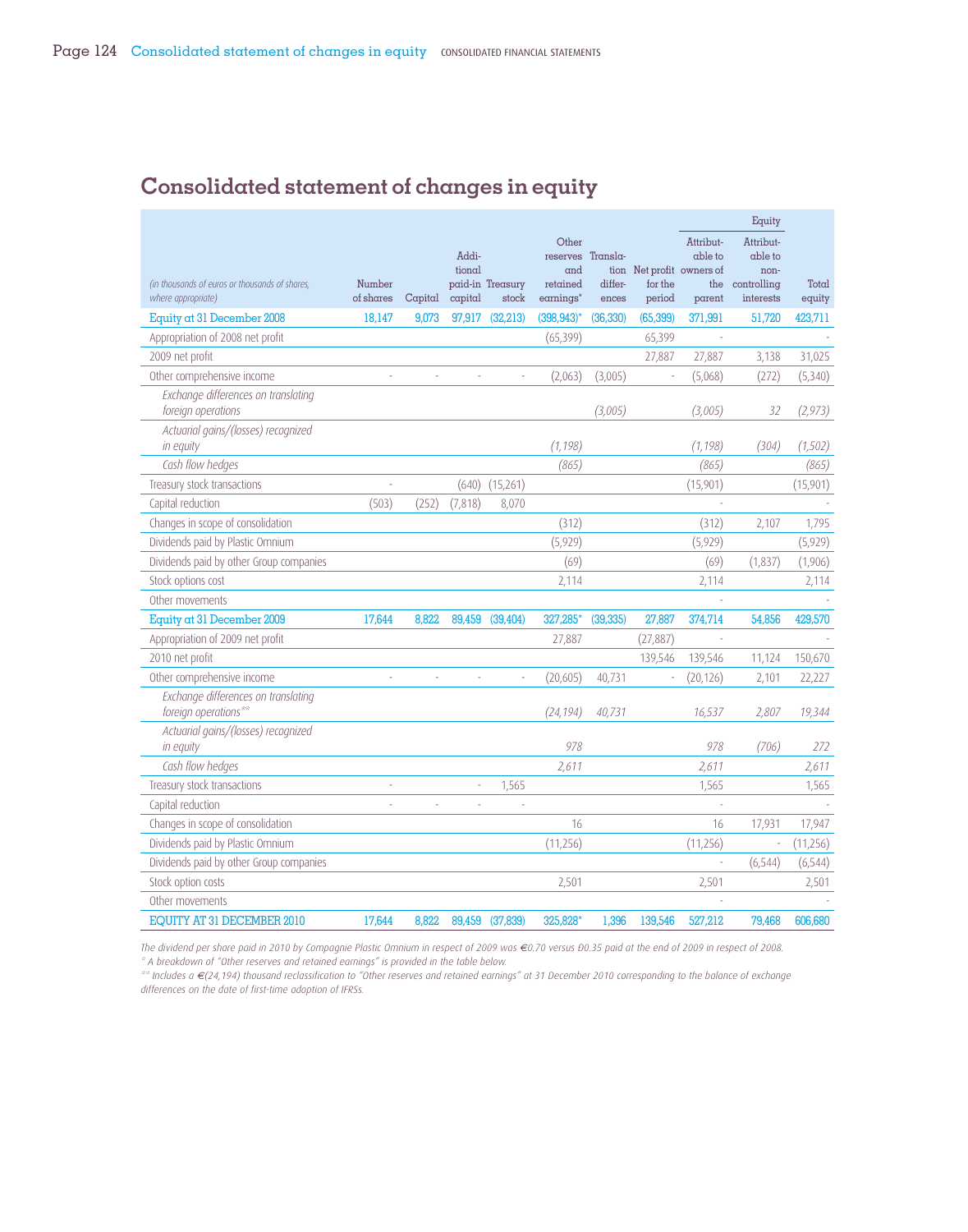# **Consolidated statement of changes in equity**

|                                                                      |                     |         |                            |                           |                                                                        |                  |                                                |                                       | Equity                                                   |                 |
|----------------------------------------------------------------------|---------------------|---------|----------------------------|---------------------------|------------------------------------------------------------------------|------------------|------------------------------------------------|---------------------------------------|----------------------------------------------------------|-----------------|
| (in thousands of euros or thousands of shares,<br>where appropriate) | Number<br>of shares | Capital | Addi-<br>tional<br>capital | paid-in Treasury<br>stock | Other<br>reserves Transla-<br>and<br>retained<br>earnings <sup>*</sup> | differ-<br>ences | tion Net profit owners of<br>for the<br>period | Attribut-<br>able to<br>the<br>parent | Attribut-<br>able to<br>non-<br>controlling<br>interests | Total<br>equity |
| Equity at 31 December 2008                                           | 18.147              | 9.073   | 97.917                     | (32.213)                  | $(398, 943)^*$                                                         | (36, 330)        | (65, 399)                                      | 371.991                               | 51.720                                                   | 423,711         |
| Appropriation of 2008 net profit                                     |                     |         |                            |                           | (65, 399)                                                              |                  | 65,399                                         |                                       |                                                          |                 |
| 2009 net profit                                                      |                     |         |                            |                           |                                                                        |                  | 27,887                                         | 27,887                                | 3,138                                                    | 31,025          |
| Other comprehensive income                                           |                     |         |                            |                           | (2.063)                                                                | (3.005)          | ÷,                                             | (5,068)                               | (272)                                                    | (5,340)         |
| Exchange differences on translating<br>foreign operations            |                     |         |                            |                           |                                                                        | (3,005)          |                                                | (3,005)                               | 32                                                       | (2, 973)        |
| Actuarial gains/(losses) recognized<br>in equity                     |                     |         |                            |                           | (1, 198)                                                               |                  |                                                | (1, 198)                              | (304)                                                    | (1, 502)        |
| Cash flow hedges                                                     |                     |         |                            |                           | (865)                                                                  |                  |                                                | (865)                                 |                                                          | (865)           |
| Treasury stock transactions                                          |                     |         | (640)                      | (15,261)                  |                                                                        |                  |                                                | (15,901)                              |                                                          | (15,901)        |
| Capital reduction                                                    | (503)               | (252)   | (7, 818)                   | 8,070                     |                                                                        |                  |                                                |                                       |                                                          |                 |
| Changes in scope of consolidation                                    |                     |         |                            |                           | (312)                                                                  |                  |                                                | (312)                                 | 2,107                                                    | 1,795           |
| Dividends paid by Plastic Omnium                                     |                     |         |                            |                           | (5,929)                                                                |                  |                                                | (5,929)                               |                                                          | (5,929)         |
| Dividends paid by other Group companies                              |                     |         |                            |                           | (69)                                                                   |                  |                                                | (69)                                  | (1,837)                                                  | (1,906)         |
| Stock options cost                                                   |                     |         |                            |                           | 2,114                                                                  |                  |                                                | 2,114                                 |                                                          | 2,114           |
| Other movements                                                      |                     |         |                            |                           |                                                                        |                  |                                                |                                       |                                                          |                 |
| Equity at 31 December 2009                                           | 17,644              | 8,822   | 89,459                     | (39, 404)                 | 327,285*                                                               | (39, 335)        | 27,887                                         | 374,714                               | 54,856                                                   | 429,570         |
| Appropriation of 2009 net profit                                     |                     |         |                            |                           | 27,887                                                                 |                  | (27, 887)                                      |                                       |                                                          |                 |
| 2010 net profit                                                      |                     |         |                            |                           |                                                                        |                  | 139,546                                        | 139,546                               | 11,124                                                   | 150,670         |
| Other comprehensive income                                           |                     |         |                            |                           | (20,605)                                                               | 40,731           | $\overline{\phantom{a}}$                       | (20, 126)                             | 2,101                                                    | 22,227          |
| Exchange differences on translating<br>foreign operations**          |                     |         |                            |                           | (24, 194)                                                              | 40,731           |                                                | 16,537                                | 2,807                                                    | 19,344          |
| Actuarial gains/(losses) recognized<br>in equity                     |                     |         |                            |                           | 978                                                                    |                  |                                                | 978                                   | (706)                                                    | 272             |
| Cash flow hedges                                                     |                     |         |                            |                           | 2,611                                                                  |                  |                                                | 2,611                                 |                                                          | 2,611           |
| Treasury stock transactions                                          |                     |         |                            | 1,565                     |                                                                        |                  |                                                | 1,565                                 |                                                          | 1,565           |
| Capital reduction                                                    |                     |         |                            | J.                        |                                                                        |                  |                                                |                                       |                                                          |                 |
| Changes in scope of consolidation                                    |                     |         |                            |                           | 16                                                                     |                  |                                                | 16                                    | 17,931                                                   | 17,947          |
| Dividends paid by Plastic Omnium                                     |                     |         |                            |                           | (11, 256)                                                              |                  |                                                | (11, 256)                             |                                                          | (11, 256)       |
| Dividends paid by other Group companies                              |                     |         |                            |                           |                                                                        |                  |                                                | i,                                    | (6, 544)                                                 | (6, 544)        |
| Stock option costs                                                   |                     |         |                            |                           | 2,501                                                                  |                  |                                                | 2,501                                 |                                                          | 2,501           |
| Other movements                                                      |                     |         |                            |                           |                                                                        |                  |                                                |                                       |                                                          |                 |
| EOUITY AT 31 DECEMBER 2010                                           | 17.644              | 8.822   | 89,459                     | (37, 839)                 | 325,828*                                                               | 1.396            | 139,546                                        | 527,212                               | 79.468                                                   | 606,680         |

The dividend per share paid in 2010 by Compagnie Plastic Omnium in respect of 2009 was €0.70 versus Đ0.35 paid at the end of 2009 in respect of 2008.

\* A breakdown of "Other reserves and retained earnings" is provided in the table below.<br>\*\* Includes a €(24,194) thousand reclassification to "Other reserves and retained earnings" at 31 December 2010 corresponding to the *differences on the date of first-time adoption of IFRSs.*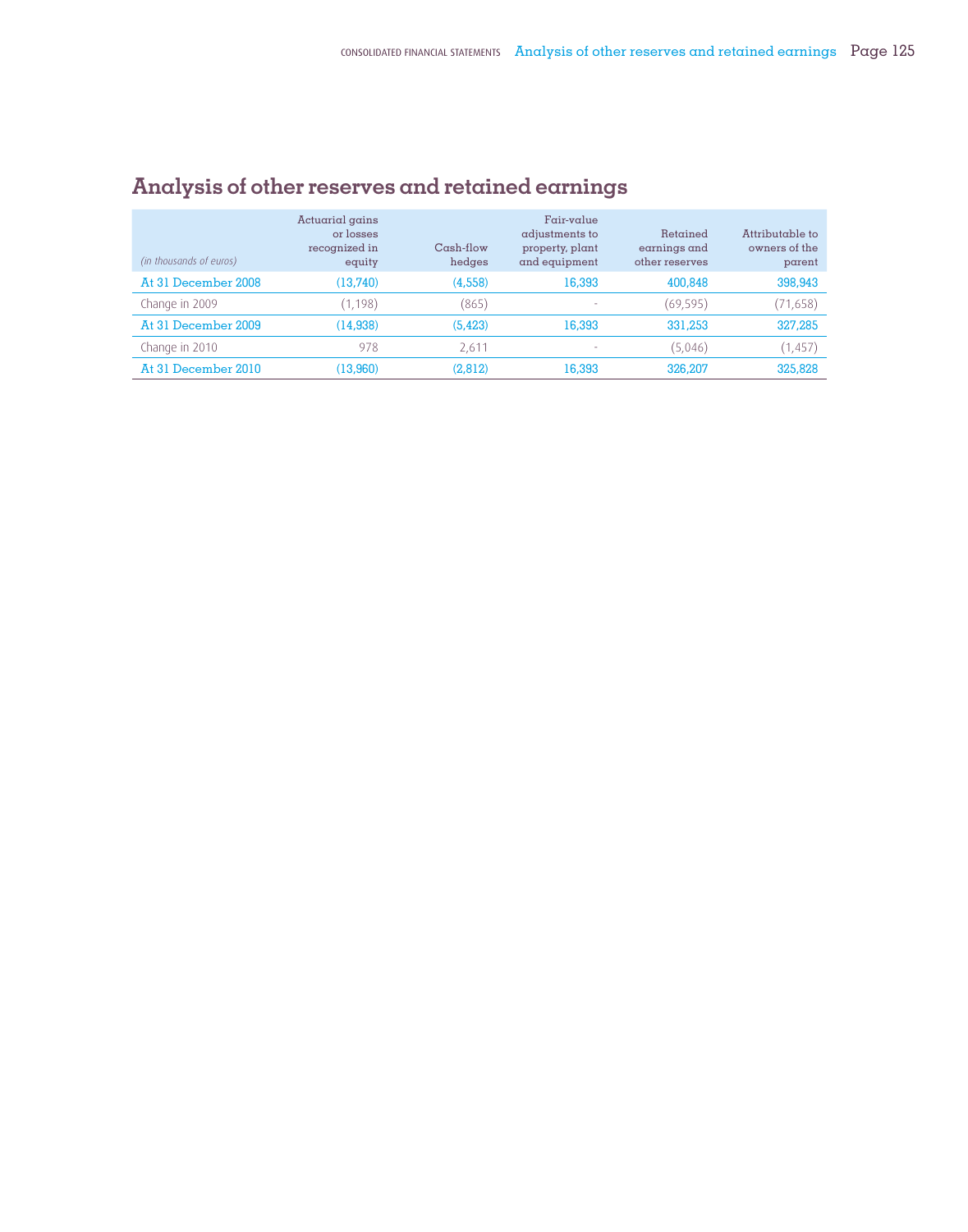| (in thousands of euros) | Actuarial gains<br>or losses<br>recognized in<br>equity | $Cash$ flow<br>hedges | $Fair-value$<br>adjustments to<br>property, plant<br>and equipment | Retained<br>earnings and<br>other reserves | Attributable to<br>owners of the<br>parent |
|-------------------------|---------------------------------------------------------|-----------------------|--------------------------------------------------------------------|--------------------------------------------|--------------------------------------------|
| At 31 December 2008     | (13,740)                                                | (4,558)               | 16,393                                                             | 400,848                                    | 398,943                                    |
| Change in 2009          | (1, 198)                                                | (865)                 | ۰                                                                  | (69, 595)                                  | (71, 658)                                  |
| At 31 December 2009     | (14, 938)                                               | (5, 423)              | 16,393                                                             | 331,253                                    | 327,285                                    |
| Change in 2010          | 978                                                     | 2.61                  | ۰                                                                  | (5,046)                                    | (1, 457)                                   |
| At 31 December 2010     | (13,960)                                                | (2,812)               | 16,393                                                             | 326,207                                    | 325,828                                    |

# **Analysis of other reserves and retained earnings**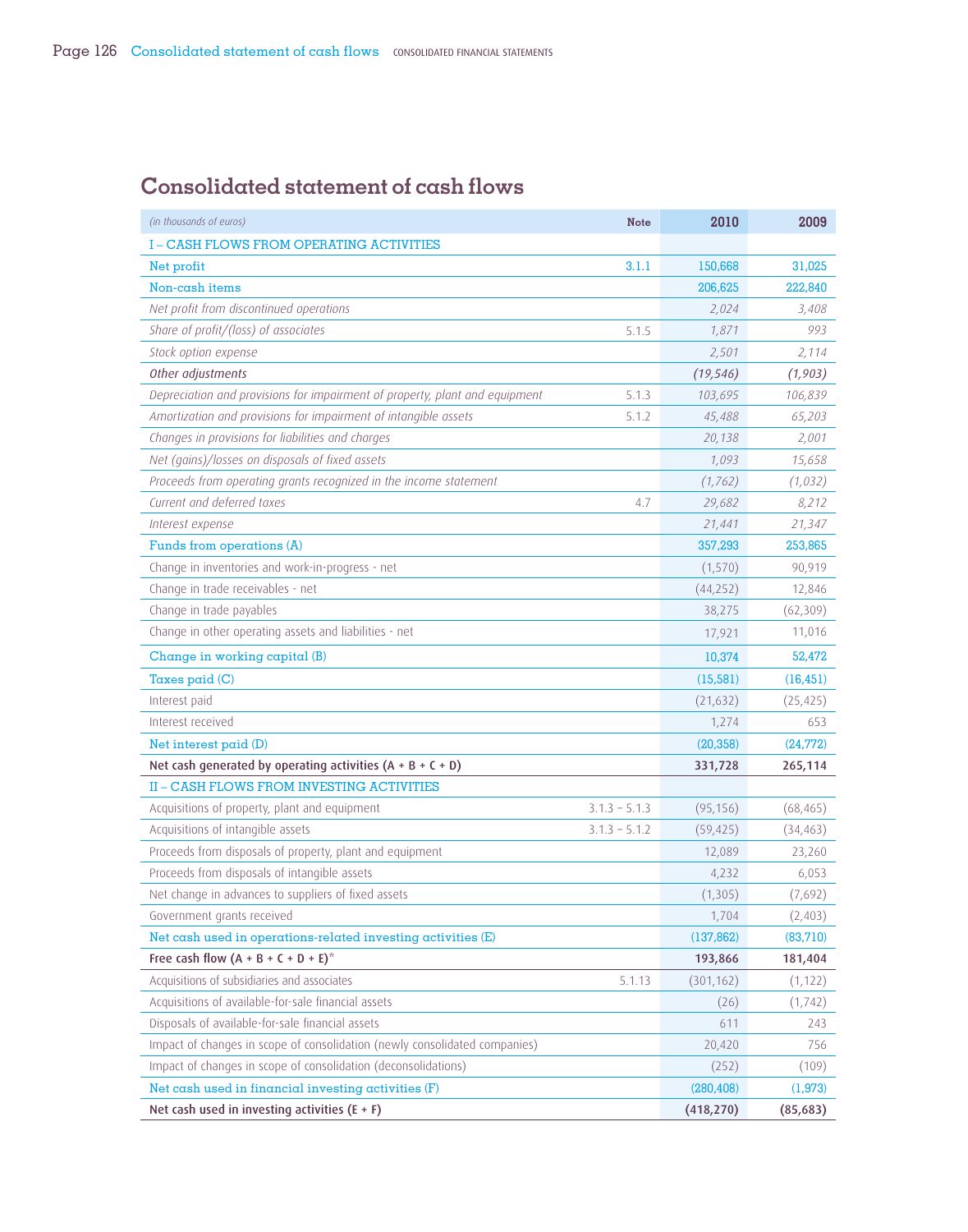# **Consolidated statement of cash flows**

| (in thousands of euros)<br><b>Note</b>                                               | 2010       | 2009      |
|--------------------------------------------------------------------------------------|------------|-----------|
| <b>I-CASH FLOWS FROM OPERATING ACTIVITIES</b>                                        |            |           |
| Net profit<br>3.1.1                                                                  | 150,668    | 31,025    |
| Non-cash items                                                                       | 206,625    | 222,840   |
| Net profit from discontinued operations                                              | 2,024      | 3,408     |
| Share of profit/(loss) of associates<br>5.1.5                                        | 1,871      | 993       |
| Stock option expense                                                                 | 2,501      | 2,114     |
| Other adjustments                                                                    | (19, 546)  | (1, 903)  |
| Depreciation and provisions for impairment of property, plant and equipment<br>5.1.3 | 103,695    | 106,839   |
| Amortization and provisions for impairment of intangible assets<br>5.1.2             | 45,488     | 65,203    |
| Changes in provisions for liabilities and charges                                    | 20,138     | 2,001     |
| Net (gains)/losses on disposals of fixed assets                                      | 1,093      | 15,658    |
| Proceeds from operating grants recognized in the income statement                    | (1, 762)   | (1,032)   |
| Current and deferred taxes<br>4.7                                                    | 29,682     | 8,212     |
| Interest expense                                                                     | 21,441     | 21,347    |
| Funds from operations (A)                                                            | 357,293    | 253,865   |
| Change in inventories and work-in-progress - net                                     | (1,570)    | 90,919    |
| Change in trade receivables - net                                                    | (44, 252)  | 12,846    |
| Change in trade payables                                                             | 38,275     | (62, 309) |
| Change in other operating assets and liabilities - net                               | 17,921     | 11,016    |
| Change in working capital (B)                                                        | 10,374     | 52,472    |
| Taxes paid (C)                                                                       | (15, 581)  | (16, 451) |
| Interest paid                                                                        | (21, 632)  | (25, 425) |
| Interest received                                                                    | 1,274      | 653       |
| Net interest $p$ aid $(D)$                                                           | (20, 358)  | (24, 772) |
| Net cash generated by operating activities $(A + B + C + D)$                         | 331,728    | 265,114   |
| II - CASH FLOWS FROM INVESTING ACTIVITIES                                            |            |           |
| Acquisitions of property, plant and equipment<br>$3.1.3 - 5.1.3$                     | (95, 156)  | (68, 465) |
| Acquisitions of intangible assets<br>$3.1.3 - 5.1.2$                                 | (59, 425)  | (34, 463) |
| Proceeds from disposals of property, plant and equipment                             | 12,089     | 23,260    |
| Proceeds from disposals of intangible assets                                         | 4,232      | 6,053     |
| Net change in advances to suppliers of fixed assets                                  | (1, 305)   | (7,692)   |
| Government grants received                                                           | 1,704      | (2,403)   |
| Net cash used in operations-related investing activities (E)                         | (137, 862) | (83,710)  |
| Free cash flow $(A + B + C + D + E)^*$                                               | 193,866    | 181,404   |
| Acquisitions of subsidiaries and associates<br>5.1.13                                | (301, 162) | (1, 122)  |
| Acquisitions of available-for-sale financial assets                                  | (26)       | (1, 742)  |
| Disposals of available-for-sale financial assets                                     | 611        | 243       |
| Impact of changes in scope of consolidation (newly consolidated companies)           | 20,420     | 756       |
| Impact of changes in scope of consolidation (deconsolidations)                       | (252)      | (109)     |
| Net cash used in financial investing activities (F)                                  | (280, 408) | (1, 973)  |
| Net cash used in investing activities $(E + F)$                                      | (418, 270) | (85, 683) |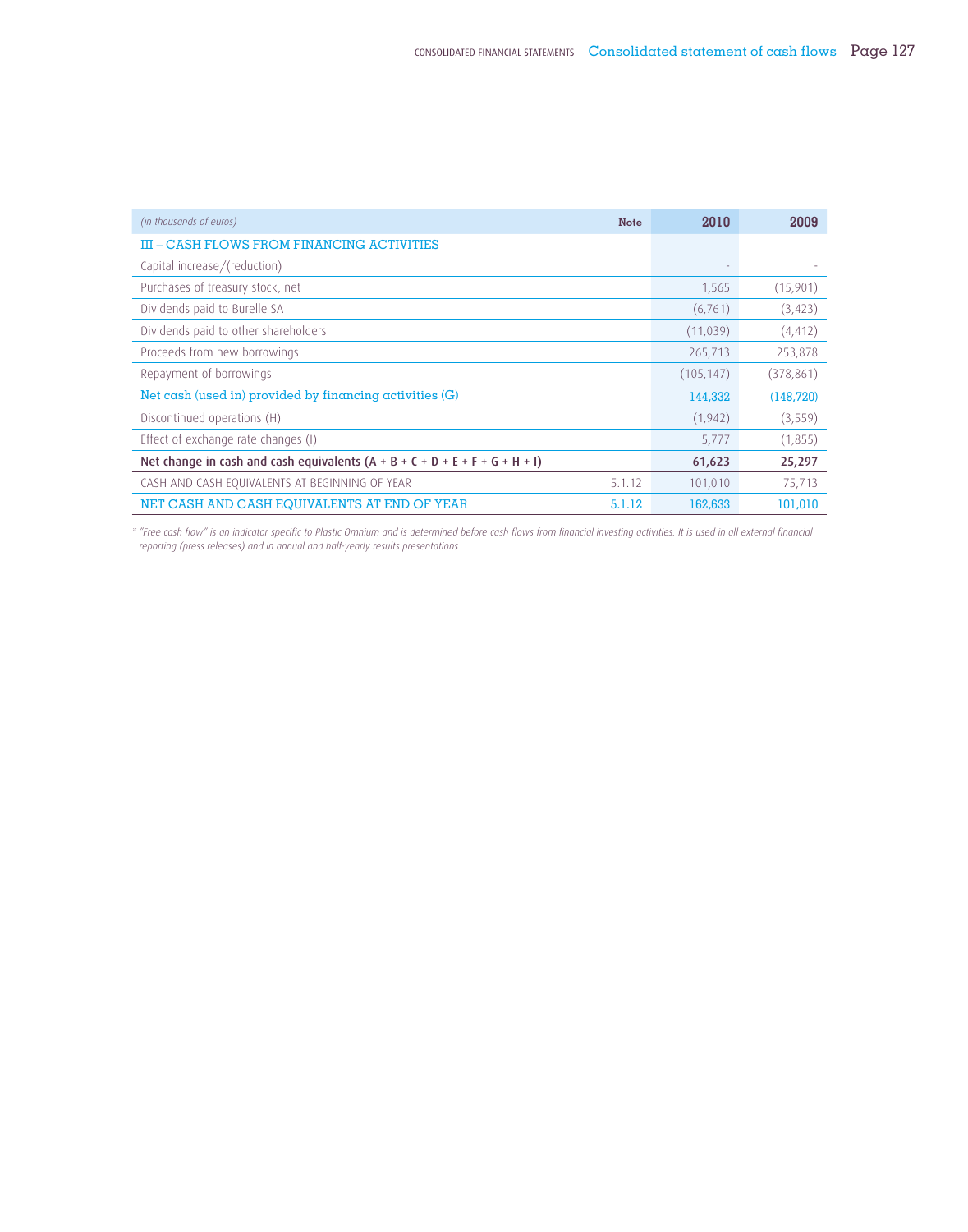| (in thousands of euros)                                                       | <b>Note</b> | 2010                     | 2009       |
|-------------------------------------------------------------------------------|-------------|--------------------------|------------|
| III – CASH FLOWS FROM FINANCING ACTIVITIES                                    |             |                          |            |
| Capital increase/(reduction)                                                  |             | $\overline{\phantom{a}}$ |            |
| Purchases of treasury stock, net                                              |             | 1,565                    | (15,901)   |
| Dividends paid to Burelle SA                                                  |             | (6, 761)                 | (3, 423)   |
| Dividends paid to other shareholders                                          |             | (11,039)                 | (4, 412)   |
| Proceeds from new borrowings                                                  |             | 265,713                  | 253,878    |
| Repayment of borrowings                                                       |             | (105, 147)               | (378, 861) |
| Net cash (used in) provided by financing activities (G)                       |             | 144,332                  | (148, 720) |
| Discontinued operations (H)                                                   |             | (1,942)                  | (3, 559)   |
| Effect of exchange rate changes (I)                                           |             | 5,777                    | (1,855)    |
| Net change in cash and cash equivalents $(A + B + C + D + E + F + G + H + I)$ |             | 61,623                   | 25,297     |
| CASH AND CASH EQUIVALENTS AT BEGINNING OF YEAR                                | 5.1.12      | 101,010                  | 75,713     |
| NET CASH AND CASH EQUIVALENTS AT END OF YEAR                                  | 5.1.12      | 162,633                  | 101,010    |

*\* "Free cash flow" is an indicator specific to Plastic Omnium and is determined before cash flows from financial investing activities. It is used in all external financial reporting (press releases) and in annual and half-yearly results presentations.*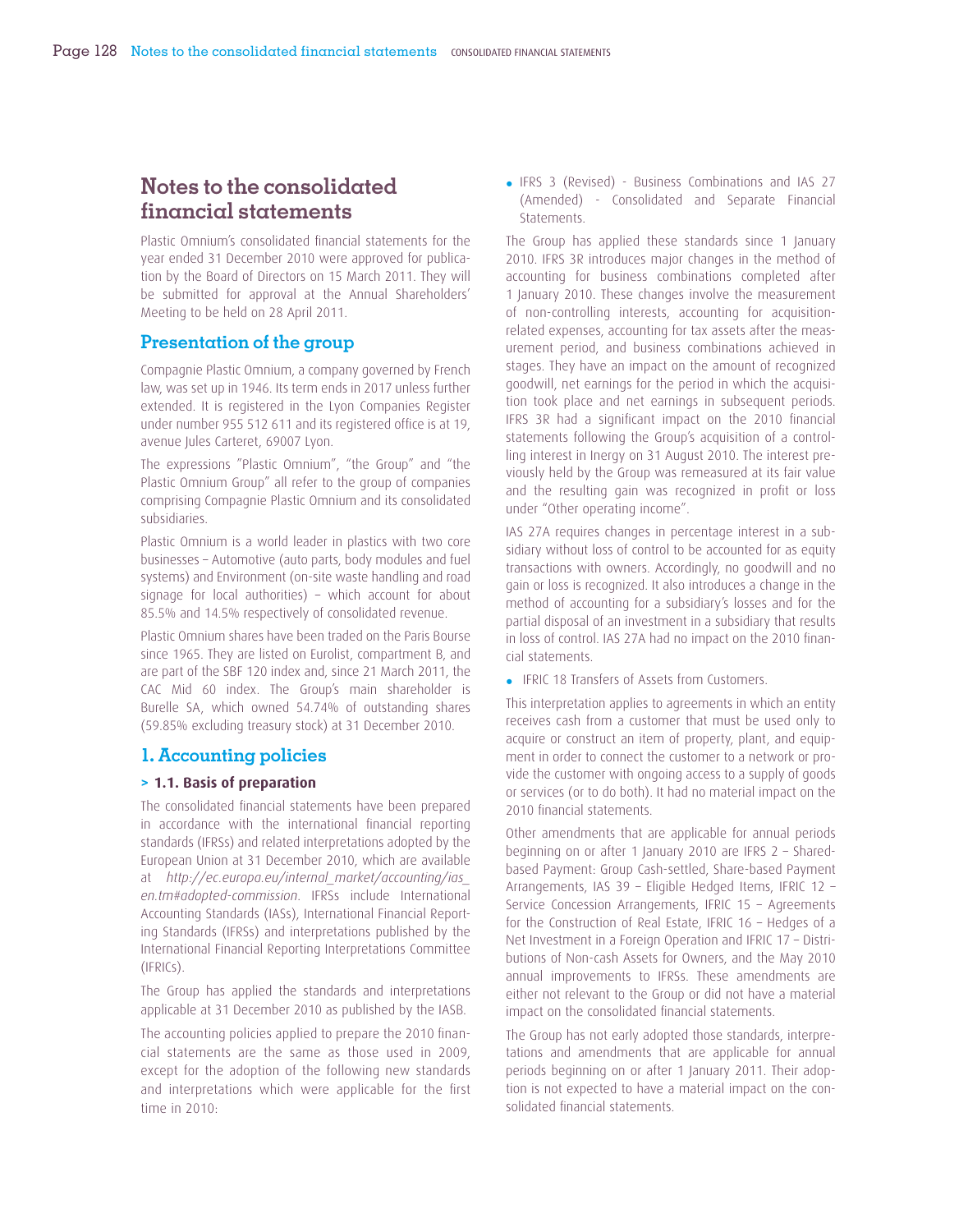# **Notes to the consolidated financial statements**

Plastic Omnium's consolidated financial statements for the year ended 31 December 2010 were approved for publication by the Board of Directors on 15 March 2011. They will be submitted for approval at the Annual Shareholders' Meeting to be held on 28 April 2011.

### **Presentation of the group**

Compagnie Plastic Omnium, a company governed by French law, was set up in 1946. Its term ends in 2017 unless further extended. It is registered in the Lyon Companies Register under number 955 512 611 and its registered office is at 19, avenue Jules Carteret, 69007 Lyon.

The expressions "Plastic Omnium", "the Group" and "the Plastic Omnium Group" all refer to the group of companies comprising Compagnie Plastic Omnium and its consolidated subsidiaries.

Plastic Omnium is a world leader in plastics with two core businesses – Automotive (auto parts, body modules and fuel systems) and Environment (on-site waste handling and road signage for local authorities) – which account for about 85.5% and 14.5% respectively of consolidated revenue.

Plastic Omnium shares have been traded on the Paris Bourse since 1965. They are listed on Eurolist, compartment B, and are part of the SBF 120 index and, since 21 March 2011, the CAC Mid 60 index. The Group's main shareholder is Burelle SA, which owned 54.74% of outstanding shares (59.85% excluding treasury stock) at 31 December 2010.

### **1. Accounting policies**

#### **> 1.1. Basis of preparation**

The consolidated financial statements have been prepared in accordance with the international financial reporting standards (IFRSs) and related interpretations adopted by the European Union at 31 December 2010, which are available at *http://ec.europa.eu/internal\_market/accounting/ias\_ en.tm#adopted-commission*. IFRSs include International Accounting Standards (IASs), International Financial Reporting Standards (IFRSs) and interpretations published by the International Financial Reporting Interpretations Committee (IFRICs).

The Group has applied the standards and interpretations applicable at 31 December 2010 as published by the IASB.

The accounting policies applied to prepare the 2010 financial statements are the same as those used in 2009, except for the adoption of the following new standards and interpretations which were applicable for the first time in 2010:

• IFRS 3 (Revised) - Business Combinations and IAS 27 (Amended) - Consolidated and Separate Financial **Statements** 

The Group has applied these standards since 1 January 2010. IFRS 3R introduces major changes in the method of accounting for business combinations completed after 1 January 2010. These changes involve the measurement of non-controlling interests, accounting for acquisitionrelated expenses, accounting for tax assets after the measurement period, and business combinations achieved in stages. They have an impact on the amount of recognized goodwill, net earnings for the period in which the acquisition took place and net earnings in subsequent periods. IFRS 3R had a significant impact on the 2010 financial statements following the Group's acquisition of a controlling interest in Inergy on 31 August 2010. The interest previously held by the Group was remeasured at its fair value and the resulting gain was recognized in profit or loss under "Other operating income".

IAS 27A requires changes in percentage interest in a subsidiary without loss of control to be accounted for as equity transactions with owners. Accordingly, no goodwill and no gain or loss is recognized. It also introduces a change in the method of accounting for a subsidiary's losses and for the partial disposal of an investment in a subsidiary that results in loss of control. IAS 27A had no impact on the 2010 financial statements.

• IFRIC 18 Transfers of Assets from Customers.

This interpretation applies to agreements in which an entity receives cash from a customer that must be used only to acquire or construct an item of property, plant, and equipment in order to connect the customer to a network or provide the customer with ongoing access to a supply of goods or services (or to do both). It had no material impact on the 2010 financial statements.

Other amendments that are applicable for annual periods beginning on or after 1 January 2010 are IFRS 2 – Sharedbased Payment: Group Cash-settled, Share-based Payment Arrangements, IAS 39 – Eligible Hedged Items, IFRIC 12 – Service Concession Arrangements, IFRIC 15 – Agreements for the Construction of Real Estate, IFRIC 16 – Hedges of a Net Investment in a Foreign Operation and IFRIC 17 – Distributions of Non-cash Assets for Owners, and the May 2010 annual improvements to IFRSs. These amendments are either not relevant to the Group or did not have a material impact on the consolidated financial statements.

The Group has not early adopted those standards, interpretations and amendments that are applicable for annual periods beginning on or after 1 January 2011. Their adoption is not expected to have a material impact on the consolidated financial statements.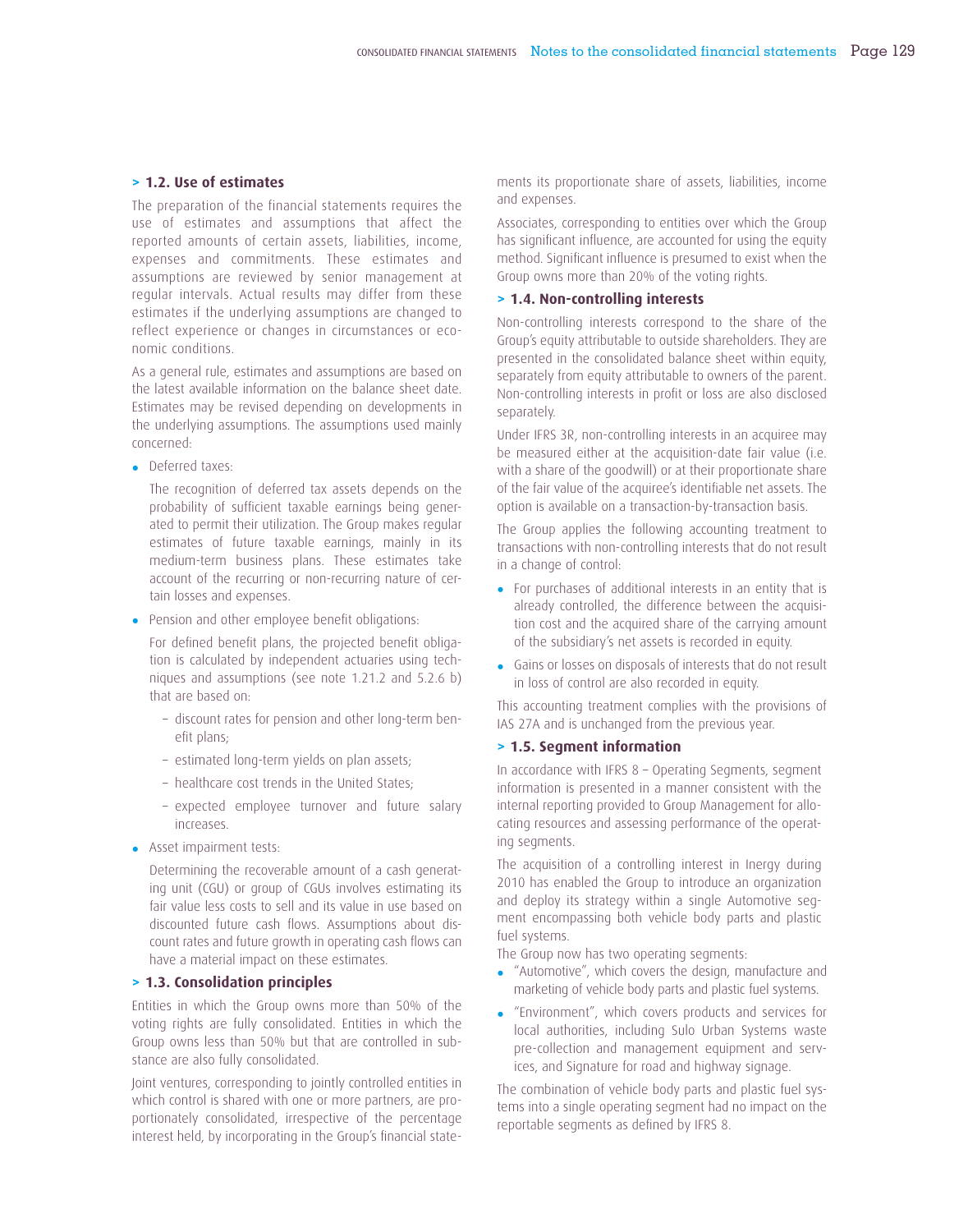#### **> 1.2. Use of estimates**

The preparation of the financial statements requires the use of estimates and assumptions that affect the reported amounts of certain assets, liabilities, income, expenses and commitments. These estimates and assumptions are reviewed by senior management at regular intervals. Actual results may differ from these estimates if the underlying assumptions are changed to reflect experience or changes in circumstances or economic conditions.

As a general rule, estimates and assumptions are based on the latest available information on the balance sheet date. Estimates may be revised depending on developments in the underlying assumptions. The assumptions used mainly concerned:

• Deferred taxes:

The recognition of deferred tax assets depends on the probability of sufficient taxable earnings being generated to permit their utilization. The Group makes regular estimates of future taxable earnings, mainly in its medium-term business plans. These estimates take account of the recurring or non-recurring nature of certain losses and expenses.

• Pension and other employee benefit obligations:

For defined benefit plans, the projected benefit obligation is calculated by independent actuaries using techniques and assumptions (see note 1.21.2 and 5.2.6 b) that are based on:

- discount rates for pension and other long-term benefit plans:
- estimated long-term yields on plan assets;
- healthcare cost trends in the United States;
- expected employee turnover and future salary increases.
- Asset impairment tests:

Determining the recoverable amount of a cash generating unit (CGU) or group of CGUs involves estimating its fair value less costs to sell and its value in use based on discounted future cash flows. Assumptions about discount rates and future growth in operating cash flows can have a material impact on these estimates.

#### **> 1.3. Consolidation principles**

Entities in which the Group owns more than 50% of the voting rights are fully consolidated. Entities in which the Group owns less than 50% but that are controlled in substance are also fully consolidated.

Joint ventures, corresponding to jointly controlled entities in which control is shared with one or more partners, are proportionately consolidated, irrespective of the percentage interest held, by incorporating in the Group's financial statements its proportionate share of assets, liabilities, income and expenses.

Associates, corresponding to entities over which the Group has significant influence, are accounted for using the equity method. Significant influence is presumed to exist when the Group owns more than 20% of the voting rights.

#### **> 1.4. Non-controlling interests**

Non-controlling interests correspond to the share of the Group's equity attributable to outside shareholders. They are presented in the consolidated balance sheet within equity, separately from equity attributable to owners of the parent. Non-controlling interests in profit or loss are also disclosed separately.

Under IFRS 3R, non-controlling interests in an acquiree may be measured either at the acquisition-date fair value (i.e. with a share of the goodwill) or at their proportionate share of the fair value of the acquiree's identifiable net assets. The option is available on a transaction-by-transaction basis.

The Group applies the following accounting treatment to transactions with non-controlling interests that do not result in a change of control:

- For purchases of additional interests in an entity that is already controlled, the difference between the acquisition cost and the acquired share of the carrying amount of the subsidiary's net assets is recorded in equity.
- Gains or losses on disposals of interests that do not result in loss of control are also recorded in equity.

This accounting treatment complies with the provisions of IAS 27A and is unchanged from the previous year.

#### **> 1.5. Segment information**

In accordance with IFRS 8 – Operating Segments, segment information is presented in a manner consistent with the internal reporting provided to Group Management for allocating resources and assessing performance of the operating segments.

The acquisition of a controlling interest in Inergy during 2010 has enabled the Group to introduce an organization and deploy its strategy within a single Automotive segment encompassing both vehicle body parts and plastic fuel systems.

The Group now has two operating segments:

- "Automotive", which covers the design, manufacture and marketing of vehicle body parts and plastic fuel systems.
- "Environment", which covers products and services for local authorities, including Sulo Urban Systems waste pre-collection and management equipment and services, and Signature for road and highway signage.

The combination of vehicle body parts and plastic fuel systems into a single operating segment had no impact on the reportable segments as defined by IFRS 8.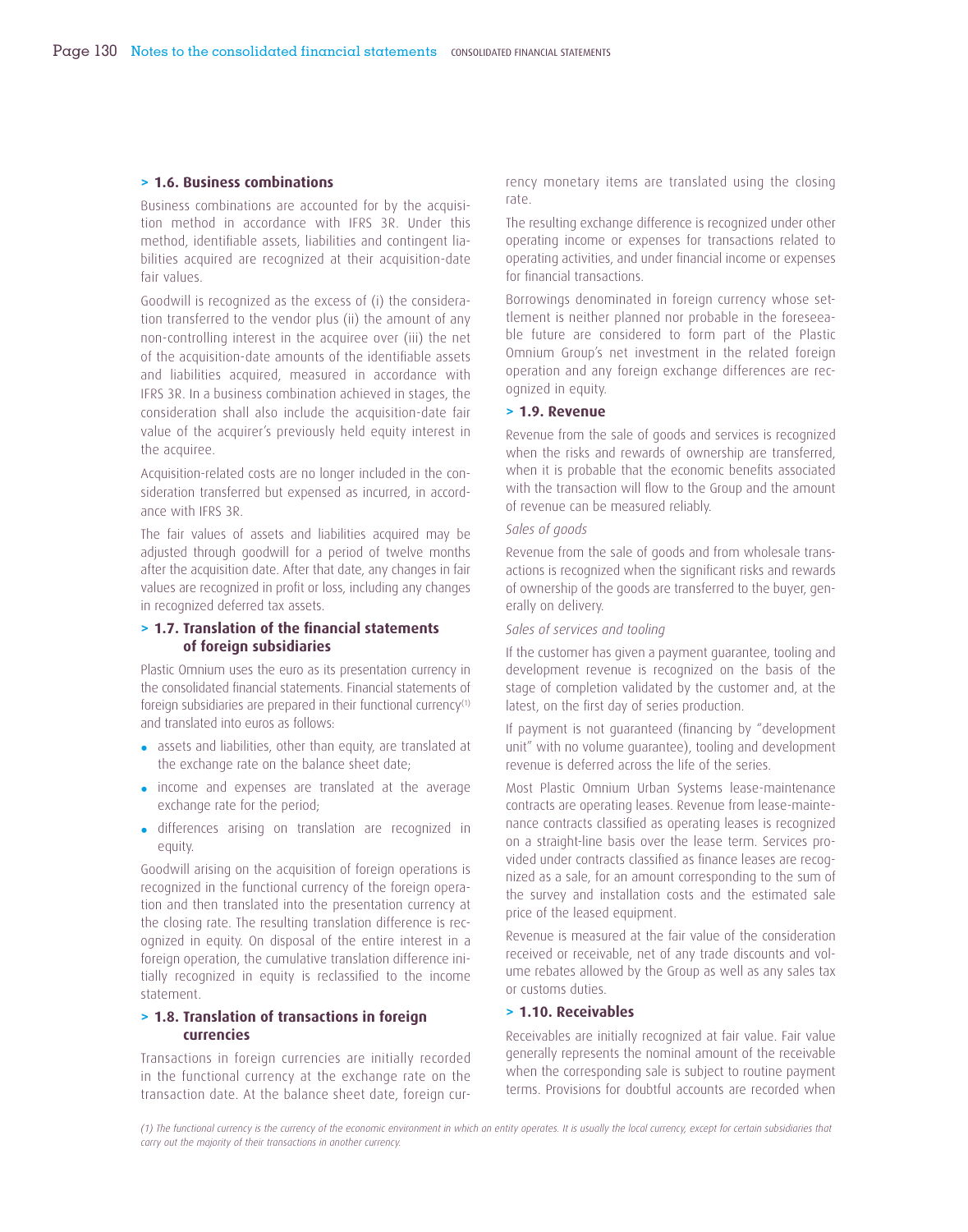#### **> 1.6. Business combinations**

Business combinations are accounted for by the acquisition method in accordance with IFRS 3R. Under this method, identifiable assets, liabilities and contingent liabilities acquired are recognized at their acquisition-date fair values.

Goodwill is recognized as the excess of (i) the consideration transferred to the vendor plus (ii) the amount of any non-controlling interest in the acquiree over (iii) the net of the acquisition-date amounts of the identifiable assets and liabilities acquired, measured in accordance with IFRS 3R. In a business combination achieved in stages, the consideration shall also include the acquisition-date fair value of the acquirer's previously held equity interest in the acquiree.

Acquisition-related costs are no longer included in the consideration transferred but expensed as incurred, in accordance with IFRS 3R.

The fair values of assets and liabilities acquired may be adjusted through goodwill for a period of twelve months after the acquisition date. After that date, any changes in fair values are recognized in profit or loss, including any changes in recognized deferred tax assets.

#### **> 1.7. Translation of the fi nancial statements of foreign subsidiaries**

Plastic Omnium uses the euro as its presentation currency in the consolidated financial statements. Financial statements of foreign subsidiaries are prepared in their functional currency<sup>(1)</sup> and translated into euros as follows:

- assets and liabilities, other than equity, are translated at the exchange rate on the balance sheet date;
- income and expenses are translated at the average exchange rate for the period;
- differences arising on translation are recognized in equity.

Goodwill arising on the acquisition of foreign operations is recognized in the functional currency of the foreign operation and then translated into the presentation currency at the closing rate. The resulting translation difference is recognized in equity. On disposal of the entire interest in a foreign operation, the cumulative translation difference initially recognized in equity is reclassified to the income statement.

#### **> 1.8. Translation of transactions in foreign currencies**

Transactions in foreign currencies are initially recorded in the functional currency at the exchange rate on the transaction date. At the balance sheet date, foreign currency monetary items are translated using the closing rate.

The resulting exchange difference is recognized under other operating income or expenses for transactions related to operating activities, and under financial income or expenses for financial transactions.

Borrowings denominated in foreign currency whose settlement is neither planned nor probable in the foreseeable future are considered to form part of the Plastic Omnium Group's net investment in the related foreign operation and any foreign exchange differences are recognized in equity.

#### **> 1.9. Revenue**

Revenue from the sale of goods and services is recognized when the risks and rewards of ownership are transferred, when it is probable that the economic benefits associated with the transaction will flow to the Group and the amount of revenue can be measured reliably.

#### *Sales of goods*

Revenue from the sale of goods and from wholesale transactions is recognized when the significant risks and rewards of ownership of the goods are transferred to the buyer, generally on delivery.

#### *Sales of services and tooling*

If the customer has given a payment guarantee, tooling and development revenue is recognized on the basis of the stage of completion validated by the customer and, at the latest, on the first day of series production.

If payment is not quaranteed (financing by "development unit" with no volume guarantee), tooling and development revenue is deferred across the life of the series.

Most Plastic Omnium Urban Systems lease-maintenance contracts are operating leases. Revenue from lease-maintenance contracts classified as operating leases is recognized on a straight-line basis over the lease term. Services provided under contracts classified as finance leases are recognized as a sale, for an amount corresponding to the sum of the survey and installation costs and the estimated sale price of the leased equipment.

Revenue is measured at the fair value of the consideration received or receivable, net of any trade discounts and volume rebates allowed by the Group as well as any sales tax or customs duties.

#### **> 1.10. Receivables**

Receivables are initially recognized at fair value. Fair value generally represents the nominal amount of the receivable when the corresponding sale is subject to routine payment terms. Provisions for doubtful accounts are recorded when

*(1) The functional currency is the currency of the economic environment in which an entity operates. It is usually the local currency, except for certain subsidiaries that carry out the majority of their transactions in another currency.*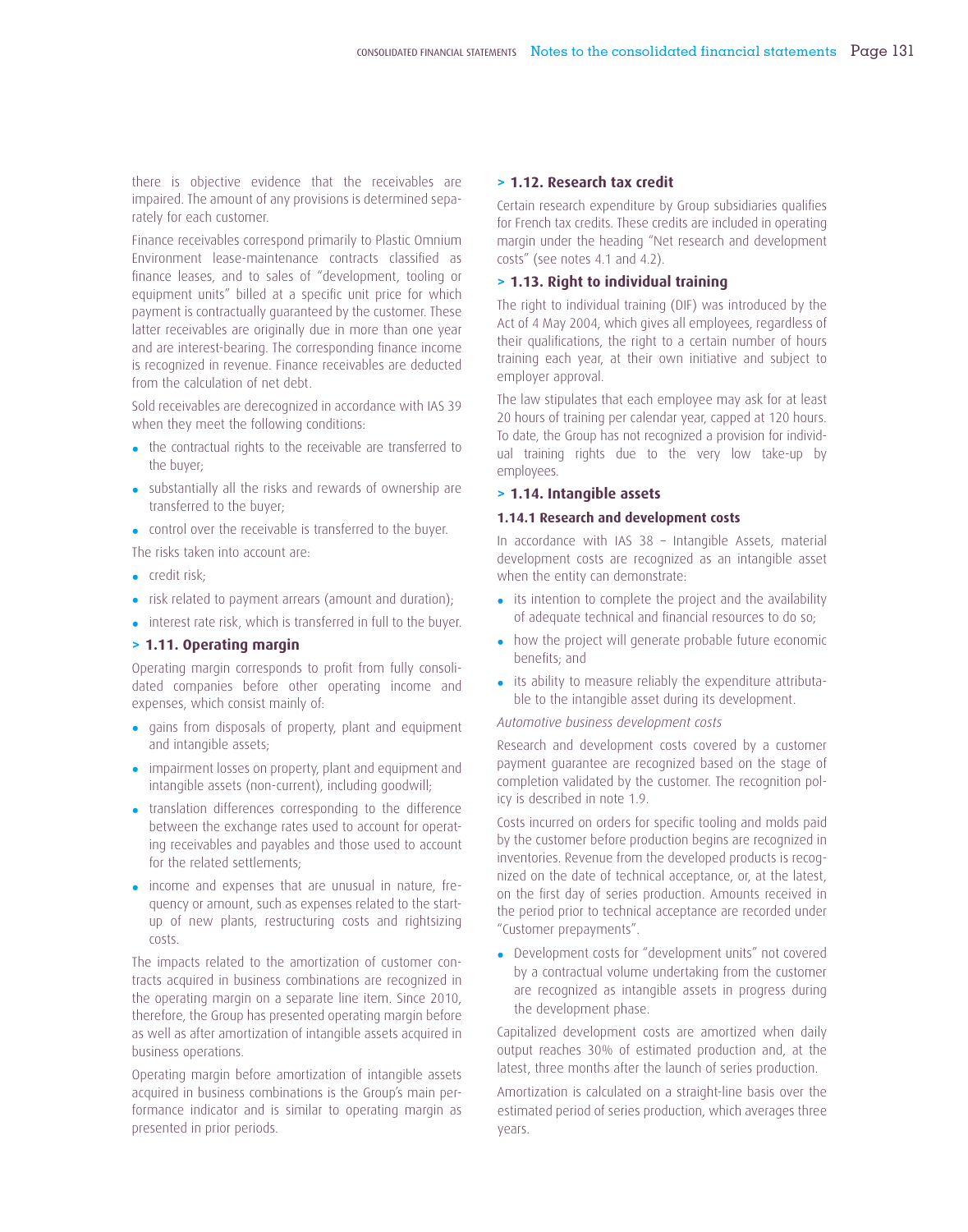there is objective evidence that the receivables are impaired. The amount of any provisions is determined separately for each customer.

Finance receivables correspond primarily to Plastic Omnium Environment lease-maintenance contracts classified as finance leases, and to sales of "development, tooling or equipment units" billed at a specific unit price for which payment is contractually guaranteed by the customer. These latter receivables are originally due in more than one year and are interest-bearing. The corresponding finance income is recognized in revenue. Finance receivables are deducted from the calculation of net debt.

Sold receivables are derecognized in accordance with IAS 39 when they meet the following conditions:

- the contractual rights to the receivable are transferred to the buyer;
- substantially all the risks and rewards of ownership are transferred to the buyer;
- control over the receivable is transferred to the buyer.

The risks taken into account are:

- credit risk;
- risk related to payment arrears (amount and duration);
- interest rate risk, which is transferred in full to the buyer.

#### **> 1.11. Operating margin**

Operating margin corresponds to profit from fully consolidated companies before other operating income and expenses, which consist mainly of:

- gains from disposals of property, plant and equipment and intangible assets;
- impairment losses on property, plant and equipment and intangible assets (non-current), including goodwill;
- translation differences corresponding to the difference between the exchange rates used to account for operating receivables and payables and those used to account for the related settlements;
- income and expenses that are unusual in nature, frequency or amount, such as expenses related to the startup of new plants, restructuring costs and rightsizing costs.

The impacts related to the amortization of customer contracts acquired in business combinations are recognized in the operating margin on a separate line item. Since 2010, therefore, the Group has presented operating margin before as well as after amortization of intangible assets acquired in business operations.

Operating margin before amortization of intangible assets acquired in business combinations is the Group's main performance indicator and is similar to operating margin as presented in prior periods.

#### **> 1.12. Research tax credit**

Certain research expenditure by Group subsidiaries qualifies for French tax credits. These credits are included in operating margin under the heading "Net research and development costs" (see notes 4.1 and 4.2).

#### **> 1.13. Right to individual training**

The right to individual training (DIF) was introduced by the Act of 4 May 2004, which gives all employees, regardless of their qualifications, the right to a certain number of hours training each year, at their own initiative and subject to employer approval.

The law stipulates that each employee may ask for at least 20 hours of training per calendar year, capped at 120 hours. To date, the Group has not recognized a provision for individual training rights due to the very low take-up by employees.

#### **> 1.14. Intangible assets**

#### **1.14.1 Research and development costs**

In accordance with IAS 38 – Intangible Assets, material development costs are recognized as an intangible asset when the entity can demonstrate:

- its intention to complete the project and the availability of adequate technical and financial resources to do so;
- how the project will generate probable future economic benefits: and
- its ability to measure reliably the expenditure attributable to the intangible asset during its development.

#### *Automotive business development costs*

Research and development costs covered by a customer payment guarantee are recognized based on the stage of completion validated by the customer. The recognition policy is described in note 1.9.

Costs incurred on orders for specific tooling and molds paid by the customer before production begins are recognized in inventories. Revenue from the developed products is recognized on the date of technical acceptance, or, at the latest, on the first day of series production. Amounts received in the period prior to technical acceptance are recorded under "Customer prepayments".

• Development costs for "development units" not covered by a contractual volume undertaking from the customer are recognized as intangible assets in progress during the development phase.

Capitalized development costs are amortized when daily output reaches 30% of estimated production and, at the latest, three months after the launch of series production.

Amortization is calculated on a straight-line basis over the estimated period of series production, which averages three years.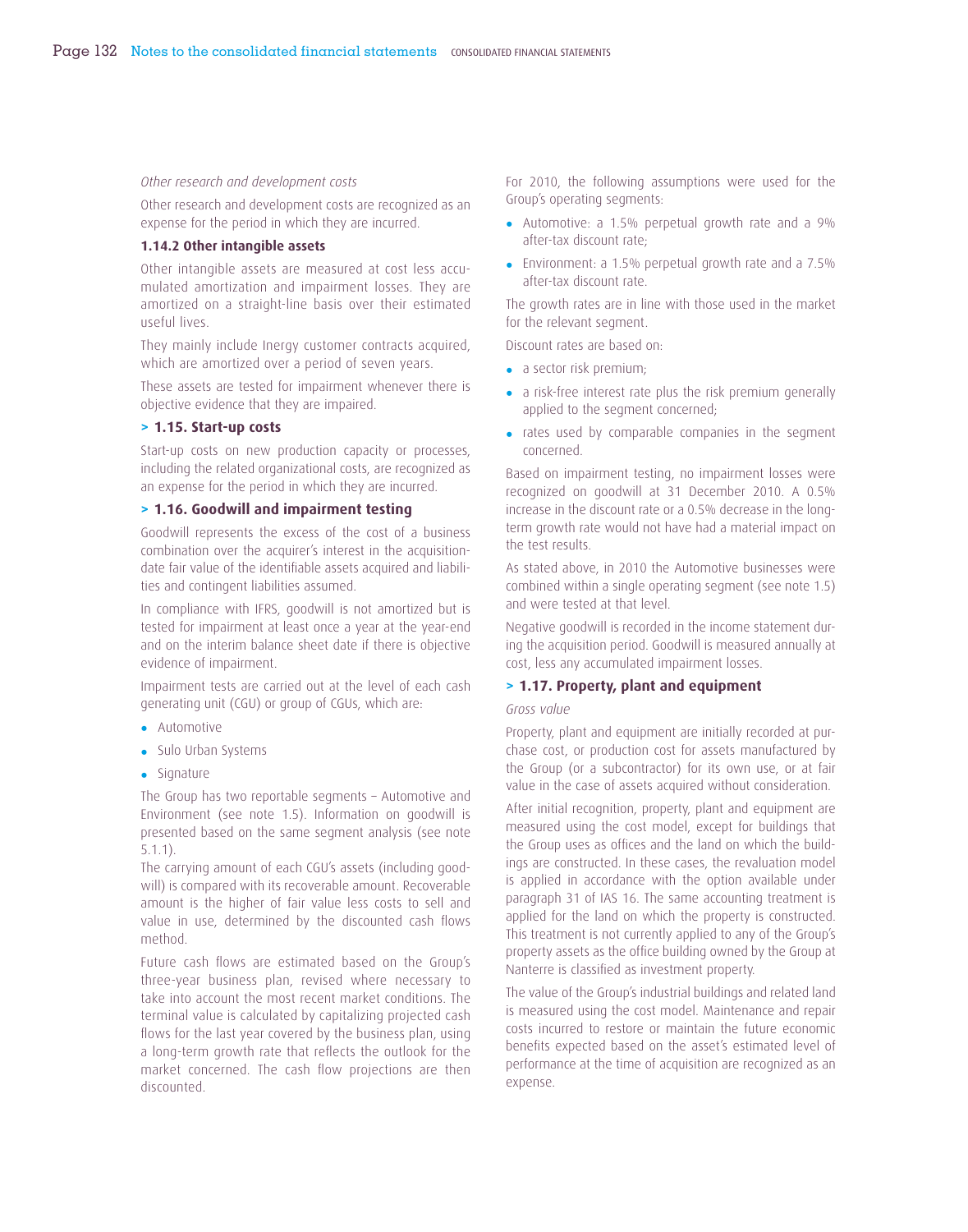#### *Other research and development costs*

Other research and development costs are recognized as an expense for the period in which they are incurred.

#### **1.14.2 Other intangible assets**

Other intangible assets are measured at cost less accumulated amortization and impairment losses. They are amortized on a straight-line basis over their estimated useful lives.

They mainly include Inergy customer contracts acquired, which are amortized over a period of seven years.

These assets are tested for impairment whenever there is objective evidence that they are impaired.

#### **> 1.15. Start-up costs**

Start-up costs on new production capacity or processes, including the related organizational costs, are recognized as an expense for the period in which they are incurred.

#### **> 1.16. Goodwill and impairment testing**

Goodwill represents the excess of the cost of a business combination over the acquirer's interest in the acquisitiondate fair value of the identifiable assets acquired and liabilities and contingent liabilities assumed.

In compliance with IFRS, goodwill is not amortized but is tested for impairment at least once a year at the year-end and on the interim balance sheet date if there is objective evidence of impairment.

Impairment tests are carried out at the level of each cash generating unit (CGU) or group of CGUs, which are:

- Automotive
- Sulo Urban Systems
- Signature

The Group has two reportable segments – Automotive and Environment (see note 1.5). Information on goodwill is presented based on the same segment analysis (see note 5.1.1).

The carrying amount of each CGU's assets (including goodwill) is compared with its recoverable amount. Recoverable amount is the higher of fair value less costs to sell and value in use, determined by the discounted cash flows method.

Future cash flows are estimated based on the Group's three-year business plan, revised where necessary to take into account the most recent market conditions. The terminal value is calculated by capitalizing projected cash flows for the last year covered by the business plan, using a long-term growth rate that reflects the outlook for the market concerned. The cash flow projections are then discounted.

For 2010, the following assumptions were used for the Group's operating segments:

- Automotive: a 1.5% perpetual growth rate and a 9% after-tax discount rate;
- Environment: a 1.5% perpetual growth rate and a 7.5% after-tax discount rate.

The growth rates are in line with those used in the market for the relevant segment.

Discount rates are based on:

- a sector risk premium;
- a risk-free interest rate plus the risk premium generally applied to the segment concerned;
- rates used by comparable companies in the segment concerned.

Based on impairment testing, no impairment losses were recognized on goodwill at 31 December 2010. A 0.5% increase in the discount rate or a 0.5% decrease in the longterm growth rate would not have had a material impact on the test results.

As stated above, in 2010 the Automotive businesses were combined within a single operating segment (see note 1.5) and were tested at that level.

Negative goodwill is recorded in the income statement during the acquisition period. Goodwill is measured annually at cost, less any accumulated impairment losses.

#### **> 1.17. Property, plant and equipment**

#### *Gross value*

Property, plant and equipment are initially recorded at purchase cost, or production cost for assets manufactured by the Group (or a subcontractor) for its own use, or at fair value in the case of assets acquired without consideration.

After initial recognition, property, plant and equipment are measured using the cost model, except for buildings that the Group uses as offices and the land on which the buildings are constructed. In these cases, the revaluation model is applied in accordance with the option available under paragraph 31 of IAS 16. The same accounting treatment is applied for the land on which the property is constructed. This treatment is not currently applied to any of the Group's property assets as the office building owned by the Group at Nanterre is classified as investment property.

The value of the Group's industrial buildings and related land is measured using the cost model. Maintenance and repair costs incurred to restore or maintain the future economic benefits expected based on the asset's estimated level of performance at the time of acquisition are recognized as an expense.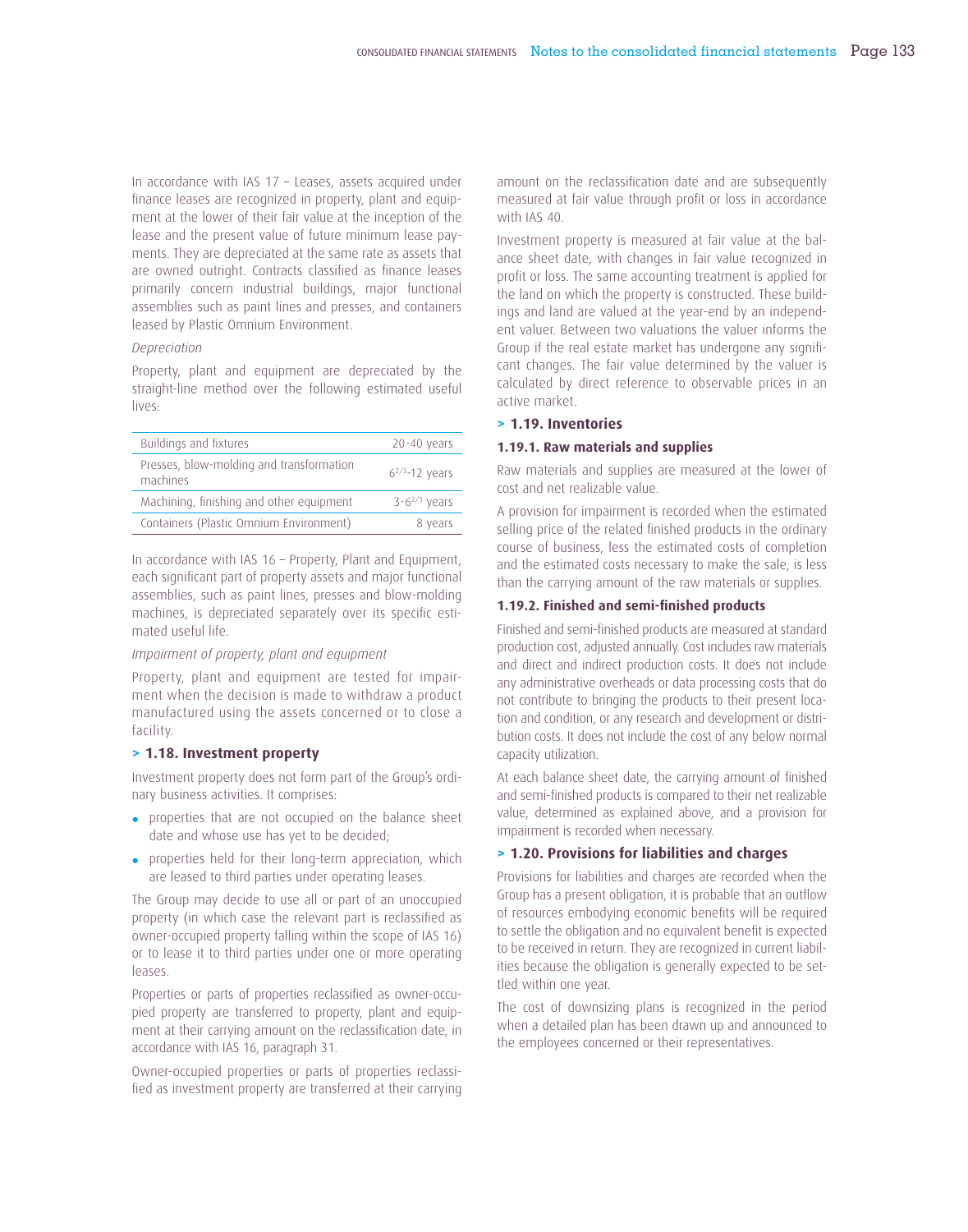In accordance with IAS 17 – Leases, assets acquired under finance leases are recognized in property, plant and equipment at the lower of their fair value at the inception of the lease and the present value of future minimum lease payments. They are depreciated at the same rate as assets that are owned outright. Contracts classified as finance leases primarily concern industrial buildings, major functional assemblies such as paint lines and presses, and containers leased by Plastic Omnium Environment.

# *Depreciation*

Property, plant and equipment are depreciated by the straight-line method over the following estimated useful lives:

| Buildings and fixtures                               | $20 - 40$ years      |
|------------------------------------------------------|----------------------|
| Presses, blow-molding and transformation<br>machines | $6^{2/3} - 12$ years |
| Machining, finishing and other equipment             | $3 - 6^{2/3}$ years  |
| Containers (Plastic Omnium Environment)              | 8 years              |

In accordance with IAS 16 – Property, Plant and Equipment, each significant part of property assets and major functional assemblies, such as paint lines, presses and blow-molding machines, is depreciated separately over its specific estimated useful life.

### *Impairment of property, plant and equipment*

Property, plant and equipment are tested for impairment when the decision is made to withdraw a product manufactured using the assets concerned or to close a facility.

# **> 1.18. Investment property**

Investment property does not form part of the Group's ordinary business activities. It comprises:

- properties that are not occupied on the balance sheet date and whose use has yet to be decided;
- properties held for their long-term appreciation, which are leased to third parties under operating leases.

The Group may decide to use all or part of an unoccupied property (in which case the relevant part is reclassified as owner-occupied property falling within the scope of IAS 16) or to lease it to third parties under one or more operating leases.

Properties or parts of properties reclassified as owner-occupied property are transferred to property, plant and equipment at their carrying amount on the reclassification date, in accordance with IAS 16, paragraph 31.

Owner-occupied properties or parts of properties reclassified as investment property are transferred at their carrying amount on the reclassification date and are subsequently measured at fair value through profit or loss in accordance with IAS 40.

Investment property is measured at fair value at the balance sheet date, with changes in fair value recognized in profit or loss. The same accounting treatment is applied for the land on which the property is constructed. These buildings and land are valued at the year-end by an independent valuer. Between two valuations the valuer informs the Group if the real estate market has undergone any significant changes. The fair value determined by the valuer is calculated by direct reference to observable prices in an active market.

#### **> 1.19. Inventories**

#### **1.19.1. Raw materials and supplies**

Raw materials and supplies are measured at the lower of cost and net realizable value.

A provision for impairment is recorded when the estimated selling price of the related finished products in the ordinary course of business, less the estimated costs of completion and the estimated costs necessary to make the sale, is less than the carrying amount of the raw materials or supplies.

## 1.19.2. Finished and semi-finished products

Finished and semi-finished products are measured at standard production cost, adjusted annually. Cost includes raw materials and direct and indirect production costs. It does not include any administrative overheads or data processing costs that do not contribute to bringing the products to their present location and condition, or any research and development or distribution costs. It does not include the cost of any below normal capacity utilization.

At each balance sheet date, the carrying amount of finished and semi-finished products is compared to their net realizable value, determined as explained above, and a provision for impairment is recorded when necessary.

### **> 1.20. Provisions for liabilities and charges**

Provisions for liabilities and charges are recorded when the Group has a present obligation, it is probable that an outflow of resources embodying economic benefits will be required to settle the obligation and no equivalent benefit is expected to be received in return. They are recognized in current liabilities because the obligation is generally expected to be settled within one year.

The cost of downsizing plans is recognized in the period when a detailed plan has been drawn up and announced to the employees concerned or their representatives.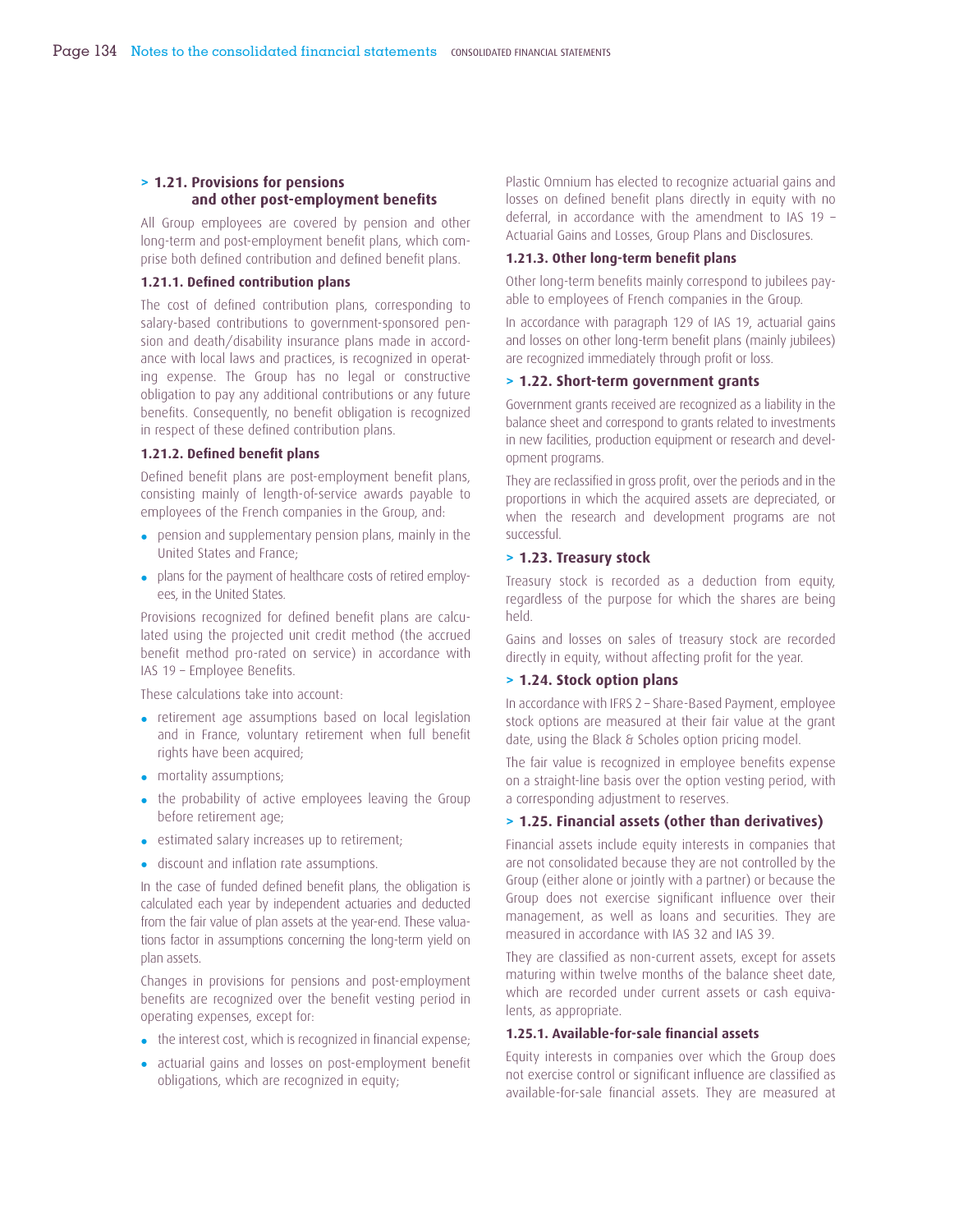# **> 1.21. Provisions for pensions**  and other post-employment benefits

All Group employees are covered by pension and other long-term and post-employment benefit plans, which comprise both defined contribution and defined benefit plans.

### **1.21.1. Defined contribution plans**

The cost of defined contribution plans, corresponding to salary-based contributions to government-sponsored pension and death/disability insurance plans made in accordance with local laws and practices, is recognized in operating expense. The Group has no legal or constructive obligation to pay any additional contributions or any future benefits. Consequently, no benefit obligation is recognized in respect of these defined contribution plans.

## **1.21.2. Defined benefit plans**

Defined benefit plans are post-employment benefit plans, consisting mainly of length-of-service awards payable to employees of the French companies in the Group, and:

- pension and supplementary pension plans, mainly in the United States and France;
- plans for the payment of healthcare costs of retired employees, in the United States.

Provisions recognized for defined benefit plans are calculated using the projected unit credit method (the accrued benefit method pro-rated on service) in accordance with IAS 19 - Employee Benefits.

These calculations take into account:

- retirement age assumptions based on local legislation and in France, voluntary retirement when full benefit rights have been acquired;
- mortality assumptions;
- the probability of active employees leaving the Group before retirement age;
- estimated salary increases up to retirement;
- discount and inflation rate assumptions.

In the case of funded defined benefit plans, the obligation is calculated each year by independent actuaries and deducted from the fair value of plan assets at the year-end. These valuations factor in assumptions concerning the long-term yield on plan assets.

Changes in provisions for pensions and post-employment benefits are recognized over the benefit vesting period in operating expenses, except for:

- $\bullet$  the interest cost, which is recognized in financial expense;
- actuarial gains and losses on post-employment benefit obligations, which are recognized in equity;

Plastic Omnium has elected to recognize actuarial gains and losses on defined benefit plans directly in equity with no deferral, in accordance with the amendment to IAS 19 – Actuarial Gains and Losses, Group Plans and Disclosures.

### 1.21.3. Other long-term benefit plans

Other long-term benefits mainly correspond to jubilees payable to employees of French companies in the Group.

In accordance with paragraph 129 of IAS 19, actuarial gains and losses on other long-term benefit plans (mainly jubilees) are recognized immediately through profit or loss.

### **> 1.22. Short-term government grants**

Government grants received are recognized as a liability in the balance sheet and correspond to grants related to investments in new facilities, production equipment or research and development programs.

They are reclassified in gross profit, over the periods and in the proportions in which the acquired assets are depreciated, or when the research and development programs are not successful.

#### **> 1.23. Treasury stock**

Treasury stock is recorded as a deduction from equity, regardless of the purpose for which the shares are being held.

Gains and losses on sales of treasury stock are recorded directly in equity, without affecting profit for the year.

# **> 1.24. Stock option plans**

In accordance with IFRS 2 – Share-Based Payment, employee stock options are measured at their fair value at the grant date, using the Black & Scholes option pricing model.

The fair value is recognized in employee benefits expense on a straight-line basis over the option vesting period, with a corresponding adjustment to reserves.

### **> 1.25. Financial assets (other than derivatives)**

Financial assets include equity interests in companies that are not consolidated because they are not controlled by the Group (either alone or jointly with a partner) or because the Group does not exercise significant influence over their management, as well as loans and securities. They are measured in accordance with IAS 32 and IAS 39.

They are classified as non-current assets, except for assets maturing within twelve months of the balance sheet date, which are recorded under current assets or cash equivalents, as appropriate.

### 1.25.1. Available-for-sale financial assets

Equity interests in companies over which the Group does not exercise control or significant influence are classified as available-for-sale financial assets. They are measured at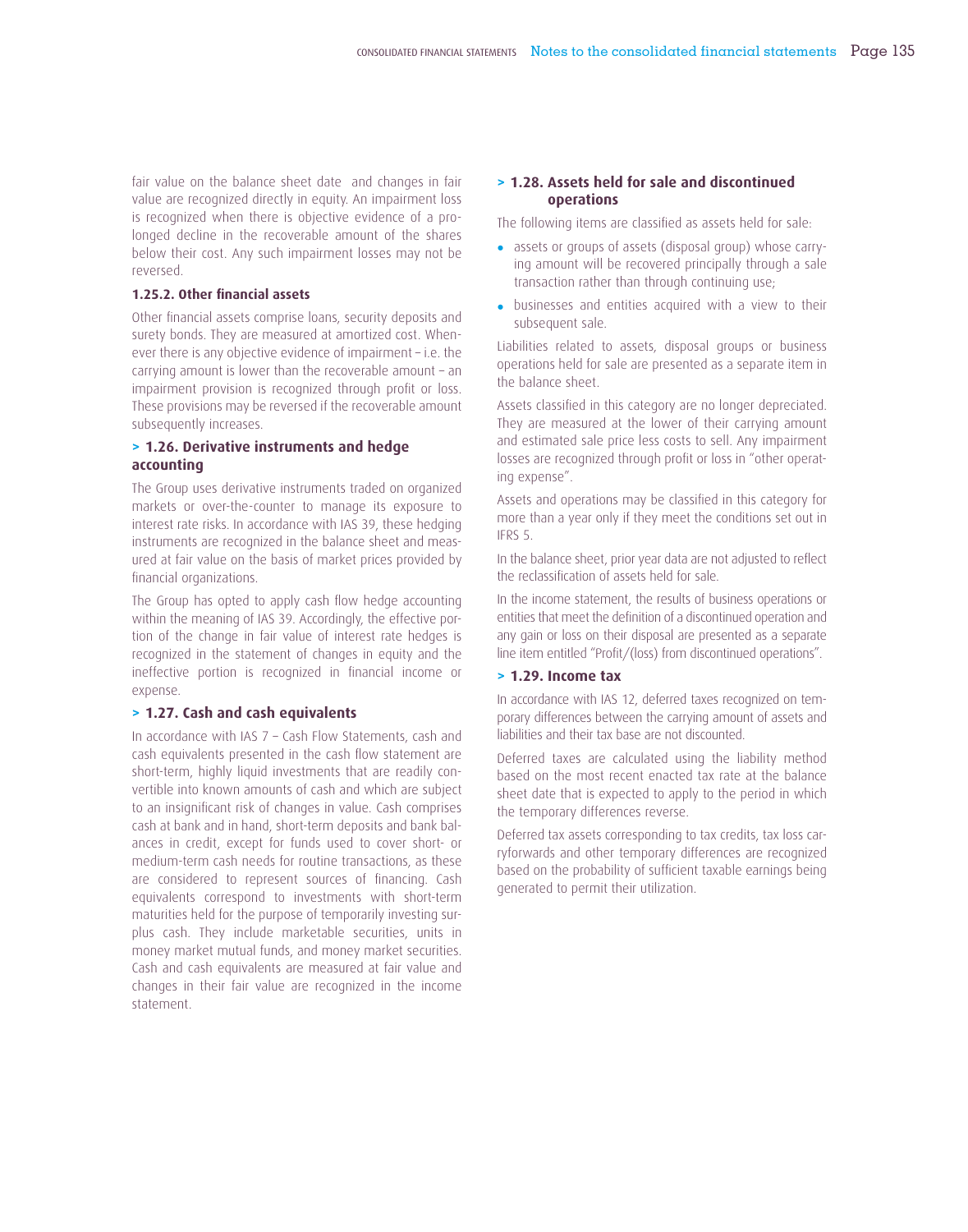fair value on the balance sheet date and changes in fair value are recognized directly in equity. An impairment loss is recognized when there is objective evidence of a prolonged decline in the recoverable amount of the shares below their cost. Any such impairment losses may not be reversed.

### **1.25.2. Other financial assets**

Other financial assets comprise loans, security deposits and surety bonds. They are measured at amortized cost. Whenever there is any objective evidence of impairment – i.e. the carrying amount is lower than the recoverable amount – an impairment provision is recognized through profit or loss. These provisions may be reversed if the recoverable amount subsequently increases.

# **> 1.26. Derivative instruments and hedge accounting**

The Group uses derivative instruments traded on organized markets or over-the-counter to manage its exposure to interest rate risks. In accordance with IAS 39, these hedging instruments are recognized in the balance sheet and measured at fair value on the basis of market prices provided by financial organizations.

The Group has opted to apply cash flow hedge accounting within the meaning of IAS 39. Accordingly, the effective portion of the change in fair value of interest rate hedges is recognized in the statement of changes in equity and the ineffective portion is recognized in financial income or expense.

### **> 1.27. Cash and cash equivalents**

In accordance with IAS 7 – Cash Flow Statements, cash and cash equivalents presented in the cash flow statement are short-term, highly liquid investments that are readily convertible into known amounts of cash and which are subject to an insignificant risk of changes in value. Cash comprises cash at bank and in hand, short-term deposits and bank balances in credit, except for funds used to cover short- or medium-term cash needs for routine transactions, as these are considered to represent sources of financing. Cash equivalents correspond to investments with short-term maturities held for the purpose of temporarily investing surplus cash. They include marketable securities, units in money market mutual funds, and money market securities. Cash and cash equivalents are measured at fair value and changes in their fair value are recognized in the income statement.

# **> 1.28. Assets held for sale and discontinued operations**

The following items are classified as assets held for sale:

- assets or groups of assets (disposal group) whose carrying amount will be recovered principally through a sale transaction rather than through continuing use;
- businesses and entities acquired with a view to their subsequent sale.

Liabilities related to assets, disposal groups or business operations held for sale are presented as a separate item in the balance sheet.

Assets classified in this category are no longer depreciated. They are measured at the lower of their carrying amount and estimated sale price less costs to sell. Any impairment losses are recognized through profit or loss in "other operating expense".

Assets and operations may be classified in this category for more than a year only if they meet the conditions set out in IFRS 5.

In the balance sheet, prior year data are not adjusted to reflect the reclassification of assets held for sale.

In the income statement, the results of business operations or entities that meet the definition of a discontinued operation and any gain or loss on their disposal are presented as a separate line item entitled "Profit/(loss) from discontinued operations".

# **> 1.29. Income tax**

In accordance with IAS 12, deferred taxes recognized on temporary differences between the carrying amount of assets and liabilities and their tax base are not discounted.

Deferred taxes are calculated using the liability method based on the most recent enacted tax rate at the balance sheet date that is expected to apply to the period in which the temporary differences reverse.

Deferred tax assets corresponding to tax credits, tax loss carryforwards and other temporary differences are recognized based on the probability of sufficient taxable earnings being generated to permit their utilization.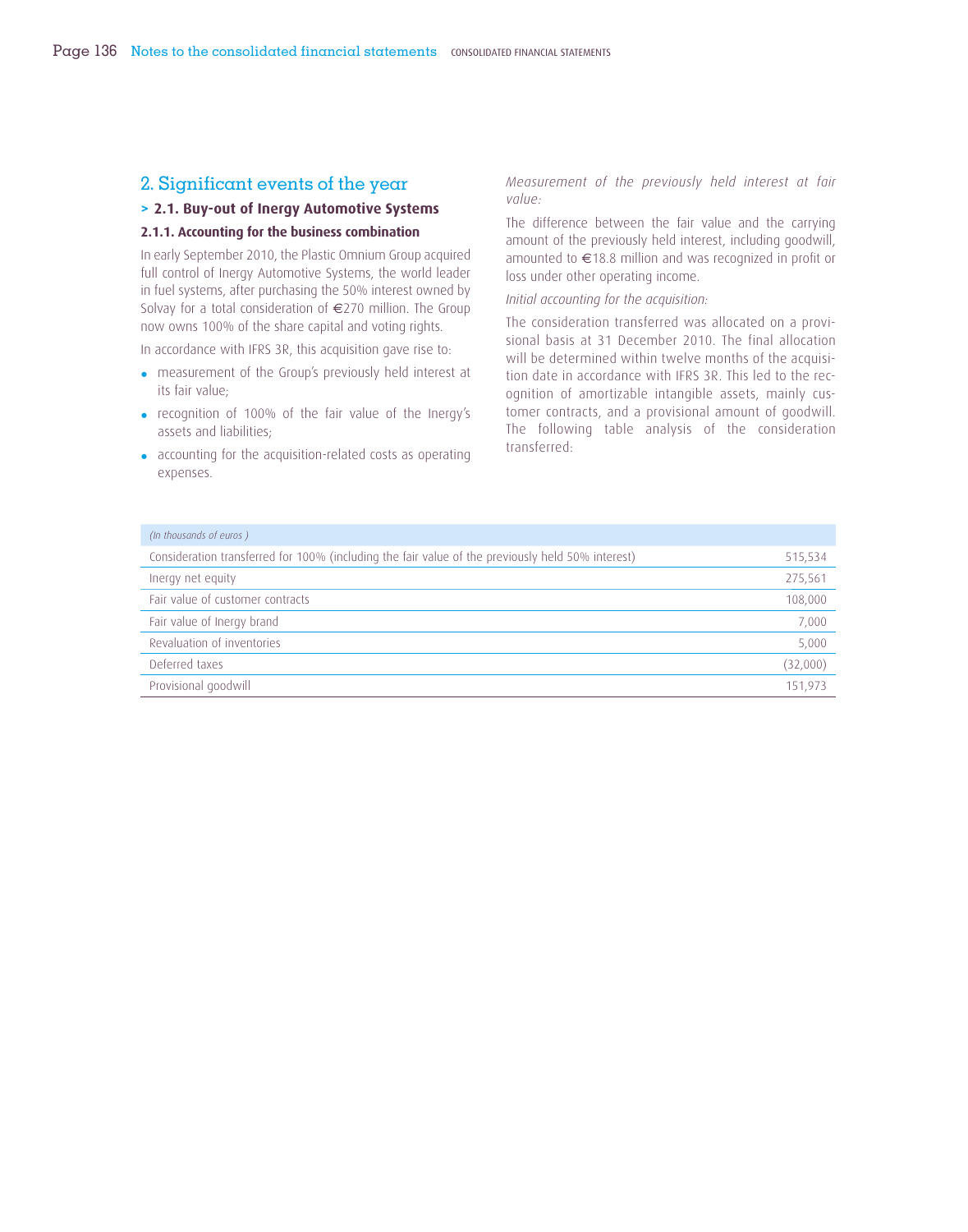# 2. Significant events of the year

# **> 2.1. Buy-out of Inergy Automotive Systems**

## **2.1.1. Accounting for the business combination**

In early September 2010, the Plastic Omnium Group acquired full control of Inergy Automotive Systems, the world leader in fuel systems, after purchasing the 50% interest owned by Solvay for a total consideration of €270 million. The Group now owns 100% of the share capital and voting rights.

In accordance with IFRS 3R, this acquisition gave rise to:

- measurement of the Group's previously held interest at its fair value;
- recognition of 100% of the fair value of the Inergy's assets and liabilities;
- accounting for the acquisition-related costs as operating expenses.

*Measurement of the previously held interest at fair value:*

The difference between the fair value and the carrying amount of the previously held interest, including goodwill, amounted to €18.8 million and was recognized in profit or loss under other operating income.

#### *Initial accounting for the acquisition:*

The consideration transferred was allocated on a provisional basis at 31 December 2010. The final allocation will be determined within twelve months of the acquisition date in accordance with IFRS 3R. This led to the recognition of amortizable intangible assets, mainly customer contracts, and a provisional amount of goodwill. The following table analysis of the consideration transferred:

| (In thousands of euros)                                                                           |          |
|---------------------------------------------------------------------------------------------------|----------|
| Consideration transferred for 100% (including the fair value of the previously held 50% interest) | 515,534  |
| Inergy net equity                                                                                 | 275,561  |
| Fair value of customer contracts                                                                  | 108,000  |
| Fair value of Inergy brand                                                                        | 7,000    |
| Revaluation of inventories                                                                        | 5,000    |
| Deferred taxes                                                                                    | (32,000) |
| Provisional goodwill                                                                              | 151.973  |
|                                                                                                   |          |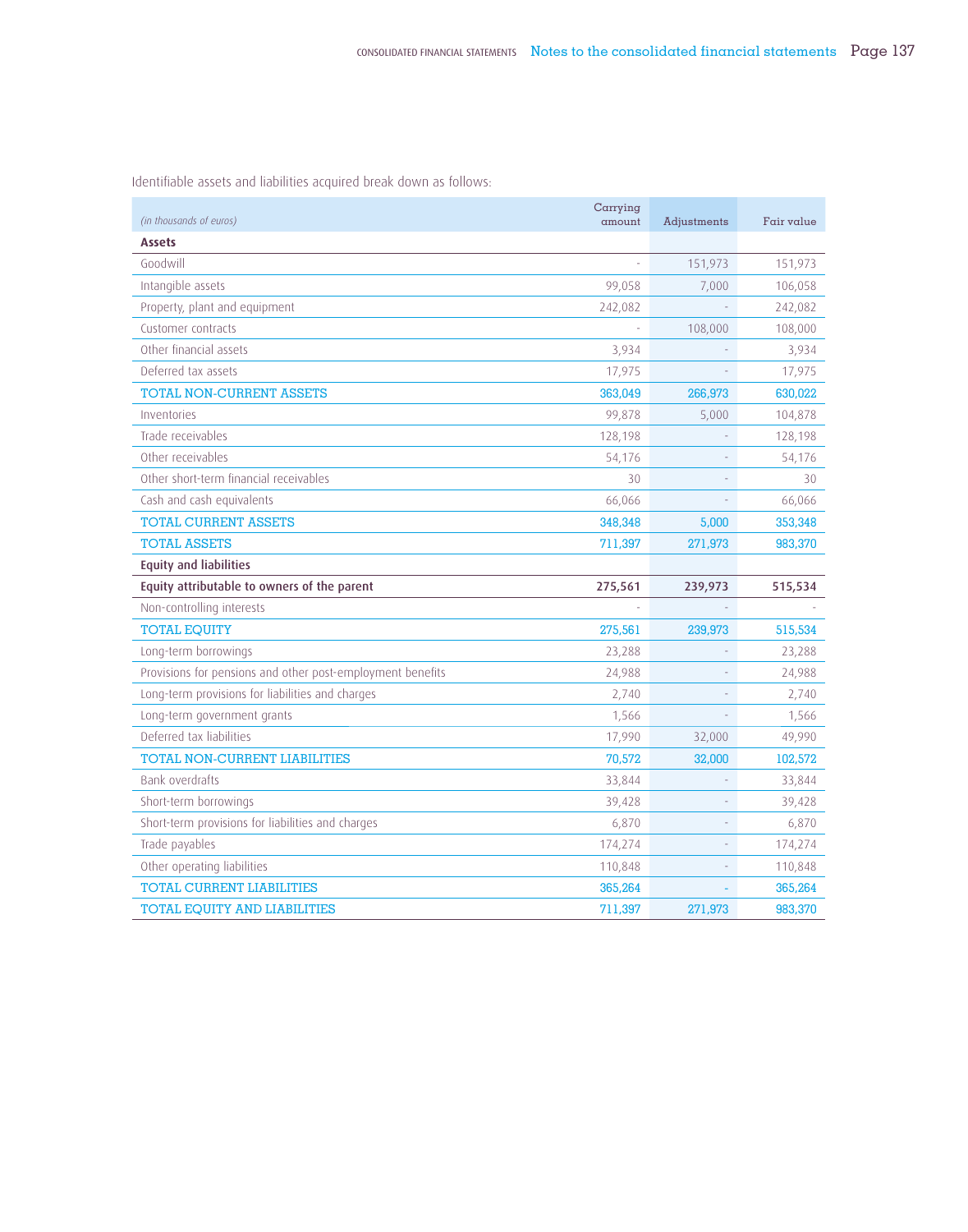| (in thousands of euros)                                    | Carrying<br>amount | Adjustments | Fair value |
|------------------------------------------------------------|--------------------|-------------|------------|
| <b>Assets</b>                                              |                    |             |            |
| Goodwill                                                   |                    | 151,973     | 151,973    |
| Intangible assets                                          | 99,058             | 7,000       | 106,058    |
| Property, plant and equipment                              | 242,082            |             | 242,082    |
| Customer contracts                                         |                    | 108,000     | 108,000    |
| Other financial assets                                     | 3,934              |             | 3,934      |
| Deferred tax assets                                        | 17,975             |             | 17,975     |
| TOTAL NON-CURRENT ASSETS                                   | 363,049            | 266,973     | 630,022    |
| Inventories                                                | 99,878             | 5,000       | 104,878    |
| Trade receivables                                          | 128,198            |             | 128,198    |
| Other receivables                                          | 54,176             |             | 54,176     |
| Other short-term financial receivables                     | 30                 |             | 30         |
| Cash and cash equivalents                                  | 66,066             |             | 66,066     |
| <b>TOTAL CURRENT ASSETS</b>                                | 348,348            | 5,000       | 353,348    |
| <b>TOTAL ASSETS</b>                                        | 711,397            | 271,973     | 983,370    |
| <b>Equity and liabilities</b>                              |                    |             |            |
| Equity attributable to owners of the parent                | 275,561            | 239,973     | 515,534    |
| Non-controlling interests                                  |                    |             |            |
| <b>TOTAL EQUITY</b>                                        | 275,561            | 239,973     | 515,534    |
| Long-term borrowings                                       | 23,288             |             | 23,288     |
| Provisions for pensions and other post-employment benefits | 24,988             |             | 24,988     |
| Long-term provisions for liabilities and charges           | 2,740              |             | 2,740      |
| Long-term government grants                                | 1,566              |             | 1,566      |
| Deferred tax liabilities                                   | 17,990             | 32,000      | 49,990     |
| TOTAL NON-CURRENT LIABILITIES                              | 70,572             | 32,000      | 102,572    |
| Bank overdrafts                                            | 33,844             |             | 33,844     |
| Short-term borrowings                                      | 39,428             |             | 39,428     |
| Short-term provisions for liabilities and charges          | 6,870              |             | 6,870      |
| Trade payables                                             | 174,274            |             | 174,274    |
| Other operating liabilities                                | 110,848            |             | 110,848    |
| <b>TOTAL CURRENT LIABILITIES</b>                           | 365,264            |             | 365,264    |
| TOTAL EQUITY AND LIABILITIES                               | 711,397            | 271.973     | 983,370    |

Identifiable assets and liabilities acquired break down as follows: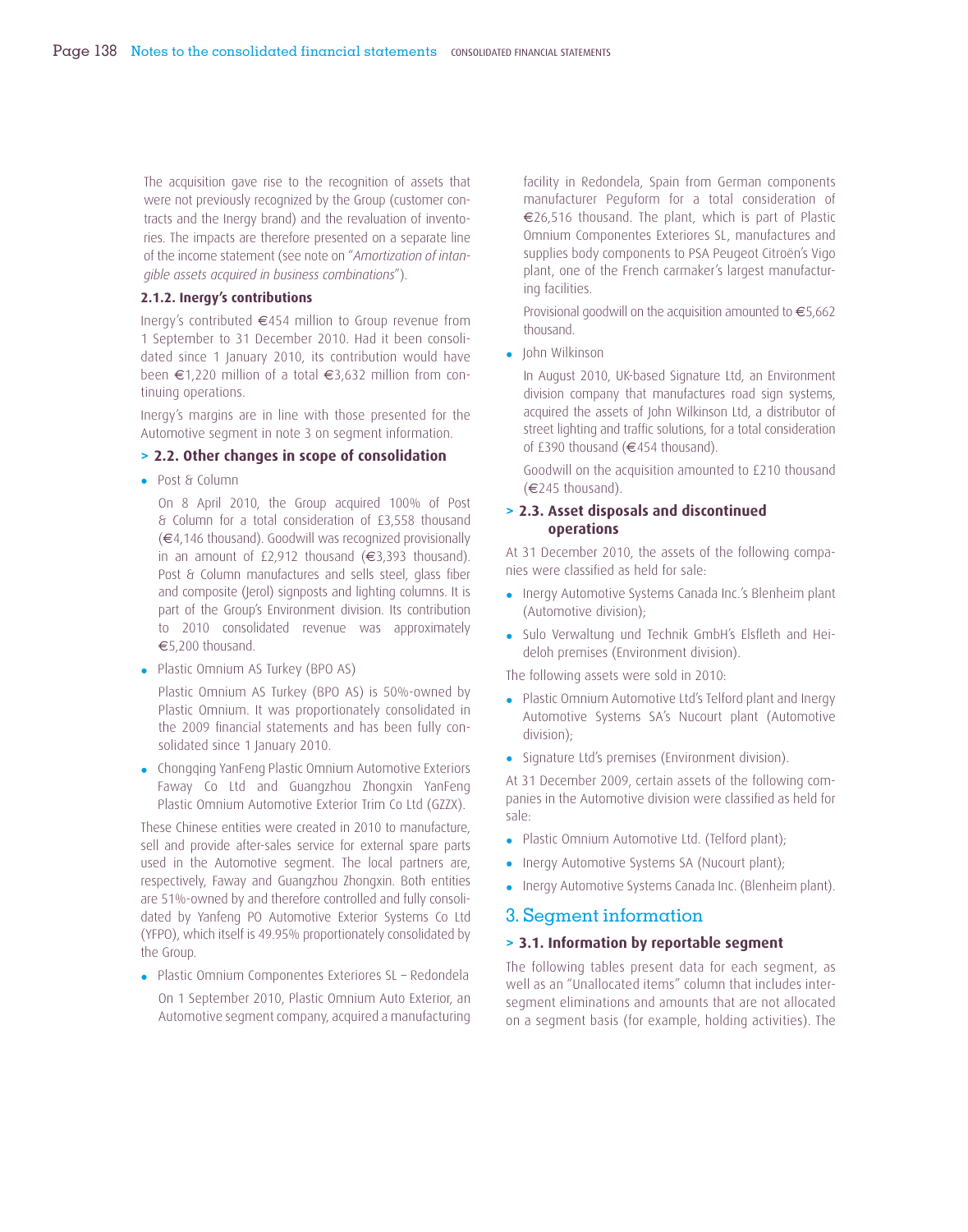The acquisition gave rise to the recognition of assets that were not previously recognized by the Group (customer contracts and the Inergy brand) and the revaluation of inventories. The impacts are therefore presented on a separate line of the income statement (see note on "*Amortization of intangible assets acquired in business combinations*").

### **2.1.2. Inergy's contributions**

Inergy's contributed €454 million to Group revenue from 1 September to 31 December 2010. Had it been consolidated since 1 January 2010, its contribution would have been €1,220 million of a total €3,632 million from continuing operations.

Inergy's margins are in line with those presented for the Automotive segment in note 3 on segment information.

### **> 2.2. Other changes in scope of consolidation**

• Post & Column

On 8 April 2010, the Group acquired 100% of Post & Column for a total consideration of £3,558 thousand (€4,146 thousand). Goodwill was recognized provisionally in an amount of £2,912 thousand  $(€3,393$  thousand). Post & Column manufactures and sells steel, glass fiber and composite (Jerol) signposts and lighting columns. It is part of the Group's Environment division. Its contribution to 2010 consolidated revenue was approximately €5,200 thousand.

• Plastic Omnium AS Turkey (BPO AS)

Plastic Omnium AS Turkey (BPO AS) is 50%-owned by Plastic Omnium. It was proportionately consolidated in the 2009 financial statements and has been fully consolidated since 1 January 2010.

• Chongqing YanFeng Plastic Omnium Automotive Exteriors Faway Co Ltd and Guangzhou Zhongxin YanFeng Plastic Omnium Automotive Exterior Trim Co Ltd (GZZX).

These Chinese entities were created in 2010 to manufacture, sell and provide after-sales service for external spare parts used in the Automotive segment. The local partners are, respectively, Faway and Guangzhou Zhongxin. Both entities are 51%-owned by and therefore controlled and fully consolidated by Yanfeng PO Automotive Exterior Systems Co Ltd (YFPO), which itself is 49.95% proportionately consolidated by the Group.

- Plastic Omnium Componentes Exteriores SL Redondela
- On 1 September 2010, Plastic Omnium Auto Exterior, an Automotive segment company, acquired a manufacturing

facility in Redondela, Spain from German components manufacturer Peguform for a total consideration of €26,516 thousand. The plant, which is part of Plastic Omnium Componentes Exteriores SL, manufactures and supplies body components to PSA Peugeot Citroën's Vigo plant, one of the French carmaker's largest manufacturing facilities.

Provisional goodwill on the acquisition amounted to €5,662 thousand.

• John Wilkinson

In August 2010, UK-based Signature Ltd, an Environment division company that manufactures road sign systems, acquired the assets of John Wilkinson Ltd, a distributor of street lighting and traffic solutions, for a total consideration of £390 thousand (€454 thousand).

Goodwill on the acquisition amounted to £210 thousand (€245 thousand).

### **> 2.3. Asset disposals and discontinued operations**

At 31 December 2010, the assets of the following companies were classified as held for sale:

- Inergy Automotive Systems Canada Inc.'s Blenheim plant (Automotive division);
- Sulo Verwaltung und Technik GmbH's Elsfleth and Heideloh premises (Environment division).

The following assets were sold in 2010:

- Plastic Omnium Automotive Ltd's Telford plant and Inergy Automotive Systems SA's Nucourt plant (Automotive division);
- Signature Ltd's premises (Environment division).

At 31 December 2009, certain assets of the following companies in the Automotive division were classified as held for sale:

- Plastic Omnium Automotive Ltd. (Telford plant);
- Inergy Automotive Systems SA (Nucourt plant);
- Inergy Automotive Systems Canada Inc. (Blenheim plant).

# 3. Segment information

# **> 3.1. Information by reportable segment**

The following tables present data for each segment, as well as an "Unallocated items" column that includes intersegment eliminations and amounts that are not allocated on a segment basis (for example, holding activities). The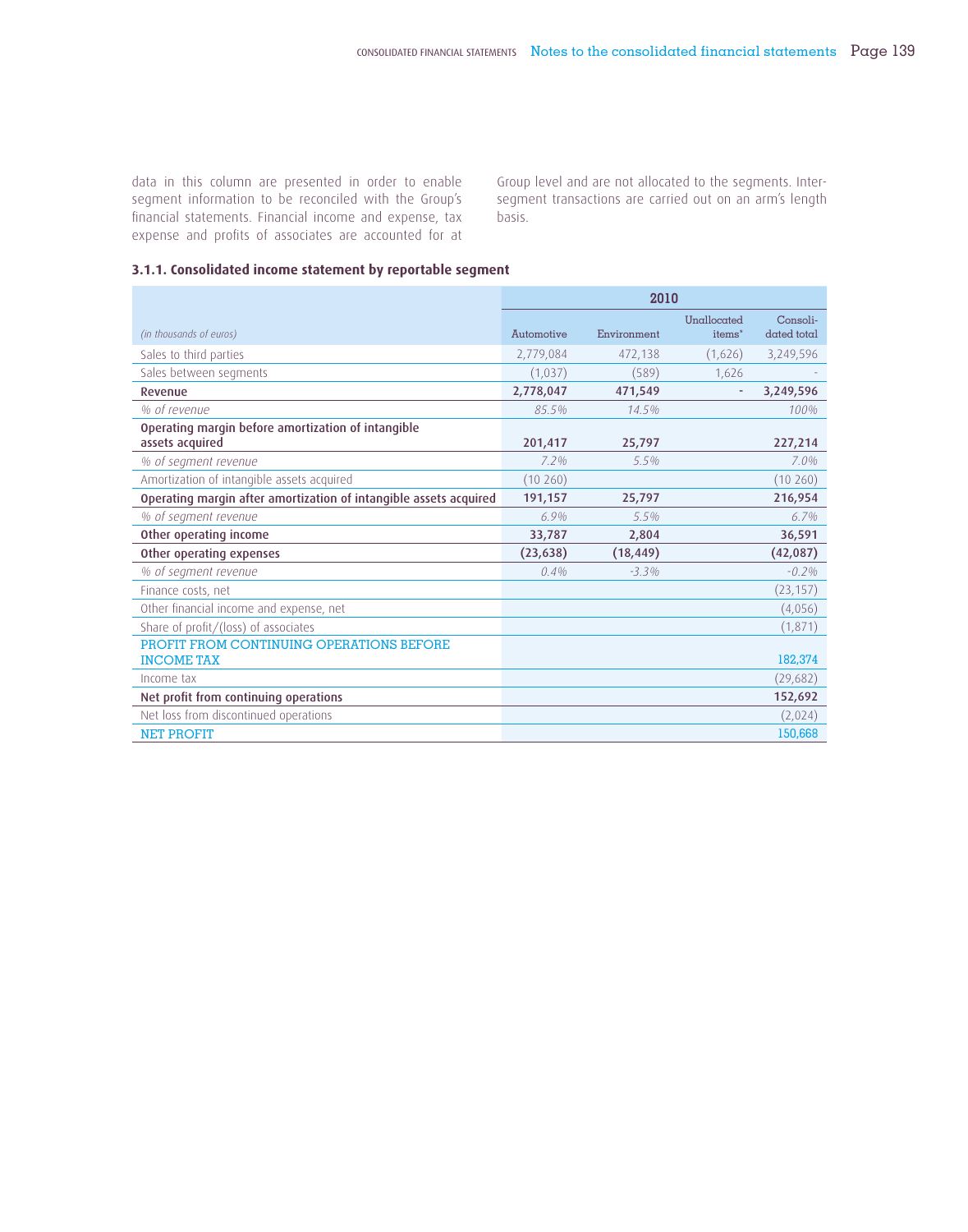data in this column are presented in order to enable s egment information to be reconciled with the Group's financial statements. Financial income and expense, tax expense and profits of associates are accounted for at Group level and are not allocated to the segments. Intersegment transactions are carried out on an arm's length basis.

## **3.1.1. Consolidated income statement by reportable segment**

|                                                                   | 2010       |             |                                   |                         |  |
|-------------------------------------------------------------------|------------|-------------|-----------------------------------|-------------------------|--|
| (in thousands of euros)                                           | Automotive | Environment | Unallocated<br>items <sup>*</sup> | Consoli-<br>dated total |  |
| Sales to third parties                                            | 2,779,084  | 472,138     | (1,626)                           | 3,249,596               |  |
| Sales between segments                                            | (1,037)    | (589)       | 1,626                             |                         |  |
| Revenue                                                           | 2,778,047  | 471,549     |                                   | 3,249,596               |  |
| % of revenue                                                      | 85.5%      | 14.5%       |                                   | 100%                    |  |
| Operating margin before amortization of intangible                |            |             |                                   |                         |  |
| assets acquired                                                   | 201,417    | 25,797      |                                   | 227,214                 |  |
| % of segment revenue                                              | 7.2%       | $5.5\%$     |                                   | 7.0%                    |  |
| Amortization of intangible assets acquired                        | (10260)    |             |                                   | (10260)                 |  |
| Operating margin after amortization of intangible assets acquired | 191,157    | 25,797      |                                   | 216,954                 |  |
| % of segment revenue                                              | 6.9%       | 5.5%        |                                   | $6.7\%$                 |  |
| Other operating income                                            | 33,787     | 2,804       |                                   | 36,591                  |  |
| Other operating expenses                                          | (23, 638)  | (18, 449)   |                                   | (42,087)                |  |
| % of segment revenue                                              | 0.4%       | $-3.3%$     |                                   | $-0.2%$                 |  |
| Finance costs, net                                                |            |             |                                   | (23, 157)               |  |
| Other financial income and expense, net                           |            |             |                                   | (4,056)                 |  |
| Share of profit/(loss) of associates                              |            |             |                                   | (1,871)                 |  |
| PROFIT FROM CONTINUING OPERATIONS BEFORE<br><b>INCOME TAX</b>     |            |             |                                   | 182,374                 |  |
| Income tax                                                        |            |             |                                   | (29,682)                |  |
| Net profit from continuing operations                             |            |             |                                   | 152,692                 |  |
| Net loss from discontinued operations                             |            |             |                                   | (2,024)                 |  |
| <b>NET PROFIT</b>                                                 |            |             |                                   | 150,668                 |  |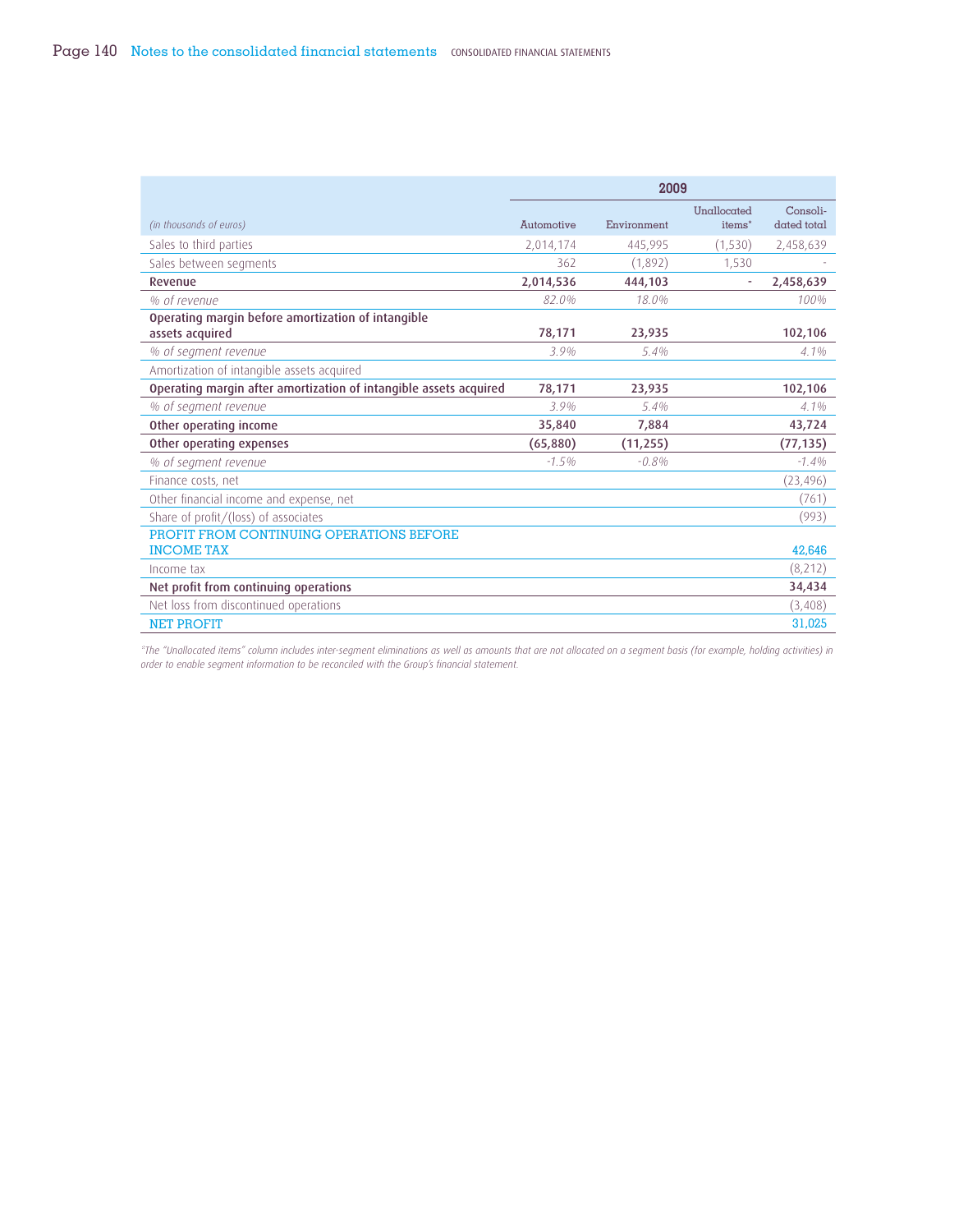|                                                                   | 2009       |             |                                   |                         |
|-------------------------------------------------------------------|------------|-------------|-----------------------------------|-------------------------|
| (in thousands of euros)                                           | Automotive | Environment | Unallocated<br>items <sup>*</sup> | Consoli-<br>dated total |
| Sales to third parties                                            | 2,014,174  | 445,995     | (1,530)                           | 2,458,639               |
| Sales between segments                                            | 362        | (1.892)     | 1,530                             |                         |
| Revenue                                                           | 2,014,536  | 444.103     |                                   | 2,458,639               |
| % of revenue                                                      | 82.0%      | 18.0%       |                                   | 100%                    |
| Operating margin before amortization of intangible                |            |             |                                   |                         |
| assets acquired                                                   | 78,171     | 23,935      |                                   | 102,106                 |
| % of segment revenue                                              | 3.9%       | $5.4\%$     |                                   | $4.1\%$                 |
| Amortization of intangible assets acquired                        |            |             |                                   |                         |
| Operating margin after amortization of intangible assets acquired | 78,171     | 23,935      |                                   | 102,106                 |
| % of segment revenue                                              | 3.9%       | 5.4%        |                                   | $4.1\%$                 |
| Other operating income                                            | 35,840     | 7,884       |                                   | 43,724                  |
| Other operating expenses                                          | (65,880)   | (11, 255)   |                                   | (77, 135)               |
| % of segment revenue                                              | $-1.5%$    | $-0.8%$     |                                   | $-1.4\%$                |
| Finance costs, net                                                |            |             |                                   | (23, 496)               |
| Other financial income and expense, net                           |            |             |                                   | (761)                   |
| Share of profit/(loss) of associates                              |            |             |                                   | (993)                   |
| PROFIT FROM CONTINUING OPERATIONS BEFORE                          |            |             |                                   |                         |
| <b>INCOME TAX</b>                                                 |            |             |                                   | 42,646                  |
| Income tax                                                        |            |             |                                   | (8,212)                 |
| Net profit from continuing operations                             |            |             |                                   | 34,434                  |
| Net loss from discontinued operations                             |            |             |                                   | (3,408)                 |
| <b>NET PROFIT</b>                                                 |            |             |                                   | 31,025                  |

*\*The "Unallocated items" column includes inter-segment eliminations as well as amounts that are not allocated on a segment basis (for example, holding activities) in order to enable segment information to be reconciled with the Group's financial statement.*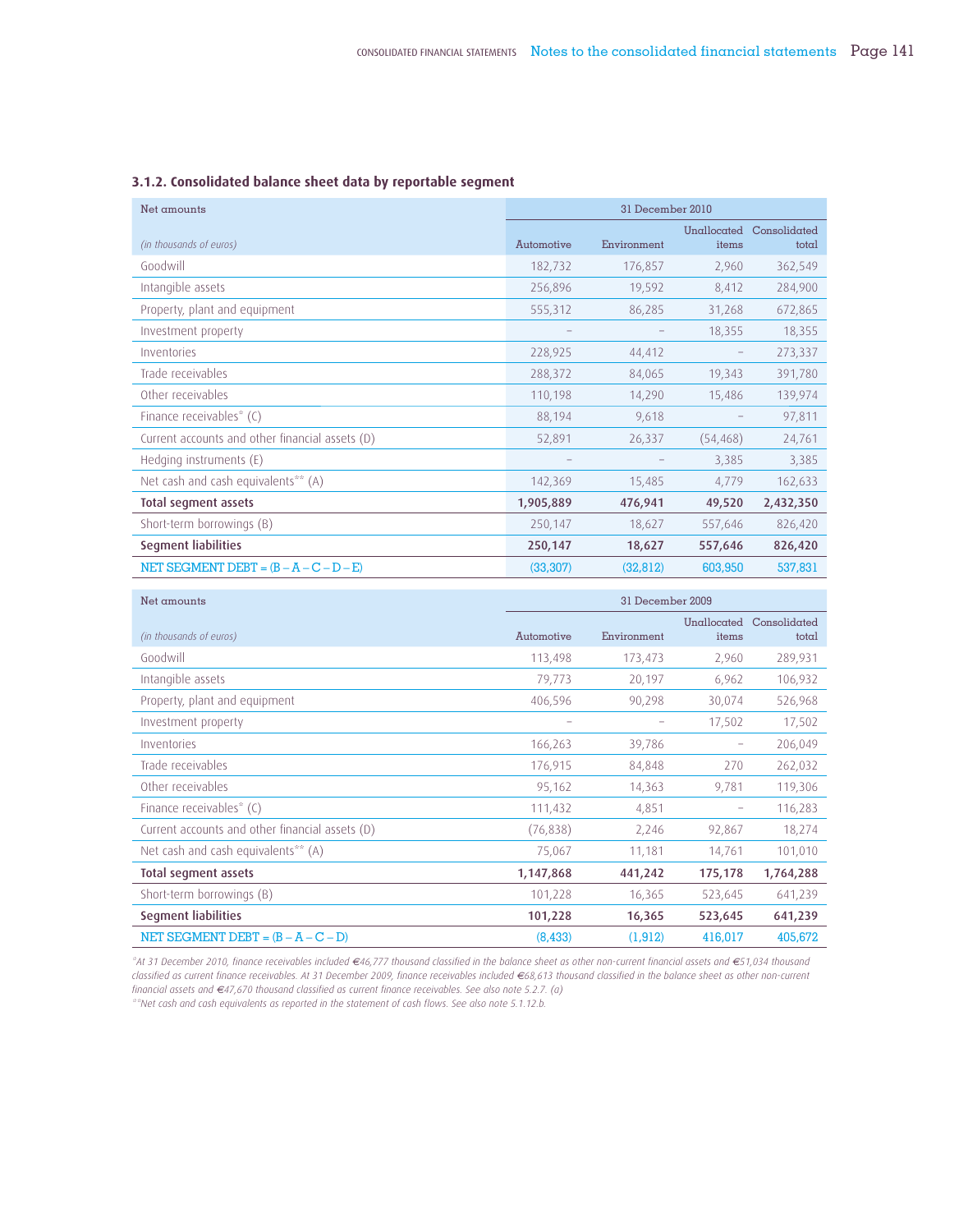| Net amounts                                     | 31 December 2010 |             |                      |                       |  |  |
|-------------------------------------------------|------------------|-------------|----------------------|-----------------------|--|--|
| (in thousands of euros)                         | Automotive       | Environment | Unallocated<br>items | Consolidated<br>total |  |  |
| Goodwill                                        | 182,732          | 176,857     | 2,960                | 362,549               |  |  |
| Intangible assets                               | 256,896          | 19,592      | 8,412                | 284,900               |  |  |
| Property, plant and equipment                   | 555,312          | 86,285      | 31,268               | 672,865               |  |  |
| Investment property                             |                  |             | 18,355               | 18,355                |  |  |
| Inventories                                     | 228,925          | 44,412      | -                    | 273,337               |  |  |
| Trade receivables                               | 288,372          | 84,065      | 19,343               | 391,780               |  |  |
| Other receivables                               | 110,198          | 14,290      | 15,486               | 139,974               |  |  |
| Finance receivables* (C)                        | 88,194           | 9,618       |                      | 97,811                |  |  |
| Current accounts and other financial assets (D) | 52,891           | 26,337      | (54, 468)            | 24,761                |  |  |
| Hedging instruments (E)                         |                  |             | 3,385                | 3,385                 |  |  |
| Net cash and cash equivalents** (A)             | 142,369          | 15,485      | 4,779                | 162,633               |  |  |
| Total segment assets                            | 1,905,889        | 476,941     | 49,520               | 2,432,350             |  |  |
| Short-term borrowings (B)                       | 250,147          | 18,627      | 557,646              | 826,420               |  |  |
| <b>Segment liabilities</b>                      | 250,147          | 18,627      | 557,646              | 826,420               |  |  |
| NET SEGMENT DEBT = $(B - A - C - D - E)$        | (33, 307)        | (32, 812)   | 603,950              | 537,831               |  |  |

## **3.1.2. Consolidated balance sheet data by reportable segment**

| Net amounts                                     | 31 December 2009 |             |                   |              |  |
|-------------------------------------------------|------------------|-------------|-------------------|--------------|--|
|                                                 |                  |             | Unallocated       | Consolidated |  |
| (in thousands of euros)                         | Automotive       | Environment | items             | total        |  |
| Goodwill                                        | 113,498          | 173,473     | 2,960             | 289,931      |  |
| Intangible assets                               | 79,773           | 20,197      | 6,962             | 106,932      |  |
| Property, plant and equipment                   | 406,596          | 90,298      | 30,074            | 526,968      |  |
| Investment property                             | -                |             | 17,502            | 17,502       |  |
| Inventories                                     | 166,263          | 39,786      |                   | 206,049      |  |
| Trade receivables                               | 176,915          | 84,848      | 270               | 262,032      |  |
| Other receivables                               | 95,162           | 14,363      | 9,781             | 119,306      |  |
| Finance receivables* (C)                        | 111,432          | 4,851       | $\qquad \qquad -$ | 116,283      |  |
| Current accounts and other financial assets (D) | (76, 838)        | 2,246       | 92,867            | 18,274       |  |
| Net cash and cash equivalents** (A)             | 75,067           | 11,181      | 14,761            | 101,010      |  |
| Total segment assets                            | 1,147,868        | 441,242     | 175,178           | 1,764,288    |  |
| Short-term borrowings (B)                       | 101,228          | 16,365      | 523,645           | 641,239      |  |
| Segment liabilities                             | 101,228          | 16,365      | 523,645           | 641,239      |  |
| NET SEGMENT DEBT = $(B - A - C - D)$            | (8, 433)         | (1, 912)    | 416,017           | 405,672      |  |

*\*At 31 December 2010, finance receivables included €46,777 thousand classified in the balance sheet as other non-current financial assets and €51,034 thousand classified as current finance receivables. At 31 December 2009, finance receivables included €68,613 thousand classified in the balance sheet as other non-current financial assets and €47,670 thousand classified as current finance receivables. See also note 5.2.7. (a)*

*\*\*Net cash and cash equivalents as reported in the statement of cash flows. See also note 5.1.12.b.*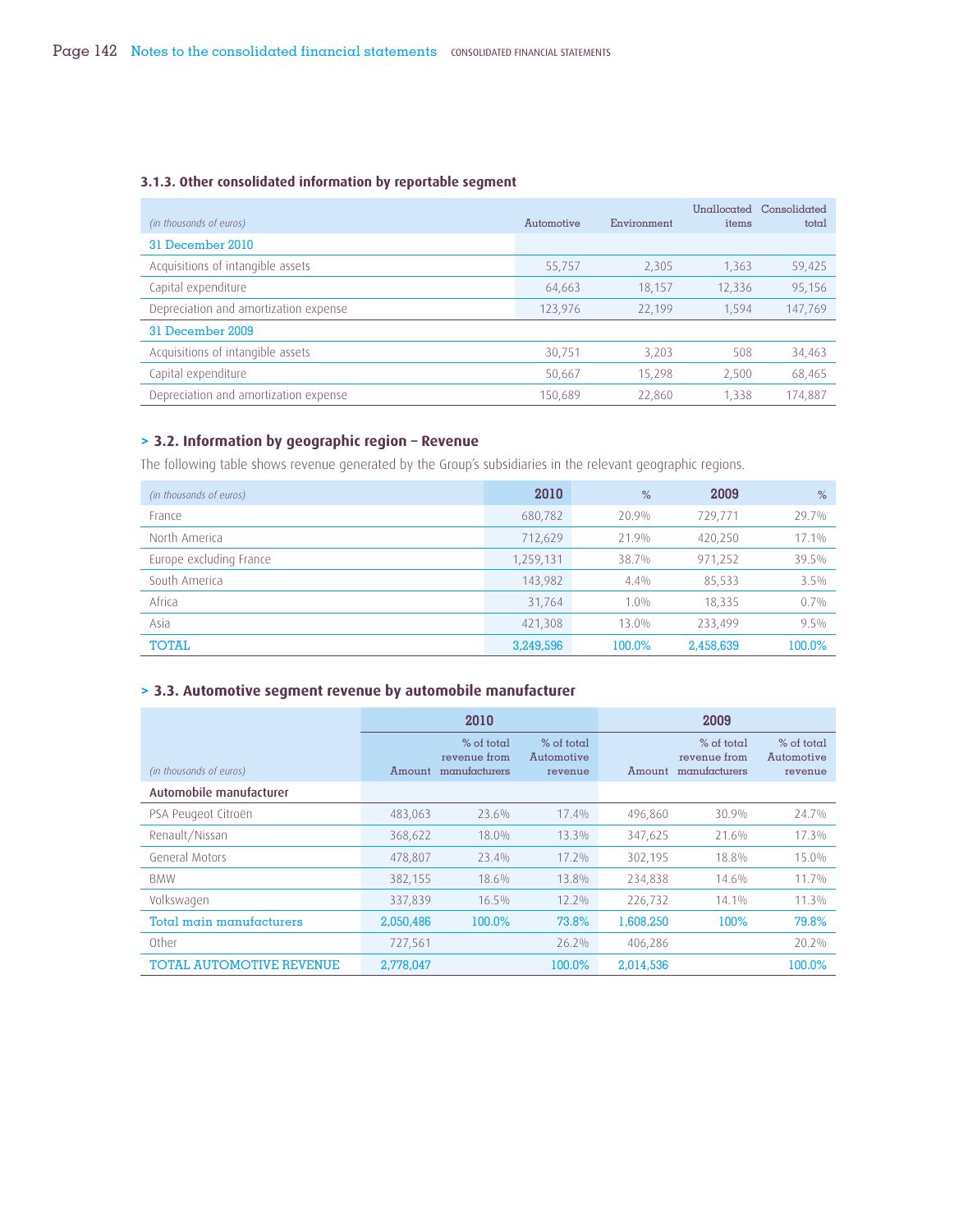## **3.1.3. Other consolidated information by reportable segment**

| (in thousands of euros)               | Automotive | Environment | items  | Unallocated Consolidated<br>total |
|---------------------------------------|------------|-------------|--------|-----------------------------------|
| 31 December 2010                      |            |             |        |                                   |
| Acquisitions of intangible assets     | 55,757     | 2,305       | 1,363  | 59,425                            |
| Capital expenditure                   | 64,663     | 18.157      | 12,336 | 95,156                            |
| Depreciation and amortization expense | 123,976    | 22,199      | 1,594  | 147,769                           |
| 31 December 2009                      |            |             |        |                                   |
| Acquisitions of intangible assets     | 30,751     | 3,203       | 508    | 34,463                            |
| Capital expenditure                   | 50,667     | 15,298      | 2,500  | 68,465                            |
| Depreciation and amortization expense | 150.689    | 22,860      | 1.338  | 174,887                           |

# **> 3.2. Information by geographic region – Revenue**

The following table shows revenue generated by the Group's subsidiaries in the relevant geographic regions.

| (in thousands of euros) | 2010      | %       | 2009      | $\%$    |
|-------------------------|-----------|---------|-----------|---------|
| France                  | 680,782   | 20.9%   | 729,771   | 29.7%   |
| North America           | 712,629   | 21.9%   | 420,250   | 17.1%   |
| Europe excluding France | 1,259,131 | 38.7%   | 971,252   | 39.5%   |
| South America           | 143,982   | $4.4\%$ | 85,533    | 3.5%    |
| Africa                  | 31,764    | $1.0\%$ | 18,335    | 0.7%    |
| Asia                    | 421,308   | 13.0%   | 233.499   | $9.5\%$ |
| <b>TOTAL</b>            | 3,249,596 | 100.0%  | 2,458,639 | 100.0%  |

# **> 3.3. Automotive segment revenue by automobile manufacturer**

|                                 |           | 2010                                          |                                       |           | 2009                                          |                                       |
|---------------------------------|-----------|-----------------------------------------------|---------------------------------------|-----------|-----------------------------------------------|---------------------------------------|
| (in thousands of euros)         | Amount    | $%$ of total<br>revenue from<br>manufacturers | $%$ of total<br>Automotive<br>revenue | Amount    | $%$ of total<br>revenue from<br>manufacturers | $%$ of total<br>Automotive<br>revenue |
| Automobile manufacturer         |           |                                               |                                       |           |                                               |                                       |
| PSA Peugeot Citroën             | 483.063   | 23.6%                                         | 17.4%                                 | 496,860   | 30.9%                                         | 24.7%                                 |
| Renault/Nissan                  | 368,622   | 18.0%                                         | 13.3%                                 | 347,625   | 21.6%                                         | 17.3%                                 |
| General Motors                  | 478,807   | 23.4%                                         | 17.2%                                 | 302,195   | 18.8%                                         | 15.0%                                 |
| <b>BMW</b>                      | 382,155   | 18.6%                                         | 13.8%                                 | 234,838   | 14.6%                                         | 11.7%                                 |
| Volkswagen                      | 337,839   | 16.5%                                         | 12.2%                                 | 226,732   | 14.1%                                         | 11.3%                                 |
| Total main manufacturers        | 2,050,486 | 100.0%                                        | 73.8%                                 | 1,608,250 | 100%                                          | 79.8%                                 |
| Other                           | 727,561   |                                               | 26.2%                                 | 406,286   |                                               | 20.2%                                 |
| <b>TOTAL AUTOMOTIVE REVENUE</b> | 2,778,047 |                                               | 100.0%                                | 2,014,536 |                                               | 100.0%                                |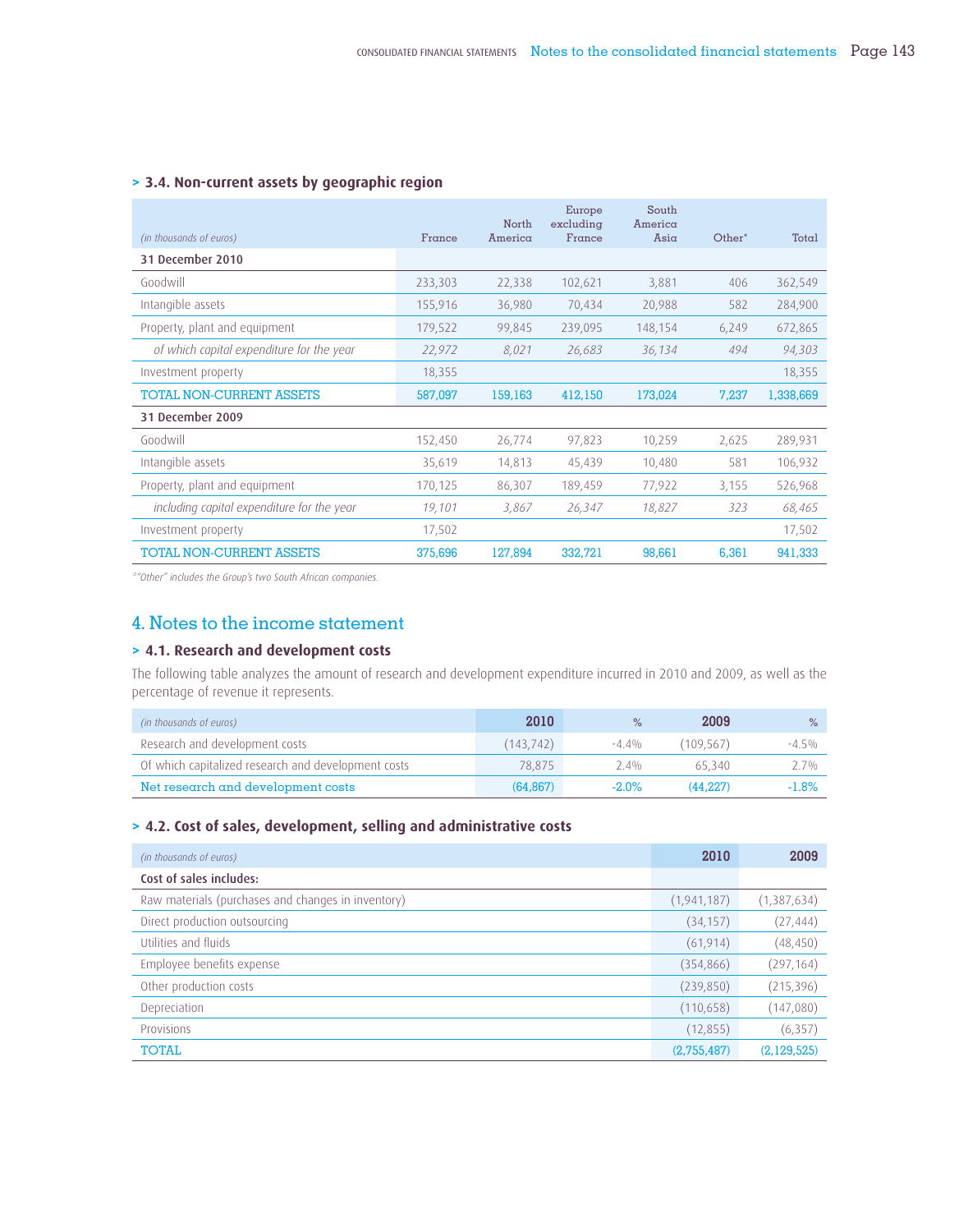|                                            |         | North   | Europe<br>excluding | South<br>America   |        |           |
|--------------------------------------------|---------|---------|---------------------|--------------------|--------|-----------|
| (in thousands of euros)                    | France  | America | France              | $\overline{A}$ sia | Other* | Total     |
| 31 December 2010                           |         |         |                     |                    |        |           |
| Goodwill                                   | 233,303 | 22,338  | 102,621             | 3,881              | 406    | 362,549   |
| Intangible assets                          | 155,916 | 36,980  | 70,434              | 20,988             | 582    | 284,900   |
| Property, plant and equipment              | 179,522 | 99,845  | 239,095             | 148,154            | 6,249  | 672,865   |
| of which capital expenditure for the year  | 22,972  | 8,021   | 26,683              | 36,134             | 494    | 94,303    |
| Investment property                        | 18,355  |         |                     |                    |        | 18,355    |
| <b>TOTAL NON-CURRENT ASSETS</b>            | 587,097 | 159,163 | 412,150             | 173,024            | 7,237  | 1,338,669 |
| 31 December 2009                           |         |         |                     |                    |        |           |
| Goodwill                                   | 152,450 | 26,774  | 97,823              | 10,259             | 2,625  | 289,931   |
| Intangible assets                          | 35,619  | 14,813  | 45,439              | 10,480             | 581    | 106,932   |
| Property, plant and equipment              | 170,125 | 86,307  | 189,459             | 77,922             | 3,155  | 526,968   |
| including capital expenditure for the year | 19,101  | 3,867   | 26,347              | 18,827             | 323    | 68,465    |
| Investment property                        | 17,502  |         |                     |                    |        | 17,502    |
| <b>TOTAL NON-CURRENT ASSETS</b>            | 375,696 | 127,894 | 332,721             | 98,661             | 6.361  | 941,333   |

# **> 3.4. Non-current assets by geographic region**

*\*"Other" includes the Group's two South African companies.*

# 4. Notes to the income statement

# **> 4.1. Research and development costs**

The following table analyzes the amount of research and development expenditure incurred in 2010 and 2009, as well as the percentage of revenue it represents.

| (in thousands of euros)                             | 2010      | $\%$     | 2009      | $\%$    |
|-----------------------------------------------------|-----------|----------|-----------|---------|
| Research and development costs                      | (143.742) | $-4.4%$  | (109.567) | $-4.5%$ |
| Of which capitalized research and development costs | 78.875    | $2.4\%$  | 65340     | 27%     |
| Net research and development costs                  | (64.867)  | $-2.0\%$ | (44.227)  | $-1.8%$ |

# **> 4.2. Cost of sales, development, selling and administrative costs**

| (in thousands of euros)                            | 2010          | 2009        |
|----------------------------------------------------|---------------|-------------|
| Cost of sales includes:                            |               |             |
| Raw materials (purchases and changes in inventory) | (1, 941, 187) | (1,387,634) |
| Direct production outsourcing                      | (34, 157)     | (27, 444)   |
| Utilities and fluids                               | (61, 914)     | (48, 450)   |
| Employee benefits expense                          | (354, 866)    | (297, 164)  |
| Other production costs                             | (239, 850)    | (215, 396)  |
| Depreciation                                       | (110, 658)    | (147,080)   |
| Provisions                                         | (12, 855)     | (6, 357)    |
| <b>TOTAL</b>                                       | (2,755,487)   | (2,129,525) |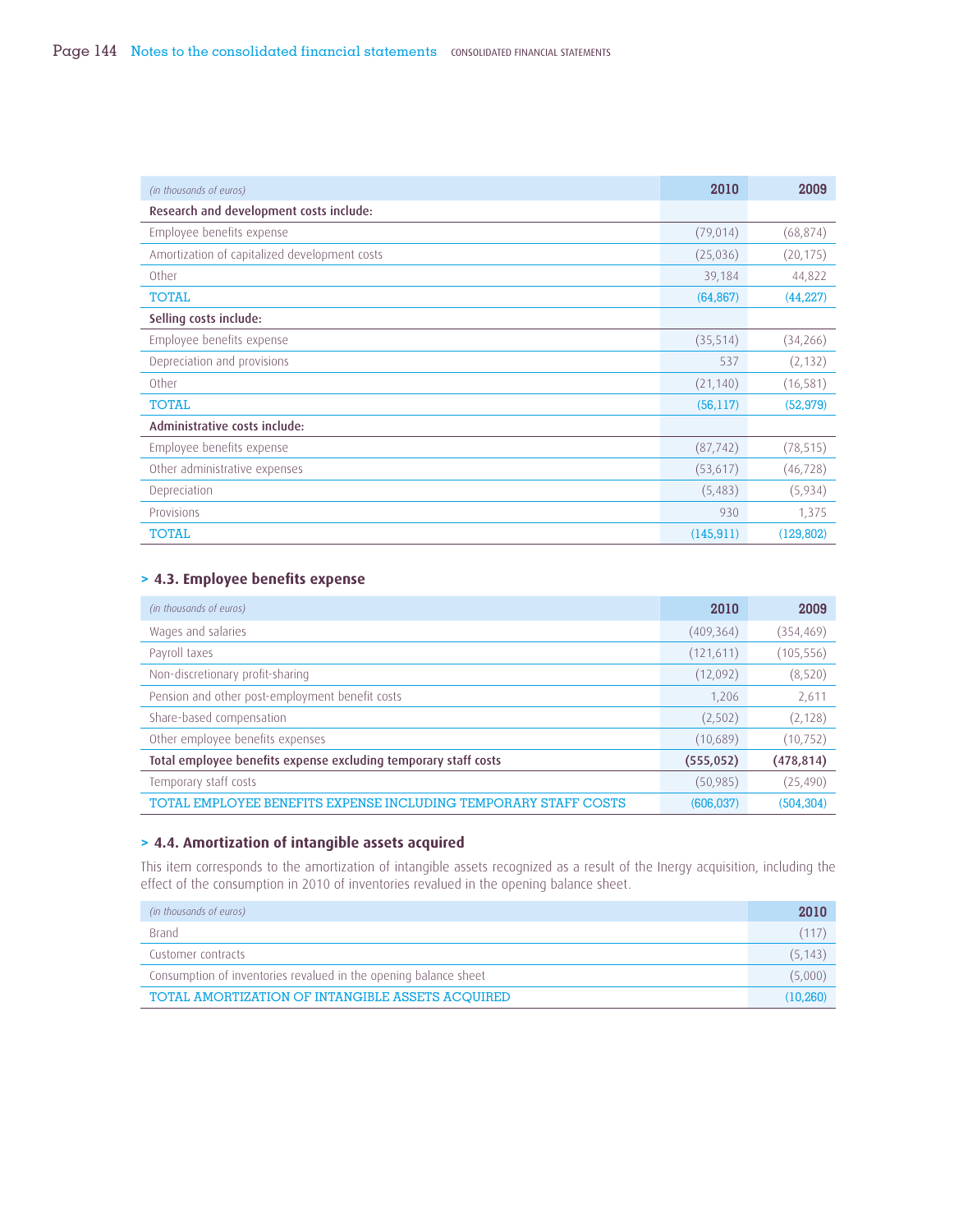| (in thousands of euros)                       | 2010       | 2009       |
|-----------------------------------------------|------------|------------|
| Research and development costs include:       |            |            |
| Employee benefits expense                     | (79, 014)  | (68, 874)  |
| Amortization of capitalized development costs | (25,036)   | (20, 175)  |
| Other                                         | 39,184     | 44,822     |
| <b>TOTAL</b>                                  | (64, 867)  | (44, 227)  |
| Selling costs include:                        |            |            |
| Employee benefits expense                     | (35, 514)  | (34,266)   |
| Depreciation and provisions                   | 537        | (2, 132)   |
| Other                                         | (21, 140)  | (16, 581)  |
| <b>TOTAL</b>                                  | (56, 117)  | (52, 979)  |
| Administrative costs include:                 |            |            |
| Employee benefits expense                     | (87, 742)  | (78, 515)  |
| Other administrative expenses                 | (53, 617)  | (46, 728)  |
| Depreciation                                  | (5,483)    | (5,934)    |
| Provisions                                    | 930        | 1,375      |
| <b>TOTAL</b>                                  | (145, 911) | (129, 802) |

# **> 4.3. Employee benefi ts expense**

| (in thousands of euros)                                         | 2010       | 2009       |
|-----------------------------------------------------------------|------------|------------|
| Wages and salaries                                              | (409, 364) | (354, 469) |
| Payroll taxes                                                   | (121,611)  | (105, 556) |
| Non-discretionary profit-sharing                                | (12,092)   | (8, 520)   |
| Pension and other post-employment benefit costs                 | 1,206      | 2,611      |
| Share-based compensation                                        | (2,502)    | (2, 128)   |
| Other employee benefits expenses                                | (10,689)   | (10, 752)  |
| Total employee benefits expense excluding temporary staff costs | (555, 052) | (478, 814) |
| Temporary staff costs                                           | (50, 985)  | (25, 490)  |
| TOTAL EMPLOYEE BENEFITS EXPENSE INCLUDING TEMPORARY STAFF COSTS | (606, 037) | (504, 304) |

# **> 4.4. Amortization of intangible assets acquired**

This item corresponds to the amortization of intangible assets recognized as a result of the Inergy acquisition, including the effect of the consumption in 2010 of inventories revalued in the opening balance sheet.

| (in thousands of euros)                                          | 2010     |
|------------------------------------------------------------------|----------|
| <b>Brand</b>                                                     | (117)    |
| Customer contracts                                               | (5, 143) |
| Consumption of inventories revalued in the opening balance sheet | (5,000)  |
| TOTAL AMORTIZATION OF INTANGIBLE ASSETS ACOUIRED                 | (10.260) |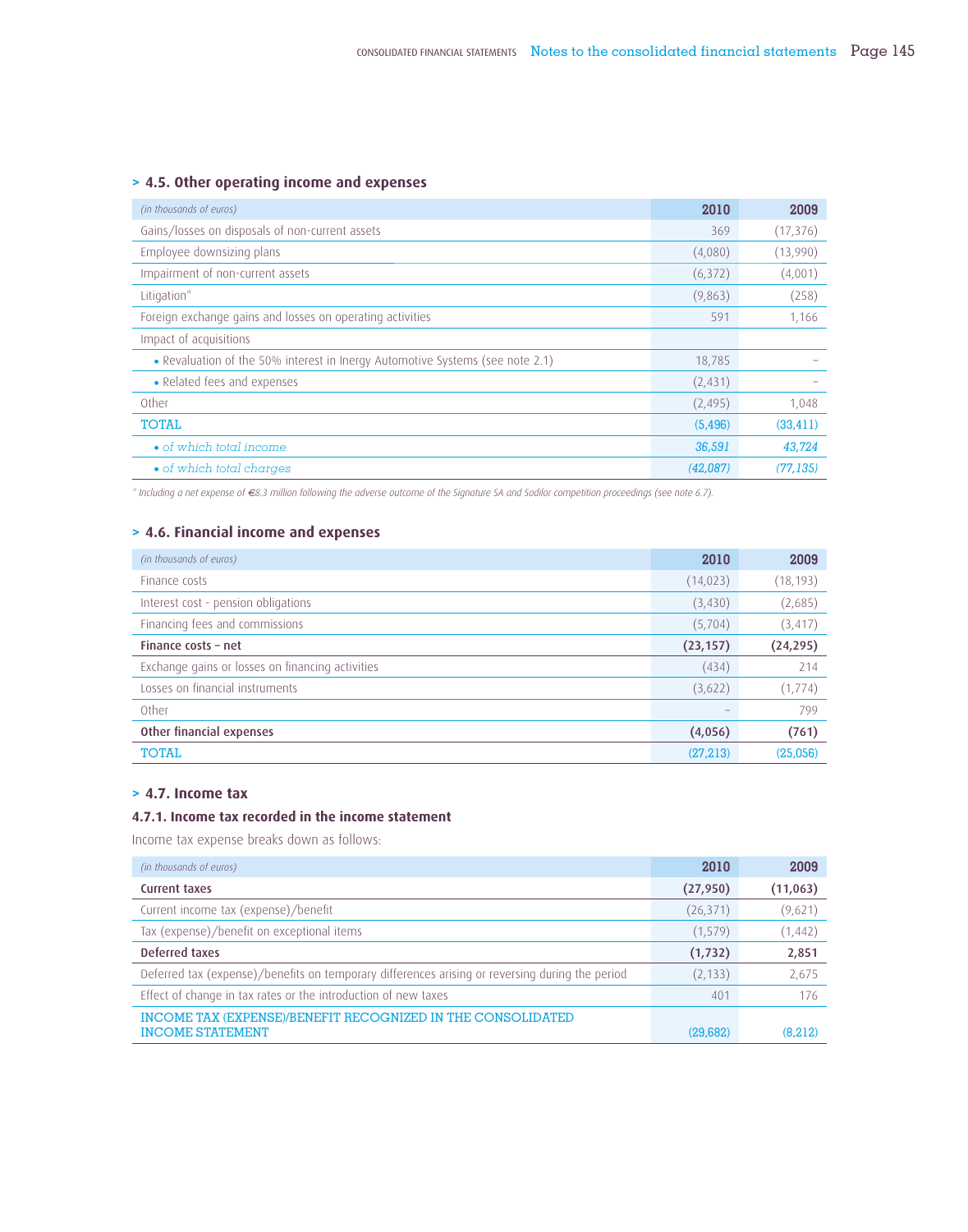# **> 4.5. Other operating income and expenses**

| (in thousands of euros)                                                       | 2010     | 2009      |
|-------------------------------------------------------------------------------|----------|-----------|
| Gains/losses on disposals of non-current assets                               | 369      | (17, 376) |
| Employee downsizing plans                                                     | (4,080)  | (13,990)  |
| Impairment of non-current assets                                              | (6,372)  | (4,001)   |
| Litigation*                                                                   | (9,863)  | (258)     |
| Foreign exchange gains and losses on operating activities                     | 591      | 1,166     |
| Impact of acquisitions                                                        |          |           |
| • Revaluation of the 50% interest in Inergy Automotive Systems (see note 2.1) | 18,785   |           |
| • Related fees and expenses                                                   | (2, 431) |           |
| Other                                                                         | (2, 495) | 1,048     |
| <b>TOTAL</b>                                                                  | (5, 496) | (33, 411) |
| • of which total income                                                       | 36,591   | 43,724    |
| • of which total charges                                                      | (42.087) | (77, 135) |

*\* Including a net expense of €8.3 million following the adverse outcome of the Signature SA and Sodilor competition proceedings (see note 6.7).*

# **> 4.6. Financial income and expenses**

| (in thousands of euros)                          | 2010      | 2009      |
|--------------------------------------------------|-----------|-----------|
| Finance costs                                    | (14, 023) | (18, 193) |
| Interest cost - pension obligations              | (3,430)   | (2,685)   |
| Financing fees and commissions                   | (5,704)   | (3, 417)  |
| Finance costs - net                              | (23, 157) | (24, 295) |
| Exchange gains or losses on financing activities | (434)     | 214       |
| Losses on financial instruments                  | (3,622)   | (1, 774)  |
| Other                                            |           | 799       |
| Other financial expenses                         | (4,056)   | (761)     |
| <b>TOTAL</b>                                     | (27,213)  | (25,056)  |

# **> 4.7. Income tax**

# **4.7.1. Income tax recorded in the income statement**

Income tax expense breaks down as follows:

| (in thousands of euros)                                                                         | 2010      | 2009     |
|-------------------------------------------------------------------------------------------------|-----------|----------|
| Current taxes                                                                                   | (27, 950) | (11,063) |
| Current income tax (expense)/benefit                                                            | (26, 371) | (9,621)  |
| Tax (expense)/benefit on exceptional items                                                      | (1, 579)  | (1, 442) |
| Deferred taxes                                                                                  | (1, 732)  | 2,851    |
| Deferred tax (expense)/benefits on temporary differences arising or reversing during the period | (2, 133)  | 2,675    |
| Effect of change in tax rates or the introduction of new taxes                                  | 401       | 176      |
| INCOME TAX (EXPENSE)/BENEFIT RECOGNIZED IN THE CONSOLIDATED                                     |           |          |
| <b>INCOME STATEMENT</b>                                                                         | (29,682)  | (8,212)  |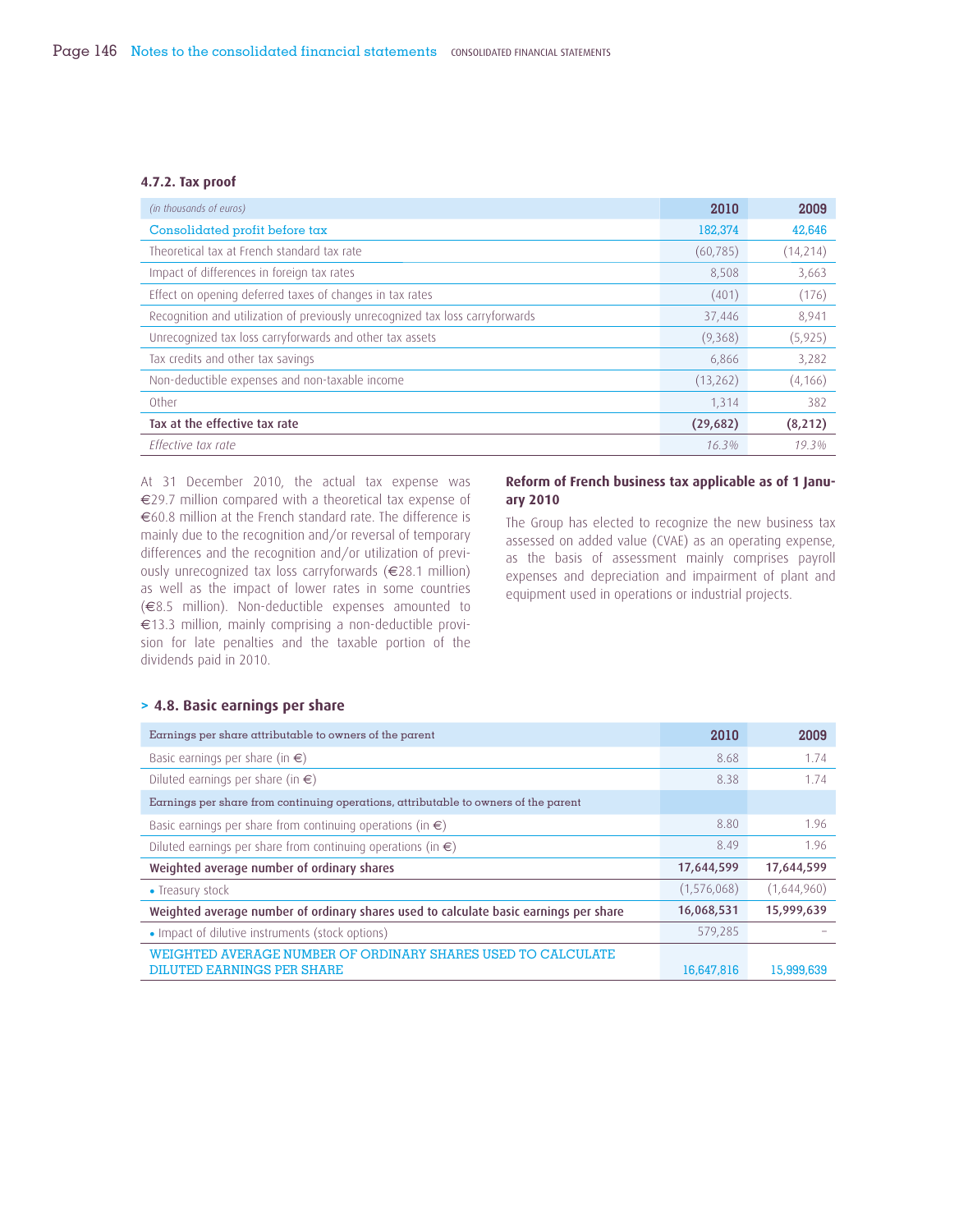#### **4.7.2. Tax proof**

| (in thousands of euros)                                                       | 2010      | 2009     |
|-------------------------------------------------------------------------------|-----------|----------|
| Consolidated profit before tax                                                | 182,374   | 42,646   |
| Theoretical tax at French standard tax rate                                   | (60, 785) | (14,214) |
| Impact of differences in foreign tax rates                                    | 8,508     | 3,663    |
| Effect on opening deferred taxes of changes in tax rates                      | (401)     | (176)    |
| Recognition and utilization of previously unrecognized tax loss carryforwards | 37,446    | 8,941    |
| Unrecognized tax loss carryforwards and other tax assets                      | (9,368)   | (5, 925) |
| Tax credits and other tax savings                                             | 6,866     | 3,282    |
| Non-deductible expenses and non-taxable income                                | (13,262)  | (4, 166) |
| Other                                                                         | 1.314     | 382      |
| Tax at the effective tax rate                                                 | (29,682)  | (8, 212) |
| Effective tax rate                                                            | 16.3%     | 19.3%    |

At 31 December 2010, the actual tax expense was €29.7 million compared with a theoretical tax expense of €60.8 million at the French standard rate. The difference is mainly due to the recognition and/or reversal of temporary differences and the recognition and/or utilization of previously unrecognized tax loss carryforwards (€28.1 million) as well as the impact of lower rates in some countries (€8.5 million). Non-deductible expenses amounted to €13.3 million, mainly comprising a non-deductible provision for late penalties and the taxable portion of the dividends paid in 2010.

### **Reform of French business tax applicable as of 1 January 2010**

The Group has elected to recognize the new business tax assessed on added value (CVAE) as an operating expense, as the basis of assessment mainly comprises payroll expenses and depreciation and impairment of plant and equipment used in operations or industrial projects.

# **> 4.8. Basic earnings per share**

| Earnings per share attributable to owners of the parent                                    | 2010        | 2009        |
|--------------------------------------------------------------------------------------------|-------------|-------------|
| Basic earnings per share (in $\epsilon$ )                                                  | 8.68        | 1.74        |
| Diluted earnings per share (in $\epsilon$ )                                                | 8.38        | 1.74        |
| Earnings per share from continuing operations, attributable to owners of the parent        |             |             |
| Basic earnings per share from continuing operations (in $\epsilon$ )                       | 8.80        | 1.96        |
| Diluted earnings per share from continuing operations (in $\epsilon$ )                     | 8.49        | 1.96        |
| Weighted average number of ordinary shares                                                 | 17,644,599  | 17,644,599  |
| • Treasury stock                                                                           | (1,576,068) | (1,644,960) |
| Weighted average number of ordinary shares used to calculate basic earnings per share      | 16,068,531  | 15,999,639  |
| • Impact of dilutive instruments (stock options)                                           | 579,285     |             |
| WEIGHTED AVERAGE NUMBER OF ORDINARY SHARES USED TO CALCULATE<br>DILUTED EARNINGS PER SHARE | 16,647,816  | 15,999,639  |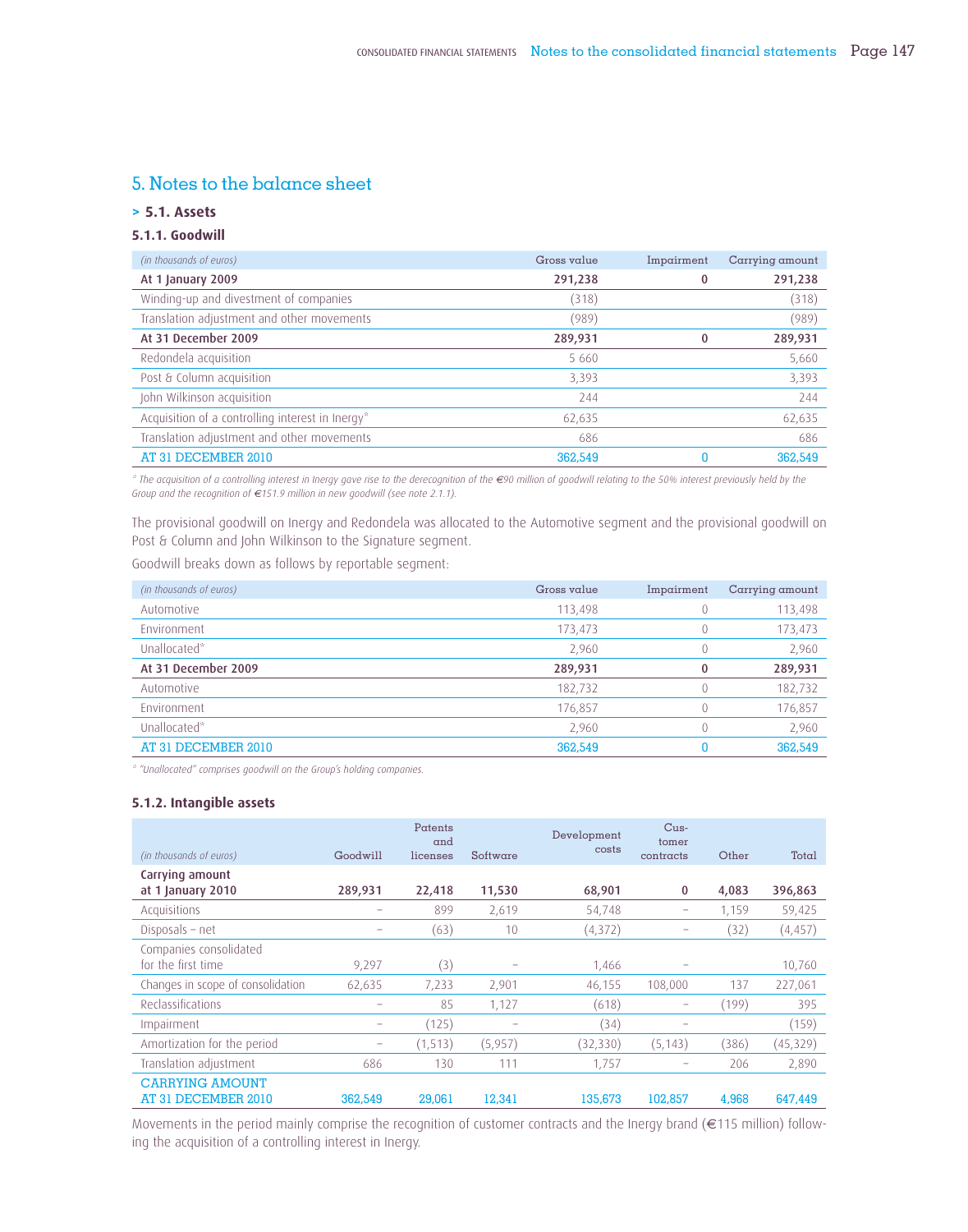# 5. Notes to the balance sheet

# **> 5.1. Assets**

# **5.1.1. Goodwill**

| (in thousands of euros)                          | Gross value | Impairment   | Carrying amount |
|--------------------------------------------------|-------------|--------------|-----------------|
| At 1 January 2009                                | 291,238     | 0            | 291,238         |
| Winding-up and divestment of companies           | (318)       |              | (318)           |
| Translation adjustment and other movements       | (989)       |              | (989)           |
| At 31 December 2009                              | 289,931     | $\mathbf{0}$ | 289,931         |
| Redondela acquisition                            | 5660        |              | 5,660           |
| Post & Column acquisition                        | 3,393       |              | 3,393           |
| John Wilkinson acquisition                       | 244         |              | 244             |
| Acquisition of a controlling interest in Inergy* | 62,635      |              | 62,635          |
| Translation adjustment and other movements       | 686         |              | 686             |
| AT 31 DECEMBER 2010                              | 362,549     | 0            | 362,549         |

*\* The acquisition of a controlling interest in Inergy gave rise to the derecognition of the €90 million of goodwill relating to the 50% interest previously held by the Group and the recognition of €151.9 million in new goodwill (see note 2.1.1).*

The provisional goodwill on Inergy and Redondela was allocated to the Automotive segment and the provisional goodwill on Post & Column and John Wilkinson to the Signature segment.

Goodwill breaks down as follows by reportable segment:

| (in thousands of euros) | Gross value | Impairment | Carrying amount |
|-------------------------|-------------|------------|-----------------|
| Automotive              | 113,498     |            | 113,498         |
| Fnvironment             | 173,473     |            | 173,473         |
| Unallocated*            | 2,960       | 0          | 2,960           |
| At 31 December 2009     | 289,931     | 0          | 289,931         |
| Automotive              | 182,732     |            | 182,732         |
| Environment             | 176,857     | 0          | 176,857         |
| Unallocated*            | 2.960       | 0          | 2,960           |
| AT 31 DECEMBER 2010     | 362,549     |            | 362,549         |

*\* "Unallocated" comprises goodwill on the Group's holding companies.*

## **5.1.2. Intangible assets**

|                                   |          | Patents<br>and |          | Development | $Cus-$<br>tomer |       |           |
|-----------------------------------|----------|----------------|----------|-------------|-----------------|-------|-----------|
| (in thousands of euros)           | Goodwill | licenses       | Software | costs       | contracts       | Other | Total     |
| Carrying amount                   |          |                |          |             |                 |       |           |
| at 1 January 2010                 | 289,931  | 22,418         | 11,530   | 68,901      | $\mathbf 0$     | 4,083 | 396,863   |
| Acquisitions                      |          | 899            | 2,619    | 54,748      | -               | 1,159 | 59,425    |
| Disposals - net                   |          | (63)           | 10       | (4, 372)    |                 | (32)  | (4, 457)  |
| Companies consolidated            |          |                |          |             |                 |       |           |
| for the first time                | 9,297    | (3)            | -        | 1,466       |                 |       | 10,760    |
| Changes in scope of consolidation | 62,635   | 7,233          | 2,901    | 46,155      | 108,000         | 137   | 227,061   |
| Reclassifications                 |          | 85             | 1.127    | (618)       | -               | (199) | 395       |
| Impairment                        | -        | (125)          | -        | (34)        |                 |       | (159)     |
| Amortization for the period       |          | (1, 513)       | (5,957)  | (32, 330)   | (5, 143)        | (386) | (45, 329) |
| Translation adjustment            | 686      | 130            | 111      | 1,757       |                 | 206   | 2,890     |
| <b>CARRYING AMOUNT</b>            |          |                |          |             |                 |       |           |
| AT 31 DECEMBER 2010               | 362,549  | 29,061         | 12.341   | 135,673     | 102.857         | 4.968 | 647.449   |

Movements in the period mainly comprise the recognition of customer contracts and the Inergy brand (€115 million) following the acquisition of a controlling interest in Inergy.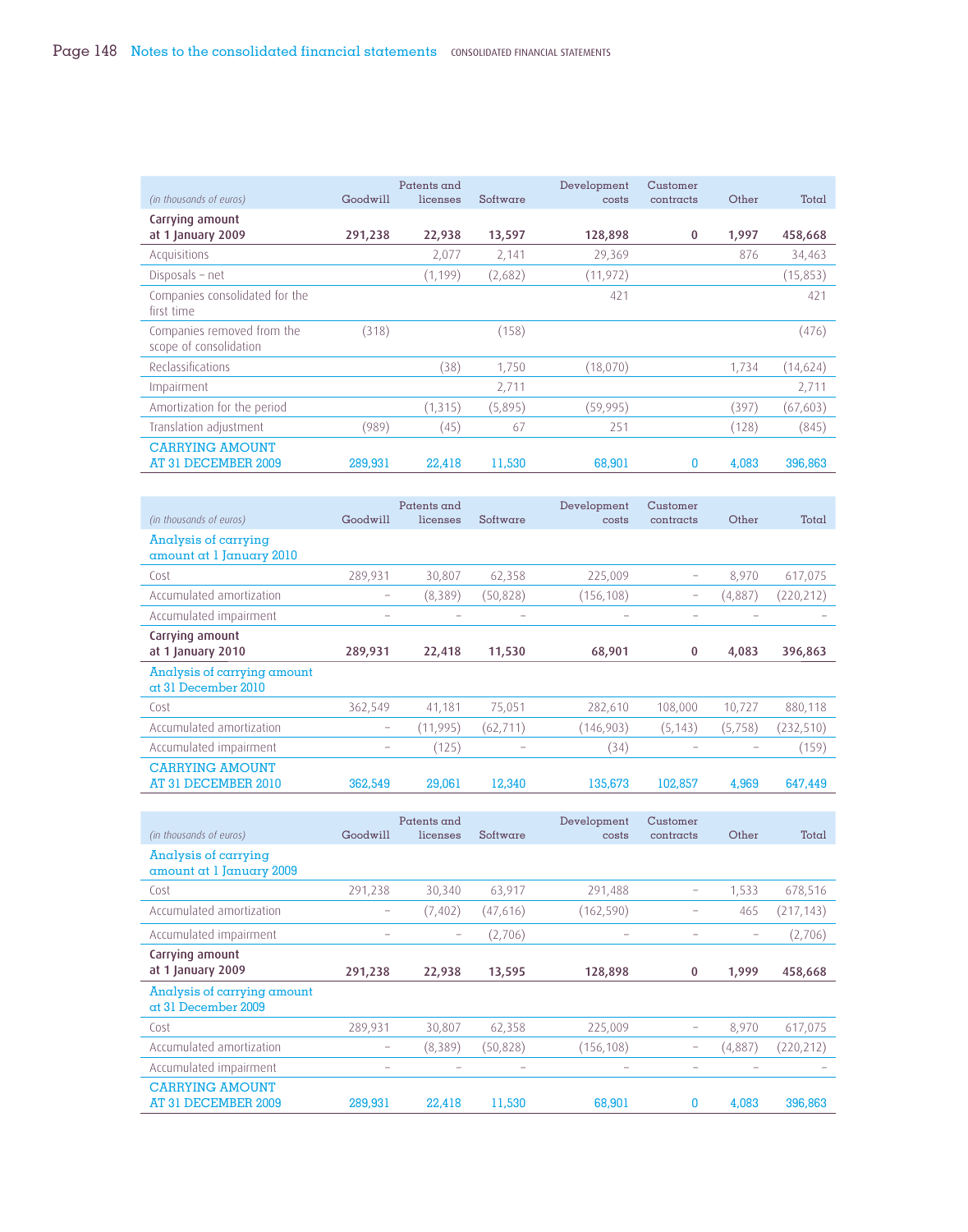|                                                      |          | Patents and |          | Development | Customer  |       |           |
|------------------------------------------------------|----------|-------------|----------|-------------|-----------|-------|-----------|
| (in thousands of euros)                              | Goodwill | licenses    | Software | costs       | contracts | Other | Total     |
| Carrying amount                                      |          |             |          |             |           |       |           |
| at 1 January 2009                                    | 291,238  | 22,938      | 13,597   | 128,898     | $\bf{0}$  | 1,997 | 458,668   |
| Acquisitions                                         |          | 2,077       | 2,141    | 29,369      |           | 876   | 34,463    |
| Disposals - net                                      |          | (1, 199)    | (2,682)  | (11, 972)   |           |       | (15, 853) |
| Companies consolidated for the<br>first time         |          |             |          | 421         |           |       | 421       |
| Companies removed from the<br>scope of consolidation | (318)    |             | (158)    |             |           |       | (476)     |
| Reclassifications                                    |          | (38)        | 1,750    | (18,070)    |           | 1,734 | (14,624)  |
| Impairment                                           |          |             | 2,711    |             |           |       | 2,711     |
| Amortization for the period                          |          | (1, 315)    | (5,895)  | (59, 995)   |           | (397) | (67, 603) |
| Translation adjustment                               | (989)    | (45)        | 67       | 251         |           | (128) | (845)     |
| <b>CARRYING AMOUNT</b><br>AT 31 DECEMBER 2009        | 289,931  | 22,418      | 11,530   | 68,901      | 0         | 4,083 | 396,863   |

| (in thousands of euros)                          | Goodwill | Patents and<br>licenses | Software  | Development<br>costs | Customer<br>contracts | Other   | Total      |
|--------------------------------------------------|----------|-------------------------|-----------|----------------------|-----------------------|---------|------------|
| Analysis of carrying<br>amount at 1 January 2010 |          |                         |           |                      |                       |         |            |
| Cost                                             | 289,931  | 30,807                  | 62,358    | 225,009              | -                     | 8,970   | 617,075    |
| Accumulated amortization                         | -        | (8,389)                 | (50, 828) | (156, 108)           | -                     | (4,887) | (220, 212) |
| Accumulated impairment                           | -        |                         | -         | -                    |                       |         |            |
| Carrying amount<br>at 1 January 2010             | 289,931  | 22,418                  | 11,530    | 68,901               | 0                     | 4,083   | 396,863    |
| Analysis of carrying amount                      |          |                         |           |                      |                       |         |            |
| at 31 December 2010                              |          |                         |           |                      |                       |         |            |
| Cost                                             | 362,549  | 41,181                  | 75,051    | 282,610              | 108,000               | 10,727  | 880,118    |
| Accumulated amortization                         | -        | (11,995)                | (62, 711) | (146, 903)           | (5, 143)              | (5,758) | (232, 510) |
| Accumulated impairment                           | -        | (125)                   |           | (34)                 |                       |         | (159)      |

| (in thousands of euros)                            | Goodwill                 | Patents and<br>licenses  | Software  | Development<br>costs                                                      | Customer<br>contracts | Other                    | Total      |
|----------------------------------------------------|--------------------------|--------------------------|-----------|---------------------------------------------------------------------------|-----------------------|--------------------------|------------|
| Analysis of carrying<br>amount at 1 January 2009   |                          |                          |           |                                                                           |                       |                          |            |
| Cost                                               | 291,238                  | 30,340                   | 63,917    | 291,488                                                                   | -                     | 1,533                    | 678,516    |
| Accumulated amortization                           | -                        | (7, 402)                 | (47,616)  | (162, 590)                                                                |                       | 465                      | (217, 143) |
| Accumulated impairment                             | $\overline{\phantom{a}}$ | $\overline{\phantom{0}}$ | (2,706)   | $\hspace{1.0cm} \rule{1.5cm}{0.15cm} \hspace{1.0cm} \rule{1.5cm}{0.15cm}$ |                       | $\overline{\phantom{0}}$ | (2,706)    |
| Carrying amount<br>at 1 January 2009               | 291,238                  | 22,938                   | 13,595    | 128,898                                                                   | $\bf{0}$              | 1,999                    | 458,668    |
| Analysis of carrying amount<br>at 31 December 2009 |                          |                          |           |                                                                           |                       |                          |            |
| Cost                                               | 289,931                  | 30,807                   | 62,358    | 225,009                                                                   |                       | 8,970                    | 617,075    |
| Accumulated amortization                           | -                        | (8,389)                  | (50, 828) | (156, 108)                                                                | $\qquad \qquad -$     | (4,887)                  | (220, 212) |
| Accumulated impairment                             |                          |                          |           |                                                                           |                       |                          |            |
| <b>CARRYING AMOUNT</b><br>AT 31 DECEMBER 2009      | 289,931                  | 22,418                   | 11,530    | 68,901                                                                    | 0                     | 4,083                    | 396,863    |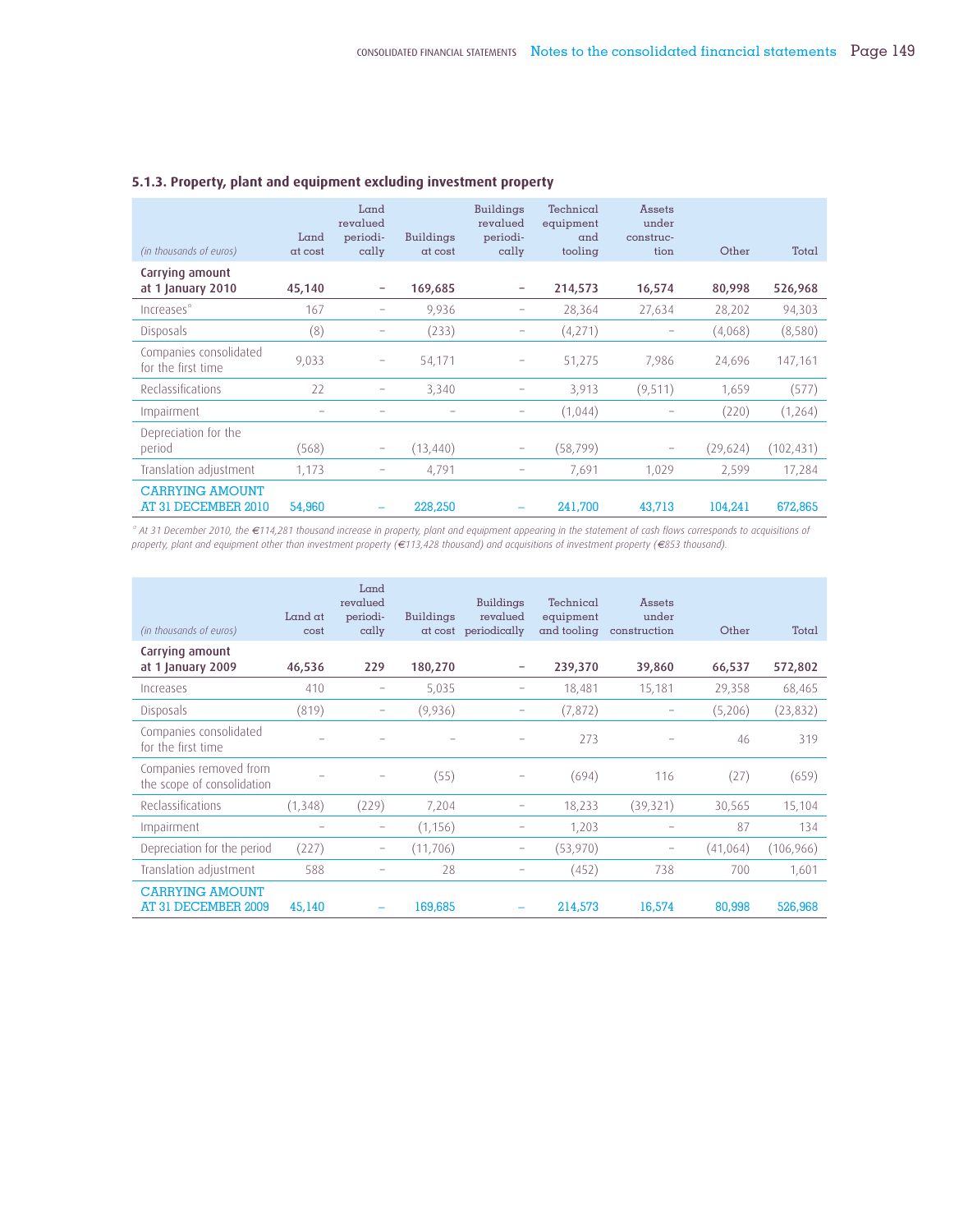| (in thousands of euros)                       | Land<br>at cost | Land<br>revalued<br>periodi-<br>$\alpha$ lly | <b>Buildings</b><br>at cost | <b>Buildings</b><br>revalued<br>periodi-<br>$\alpha$ lly | Technical<br>equipment<br>and<br>tooling | <b>Assets</b><br>under<br>construc-<br>tion | Other    | Total     |
|-----------------------------------------------|-----------------|----------------------------------------------|-----------------------------|----------------------------------------------------------|------------------------------------------|---------------------------------------------|----------|-----------|
| Carrying amount<br>at 1 January 2010          | 45,140          |                                              | 169,685                     | -                                                        | 214,573                                  | 16,574                                      | 80,998   | 526,968   |
| Increases*                                    | 167             |                                              | 9,936                       |                                                          | 28,364                                   | 27,634                                      | 28,202   | 94,303    |
| <b>Disposals</b>                              | (8)             |                                              | (233)                       |                                                          | (4,271)                                  | $\qquad \qquad -$                           | (4,068)  | (8,580)   |
| Companies consolidated<br>for the first time  | 9,033           | -                                            | 54,171                      | -                                                        | 51,275                                   | 7.986                                       | 24,696   | 147,161   |
| Reclassifications                             | 22              |                                              | 3,340                       |                                                          | 3,913                                    | (9,511)                                     | 1,659    | (577)     |
| Impairment                                    | -               |                                              |                             |                                                          | (1,044)                                  |                                             | (220)    | (1,264)   |
| Depreciation for the<br>period                | (568)           |                                              | (13, 440)                   |                                                          | (58, 799)                                | $\qquad \qquad -$                           | (29,624) | (102,431) |
| Translation adjustment                        | 1,173           | -                                            | 4,791                       | -                                                        | 7,691                                    | 1,029                                       | 2,599    | 17,284    |
| <b>CARRYING AMOUNT</b><br>AT 31 DECEMBER 2010 | 54,960          |                                              | 228,250                     |                                                          | 241.700                                  | 43.713                                      | 104.241  | 672.865   |

## **5.1.3. Property, plant and equipment excluding investment property**

*\* At 31 December 2010, the €114,281 thousand increase in property, plant and equipment appearing in the statement of cash flows corresponds to acquisitions of property, plant and equipment other than investment property (€113,428 thousand) and acquisitions of investment property (€853 thousand).*

| (in thousands of euros)                              | Land $at$<br>cost | Land<br>revalued<br>periodi-<br>$\alpha$ lly | <b>Buildings</b> | <b>Buildings</b><br>revalued<br>at cost periodically | Technical<br>equipment | <b>Assets</b><br>under<br>and tooling construction | Other     | Total      |
|------------------------------------------------------|-------------------|----------------------------------------------|------------------|------------------------------------------------------|------------------------|----------------------------------------------------|-----------|------------|
| Carrying amount<br>at 1 January 2009                 | 46,536            | 229                                          | 180,270          | -                                                    | 239,370                | 39,860                                             | 66,537    | 572,802    |
| Increases                                            | 410               | -                                            | 5,035            | -                                                    | 18,481                 | 15,181                                             | 29,358    | 68,465     |
| <b>Disposals</b>                                     | (819)             |                                              | (9,936)          |                                                      | (7, 872)               |                                                    | (5,206)   | (23,832)   |
| Companies consolidated<br>for the first time         |                   |                                              |                  |                                                      | 273                    |                                                    | 46        | 319        |
| Companies removed from<br>the scope of consolidation |                   |                                              | (55)             |                                                      | (694)                  | 116                                                | (27)      | (659)      |
| Reclassifications                                    | (1, 348)          | (229)                                        | 7,204            |                                                      | 18,233                 | (39, 321)                                          | 30,565    | 15,104     |
| Impairment                                           |                   | -                                            | (1, 156)         |                                                      | 1,203                  |                                                    | 87        | 134        |
| Depreciation for the period                          | (227)             |                                              | (11, 706)        |                                                      | (53,970)               |                                                    | (41, 064) | (106, 966) |
| Translation adjustment                               | 588               |                                              | 28               |                                                      | (452)                  | 738                                                | 700       | 1,601      |
| <b>CARRYING AMOUNT</b><br>AT 31 DECEMBER 2009        | 45,140            |                                              | 169,685          |                                                      | 214,573                | 16,574                                             | 80,998    | 526,968    |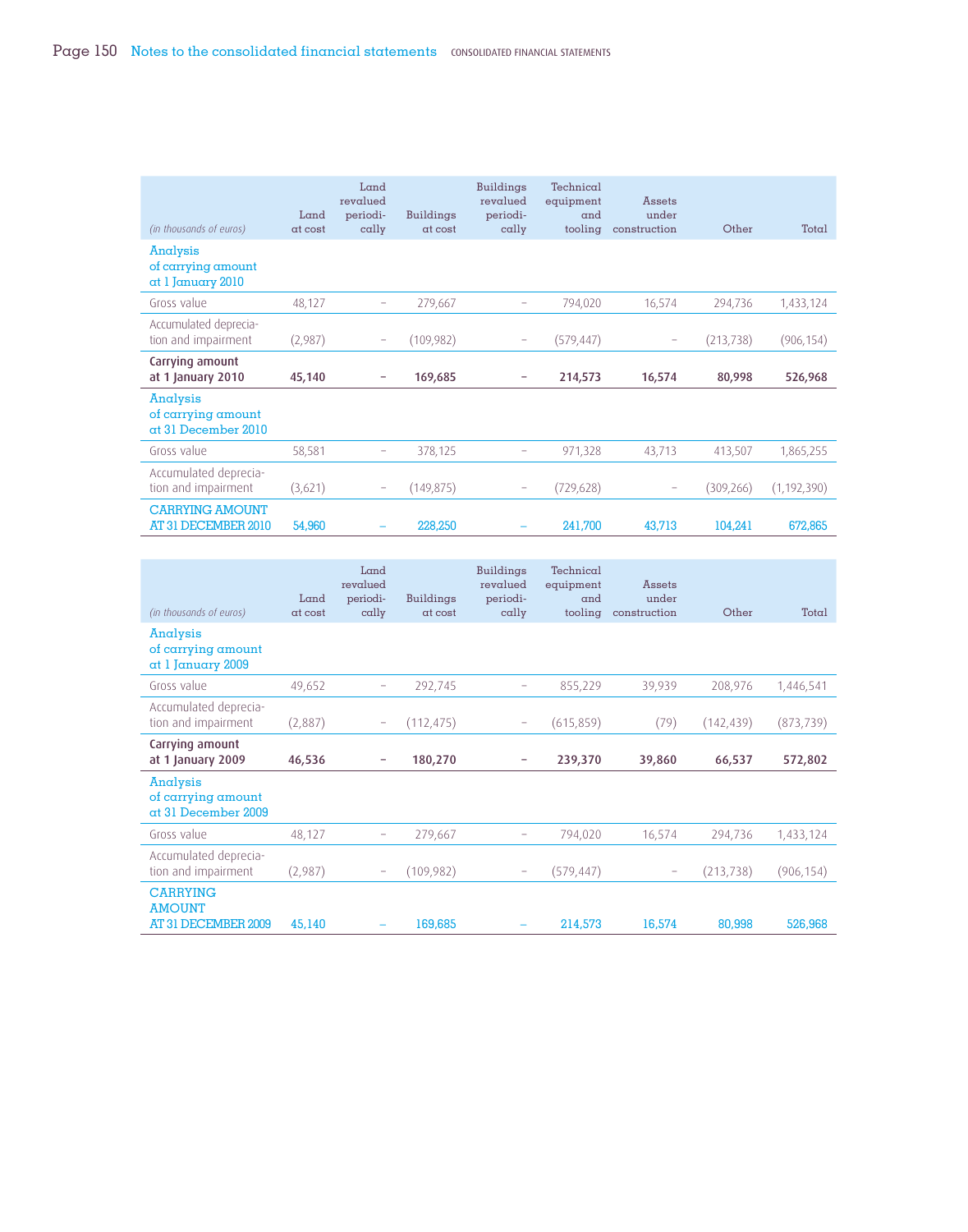| (in thousands of euros)                               | Land<br>at cost | Land<br>revalued<br>periodi-<br>$\alpha$ lly | <b>Buildings</b><br>at cost | <b>Buildings</b><br>revalued<br>periodi-<br>$\alpha$ lly | Technical<br>equipment<br>and<br>tooling | <b>Assets</b><br>under<br>construction | Other      | Total         |
|-------------------------------------------------------|-----------------|----------------------------------------------|-----------------------------|----------------------------------------------------------|------------------------------------------|----------------------------------------|------------|---------------|
| Analysis<br>of carrying amount<br>at 1 January 2010   |                 |                                              |                             |                                                          |                                          |                                        |            |               |
| Gross value                                           | 48,127          | -                                            | 279,667                     | -                                                        | 794,020                                  | 16,574                                 | 294,736    | 1,433,124     |
| Accumulated deprecia-<br>tion and impairment          | (2,987)         |                                              | (109, 982)                  |                                                          | (579,447)                                |                                        | (213, 738) | (906, 154)    |
| Carrying amount<br>at 1 January 2010                  | 45,140          | -                                            | 169,685                     |                                                          | 214,573                                  | 16,574                                 | 80,998     | 526,968       |
| Analysis<br>of carrying amount<br>at 31 December 2010 |                 |                                              |                             |                                                          |                                          |                                        |            |               |
| Gross value                                           | 58,581          | -                                            | 378,125                     | -                                                        | 971,328                                  | 43,713                                 | 413,507    | 1,865,255     |
| Accumulated deprecia-<br>tion and impairment          | (3,621)         | -                                            | (149, 875)                  | -                                                        | (729, 628)                               | $\overline{\phantom{0}}$               | (309, 266) | (1, 192, 390) |
| <b>CARRYING AMOUNT</b><br>AT 31 DECEMBER 2010         | 54,960          |                                              | 228,250                     |                                                          | 241,700                                  | 43,713                                 | 104,241    | 672,865       |

| (in thousands of euros)                                 | Land<br>at cost | Land<br>revalued<br>periodi-<br>$\alpha$ lly | <b>Buildings</b><br>at cost | <b>Buildings</b><br>revalued<br>periodi-<br>$\alpha$ lly | Technical<br>equipment<br>and<br>tooling | <b>Assets</b><br>under<br>construction | Other     | Total      |
|---------------------------------------------------------|-----------------|----------------------------------------------|-----------------------------|----------------------------------------------------------|------------------------------------------|----------------------------------------|-----------|------------|
| Analysis<br>of carrying amount<br>at 1 January 2009     |                 |                                              |                             |                                                          |                                          |                                        |           |            |
| Gross value                                             | 49,652          | -                                            | 292,745                     |                                                          | 855,229                                  | 39,939                                 | 208,976   | 1,446,541  |
| Accumulated deprecia-<br>tion and impairment            | (2,887)         | -                                            | (112, 475)                  |                                                          | (615, 859)                               | (79)                                   | (142,439) | (873, 739) |
| Carrying amount<br>at 1 January 2009                    | 46,536          | $\qquad \qquad -$                            | 180,270                     |                                                          | 239,370                                  | 39,860                                 | 66,537    | 572,802    |
| Analysis<br>of carrying amount<br>at 31 December 2009   |                 |                                              |                             |                                                          |                                          |                                        |           |            |
| Gross value                                             | 48,127          | -                                            | 279,667                     |                                                          | 794,020                                  | 16,574                                 | 294,736   | 1,433,124  |
| Accumulated deprecia-<br>tion and impairment            | (2,987)         |                                              | (109,982)                   |                                                          | (579, 447)                               |                                        | (213,738) | (906, 154) |
| <b>CARRYING</b><br><b>AMOUNT</b><br>AT 31 DECEMBER 2009 | 45,140          |                                              | 169,685                     |                                                          | 214,573                                  | 16,574                                 | 80,998    | 526,968    |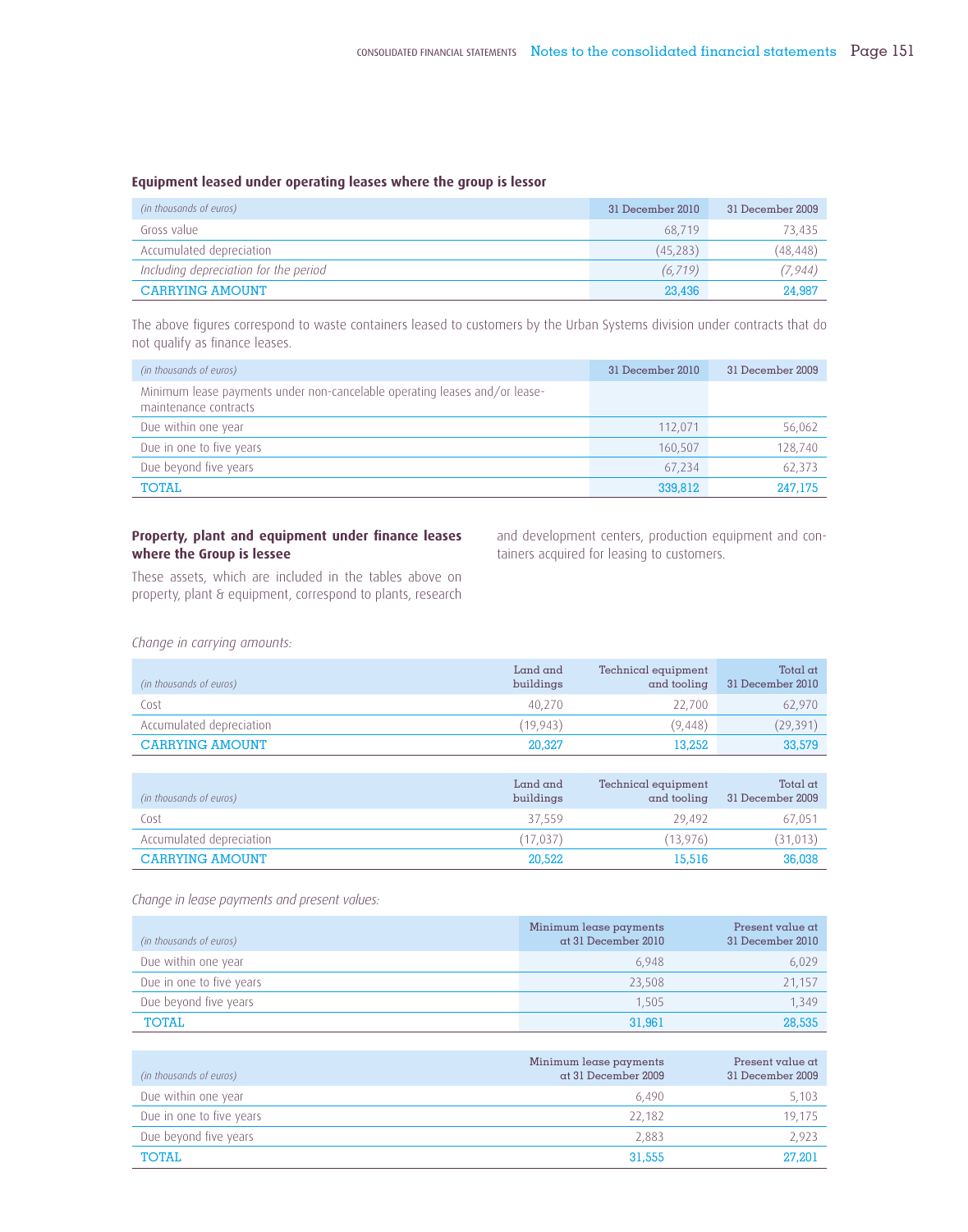## **Equipment leased under operating leases where the group is lessor**

| (in thousands of euros)               | 31 December 2010 | 31 December 2009 |
|---------------------------------------|------------------|------------------|
| Gross value                           | 68.719           | 73.435           |
| Accumulated depreciation              | (45.283)         | (48, 448)        |
| Including depreciation for the period | (6.719)          | (7, 944)         |
| <b>CARRYING AMOUNT</b>                | 23,436           | 24,987           |

The above figures correspond to waste containers leased to customers by the Urban Systems division under contracts that do not qualify as finance leases.

| (in thousands of euros)                                                                             | 31 December 2010 | 31 December 2009 |
|-----------------------------------------------------------------------------------------------------|------------------|------------------|
| Minimum lease payments under non-cancelable operating leases and/or lease-<br>maintenance contracts |                  |                  |
| Due within one year                                                                                 | 112.071          | 56,062           |
| Due in one to five years                                                                            | 160.507          | 128,740          |
| Due beyond five years                                                                               | 67.234           | 62,373           |
| <b>TOTAL</b>                                                                                        | 339,812          | 247,175          |

# Property, plant and equipment under finance leases **where the Group is lessee**

and development centers, production equipment and containers acquired for leasing to customers.

These assets, which are included in the tables above on property, plant & equipment, correspond to plants, research

*Change in carrying amounts:*

| (in thousands of euros)  | Land and<br>buildings | Technical equipment<br>and tooling | Total $at$<br>31 December 2010 |
|--------------------------|-----------------------|------------------------------------|--------------------------------|
| Cost                     | 40.270                | 22.700                             | 62,970                         |
| Accumulated depreciation | (19.943)              | (9.448)                            | (29, 391)                      |
| <b>CARRYING AMOUNT</b>   | 20,327                | 13.252                             | 33,579                         |

| (in thousands of euros)  | Land and<br>buildings | Technical equipment<br>and tooling | Total $at$<br>31 December 2009 |
|--------------------------|-----------------------|------------------------------------|--------------------------------|
| Cost                     | 37.559                | 29.492                             | 67,051                         |
| Accumulated depreciation | (17,037)              | (13.976)                           | (31, 013)                      |
| <b>CARRYING AMOUNT</b>   | 20,522                | 15,516                             | 36,038                         |

*Change in lease payments and present values:*

| (in thousands of euros)  | Minimum lease payments<br>at 31 December 2010 | Present value at<br>31 December 2010 |
|--------------------------|-----------------------------------------------|--------------------------------------|
| Due within one year      | 6.948                                         | 6,029                                |
| Due in one to five years | 23,508                                        | 21,157                               |
| Due beyond five years    | 1.505                                         | 1.349                                |
| TOTAL                    | 31,961                                        | 28,535                               |

| (in thousands of euros)  | Minimum lease payments<br>at 31 December 2009 | Present value at<br>31 December 2009 |
|--------------------------|-----------------------------------------------|--------------------------------------|
| Due within one year      | 6.490                                         | 5,103                                |
| Due in one to five years | 22.182                                        | 19.175                               |
| Due beyond five years    | 2.883                                         | 2,923                                |
| <b>TOTAL</b>             | 31,555                                        | 27,201                               |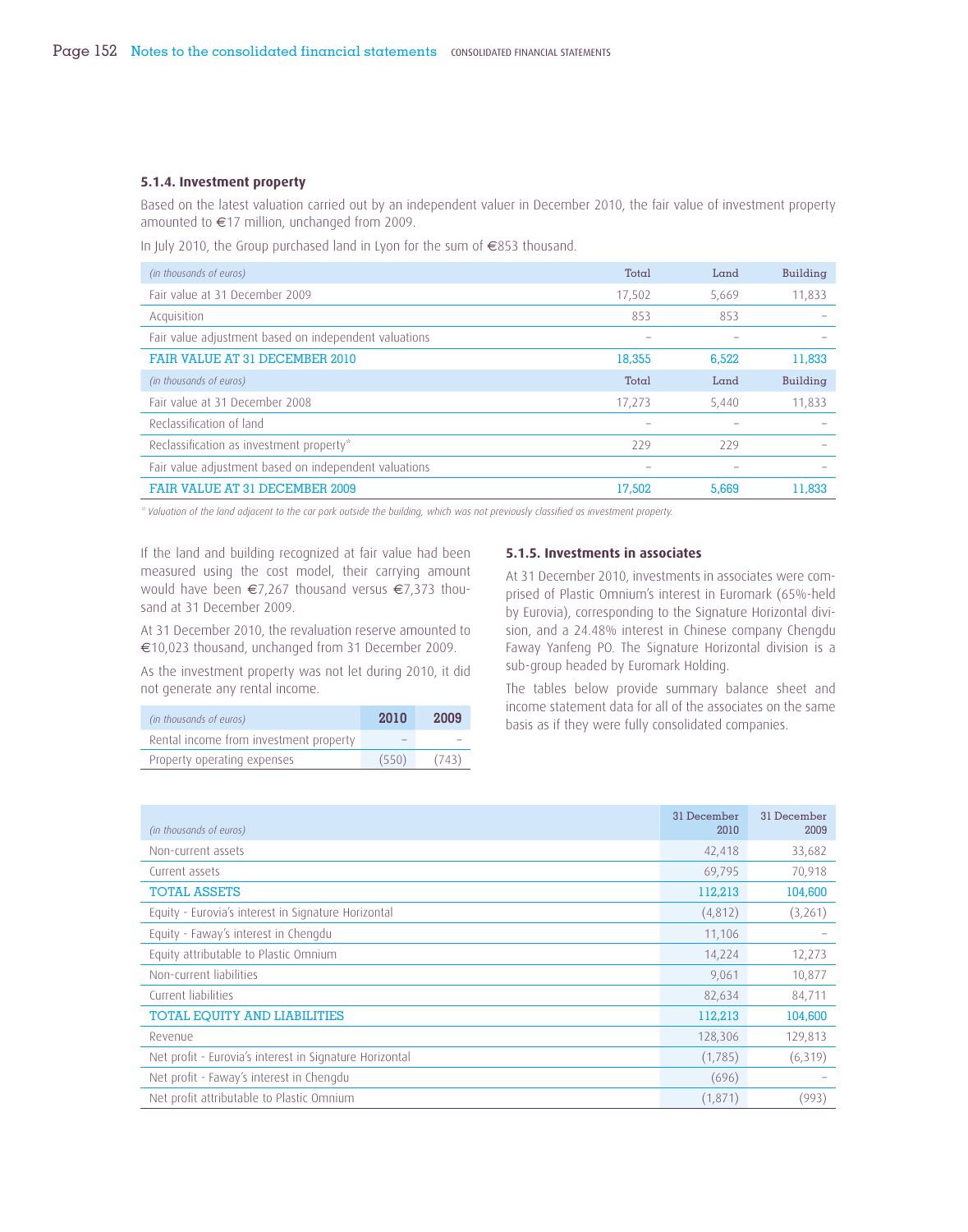### **5.1.4. Investment property**

Based on the latest valuation carried out by an independent valuer in December 2010, the fair value of investment property amounted to €17 million, unchanged from 2009.

In July 2010, the Group purchased land in Lyon for the sum of €853 thousand.

| (in thousands of euros)                               | Total  | Land  | Building |
|-------------------------------------------------------|--------|-------|----------|
| Fair value at 31 December 2009                        | 17,502 | 5,669 | 11,833   |
| Acquisition                                           | 853    | 853   |          |
| Fair value adjustment based on independent valuations |        |       |          |
| FAIR VALUE AT 31 DECEMBER 2010                        | 18,355 | 6.522 | 11,833   |
| (in thousands of euros)                               | Total  | Land  | Building |
| Fair value at 31 December 2008                        | 17.273 | 5,440 | 11,833   |
| Reclassification of land                              |        |       |          |
| Reclassification as investment property*              | 229    | 229   |          |
| Fair value adjustment based on independent valuations |        |       |          |
| <b>FAIR VALUE AT 31 DECEMBER 2009</b>                 | 17,502 | 5,669 | 11,833   |

*\* Valuation of the land adjacent to the car park outside the building, which was not previously classified as investment property.* 

If the land and building recognized at fair value had been measured using the cost model, their carrying amount would have been €7,267 thousand versus €7,373 thousand at 31 December 2009.

At 31 December 2010, the revaluation reserve amounted to €10,023 thousand, unchanged from 31 December 2009.

As the investment property was not let during 2010, it did not generate any rental income.

| (in thousands of euros)                | 2010                     | 2009  |
|----------------------------------------|--------------------------|-------|
| Rental income from investment property | $\overline{\phantom{0}}$ |       |
| Property operating expenses            | (550)                    | (743) |

#### **5.1.5. Investments in associates**

At 31 December 2010, investments in associates were comprised of Plastic Omnium's interest in Euromark (65%-held by Eurovia), corresponding to the Signature Horizontal division, and a 24.48% interest in Chinese company Chengdu Faway Yanfeng PO. The Signature Horizontal division is a sub-group headed by Euromark Holding.

The tables below provide summary balance sheet and income statement data for all of the associates on the same basis as if they were fully consolidated companies.

| (in thousands of euros)                                 | 31 December<br>2010 | 31 December<br>2009 |
|---------------------------------------------------------|---------------------|---------------------|
| Non-current assets                                      | 42,418              | 33,682              |
| Current assets                                          | 69,795              | 70,918              |
| <b>TOTAL ASSETS</b>                                     | 112,213             | 104,600             |
| Equity - Eurovia's interest in Signature Horizontal     | (4,812)             | (3,261)             |
| Equity - Faway's interest in Chengdu                    | 11,106              |                     |
| Equity attributable to Plastic Omnium                   | 14,224              | 12,273              |
| Non-current liabilities                                 | 9,061               | 10,877              |
| Current liabilities                                     | 82,634              | 84,711              |
| TOTAL EQUITY AND LIABILITIES                            | 112,213             | 104,600             |
| Revenue                                                 | 128,306             | 129,813             |
| Net profit - Eurovia's interest in Signature Horizontal | (1,785)             | (6, 319)            |
| Net profit - Faway's interest in Chengdu                | (696)               |                     |
| Net profit attributable to Plastic Omnium               | (1,871)             | (993)               |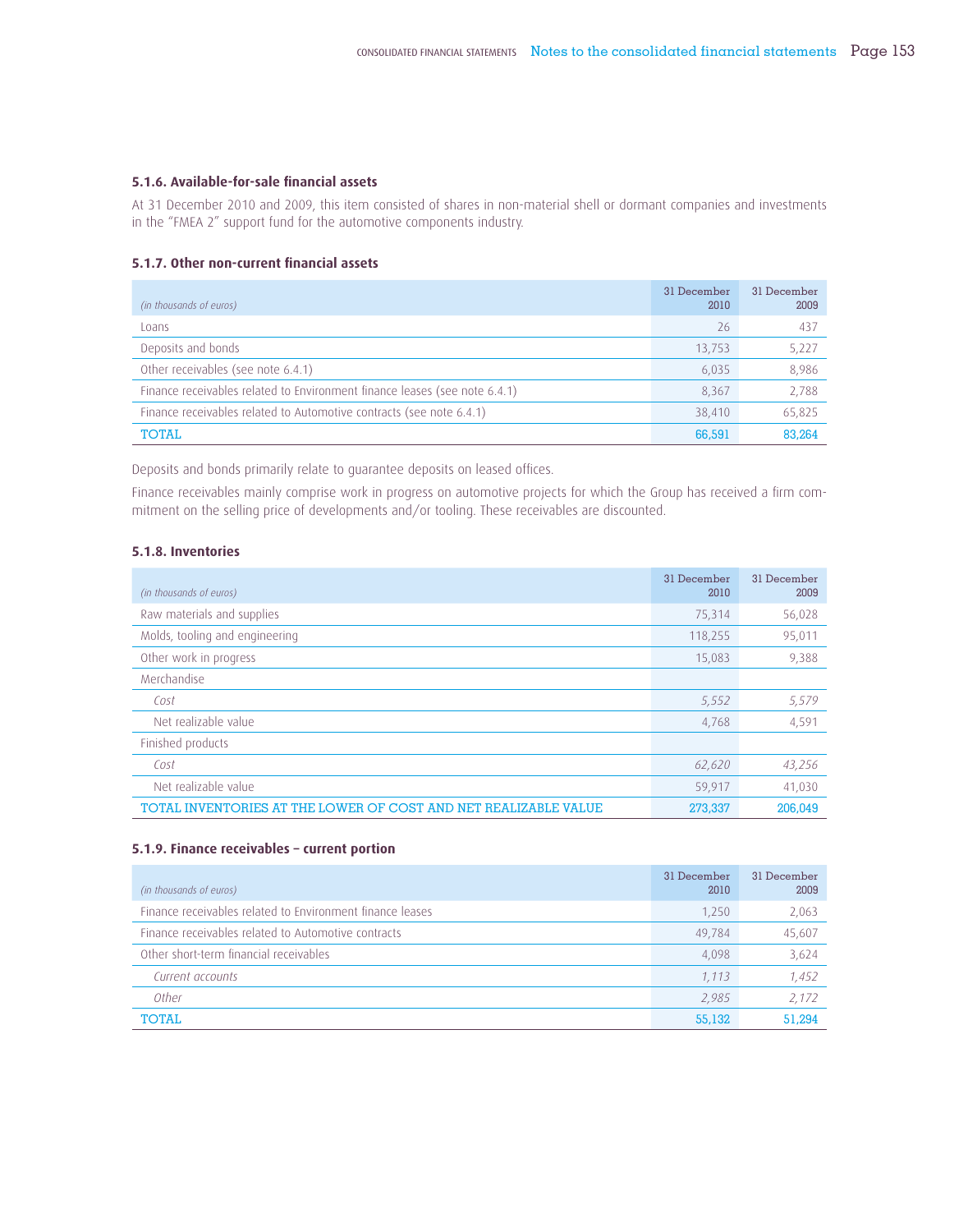### **5.1.6. Available-for-sale fi nancial assets**

At 31 December 2010 and 2009, this item consisted of shares in non-material shell or dormant companies and investments in the "FMEA 2" support fund for the automotive components industry.

### **5.1.7. Other non-current financial assets**

| (in thousands of euros)                                                    | 31 December<br>2010 | 31 December<br>2009 |
|----------------------------------------------------------------------------|---------------------|---------------------|
| Loans                                                                      | 26                  | 437                 |
| Deposits and bonds                                                         | 13,753              | 5,227               |
| Other receivables (see note 6.4.1)                                         | 6,035               | 8,986               |
| Finance receivables related to Environment finance leases (see note 6.4.1) | 8,367               | 2,788               |
| Finance receivables related to Automotive contracts (see note 6.4.1)       | 38,410              | 65,825              |
| <b>TOTAL</b>                                                               | 66,591              | 83.264              |

Deposits and bonds primarily relate to guarantee deposits on leased offices.

Finance receivables mainly comprise work in progress on automotive projects for which the Group has received a firm commitment on the selling price of developments and/or tooling. These receivables are discounted.

# **5.1.8. Inventories**

| (in thousands of euros)                                         | 31 December<br>2010 | 31 December<br>2009 |
|-----------------------------------------------------------------|---------------------|---------------------|
| Raw materials and supplies                                      | 75,314              | 56,028              |
| Molds, tooling and engineering                                  | 118,255             | 95,011              |
| Other work in progress                                          | 15,083              | 9,388               |
| Merchandise                                                     |                     |                     |
| Cost                                                            | 5,552               | 5,579               |
| Net realizable value                                            | 4,768               | 4,591               |
| Finished products                                               |                     |                     |
| Cost                                                            | 62,620              | 43,256              |
| Net realizable value                                            | 59,917              | 41,030              |
| TOTAL INVENTORIES AT THE LOWER OF COST AND NET REALIZABLE VALUE | 273,337             | 206,049             |

### **5.1 .9. Finance receivables – current portion**

| (in thousands of euros)                                   | 31 December<br>2010 | 31 December<br>2009 |
|-----------------------------------------------------------|---------------------|---------------------|
| Finance receivables related to Environment finance leases | 1,250               | 2,063               |
| Finance receivables related to Automotive contracts       | 49.784              | 45,607              |
| Other short-term financial receivables                    | 4,098               | 3,624               |
| Current accounts                                          | 1,113               | 1,452               |
| Other                                                     | 2.985               | 2.172               |
| <b>TOTAL</b>                                              | 55,132              | 51,294              |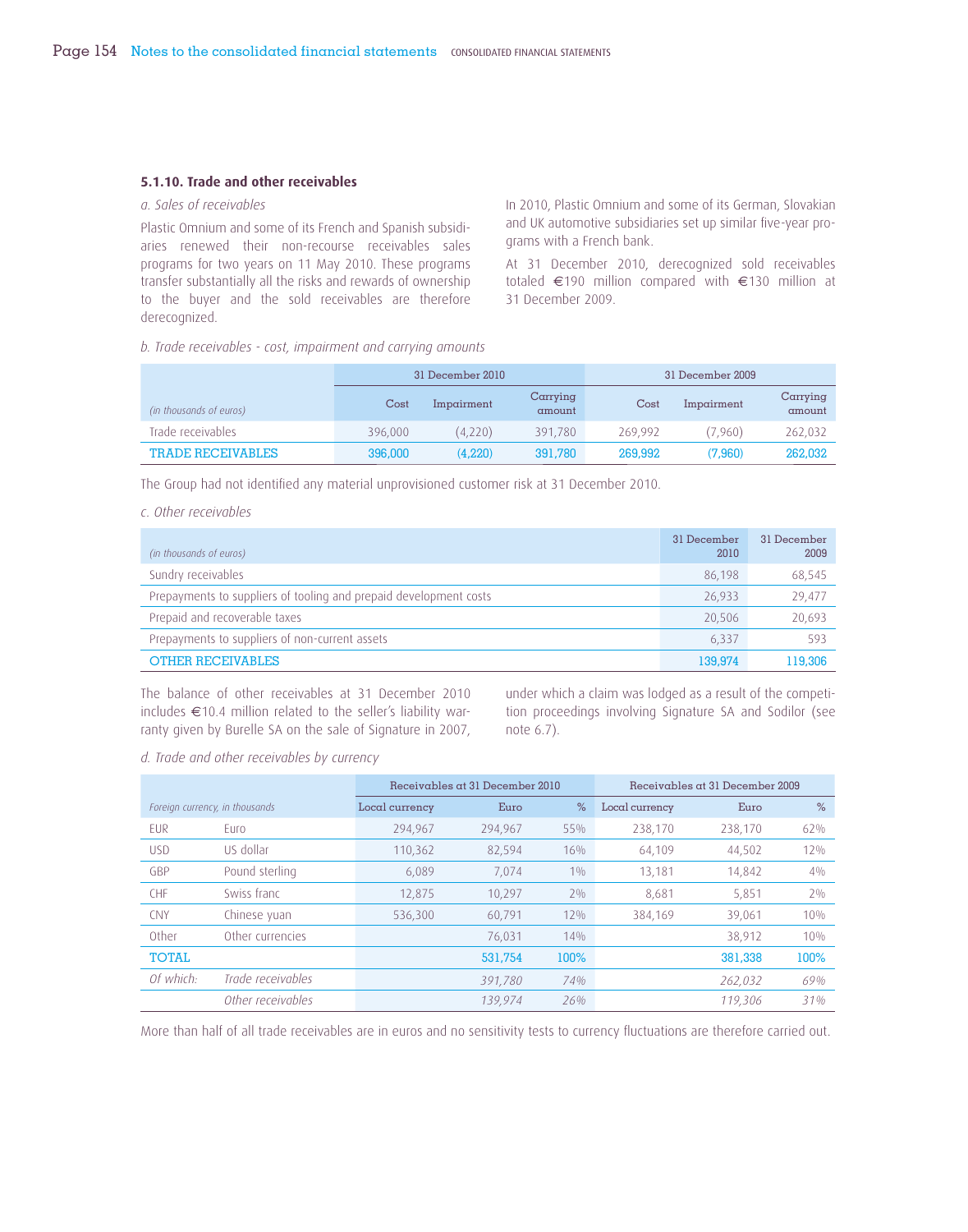#### **5.1.10. Trade and other receivables**

### *a. Sales of receivables*

Plastic Omnium and some of its French and Spanish subsidiaries renewed their non-recourse receivables sales programs for two years on 11 May 2010. These programs transfer substantially all the risks and rewards of ownership to the buyer and the sold receivables are therefore derecognized.

In 2010, Plastic Omnium and some of its German, Slovakian and UK automotive subsidiaries set up similar five-year programs with a French bank.

At 31 December 2010, derecognized sold receivables totaled €190 million compared with €130 million at 31 December 2009.

*b. Trade receivables - cost, impairment and carrying amounts*

|                          | 31 December 2010 |            |                    | 31 December 2009 |            |                    |
|--------------------------|------------------|------------|--------------------|------------------|------------|--------------------|
| (in thousands of euros)  | Cost             | Impairment | Carrying<br>amount | Cost             | Impairment | Carrying<br>amount |
| Trade receivables        | 396,000          | (4,220)    | 391.780            | 269.992          | (7.960)    | 262,032            |
| <b>TRADE RECEIVABLES</b> | 396,000          | (4,220)    | 391,780            | 269,992          | (7.960)    | 262,032            |

The Group had not identified any material unprovisioned customer risk at 31 December 2010.

# *c. Other receivables*

| (in thousands of euros)                                           | 31 December<br>2010 | 31 December<br>2009 |
|-------------------------------------------------------------------|---------------------|---------------------|
| Sundry receivables                                                | 86.198              | 68,545              |
| Prepayments to suppliers of tooling and prepaid development costs | 26.933              | 29,477              |
| Prepaid and recoverable taxes                                     | 20.506              | 20,693              |
| Prepayments to suppliers of non-current assets                    | 6.337               | 593                 |
| <b>OTHER RECEIVABLES</b>                                          | 139,974             | 119,306             |

The balance of other receivables at 31 December 2010 includes €10.4 million related to the seller's liability warranty given by Burelle SA on the sale of Signature in 2007, under which a claim was lodged as a result of the competition proceedings involving Signature SA and Sodilor (see note 6.7).

*d. Trade and other receivables by currency*

|                                |                   | Receivables at 31 December 2010 |         |        |                | Receivables at 31 December 2009 |       |
|--------------------------------|-------------------|---------------------------------|---------|--------|----------------|---------------------------------|-------|
| Foreign currency, in thousands |                   | Local currency                  | Euro    | $\%$   | Local currency | Euro                            | $\%$  |
| <b>FUR</b>                     | Euro              | 294,967                         | 294,967 | 55%    | 238,170        | 238,170                         | 62%   |
| <b>USD</b>                     | US dollar         | 110,362                         | 82,594  | 16%    | 64,109         | 44,502                          | 12%   |
| GBP                            | Pound sterling    | 6,089                           | 7,074   | $1\%$  | 13,181         | 14,842                          | $4\%$ |
| <b>CHF</b>                     | Swiss franc       | 12,875                          | 10,297  | $2\%$  | 8,681          | 5,851                           | $2\%$ |
| <b>CNY</b>                     | Chinese yuan      | 536,300                         | 60,791  | $12\%$ | 384,169        | 39,061                          | 10%   |
| Other                          | Other currencies  |                                 | 76,031  | 14%    |                | 38,912                          | 10%   |
| <b>TOTAL</b>                   |                   |                                 | 531.754 | 100%   |                | 381,338                         | 100%  |
| Of which:                      | Trade receivables |                                 | 391,780 | 74%    |                | 262,032                         | 69%   |
|                                | Other receivables |                                 | 139,974 | 26%    |                | 119,306                         | 31%   |

More than half of all trade receivables are in euros and no sensitivity tests to currency fluctuations are therefore carried out.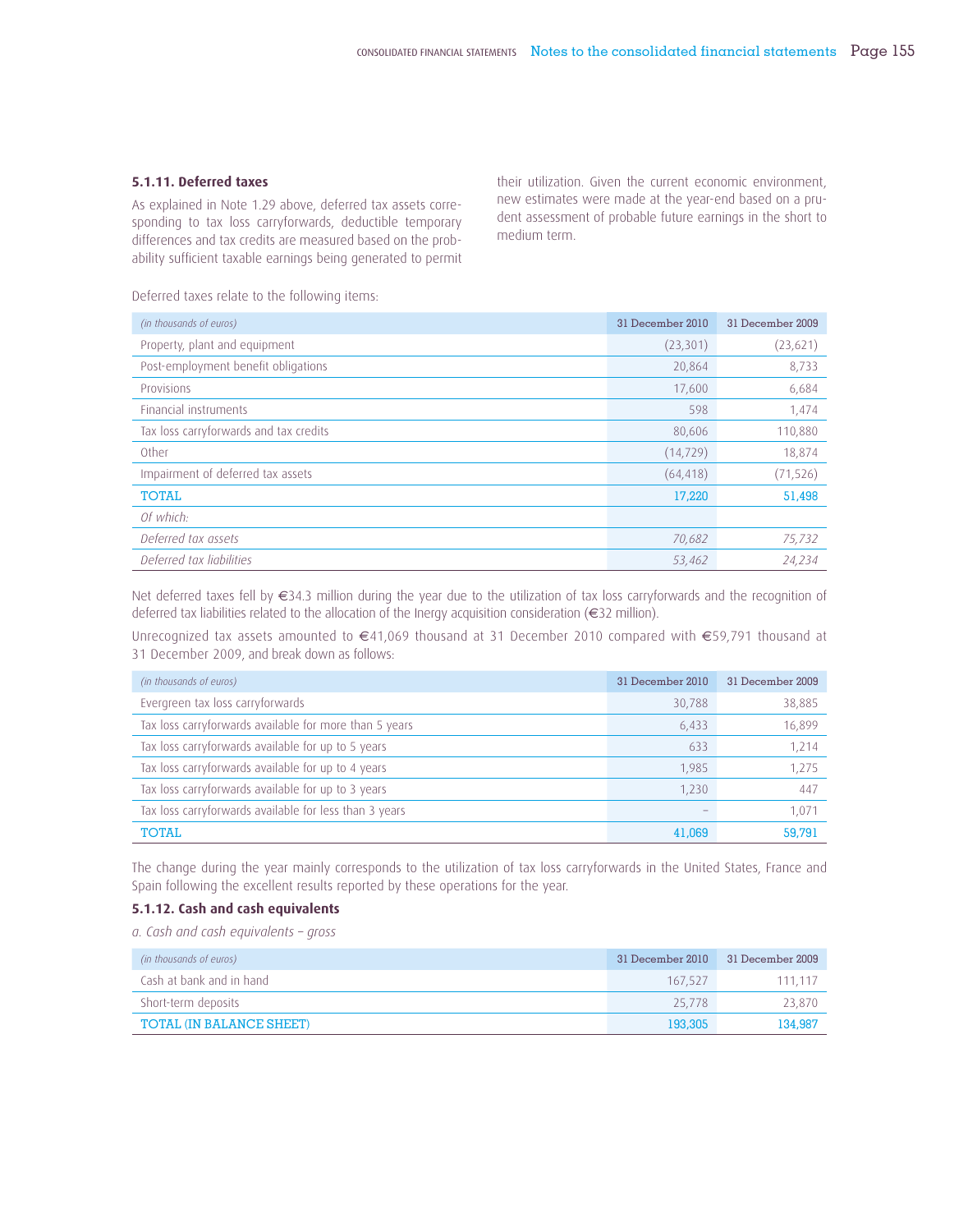### **5.1.11. Deferred taxes**

As explained in Note 1.29 above, deferred tax assets corresponding to tax loss carryforwards, deductible temporary differences and tax credits are measured based on the probability sufficient taxable earnings being generated to permit

Deferred taxes relate to the following items:

their utilization. Given the current economic environment, new estimates were made at the year-end based on a prudent assessment of probable future earnings in the short to medium term.

| (in thousands of euros)                | 31 December 2010 | 31 December 2009 |
|----------------------------------------|------------------|------------------|
| Property, plant and equipment          | (23, 301)        | (23, 621)        |
| Post-employment benefit obligations    | 20,864           | 8,733            |
| Provisions                             | 17,600           | 6,684            |
| Financial instruments                  | 598              | 1,474            |
| Tax loss carryforwards and tax credits | 80,606           | 110,880          |
| Other                                  | (14, 729)        | 18,874           |
| Impairment of deferred tax assets      | (64, 418)        | (71, 526)        |
| <b>TOTAL</b>                           | 17,220           | 51,498           |
| Of which:                              |                  |                  |
| Deferred tax assets                    | 70,682           | 75,732           |
| Deferred tax liabilities               | 53,462           | 24,234           |

Net deferred taxes fell by €34.3 million during the year due to the utilization of tax loss carryforwards and the recognition of deferred tax liabilities related to the allocation of the Inergy acquisition consideration (€32 million).

Unrecognized tax assets amounted to €41,069 thousand at 31 December 2010 compared with €59,791 thousand at 31 December 2009, and break down as follows:

| (in thousands of euros)                                | 31 December 2010 | 31 December 2009 |
|--------------------------------------------------------|------------------|------------------|
| Evergreen tax loss carryforwards                       | 30,788           | 38,885           |
| Tax loss carryforwards available for more than 5 years | 6,433            | 16,899           |
| Tax loss carryforwards available for up to 5 years     | 633              | 1,214            |
| Tax loss carryforwards available for up to 4 years     | 1.985            | 1.275            |
| Tax loss carryforwards available for up to 3 years     | 1,230            | 447              |
| Tax loss carryforwards available for less than 3 years |                  | 1,071            |
| <b>TOTAL</b>                                           | 41,069           | 59,791           |

The change during the year mainly corresponds to the utilization of tax loss carryforwards in the United States, France and Spain following the excellent results reported by these operations for the year.

### **5.1.12. Cash and cash equivalents**

*a. Cash and cash equivalents – gross* 

| (in thousands of euros)  | 31 December 2010 | 31 December 2009 |
|--------------------------|------------------|------------------|
| Cash at bank and in hand | 167.527          | 111.117          |
| Short-term deposits      | 25.778           | 23.870           |
| TOTAL (IN BALANCE SHEET) | 193,305          | 134,987          |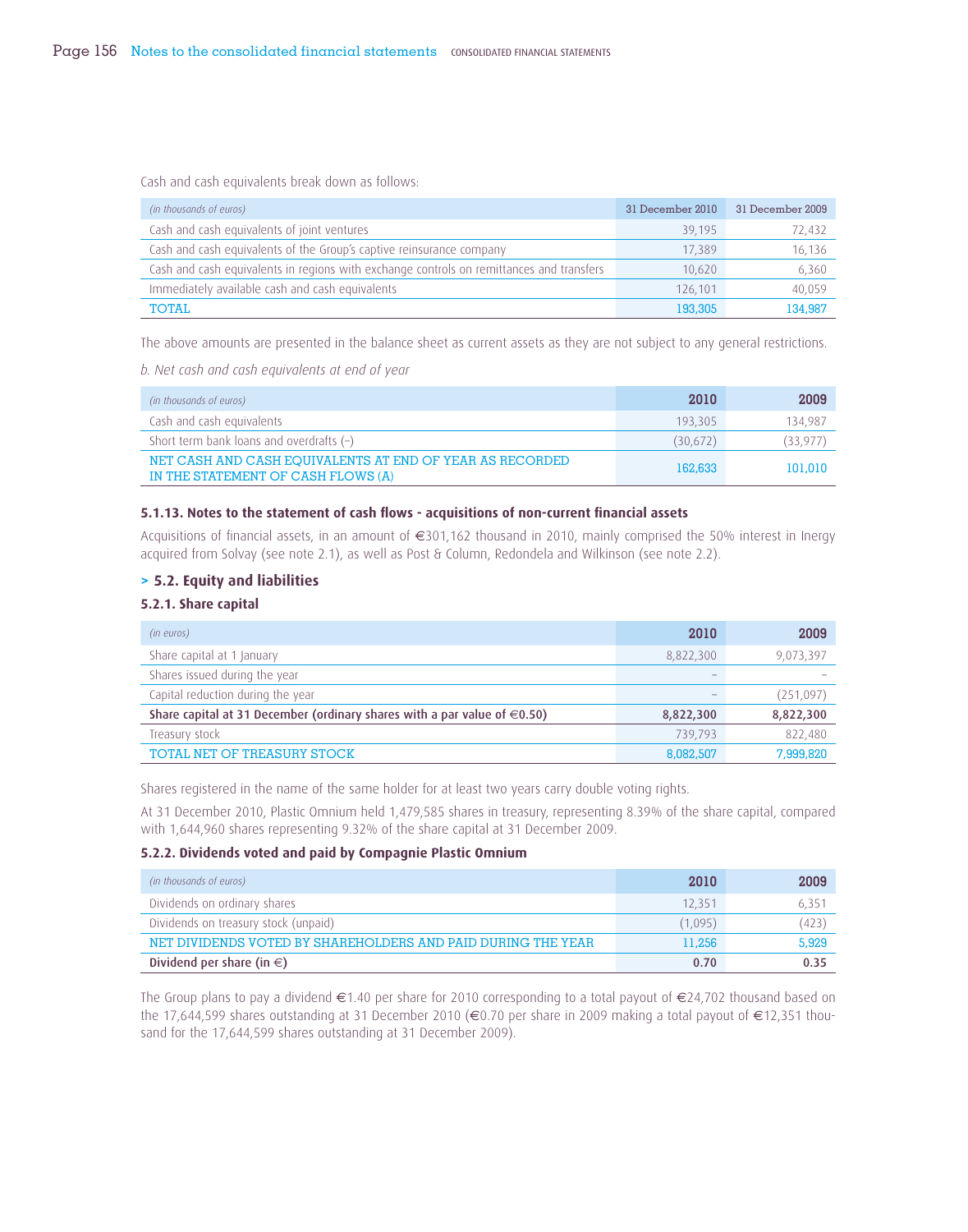Cash and cash equivalents break down as follows:

| (in thousands of euros)                                                                  | 31 December 2010 | 31 December 2009 |
|------------------------------------------------------------------------------------------|------------------|------------------|
| Cash and cash equivalents of joint ventures                                              | 39.195           | 72,432           |
| Cash and cash equivalents of the Group's captive reinsurance company                     | 17,389           | 16,136           |
| Cash and cash equivalents in regions with exchange controls on remittances and transfers | 10.620           | 6,360            |
| Immediately available cash and cash equivalents                                          | 126.101          | 40,059           |
| <b>TOTAL</b>                                                                             | 193,305          | 134.987          |

The above amounts are presented in the balance sheet as current assets as they are not subject to any general restrictions.

*b. Net cash and cash equivalents at end of year*

| (in thousands of euros)                                                                        | 2010     | 2009      |
|------------------------------------------------------------------------------------------------|----------|-----------|
| Cash and cash equivalents                                                                      | 193.305  | 134.987   |
| Short term bank loans and overdrafts $(-)$                                                     | (30,672) | (33, 977) |
| NET CASH AND CASH EQUIVALENTS AT END OF YEAR AS RECORDED<br>IN THE STATEMENT OF CASH FLOWS (A) | 162,633  | 101,010   |

### **5.1.13. Notes to the statement of cash flows - acquisitions of non-current financial assets**

Acquisitions of financial assets, in an amount of €301,162 thousand in 2010, mainly comprised the 50% interest in Inergy acquired from Solvay (see note 2.1), as well as Post & Column, Redondela and Wilkinson (see note 2.2).

### **> 5.2. Equity and liabilities**

## **5.2.1. Share capital**

| (in euros)                                                                    | 2010      | 2009      |
|-------------------------------------------------------------------------------|-----------|-----------|
| Share capital at 1 January                                                    | 8,822,300 | 9,073,397 |
| Shares issued during the year                                                 |           |           |
| Capital reduction during the year                                             |           | (251,097) |
| Share capital at 31 December (ordinary shares with a par value of $\in$ 0.50) | 8,822,300 | 8,822,300 |
| Treasury stock                                                                | 739.793   | 822.480   |
| TOTAL NET OF TREASURY STOCK                                                   | 8.082.507 | 7.999.820 |

Shares registered in the name of the same holder for at least two years carry double voting rights.

At 31 December 2010, Plastic Omnium held 1,479,585 shares in treasury, representing 8.39% of the share capital, compared with 1,644,960 shares representing 9.32% of the share capital at 31 December 2009.

## **5.2.2. Dividends voted and paid by Compagnie Plastic Omnium**

| (in thousands of euros)                                      | 2010    | 2009           |
|--------------------------------------------------------------|---------|----------------|
| Dividends on ordinary shares                                 | 12.351  | $6.35^{\circ}$ |
| Dividends on treasury stock (unpaid)                         | (1,095) | (423)          |
| NET DIVIDENDS VOTED BY SHAREHOLDERS AND PAID DURING THE YEAR | 11,256  | 5,929          |
| Dividend per share (in $\in$ )                               | 0.70    | 0.35           |

The Group plans to pay a dividend  $\in$  1.40 per share for 2010 corresponding to a total payout of  $\in$  24,702 thousand based on the 17,644,599 shares outstanding at 31 December 2010 (€0.70 per share in 2009 making a total payout of €12,351 thousand for the 17,644,599 shares outstanding at 31 December 2009).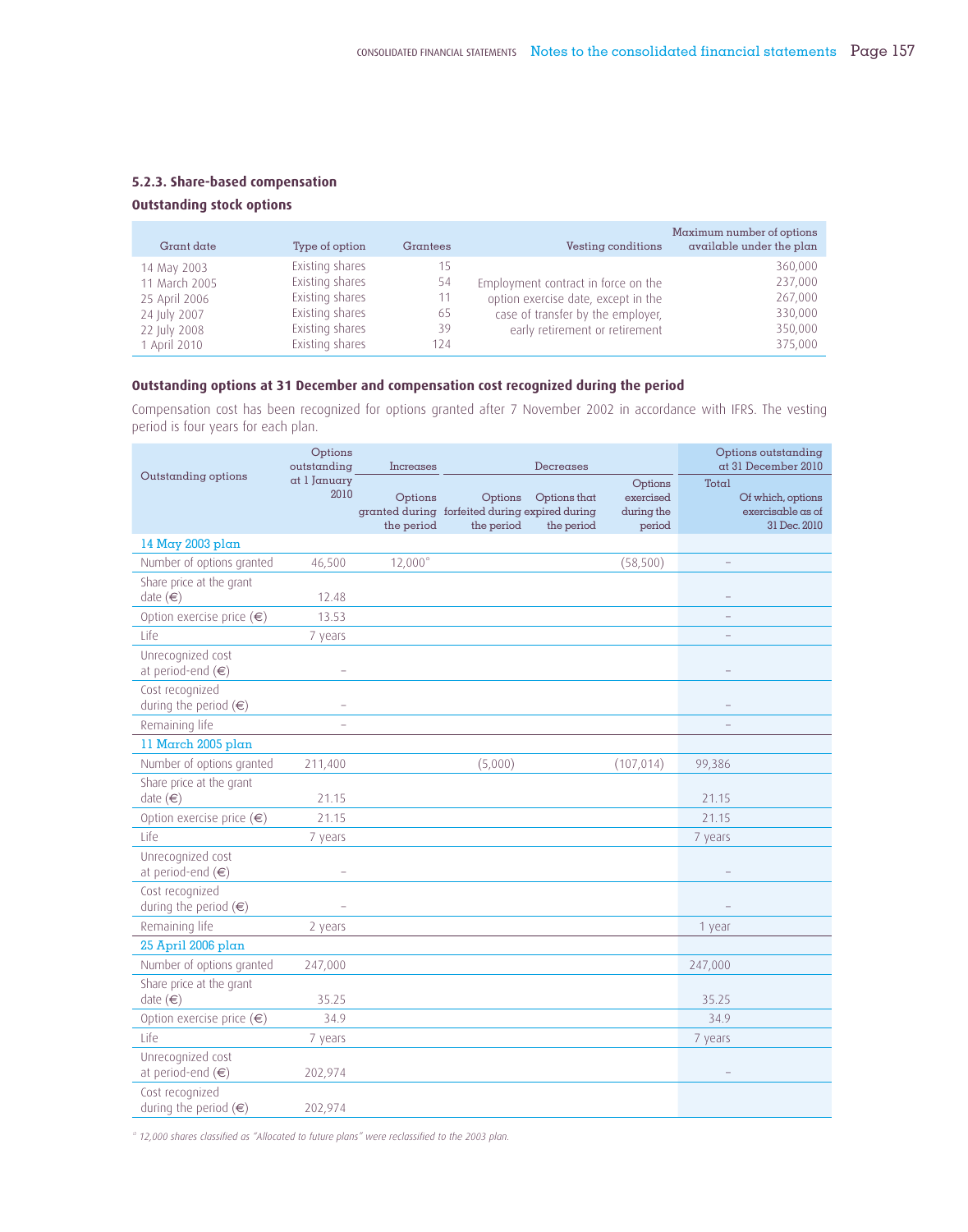# **5.2.3. Share-based compensation**

# **Outstanding stock options**

| Grant date                                                    | Type of option                                                           | Grantees             | Vesting conditions                                                                                              | Maximum number of options<br>available under the plan |
|---------------------------------------------------------------|--------------------------------------------------------------------------|----------------------|-----------------------------------------------------------------------------------------------------------------|-------------------------------------------------------|
| 14 May 2003<br>11 March 2005<br>25 April 2006<br>24 July 2007 | Existing shares<br>Existing shares<br>Existing shares<br>Existing shares | 15<br>54<br>11<br>65 | Employment contract in force on the<br>option exercise date, except in the<br>case of transfer by the employer, | 360,000<br>237,000<br>267,000<br>330,000              |
| 22 July 2008<br>1 April 2010                                  | Existing shares<br>Existing shares                                       | 39<br>124            | early retirement or retirement                                                                                  | 350,000<br>375,000                                    |

# **Outstanding options at 31 December and compensation cost recognized during the period**

Compensation cost has been recognized for options granted after 7 November 2002 in accordance with IFRS. The vesting period is four years for each plan.

| Outstanding options                               | Options<br>outstanding   | Increases             |                                                                         | Decreases                  |                                              |         | Options outstanding<br>at 31 December 2010             |
|---------------------------------------------------|--------------------------|-----------------------|-------------------------------------------------------------------------|----------------------------|----------------------------------------------|---------|--------------------------------------------------------|
|                                                   | at 1 January<br>2010     | Options<br>the period | Options<br>granted during forfeited during expired during<br>the period | Options that<br>the period | Options<br>exercised<br>during the<br>period | Total   | Of which, options<br>exercisable as of<br>31 Dec. 2010 |
| 14 May 2003 plan                                  |                          |                       |                                                                         |                            |                                              |         |                                                        |
| Number of options granted                         | 46,500                   | $12,000*$             |                                                                         |                            | (58, 500)                                    |         |                                                        |
| Share price at the grant<br>date $(\in)$          | 12.48                    |                       |                                                                         |                            |                                              |         |                                                        |
| Option exercise price $(\epsilon)$                | 13.53                    |                       |                                                                         |                            |                                              |         |                                                        |
| Life                                              | 7 years                  |                       |                                                                         |                            |                                              |         |                                                        |
| Unrecognized cost<br>at period-end $(\in)$        |                          |                       |                                                                         |                            |                                              |         |                                                        |
| Cost recognized<br>during the period $(\epsilon)$ |                          |                       |                                                                         |                            |                                              |         |                                                        |
| Remaining life                                    | $\overline{\phantom{0}}$ |                       |                                                                         |                            |                                              |         |                                                        |
| 11 March 2005 plan                                |                          |                       |                                                                         |                            |                                              |         |                                                        |
| Number of options granted                         | 211,400                  |                       | (5,000)                                                                 |                            | (107, 014)                                   | 99,386  |                                                        |
| Share price at the grant<br>date $(\in)$          | 21.15                    |                       |                                                                         |                            |                                              | 21.15   |                                                        |
| Option exercise price $(\epsilon)$                | 21.15                    |                       |                                                                         |                            |                                              | 21.15   |                                                        |
| Life                                              | 7 years                  |                       |                                                                         |                            |                                              | 7 years |                                                        |
| Unrecognized cost<br>at period-end $(\in)$        |                          |                       |                                                                         |                            |                                              |         |                                                        |
| Cost recognized<br>during the period $(\epsilon)$ |                          |                       |                                                                         |                            |                                              |         |                                                        |
| Remaining life                                    | 2 years                  |                       |                                                                         |                            |                                              | 1 year  |                                                        |
| 25 April 2006 plan                                |                          |                       |                                                                         |                            |                                              |         |                                                        |
| Number of options granted                         | 247,000                  |                       |                                                                         |                            |                                              | 247,000 |                                                        |
| Share price at the grant<br>date $(\in)$          | 35.25                    |                       |                                                                         |                            |                                              | 35.25   |                                                        |
| Option exercise price $(\epsilon)$                | 34.9                     |                       |                                                                         |                            |                                              | 34.9    |                                                        |
| Life                                              | 7 years                  |                       |                                                                         |                            |                                              | 7 years |                                                        |
| Unrecognized cost<br>at period-end $(\in)$        | 202,974                  |                       |                                                                         |                            |                                              |         |                                                        |
| Cost recognized<br>during the period $(\epsilon)$ | 202,974                  |                       |                                                                         |                            |                                              |         |                                                        |

*\* 12,000 shares classified as "Allocated to future plans" were reclassified to the 2003 plan.*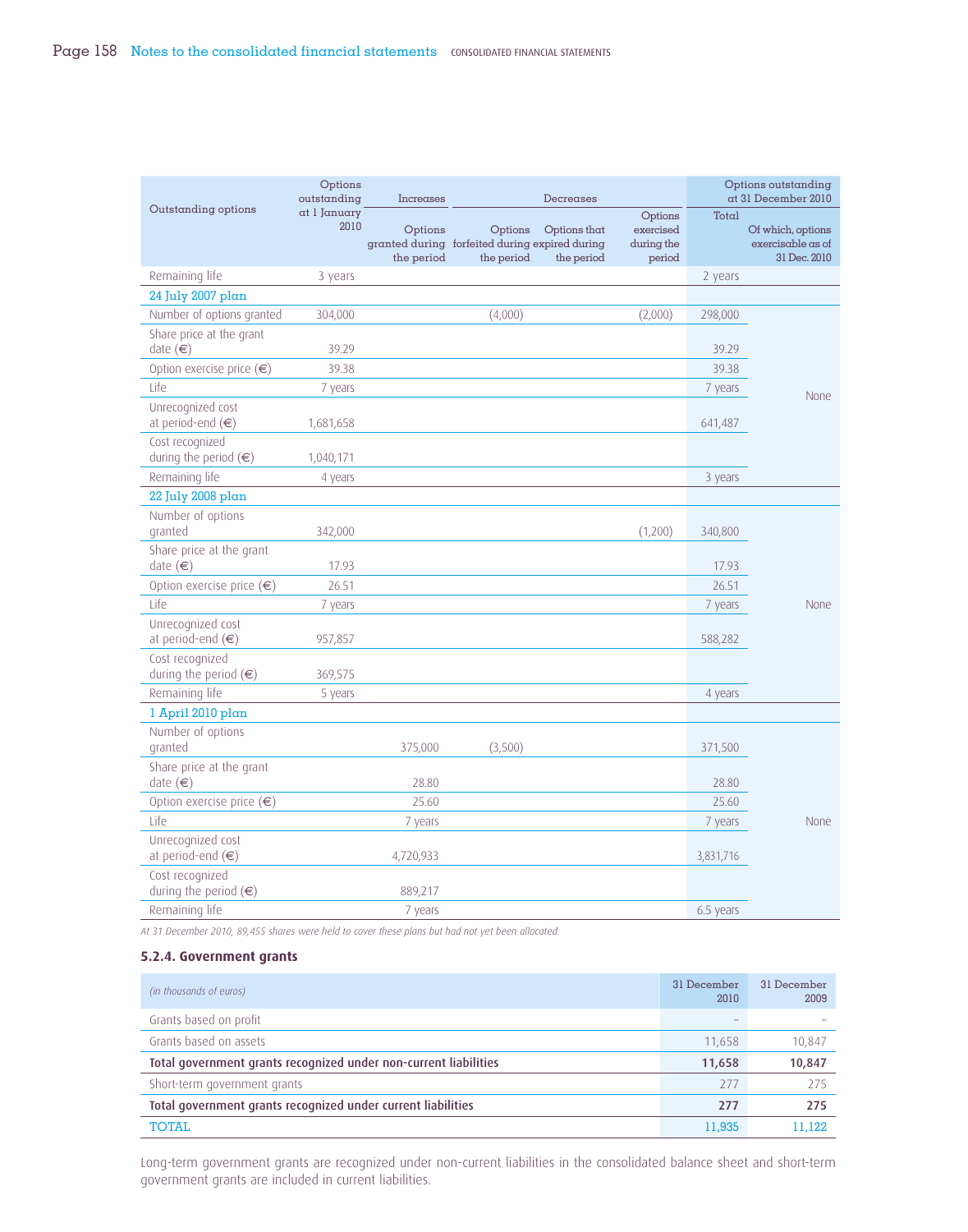|                                                   | Options<br>outstanding | Increases             |                                                                         | Decreases                  |                                              |           | Options outstanding<br>at 31 December 2010             |
|---------------------------------------------------|------------------------|-----------------------|-------------------------------------------------------------------------|----------------------------|----------------------------------------------|-----------|--------------------------------------------------------|
| Outstanding options                               | at I January<br>2010   | Options<br>the period | Options<br>granted during forfeited during expired during<br>the period | Options that<br>the period | Options<br>exercised<br>during the<br>period | Total     | Of which, options<br>exercisable as of<br>31 Dec. 2010 |
| Remaining life                                    | 3 years                |                       |                                                                         |                            |                                              | 2 years   |                                                        |
| 24 July 2007 plan                                 |                        |                       |                                                                         |                            |                                              |           |                                                        |
| Number of options granted                         | 304,000                |                       | (4,000)                                                                 |                            | (2,000)                                      | 298,000   |                                                        |
| Share price at the grant<br>date $(\in)$          | 39.29                  |                       |                                                                         |                            |                                              | 39.29     |                                                        |
| Option exercise price $(\epsilon)$                | 39.38                  |                       |                                                                         |                            |                                              | 39.38     |                                                        |
| Life                                              | 7 years                |                       |                                                                         |                            |                                              | 7 years   | None                                                   |
| Unrecognized cost<br>at period-end $(\in)$        | 1,681,658              |                       |                                                                         |                            |                                              | 641,487   |                                                        |
| Cost recognized<br>during the period $(\epsilon)$ | 1,040,171              |                       |                                                                         |                            |                                              |           |                                                        |
| Remaining life                                    | 4 years                |                       |                                                                         |                            |                                              | 3 years   |                                                        |
| 22 July 2008 plan                                 |                        |                       |                                                                         |                            |                                              |           |                                                        |
| Number of options<br>granted                      | 342,000                |                       |                                                                         |                            | (1,200)                                      | 340,800   |                                                        |
| Share price at the grant<br>date (€)              | 17.93                  |                       |                                                                         |                            |                                              | 17.93     |                                                        |
| Option exercise price $(\epsilon)$                | 26.51                  |                       |                                                                         |                            |                                              | 26.51     |                                                        |
| Life                                              | 7 years                |                       |                                                                         |                            |                                              | 7 years   | None                                                   |
| Unrecognized cost<br>at period-end $(\in)$        | 957,857                |                       |                                                                         |                            |                                              | 588,282   |                                                        |
| Cost recognized<br>during the period $(\epsilon)$ | 369,575                |                       |                                                                         |                            |                                              |           |                                                        |
| Remaining life                                    | 5 years                |                       |                                                                         |                            |                                              | 4 years   |                                                        |
| l April 2010 plan                                 |                        |                       |                                                                         |                            |                                              |           |                                                        |
| Number of options<br>granted                      |                        | 375,000               | (3,500)                                                                 |                            |                                              | 371,500   |                                                        |
| Share price at the grant<br>date $(\in)$          |                        | 28.80                 |                                                                         |                            |                                              | 28.80     |                                                        |
| Option exercise price $(\epsilon)$                |                        | 25.60                 |                                                                         |                            |                                              | 25.60     |                                                        |
| Life                                              |                        | 7 years               |                                                                         |                            |                                              | 7 years   | None                                                   |
| Unrecognized cost<br>at period-end $(\in)$        |                        | 4,720,933             |                                                                         |                            |                                              | 3,831,716 |                                                        |
| Cost recognized<br>during the period $(\epsilon)$ |                        | 889,217               |                                                                         |                            |                                              |           |                                                        |
| Remaining life                                    |                        | 7 years               |                                                                         |                            |                                              | 6.5 years |                                                        |

*At 31 December 2010, 89,455 shares were held to cover these plans but had not yet been allocated.*

### **5.2.4. Government grants**

| (in thousands of euros)                                          | 31 December<br>2010 | 31 December<br>2009 |
|------------------------------------------------------------------|---------------------|---------------------|
| Grants based on profit                                           |                     |                     |
| Grants based on assets                                           | 11,658              | 10,847              |
| Total government grants recognized under non-current liabilities | 11,658              | 10,847              |
| Short-term government grants                                     | -277                | 275                 |
| Total government grants recognized under current liabilities     | 277                 | 275                 |
| <b>TOTAL</b>                                                     | 11,935              | 11.122              |

Long-term government grants are recognized under non-current liabilities in the consolidated balance sheet and short-term government grants are included in current liabilities.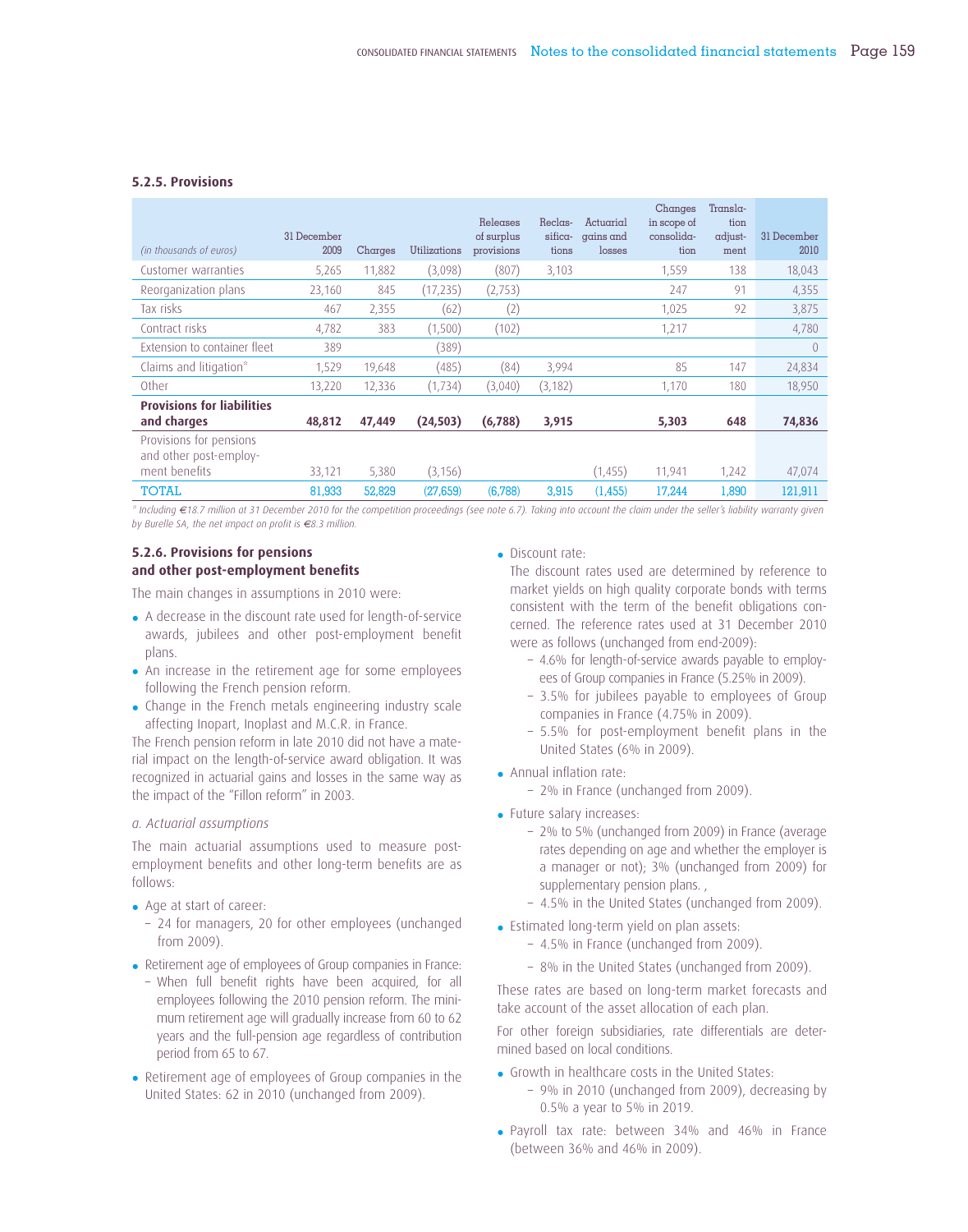### **5.2.5. Provisions**

| (in thousands of euros)                           | 31 December<br>2009 | Charges | Utilizations | Releases<br>of surplus<br>provisions | Reclas-<br>sifica-<br>tions | Actuarial<br>gains and<br>losses | Changes<br>in scope of<br>$consolida-$<br>tion | Transla-<br>tion<br>adjust-<br>ment | 31 December<br>2010 |
|---------------------------------------------------|---------------------|---------|--------------|--------------------------------------|-----------------------------|----------------------------------|------------------------------------------------|-------------------------------------|---------------------|
| Customer warranties                               | 5,265               | 11,882  | (3,098)      | (807)                                | 3,103                       |                                  | 1.559                                          | 138                                 | 18,043              |
| Reorganization plans                              | 23,160              | 845     | (17, 235)    | (2,753)                              |                             |                                  | 247                                            | 91                                  | 4,355               |
| Tax risks                                         | 467                 | 2,355   | (62)         | (2)                                  |                             |                                  | 1.025                                          | 97                                  | 3,875               |
| Contract risks                                    | 4,782               | 383     | (1,500)      | (102)                                |                             |                                  | 1,217                                          |                                     | 4,780               |
| Extension to container fleet                      | 389                 |         | (389)        |                                      |                             |                                  |                                                |                                     | $\theta$            |
| Claims and litigation*                            | 1,529               | 19,648  | (485)        | (84)                                 | 3,994                       |                                  | 85                                             | 147                                 | 24,834              |
| Other                                             | 13.220              | 12,336  | (1, 734)     | (3,040)                              | (3, 182)                    |                                  | 1,170                                          | 180                                 | 18,950              |
| <b>Provisions for liabilities</b><br>and charges  | 48,812              | 47,449  | (24, 503)    | (6,788)                              | 3,915                       |                                  | 5,303                                          | 648                                 | 74,836              |
| Provisions for pensions<br>and other post-employ- |                     |         |              |                                      |                             |                                  |                                                |                                     |                     |
| ment benefits                                     | 33,121              | 5,380   | (3, 156)     |                                      |                             | (1, 455)                         | 11,941                                         | 1,242                               | 47,074              |
| <b>TOTAL</b>                                      | 81,933              | 52,829  | (27,659)     | (6,788)                              | 3,915                       | (1,455)                          | 17,244                                         | 1,890                               | 121,911             |

*\* Including €18.7 million at 31 December 2010 for the competition proceedings (see note 6.7). Taking into account the claim under the seller's liability warranty given by Burelle SA, the net impact on profit is €8.3 million.*

### **5.2.6. Provisions for pensions**  and other post-employment benefits

The main changes in assumptions in 2010 were:

- A decrease in the discount rate used for length-of-service awards, jubilees and other post-employment benefit plans.
- An increase in the retirement age for some employees following the French pension reform.
- Change in the French metals engineering industry scale affecting Inopart, Inoplast and M.C.R. in France.

The French pension reform in late 2010 did not have a material impact on the length-of-service award obligation. It was recognized in actuarial gains and losses in the same way as the impact of the "Fillon reform" in 2003.

### *a. Actuarial assumptions*

The main actuarial assumptions used to measure postemployment benefits and other long-term benefits are as follows:

- Age at start of career:
- 24 for managers, 20 for other employees (unchanged from 2009).
- Retirement age of employees of Group companies in France:
- When full benefit rights have been acquired, for all employees following the 2010 pension reform. The minimum retirement age will gradually increase from 60 to 62 years and the full-pension age regardless of contribution period from 65 to 67.
- Retirement age of employees of Group companies in the United States: 62 in 2010 (unchanged from 2009).

• Discount rate:

 The discount rates used are determined by reference to market yields on high quality corporate bonds with terms consistent with the term of the benefit obligations concerned. The reference rates used at 31 December 2010 were as follows (unchanged from end-2009):

- 4.6% for length-of-service awards payable to employees of Group companies in France (5.25% in 2009).
- 3.5% for jubilees payable to employees of Group companies in France (4.75% in 2009).
- $-5.5%$  for post-employment benefit plans in the United States (6% in 2009).
- $\bullet$  Annual inflation rate:
	- 2% in France (unchanged from 2009).
- Future salary increases:
	- 2% to 5% (unchanged from 2009) in France (average rates depending on age and whether the employer is a manager or not); 3% (unchanged from 2009) for supplementary pension plans.,
	- 4.5% in the United States (unchanged from 2009).
- Estimated long-term yield on plan assets:
	- 4.5% in France (unchanged from 2009).
	- 8% in the United States (unchanged from 2009).

These rates are based on long-term market forecasts and take account of the asset allocation of each plan.

For other foreign subsidiaries, rate differentials are determined based on local conditions.

- Growth in healthcare costs in the United States:
	- 9% in 2010 (unchanged from 2009), decreasing by 0.5% a year to 5% in 2019.
- Payroll tax rate: between 34% and 46% in France (between 36% and 46% in 2009).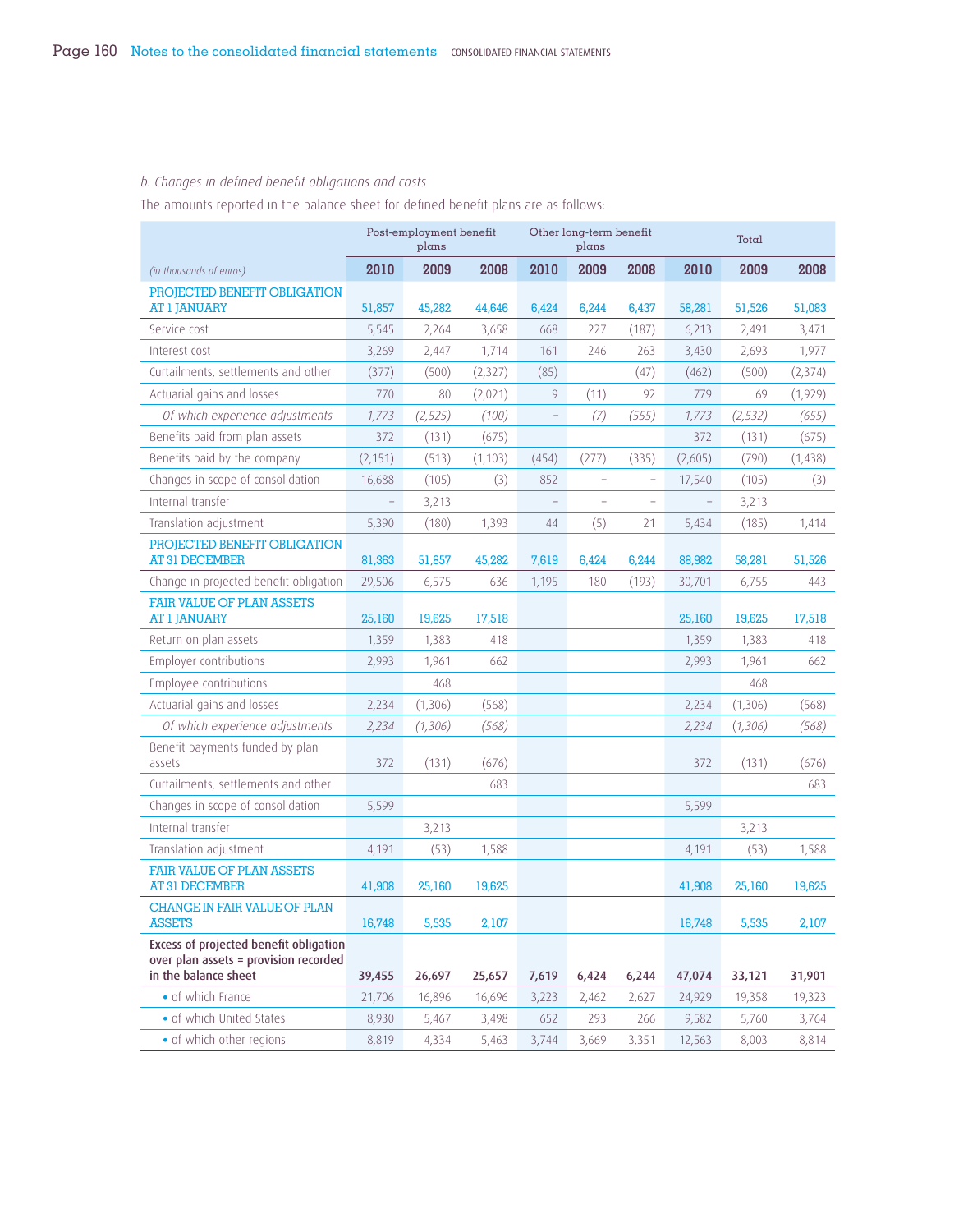# *b. Changes in defined benefit obligations and costs*

The amounts reported in the balance sheet for defined benefit plans are as follows:

|                                                                                                         |                          | Post-employment benefit<br>plans |          |       | Other long-term benefit<br>plans |                   | Total                    |          |          |  |
|---------------------------------------------------------------------------------------------------------|--------------------------|----------------------------------|----------|-------|----------------------------------|-------------------|--------------------------|----------|----------|--|
| (in thousands of euros)                                                                                 | 2010                     | 2009                             | 2008     | 2010  | 2009                             | 2008              | 2010                     | 2009     | 2008     |  |
| PROJECTED BENEFIT OBLIGATION<br><b>AT 1 JANUARY</b>                                                     | 51,857                   | 45,282                           | 44,646   | 6,424 | 6,244                            | 6,437             | 58,281                   | 51,526   | 51,083   |  |
| Service cost                                                                                            | 5,545                    | 2,264                            | 3,658    | 668   | 227                              | (187)             | 6,213                    | 2,491    | 3,471    |  |
| Interest cost                                                                                           | 3,269                    | 2,447                            | 1,714    | 161   | 246                              | 263               | 3,430                    | 2,693    | 1,977    |  |
| Curtailments, settlements and other                                                                     | (377)                    | (500)                            | (2,327)  | (85)  |                                  | (47)              | (462)                    | (500)    | (2, 374) |  |
| Actuarial gains and losses                                                                              | 770                      | 80                               | (2,021)  | 9     | (11)                             | 92                | 779                      | 69       | (1,929)  |  |
| Of which experience adjustments                                                                         | 1,773                    | (2, 525)                         | (100)    |       | (7)                              | (555)             | 1,773                    | (2, 532) | (655)    |  |
| Benefits paid from plan assets                                                                          | 372                      | (131)                            | (675)    |       |                                  |                   | 372                      | (131)    | (675)    |  |
| Benefits paid by the company                                                                            | (2, 151)                 | (513)                            | (1, 103) | (454) | (277)                            | (335)             | (2,605)                  | (790)    | (1,438)  |  |
| Changes in scope of consolidation                                                                       | 16,688                   | (105)                            | (3)      | 852   |                                  | $\qquad \qquad -$ | 17,540                   | (105)    | (3)      |  |
| Internal transfer                                                                                       | $\overline{\phantom{0}}$ | 3,213                            |          |       |                                  |                   | $\overline{\phantom{a}}$ | 3,213    |          |  |
| Translation adjustment                                                                                  | 5,390                    | (180)                            | 1,393    | 44    | (5)                              | 21                | 5,434                    | (185)    | 1,414    |  |
| PROJECTED BENEFIT OBLIGATION<br><b>AT 31 DECEMBER</b>                                                   | 81,363                   | 51,857                           | 45,282   | 7,619 | 6,424                            | 6,244             | 88,982                   | 58,281   | 51,526   |  |
| Change in projected benefit obligation                                                                  | 29,506                   | 6,575                            | 636      | 1,195 | 180                              | (193)             | 30,701                   | 6,755    | 443      |  |
| <b>FAIR VALUE OF PLAN ASSETS</b><br><b>AT 1 JANUARY</b>                                                 | 25,160                   | 19,625                           | 17,518   |       |                                  |                   | 25,160                   | 19,625   | 17,518   |  |
| Return on plan assets                                                                                   | 1,359                    | 1,383                            | 418      |       |                                  |                   | 1,359                    | 1,383    | 418      |  |
| Employer contributions                                                                                  | 2,993                    | 1,961                            | 662      |       |                                  |                   | 2,993                    | 1,961    | 662      |  |
| Employee contributions                                                                                  |                          | 468                              |          |       |                                  |                   |                          | 468      |          |  |
| Actuarial gains and losses                                                                              | 2,234                    | (1,306)                          | (568)    |       |                                  |                   | 2,234                    | (1,306)  | (568)    |  |
| Of which experience adjustments                                                                         | 2,234                    | (1,306)                          | (568)    |       |                                  |                   | 2,234                    | (1,306)  | (568)    |  |
| Benefit payments funded by plan<br>assets                                                               | 372                      | (131)                            | (676)    |       |                                  |                   | 372                      | (131)    | (676)    |  |
| Curtailments, settlements and other                                                                     |                          |                                  | 683      |       |                                  |                   |                          |          | 683      |  |
| Changes in scope of consolidation                                                                       | 5,599                    |                                  |          |       |                                  |                   | 5,599                    |          |          |  |
| Internal transfer                                                                                       |                          | 3,213                            |          |       |                                  |                   |                          | 3,213    |          |  |
| Translation adjustment                                                                                  | 4,191                    | (53)                             | 1,588    |       |                                  |                   | 4,191                    | (53)     | 1,588    |  |
| <b>FAIR VALUE OF PLAN ASSETS</b><br><b>AT 31 DECEMBER</b>                                               | 41,908                   | 25,160                           | 19,625   |       |                                  |                   | 41,908                   | 25,160   | 19,625   |  |
| <b>CHANGE IN FAIR VALUE OF PLAN</b><br><b>ASSETS</b>                                                    | 16,748                   | 5,535                            | 2,107    |       |                                  |                   | 16,748                   | 5,535    | 2,107    |  |
| Excess of projected benefit obligation<br>over plan assets = provision recorded<br>in the balance sheet | 39,455                   | 26,697                           | 25,657   | 7,619 | 6,424                            | 6,244             | 47,074                   | 33,121   | 31,901   |  |
| · of which France                                                                                       | 21,706                   | 16,896                           | 16,696   | 3,223 | 2,462                            | 2,627             | 24,929                   | 19,358   | 19,323   |  |
| · of which United States                                                                                | 8,930                    | 5,467                            | 3,498    | 652   | 293                              | 266               | 9,582                    | 5,760    | 3,764    |  |
| · of which other regions                                                                                | 8,819                    | 4,334                            | 5,463    | 3,744 | 3,669                            | 3,351             | 12,563                   | 8,003    | 8,814    |  |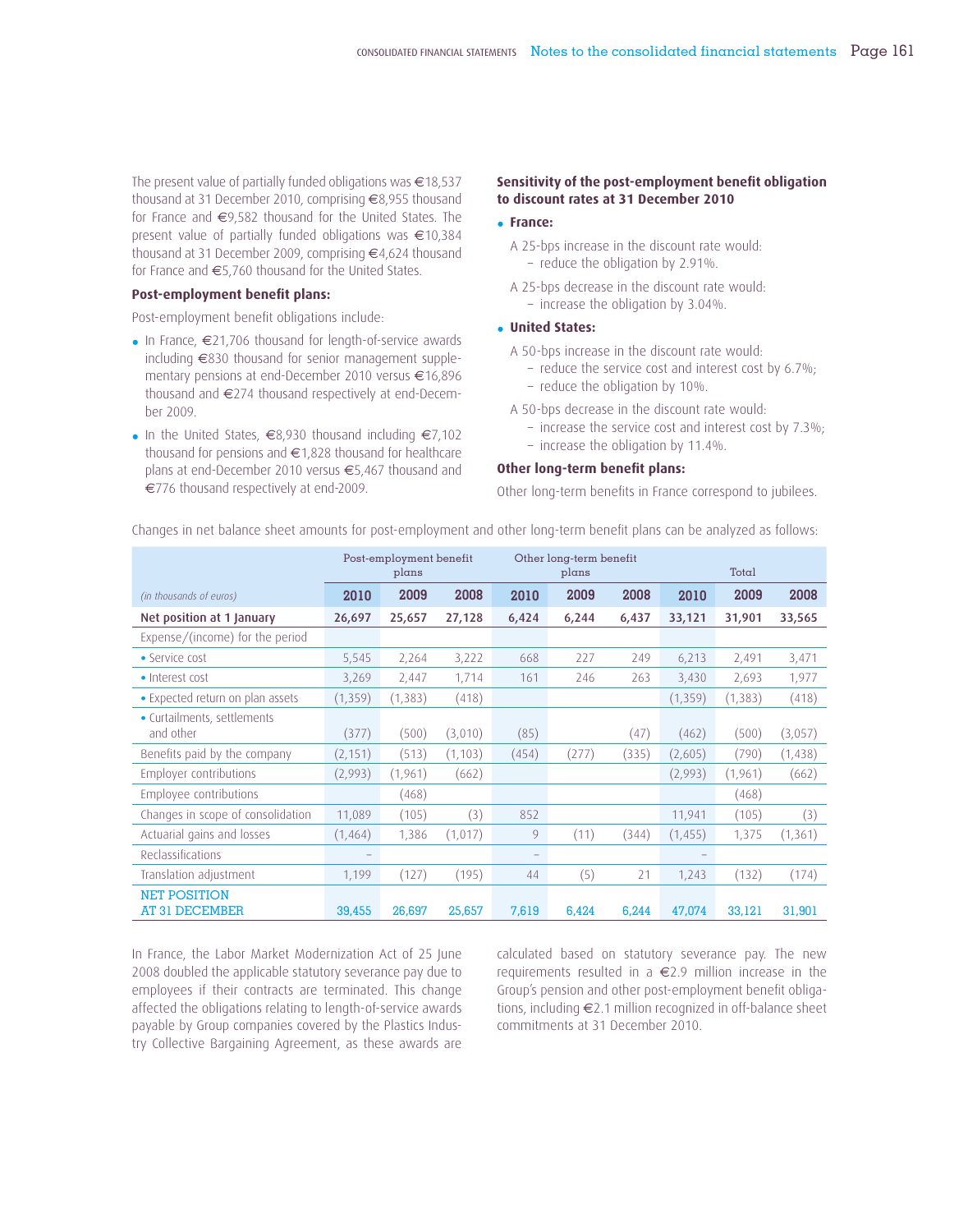The present value of partially funded obligations was €18,537 thousand at 31 December 2010, comprising €8,955 thousand for France and €9,582 thousand for the United States. The present value of partially funded obligations was €10,384 thousand at 31 December 2009, comprising €4,624 thousand for France and €5,760 thousand for the United States.

### **Post-employment benefit plans:**

Post-employment benefit obligations include:

- In France, €21,706 thousand for length-of-service awards including €830 thousand for senior management supplementary pensions at end-December 2010 versus €16,896 thousand and €274 thousand respectively at end-December 2009.
- In the United States, €8,930 thousand including €7,102 thousand for pensions and €1,828 thousand for healthcare plans at end-December 2010 versus €5,467 thousand and €776 thousand respectively at end-2009.

### **Sensitivity of the post-employment benefit obligation to discount rates at 31 December 2010**

### • **France:**

- A 25-bps increase in the discount rate would:
	- reduce the obligation by 2.91%.
- A 25-bps decrease in the discount rate would:
- increase the obligation by 3.04%.

# • **United States:**

- A 50-bps increase in the discount rate would:
	- reduce the service cost and interest cost by 6.7%;
	- reduce the obligation by 10%.
- A 50-bps decrease in the discount rate would:
	- increase the service cost and interest cost by 7.3%;
	- increase the obligation by 11.4%.

### **Other long-term benefit plans:**

Other long-term benefits in France correspond to jubilees.

|                                              | Post-employment benefit<br>plans |          |          |                          | Other long-term benefit<br>plans |       | Total    |          |          |  |
|----------------------------------------------|----------------------------------|----------|----------|--------------------------|----------------------------------|-------|----------|----------|----------|--|
| (in thousands of euros)                      | 2010                             | 2009     | 2008     | 2010                     | 2009                             | 2008  | 2010     | 2009     | 2008     |  |
| Net position at 1 January                    | 26,697                           | 25,657   | 27,128   | 6,424                    | 6,244                            | 6,437 | 33,121   | 31,901   | 33,565   |  |
| Expense/(income) for the period              |                                  |          |          |                          |                                  |       |          |          |          |  |
| • Service cost                               | 5,545                            | 2,264    | 3,222    | 668                      | 227                              | 249   | 6,213    | 2,491    | 3,471    |  |
| • Interest cost                              | 3,269                            | 2,447    | 1,714    | 161                      | 246                              | 263   | 3,430    | 2,693    | 1,977    |  |
| • Expected return on plan assets             | (1, 359)                         | (1, 383) | (418)    |                          |                                  |       | (1, 359) | (1, 383) | (418)    |  |
| • Curtailments, settlements<br>and other     | (377)                            | (500)    | (3,010)  | (85)                     |                                  | (47)  | (462)    | (500)    | (3,057)  |  |
| Benefits paid by the company                 | (2, 151)                         | (513)    | (1, 103) | (454)                    | (277)                            | (335) | (2,605)  | (790)    | (1,438)  |  |
| Employer contributions                       | (2,993)                          | (1,961)  | (662)    |                          |                                  |       | (2,993)  | (1, 961) | (662)    |  |
| Employee contributions                       |                                  | (468)    |          |                          |                                  |       |          | (468)    |          |  |
| Changes in scope of consolidation            | 11,089                           | (105)    | (3)      | 852                      |                                  |       | 11,941   | (105)    | (3)      |  |
| Actuarial gains and losses                   | (1,464)                          | 1,386    | (1,017)  | 9                        | (11)                             | (344) | (1, 455) | 1,375    | (1, 361) |  |
| Reclassifications                            |                                  |          |          | $\overline{\phantom{m}}$ |                                  |       |          |          |          |  |
| Translation adjustment                       | 1,199                            | (127)    | (195)    | 44                       | (5)                              | 21    | 1,243    | (132)    | (174)    |  |
| <b>NET POSITION</b><br><b>AT 31 DECEMBER</b> | 39,455                           | 26,697   | 25,657   | 7,619                    | 6,424                            | 6,244 | 47,074   | 33,121   | 31,901   |  |

Changes in net balance sheet amounts for post-employment and other long-term benefit plans can be analyzed as follows:

In France, the Labor Market Modernization Act of 25 June 2008 doubled the applicable statutory severance pay due to employees if their contracts are terminated. This change affected the obligations relating to length-of-service awards payable by Group companies covered by the Plastics Industry Collective Bargaining Agreement, as these awards are

calculated based on statutory severance pay. The new requirements resulted in a €2.9 million increase in the Group's pension and other post-employment benefit obligations, including €2.1 million recognized in off-balance sheet commitments at 31 December 2010.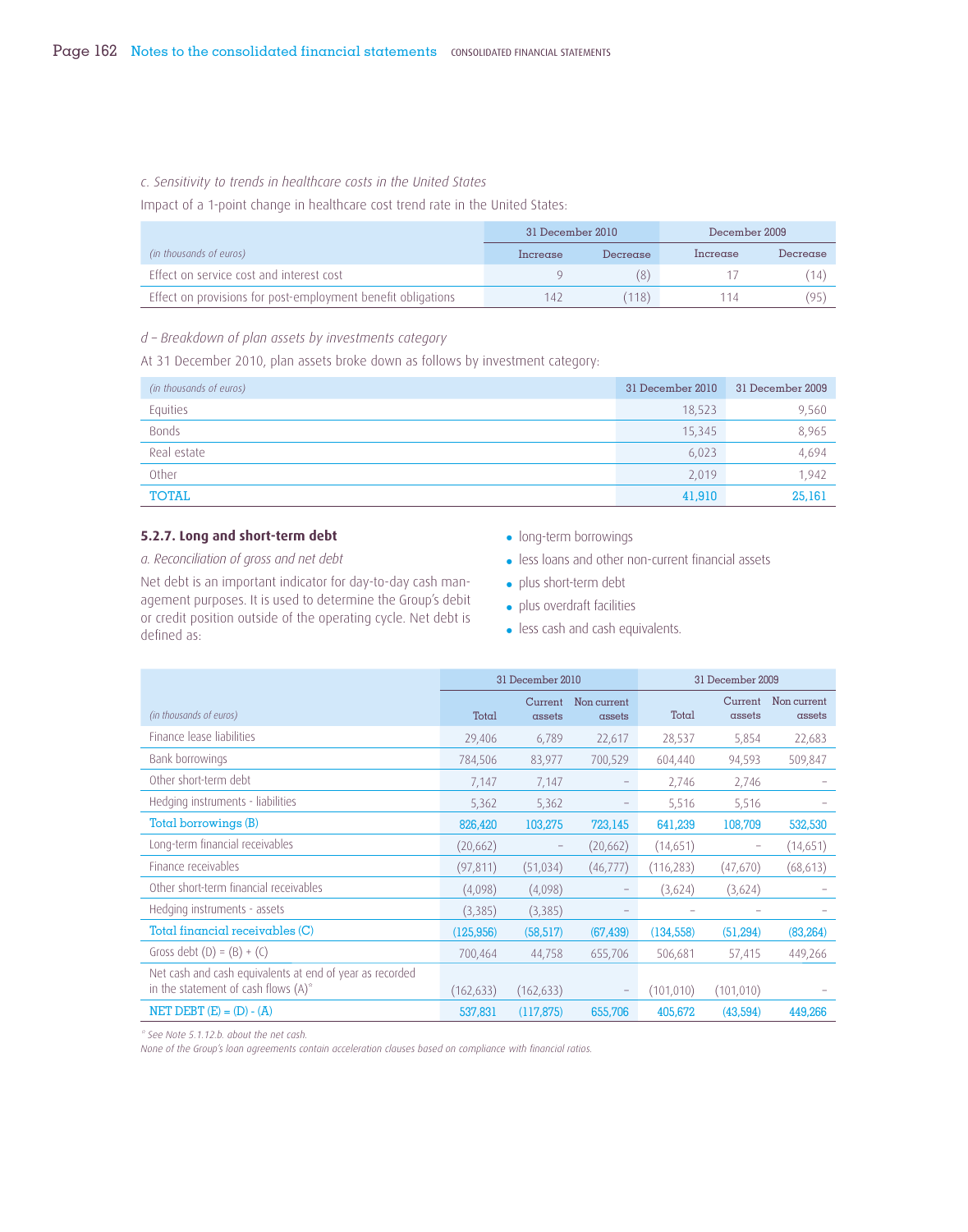### *c. Sensitivity to trends in healthcare costs in the United States*

Impact of a 1-point change in healthcare cost trend rate in the United States:

|                                                              | 31 December 2010 |          | December 2009 |          |
|--------------------------------------------------------------|------------------|----------|---------------|----------|
| (in thousands of euros)                                      | Increase         | Decrease | Increase      | Decrease |
| Effect on service cost and interest cost                     |                  | (8)      |               |          |
| Effect on provisions for post-employment benefit obligations | 142              | (118)    | 1 1 4         | (95)     |

## *d – Breakdown of plan assets by investments category*

At 31 December 2010, plan assets broke down as follows by investment category:

| (in thousands of euros) | 31 December 2010 | 31 December 2009 |
|-------------------------|------------------|------------------|
| Equities                | 18,523           | 9,560            |
| <b>Bonds</b>            | 15,345           | 8,965            |
| Real estate             | 6,023            | 4,694            |
| Other                   | 2,019            | 1.942            |
| TOTAL                   | 41,910           | 25,161           |

# **5.2.7. Long and short-term debt**

*a. Reconciliation of gross and net debt*

Net debt is an important indicator for day-to-day cash management purposes. It is used to determine the Group's debit or credit position outside of the operating cycle. Net debt is defined as:

- long-term borrowings
- less loans and other non-current financial assets
- plus short-term debt
- plus overdraft facilities
- less cash and cash equivalents.

|                                                                                                    | 31 December 2010 |                   |                       |            | 31 December 2009          |                       |  |
|----------------------------------------------------------------------------------------------------|------------------|-------------------|-----------------------|------------|---------------------------|-----------------------|--|
| (in thousands of euros)                                                                            | Total            | Current<br>assets | Non current<br>assets | Total      | Current<br>$\alpha$ ssets | Non current<br>assets |  |
| Finance lease liabilities                                                                          | 29,406           | 6,789             | 22,617                | 28,537     | 5,854                     | 22,683                |  |
| Bank borrowings                                                                                    | 784,506          | 83,977            | 700,529               | 604,440    | 94,593                    | 509,847               |  |
| Other short-term debt                                                                              | 7,147            | 7,147             | -                     | 2,746      | 2,746                     |                       |  |
| Hedging instruments - liabilities                                                                  | 5,362            | 5,362             | -                     | 5,516      | 5,516                     |                       |  |
| Total borrowings (B)                                                                               | 826,420          | 103,275           | 723,145               | 641,239    | 108,709                   | 532,530               |  |
| Long-term financial receivables                                                                    | (20, 662)        |                   | (20, 662)             | (14,651)   |                           | (14,651)              |  |
| Finance receivables                                                                                | (97, 811)        | (51, 034)         | (46, 777)             | (116, 283) | (47,670)                  | (68, 613)             |  |
| Other short-term financial receivables                                                             | (4,098)          | (4,098)           | $\qquad \qquad -$     | (3,624)    | (3,624)                   |                       |  |
| Hedging instruments - assets                                                                       | (3,385)          | (3,385)           |                       |            |                           |                       |  |
| Total financial receivables (C)                                                                    | (125, 956)       | (58, 517)         | (67, 439)             | (134, 558) | (51, 294)                 | (83, 264)             |  |
| Gross debt $(D) = (B) + (C)$                                                                       | 700,464          | 44,758            | 655,706               | 506,681    | 57,415                    | 449,266               |  |
| Net cash and cash equivalents at end of year as recorded<br>in the statement of cash flows $(A)^*$ | (162, 633)       | (162, 633)        | -                     | (101, 010) | (101, 010)                |                       |  |
| NET DEBT $(E) = (D) - (A)$                                                                         | 537,831          | (117, 875)        | 655,706               | 405,672    | (43,594)                  | 449,266               |  |

*\* See Note 5.1.12.b. about the net cash.*

*None of the Group's loan agreements contain acceleration clauses based on compliance with financial ratios.*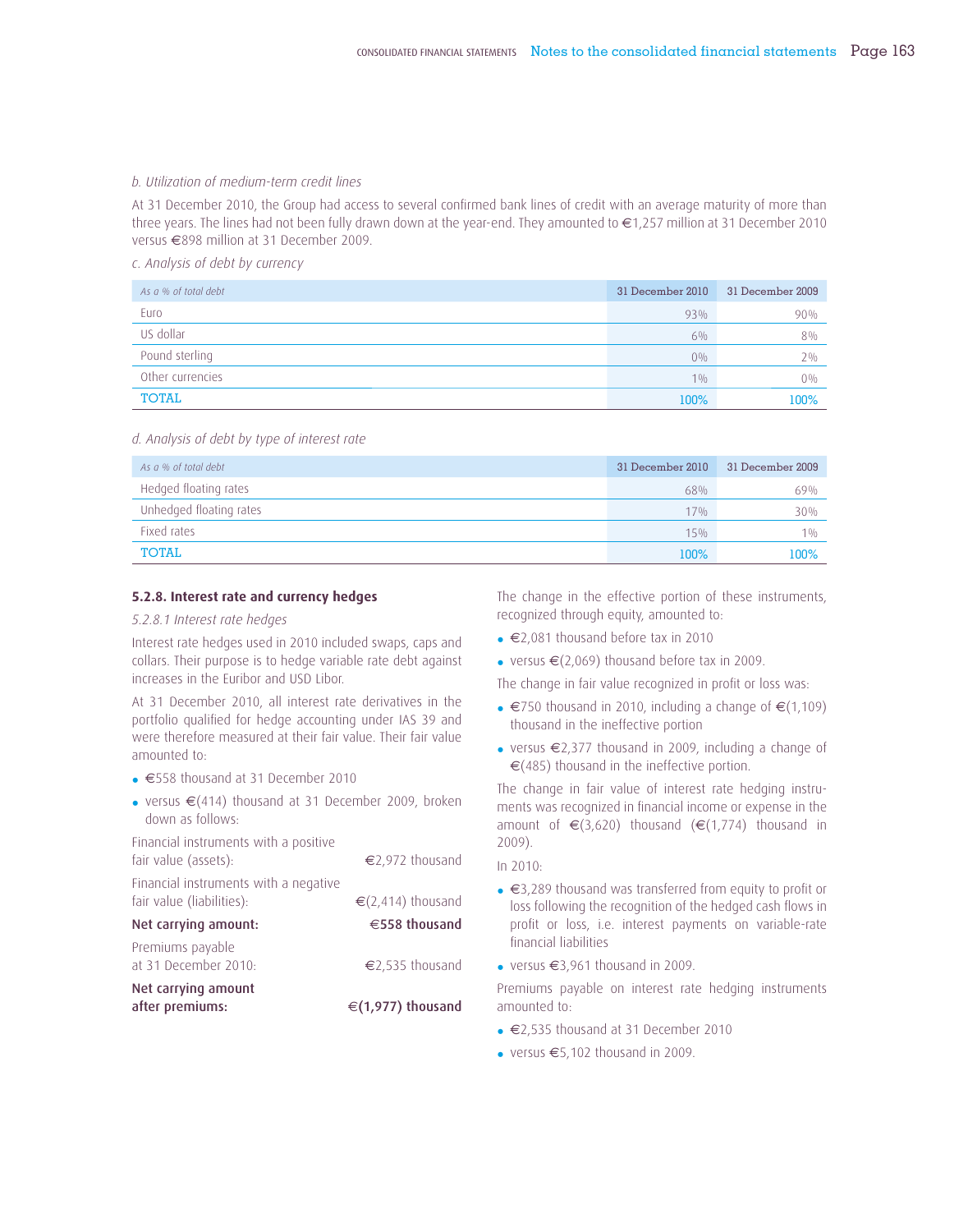### *b. Utilization of medium-term credit lines*

At 31 December 2010, the Group had access to several confirmed bank lines of credit with an average maturity of more than three years. The lines had not been fully drawn down at the year-end. They amounted to €1,257 million at 31 December 2010 versus €898 million at 31 December 2009.

*c. Analysis of debt by currency*

| As a % of total debt | 31 December 2010 | 31 December 2009 |
|----------------------|------------------|------------------|
| Euro                 | 93%              | 90%              |
| US dollar            | $6\%$            | 8%               |
| Pound sterling       | $0\%$            | $2\%$            |
| Other currencies     | 10/0             | $0\%$            |
| <b>TOTAL</b>         | 100%             | 100%             |

#### *d. Analysis of debt by type of interest rate*

| As a % of total debt    | 31 December 2010 | 31 December 2009 |
|-------------------------|------------------|------------------|
| Hedged floating rates   | 68%              | 69%              |
| Unhedged floating rates | 17%              | 30%              |
| Fixed rates             | 15%              | 10/6             |
| TOTAL                   | 100%             | 100%             |

### **5.2.8. Interest rate and currency hedges**

### *5.2.8.1 Interest rate hedges*

Interest rate hedges used in 2010 included swaps, caps and collars. Their purpose is to hedge variable rate debt against increases in the Euribor and USD Libor.

At 31 December 2010, all interest rate derivatives in the portfolio qualified for hedge accounting under IAS 39 and were therefore measured at their fair value. Their fair value amounted to:

- €558 thousand at 31 December 2010
- versus €(414) thousand at 31 December 2009, broken down as follows:

Financial instruments with a positive fair value (assets):  $€2,972$  thousand

| Financial instruments with a negative<br>fair value (liabilities): | € $(2,414)$ thousand |
|--------------------------------------------------------------------|----------------------|
| Net carrying amount:                                               | €558 thousand        |
| Premiums payable<br>at 31 December 2010:                           | €2,535 thousand      |
| Net carrying amount<br>after premiums:                             | €(1,977) thousand    |

The change in the effective portion of these instruments, recognized through equity, amounted to:

- €2,081 thousand before tax in 2010
- versus  $\in$  (2,069) thousand before tax in 2009.

The change in fair value recognized in profit or loss was:

- $€750$  thousand in 2010, including a change of  $€(1,109)$ thousand in the ineffective portion
- versus €2,377 thousand in 2009, including a change of €(485) thousand in the ineffective portion.

The change in fair value of interest rate hedging instruments was recognized in financial income or expense in the amount of  $\epsilon$ (3,620) thousand ( $\epsilon$ (1,774) thousand in 2009).

In 2010:

- €3,289 thousand was transferred from equity to profit or loss following the recognition of the hedged cash flows in profit or loss, i.e. interest payments on variable-rate financial liabilities
- versus  $\in$ 3.961 thousand in 2009.

Premiums payable on interest rate hedging instruments amounted to:

- €2,535 thousand at 31 December 2010
- versus €5,102 thousand in 2009.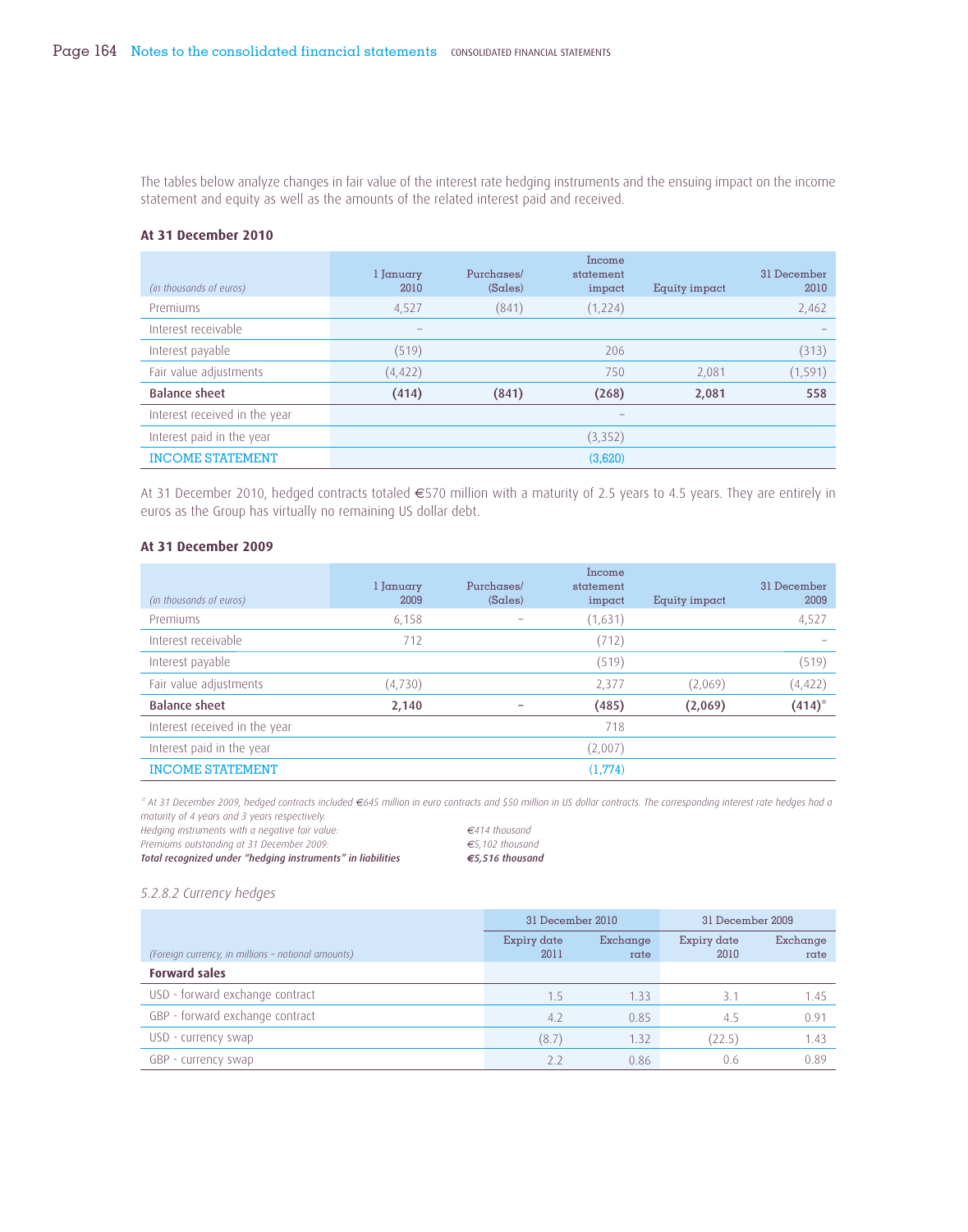The tables below analyze changes in fair value of the interest rate hedging instruments and the ensuing impact on the income statement and equity as well as the amounts of the related interest paid and received.

### **At 31 December 2010**

| (in thousands of euros)       | l January<br>2010 | Purchases/<br>(Sales) | Income<br>statement<br>impact | Equity impact | 31 December<br>2010 |
|-------------------------------|-------------------|-----------------------|-------------------------------|---------------|---------------------|
| Premiums                      | 4,527             | (841)                 | (1,224)                       |               | 2,462               |
| Interest receivable           | -                 |                       |                               |               |                     |
| Interest payable              | (519)             |                       | 206                           |               | (313)               |
| Fair value adjustments        | (4, 422)          |                       | 750                           | 2,081         | (1, 591)            |
| <b>Balance sheet</b>          | (414)             | (841)                 | (268)                         | 2,081         | 558                 |
| Interest received in the year |                   |                       |                               |               |                     |
| Interest paid in the year     |                   |                       | (3,352)                       |               |                     |
| <b>INCOME STATEMENT</b>       |                   |                       | (3,620)                       |               |                     |

At 31 December 2010, hedged contracts totaled €570 million with a maturity of 2.5 years to 4.5 years. They are entirely in euros as the Group has virtually no remaining US dollar debt.

### **At 31 December 2009**

| (in thousands of euros)       | l January<br>2009 | Purchases/<br>(Sales) | Income<br>statement<br>impact | Equity impact | 31 December<br>2009 |
|-------------------------------|-------------------|-----------------------|-------------------------------|---------------|---------------------|
| Premiums                      | 6,158             |                       | (1,631)                       |               | 4,527               |
| Interest receivable           | 712               |                       | (712)                         |               |                     |
| Interest payable              |                   |                       | (519)                         |               | (519)               |
| Fair value adjustments        | (4,730)           |                       | 2,377                         | (2,069)       | (4, 422)            |
| <b>Balance sheet</b>          | 2,140             |                       | (485)                         | (2,069)       | $(414)^{*}$         |
| Interest received in the year |                   |                       | 718                           |               |                     |
| Interest paid in the year     |                   |                       | (2,007)                       |               |                     |
| <b>INCOME STATEMENT</b>       |                   |                       | (1,774)                       |               |                     |

*\* At 31 December 2009, hedged contracts included €645 million in euro contracts and \$50 million in US dollar contracts. The corresponding interest rate hedges had a maturity of 4 years and 3 years respectively.*

*Hedging instruments with a negative fair value: €414 thousand*

*Premiums outstanding at 31 December 2009: €5,102 thousand Total recognized under "hedging instruments" in liabilities €5,516 thousand*

### *5.2.8.2 Currency hedges*

|                                                    | 31 December 2010    |                  | 31 December 2009    |                  |
|----------------------------------------------------|---------------------|------------------|---------------------|------------------|
| (Foreign currency, in millions - notional amounts) | Expiry date<br>2011 | Exchange<br>rate | Expiry date<br>2010 | Exchange<br>rate |
| <b>Forward sales</b>                               |                     |                  |                     |                  |
| USD - forward exchange contract                    | 1.5                 | 1.33             | 3.1                 | 1.45             |
| GBP - forward exchange contract                    | 4.2                 | 0.85             | 4.5                 | 0.91             |
| USD - currency swap                                | (8.7)               | 1.32             | (22.5)              | 1.43             |
| GBP - currency swap                                | 22                  | 0.86             | 0.6                 | 0.89             |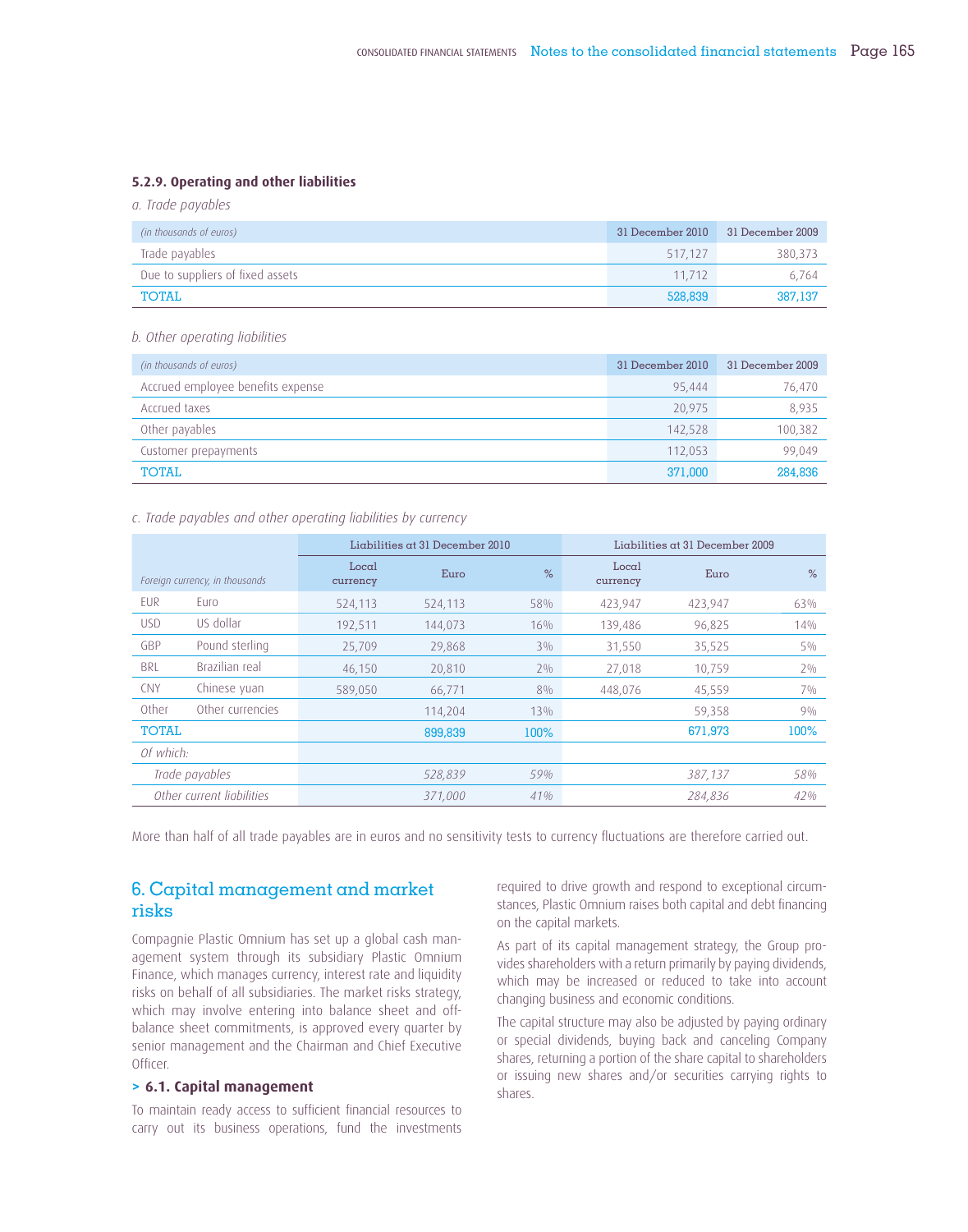### **5.2.9. Operating and other liabilities**

*a. Trade payables*

| (in thousands of euros)          | 31 December 2010 | 31 December 2009 |
|----------------------------------|------------------|------------------|
| Trade payables                   | 517.127          | 380.373          |
| Due to suppliers of fixed assets | 11 712           | 6.764            |
| <b>TOTAL</b>                     | 528,839          | 387,137          |

#### *b. Other operating liabilities*

| (in thousands of euros)           | 31 December 2010 | 31 December 2009 |
|-----------------------------------|------------------|------------------|
| Accrued employee benefits expense | 95.444           | 76,470           |
| Accrued taxes                     | 20,975           | 8,935            |
| Other payables                    | 142,528          | 100,382          |
| Customer prepayments              | 112.053          | 99,049           |
| <b>TOTAL</b>                      | 371,000          | 284,836          |

### *c. Trade payables and other operating liabilities by currency*

|                                |                           | $Liabilities$ at 31 December 2010 |         |       | $Liabilities$ at 31 December 2009 |         |       |
|--------------------------------|---------------------------|-----------------------------------|---------|-------|-----------------------------------|---------|-------|
| Foreign currency, in thousands |                           | Local<br>currency                 | Euro    | $\%$  | Local<br>currency                 | Euro    | $\%$  |
| <b>FUR</b>                     | Euro                      | 524,113                           | 524,113 | 58%   | 423,947                           | 423,947 | 63%   |
| <b>USD</b>                     | US dollar                 | 192,511                           | 144,073 | 16%   | 139,486                           | 96,825  | 14%   |
| GBP                            | Pound sterling            | 25,709                            | 29,868  | $3\%$ | 31,550                            | 35,525  | $5\%$ |
| <b>BRL</b>                     | Brazilian real            | 46,150                            | 20,810  | $2\%$ | 27,018                            | 10,759  | $2\%$ |
| <b>CNY</b>                     | Chinese yuan              | 589,050                           | 66,771  | 8%    | 448,076                           | 45,559  | 70/0  |
| Other                          | Other currencies          |                                   | 114,204 | 13%   |                                   | 59,358  | 90/0  |
| <b>TOTAL</b>                   |                           |                                   | 899,839 | 100%  |                                   | 671,973 | 100%  |
| Of which:                      |                           |                                   |         |       |                                   |         |       |
|                                | Trade payables            |                                   | 528,839 | 59%   |                                   | 387,137 | 58%   |
|                                | Other current liabilities |                                   | 371,000 | 41%   |                                   | 284,836 | 42%   |

More than half of all trade payables are in euros and no sensitivity tests to currency fluctuations are therefore carried out.

# 6. Capital management and market risks

Compagnie Plastic Omnium has set up a global cash management system through its subsidiary Plastic Omnium Finance, which manages currency, interest rate and liquidity risks on behalf of all subsidiaries. The market risks strategy, which may involve entering into balance sheet and offbalance sheet commitments, is approved every quarter by senior management and the Chairman and Chief Executive Officer.

### **> 6.1. Capital management**

To maintain ready access to sufficient financial resources to carry out its business operations, fund the investments required to drive growth and respond to exceptional circumstances, Plastic Omnium raises both capital and debt financing on the capital markets.

As part of its capital management strategy, the Group provides shareholders with a return primarily by paying dividends, which may be increased or reduced to take into account changing business and economic conditions.

The capital structure may also be adjusted by paying ordinary or special dividends, buying back and canceling Company shares, returning a portion of the share capital to shareholders or issuing new shares and/or securities carrying rights to shares.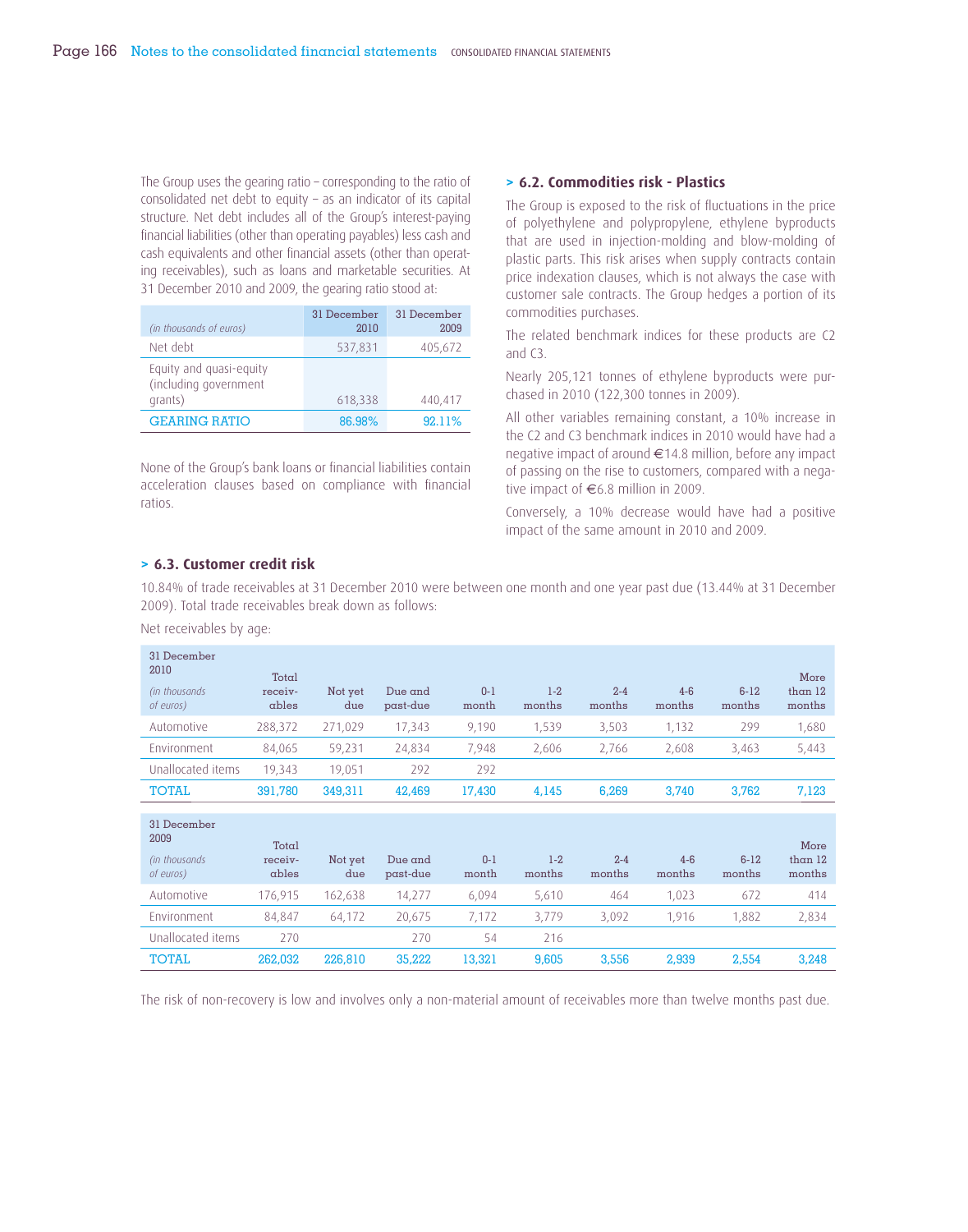The Group uses the gearing ratio – corresponding to the ratio of consolidated net debt to equity – as an indicator of its capital structure. Net debt includes all of the Group's interest-paying financial liabilities (other than operating payables) less cash and cash equivalents and other financial assets (other than operating receivables), such as loans and marketable securities. At 31 December 2010 and 2009, the gearing ratio stood at:

| (in thousands of euros)                                     | 31 December<br>2010 | 31 December<br>2009 |
|-------------------------------------------------------------|---------------------|---------------------|
| Net debt                                                    | 537,831             | 405,672             |
| Equity and quasi-equity<br>(including government<br>grants) | 618,338             | 440,417             |
| <b>GEARING RATIO</b>                                        | 86.98%              | 92.11%              |

None of the Group's bank loans or financial liabilities contain acceleration clauses based on compliance with financial ratios.

### **> 6.2. Commodities risk - Plastics**

The Group is exposed to the risk of fluctuations in the price of polyethylene and polypropylene, ethylene byproducts that are used in injection-molding and blow-molding of plastic parts. This risk arises when supply contracts contain price indexation clauses, which is not always the case with customer sale contracts. The Group hedges a portion of its commodities purchases.

The related benchmark indices for these products are C2 and C3.

Nearly 205,121 tonnes of ethylene byproducts were purchased in 2010 (122,300 tonnes in 2009).

All other variables remaining constant, a 10% increase in the C2 and C3 benchmark indices in 2010 would have had a negative impact of around €14.8 million, before any impact of passing on the rise to customers, compared with a negative impact of €6.8 million in 2009.

Conversely, a 10% decrease would have had a positive impact of the same amount in 2010 and 2009.

# **> 6.3. Customer credit risk**

10.84% of trade receivables at 31 December 2010 were between one month and one year past due (13.44% at 31 December 2009). Total trade receivables break down as follows:

Net receivables by age:

| 31 December<br>2010<br>(in thousands)<br>of euros) | Total<br>receiv-<br>ables | Not yet<br>due | Due $and$<br>past-due | $0 - 1$<br>month | $1-2$<br>months   | $2 - 4$<br>months | $4-6$<br>months | $6 - 12$<br>months | More<br>than $12$<br>months |
|----------------------------------------------------|---------------------------|----------------|-----------------------|------------------|-------------------|-------------------|-----------------|--------------------|-----------------------------|
| Automotive                                         | 288,372                   | 271,029        | 17,343                | 9,190            | 1,539             | 3,503             | 1,132           | 299                | 1,680                       |
| Environment                                        | 84,065                    | 59,231         | 24,834                | 7,948            | 2,606             | 2,766             | 2,608           | 3,463              | 5,443                       |
| Unallocated items                                  | 19,343                    | 19,051         | 292                   | 292              |                   |                   |                 |                    |                             |
| <b>TOTAL</b>                                       | 391,780                   | 349,311        | 42,469                | 17,430           | 4,145             | 6,269             | 3,740           | 3,762              | 7,123                       |
| 31 December<br>2009<br>(in thousands)<br>of euros) | Total<br>receiv-<br>ables | Not yet<br>due | Due and<br>past-due   | $0 - 1$<br>month | $1 - 2$<br>months | $2 - 4$<br>months | $4-6$<br>months | $6-12$<br>months   | More<br>than $12$<br>months |
| Automotive                                         | 176,915                   | 162,638        | 14,277                | 6,094            | 5,610             | 464               | 1,023           | 672                | 414                         |
| Environment                                        | 84,847                    | 64,172         | 20,675                | 7,172            | 3,779             | 3,092             | 1,916           | 1,882              | 2,834                       |
| Unallocated items                                  | 270                       |                | 270                   | 54               | 216               |                   |                 |                    |                             |
| <b>TOTAL</b>                                       | 262,032                   | 226,810        | 35,222                | 13,321           | 9,605             | 3,556             | 2,939           | 2,554              | 3,248                       |

The risk of non-recovery is low and involves only a non-material amount of receivables more than twelve months past due.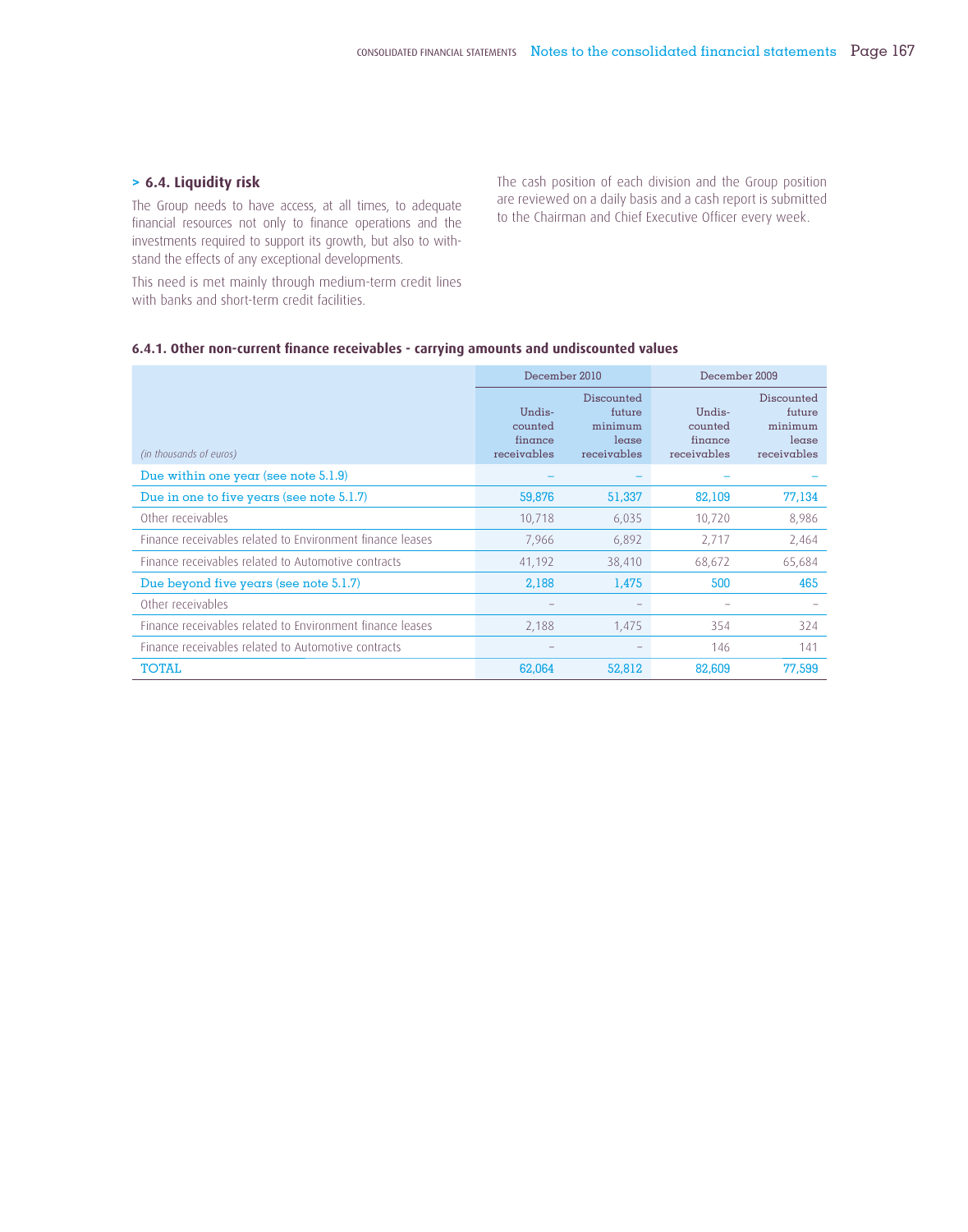## **> 6.4. Liquidity risk**

The Group needs to have access, at all times, to adequate financial resources not only to finance operations and the investments required to support its growth, but also to withstand the effects of any exceptional developments.

This need is met mainly through medium-term credit lines with banks and short-term credit facilities.

The cash position of each division and the Group position are reviewed on a daily basis and a cash report is submitted to the Chairman and Chief Executive Officer every week.

## 6.4.1. Other non-current finance receivables - carrying amounts and undiscounted values

|                                                           | December 2010                               |                                                         | December 2009                               |                                                         |  |
|-----------------------------------------------------------|---------------------------------------------|---------------------------------------------------------|---------------------------------------------|---------------------------------------------------------|--|
| (in thousands of euros)                                   | Undis-<br>counted<br>finance<br>receivables | Discounted<br>future<br>minimum<br>lease<br>receivables | Undis-<br>counted<br>finance<br>receivables | Discounted<br>future<br>minimum<br>lease<br>receivables |  |
| Due within one year (see note $5.1.9$ )                   |                                             |                                                         |                                             |                                                         |  |
| Due in one to five years (see note $5.1.7$ )              | 59,876                                      | 51,337                                                  | 82,109                                      | 77,134                                                  |  |
| Other receivables                                         | 10,718                                      | 6,035                                                   | 10,720                                      | 8,986                                                   |  |
| Finance receivables related to Environment finance leases | 7,966                                       | 6,892                                                   | 2,717                                       | 2,464                                                   |  |
| Finance receivables related to Automotive contracts       | 41,192                                      | 38,410                                                  | 68,672                                      | 65,684                                                  |  |
| Due beyond five years (see note 5.1.7)                    | 2,188                                       | 1,475                                                   | 500                                         | 465                                                     |  |
| Other receivables                                         |                                             |                                                         |                                             |                                                         |  |
| Finance receivables related to Environment finance leases | 2,188                                       | 1,475                                                   | 354                                         | 324                                                     |  |
| Finance receivables related to Automotive contracts       |                                             |                                                         | 146                                         | 141                                                     |  |
| TOTAL                                                     | 62,064                                      | 52,812                                                  | 82,609                                      | 77,599                                                  |  |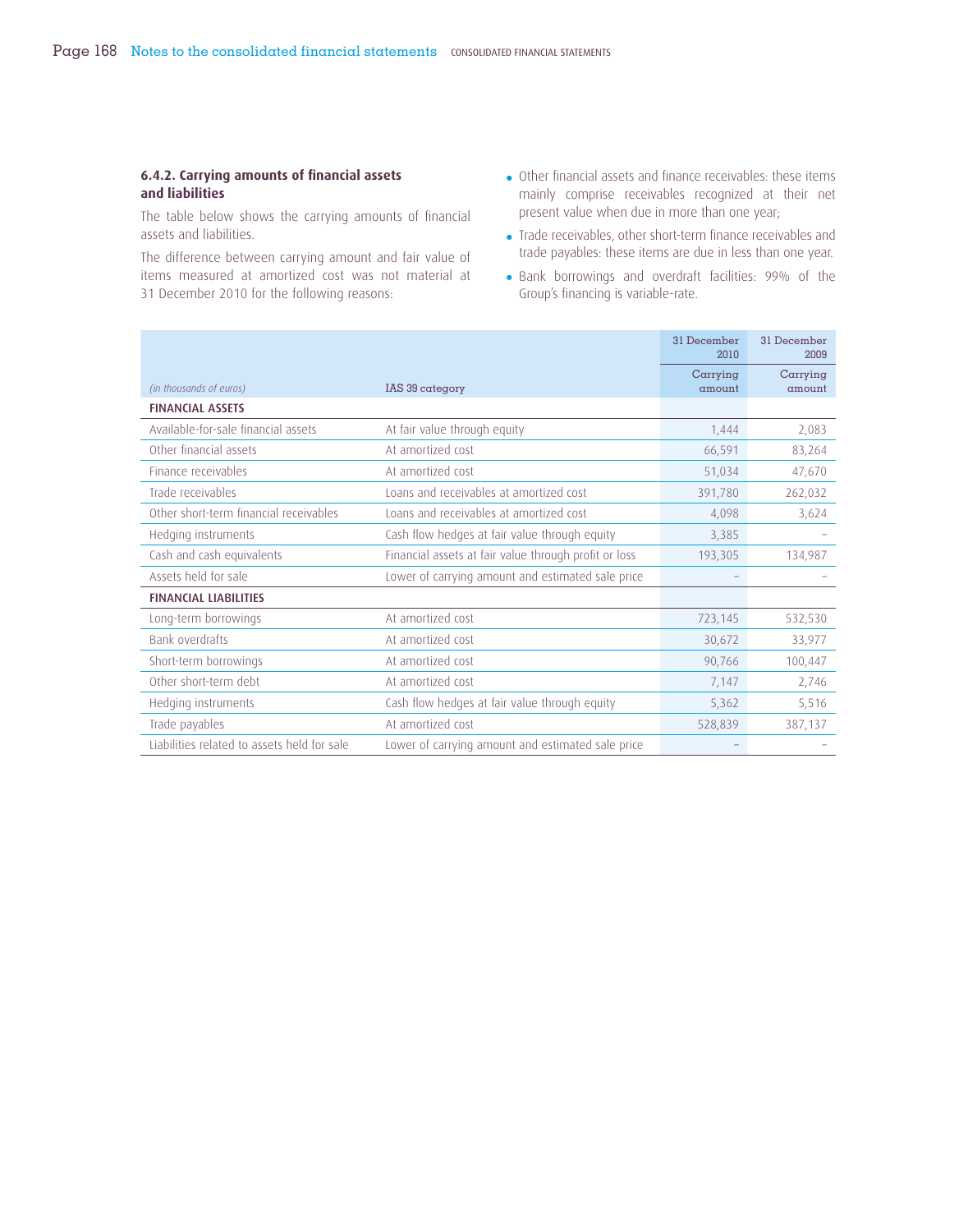## **6.4.2. Carrying amounts of financial assets and liabilities**

The table below shows the carrying amounts of financial assets and liabilities.

The difference between carrying amount and fair value of items measured at amortized cost was not material at 31 December 2010 for the following reasons:

- Other financial assets and finance receivables: these items mainly comprise receivables recognized at their net present value when due in more than one year;
- Trade receivables, other short-term finance receivables and trade payables: these items are due in less than one year.
- Bank borrowings and overdraft facilities: 99% of the Group's financing is variable-rate.

|                                             |                                                       | 31 December<br>2010 | 31 December<br>2009 |
|---------------------------------------------|-------------------------------------------------------|---------------------|---------------------|
| (in thousands of euros)                     | IAS 39 category                                       | Carrying<br>amount  | Carrying<br>amount  |
| <b>FINANCIAL ASSETS</b>                     |                                                       |                     |                     |
| Available-for-sale financial assets         | At fair value through equity                          | 1,444               | 2,083               |
| Other financial assets                      | At amortized cost                                     | 66,591              | 83,264              |
| Finance receivables                         | At amortized cost                                     | 51,034              | 47,670              |
| Trade receivables                           | Loans and receivables at amortized cost               | 391,780             | 262,032             |
| Other short-term financial receivables      | Loans and receivables at amortized cost               | 4,098               | 3,624               |
| Hedging instruments                         | Cash flow hedges at fair value through equity         | 3,385               |                     |
| Cash and cash equivalents                   | Financial assets at fair value through profit or loss | 193,305             | 134,987             |
| Assets held for sale                        | Lower of carrying amount and estimated sale price     |                     |                     |
| <b>FINANCIAL LIABILITIES</b>                |                                                       |                     |                     |
| Long-term borrowings                        | At amortized cost                                     | 723,145             | 532,530             |
| <b>Bank overdrafts</b>                      | At amortized cost                                     | 30,672              | 33,977              |
| Short-term borrowings                       | At amortized cost                                     | 90,766              | 100,447             |
| Other short-term debt                       | At amortized cost                                     | 7,147               | 2,746               |
| Hedging instruments                         | Cash flow hedges at fair value through equity         | 5,362               | 5,516               |
| Trade payables                              | At amortized cost                                     | 528,839             | 387,137             |
| Liabilities related to assets held for sale | Lower of carrying amount and estimated sale price     |                     |                     |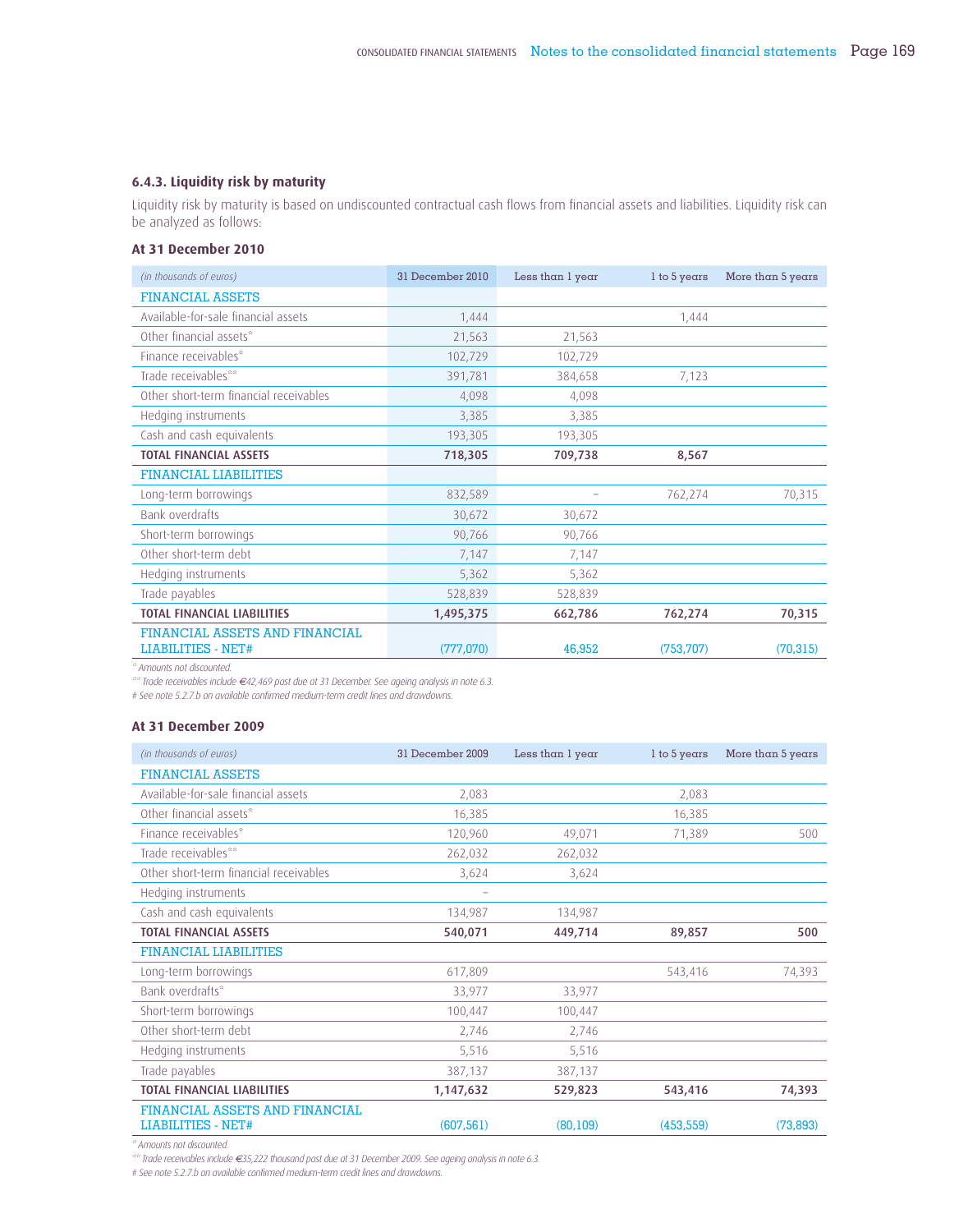#### **6.4.3. Liquidity risk by maturity**

Liquidity risk by maturity is based on undiscounted contractual cash flows from financial assets and liabilities. Liquidity risk can be analyzed as follows:

#### **At 31 December 2010**

| (in thousands of euros)                | 31 December 2010 | Less than 1 year | $l$ to 5 years | More than 5 years |
|----------------------------------------|------------------|------------------|----------------|-------------------|
| <b>FINANCIAL ASSETS</b>                |                  |                  |                |                   |
| Available-for-sale financial assets    | 1,444            |                  | 1,444          |                   |
| Other financial assets*                | 21,563           | 21,563           |                |                   |
| Finance receivables*                   | 102,729          | 102,729          |                |                   |
| Trade receivables**                    | 391,781          | 384,658          | 7,123          |                   |
| Other short-term financial receivables | 4,098            | 4,098            |                |                   |
| Hedging instruments                    | 3,385            | 3,385            |                |                   |
| Cash and cash equivalents              | 193,305          | 193,305          |                |                   |
| <b>TOTAL FINANCIAL ASSETS</b>          | 718,305          | 709,738          | 8,567          |                   |
| <b>FINANCIAL LIABILITIES</b>           |                  |                  |                |                   |
| Long-term borrowings                   | 832,589          |                  | 762,274        | 70,315            |
| Bank overdrafts                        | 30,672           | 30,672           |                |                   |
| Short-term borrowings                  | 90,766           | 90,766           |                |                   |
| Other short-term debt                  | 7,147            | 7,147            |                |                   |
| Hedging instruments                    | 5,362            | 5,362            |                |                   |
| Trade payables                         | 528,839          | 528,839          |                |                   |
| <b>TOTAL FINANCIAL LIABILITIES</b>     | 1,495,375        | 662,786          | 762,274        | 70,315            |
| FINANCIAL ASSETS AND FINANCIAL         |                  |                  |                |                   |
| <b>LIABILITIES - NET#</b>              | (777,070)        | 46,952           | (753, 707)     | (70, 315)         |

*\* Amounts not discounted.*

*\*\* Trade receivables include €42,469 past due at 31 December. See ageing analysis in note 6.3.*

*# See note 5.2.7.b on available confirmed medium-term credit lines and drawdowns.*

#### **At 31 December 2009**

| (in thousands of euros)                                     | 31 December 2009 | Less than 1 year | $l$ to 5 years | More than 5 years |
|-------------------------------------------------------------|------------------|------------------|----------------|-------------------|
| <b>FINANCIAL ASSETS</b>                                     |                  |                  |                |                   |
| Available-for-sale financial assets                         | 2,083            |                  | 2,083          |                   |
| Other financial assets*                                     | 16,385           |                  | 16,385         |                   |
| Finance receivables*                                        | 120,960          | 49,071           | 71,389         | 500               |
| Trade receivables**                                         | 262,032          | 262,032          |                |                   |
| Other short-term financial receivables                      | 3,624            | 3,624            |                |                   |
| Hedging instruments                                         |                  |                  |                |                   |
| Cash and cash equivalents                                   | 134,987          | 134,987          |                |                   |
| <b>TOTAL FINANCIAL ASSETS</b>                               | 540,071          | 449,714          | 89,857         | 500               |
| <b>FINANCIAL LIABILITIES</b>                                |                  |                  |                |                   |
| Long-term borrowings                                        | 617,809          |                  | 543,416        | 74,393            |
| Bank overdrafts*                                            | 33,977           | 33,977           |                |                   |
| Short-term borrowings                                       | 100,447          | 100,447          |                |                   |
| Other short-term debt                                       | 2,746            | 2,746            |                |                   |
| Hedging instruments                                         | 5,516            | 5,516            |                |                   |
| Trade payables                                              | 387,137          | 387,137          |                |                   |
| <b>TOTAL FINANCIAL LIABILITIES</b>                          | 1,147,632        | 529,823          | 543,416        | 74,393            |
| FINANCIAL ASSETS AND FINANCIAL<br><b>LIABILITIES - NET#</b> | (607, 561)       | (80, 109)        | (453, 559)     | (73, 893)         |

*\* Amounts not discounted.*

*\*\* Trade receivables include €35,222 thousand past due at 31 December 2009. See ageing analysis in note 6.3.*

*# See note 5.2.7.b on available confirmed medium-term credit lines and drawdowns.*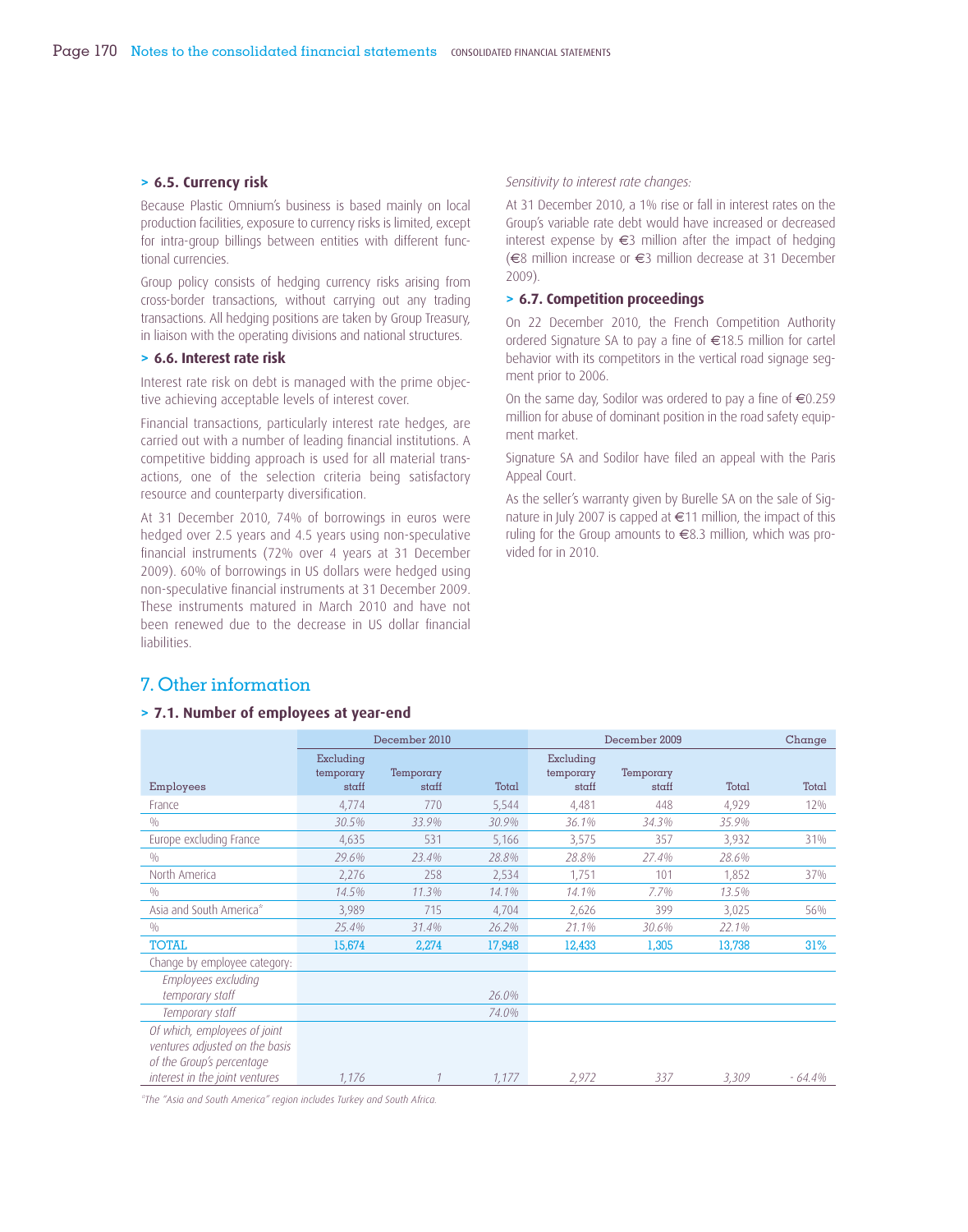#### **> 6.5. Currency risk**

Because Plastic Omnium's business is based mainly on local production facilities, exposure to currency risks is limited, except for intra-group billings between entities with different functional currencies.

Group policy consists of hedging currency risks arising from cross-border transactions, without carrying out any trading transactions. All hedging positions are taken by Group Treasury, in liaison with the operating divisions and national structures.

#### **> 6.6. Interest rate risk**

Interest rate risk on debt is managed with the prime objective achieving acceptable levels of interest cover.

Financial transactions, particularly interest rate hedges, are carried out with a number of leading financial institutions. A competitive bidding approach is used for all material transactions, one of the selection criteria being satisfactory resource and counterparty diversification.

At 31 December 2010, 74% of borrowings in euros were hedged over 2.5 years and 4.5 years using non-speculative financial instruments (72% over 4 years at 31 December 2009). 60% of borrowings in US dollars were hedged using non-speculative financial instruments at 31 December 2009. These instruments matured in March 2010 and have not been renewed due to the decrease in US dollar financial liabilities.

#### *Sensitivity to interest rate changes:*

At 31 December 2010, a 1% rise or fall in interest rates on the Group's variable rate debt would have increased or decreased interest expense by  $\epsilon$ 3 million after the impact of hedging (€8 million increase or €3 million decrease at 31 December 2009).

#### **> 6.7. Competition proceedings**

On 22 December 2010, the French Competition Authority ordered Signature SA to pay a fine of  $\in$ 18.5 million for cartel behavior with its competitors in the vertical road signage segment prior to 2006.

On the same day, Sodilor was ordered to pay a fine of  $\epsilon$ 0.259 million for abuse of dominant position in the road safety equipment market.

Signature SA and Sodilor have filed an appeal with the Paris Appeal Court.

As the seller's warranty given by Burelle SA on the sale of Signature in July 2007 is capped at €11 million, the impact of this ruling for the Group amounts to €8.3 million, which was provided for in 2010.

#### 7. Other information

#### **> 7.1. Number of employees at year-end**

|                                                                                             | December 2010                   |                    |        | December 2009                   | Change             |        |           |
|---------------------------------------------------------------------------------------------|---------------------------------|--------------------|--------|---------------------------------|--------------------|--------|-----------|
| Employees                                                                                   | Excluding<br>temporary<br>staff | Temporary<br>staff | Total  | Excluding<br>temporary<br>staff | Temporary<br>staff | Total  | Total     |
| France                                                                                      | 4,774                           | 770                | 5,544  | 4,481                           | 448                | 4,929  | $12\%$    |
| 0/0                                                                                         | 30.5%                           | 33.9%              | 30.9%  | 36.1%                           | 34.3%              | 35.9%  |           |
| Europe excluding France                                                                     | 4,635                           | 531                | 5,166  | 3,575                           | 357                | 3,932  | 31%       |
| 0/0                                                                                         | 29.6%                           | 23.4%              | 28.8%  | 28.8%                           | 27.4%              | 28.6%  |           |
| North America                                                                               | 2,276                           | 258                | 2,534  | 1,751                           | 101                | 1,852  | 37%       |
| 0/0                                                                                         | 14.5%                           | 11.3%              | 14.1%  | 14.1%                           | 7.7%               | 13.5%  |           |
| Asia and South America*                                                                     | 3,989                           | 715                | 4,704  | 2,626                           | 399                | 3,025  | 56%       |
| 0/0                                                                                         | 25.4%                           | 31.4%              | 26.2%  | 21.1%                           | 30.6%              | 22.1%  |           |
| <b>TOTAL</b>                                                                                | 15,674                          | 2,274              | 17,948 | 12,433                          | 1,305              | 13,738 | 31%       |
| Change by employee category:                                                                |                                 |                    |        |                                 |                    |        |           |
| Employees excluding<br>temporary staff                                                      |                                 |                    | 26.0%  |                                 |                    |        |           |
| Temporary staff                                                                             |                                 |                    | 74.0%  |                                 |                    |        |           |
| Of which, employees of joint<br>ventures adjusted on the basis<br>of the Group's percentage |                                 |                    |        |                                 |                    |        |           |
| interest in the joint ventures                                                              | 1,176                           |                    | 1,177  | 2,972                           | 337                | 3,309  | $-64.4\%$ |

*\*The "Asia and South America" region includes Turkey and South Africa.*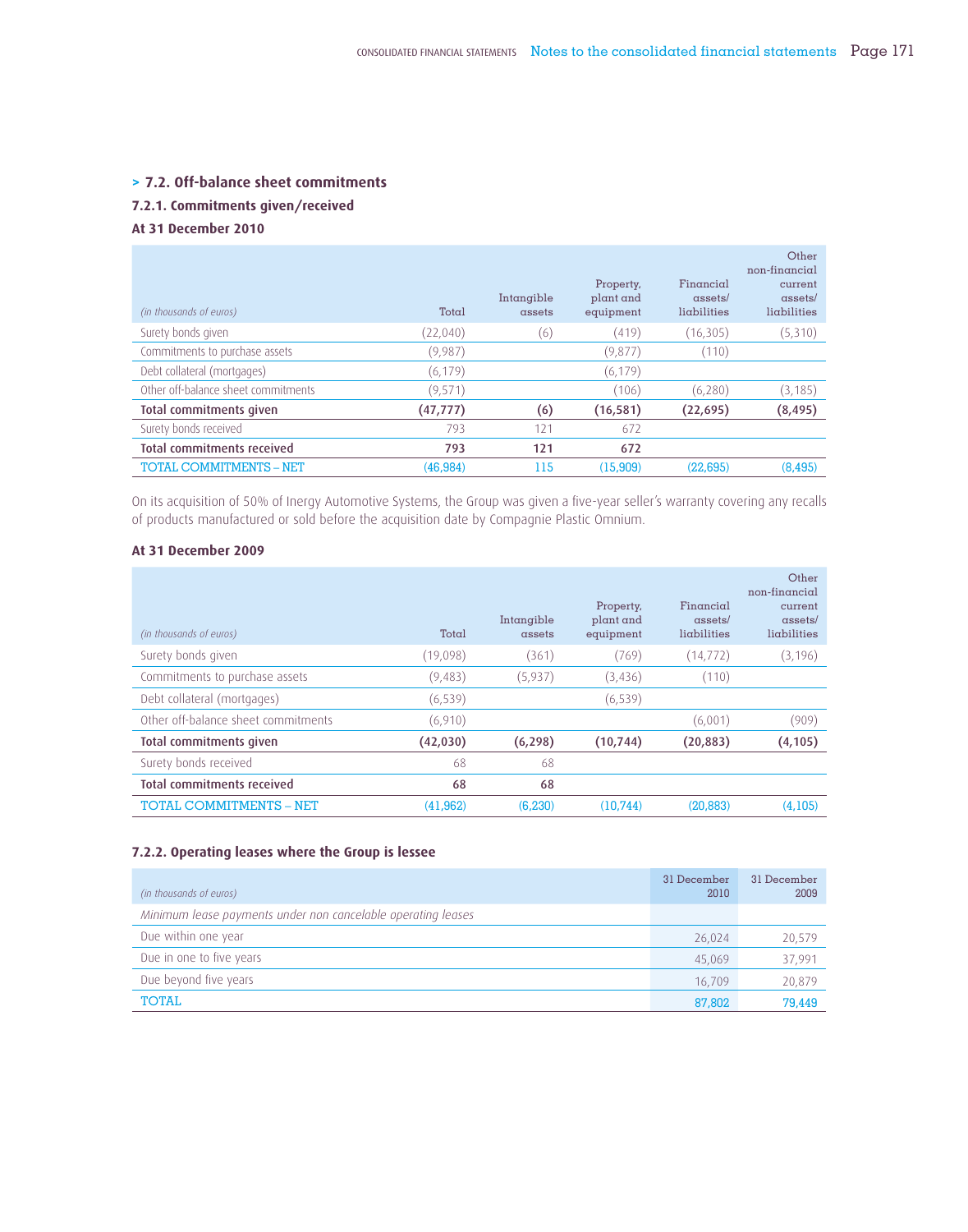#### **> 7.2. Off-balance sheet commitments**

#### **7.2.1. Commitments given/received**

#### **At 31 December 2010**

| (in thousands of euros)             | Total     | Intangible<br>assets | Property,<br>plant and<br>equipment | Financial<br>assets/<br>ligbilities | Other<br>non-financial<br>current<br>assets/<br>ligbilities |
|-------------------------------------|-----------|----------------------|-------------------------------------|-------------------------------------|-------------------------------------------------------------|
| Surety bonds given                  | (22,040)  | (6)                  | (419)                               | (16, 305)                           | (5,310)                                                     |
| Commitments to purchase assets      | (9,987)   |                      | (9,877)                             | (110)                               |                                                             |
| Debt collateral (mortgages)         | (6, 179)  |                      | (6, 179)                            |                                     |                                                             |
| Other off-balance sheet commitments | (9,571)   |                      | (106)                               | (6,280)                             | (3, 185)                                                    |
| Total commitments given             | (47, 777) | (6)                  | (16, 581)                           | (22,695)                            | (8, 495)                                                    |
| Surety bonds received               | 793       | 121                  | 672                                 |                                     |                                                             |
| Total commitments received          | 793       | 121                  | 672                                 |                                     |                                                             |
| <b>TOTAL COMMITMENTS - NET</b>      | (46, 984) | 115                  | (15,909)                            | (22.695)                            | (8.495)                                                     |

On its acquisition of 50% of Inergy Automotive Systems, the Group was given a five-year seller's warranty covering any recalls of products manufactured or sold before the acquisition date by Compagnie Plastic Omnium.

#### **At 31 December 2009**

| (in thousands of euros)             | Total     | Intangible<br>assets | Property,<br>plant and<br>equipment | Financial<br>assets/<br>ligbilities | Other<br>non-financial<br>current<br>$assets/$<br>lighilities |
|-------------------------------------|-----------|----------------------|-------------------------------------|-------------------------------------|---------------------------------------------------------------|
| Surety bonds given                  | (19,098)  | (361)                | (769)                               | (14, 772)                           | (3, 196)                                                      |
| Commitments to purchase assets      | (9,483)   | (5,937)              | (3,436)                             | (110)                               |                                                               |
| Debt collateral (mortgages)         | (6, 539)  |                      | (6, 539)                            |                                     |                                                               |
| Other off-balance sheet commitments | (6,910)   |                      |                                     | (6,001)                             | (909)                                                         |
| Total commitments given             | (42,030)  | (6, 298)             | (10, 744)                           | (20, 883)                           | (4, 105)                                                      |
| Surety bonds received               | 68        | 68                   |                                     |                                     |                                                               |
| Total commitments received          | 68        | 68                   |                                     |                                     |                                                               |
| <b>TOTAL COMMITMENTS - NET</b>      | (41, 962) | (6.230)              | (10.744)                            | (20, 883)                           | (4,105)                                                       |

#### **7.2.2. Operating leases where the Group is lessee**

| (in thousands of euros)                                      | 31 December<br>2010 | 31 December<br>2009 |
|--------------------------------------------------------------|---------------------|---------------------|
| Minimum lease payments under non cancelable operating leases |                     |                     |
| Due within one year                                          | 26,024              | 20,579              |
| Due in one to five years                                     | 45.069              | 37,991              |
| Due beyond five years                                        | 16.709              | 20,879              |
| <b>TOTAL</b>                                                 | 87,802              | 79,449              |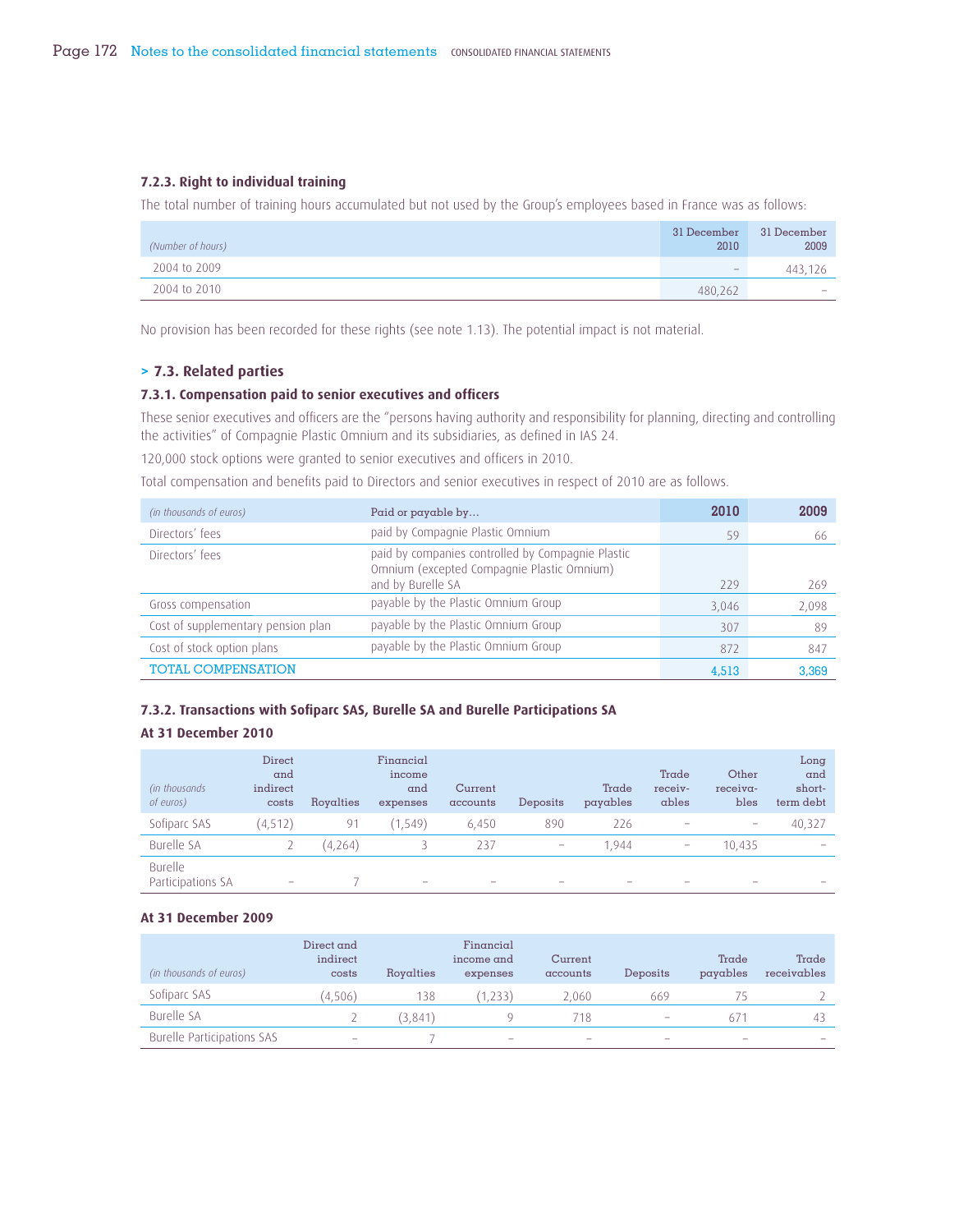#### **7.2.3. Right to individual training**

The total number of training hours accumulated but not used by the Group's employees based in France was as follows:

| (Number of hours) | 31 December<br>2010      | 31 December<br>2009      |
|-------------------|--------------------------|--------------------------|
| 2004 to 2009      | $\overline{\phantom{a}}$ | 443.126                  |
| 2004 to 2010      | 480.262                  | $\overline{\phantom{a}}$ |

No provision has been recorded for these rights (see note 1.13). The potential impact is not material.

#### **> 7.3. Related parties**

#### **7.3.1. Compensation paid to senior executives and officers**

These senior executives and officers are the "persons having authority and responsibility for planning, directing and controlling the activities" of Compagnie Plastic Omnium and its subsidiaries, as defined in IAS 24.

120,000 stock options were granted to senior executives and officers in 2010.

Total compensation and benefits paid to Directors and senior executives in respect of 2010 are as follows.

| (in thousands of euros)            | Paid or payable by                                                                              | 2010  | 2009  |
|------------------------------------|-------------------------------------------------------------------------------------------------|-------|-------|
| Directors' fees                    | paid by Compagnie Plastic Omnium                                                                | 59    | 66    |
| Directors' fees                    | paid by companies controlled by Compagnie Plastic<br>Omnium (excepted Compagnie Plastic Omnium) |       |       |
|                                    | and by Burelle SA                                                                               | 229   | 269   |
| Gross compensation                 | payable by the Plastic Omnium Group                                                             | 3,046 | 2,098 |
| Cost of supplementary pension plan | payable by the Plastic Omnium Group                                                             | 307   | 89    |
| Cost of stock option plans         | payable by the Plastic Omnium Group                                                             | 872   | 847   |
| <b>TOTAL COMPENSATION</b>          |                                                                                                 | 4.513 | 3,369 |

#### **7.3.2. Transactions with Sofiparc SAS, Burelle SA and Burelle Participations SA**

#### **At 31 December 2010**

| (in thousands)<br>of euros)  | <b>Direct</b><br>and<br>indirect<br>costs | Royalties | Financial<br>income<br>and<br>expenses | Current<br>accounts      | Deposits                 | Trade<br>payables | Trade<br>receiv-<br>ables | Other<br>receiva-<br>bles                                                 | Long<br>and<br>short-<br>term debt |
|------------------------------|-------------------------------------------|-----------|----------------------------------------|--------------------------|--------------------------|-------------------|---------------------------|---------------------------------------------------------------------------|------------------------------------|
| Sofiparc SAS                 | (4,512)                                   | 91        | (1, 549)                               | 6,450                    | 890                      | 226               | ۰                         | $\hspace{1.0cm} \rule{1.5cm}{0.15cm} \hspace{1.0cm} \rule{1.5cm}{0.15cm}$ | 40,327                             |
| <b>Burelle SA</b>            |                                           | (4,264)   |                                        | 237                      | $\overline{\phantom{a}}$ | 1.944             | $\overline{\phantom{a}}$  | 10.435                                                                    |                                    |
| Burelle<br>Participations SA | -                                         |           | -                                      | $\overline{\phantom{a}}$ | $\overline{\phantom{a}}$ |                   |                           |                                                                           |                                    |

#### **At 31 December 2009**

| (in thousands of euros)           | Direct and<br>indirect<br>costs | Rovalties | Financial<br>income and<br>expenses | Current<br>accounts      | Deposits                 | Trade<br>payables | Trade<br>receivables |
|-----------------------------------|---------------------------------|-----------|-------------------------------------|--------------------------|--------------------------|-------------------|----------------------|
| Sofiparc SAS                      | (4.506)                         | 138       | 1.233)                              | 2.060                    | 669                      |                   |                      |
| Burelle SA                        |                                 | (3.841)   |                                     | 718                      | $\overline{\phantom{a}}$ | 671               | $-4.3$               |
| <b>Burelle Participations SAS</b> | $\overline{\phantom{a}}$        |           | $\overline{\phantom{a}}$            | $\overline{\phantom{a}}$ | $\overline{\phantom{a}}$ |                   |                      |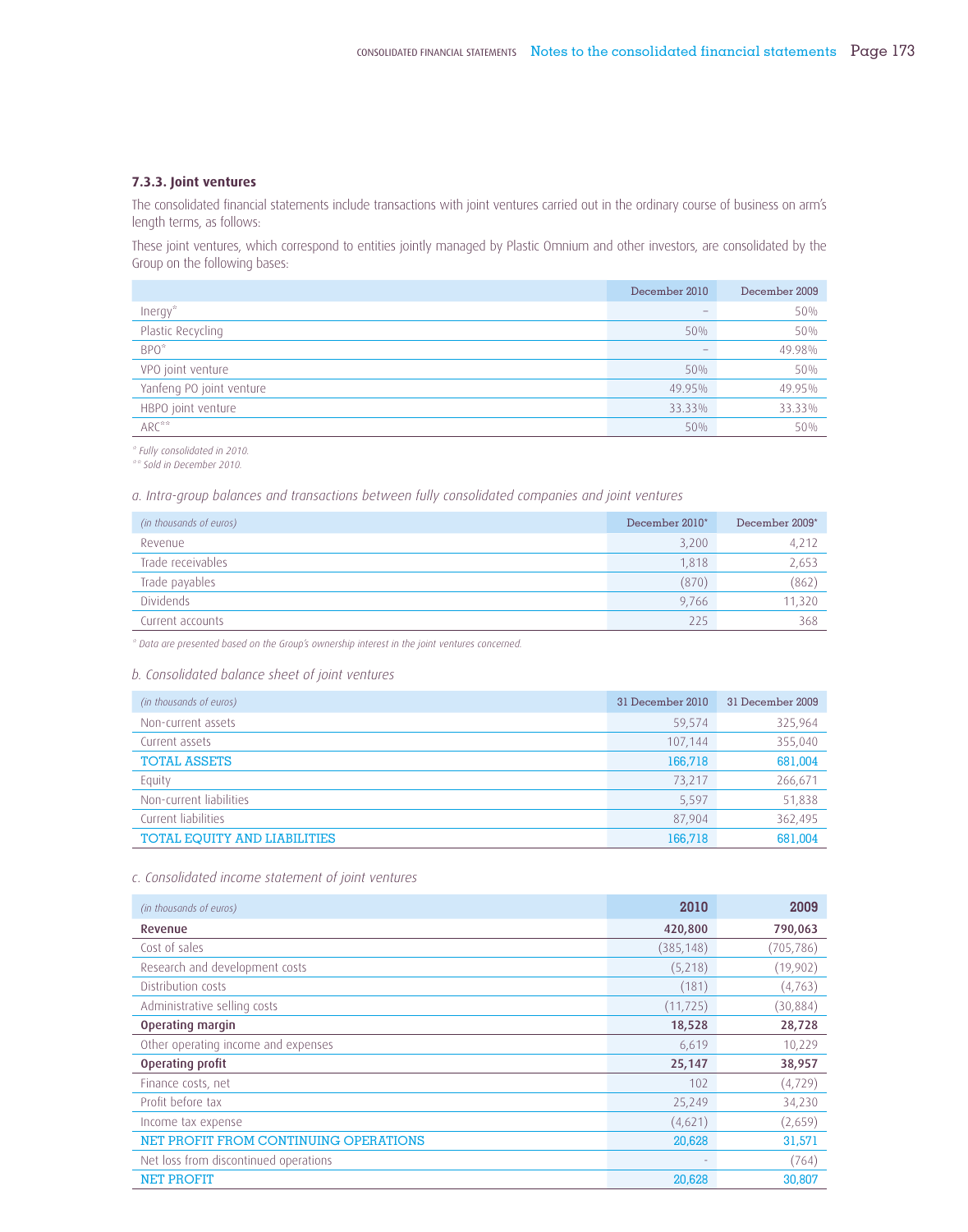#### **7.3.3. Joint ventures**

The consolidated financial statements include transactions with joint ventures carried out in the ordinary course of business on arm's length terms, as follows:

These joint ventures, which correspond to entities jointly managed by Plastic Omnium and other investors, are consolidated by the Group on the following bases:

|                          | December 2010 | December 2009 |
|--------------------------|---------------|---------------|
| $Inergy*$                |               | 50%           |
| Plastic Recycling        | 50%           | 50%           |
| $BPO*$                   |               | 49.98%        |
| VPO joint venture        | 50%           | 50%           |
| Yanfeng PO joint venture | 49.95%        | 49.95%        |
| HBPO joint venture       | 33.33%        | 33.33%        |
| $ARC***$                 | 50%           | 50%           |

*\* Fully consolidated in 2010.*

*\*\* Sold in December 2010.*

*a. Intra-group balances and transactions between fully consolidated companies and joint ventures* 

| (in thousands of euros) | December 2010* | December 2009* |
|-------------------------|----------------|----------------|
| Revenue                 | 3,200          | 4,212          |
| Trade receivables       | 1.818          | 2,653          |
| Trade payables          | (870)          | (862)          |
| Dividends               | 9.766          | 11.320         |
| Current accounts        | 225            | 368            |

*\* Data are presented based on the Group's ownership interest in the joint ventures concerned.*

#### *b. Consolidated balance sheet of joint ventures*

| (in thousands of euros)             | 31 December 2010 | 31 December 2009 |
|-------------------------------------|------------------|------------------|
| Non-current assets                  | 59,574           | 325,964          |
| Current assets                      | 107,144          | 355,040          |
| <b>TOTAL ASSETS</b>                 | 166,718          | 681,004          |
| Equity                              | 73,217           | 266,671          |
| Non-current liabilities             | 5,597            | 51,838           |
| Current liabilities                 | 87.904           | 362,495          |
| <b>TOTAL EQUITY AND LIABILITIES</b> | 166,718          | 681.004          |

#### *c. Consolidated income statement of joint ventures*

| (in thousands of euros)               | 2010       | 2009       |
|---------------------------------------|------------|------------|
| Revenue                               | 420,800    | 790,063    |
| Cost of sales                         | (385, 148) | (705, 786) |
| Research and development costs        | (5,218)    | (19,902)   |
| Distribution costs                    | (181)      | (4, 763)   |
| Administrative selling costs          | (11, 725)  | (30, 884)  |
| Operating margin                      | 18,528     | 28,728     |
| Other operating income and expenses   | 6,619      | 10,229     |
| Operating profit                      | 25,147     | 38,957     |
| Finance costs, net                    | 102        | (4, 729)   |
| Profit before tax                     | 25,249     | 34,230     |
| Income tax expense                    | (4,621)    | (2,659)    |
| NET PROFIT FROM CONTINUING OPERATIONS | 20,628     | 31,571     |
| Net loss from discontinued operations |            | (764)      |
| <b>NET PROFIT</b>                     | 20,628     | 30,807     |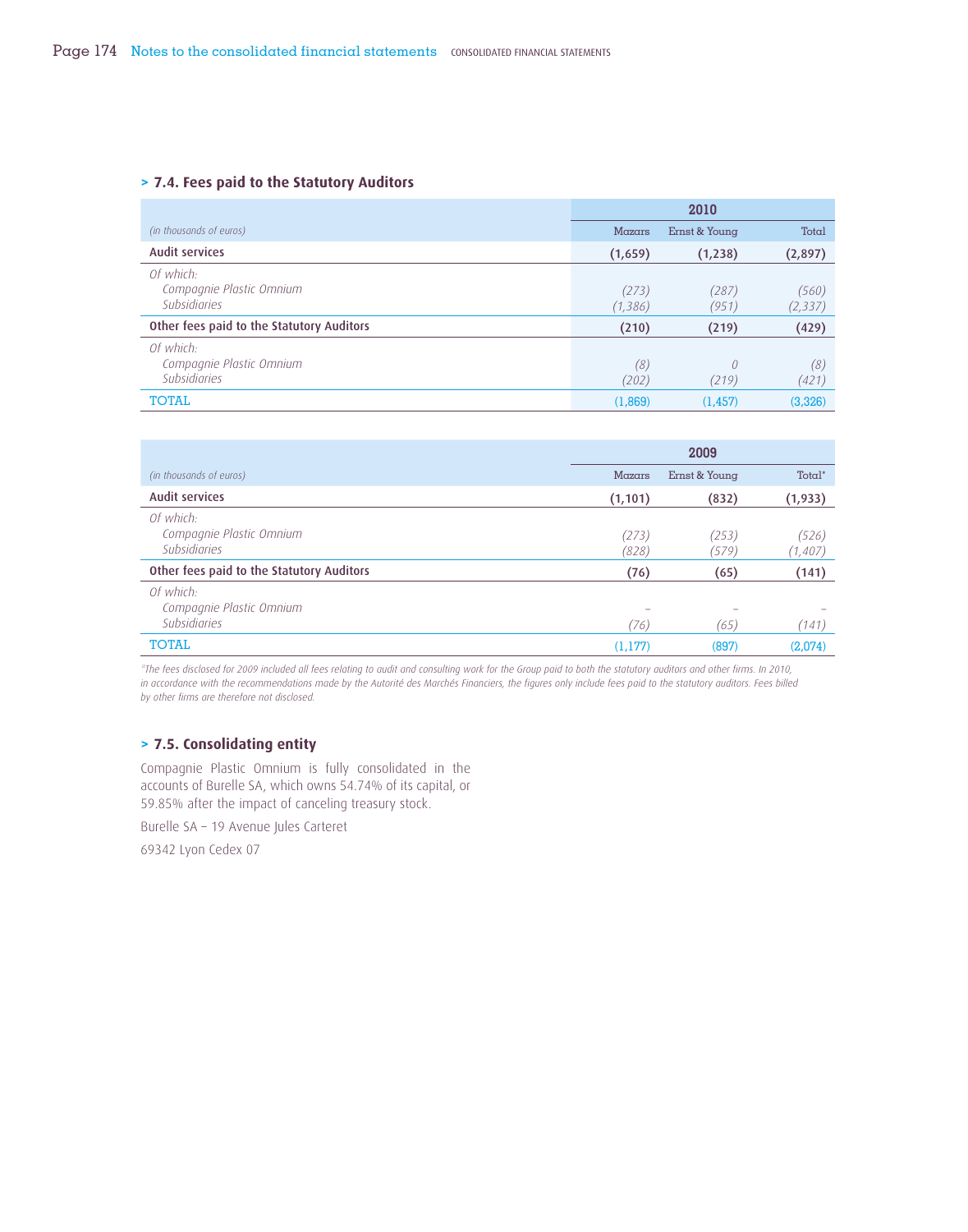#### **> 7.4. Fees paid to the Statutory Auditors**

|                                                       |                   | 2010           |                   |
|-------------------------------------------------------|-------------------|----------------|-------------------|
| (in thousands of euros)                               | Mazars            | Ernst & Young  | Total             |
| <b>Audit services</b>                                 | (1,659)           | (1,238)        | (2,897)           |
| Of which:<br>Compagnie Plastic Omnium<br>Subsidiaries | (273)<br>(1, 386) | (287)<br>(951) | (560)<br>(2, 337) |
| Other fees paid to the Statutory Auditors             | (210)             | (219)          | (429)             |
| Of which:<br>Compagnie Plastic Omnium<br>Subsidiaries | (8)<br>(202)      | 0<br>(219)     | (8)<br>(421)      |
| <b>TOTAL</b>                                          | (1,869)           | (1.457)        | (3,326)           |

|                                                       |                | 2009           |                   |
|-------------------------------------------------------|----------------|----------------|-------------------|
| (in thousands of euros)                               | Mazars         | Ernst & Young  | Total*            |
| <b>Audit services</b>                                 | (1, 101)       | (832)          | (1,933)           |
| Of which:<br>Compagnie Plastic Omnium<br>Subsidiaries | (273)<br>(828) | (253)<br>(579) | (526)<br>(1, 407) |
| Other fees paid to the Statutory Auditors             | (76)           | (65)           | (141)             |
| Of which:<br>Compagnie Plastic Omnium<br>Subsidiaries | (76)           | (65)           | (141)             |
| <b>TOTAL</b>                                          | (1.177)        | (897)          | (2,074)           |

*\*The fees disclosed for 2009 included all fees relating to audit and consulting work for the Group paid to both the statutory auditors and other firms. In 2010,*  in accordance with the recommendations made by the Autorité des Marchés Financiers, the figures only include fees paid to the statutory auditors. Fees billed *by other firms are therefore not disclosed.*

#### **> 7.5. Consolidating entity**

Compagnie Plastic Omnium is fully consolidated in the accounts of Burelle SA, which owns 54.74% of its capital, or 59.85% after the impact of canceling treasury stock.

Burelle SA – 19 Avenue Jules Carteret

69342 Lyon Cedex 07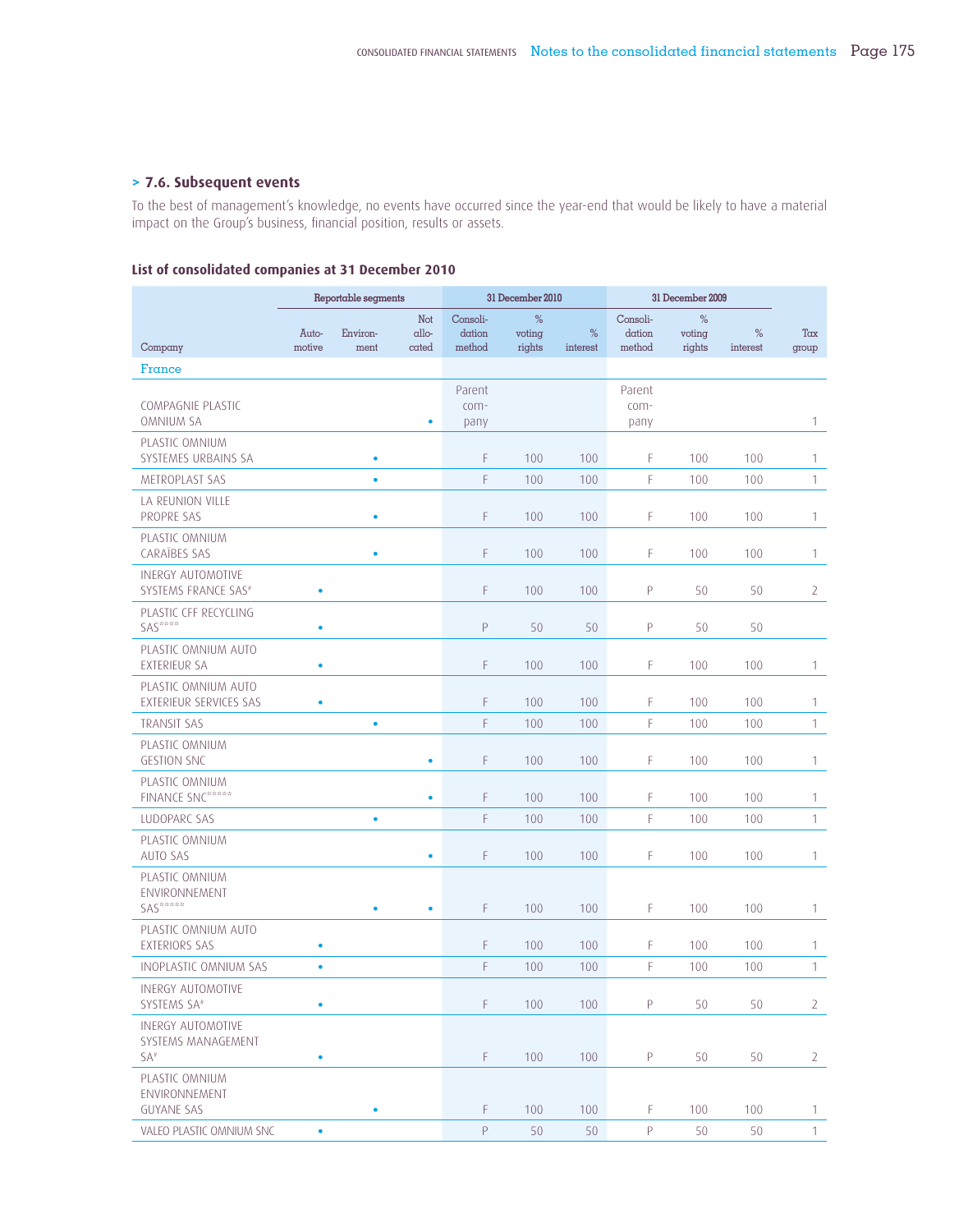#### **> 7.6. Subsequent events**

To the best of management's knowledge, no events have occurred since the year-end that would be likely to have a material impact on the Group's business, financial position, results or assets.

#### **List of consolidated companies at 31 December 2010**

|                                                       | Reportable segments |                  |                       |                              | 31 December 2010      |               |                              | 31 December 2009      |                  |                |
|-------------------------------------------------------|---------------------|------------------|-----------------------|------------------------------|-----------------------|---------------|------------------------------|-----------------------|------------------|----------------|
| Company                                               | Auto-<br>motive     | Environ-<br>ment | Not<br>allo-<br>cated | Consoli-<br>dation<br>method | %<br>voting<br>rights | %<br>interest | Consoli-<br>dation<br>method | %<br>voting<br>rights | $\%$<br>interest | Tax<br>group   |
| France                                                |                     |                  |                       |                              |                       |               |                              |                       |                  |                |
| COMPAGNIE PLASTIC<br><b>OMNIUM SA</b>                 |                     |                  | ٠                     | Parent<br>com-<br>pany       |                       |               | Parent<br>com-<br>pany       |                       |                  | 1              |
| PLASTIC OMNIUM<br>SYSTEMES URBAINS SA                 |                     | ٠                |                       | F                            | 100                   | 100           | F                            | 100                   | 100              | 1              |
| METROPLAST SAS                                        |                     | $\bullet$        |                       | F.                           | 100                   | 100           | F                            | 100                   | 100              | $\mathbf{1}$   |
| LA REUNION VILLE<br>PROPRE SAS                        |                     | $\bullet$        |                       | F.                           | 100                   | 100           | F                            | 100                   | 100              | 1              |
| PLASTIC OMNIUM<br><b>CARAÏBES SAS</b>                 |                     | ٠                |                       | F                            | 100                   | 100           | F                            | 100                   | 100              | $\mathbf{1}$   |
| <b>INERGY AUTOMOTIVE</b><br>SYSTEMS FRANCE SAS#       | ۰                   |                  |                       | F                            | 100                   | 100           | P                            | 50                    | 50               | $\overline{2}$ |
| PLASTIC CFF RECYCLING<br>SAS****                      | ٠                   |                  |                       | P                            | 50                    | 50            | P                            | 50                    | 50               |                |
| PLASTIC OMNIUM AUTO<br><b>EXTERIEUR SA</b>            | ۰                   |                  |                       | F                            | 100                   | 100           | F                            | 100                   | 100              | 1              |
| PLASTIC OMNIUM AUTO<br>EXTERIEUR SERVICES SAS         | ٠                   |                  |                       | F                            | 100                   | 100           | F                            | 100                   | 100              | 1              |
| <b>TRANSIT SAS</b>                                    |                     | $\bullet$        |                       | F.                           | 100                   | 100           | F                            | 100                   | 100              | 1              |
| PLASTIC OMNIUM<br><b>GESTION SNC</b>                  |                     |                  | $\bullet$             | F.                           | 100                   | 100           | F                            | 100                   | 100              | 1              |
| PLASTIC OMNIUM<br><b>FINANCE SNC*****</b>             |                     |                  | $\bullet$             | F                            | 100                   | 100           | F                            | 100                   | 100              | 1              |
| LUDOPARC SAS                                          |                     | ٠                |                       | F                            | 100                   | 100           | F                            | 100                   | 100              | 1              |
| PLASTIC OMNIUM<br><b>AUTO SAS</b>                     |                     |                  | ۰                     | F                            | 100                   | 100           | F                            | 100                   | 100              | 1              |
| PLASTIC OMNIUM<br>ENVIRONNEMENT                       |                     |                  |                       |                              |                       |               |                              |                       |                  |                |
| SAS*****                                              |                     | $\bullet$        | ٠                     | F.                           | 100                   | 100           | F                            | 100                   | 100              | 1              |
| PLASTIC OMNIUM AUTO<br><b>EXTERIORS SAS</b>           | ٠                   |                  |                       | F.                           | 100                   | 100           | F                            | 100                   | 100              | 1              |
| INOPLASTIC OMNIUM SAS                                 | ۰                   |                  |                       | F                            | 100                   | 100           | F                            | 100                   | 100              | $\mathbf{1}$   |
| <b>INERGY AUTOMOTIVE</b><br>SYSTEMS SA <sup>#</sup>   | ۰                   |                  |                       | F                            | 100                   | 100           | P                            | 50                    | 50               | $\mathbf{2}$   |
| <b>INERGY AUTOMOTIVE</b><br>SYSTEMS MANAGEMENT<br>SA# | ۰                   |                  |                       | F.                           | 100                   | 100           | P                            | 50                    | 50               | $\mathbf{2}$   |
| PLASTIC OMNIUM<br>ENVIRONNEMENT<br><b>GUYANE SAS</b>  |                     | $\bullet$        |                       | F                            | 100                   | 100           | F                            | 100                   | 100              | $\mathbf{1}$   |
| VALEO PLASTIC OMNIUM SNC                              | $\bullet$           |                  |                       | P                            | 50                    | 50            | P                            | 50                    | 50               | $1 -$          |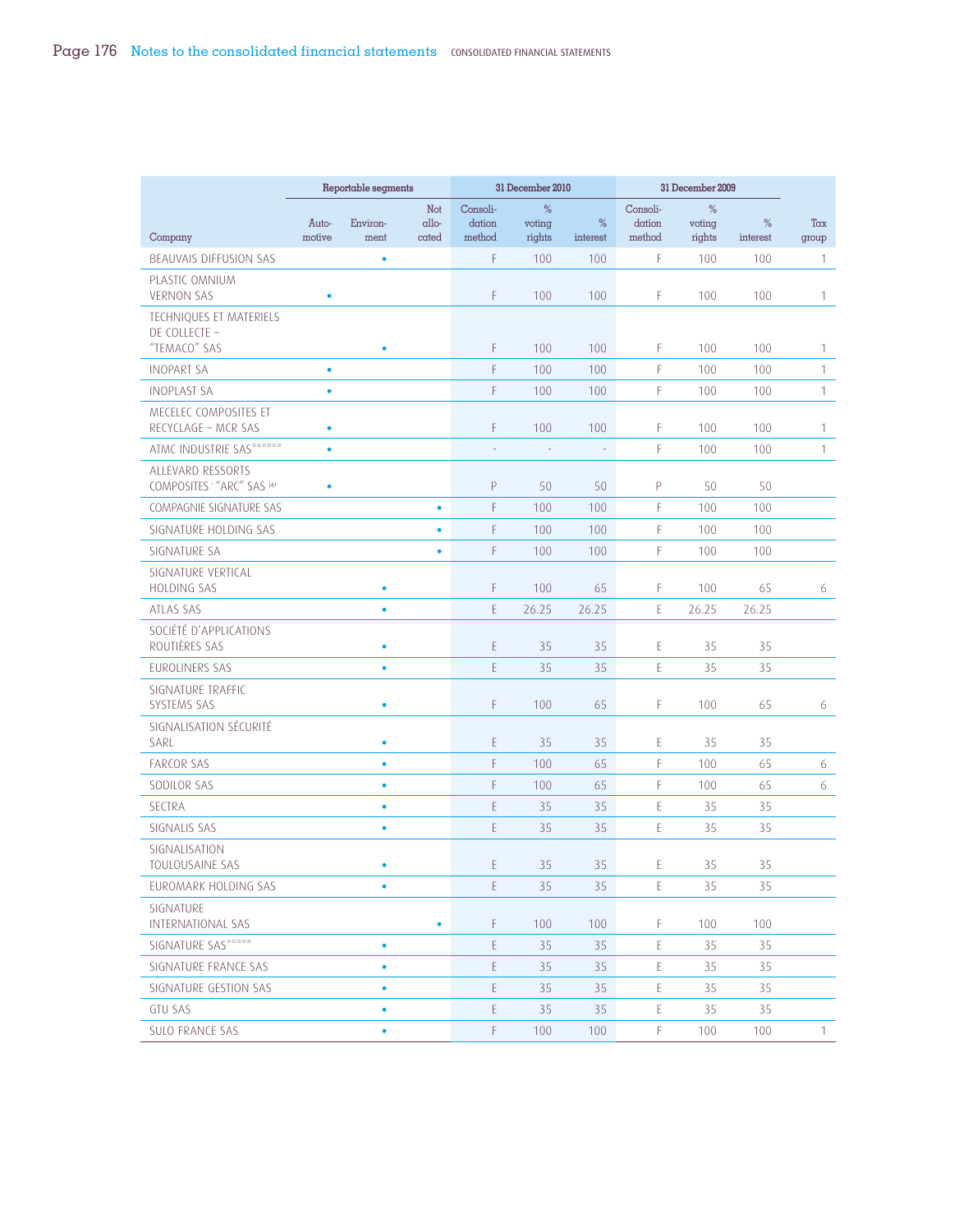|                                          |                 | Reportable segments |                |                  | 31 December 2010         |                  |                  | 31 December 2009 |               |              |
|------------------------------------------|-----------------|---------------------|----------------|------------------|--------------------------|------------------|------------------|------------------|---------------|--------------|
|                                          |                 |                     | Not            | Consoli-         | %                        |                  | Consoli-         | %                |               |              |
| Company                                  | Auto-<br>motive | Environ-<br>ment    | allo-<br>cated | dation<br>method | voting<br>rights         | $\%$<br>interest | dation<br>method | voting<br>rights | %<br>interest | Tax<br>group |
| BEAUVAIS DIFFUSION SAS                   |                 | ٠                   |                | F.               | 100                      | 100              | F                | 100              | 100           | 1            |
| PLASTIC OMNIUM                           |                 |                     |                |                  |                          |                  |                  |                  |               |              |
| <b>VERNON SAS</b>                        | $\bullet$       |                     |                | F                | 100                      | 100              | F                | 100              | 100           | 1            |
| TECHNIQUES ET MATERIELS                  |                 |                     |                |                  |                          |                  |                  |                  |               |              |
| DE COLLECTE -<br>"TEMACO" SAS            |                 | ۰                   |                | F                | 100                      | 100              | F                | 100              | 100           | 1            |
| <b>INOPART SA</b>                        | $\bullet$       |                     |                | F                | 100                      | 100              | F                | 100              | 100           | $\mathbf{1}$ |
| <b>INOPLAST SA</b>                       | $\bullet$       |                     |                | F                | 100                      | 100              | F                | 100              | 100           | 1            |
| MECELEC COMPOSITES ET                    |                 |                     |                |                  |                          |                  |                  |                  |               |              |
| RECYCLAGE - MCR SAS                      | $\bullet$       |                     |                | F                | 100                      | 100              | F                | 100              | 100           | $\mathbf{1}$ |
| ATMC INDUSTRIE SAS******                 | $\bullet$       |                     |                | ÷                | $\overline{\phantom{a}}$ | $\mathbb{Z}$     | F                | 100              | 100           | 1            |
| ALLEVARD RESSORTS                        |                 |                     |                |                  |                          |                  |                  |                  |               |              |
| COMPOSITES - "ARC" SAS PP                | $\bullet$       |                     |                | P                | 50                       | 50               | P                | 50               | 50            |              |
| COMPAGNIE SIGNATURE SAS                  |                 |                     | $\bullet$      | F                | 100                      | 100              | F                | 100              | 100           |              |
| SIGNATURE HOLDING SAS                    |                 |                     | $\bullet$      | F                | 100                      | 100              | F                | 100              | 100           |              |
| SIGNATURE SA                             |                 |                     | $\bullet$      | F                | 100                      | 100              | F                | 100              | 100           |              |
| SIGNATURE VERTICAL<br><b>HOLDING SAS</b> |                 | ٠                   |                | F                | 100                      | 65               | F                | 100              | 65            | 6            |
| ATLAS SAS                                |                 | ٠                   |                | E                | 26.25                    | 26.25            | E                | 26.25            | 26.25         |              |
| SOCIÉTÉ D'APPLICATIONS                   |                 |                     |                |                  |                          |                  |                  |                  |               |              |
| ROUTIÈRES SAS                            |                 | ٠                   |                | E                | 35                       | 35               | E                | 35               | 35            |              |
| EUROLINERS SAS                           |                 | ٠                   |                | E.               | 35                       | 35               | E                | 35               | 35            |              |
| SIGNATURE TRAFFIC                        |                 |                     |                |                  |                          |                  |                  |                  |               |              |
| <b>SYSTEMS SAS</b>                       |                 | ٠                   |                | F                | 100                      | 65               | F                | 100              | 65            | 6            |
| SIGNALISATION SÉCURITÉ<br>SARL           |                 | ٠                   |                | E                | 35                       | 35               | E                | 35               | 35            |              |
| <b>FARCOR SAS</b>                        |                 | $\bullet$           |                | F                | 100                      | 65               | F                | 100              | 65            | 6            |
| SODILOR SAS                              |                 | $\bullet$           |                | F                | 100                      | 65               | F                | 100              | 65            | 6            |
| <b>SECTRA</b>                            |                 | ٠                   |                | E                | 35                       | 35               | E                | 35               | 35            |              |
| SIGNALIS SAS                             |                 | ٠                   |                | E                | 35                       | 35               | E                | 35               | 35            |              |
| SIGNALISATION                            |                 |                     |                |                  |                          |                  |                  |                  |               |              |
| TOULOUSAINE SAS                          |                 | ٠                   |                | E                | 35                       | 35               | E                | 35               | 35            |              |
| EUROMARK HOLDING SAS                     |                 | ٠                   |                | E                | 35                       | 35               | Ε                | 35               | 35            |              |
| SIGNATURE<br>INTERNATIONAL SAS           |                 |                     | $\bullet$      | F                | 100                      | 100              | F.               | 100              | 100           |              |
| SIGNATURE SAS*****                       |                 | ٠                   |                | E                | 35                       | 35               | E                | 35               | 35            |              |
| SIGNATURE FRANCE SAS                     |                 | ٠                   |                | E                | 35                       | 35               | E                | 35               | 35            |              |
| SIGNATURE GESTION SAS                    |                 | ٠                   |                | E                | 35                       | 35               | E                | 35               | 35            |              |
| <b>GTU SAS</b>                           |                 | ٠                   |                | E                | 35                       | 35               | $\mathsf E$      | 35               | 35            |              |
| SULO FRANCE SAS                          |                 | ٠                   |                | F.               | 100                      | 100              | F                | 100              | 100           | $\mathbf{1}$ |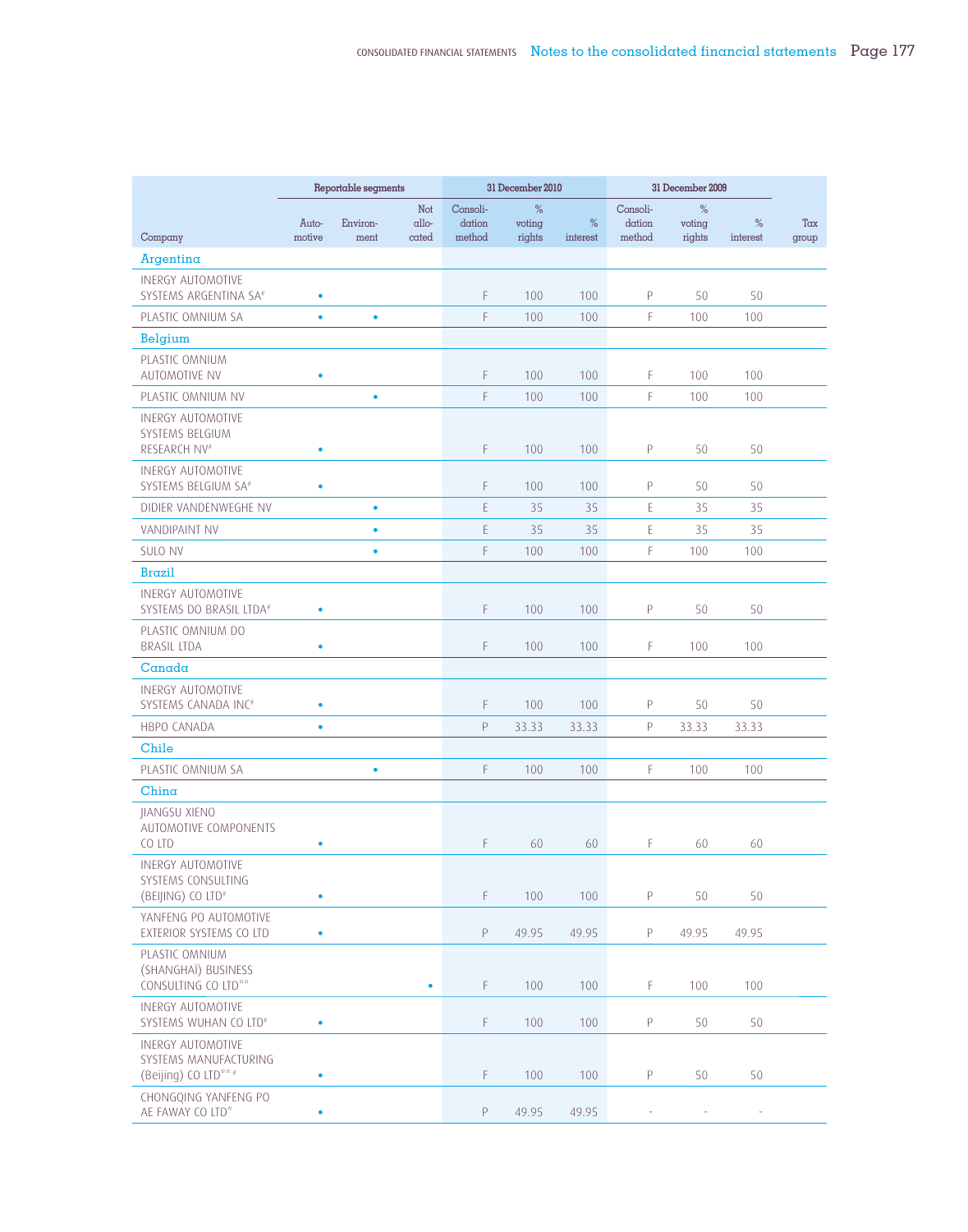|                                                                    |                 | Reportable segments |                       |                              | 31 December 2010      |                  |                              | 31 December 2009      |                  |              |
|--------------------------------------------------------------------|-----------------|---------------------|-----------------------|------------------------------|-----------------------|------------------|------------------------------|-----------------------|------------------|--------------|
| Company                                                            | Auto-<br>motive | Environ-<br>ment    | Not<br>allo-<br>cated | Consoli-<br>dation<br>method | %<br>voting<br>rights | $\%$<br>interest | Consoli-<br>dation<br>method | %<br>voting<br>rights | $\%$<br>interest | Tax<br>group |
| Argentina                                                          |                 |                     |                       |                              |                       |                  |                              |                       |                  |              |
| <b>INERGY AUTOMOTIVE</b>                                           |                 |                     |                       |                              |                       |                  |                              |                       |                  |              |
| SYSTEMS ARGENTINA SA <sup>#</sup>                                  | $\bullet$       |                     |                       | F                            | 100                   | 100              | P                            | 50                    | 50               |              |
| PLASTIC OMNIUM SA                                                  | $\bullet$       | $\bullet$           |                       | F.                           | 100                   | 100              | F                            | 100                   | 100              |              |
| Belgium                                                            |                 |                     |                       |                              |                       |                  |                              |                       |                  |              |
| PLASTIC OMNIUM<br><b>AUTOMOTIVE NV</b>                             | ٠               |                     |                       | F                            | 100                   | 100              | F                            | 100                   | 100              |              |
| PLASTIC OMNIUM NV                                                  |                 | $\bullet$           |                       | F.                           | 100                   | 100              | F                            | 100                   | 100              |              |
| INERGY AUTOMOTIVE<br>SYSTEMS BELGIUM<br>RESEARCH NV <sup>#</sup>   | ٠               |                     |                       | F                            | 100                   | 100              | P                            | 50                    | 50               |              |
| <b>INERGY AUTOMOTIVE</b><br>SYSTEMS BELGIUM SA <sup>#</sup>        | ٠               |                     |                       | F.                           | 100                   | 100              | P                            | 50                    | 50               |              |
| DIDIER VANDENWEGHE NV                                              |                 | ٠                   |                       | E                            | 35                    | 35               | E                            | 35                    | 35               |              |
| <b>VANDIPAINT NV</b>                                               |                 | $\bullet$           |                       | E                            | 35                    | 35               | E                            | 35                    | 35               |              |
| <b>SULO NV</b>                                                     |                 | $\bullet$           |                       | F                            | 100                   | 100              | F                            | 100                   | 100              |              |
| <b>Brazil</b>                                                      |                 |                     |                       |                              |                       |                  |                              |                       |                  |              |
| <b>INERGY AUTOMOTIVE</b><br>SYSTEMS DO BRASIL LTDA#                | $\bullet$       |                     |                       | F                            | 100                   | 100              | P                            | 50                    | 50               |              |
| PLASTIC OMNIUM DO<br><b>BRASIL LTDA</b>                            | ٠               |                     |                       | F                            | 100                   | 100              | F                            | 100                   | 100              |              |
| Canada                                                             |                 |                     |                       |                              |                       |                  |                              |                       |                  |              |
| <b>INERGY AUTOMOTIVE</b><br>SYSTEMS CANADA INC#                    | $\bullet$       |                     |                       | F                            | 100                   | 100              | P                            | 50                    | 50               |              |
| <b>HBPO CANADA</b>                                                 | $\bullet$       |                     |                       | P                            | 33.33                 | 33.33            | $\mathsf{P}$                 | 33.33                 | 33.33            |              |
| Chile                                                              |                 |                     |                       |                              |                       |                  |                              |                       |                  |              |
| PLASTIC OMNIUM SA                                                  |                 | $\bullet$           |                       | F                            | 100                   | 100              | F                            | 100                   | 100              |              |
| China                                                              |                 |                     |                       |                              |                       |                  |                              |                       |                  |              |
| JIANGSU XIENO<br>AUTOMOTIVE COMPONENTS<br>CO LTD                   |                 |                     |                       | F                            | 60                    | 60               | F                            | 60                    | 60               |              |
| <b>INERGY AUTOMOTIVE</b>                                           |                 |                     |                       |                              |                       |                  |                              |                       |                  |              |
| SYSTEMS CONSULTING<br>(BEIJING) CO LTD <sup>#</sup>                | $\bullet$       |                     |                       | F.                           | 100                   | 100              | P                            | 50                    | 50               |              |
| YANFENG PO AUTOMOTIVE<br>EXTERIOR SYSTEMS CO LTD                   | $\bullet$       |                     |                       | P                            | 49.95                 | 49.95            | P                            | 49.95                 | 49.95            |              |
| PLASTIC OMNIUM<br>(SHANGHAÏ) BUSINESS<br>CONSULTING CO LTD**       |                 |                     | $\bullet$             | F.                           | 100                   | 100              | F                            | 100                   | 100              |              |
| INERGY AUTOMOTIVE<br>SYSTEMS WUHAN CO LTD <sup>#</sup>             | $\bullet$       |                     |                       | F.                           | 100                   | 100              | P                            | 50                    | 50               |              |
| INERGY AUTOMOTIVE<br>SYSTEMS MANUFACTURING<br>(Beijing) CO LTD** # | $\bullet$       |                     |                       | F.                           | 100                   | 100              | P                            | 50                    | 50               |              |
| CHONGQING YANFENG PO<br>AE FAWAY CO LTD*                           |                 |                     |                       | P                            | 49.95                 | 49.95            |                              |                       |                  |              |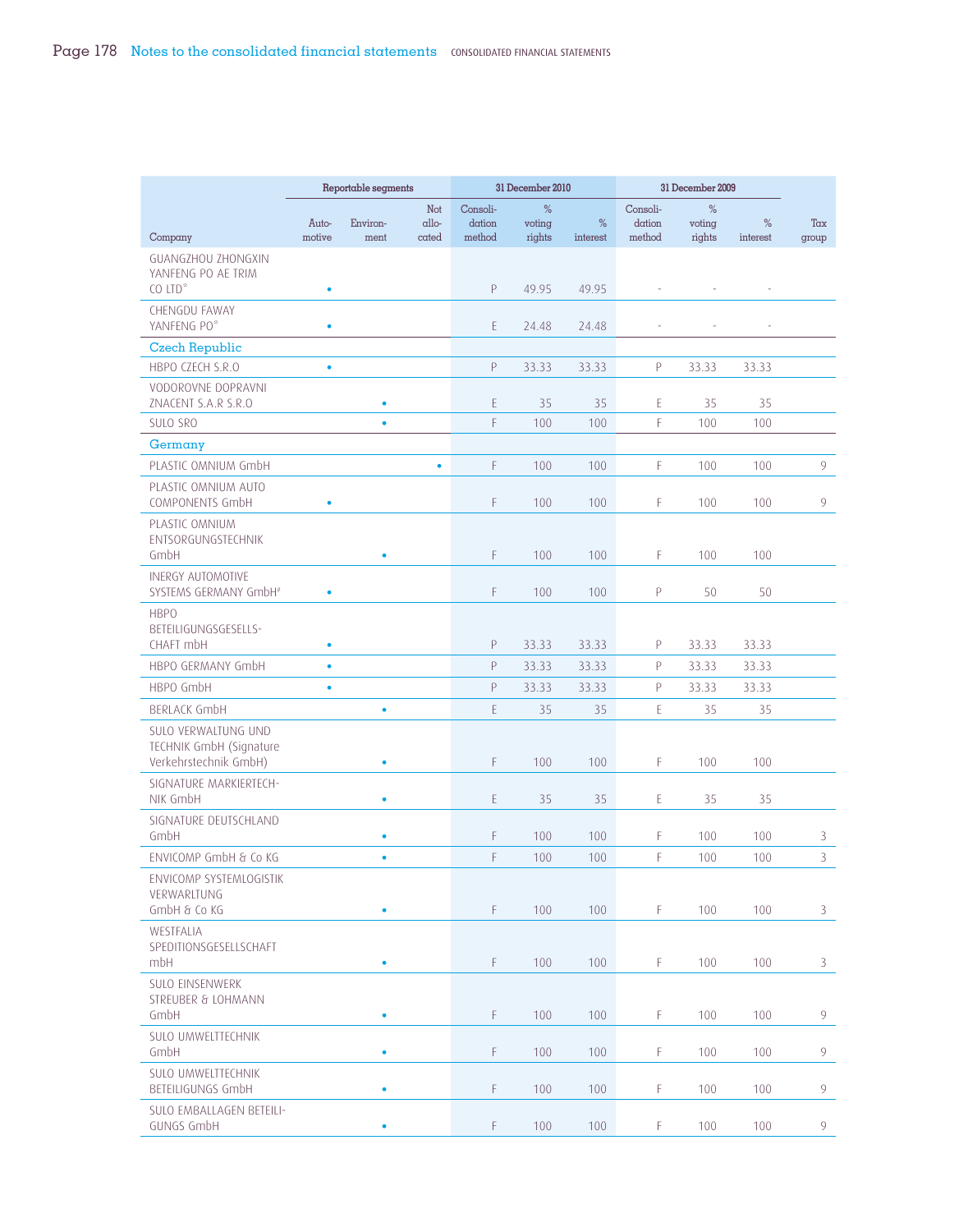|                                                                         | Reportable segments |                  |                               |                              | 31 December 2010      |               |                              | 31 December 2009      |               |                |
|-------------------------------------------------------------------------|---------------------|------------------|-------------------------------|------------------------------|-----------------------|---------------|------------------------------|-----------------------|---------------|----------------|
| Company                                                                 | Auto-<br>motive     | Environ-<br>ment | Not<br>$\alpha$ llo-<br>cated | Consoli-<br>dation<br>method | %<br>voting<br>rights | %<br>interest | Consoli-<br>dation<br>method | %<br>voting<br>rights | %<br>interest | Tax<br>group   |
| GUANGZHOU ZHONGXIN<br>YANFENG PO AE TRIM<br>$CO$ LTD <sup>*</sup>       | ۰                   |                  |                               | Ρ                            | 49.95                 | 49.95         |                              |                       |               |                |
| <b>CHENGDU FAWAY</b><br>YANFENG PO*                                     | ۰                   |                  |                               | E                            | 24.48                 | 24.48         |                              |                       |               |                |
| <b>Czech Republic</b><br>HBPO CZECH S.R.O                               | $\bullet$           |                  |                               | Ρ                            | 33.33                 | 33.33         | P                            | 33.33                 | 33.33         |                |
| VODOROVNE DOPRAVNI<br>ZNACENT S.A.R S.R.O                               |                     | ٠                |                               | E                            | 35                    | 35            | E                            | 35                    | 35            |                |
| <b>SULO SRO</b>                                                         |                     | ٠                |                               | F                            | 100                   | 100           | F                            | 100                   | 100           |                |
| Germany                                                                 |                     |                  |                               |                              |                       |               |                              |                       |               |                |
| PLASTIC OMNIUM GmbH                                                     |                     |                  | $\bullet$                     | F                            | 100                   | 100           | F                            | 100                   | 100           | 9              |
| PLASTIC OMNIUM AUTO<br>COMPONENTS GmbH                                  | ۰                   |                  |                               | F                            | 100                   | 100           | F                            | 100                   | 100           | 9              |
| PLASTIC OMNIUM<br>ENTSORGUNGSTECHNIK<br>GmbH                            |                     | ٠                |                               | F                            | 100                   | 100           | F.                           | 100                   | 100           |                |
| <b>INERGY AUTOMOTIVE</b><br>SYSTEMS GERMANY GmbH <sup>#</sup>           | $\bullet$           |                  |                               | F                            | 100                   | 100           | P                            | 50                    | 50            |                |
| <b>HBPO</b><br>BETEILIGUNGSGESELLS-                                     |                     |                  |                               |                              |                       |               |                              |                       |               |                |
| CHAFT mbH                                                               | ۰                   |                  |                               | Ρ                            | 33.33                 | 33.33         | P                            | 33.33                 | 33.33         |                |
| HBPO GERMANY GmbH                                                       | $\bullet$           |                  |                               | P                            | 33.33                 | 33.33         | $\mathsf{P}$                 | 33.33                 | 33.33         |                |
| HBPO GmbH                                                               | ۰                   |                  |                               | P                            | 33.33                 | 33.33         | P                            | 33.33                 | 33.33         |                |
| BERLACK GmbH                                                            |                     | ۰                |                               | E                            | 35                    | 35            | E                            | 35                    | 35            |                |
| SULO VERWALTUNG UND<br>TECHNIK GmbH (Signature<br>Verkehrstechnik GmbH) |                     | ٠                |                               | F                            | 100                   | 100           | F                            | 100                   | 100           |                |
| SIGNATURE MARKIERTECH-<br>NIK GmbH                                      |                     | ٠                |                               | E.                           | 35                    | 35            | E                            | 35                    | 35            |                |
| SIGNATURE DEUTSCHLAND<br>GmbH                                           |                     | ٠                |                               | F                            | 100                   | 100           | F                            | 100                   | 100           | 3              |
| ENVICOMP GmbH & Co KG                                                   |                     | $\bullet$        |                               | F                            | 100                   | 100           | F                            | 100                   | 100           | 3              |
| ENVICOMP SYSTEMLOGISTIK<br>VERWARLTUNG<br>GmbH & Co KG                  |                     | ٠                |                               | F.                           | 100                   | 100           | F.                           | 100                   | 100           | 3              |
| WESTFALIA<br>SPEDITIONSGESELLSCHAFT<br>mbH                              |                     | ٠                |                               | F                            | 100                   | 100           | F.                           | 100                   | 100           | 3              |
| <b>SULO EINSENWERK</b><br><b>STREUBER &amp; LOHMANN</b><br>GmbH         |                     | ۰                |                               | F                            | 100                   | 100           | F.                           | 100                   | 100           | 9              |
| SULO UMWELTTECHNIK<br>GmbH                                              |                     | ٠                |                               | F                            | 100                   | 100           | F.                           | 100                   | 100           | 9              |
| SULO UMWELTTECHNIK<br>BETEILIGUNGS GmbH                                 |                     | ٠                |                               | F                            | 100                   | 100           | F.                           | 100                   | 100           | $\overline{9}$ |
| SULO EMBALLAGEN BETEILI-<br>GUNGS GmbH                                  |                     | ٠                |                               | F                            | 100                   | 100           | F                            | 100                   | 100           | 9              |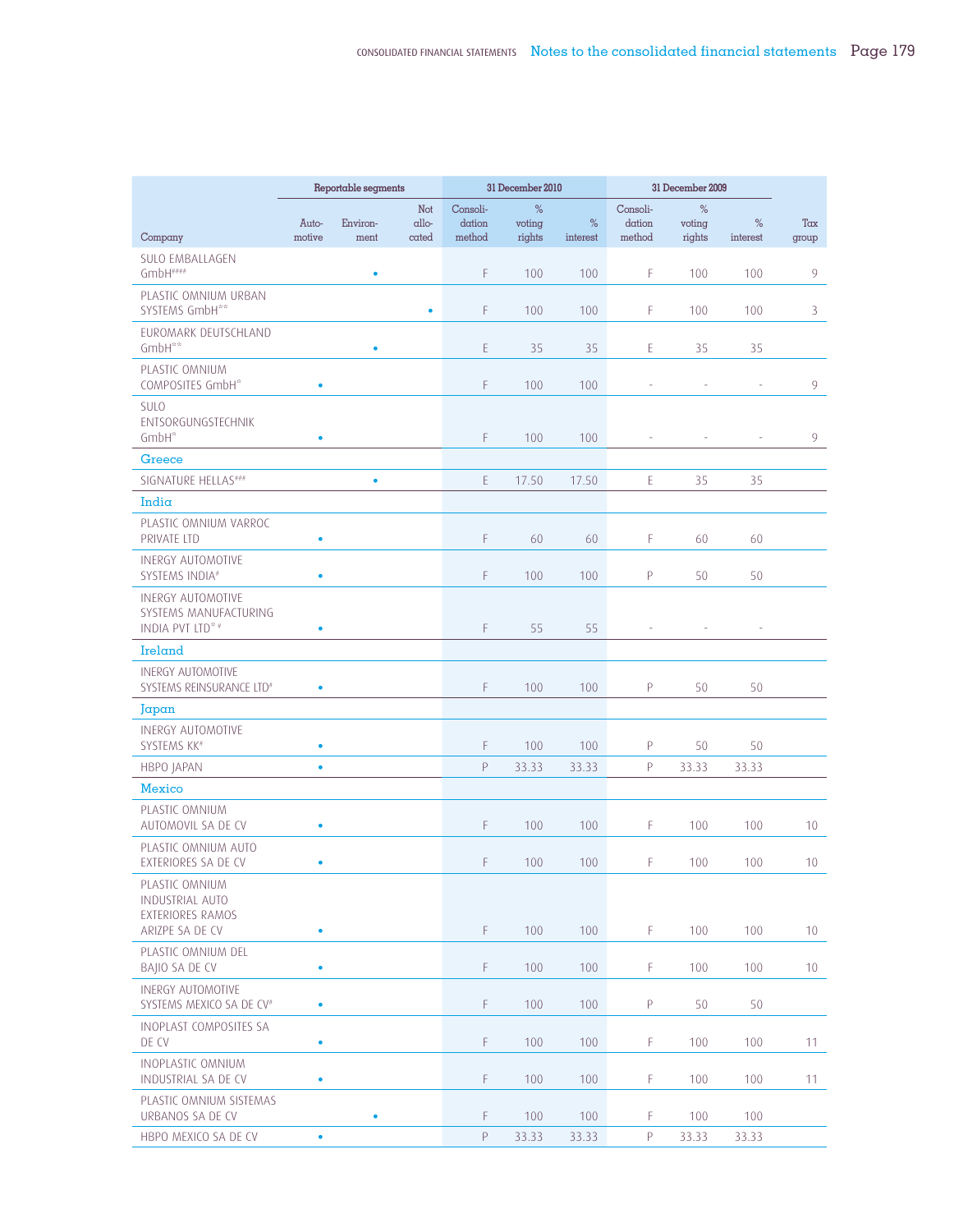|                                                                          | Reportable segments |           |                     |                                                                                                 | 31 December 2010 |          | 31 December 2009                                                                                         |             |          |                 |
|--------------------------------------------------------------------------|---------------------|-----------|---------------------|-------------------------------------------------------------------------------------------------|------------------|----------|----------------------------------------------------------------------------------------------------------|-------------|----------|-----------------|
|                                                                          | Auto-               | Environ-  | <b>Not</b><br>allo- | Consoli-<br>dation                                                                              | %<br>voting      | $\%$     | Consoli-<br>dation<br>method                                                                             | %<br>voting | %        | Tax             |
| Company                                                                  | motive              | ment      | cated               | method                                                                                          | rights           | interest |                                                                                                          | rights      | interest | group           |
| <b>SULO EMBALLAGEN</b><br>$GmbH$ ####                                    |                     | ٠         |                     | F                                                                                               | 100              | 100      | F                                                                                                        | 100         | 100      | 9               |
| PLASTIC OMNIUM URBAN<br>SYSTEMS GmbH**                                   |                     |           | $\bullet$           | F                                                                                               | 100              | 100      | F                                                                                                        | 100         | 100      | 3               |
| EUROMARK DEUTSCHLAND                                                     |                     |           |                     |                                                                                                 |                  |          |                                                                                                          |             |          |                 |
| GmbH**                                                                   |                     | ٠         |                     | E                                                                                               | 35               | 35       | E                                                                                                        | 35          | 35       |                 |
| PLASTIC OMNIUM<br>COMPOSITES GmbH*                                       | ٠                   |           |                     | F                                                                                               | 100              | 100      |                                                                                                          |             |          | 9               |
| <b>SULO</b><br>ENTSORGUNGSTECHNIK<br>GmbH*                               | ٠                   |           |                     | F.                                                                                              | 100              | 100      |                                                                                                          |             |          | 9               |
| Greece                                                                   |                     |           |                     |                                                                                                 |                  |          |                                                                                                          |             |          |                 |
| SIGNATURE HELLAS###                                                      |                     | $\bullet$ |                     | E                                                                                               | 17.50            | 17.50    | E                                                                                                        | 35          | 35       |                 |
| India                                                                    |                     |           |                     |                                                                                                 |                  |          |                                                                                                          |             |          |                 |
| PLASTIC OMNIUM VARROC<br>PRIVATE LTD                                     | $\bullet$           |           |                     | F.                                                                                              | 60               | 60       | F                                                                                                        | 60          | 60       |                 |
| <b>INERGY AUTOMOTIVE</b><br>SYSTEMS INDIA#                               | ٠                   |           |                     | F.                                                                                              | 100              | 100      | $\mathsf{P}$                                                                                             | 50          | 50       |                 |
| <b>INERGY AUTOMOTIVE</b><br>SYSTEMS MANUFACTURING<br>INDIA PVT LTD* #    | ٠                   |           |                     | F                                                                                               | 55               | 55       |                                                                                                          |             | ÷,       |                 |
| Ireland                                                                  |                     |           |                     |                                                                                                 |                  |          |                                                                                                          |             |          |                 |
| <b>INERGY AUTOMOTIVE</b><br>SYSTEMS REINSURANCE LTD <sup>#</sup>         | $\bullet$           |           |                     | F                                                                                               | 100              | 100      | P                                                                                                        | 50          | 50       |                 |
| Japan                                                                    |                     |           |                     |                                                                                                 |                  |          |                                                                                                          |             |          |                 |
| <b>INERGY AUTOMOTIVE</b><br>SYSTEMS KK#                                  | $\bullet$           |           |                     | F.                                                                                              | 100              | 100      | $\mathsf{P}$                                                                                             | 50          | 50       |                 |
| <b>HBPO JAPAN</b>                                                        | $\bullet$           |           |                     | P                                                                                               | 33.33            | 33.33    | P                                                                                                        | 33.33       | 33.33    |                 |
| Mexico                                                                   |                     |           |                     |                                                                                                 |                  |          |                                                                                                          |             |          |                 |
| PLASTIC OMNIUM<br>AUTOMOVIL SA DE CV                                     | $\bullet$           |           |                     | F.                                                                                              | 100              | 100      | F                                                                                                        | 100         | 100      | 10              |
| PLASTIC OMNIUM AUTO<br>EXTERIORES SA DE CV                               | ٠                   |           |                     | F.                                                                                              | 100              | 100      | F                                                                                                        | 100         | 100      | 10              |
| PLASTIC OMNIUM<br>INDUSTRIAL AUTO<br>EXTERIORES RAMOS<br>ARIZPE SA DE CV | $\bullet$           |           |                     | F                                                                                               | 100              | 100      | F.                                                                                                       | 100         | 100      | 10 <sup>°</sup> |
| PLASTIC OMNIUM DEL<br>BAIIO SA DE CV                                     | ٠                   |           |                     | F.                                                                                              | 100              | 100      | F                                                                                                        | 100         | 100      | 10 <sup>°</sup> |
| <b>INERGY AUTOMOTIVE</b>                                                 |                     |           |                     |                                                                                                 |                  |          |                                                                                                          |             |          |                 |
| SYSTEMS MEXICO SA DE CV <sup>#</sup>                                     | $\bullet$           |           |                     | F.                                                                                              | 100              | 100      | P                                                                                                        | 50          | 50       |                 |
| INOPLAST COMPOSITES SA<br>DE CV                                          | $\bullet$           |           |                     | F.                                                                                              | 100              | 100      | F                                                                                                        | 100         | 100      | 11              |
| INOPLASTIC OMNIUM<br>INDUSTRIAL SA DE CV                                 | $\bullet$           |           |                     | F.                                                                                              | 100              | 100      | F                                                                                                        | 100         | 100      | 11              |
| PLASTIC OMNIUM SISTEMAS<br>URBANOS SA DE CV                              |                     | ٠         |                     | F.                                                                                              | 100              | 100      | F                                                                                                        | 100         | 100      |                 |
| HBPO MEXICO SA DE CV                                                     | $\bullet$           |           |                     | $\mathsf{P}% _{0}\left( \mathsf{P}_{0}\right) \equiv\mathsf{P}_{0}\left( \mathsf{P}_{0}\right)$ | 33.33            | 33.33    | $\mathsf{P}% _{T}=\mathsf{P}_{T}\!\left( a,b\right) ,\mathsf{P}_{T}=\mathsf{P}_{T}\!\left( a,b\right) ,$ | 33.33       | 33.33    |                 |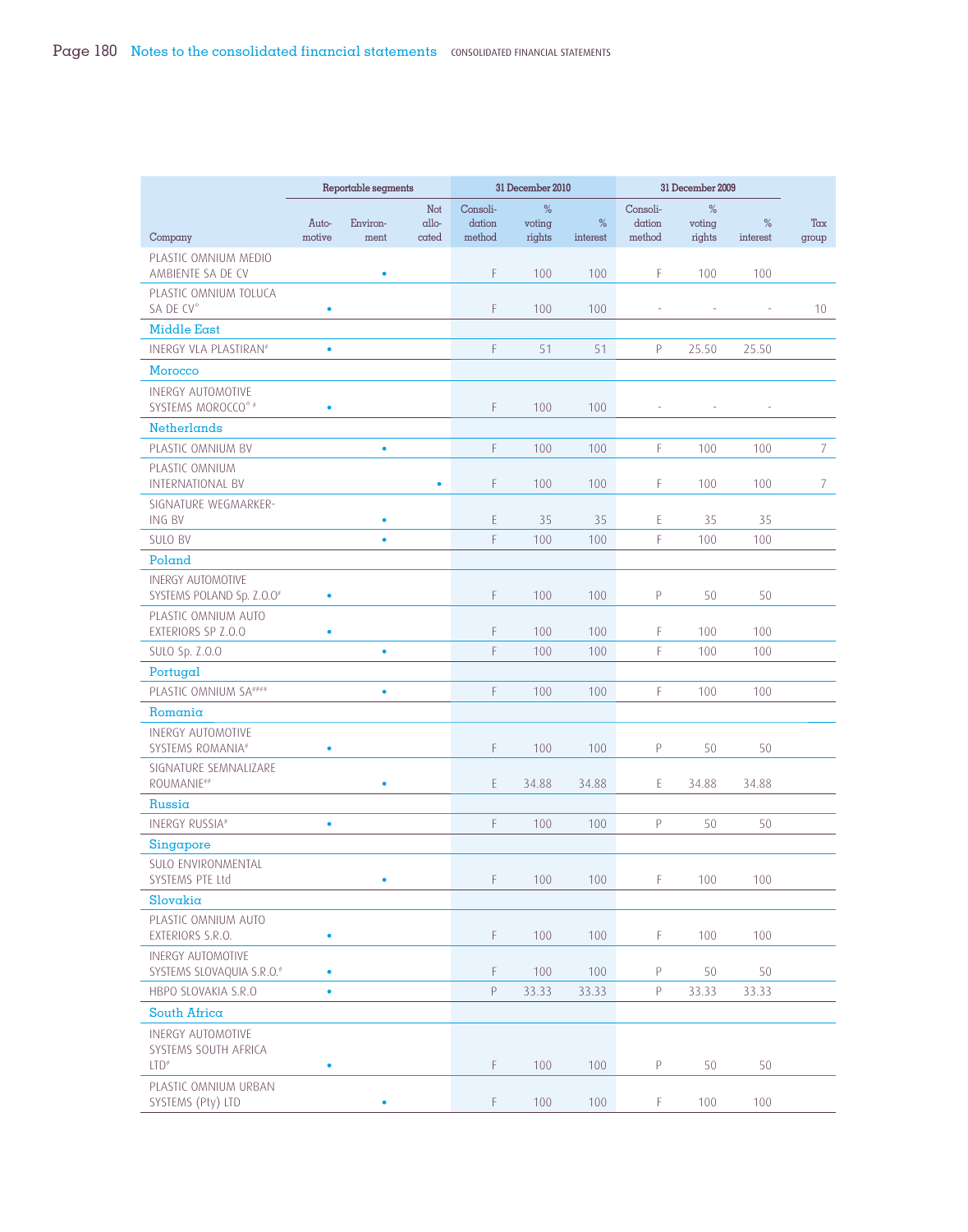|                                                                      |                 | Reportable segments |                               |                              | 31 December 2010      |               |                                                                                                          | 31 December 2009         |                          |                 |
|----------------------------------------------------------------------|-----------------|---------------------|-------------------------------|------------------------------|-----------------------|---------------|----------------------------------------------------------------------------------------------------------|--------------------------|--------------------------|-----------------|
|                                                                      | Auto-<br>motive | Environ-<br>ment    | Not<br>$\alpha$ llo-<br>cated | Consoli-<br>dation<br>method | %<br>voting<br>rights | %<br>interest | Consoli-<br>dation<br>method                                                                             | %<br>voting<br>rights    | %<br>interest            | Tax             |
| Company<br>PLASTIC OMNIUM MEDIO<br>AMBIENTE SA DE CV                 |                 | ٠                   |                               | F                            | 100                   | 100           | F                                                                                                        | 100                      | 100                      | group           |
| PLASTIC OMNIUM TOLUCA<br>SA DE CV <sup>*</sup>                       |                 |                     |                               | F                            | 100                   | 100           | $\overline{\phantom{a}}$                                                                                 | $\overline{\phantom{a}}$ | $\overline{\phantom{a}}$ | 10 <sup>°</sup> |
| <b>Middle East</b>                                                   | ٠               |                     |                               |                              |                       |               |                                                                                                          |                          |                          |                 |
| INERGY VLA PLASTIRAN#                                                | $\bullet$       |                     |                               | F                            | 51                    | 51            | P                                                                                                        | 25.50                    | 25.50                    |                 |
| Morocco                                                              |                 |                     |                               |                              |                       |               |                                                                                                          |                          |                          |                 |
| <b>INERGY AUTOMOTIVE</b><br>SYSTEMS MOROCCO* #                       | ۰               |                     |                               | F                            | 100                   | 100           |                                                                                                          |                          |                          |                 |
| <b>Netherlands</b>                                                   |                 |                     |                               |                              |                       |               |                                                                                                          |                          |                          |                 |
| PLASTIC OMNIUM BV                                                    |                 | ۰                   |                               | F                            | 100                   | 100           | F                                                                                                        | 100                      | 100                      | $\overline{7}$  |
| PLASTIC OMNIUM<br><b>INTERNATIONAL BV</b>                            |                 |                     | ۰                             | F                            | 100                   | 100           | F                                                                                                        | 100                      | 100                      | 7               |
| SIGNATURE WEGMARKER-<br>ING BV                                       |                 | ٠                   |                               | E                            | 35                    | 35            | E                                                                                                        | 35                       | 35                       |                 |
| <b>SULO BV</b>                                                       |                 | $\bullet$           |                               | F                            | 100                   | 100           | F                                                                                                        | 100                      | 100                      |                 |
| Poland                                                               |                 |                     |                               |                              |                       |               |                                                                                                          |                          |                          |                 |
| <b>INERGY AUTOMOTIVE</b><br>SYSTEMS POLAND Sp. Z.O.O#                | ۰               |                     |                               | F                            | 100                   | 100           | P                                                                                                        | 50                       | 50                       |                 |
| PLASTIC OMNIUM AUTO<br>EXTERIORS SP Z.O.O                            | ò               |                     |                               | F                            | 100                   | 100           | F                                                                                                        | 100                      | 100                      |                 |
| SULO Sp. Z.O.O                                                       |                 | $\bullet$           |                               | F                            | 100                   | 100           | F                                                                                                        | 100                      | 100                      |                 |
| Portugal                                                             |                 |                     |                               |                              |                       |               |                                                                                                          |                          |                          |                 |
| PLASTIC OMNIUM SA####                                                |                 | $\bullet$           |                               | F                            | 100                   | 100           | F                                                                                                        | 100                      | 100                      |                 |
| Romania                                                              |                 |                     |                               |                              |                       |               |                                                                                                          |                          |                          |                 |
| <b>INERGY AUTOMOTIVE</b><br>SYSTEMS ROMANIA#                         | ٠               |                     |                               | F                            | 100                   | 100           | P                                                                                                        | 50                       | 50                       |                 |
| SIGNATURE SEMNALIZARE<br>ROUMANIE##                                  |                 | ٠                   |                               | E                            | 34.88                 | 34.88         | E                                                                                                        | 34.88                    | 34.88                    |                 |
| Russia                                                               |                 |                     |                               |                              |                       |               |                                                                                                          |                          |                          |                 |
| INERGY RUSSIA#                                                       | $\bullet$       |                     |                               | F                            | 100                   | 100           | $\mathsf{P}% _{T}=\mathsf{P}_{T}\!\left( a,b\right) ,\mathsf{P}_{T}=\mathsf{P}_{T}\!\left( a,b\right) ,$ | 50                       | 50                       |                 |
| Singapore                                                            |                 |                     |                               |                              |                       |               |                                                                                                          |                          |                          |                 |
| SULO ENVIRONMENTAL<br>SYSTEMS PTE Ltd                                |                 | ٠                   |                               | F                            | 100                   | 100           | F.                                                                                                       | 100                      | 100                      |                 |
| Slovakia                                                             |                 |                     |                               |                              |                       |               |                                                                                                          |                          |                          |                 |
| PLASTIC OMNIUM AUTO<br>EXTERIORS S.R.O.                              | $\bullet$       |                     |                               | F                            | 100                   | 100           | F.                                                                                                       | 100                      | 100                      |                 |
| <b>INERGY AUTOMOTIVE</b><br>SYSTEMS SLOVAQUIA S.R.O. <sup>#</sup>    | $\bullet$       |                     |                               | F                            | 100                   | 100           | P                                                                                                        | 50                       | 50                       |                 |
| HBPO SLOVAKIA S.R.O                                                  | $\bullet$       |                     |                               | P                            | 33.33                 | 33.33         | $\mathsf{P}% _{0}\left( \mathcal{A}_{0}\right) \equiv\mathsf{P}_{0}\left( \mathcal{A}_{0}\right)$        | 33.33                    | 33.33                    |                 |
| South Africa                                                         |                 |                     |                               |                              |                       |               |                                                                                                          |                          |                          |                 |
| <b>INERGY AUTOMOTIVE</b><br>SYSTEMS SOUTH AFRICA<br>LTD <sup>#</sup> | ٠               |                     |                               | F                            | 100                   | 100           | P                                                                                                        | 50                       | 50                       |                 |
| PLASTIC OMNIUM URBAN                                                 |                 |                     |                               |                              |                       |               |                                                                                                          |                          |                          |                 |
| SYSTEMS (Pty) LTD                                                    |                 | ٠                   |                               | $\mathsf F$                  | 100                   | 100           | F.                                                                                                       | 100                      | 100                      |                 |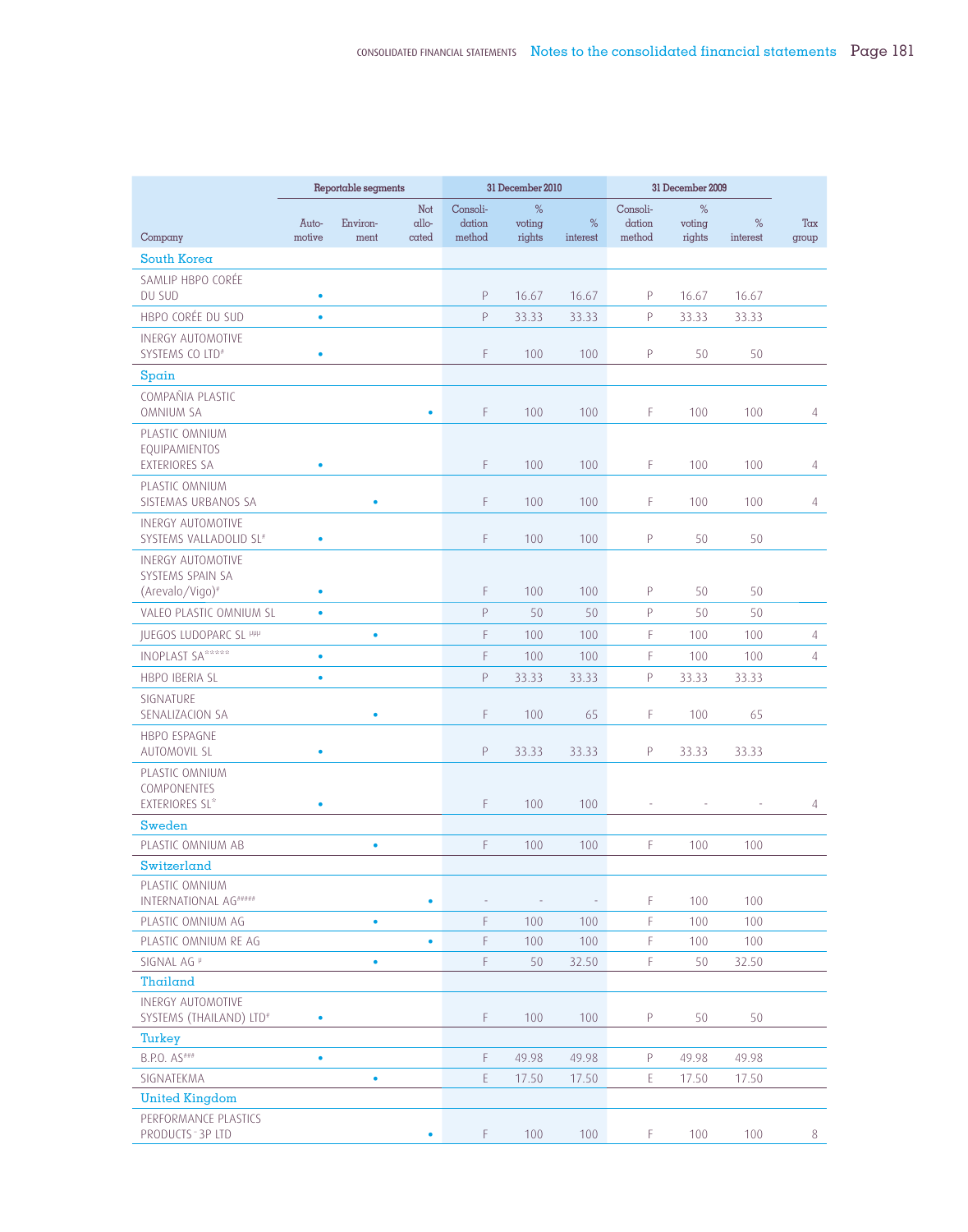|                                                                |           | Reportable segments |              |                    | 31 December 2010 |          |                          | 31 December 2009 |          |                |
|----------------------------------------------------------------|-----------|---------------------|--------------|--------------------|------------------|----------|--------------------------|------------------|----------|----------------|
|                                                                | Auto-     | Environ-            | Not<br>allo- | Consoli-<br>dation | %<br>voting      | %        | Consoli-<br>dation       | %<br>voting      | $\%$     | Tax            |
| Company                                                        | motive    | ment                | cated        | method             | rights           | interest | method                   | rights           | interest | group          |
| South Korea                                                    |           |                     |              |                    |                  |          |                          |                  |          |                |
| SAMLIP HBPO CORÉE<br>DU SUD                                    | ٠         |                     |              | Ρ                  | 16.67            | 16.67    | P                        | 16.67            | 16.67    |                |
| HBPO CORÉE DU SUD                                              | ۰         |                     |              | P                  | 33.33            | 33.33    | $\mathsf{P}$             | 33.33            | 33.33    |                |
| <b>INERGY AUTOMOTIVE</b><br>SYSTEMS CO LTD <sup>#</sup>        | ۰         |                     |              | F.                 | 100              | 100      | P                        | 50               | 50       |                |
| $S$ pain                                                       |           |                     |              |                    |                  |          |                          |                  |          |                |
| COMPAÑIA PLASTIC<br><b>OMNIUM SA</b>                           |           |                     | $\bullet$    | F                  | 100              | 100      | F                        | 100              | 100      | 4              |
| PLASTIC OMNIUM<br><b>EQUIPAMIENTOS</b><br><b>EXTERIORES SA</b> | ۰         |                     |              | F                  | 100              | 100      | F                        | 100              | 100      | 4              |
| PLASTIC OMNIUM<br>SISTEMAS URBANOS SA                          |           | ٠                   |              | F.                 | 100              | 100      | F                        | 100              | 100      | $\overline{4}$ |
| <b>INERGY AUTOMOTIVE</b><br>SYSTEMS VALLADOLID SL#             | ۰         |                     |              | F.                 | 100              | 100      | P                        | 50               | 50       |                |
| <b>INERGY AUTOMOTIVE</b><br>SYSTEMS SPAIN SA                   |           |                     |              |                    |                  |          |                          |                  |          |                |
| (Arevalo/Vigo)#                                                | ٠         |                     |              | F                  | 100              | 100      | P                        | 50               | 50       |                |
| VALEO PLASTIC OMNIUM SL                                        | $\bullet$ |                     |              | P                  | 50               | 50       | P                        | 50               | 50       |                |
| <b>JUEGOS LUDOPARC SL PPP</b>                                  |           | ٠                   |              | F.                 | 100              | 100      | F                        | 100              | 100      | 4              |
| <b>INOPLAST SA*****</b>                                        | ٠         |                     |              | F.                 | 100              | 100      | F                        | 100              | 100      | $\overline{4}$ |
| HBPO IBERIA SL                                                 | ۰         |                     |              | P                  | 33.33            | 33.33    | P                        | 33.33            | 33.33    |                |
| SIGNATURE<br>SENALIZACION SA                                   |           | ٠                   |              | F.                 | 100              | 65       | F                        | 100              | 65       |                |
| HBPO ESPAGNE<br>AUTOMOVIL SL                                   | ٠         |                     |              | Ρ                  | 33.33            | 33.33    | P                        | 33.33            | 33.33    |                |
| PLASTIC OMNIUM<br>COMPONENTES<br><b>EXTERIORES SL*</b>         | ٠         |                     |              | F                  | 100              | 100      | $\overline{\phantom{a}}$ |                  |          | 4              |
| Sweden                                                         |           |                     |              |                    |                  |          |                          |                  |          |                |
| PLASTIC OMNIUM AB                                              |           | $\bullet$           |              | F                  | 100              | 100      | F                        | 100              | 100      |                |
| Switzerland                                                    |           |                     |              |                    |                  |          |                          |                  |          |                |
| PLASTIC OMNIUM<br>INTERNATIONAL AG *****                       |           |                     | $\bullet$    |                    |                  |          | F.                       | 100              | 100      |                |
| PLASTIC OMNIUM AG                                              |           | $\bullet$           |              | F                  | 100              | 100      | F                        | 100              | 100      |                |
| PLASTIC OMNIUM RE AG                                           |           |                     | $\bullet$    | F                  | 100              | 100      | F                        | 100              | 100      |                |
| SIGNAL AG <sup>P</sup>                                         |           | $\bullet$           |              | F                  | 50               | 32.50    | F                        | 50               | 32.50    |                |
| Thailand                                                       |           |                     |              |                    |                  |          |                          |                  |          |                |
| <b>INERGY AUTOMOTIVE</b><br>SYSTEMS (THAILAND) LTD#            | ۰         |                     |              | F                  | 100              | 100      | P                        | 50               | 50       |                |
| Turkey                                                         |           |                     |              |                    |                  |          |                          |                  |          |                |
| B.P.O. AS###                                                   | $\bullet$ |                     |              | F                  | 49.98            | 49.98    | P                        | 49.98            | 49.98    |                |
| SIGNATEKMA                                                     |           | $\bullet$           |              | E                  | 17.50            | 17.50    | $\mathsf E$              | 17.50            | 17.50    |                |
| <b>United Kingdom</b>                                          |           |                     |              |                    |                  |          |                          |                  |          |                |
| PERFORMANCE PLASTICS<br>PRODUCTS - 3P LTD                      |           |                     | ٠            | F                  | 100              | 100      | F.                       | 100              | 100      | 8              |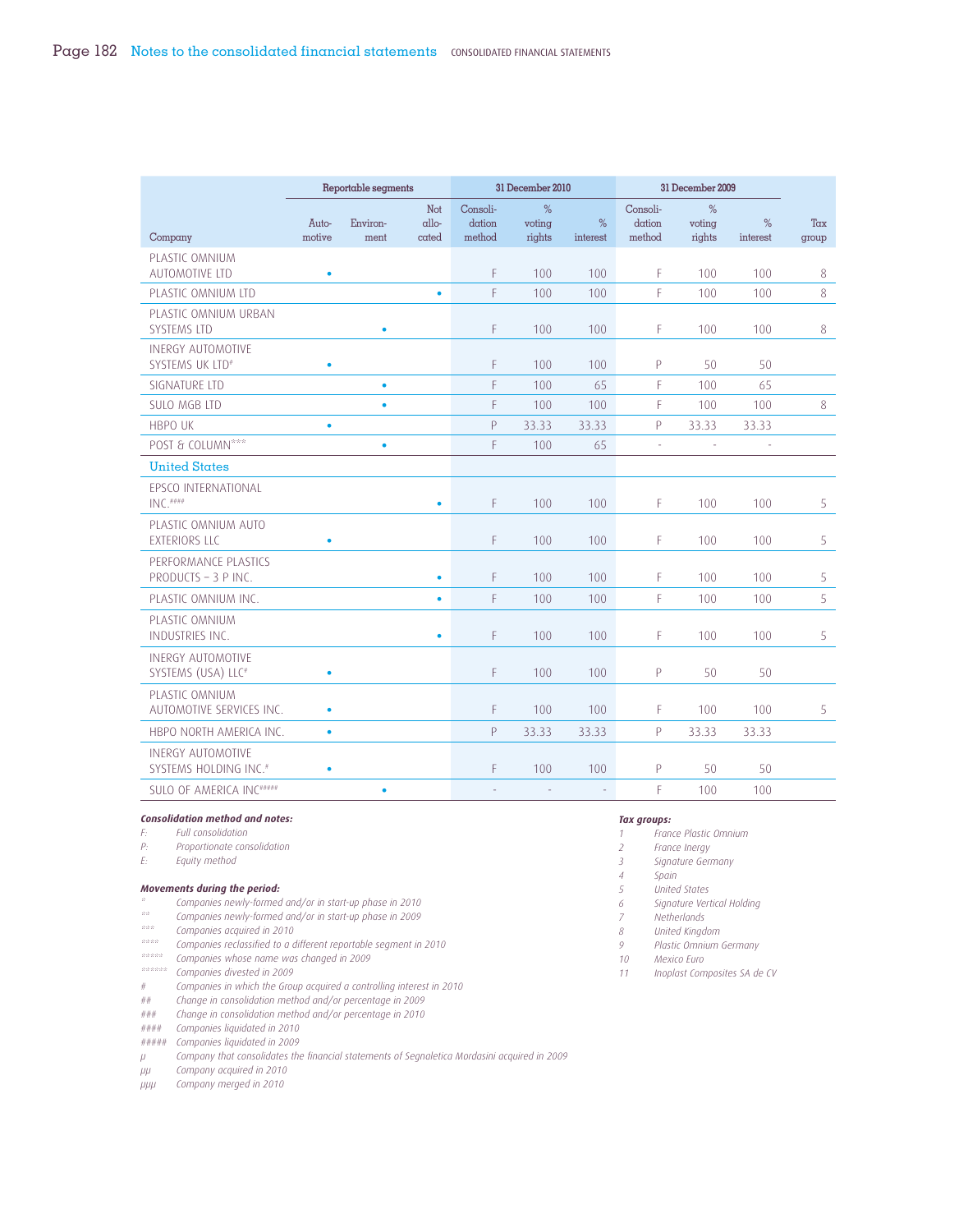|                                                               | Reportable segments |                  |                               |                              | 31 December 2010      |               | 31 December 2009             |                          |               |              |
|---------------------------------------------------------------|---------------------|------------------|-------------------------------|------------------------------|-----------------------|---------------|------------------------------|--------------------------|---------------|--------------|
| Company                                                       | Auto-<br>motive     | Environ-<br>ment | Not<br>$\alpha$ llo-<br>cated | Consoli-<br>dation<br>method | %<br>voting<br>rights | %<br>interest | Consoli-<br>dation<br>method | $\%$<br>voting<br>rights | %<br>interest | Tax<br>group |
| PLASTIC OMNIUM<br>AUTOMOTIVE LTD                              | $\bullet$           |                  |                               | F                            | 100                   | 100           | F                            | 100                      | $100 -$       | 8            |
| PLASTIC OMNIUM LTD                                            |                     |                  | $\bullet$                     | F                            | 100                   | 100           | F                            | 100                      | 100           | 8            |
| PLASTIC OMNIUM URBAN<br>SYSTEMS LTD                           |                     |                  |                               | F                            | 100                   | 100           | F                            | 100                      | 100           | 8            |
| <b>INERGY AUTOMOTIVE</b><br>SYSTEMS UK LTD#                   | $\bullet$           |                  |                               | F                            | 100                   | 100           | P                            | 50                       | 50            |              |
| SIGNATURE LTD                                                 |                     | $\bullet$        |                               | F                            | 100                   | 65            | F                            | 100                      | 65            |              |
| <b>SULO MGB LTD</b>                                           |                     | ٠                |                               | F                            | 100                   | 100           | F                            | 100                      | 100           | 8            |
| <b>HBPO UK</b>                                                | ۰                   |                  |                               | P                            | 33.33                 | 33.33         | P                            | 33.33                    | 33.33         |              |
| POST & COLUMN***                                              |                     | $\bullet$        |                               | F                            | 100                   | 65            | ä,                           | L.                       |               |              |
| <b>United States</b>                                          |                     |                  |                               |                              |                       |               |                              |                          |               |              |
| EPSCO INTERNATIONAL<br>$INC.$ ###                             |                     |                  | $\bullet$                     | F                            | 100                   | 100           | F                            | 100                      | 100           | 5            |
| PLASTIC OMNIUM AUTO<br><b>EXTERIORS LLC</b>                   | $\bullet$           |                  |                               | F                            | 100                   | 100           | F                            | 100                      | 100           | 5            |
| PERFORMANCE PLASTICS<br>PRODUCTS - 3 P INC.                   |                     |                  | $\bullet$                     | F                            | 100                   | 100           | F                            | 100                      | 100           | 5            |
| PLASTIC OMNIUM INC.                                           |                     |                  | $\bullet$                     | F                            | 100                   | 100           | F                            | 100                      | 100           | 5            |
| PLASTIC OMNIUM<br>INDUSTRIES INC.                             |                     |                  | $\bullet$                     | F                            | 100                   | 100           | F                            | 100                      | 100           | 5            |
| <b>INERGY AUTOMOTIVE</b><br>SYSTEMS (USA) LLC <sup>#</sup>    | ö                   |                  |                               | F                            | 100                   | 100           | P                            | 50                       | 50            |              |
| PLASTIC OMNIUM<br>AUTOMOTIVE SERVICES INC.                    | $\bullet$           |                  |                               | F                            | 100                   | 100           | F                            | 100                      | 100           | 5            |
| HBPO NORTH AMERICA INC.                                       | $\bullet$           |                  |                               | P                            | 33.33                 | 33.33         | P                            | 33.33                    | 33.33         |              |
| <b>INERGY AUTOMOTIVE</b><br>SYSTEMS HOLDING INC. <sup>#</sup> | $\bullet$           |                  |                               | F                            | 100                   | 100           | P                            | 50                       | 50            |              |
| SULO OF AMERICA INC ******                                    |                     | ٠                |                               |                              |                       |               | F                            | 100                      | 100           |              |
|                                                               |                     |                  |                               |                              |                       |               |                              |                          |               |              |

#### *Consolidation method and notes:*

*F: Full consolidation P: Proportionate consolidation*

*E: Equity method*

#### *Movements during the period:*

- *\* Companies newly-formed and/or in start-up phase in 2010*
- *\*\* Companies newly-formed and/or in start-up phase in 2009*
- *\*\*\* Companies acquired in 2010*
- *\*\*\*\* Companies reclassified to a different reportable segment in 2010*
- *\*\*\*\*\* Companies whose name was changed in 2009*
- *\*\*\*\*\*\* Companies divested in 2009*
- *# Companies in which the Group acquired a controlling interest in 2010*

*## Change in consolidation method and/or percentage in 2009*

*### Change in consolidation method and/or percentage in 2010*

*#### Companies liquidated in 2010*

*##### Companies liquidated in 2009*

*μ Company that consolidates the financial statements of Segnaletica Mordasini acquired in 2009*

*μμ Company acquired in 2010*

*μμμ Company merged in 2010*

#### *Tax groups:*

- *1 France Plastic Omnium*
- *2 France Inergy*
- *3 Signature Germany*
- *4 Spain*
- *5 United States*
- *6 Signature Vertical Holding*
- *7 Netherlands*
- *8 United Kingdom*
- *9 Plastic Omnium Germany*
- *10 Mexico Euro*

*11 Inoplast Composites SA de CV*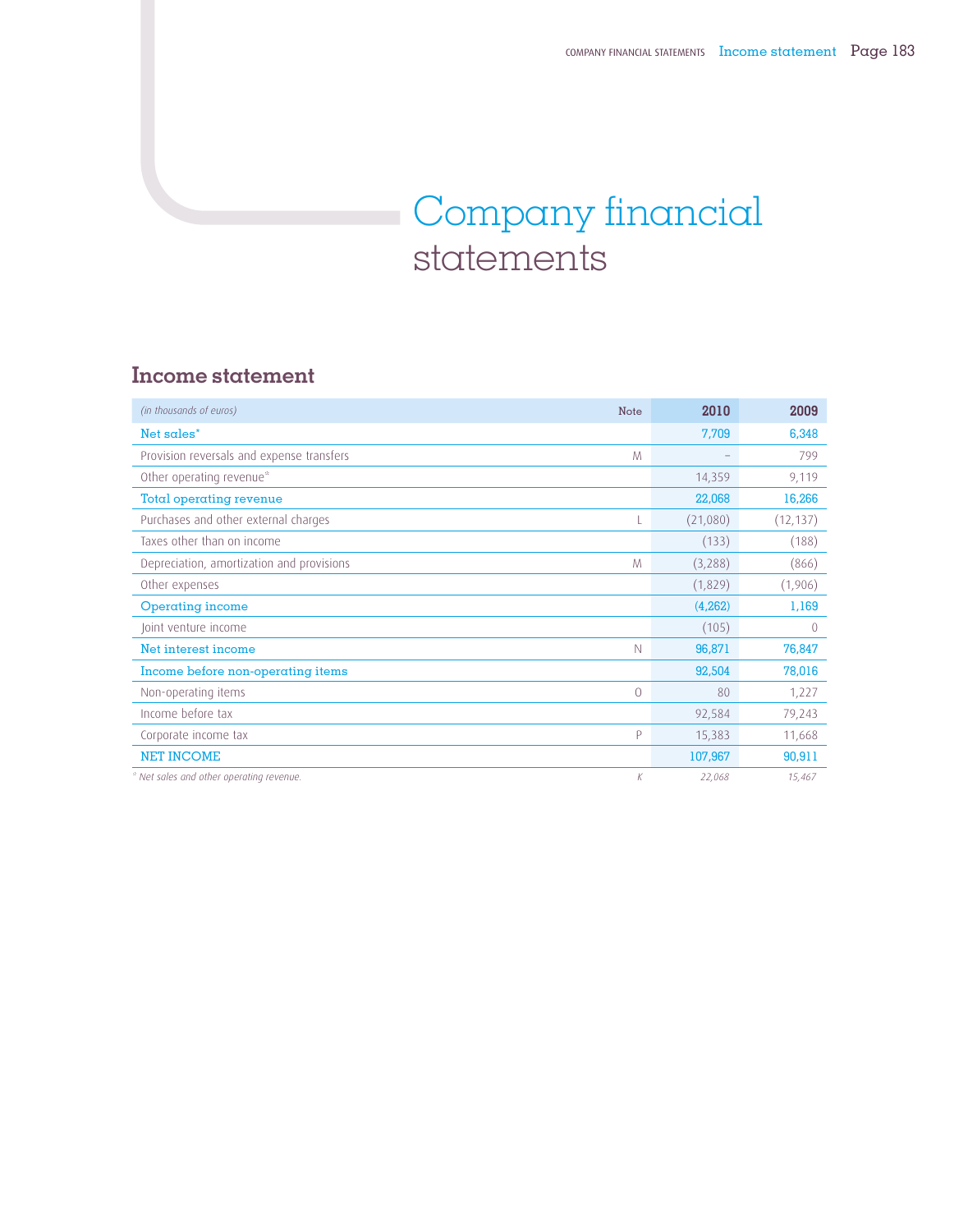# Company financial statements

### **Income statement**

| (in thousands of euros)<br>Note                | 2010     | 2009      |
|------------------------------------------------|----------|-----------|
| Net sales*                                     | 7,709    | 6,348     |
| Provision reversals and expense transfers<br>M |          | 799       |
| Other operating revenue*                       | 14,359   | 9,119     |
| Total operating revenue                        | 22,068   | 16,266    |
| Purchases and other external charges           | (21,080) | (12, 137) |
| Taxes other than on income                     | (133)    | (188)     |
| Depreciation, amortization and provisions<br>M | (3,288)  | (866)     |
| Other expenses                                 | (1,829)  | (1,906)   |
| <b>Operating income</b>                        | (4,262)  | 1,169     |
| Joint venture income                           | (105)    | $\Omega$  |
| Net interest income<br>$\mathbb N$             | 96,871   | 76,847    |
| Income before non-operating items              | 92,504   | 78,016    |
| Non-operating items<br>$\circ$                 | 80       | 1,227     |
| Income before tax                              | 92,584   | 79,243    |
| P<br>Corporate income tax                      | 15,383   | 11,668    |
| <b>NET INCOME</b>                              | 107,967  | 90,911    |
| * Net sales and other operating revenue.<br>K  | 22,068   | 15,467    |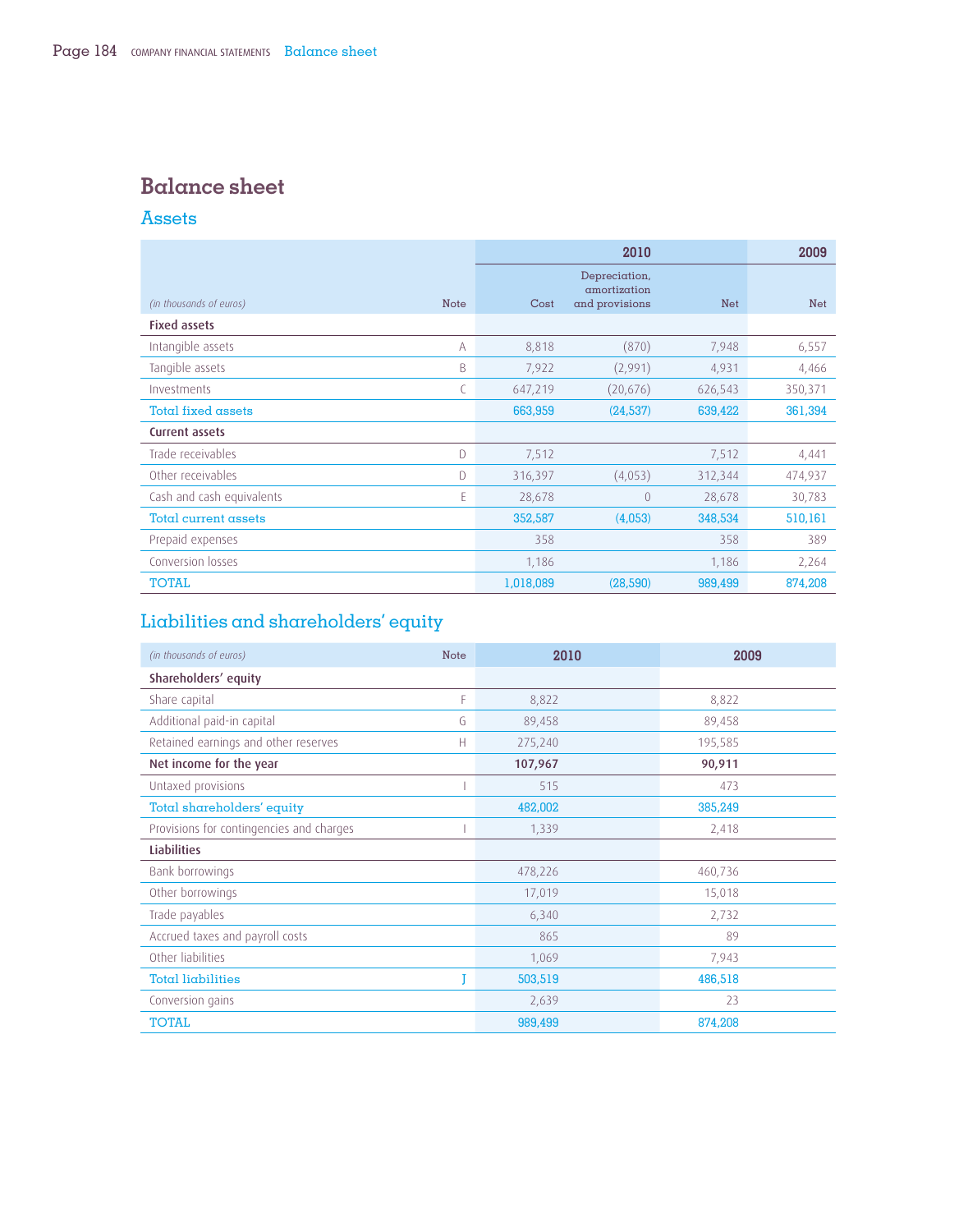### **Balance sheet**

### Assets

|                                        | 2010      |                                                 |            | 2009    |
|----------------------------------------|-----------|-------------------------------------------------|------------|---------|
| (in thousands of euros)<br><b>Note</b> | Cost      | Depreciation,<br>amortization<br>and provisions | <b>Net</b> | Net     |
| <b>Fixed assets</b>                    |           |                                                 |            |         |
| Intangible assets<br>A                 | 8,818     | (870)                                           | 7,948      | 6,557   |
| Tangible assets<br>B                   | 7,922     | (2,991)                                         | 4,931      | 4,466   |
| Investments<br>C                       | 647,219   | (20, 676)                                       | 626,543    | 350,371 |
| Total fixed assets                     | 663,959   | (24, 537)                                       | 639,422    | 361,394 |
| Current assets                         |           |                                                 |            |         |
| Trade receivables<br>D                 | 7,512     |                                                 | 7,512      | 4,441   |
| Other receivables<br>$\Box$            | 316,397   | (4,053)                                         | 312,344    | 474,937 |
| Cash and cash equivalents<br>E         | 28,678    | $\overline{0}$                                  | 28,678     | 30,783  |
| Total current assets                   | 352,587   | (4,053)                                         | 348,534    | 510,161 |
| Prepaid expenses                       | 358       |                                                 | 358        | 389     |
| Conversion losses                      | 1,186     |                                                 | 1,186      | 2,264   |
| <b>TOTAL</b>                           | 1,018,089 | (28, 590)                                       | 989,499    | 874,208 |

## Liabilities and shareholders' equity

| (in thousands of euros)                  | <b>Note</b> | 2010    | 2009    |
|------------------------------------------|-------------|---------|---------|
| Shareholders' equity                     |             |         |         |
| Share capital                            | F           | 8,822   | 8,822   |
| Additional paid-in capital               | G           | 89,458  | 89,458  |
| Retained earnings and other reserves     | Н           | 275,240 | 195,585 |
| Net income for the year                  |             | 107,967 | 90,911  |
| Untaxed provisions                       |             | 515     | 473     |
| Total shareholders' equity               |             | 482,002 | 385,249 |
| Provisions for contingencies and charges |             | 1,339   | 2,418   |
| <b>Liabilities</b>                       |             |         |         |
| Bank borrowings                          |             | 478,226 | 460,736 |
| Other borrowings                         |             | 17,019  | 15,018  |
| Trade payables                           |             | 6,340   | 2,732   |
| Accrued taxes and payroll costs          |             | 865     | 89      |
| Other liabilities                        |             | 1,069   | 7,943   |
| <b>Total liabilities</b>                 |             | 503,519 | 486,518 |
| Conversion gains                         |             | 2,639   | 23      |
| <b>TOTAL</b>                             |             | 989,499 | 874,208 |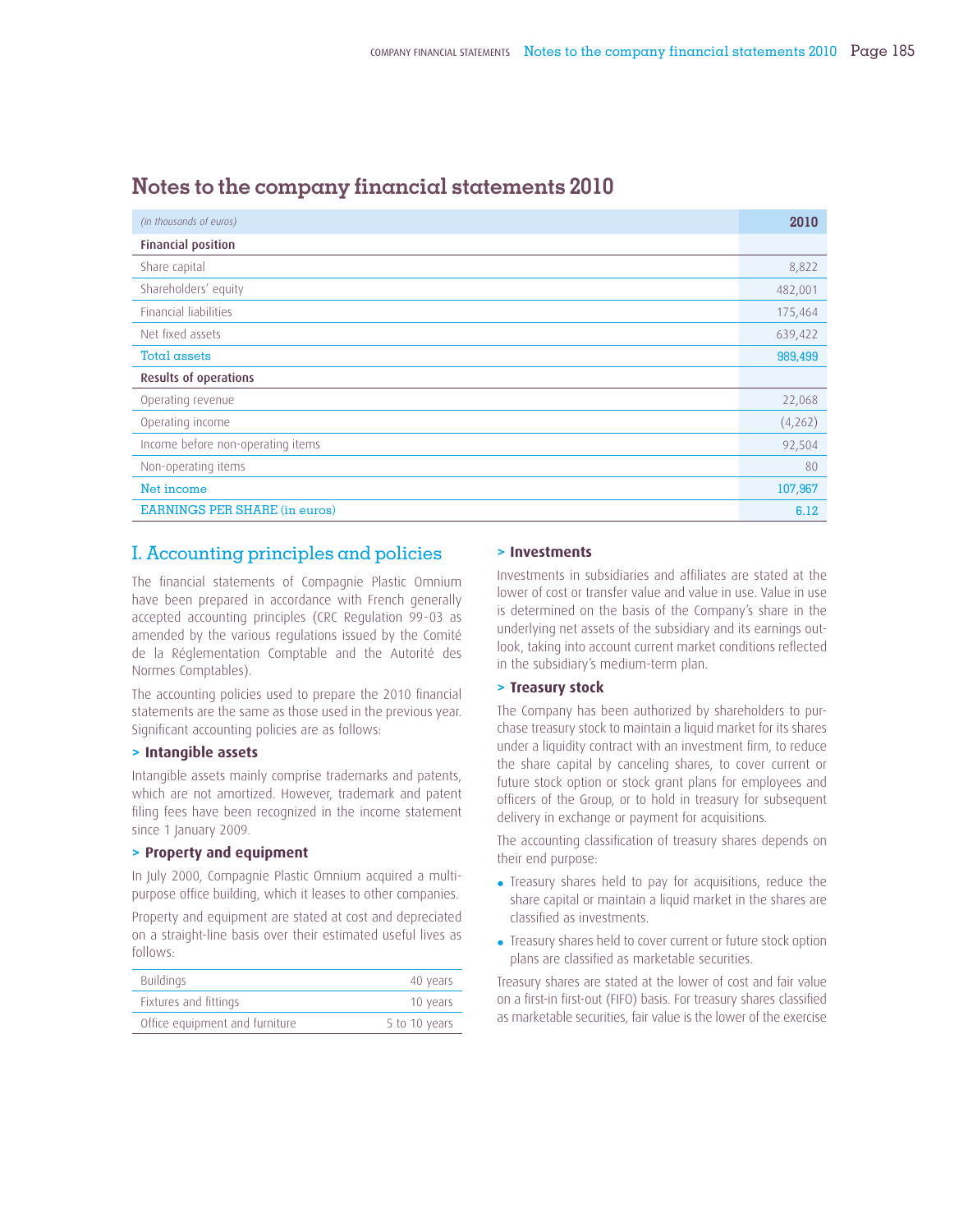| (in thousands of euros)              | 2010    |
|--------------------------------------|---------|
| <b>Financial position</b>            |         |
| Share capital                        | 8,822   |
| Shareholders' equity                 | 482,001 |
| Financial liabilities                | 175,464 |
| Net fixed assets                     | 639,422 |
| Total assets                         | 989,499 |
| <b>Results of operations</b>         |         |
| Operating revenue                    | 22,068  |
| Operating income                     | (4,262) |
| Income before non-operating items    | 92,504  |
| Non-operating items                  | 80      |
| Net income                           | 107,967 |
| <b>EARNINGS PER SHARE (in euros)</b> | 6.12    |

### **Notes to the company financial statements 2010**

#### I. Accounting principles and policies

The financial statements of Compagnie Plastic Omnium have been prepared in accordance with French generally accepted accounting principles (CRC Regulation 99-03 as amended by the various regulations issued by the Comité de la Réglementation Comptable and the Autorité des Normes Comptables).

The accounting policies used to prepare the 2010 financial statements are the same as those used in the previous year. Significant accounting policies are as follows:

#### **> Intangible assets**

Intangible assets mainly comprise trademarks and patents, which are not amortized. However, trademark and patent filing fees have been recognized in the income statement since 1 January 2009.

#### **> Property and equipment**

In July 2000, Compagnie Plastic Omnium acquired a multipurpose office building, which it leases to other companies.

Property and equipment are stated at cost and depreciated on a straight-line basis over their estimated useful lives as follows:

| Buildings                      | 40 years      |
|--------------------------------|---------------|
| Fixtures and fittings          | 10 years      |
| Office equipment and furniture | 5 to 10 years |

#### **> Investments**

Investments in subsidiaries and affiliates are stated at the lower of cost or transfer value and value in use. Value in use is determined on the basis of the Company's share in the underlying net assets of the subsidiary and its earnings outlook, taking into account current market conditions reflected in the subsidiary's medium-term plan.

#### **> Treasury stock**

The Company has been authorized by shareholders to purchase treasury stock to maintain a liquid market for its shares under a liquidity contract with an investment firm, to reduce the share capital by canceling shares, to cover current or future stock option or stock grant plans for employees and officers of the Group, or to hold in treasury for subsequent delivery in exchange or payment for acquisitions.

The accounting classification of treasury shares depends on their end purpose:

- Treasury shares held to pay for acquisitions, reduce the share capital or maintain a liquid market in the shares are classified as investments.
- Treasury shares held to cover current or future stock option plans are classified as marketable securities.

Treasury shares are stated at the lower of cost and fair value on a first-in first-out (FIFO) basis. For treasury shares classified as marketable securities, fair value is the lower of the exercise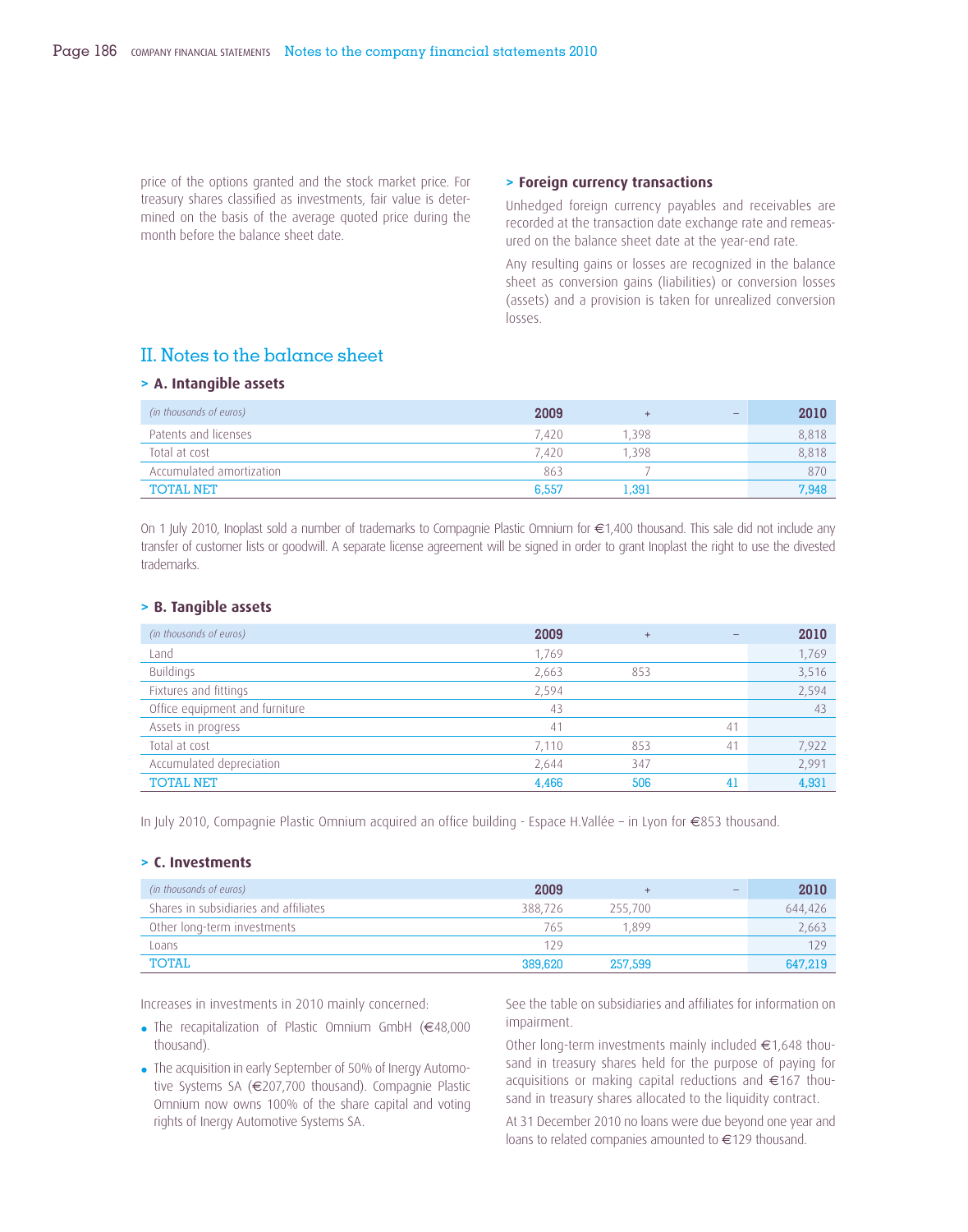price of the options granted and the stock market price. For treasury shares classified as investments, fair value is determined on the basis of the average quoted price during the month before the balance sheet date.

#### **> Foreign currency transactions**

Unhedged foreign currency payables and receivables are recorded at the transaction date exchange rate and remeasured on the balance sheet date at the year-end rate.

Any resulting gains or losses are recognized in the balance sheet as conversion gains (liabilities) or conversion losses (assets) and a provision is taken for unrealized conversion losses.

### II. Notes to the balance sheet

#### **> A. Intangible assets**

| (in thousands of euros)  | 2009  | ÷     | $\overline{\phantom{0}}$ | 2010  |
|--------------------------|-------|-------|--------------------------|-------|
| Patents and licenses     | 7.420 | 1.398 |                          | 8.818 |
| Total at cost            | 7.420 | 1.398 |                          | 8,818 |
| Accumulated amortization | 863   |       |                          | 870   |
| <b>TOTAL NET</b>         | 6.557 | 1.391 |                          | 7.948 |

On 1 July 2010, Inoplast sold a number of trademarks to Compagnie Plastic Omnium for €1,400 thousand. This sale did not include any transfer of customer lists or goodwill. A separate license agreement will be signed in order to grant Inoplast the right to use the divested trademarks.

#### **> B. Tangible assets**

| (in thousands of euros)        | 2009           | $+$ |    | 2010  |
|--------------------------------|----------------|-----|----|-------|
| Land                           | 1,769          |     |    | 1,769 |
| Buildings                      | 2,663          | 853 |    | 3,516 |
| Fixtures and fittings          | 2,594          |     |    | 2,594 |
| Office equipment and furniture | 43             |     |    | -43   |
| Assets in progress             | 4 <sup>1</sup> |     | 41 |       |
| Total at cost                  | 7,110          | 853 | 41 | 7,922 |
| Accumulated depreciation       | 2,644          | 347 |    | 2,991 |
| <b>TOTAL NET</b>               | 4,466          | 506 | 41 | 4,931 |

In July 2010, Compagnie Plastic Omnium acquired an office building - Espace H.Vallée – in Lyon for €853 thousand.

#### **> C. Investments**

| (in thousands of euros)               | 2009    | ٠       | - | 2010    |
|---------------------------------------|---------|---------|---|---------|
| Shares in subsidiaries and affiliates | 388,726 | 255,700 |   | 644,426 |
| Other long-term investments           | 765     | 1.899   |   | 2,663   |
| Loans                                 | 129     |         |   | 129     |
| TOTAL                                 | 389,620 | 257,599 |   | 647,219 |

Increases in investments in 2010 mainly concerned:

- The recapitalization of Plastic Omnium GmbH (€48,000 thousand).
- The acquisition in early September of 50% of Inergy Automotive Systems SA (€207,700 thousand). Compagnie Plastic Omnium now owns 100% of the share capital and voting rights of Inergy Automotive Systems SA.

See the table on subsidiaries and affiliates for information on impairment.

Other long-term investments mainly included €1,648 thousand in treasury shares held for the purpose of paying for acquisitions or making capital reductions and €167 thousand in treasury shares allocated to the liquidity contract.

At 31 December 2010 no loans were due beyond one year and loans to related companies amounted to €129 thousand.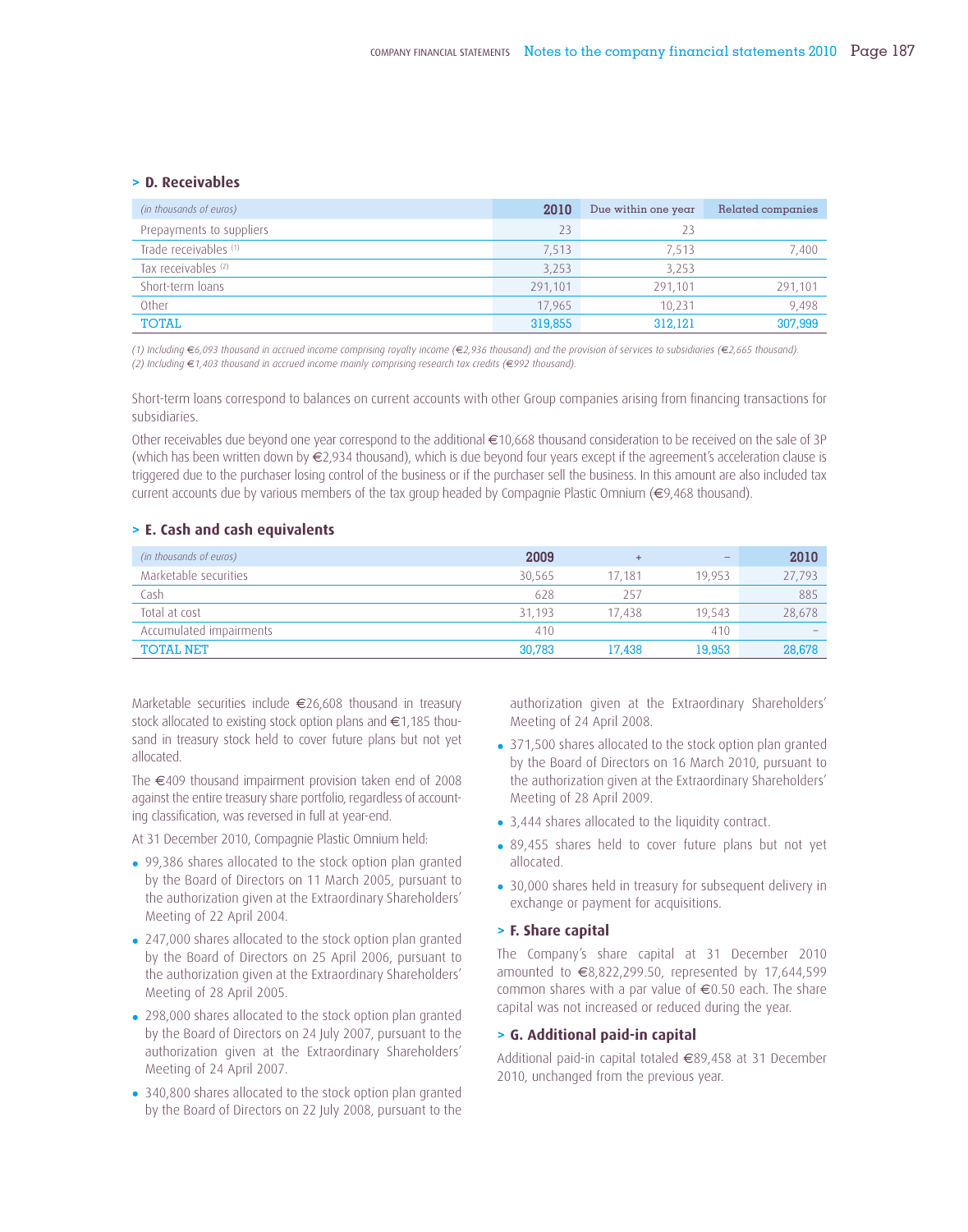#### **> D. Receivables**

| (in thousands of euros)  | 2010    | Due within one year | Related companies |
|--------------------------|---------|---------------------|-------------------|
| Prepayments to suppliers | 23      | 23                  |                   |
| Trade receivables (1)    | 7.513   | 7.513               | 7.400             |
| Tax receivables (2)      | 3,253   | 3,253               |                   |
| Short-term loans         | 291.101 | 291.101             | 291,101           |
| Other                    | 17,965  | 10.231              | 9.498             |
| <b>TOTAL</b>             | 319,855 | 312.121             | 307,999           |

*(1) Including* €*6,093 thousand in accrued income comprising royalty income (*€*2,936 thousand) and the provision of services to subsidiaries (*€*2,665 thousand). (2) Including* €*1,403 thousand in accrued income mainly comprising research tax credits (*€*992 thousand).*

Short-term loans correspond to balances on current accounts with other Group companies arising from financing transactions for subsidiaries.

Other receivables due beyond one year correspond to the additional €10,668 thousand consideration to be received on the sale of 3P (which has been written down by €2,934 thousand), which is due beyond four years except if the agreement's acceleration clause is triggered due to the purchaser losing control of the business or if the purchaser sell the business. In this amount are also included tax current accounts due by various members of the tax group headed by Compagnie Plastic Omnium (€9,468 thousand).

#### **> E. Cash and cash equivalents**

| (in thousands of euros) | 2009   | $\ddot{}$ | $\overline{\phantom{a}}$ | 2010                     |
|-------------------------|--------|-----------|--------------------------|--------------------------|
| Marketable securities   | 30.565 | 17.181    | 19.953                   | 27,793                   |
| Cash                    | 628    | 257       |                          | 885                      |
| Total at cost           | 31.193 | 17.438    | 19.543                   | 28,678                   |
| Accumulated impairments | 410    |           | 410                      | $\overline{\phantom{a}}$ |
| <b>TOTAL NET</b>        | 30.783 | 17.438    | 19,953                   | 28,678                   |

Marketable securities include €26,608 thousand in treasury stock allocated to existing stock option plans and €1,185 thousand in treasury stock held to cover future plans but not yet allocated.

The €409 thousand impairment provision taken end of 2008 against the entire treasury share portfolio, regardless of accounting classification, was reversed in full at year-end.

At 31 December 2010, Compagnie Plastic Omnium held:

- 99,386 shares allocated to the stock option plan granted by the Board of Directors on 11 March 2005, pursuant to the authorization given at the Extraordinary Shareholders' Meeting of 22 April 2004.
- 247,000 shares allocated to the stock option plan granted by the Board of Directors on 25 April 2006, pursuant to the authorization given at the Extraordinary Shareholders' Meeting of 28 April 2005.
- 298,000 shares allocated to the stock option plan granted by the Board of Directors on 24 July 2007, pursuant to the authorization given at the Extraordinary Shareholders' Meeting of 24 April 2007.
- 340,800 shares allocated to the stock option plan granted by the Board of Directors on 22 July 2008, pursuant to the

authorization given at the Extraordinary Shareholders' Meeting of 24 April 2008.

- 371,500 shares allocated to the stock option plan granted by the Board of Directors on 16 March 2010, pursuant to the authorization given at the Extraordinary Shareholders' Meeting of 28 April 2009.
- 3,444 shares allocated to the liquidity contract.
- 89,455 shares held to cover future plans but not yet allocated.
- 30,000 shares held in treasury for subsequent delivery in exchange or payment for acquisitions.

#### **> F. Share capital**

The Company's share capital at 31 December 2010 amounted to €8,822,299.50, represented by 17,644,599 common shares with a par value of €0.50 each. The share capital was not increased or reduced during the year.

#### **> G. Additional paid-in capital**

Additional paid-in capital totaled €89,458 at 31 December 2010, unchanged from the previous year.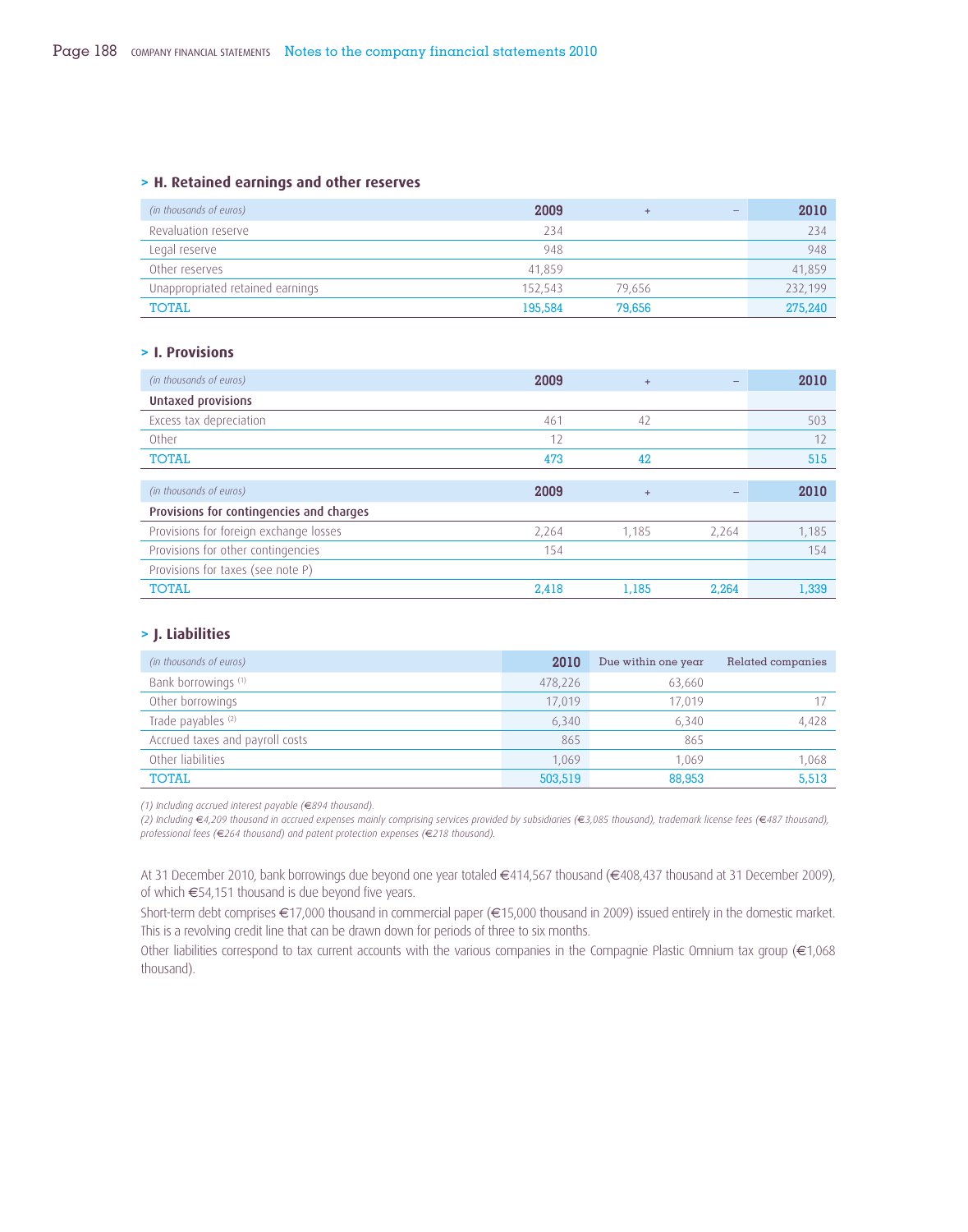#### **> H. Retained earnings and other reserves**

| (in thousands of euros)          | 2009    | ÷      | $\qquad \qquad \overline{\qquad \qquad }$ | 2010    |
|----------------------------------|---------|--------|-------------------------------------------|---------|
| Revaluation reserve              | 234     |        |                                           | 234     |
| Legal reserve                    | 948     |        |                                           | 948     |
| Other reserves                   | 41.859  |        |                                           | 41,859  |
| Unappropriated retained earnings | 152.543 | 79.656 |                                           | 232.199 |
| TOTAL                            | 195,584 | 79,656 |                                           | 275,240 |

#### **> I. Provisions**

| (in thousands of euros)                  | 2009  | $+$   |       | 2010  |
|------------------------------------------|-------|-------|-------|-------|
| <b>Untaxed provisions</b>                |       |       |       |       |
| Excess tax depreciation                  | 461   | 42    |       | 503   |
| Other                                    | 12    |       |       | 12    |
| <b>TOTAL</b>                             | 473   | 42    |       | 515   |
|                                          |       |       |       |       |
| (in thousands of euros)                  | 2009  | $+$   |       | 2010  |
| Provisions for contingencies and charges |       |       |       |       |
| Provisions for foreign exchange losses   | 2,264 | 1,185 | 2,264 | 1,185 |
| Provisions for other contingencies       | 154   |       |       | 154   |
| Provisions for taxes (see note P)        |       |       |       |       |
| <b>TOTAL</b>                             | 2.418 | 1.185 | 2.264 | 1.339 |

#### **> J. Liabilities**

| (in thousands of euros)         | 2010    | Due within one year | Related companies |
|---------------------------------|---------|---------------------|-------------------|
| Bank borrowings (1)             | 478,226 | 63.660              |                   |
| Other borrowings                | 17,019  | 17.019              |                   |
| Trade payables (2)              | 6,340   | 6.340               | 4,428             |
| Accrued taxes and payroll costs | 865     | 865                 |                   |
| Other liabilities               | 1.069   | 1.069               | 1,068             |
| <b>TOTAL</b>                    | 503,519 | 88,953              | 5,513             |

*(1) Including accrued interest payable (*€*894 thousand).*

*(2) Including* €*4,209 thousand in accrued expenses mainly comprising services provided by subsidiaries (*€*3,085 thousand), trademark license fees (*€*487 thousand), professional fees (*€*264 thousand) and patent protection expenses (*€*218 thousand).* 

At 31 December 2010, bank borrowings due beyond one year totaled €414,567 thousand (€408,437 thousand at 31 December 2009), of which  $€54,151$  thousand is due beyond five years.

Short-term debt comprises €17,000 thousand in commercial paper (€15,000 thousand in 2009) issued entirely in the domestic market. This is a revolving credit line that can be drawn down for periods of three to six months.

Other liabilities correspond to tax current accounts with the various companies in the Compagnie Plastic Omnium tax group (€1,068 thousand).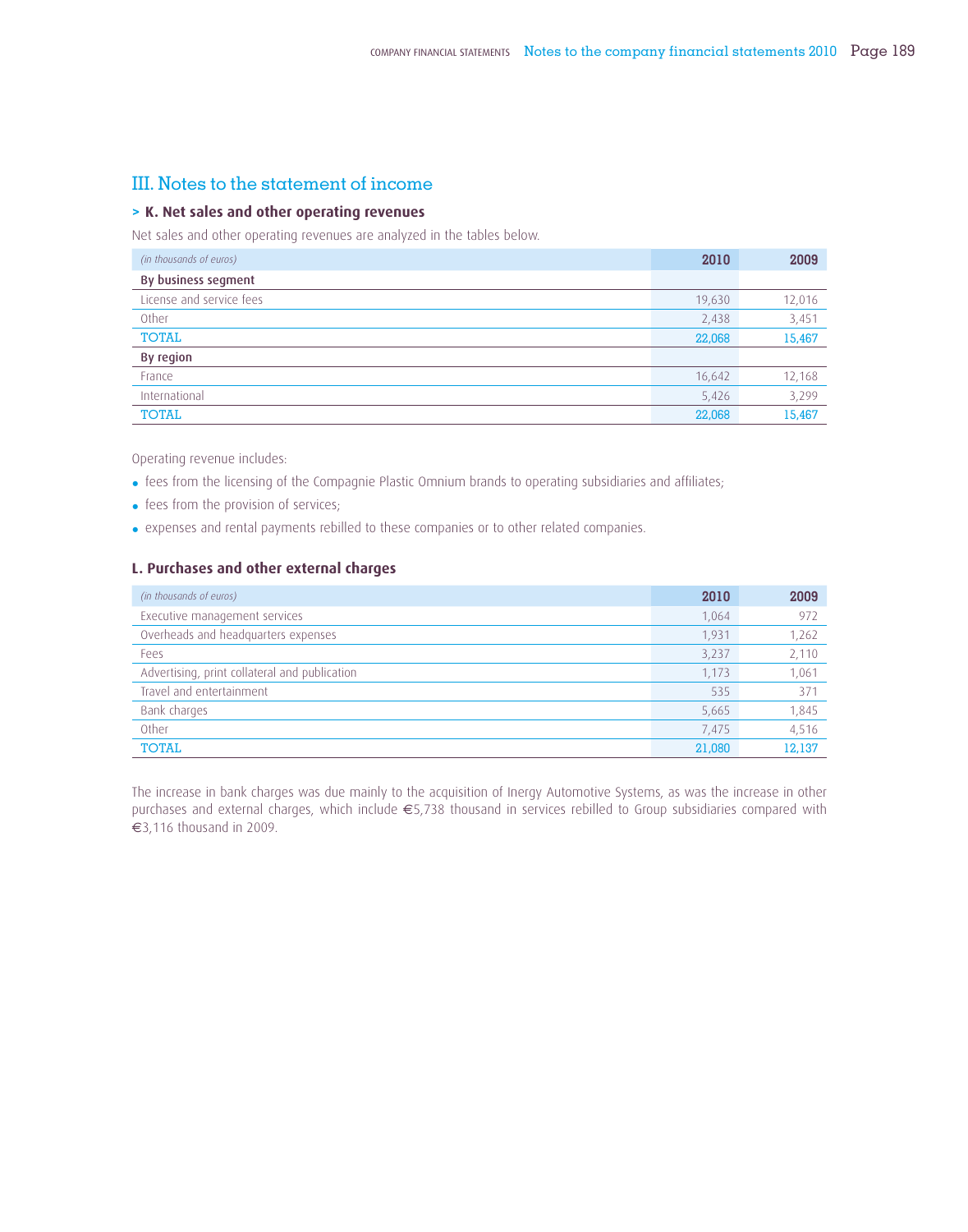### III. Notes to the statement of income

#### **> K. Net sales and other operating revenues**

Net sales and other operating revenues are analyzed in the tables below.

| (in thousands of euros)  | 2010   | 2009   |
|--------------------------|--------|--------|
| By business segment      |        |        |
| License and service fees | 19,630 | 12,016 |
| Other                    | 2,438  | 3,451  |
| TOTAL                    | 22,068 | 15,467 |
| By region                |        |        |
| France                   | 16,642 | 12,168 |
| International            | 5,426  | 3,299  |
| <b>TOTAL</b>             | 22,068 | 15,467 |

Operating revenue includes:

- fees from the licensing of the Compagnie Plastic Omnium brands to operating subsidiaries and affiliates;
- fees from the provision of services;
- expenses and rental payments rebilled to these companies or to other related companies.

#### **L. Purchases and other external charges**

| (in thousands of euros)                       | 2010   | 2009            |
|-----------------------------------------------|--------|-----------------|
| Executive management services                 | 1.064  | 972             |
| Overheads and headquarters expenses           | 1.931  | 1,262           |
| Fees                                          | 3,237  | 2,110           |
| Advertising, print collateral and publication | 1.173  | 1,061           |
| Travel and entertainment                      | 535    | 37 <sup>2</sup> |
| Bank charges                                  | 5,665  | 1,845           |
| Other                                         | 7.475  | 4,516           |
| <b>TOTAL</b>                                  | 21,080 | 12,137          |

The increase in bank charges was due mainly to the acquisition of Inergy Automotive Systems, as was the increase in other purchases and external charges, which include €5,738 thousand in services rebilled to Group subsidiaries compared with €3,116 thousand in 2009.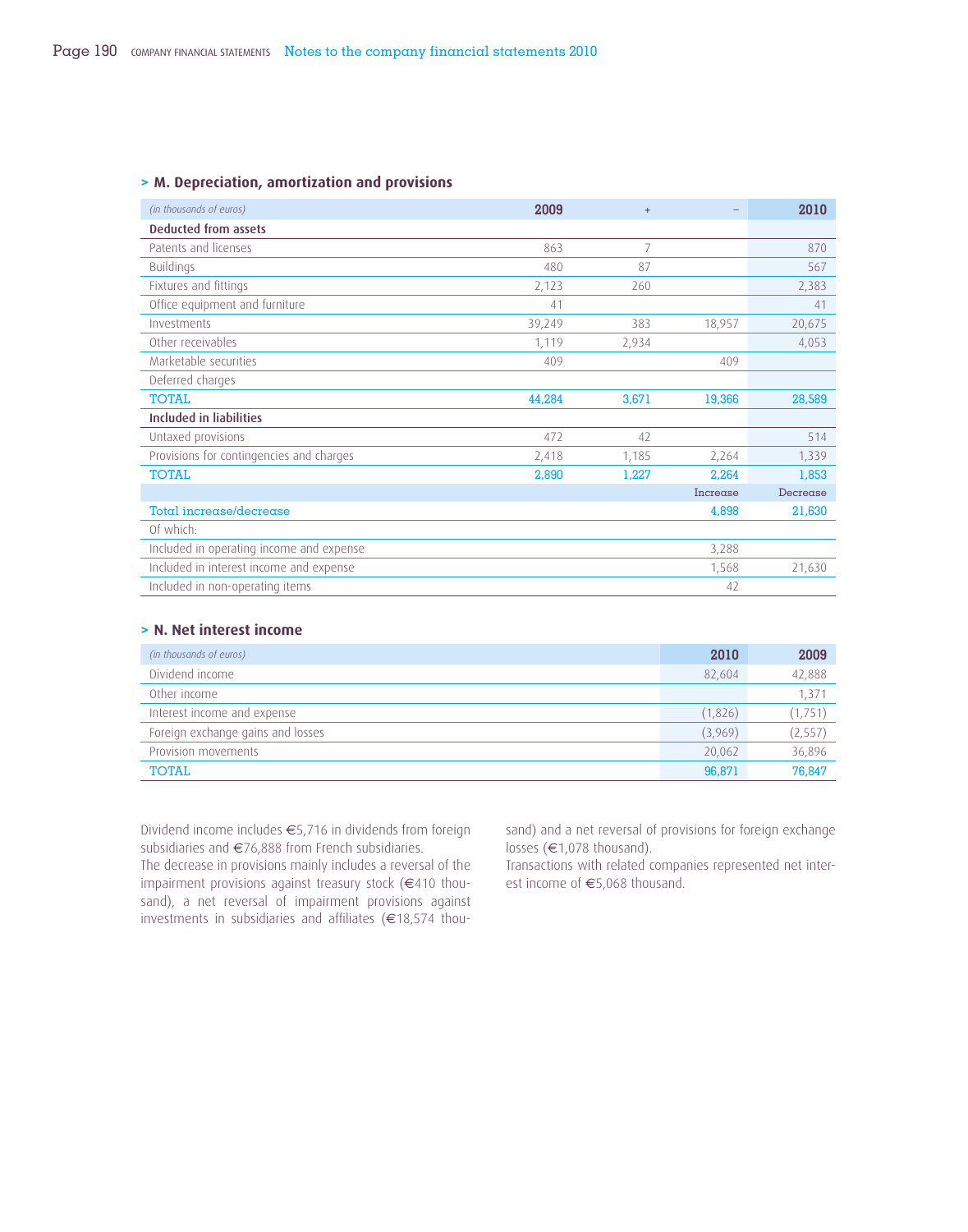#### **> M. Depreciation, amortization and provisions**

| (in thousands of euros)                  | 2009   | $+$   |          | 2010     |
|------------------------------------------|--------|-------|----------|----------|
| Deducted from assets                     |        |       |          |          |
| Patents and licenses                     | 863    | 7     |          | 870      |
| <b>Buildings</b>                         | 480    | 87    |          | 567      |
| Fixtures and fittings                    | 2,123  | 260   |          | 2,383    |
| Office equipment and furniture           | 41     |       |          | 41       |
| Investments                              | 39,249 | 383   | 18,957   | 20,675   |
| Other receivables                        | 1,119  | 2,934 |          | 4,053    |
| Marketable securities                    | 409    |       | 409      |          |
| Deferred charges                         |        |       |          |          |
| <b>TOTAL</b>                             | 44,284 | 3,671 | 19,366   | 28,589   |
| Included in liabilities                  |        |       |          |          |
| Untaxed provisions                       | 472    | 42    |          | 514      |
| Provisions for contingencies and charges | 2,418  | 1,185 | 2,264    | 1,339    |
| <b>TOTAL</b>                             | 2,890  | 1,227 | 2,264    | 1,853    |
|                                          |        |       | Increase | Decrease |
| Total increase/decrease                  |        |       | 4,898    | 21,630   |
| Of which:                                |        |       |          |          |
| Included in operating income and expense |        |       | 3,288    |          |
| Included in interest income and expense  |        |       | 1,568    | 21,630   |
| Included in non-operating items          |        |       | 42       |          |

#### **> N. Net interest income**

| (in thousands of euros)           | 2010    | 2009     |
|-----------------------------------|---------|----------|
| Dividend income                   | 82.604  | 42,888   |
| Other income                      |         | 1,371    |
| Interest income and expense       | (1,826) | (1,751)  |
| Foreign exchange gains and losses | (3,969) | (2, 557) |
| Provision movements               | 20,062  | 36,896   |
| TOTAL                             | 96,871  | 76,847   |

Dividend income includes €5,716 in dividends from foreign subsidiaries and €76,888 from French subsidiaries.

The decrease in provisions mainly includes a reversal of the impairment provisions against treasury stock (€410 thousand), a net reversal of impairment provisions against investments in subsidiaries and affiliates ( $\epsilon$ 18,574 thousand) and a net reversal of provisions for foreign exchange losses (€1,078 thousand).

Transactions with related companies represented net interest income of €5,068 thousand.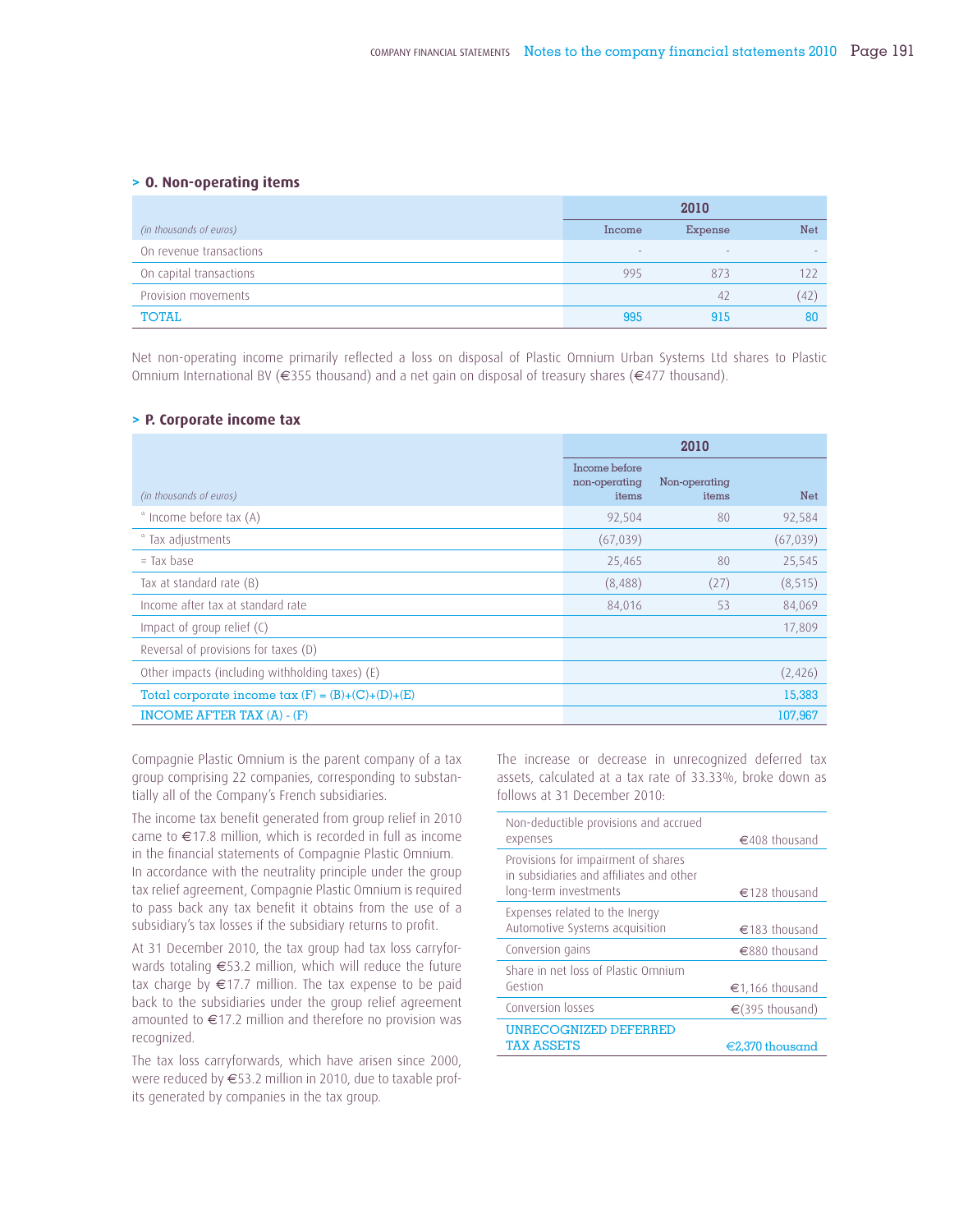#### **> O. Non-operating items**

|                         |        | 2010    |     |
|-------------------------|--------|---------|-----|
| (in thousands of euros) | Income | Expense | Net |
| On revenue transactions | $\sim$ | $\sim$  |     |
| On capital transactions | 995    | 873     | 122 |
| Provision movements     |        | 42      | (42 |
| <b>TOTAL</b>            | 995    | 915     | 80  |

Net non-operating income primarily reflected a loss on disposal of Plastic Omnium Urban Systems Ltd shares to Plastic Omnium International BV (€355 thousand) and a net gain on disposal of treasury shares (€477 thousand).

#### **> P. Corporate income tax**

|                                                          |                                         | 2010                   |            |
|----------------------------------------------------------|-----------------------------------------|------------------------|------------|
| (in thousands of euros)                                  | Income before<br>non-operating<br>items | Non-operating<br>items | <b>Net</b> |
| * Income before tax (A)                                  | 92,504                                  | 80                     | 92,584     |
| * Tax adjustments                                        | (67, 039)                               |                        | (67, 039)  |
| $=$ Tax base                                             | 25,465                                  | 80                     | 25,545     |
| Tax at standard rate (B)                                 | (8,488)                                 | (27)                   | (8, 515)   |
| Income after tax at standard rate                        | 84,016                                  | 53                     | 84,069     |
| Impact of group relief (C)                               |                                         |                        | 17,809     |
| Reversal of provisions for taxes (D)                     |                                         |                        |            |
| Other impacts (including withholding taxes) (E)          |                                         |                        | (2,426)    |
| Total corporate income $\text{tax}(F) = (B)+(C)+(D)+(E)$ |                                         |                        | 15,383     |
| INCOME AFTER TAX (A) - (F)                               |                                         |                        | 107,967    |

Compagnie Plastic Omnium is the parent company of a tax group comprising 22 companies, corresponding to substantially all of the Company's French subsidiaries.

The income tax benefit generated from group relief in 2010 came to €17.8 million, which is recorded in full as income in the financial statements of Compagnie Plastic Omnium. In accordance with the neutrality principle under the group tax relief agreement, Compagnie Plastic Omnium is required to pass back any tax benefit it obtains from the use of a subsidiary's tax losses if the subsidiary returns to profit.

At 31 December 2010, the tax group had tax loss carryforwards totaling €53.2 million, which will reduce the future tax charge by €17.7 million. The tax expense to be paid back to the subsidiaries under the group relief agreement amounted to €17.2 million and therefore no provision was recognized.

The tax loss carryforwards, which have arisen since 2000, were reduced by €53.2 million in 2010, due to taxable profits generated by companies in the tax group.

The increase or decrease in unrecognized deferred tax assets, calculated at a tax rate of 33.33%, broke down as follows at 31 December 2010:

| Non-deductible provisions and accrued<br>expenses                                                        | $\in$ 408 thousand        |
|----------------------------------------------------------------------------------------------------------|---------------------------|
| Provisions for impairment of shares<br>in subsidiaries and affiliates and other<br>long-term investments | $\epsilon$ 128 thousand   |
| Expenses related to the Inergy<br>Automotive Systems acquisition                                         | $€183$ thousand           |
| Conversion gains                                                                                         | €880 thousand             |
| Share in net loss of Plastic Omnium                                                                      |                           |
| Gestion                                                                                                  | €1,166 thousand           |
| Conversion losses                                                                                        | €(395 thousand)           |
| UNRECOGNIZED DEFERRED                                                                                    |                           |
| <b>TAX ASSETS</b>                                                                                        | $\epsilon$ 2.370 thousand |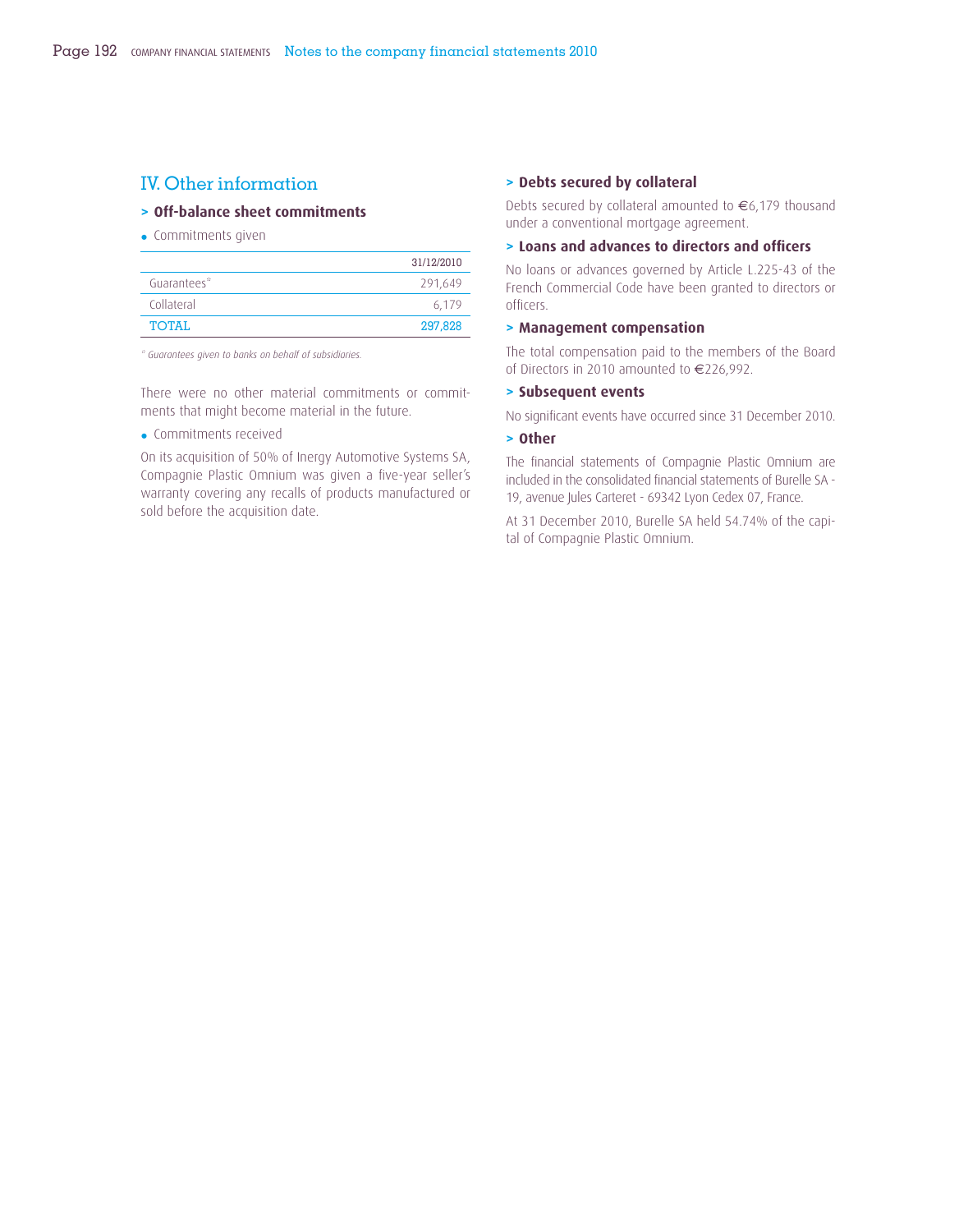### IV. Other information

#### **> Off-balance sheet commitments**

• Commitments given

|             | 31/12/2010 |
|-------------|------------|
| Guarantees* | 291,649    |
| Collateral  | 6.179      |
| TOTAI.      | 297,828    |

*\* Guarantees given to banks on behalf of subsidiaries.*

There were no other material commitments or commitments that might become material in the future.

• Commitments received

On its acquisition of 50% of Inergy Automotive Systems SA, Compagnie Plastic Omnium was given a five-year seller's warranty covering any recalls of products manufactured or sold before the acquisition date.

#### **> Debts secured by collateral**

Debts secured by collateral amounted to €6,179 thousand under a conventional mortgage agreement.

#### **> Loans and advances to directors and offi cers**

No loans or advances governed by Article L.225-43 of the French Commercial Code have been granted to directors or officers.

#### **> Management compensation**

The total compensation paid to the members of the Board of Directors in 2010 amounted to €226,992.

#### **> Subsequent events**

No significant events have occurred since 31 December 2010.

#### **> Other**

The financial statements of Compagnie Plastic Omnium are included in the consolidated financial statements of Burelle SA -19, avenue Jules Carteret - 69342 Lyon Cedex 07, France.

At 31 December 2010, Burelle SA held 54.74% of the capital of Compagnie Plastic Omnium.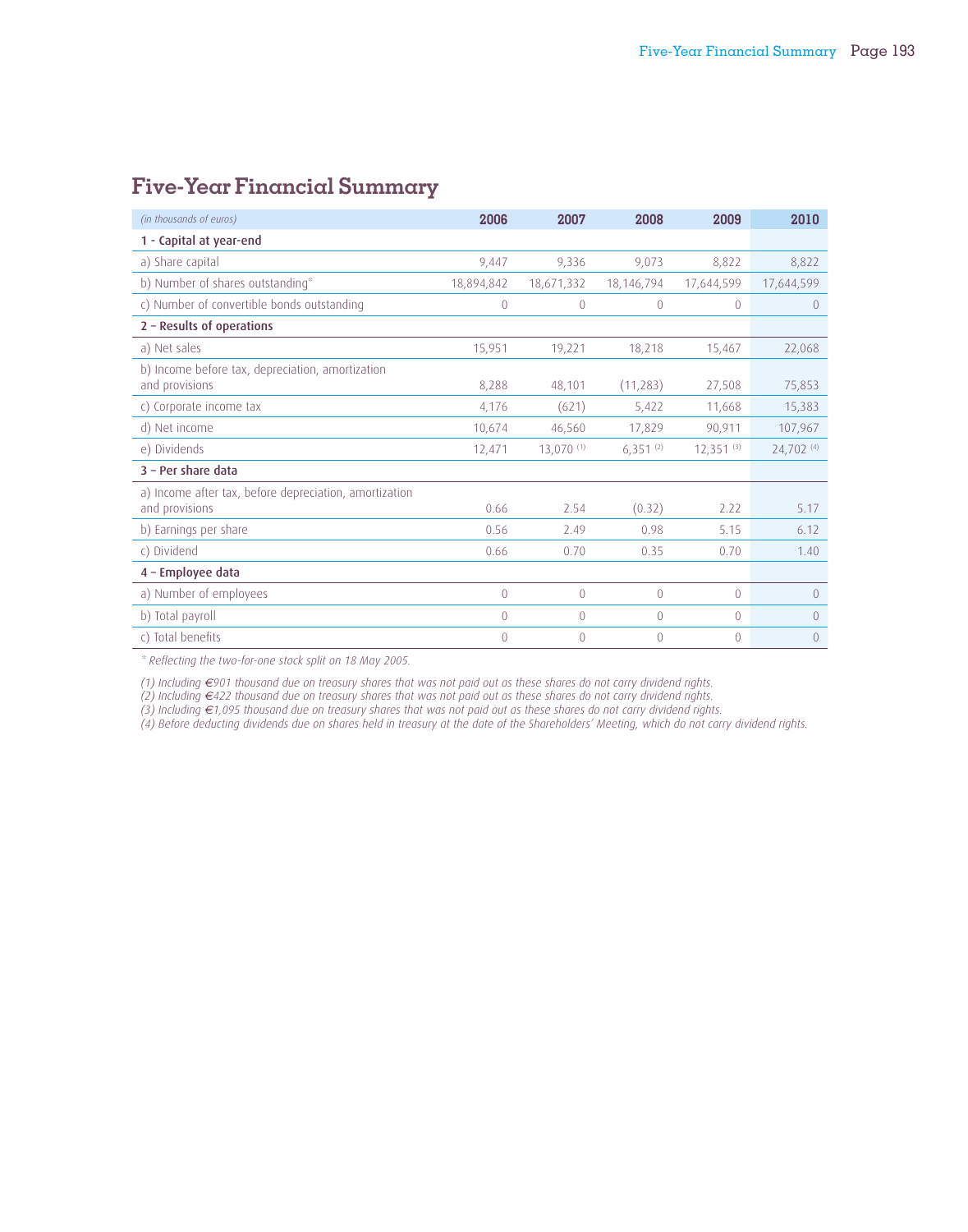| (in thousands of euros)                                                  | 2006           | 2007           | 2008           | 2009           | 2010       |
|--------------------------------------------------------------------------|----------------|----------------|----------------|----------------|------------|
| 1 - Capital at year-end                                                  |                |                |                |                |            |
| a) Share capital                                                         | 9,447          | 9,336          | 9,073          | 8,822          | 8,822      |
| b) Number of shares outstanding*                                         | 18,894,842     | 18,671,332     | 18,146,794     | 17,644,599     | 17,644,599 |
| c) Number of convertible bonds outstanding                               | $\mathbf{0}$   | $\theta$       | $\theta$       | $\mathbf{0}$   | $\theta$   |
| 2 - Results of operations                                                |                |                |                |                |            |
| a) Net sales                                                             | 15,951         | 19,221         | 18,218         | 15,467         | 22,068     |
| b) Income before tax, depreciation, amortization<br>and provisions       | 8,288          | 48,101         | (11, 283)      | 27,508         | 75,853     |
| c) Corporate income tax                                                  | 4,176          | (621)          | 5,422          | 11,668         | 15,383     |
| d) Net income                                                            | 10,674         | 46,560         | 17,829         | 90,911         | 107,967    |
| e) Dividends                                                             | 12,471         | 13,070(1)      | 6,351(2)       | $12,351^{(3)}$ | 24,702 (4) |
| 3 - Per share data                                                       |                |                |                |                |            |
| a) Income after tax, before depreciation, amortization<br>and provisions | 0.66           | 2.54           | (0.32)         | 2.22           | 5.17       |
| b) Earnings per share                                                    | 0.56           | 2.49           | 0.98           | 5.15           | 6.12       |
| c) Dividend                                                              | 0.66           | 0.70           | 0.35           | 0.70           | 1.40       |
| 4 - Employee data                                                        |                |                |                |                |            |
| a) Number of employees                                                   | 0              | $\overline{0}$ | $\theta$       | 0              | 0          |
| b) Total payroll                                                         | $\overline{0}$ | $\overline{0}$ | $\overline{0}$ | $\Omega$       | 0          |
| c) Total benefits                                                        | $\theta$       | $\theta$       | $\mathbf{0}$   | $\Omega$       | 0          |

### **Five-Year Financial Summary**

*\* Reflecting the two-for-one stock split on 18 May 2005.*

*(1) Including €901 thousand due on treasury shares that was not paid out as these shares do not carry dividend rights.*

*(2) Including €422 thousand due on treasury shares that was not paid out as these shares do not carry dividend rights.*

*(3) Including €1,095 thousand due on treasury shares that was not paid out as these shares do not carry dividend rights.*

*(4) Before deducting dividends due on shares held in treasury at the date of the Shareholders' Meeting, which do not carry dividend rights.*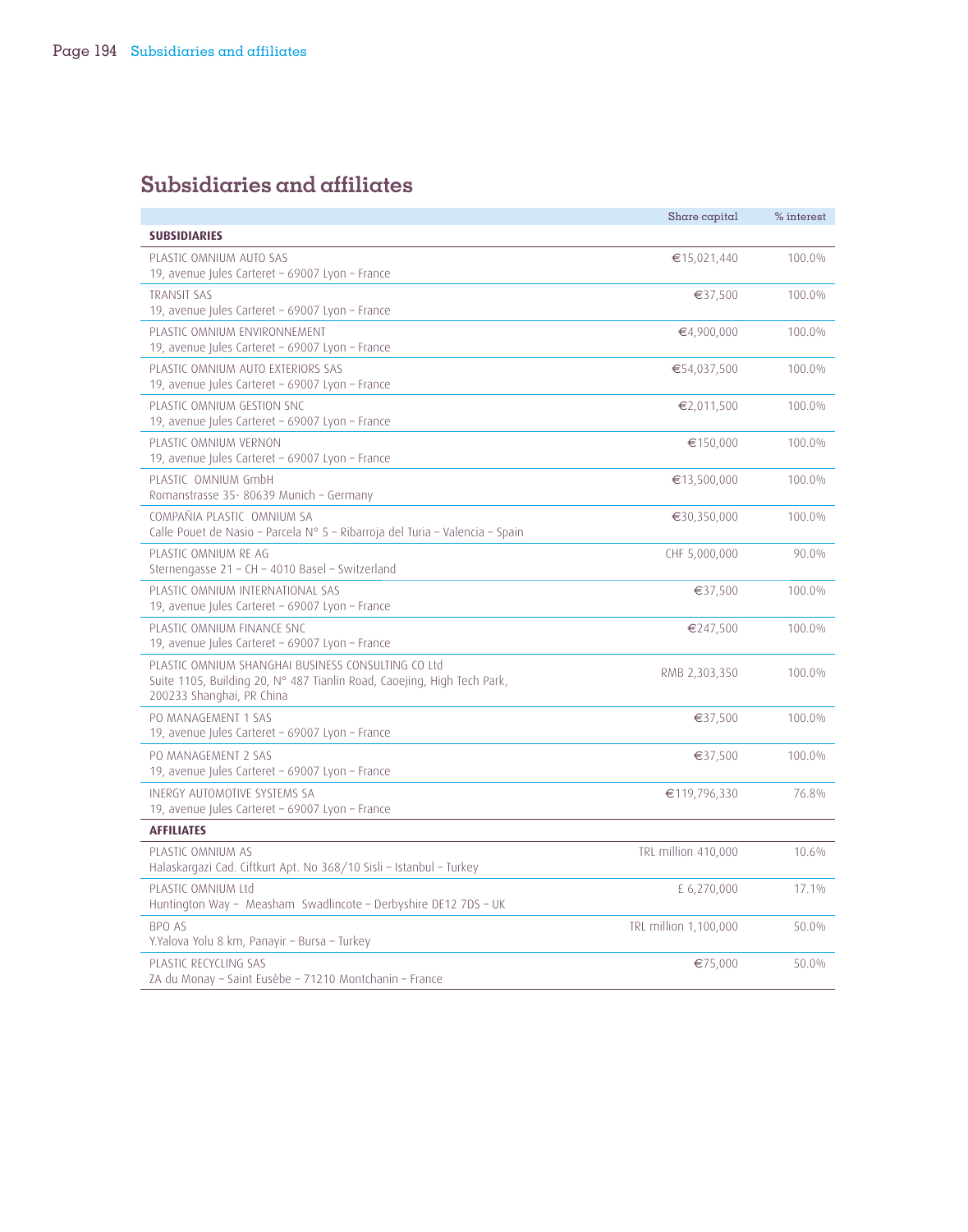### **Subsidiaries and affiliates**

|                                                                                                                                                            | Share capital         | $%$ interest |
|------------------------------------------------------------------------------------------------------------------------------------------------------------|-----------------------|--------------|
| <b>SUBSIDIARIES</b>                                                                                                                                        |                       |              |
| PLASTIC OMNIUM AUTO SAS<br>19, avenue Jules Carteret - 69007 Lyon - France                                                                                 | €15,021,440           | 100.0%       |
| <b>TRANSIT SAS</b><br>19, avenue Jules Carteret - 69007 Lyon - France                                                                                      | €37,500               | 100.0%       |
| PLASTIC OMNIUM ENVIRONNEMENT<br>19, avenue Jules Carteret - 69007 Lyon - France                                                                            | €4,900,000            | 100.0%       |
| PLASTIC OMNIUM AUTO EXTERIORS SAS<br>19, avenue Jules Carteret - 69007 Lyon - France                                                                       | €54,037,500           | 100.0%       |
| PLASTIC OMNIUM GESTION SNC<br>19, avenue Jules Carteret - 69007 Lyon - France                                                                              | €2,011,500            | 100.0%       |
| PLASTIC OMNIUM VERNON<br>19, avenue Jules Carteret - 69007 Lyon - France                                                                                   | €150,000              | 100.0%       |
| PLASTIC OMNIUM GmbH<br>Romanstrasse 35-80639 Munich - Germany                                                                                              | €13,500,000           | 100.0%       |
| COMPAÑIA PLASTIC OMNIUM SA<br>Calle Pouet de Nasio - Parcela Nº 5 - Ribarroja del Turia - Valencia - Spain                                                 | €30,350,000           | 100.0%       |
| PLASTIC OMNIUM RE AG<br>Sternengasse 21 - CH - 4010 Basel - Switzerland                                                                                    | CHF 5,000,000         | 90.0%        |
| PLASTIC OMNIUM INTERNATIONAL SAS<br>19, avenue Jules Carteret - 69007 Lyon - France                                                                        | €37,500               | 100.0%       |
| PLASTIC OMNIUM FINANCE SNC<br>19, avenue Jules Carteret - 69007 Lyon - France                                                                              | €247,500              | 100.0%       |
| PLASTIC OMNIUM SHANGHAL BUSINESS CONSULTING CO Ltd<br>Suite 1105, Building 20, N° 487 Tianlin Road, Caoejing, High Tech Park,<br>200233 Shanghai, PR China | RMB 2,303,350         | 100.0%       |
| PO MANAGEMENT 1 SAS<br>19, avenue Jules Carteret - 69007 Lyon - France                                                                                     | €37,500               | 100.0%       |
| PO MANAGEMENT 2 SAS<br>19, avenue Jules Carteret - 69007 Lyon - France                                                                                     | €37,500               | 100.0%       |
| INERGY AUTOMOTIVE SYSTEMS SA<br>19, avenue Jules Carteret - 69007 Lyon - France                                                                            | €119,796,330          | 76.8%        |
| <b>AFFILIATES</b>                                                                                                                                          |                       |              |
| PLASTIC OMNIUM AS<br>Halaskargazi Cad. Ciftkurt Apt. No 368/10 Sisli - Istanbul - Turkey                                                                   | TRL million 410,000   | 10.6%        |
| PLASTIC OMNIUM Ltd<br>Huntington Way - Measham Swadlincote - Derbyshire DE12 7DS - UK                                                                      | £ 6,270,000           | 17.1%        |
| BPO AS<br>Y.Yalova Yolu 8 km, Panayir - Bursa - Turkey                                                                                                     | TRL million 1,100,000 | 50.0%        |
| PLASTIC RECYCLING SAS<br>ZA du Monay - Saint Eusèbe - 71210 Montchanin - France                                                                            | €75,000               | 50.0%        |